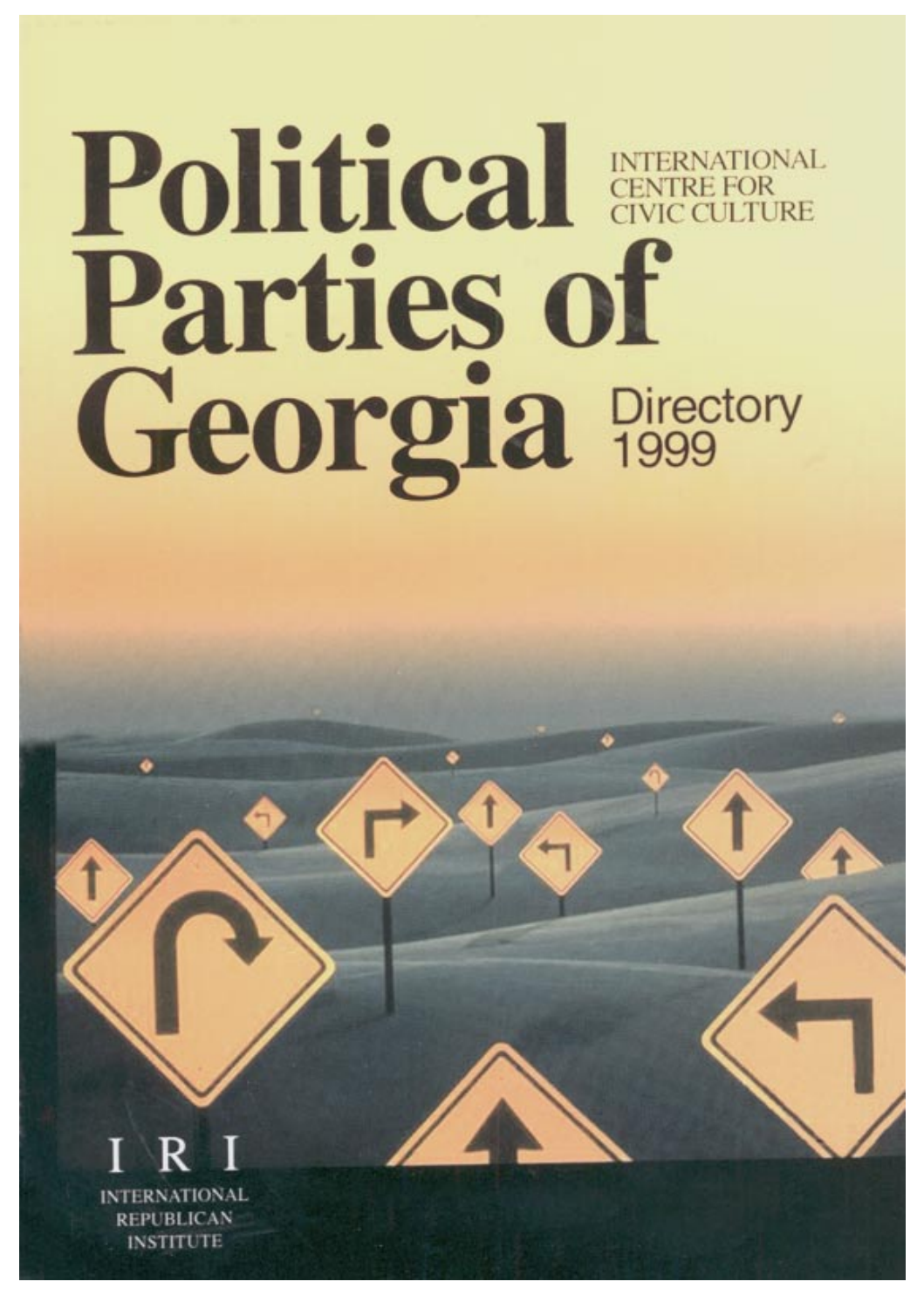# Political **ENTRE FOR** Parties of Georgia Directory

**FRNATIONAL REPUBLICAN INSTITUTE**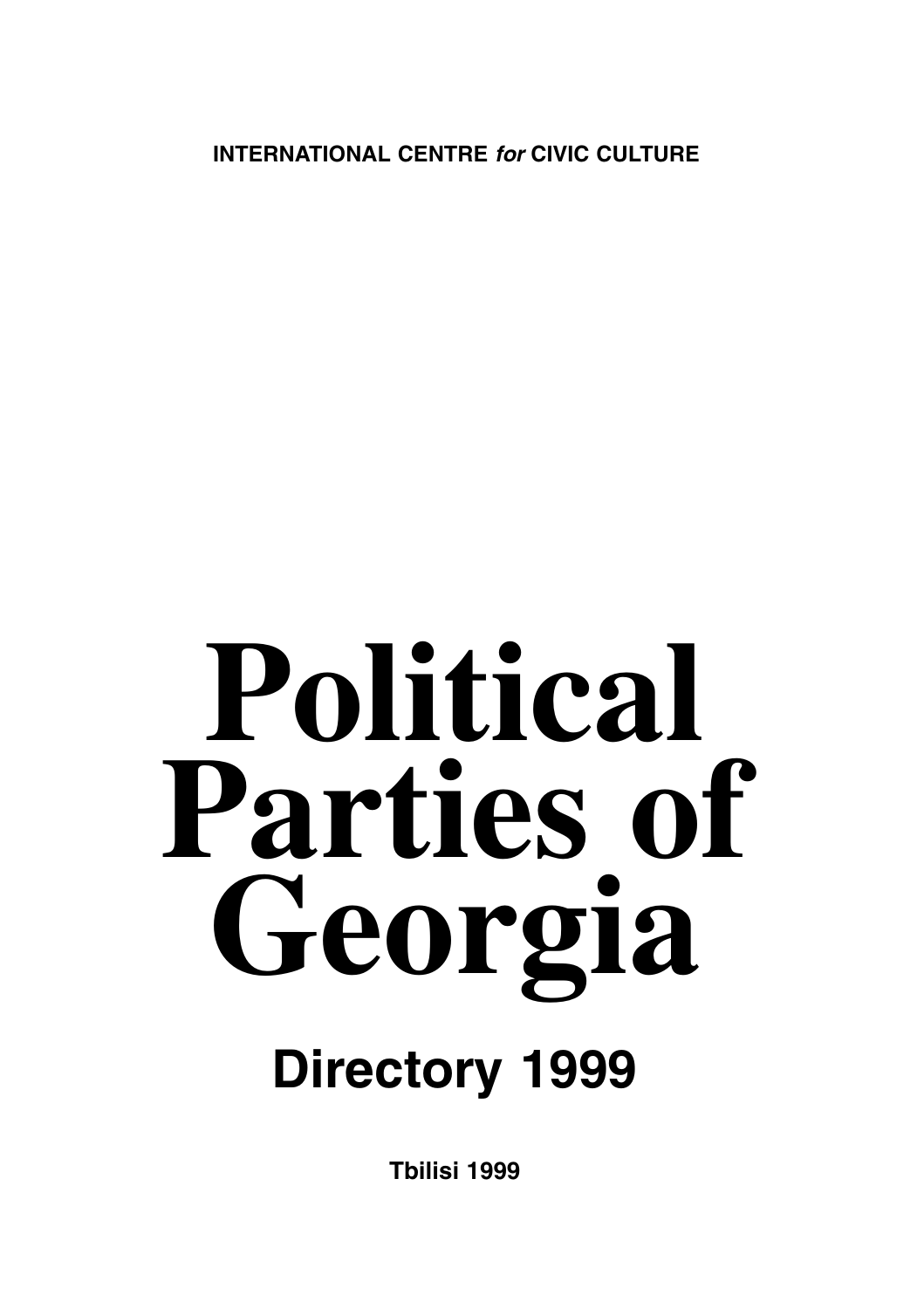**INTERNATIONAL CENTRE for CIVIC CULTURE**

# **Political Parties of Georgia**

# **Directory 1999**

**Tbilisi 1999**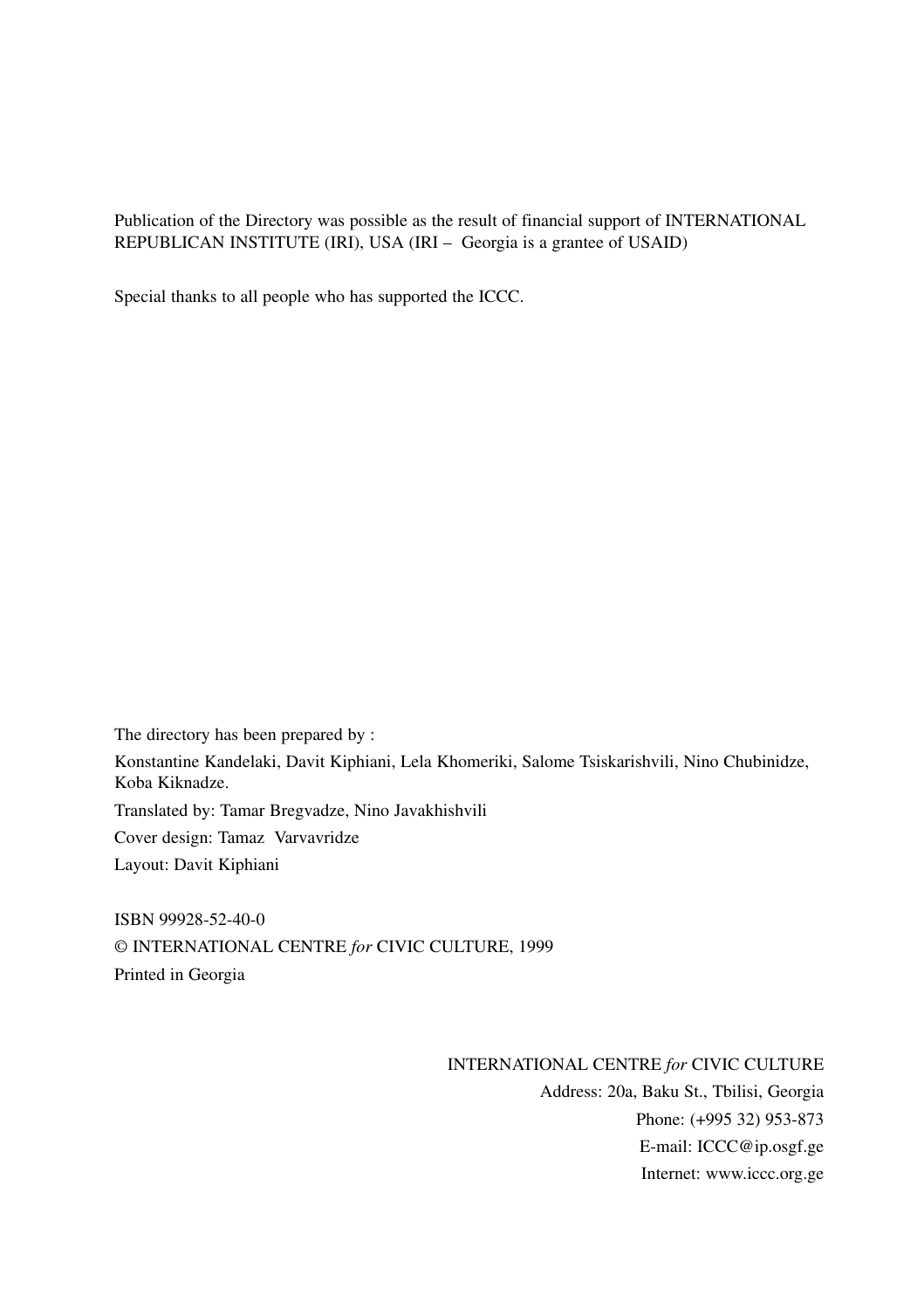Publication of the Directory was possible as the result of financial support of INTERNATIONAL REPUBLICAN INSTITUTE (IRI), USA (IRI – Georgia is a grantee of USAID)

Special thanks to all people who has supported the ICCC.

The directory has been prepared by :

Konstantine Kandelaki, Davit Kiphiani, Lela Khomeriki, Salome Tsiskarishvili, Nino Chubinidze, Koba Kiknadze.

Translated by: Tamar Bregvadze, Nino Javakhishvili

Cover design: Tamaz Varvavridze

Layout: Davit Kiphiani

ISBN 99928-52-40-0 © INTERNATIONAL CENTRE *for* CIVIC CULTURE, 1999 Printed in Georgia

> INTERNATIONAL CENTRE *for* CIVIC CULTURE Address: 20a, Baku St., Tbilisi, Georgia Phone: (+995 32) 953-873 E-mail: ICCC@ip.osgf.ge Internet: www.iccc.org.ge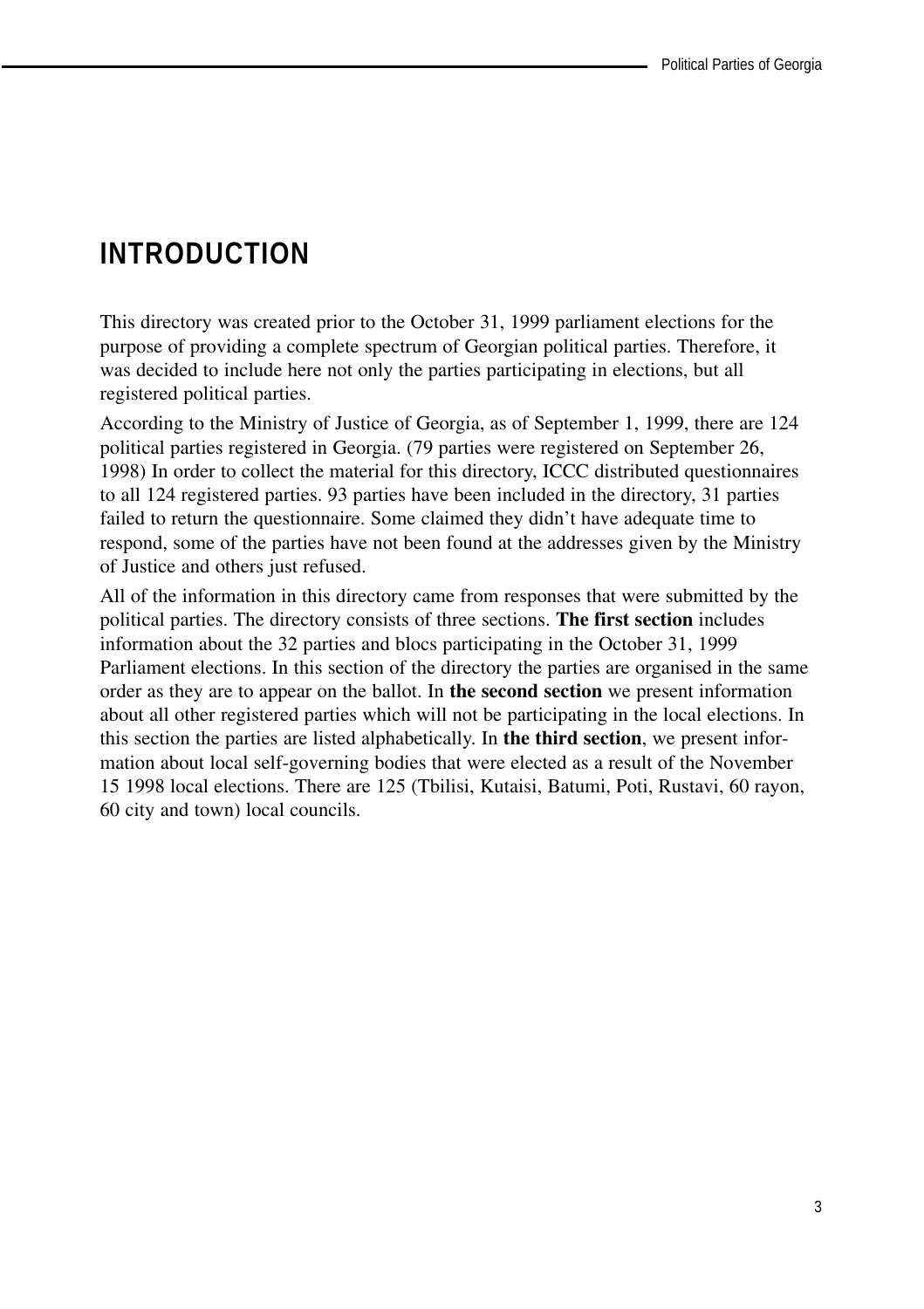# **INTRODUCTION**

This directory was created prior to the October 31, 1999 parliament elections for the purpose of providing a complete spectrum of Georgian political parties. Therefore, it was decided to include here not only the parties participating in elections, but all registered political parties.

According to the Ministry of Justice of Georgia, as of September 1, 1999, there are 124 political parties registered in Georgia. (79 parties were registered on September 26, 1998) In order to collect the material for this directory, ICCC distributed questionnaires to all 124 registered parties. 93 parties have been included in the directory, 31 parties failed to return the questionnaire. Some claimed they didn't have adequate time to respond, some of the parties have not been found at the addresses given by the Ministry of Justice and others just refused.

All of the information in this directory came from responses that were submitted by the political parties. The directory consists of three sections. **The first section** includes information about the 32 parties and blocs participating in the October 31, 1999 Parliament elections. In this section of the directory the parties are organised in the same order as they are to appear on the ballot. In **the second section** we present information about all other registered parties which will not be participating in the local elections. In this section the parties are listed alphabetically. In **the third section**, we present information about local self-governing bodies that were elected as a result of the November 15 1998 local elections. There are 125 (Tbilisi, Kutaisi, Batumi, Poti, Rustavi, 60 rayon, 60 city and town) local councils.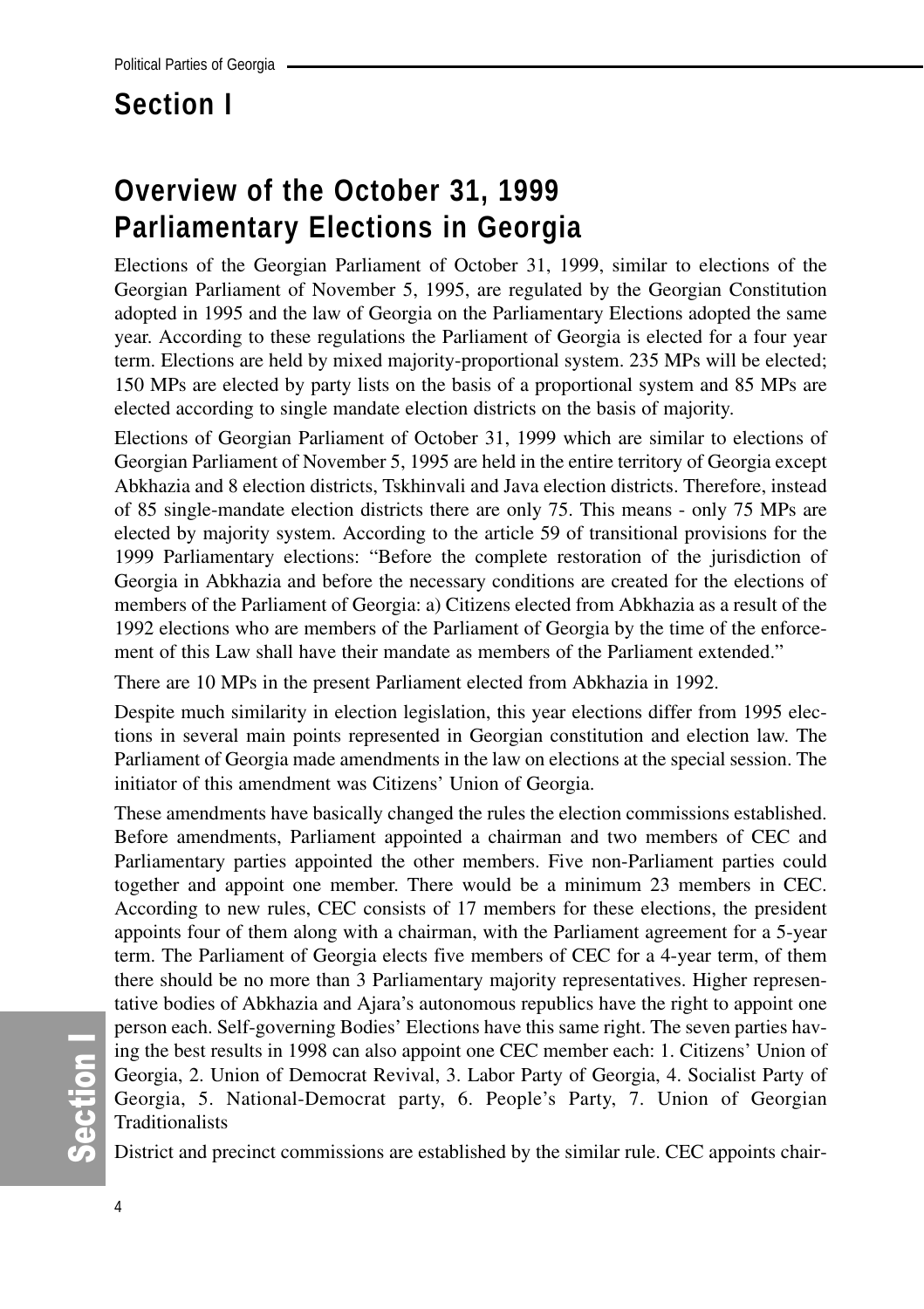# **Section I**

# **Overview of the October 31, 1999 Parliamentary Elections in Georgia**

Elections of the Georgian Parliament of October 31, 1999, similar to elections of the Georgian Parliament of November 5, 1995, are regulated by the Georgian Constitution adopted in 1995 and the law of Georgia on the Parliamentary Elections adopted the same year. According to these regulations the Parliament of Georgia is elected for a four year term. Elections are held by mixed majority-proportional system. 235 MPs will be elected; 150 MPs are elected by party lists on the basis of a proportional system and 85 MPs are elected according to single mandate election districts on the basis of majority.

Elections of Georgian Parliament of October 31, 1999 which are similar to elections of Georgian Parliament of November 5, 1995 are held in the entire territory of Georgia except Abkhazia and 8 election districts, Tskhinvali and Java election districts. Therefore, instead of 85 single-mandate election districts there are only 75. This means - only 75 MPs are elected by majority system. According to the article 59 of transitional provisions for the 1999 Parliamentary elections: "Before the complete restoration of the jurisdiction of Georgia in Abkhazia and before the necessary conditions are created for the elections of members of the Parliament of Georgia: a) Citizens elected from Abkhazia as a result of the 1992 elections who are members of the Parliament of Georgia by the time of the enforcement of this Law shall have their mandate as members of the Parliament extended."

There are 10 MPs in the present Parliament elected from Abkhazia in 1992.

Despite much similarity in election legislation, this year elections differ from 1995 elections in several main points represented in Georgian constitution and election law. The Parliament of Georgia made amendments in the law on elections at the special session. The initiator of this amendment was Citizens' Union of Georgia.

These amendments have basically changed the rules the election commissions established. Before amendments, Parliament appointed a chairman and two members of CEC and Parliamentary parties appointed the other members. Five non-Parliament parties could together and appoint one member. There would be a minimum 23 members in CEC. According to new rules, CEC consists of 17 members for these elections, the president appoints four of them along with a chairman, with the Parliament agreement for a 5-year term. The Parliament of Georgia elects five members of CEC for a 4-year term, of them there should be no more than 3 Parliamentary majority representatives. Higher representative bodies of Abkhazia and Ajara's autonomous republics have the right to appoint one person each. Self-governing Bodies' Elections have this same right. The seven parties having the best results in 1998 can also appoint one CEC member each: 1. Citizens' Union of Georgia, 2. Union of Democrat Revival, 3. Labor Party of Georgia, 4. Socialist Party of Georgia, 5. National-Democrat party, 6. People's Party, 7. Union of Georgian Traditionalists

District and precinct commissions are established by the similar rule. CEC appoints chair-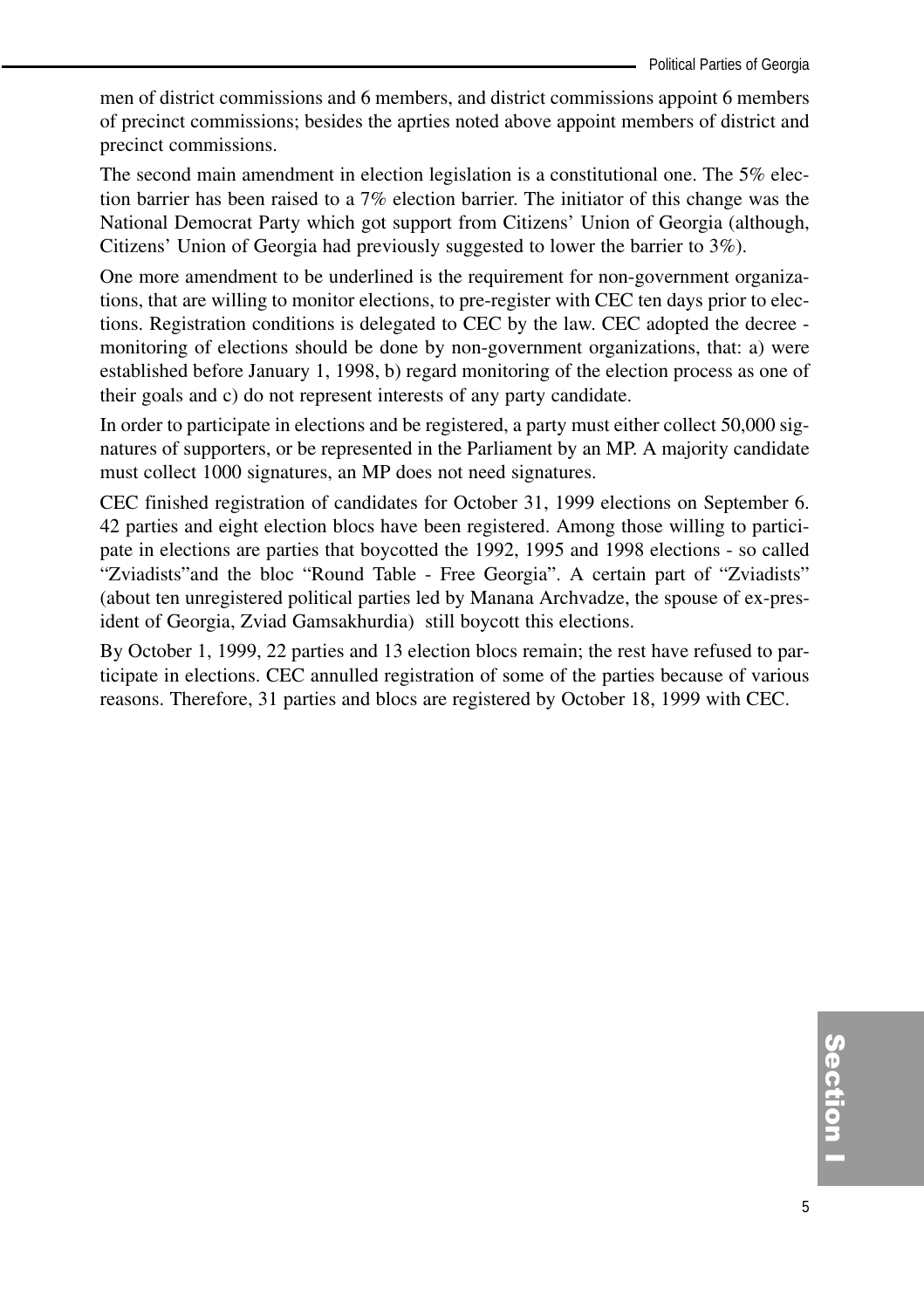men of district commissions and 6 members, and district commissions appoint 6 members of precinct commissions; besides the aprties noted above appoint members of district and precinct commissions.

The second main amendment in election legislation is a constitutional one. The 5% election barrier has been raised to a 7% election barrier. The initiator of this change was the National Democrat Party which got support from Citizens' Union of Georgia (although, Citizens' Union of Georgia had previously suggested to lower the barrier to 3%).

One more amendment to be underlined is the requirement for non-government organizations, that are willing to monitor elections, to pre-register with CEC ten days prior to elections. Registration conditions is delegated to CEC by the law. CEC adopted the decree monitoring of elections should be done by non-government organizations, that: a) were established before January 1, 1998, b) regard monitoring of the election process as one of their goals and c) do not represent interests of any party candidate.

In order to participate in elections and be registered, a party must either collect 50,000 signatures of supporters, or be represented in the Parliament by an MP. A majority candidate must collect 1000 signatures, an MP does not need signatures.

CEC finished registration of candidates for October 31, 1999 elections on September 6. 42 parties and eight election blocs have been registered. Among those willing to participate in elections are parties that boycotted the 1992, 1995 and 1998 elections - so called "Zviadists"and the bloc "Round Table - Free Georgia". A certain part of "Zviadists" (about ten unregistered political parties led by Manana Archvadze, the spouse of ex-president of Georgia, Zviad Gamsakhurdia) still boycott this elections.

By October 1, 1999, 22 parties and 13 election blocs remain; the rest have refused to participate in elections. CEC annulled registration of some of the parties because of various reasons. Therefore, 31 parties and blocs are registered by October 18, 1999 with CEC.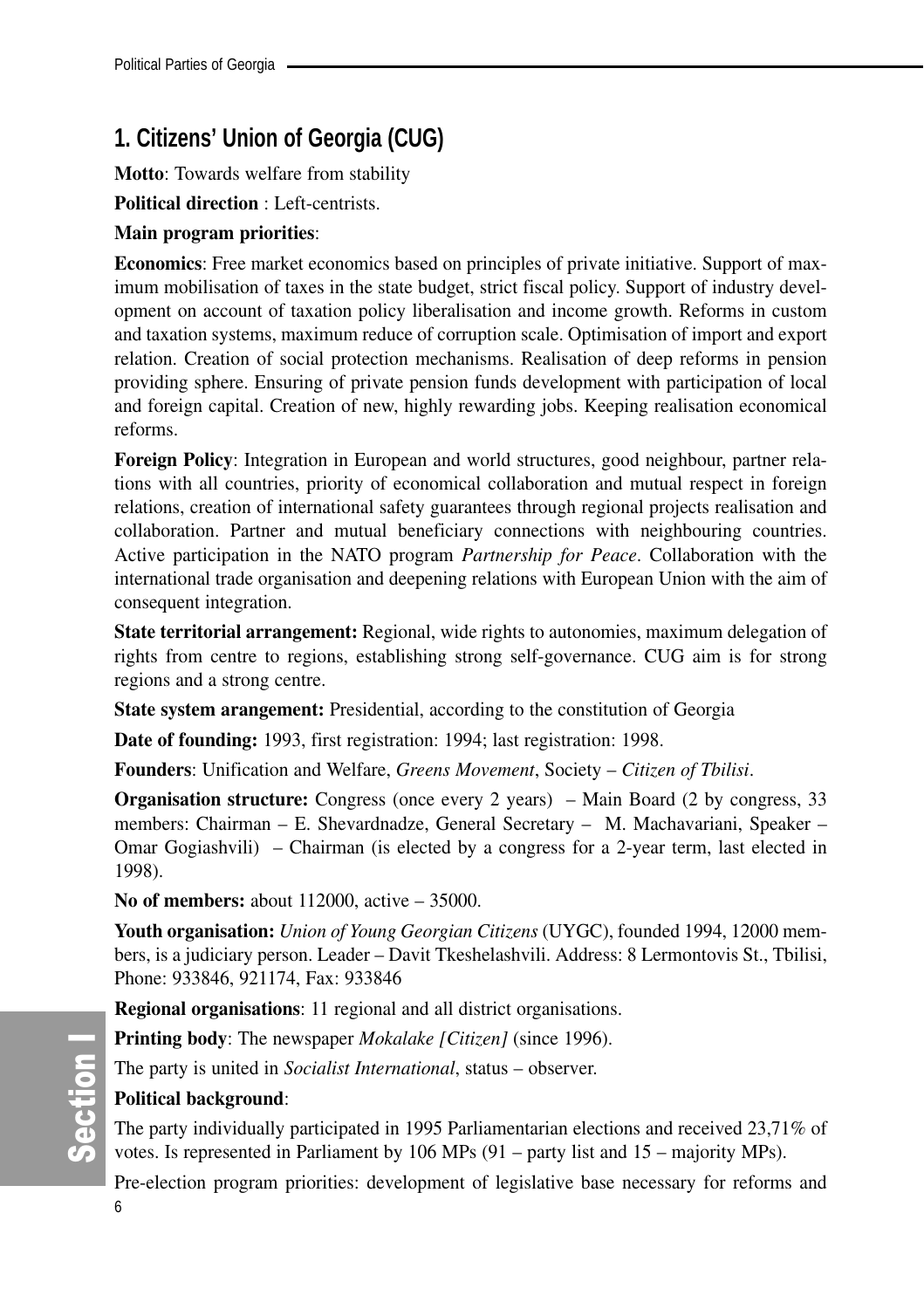# **1. Citizens' Union of Georgia (CUG)**

**Motto**: Towards welfare from stability

**Political direction** : Left-centrists.

### **Main program priorities**:

**Economics**: Free market economics based on principles of private initiative. Support of maximum mobilisation of taxes in the state budget, strict fiscal policy. Support of industry development on account of taxation policy liberalisation and income growth. Reforms in custom and taxation systems, maximum reduce of corruption scale. Optimisation of import and export relation. Creation of social protection mechanisms. Realisation of deep reforms in pension providing sphere. Ensuring of private pension funds development with participation of local and foreign capital. Creation of new, highly rewarding jobs. Keeping realisation economical reforms.

**Foreign Policy**: Integration in European and world structures, good neighbour, partner relations with all countries, priority of economical collaboration and mutual respect in foreign relations, creation of international safety guarantees through regional projects realisation and collaboration. Partner and mutual beneficiary connections with neighbouring countries. Active participation in the NATO program *Partnership for Peace*. Collaboration with the international trade organisation and deepening relations with European Union with the aim of consequent integration.

**State territorial arrangement:** Regional, wide rights to autonomies, maximum delegation of rights from centre to regions, establishing strong self-governance. CUG aim is for strong regions and a strong centre.

**State system arangement:** Presidential, according to the constitution of Georgia

**Date of founding:** 1993, first registration: 1994; last registration: 1998.

**Founders**: Unification and Welfare, *Greens Movement*, Society – *Citizen of Tbilisi*.

**Organisation structure:** Congress (once every 2 years) – Main Board (2 by congress, 33 members: Chairman – E. Shevardnadze, General Secretary – M. Machavariani, Speaker – Omar Gogiashvili) – Chairman (is elected by a congress for a 2-year term, last elected in 1998).

**No of members:** about 112000, active – 35000.

**Youth organisation:** *Union of Young Georgian Citizens* (UYGC), founded 1994, 12000 members, is a judiciary person. Leader – Davit Tkeshelashvili. Address: 8 Lermontovis St., Tbilisi, Phone: 933846, 921174, Fax: 933846

**Regional organisations**: 11 regional and all district organisations.

**Printing body**: The newspaper *Mokalake [Citizen]* (since 1996).

The party is united in *Socialist International*, status – observer.

## **Political background**:

The party individually participated in 1995 Parliamentarian elections and received 23,71% of votes. Is represented in Parliament by 106 MPs (91 – party list and 15 – majority MPs).

Pre-election program priorities: development of legislative base necessary for reforms and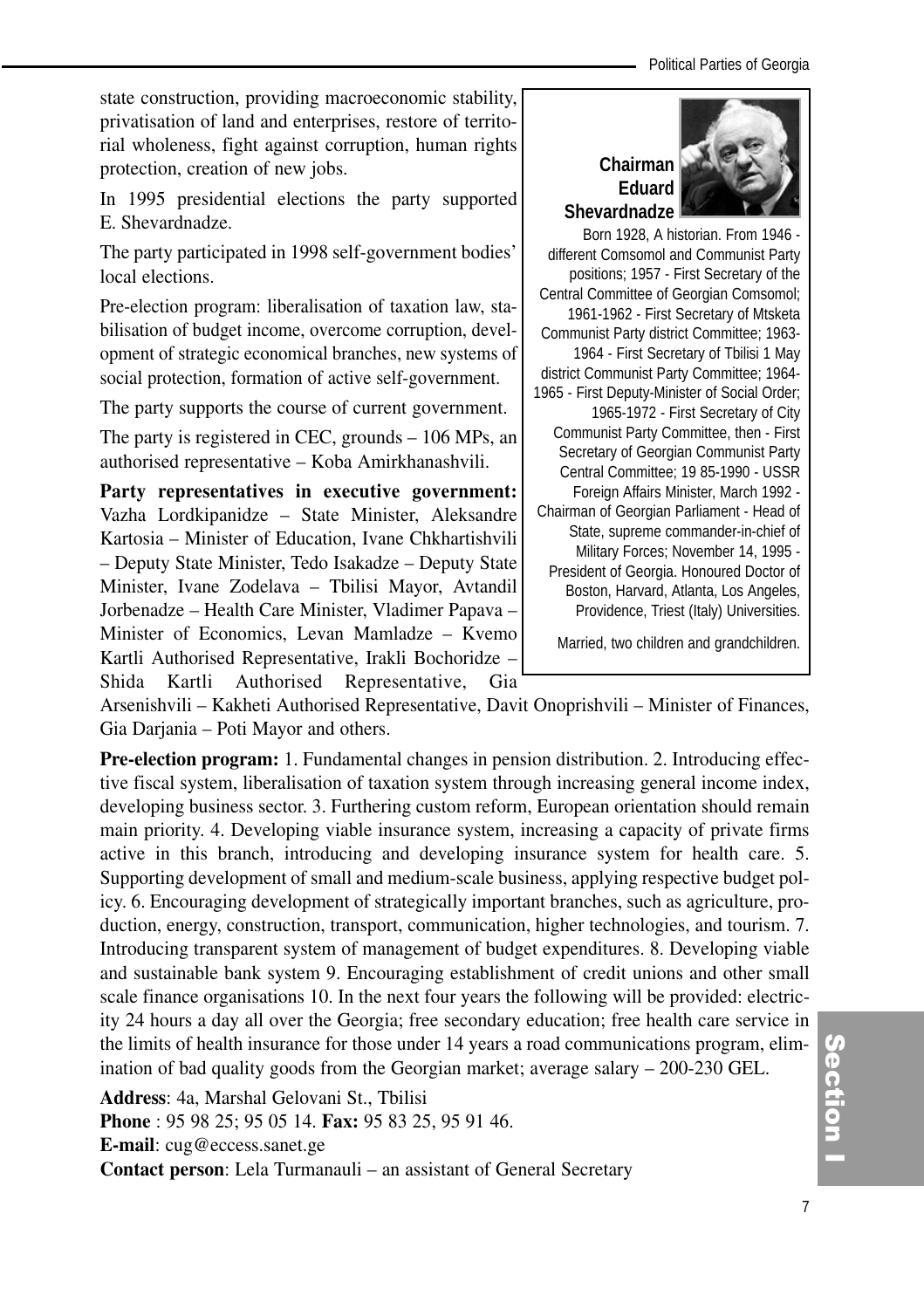state construction, providing macroeconomic stability, privatisation of land and enterprises, restore of territorial wholeness, fight against corruption, human rights protection, creation of new jobs.

In 1995 presidential elections the party supported E. Shevardnadze.

The party participated in 1998 self-government bodies' local elections.

Pre-election program: liberalisation of taxation law, stabilisation of budget income, overcome corruption, development of strategic economical branches, new systems of social protection, formation of active self-government.

The party supports the course of current government.

The party is registered in CEC, grounds – 106 MPs, an authorised representative – Koba Amirkhanashvili.

**Party representatives in executive government:** Vazha Lordkipanidze – State Minister, Aleksandre Kartosia – Minister of Education, Ivane Chkhartishvili – Deputy State Minister, Tedo Isakadze – Deputy State Minister, Ivane Zodelava – Tbilisi Mayor, Avtandil Jorbenadze – Health Care Minister, Vladimer Papava – Minister of Economics, Levan Mamladze – Kvemo Kartli Authorised Representative, Irakli Bochoridze – Shida Kartli Authorised Representative, Gia





Born 1928, A historian. From 1946 different Comsomol and Communist Party positions; 1957 - First Secretary of the Central Committee of Georgian Comsomol; 1961-1962 - First Secretary of Mtsketa Communist Party district Committee; 1963- 1964 - First Secretary of Tbilisi 1 May district Communist Party Committee; 1964- 1965 - First Deputy-Minister of Social Order; 1965-1972 - First Secretary of City Communist Party Committee, then - First Secretary of Georgian Communist Party Central Committee; 19 85-1990 - USSR Foreign Affairs Minister, March 1992 - Chairman of Georgian Parliament - Head of State, supreme commander-in-chief of Military Forces; November 14, 1995 - President of Georgia. Honoured Doctor of Boston, Harvard, Atlanta, Los Angeles, Providence, Triest (Italy) Universities.

Married, two children and grandchildren.

Arsenishvili – Kakheti Authorised Representative, Davit Onoprishvili – Minister of Finances, Gia Darjania – Poti Mayor and others.

**Pre-election program:** 1. Fundamental changes in pension distribution. 2. Introducing effective fiscal system, liberalisation of taxation system through increasing general income index, developing business sector. 3. Furthering custom reform, European orientation should remain main priority. 4. Developing viable insurance system, increasing a capacity of private firms active in this branch, introducing and developing insurance system for health care. 5. Supporting development of small and medium-scale business, applying respective budget policy. 6. Encouraging development of strategically important branches, such as agriculture, production, energy, construction, transport, communication, higher technologies, and tourism. 7. Introducing transparent system of management of budget expenditures. 8. Developing viable and sustainable bank system 9. Encouraging establishment of credit unions and other small scale finance organisations 10. In the next four years the following will be provided: electricity 24 hours a day all over the Georgia; free secondary education; free health care service in the limits of health insurance for those under 14 years a road communications program, elimination of bad quality goods from the Georgian market; average salary – 200-230 GEL.

**Address**: 4a, Marshal Gelovani St., Tbilisi

**Phone** : 95 98 25; 95 05 14. **Fax:** 95 83 25, 95 91 46.

**E-mail**: cug@eccess.sanet.ge

**Contact person**: Lela Turmanauli – an assistant of General Secretary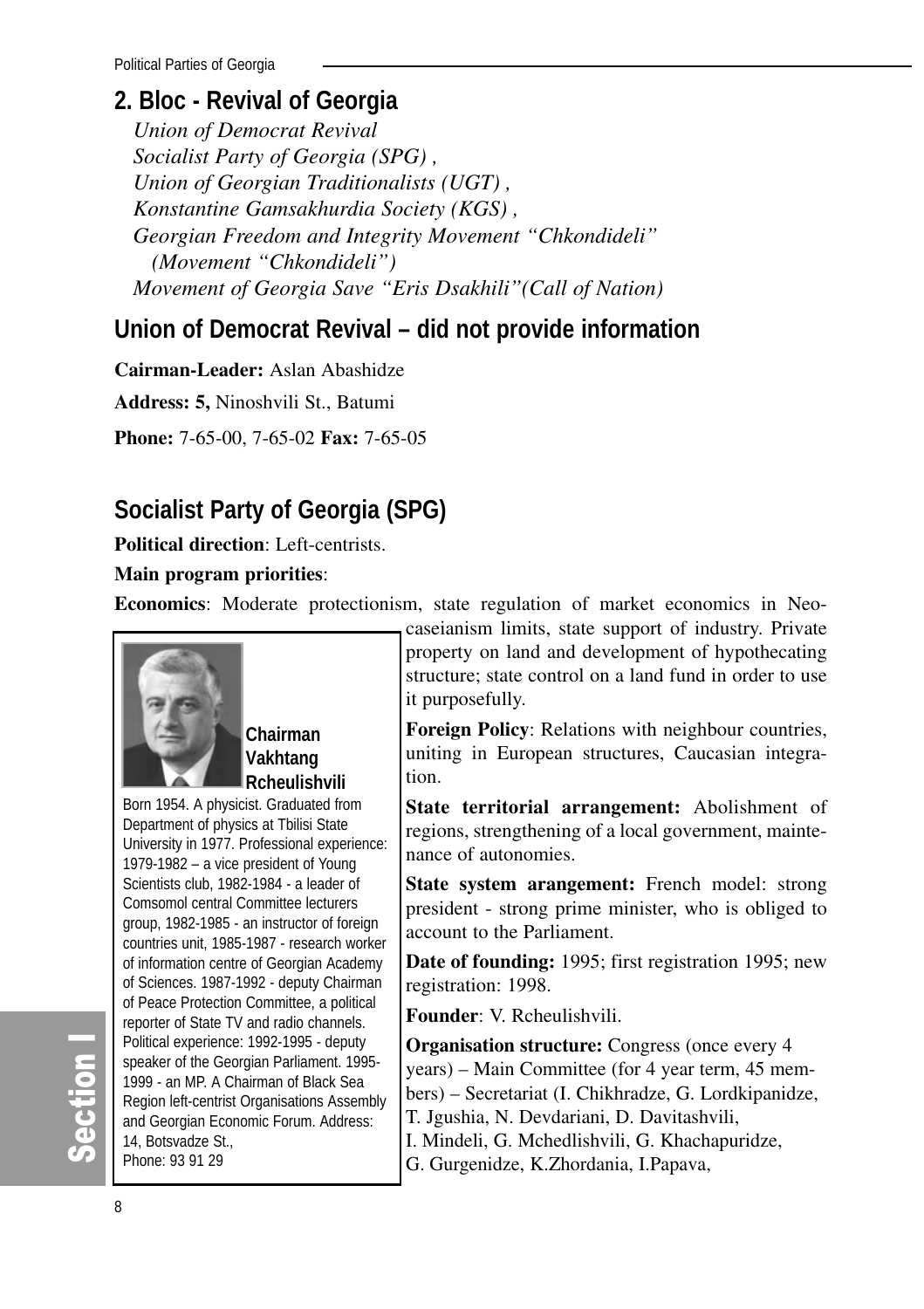# **2. Bloc - Revival of Georgia**

*Union of Democrat Revival Socialist Party of Georgia (SPG) , Union of Georgian Traditionalists (UGT) , Konstantine Gamsakhurdia Society (KGS) , Georgian Freedom and Integrity Movement "Chkondideli" (Movement "Chkondideli") Movement of Georgia Save "Eris Dsakhili"(Call of Nation)* 

# **Union of Democrat Revival – did not provide information**

**Cairman-Leader:** Aslan Abashidze

**Address: 5,** Ninoshvili St., Batumi

**Phone:** 7-65-00, 7-65-02 **Fax:** 7-65-05

# **Socialist Party of Georgia (SPG)**

**Political direction**: Left-centrists.

### **Main program priorities**:

**Economics**: Moderate protectionism, state regulation of market economics in Neo-



## **Chairman Vakhtang Rcheulishvili**

Born 1954. A physicist. Graduated from Department of physics at Tbilisi State University in 1977. Professional experience: 1979-1982 – a vice president of Young Scientists club, 1982-1984 - a leader of Comsomol central Committee lecturers group, 1982-1985 - an instructor of foreign countries unit, 1985-1987 - research worker of information centre of Georgian Academy of Sciences. 1987-1992 - deputy Chairman of Peace Protection Committee, a political reporter of State TV and radio channels. Political experience: 1992-1995 - deputy speaker of the Georgian Parliament. 1995- 1999 - an MP. A Chairman of Black Sea Region left-centrist Organisations Assembly and Georgian Economic Forum. Address: 14, Botsvadze St., Phone: 93 91 29

caseianism limits, state support of industry. Private property on land and development of hypothecating structure; state control on a land fund in order to use it purposefully.

**Foreign Policy**: Relations with neighbour countries, uniting in European structures, Caucasian integration.

**State territorial arrangement:** Abolishment of regions, strengthening of a local government, maintenance of autonomies.

**State system arangement:** French model: strong president - strong prime minister, who is obliged to account to the Parliament.

**Date of founding:** 1995; first registration 1995; new registration: 1998.

**Founder**: V. Rcheulishvili.

**Organisation structure:** Congress (once every 4 years) – Main Committee (for 4 year term, 45 members) – Secretariat (I. Chikhradze, G. Lordkipanidze, T. Jgushia, N. Devdariani, D. Davitashvili, I. Mindeli, G. Mchedlishvili, G. Khachapuridze, G. Gurgenidze, K.Zhordania, I.Papava,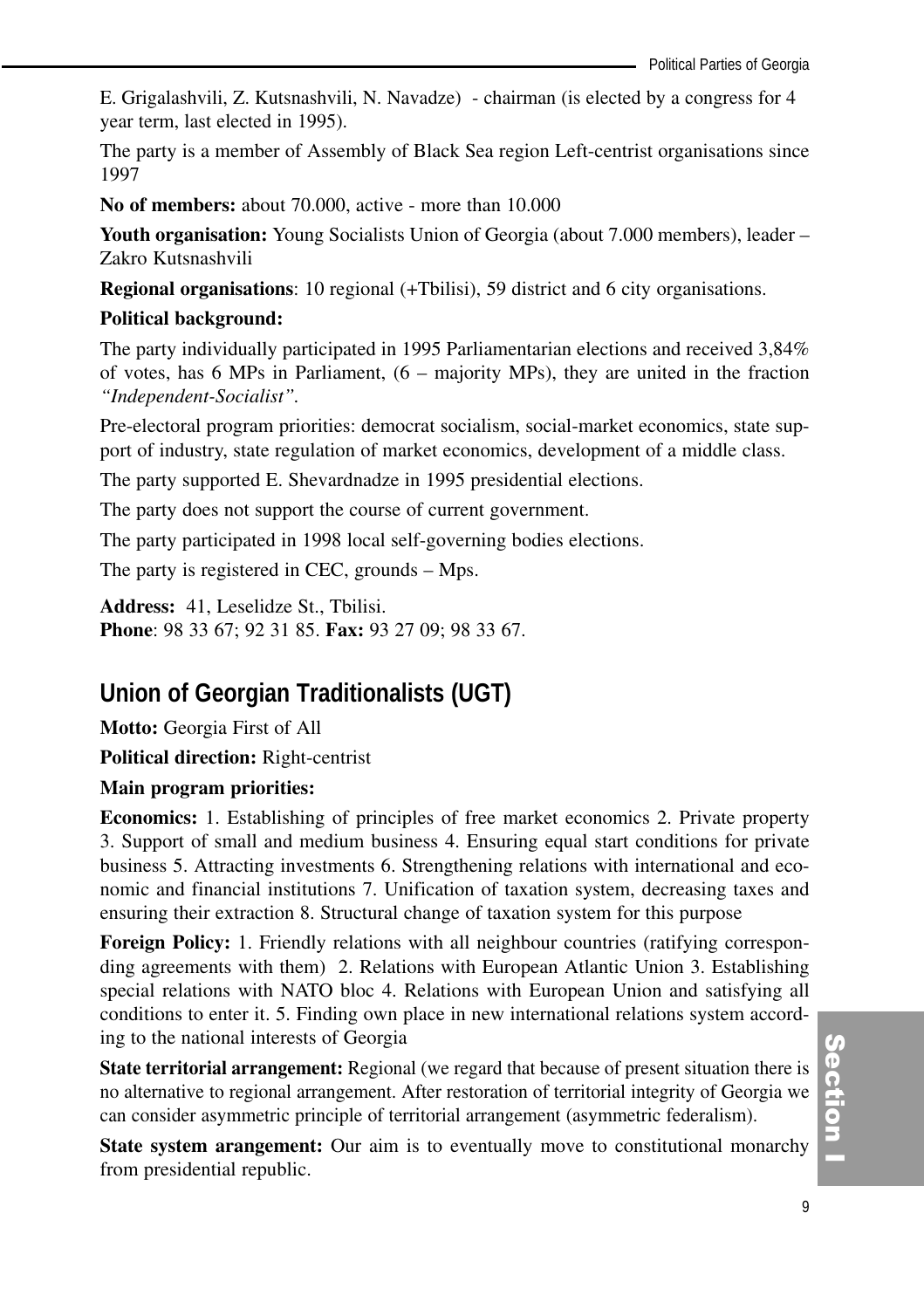E. Grigalashvili, Z. Kutsnashvili, N. Navadze) - chairman (is elected by a congress for 4 year term, last elected in 1995).

The party is a member of Assembly of Black Sea region Left-centrist organisations since 1997

**No of members:** about 70.000, active - more than 10.000

**Youth organisation:** Young Socialists Union of Georgia (about 7.000 members), leader – Zakro Kutsnashvili

**Regional organisations**: 10 regional (+Tbilisi), 59 district and 6 city organisations.

#### **Political background:**

The party individually participated in 1995 Parliamentarian elections and received 3,84% of votes, has 6 MPs in Parliament, (6 – majority MPs), they are united in the fraction *"Independent-Socialist".*

Pre-electoral program priorities: democrat socialism, social-market economics, state support of industry, state regulation of market economics, development of a middle class.

The party supported E. Shevardnadze in 1995 presidential elections.

The party does not support the course of current government.

The party participated in 1998 local self-governing bodies elections.

The party is registered in CEC, grounds – Mps.

**Address:** 41, Leselidze St., Tbilisi. **Phone**: 98 33 67; 92 31 85. **Fax:** 93 27 09; 98 33 67.

# **Union of Georgian Traditionalists (UGT)**

**Motto:** Georgia First of All

**Political direction:** Right-centrist

#### **Main program priorities:**

**Economics:** 1. Establishing of principles of free market economics 2. Private property 3. Support of small and medium business 4. Ensuring equal start conditions for private business 5. Attracting investments 6. Strengthening relations with international and economic and financial institutions 7. Unification of taxation system, decreasing taxes and ensuring their extraction 8. Structural change of taxation system for this purpose

**Foreign Policy:** 1. Friendly relations with all neighbour countries (ratifying corresponding agreements with them) 2. Relations with European Atlantic Union 3. Establishing special relations with NATO bloc 4. Relations with European Union and satisfying all conditions to enter it. 5. Finding own place in new international relations system according to the national interests of Georgia

**State territorial arrangement:** Regional (we regard that because of present situation there is no alternative to regional arrangement. After restoration of territorial integrity of Georgia we can consider asymmetric principle of territorial arrangement (asymmetric federalism).

**State system arangement:** Our aim is to eventually move to constitutional monarchy from presidential republic.

(၈<br>စ ction<br>I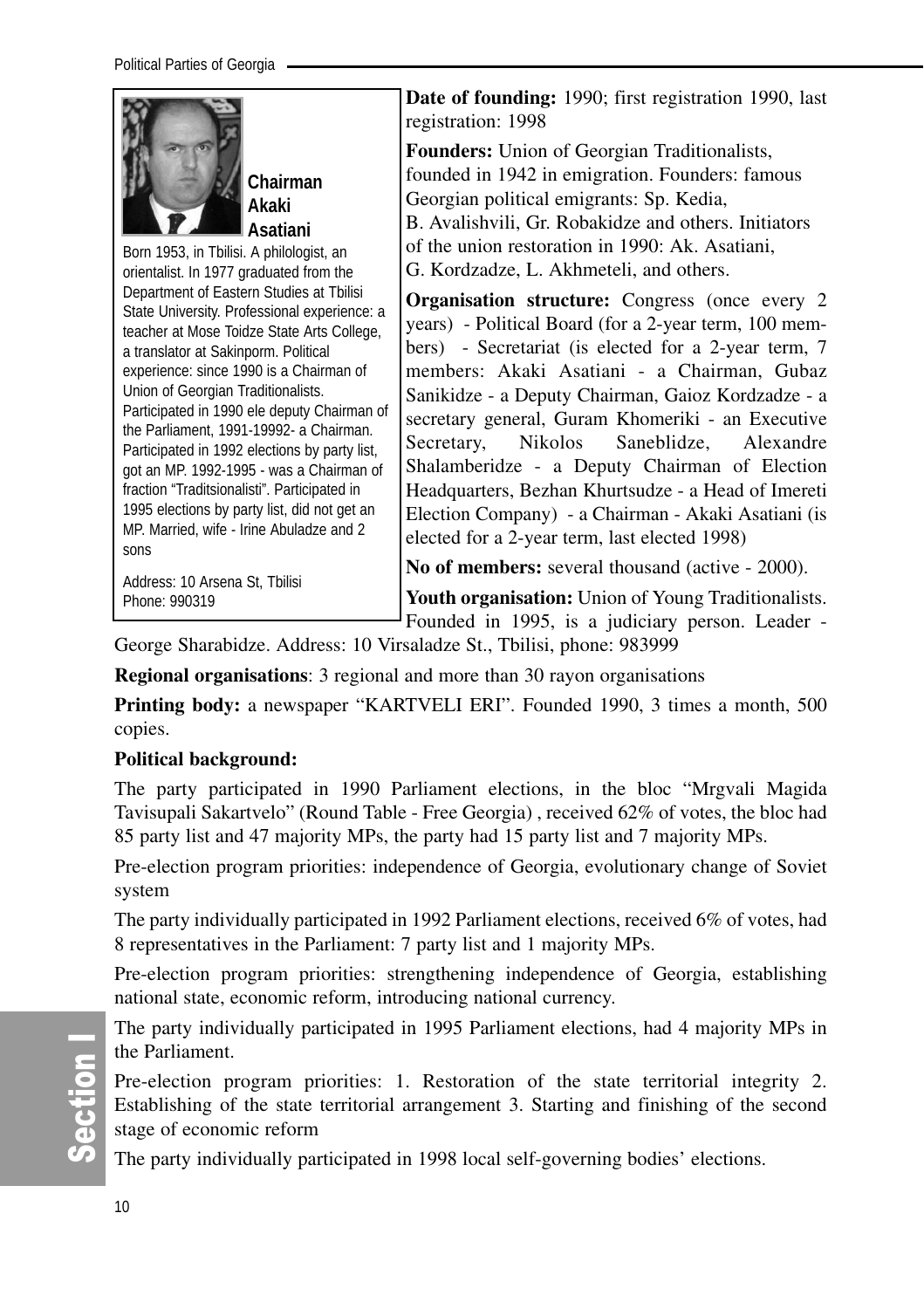

**Chairman Akaki Asatiani** 

Born 1953, in Tbilisi. A philologist, an orientalist. In 1977 graduated from the Department of Eastern Studies at Tbilisi State University. Professional experience: a teacher at Mose Toidze State Arts College, a translator at Sakinporm. Political experience: since 1990 is a Chairman of Union of Georgian Traditionalists. Participated in 1990 ele deputy Chairman of the Parliament, 1991-19992- a Chairman. Participated in 1992 elections by party list, got an MP. 1992-1995 - was a Chairman of fraction "Traditsionalisti". Participated in 1995 elections by party list, did not get an MP. Married, wife - Irine Abuladze and 2 sons

Address: 10 Arsena St, Tbilisi Phone: 990319

**Date of founding:** 1990; first registration 1990, last registration: 1998

**Founders:** Union of Georgian Traditionalists, founded in 1942 in emigration. Founders: famous Georgian political emigrants: Sp. Kedia, B. Avalishvili, Gr. Robakidze and others. Initiators of the union restoration in 1990: Ak. Asatiani, G. Kordzadze, L. Akhmeteli, and others.

**Organisation structure:** Congress (once every 2) years) - Political Board (for a 2-year term, 100 members) - Secretariat (is elected for a 2-year term, 7 members: Akaki Asatiani - a Chairman, Gubaz Sanikidze - a Deputy Chairman, Gaioz Kordzadze - a secretary general, Guram Khomeriki - an Executive Secretary, Nikolos Saneblidze, Alexandre Shalamberidze - a Deputy Chairman of Election Headquarters, Bezhan Khurtsudze - a Head of Imereti Election Company) - a Chairman - Akaki Asatiani (is elected for a 2-year term, last elected 1998)

**No of members:** several thousand (active - 2000).

**Youth organisation:** Union of Young Traditionalists.

Founded in 1995, is a judiciary person. Leader - George Sharabidze. Address: 10 Virsaladze St., Tbilisi, phone: 983999

**Regional organisations**: 3 regional and more than 30 rayon organisations

**Printing body:** a newspaper "KARTVELI ERI". Founded 1990, 3 times a month, 500 copies.

### **Political background:**

The party participated in 1990 Parliament elections, in the bloc "Mrgvali Magida Tavisupali Sakartvelo" (Round Table - Free Georgia) , received 62% of votes, the bloc had 85 party list and 47 majority MPs, the party had 15 party list and 7 majority MPs.

Pre-election program priorities: independence of Georgia, evolutionary change of Soviet system

The party individually participated in 1992 Parliament elections, received 6% of votes, had 8 representatives in the Parliament: 7 party list and 1 majority MPs.

Pre-election program priorities: strengthening independence of Georgia, establishing national state, economic reform, introducing national currency.

The party individually participated in 1995 Parliament elections, had 4 majority MPs in the Parliament.

Pre-election program priorities: 1. Restoration of the state territorial integrity 2. Establishing of the state territorial arrangement 3. Starting and finishing of the second stage of economic reform

The party individually participated in 1998 local self-governing bodies' elections.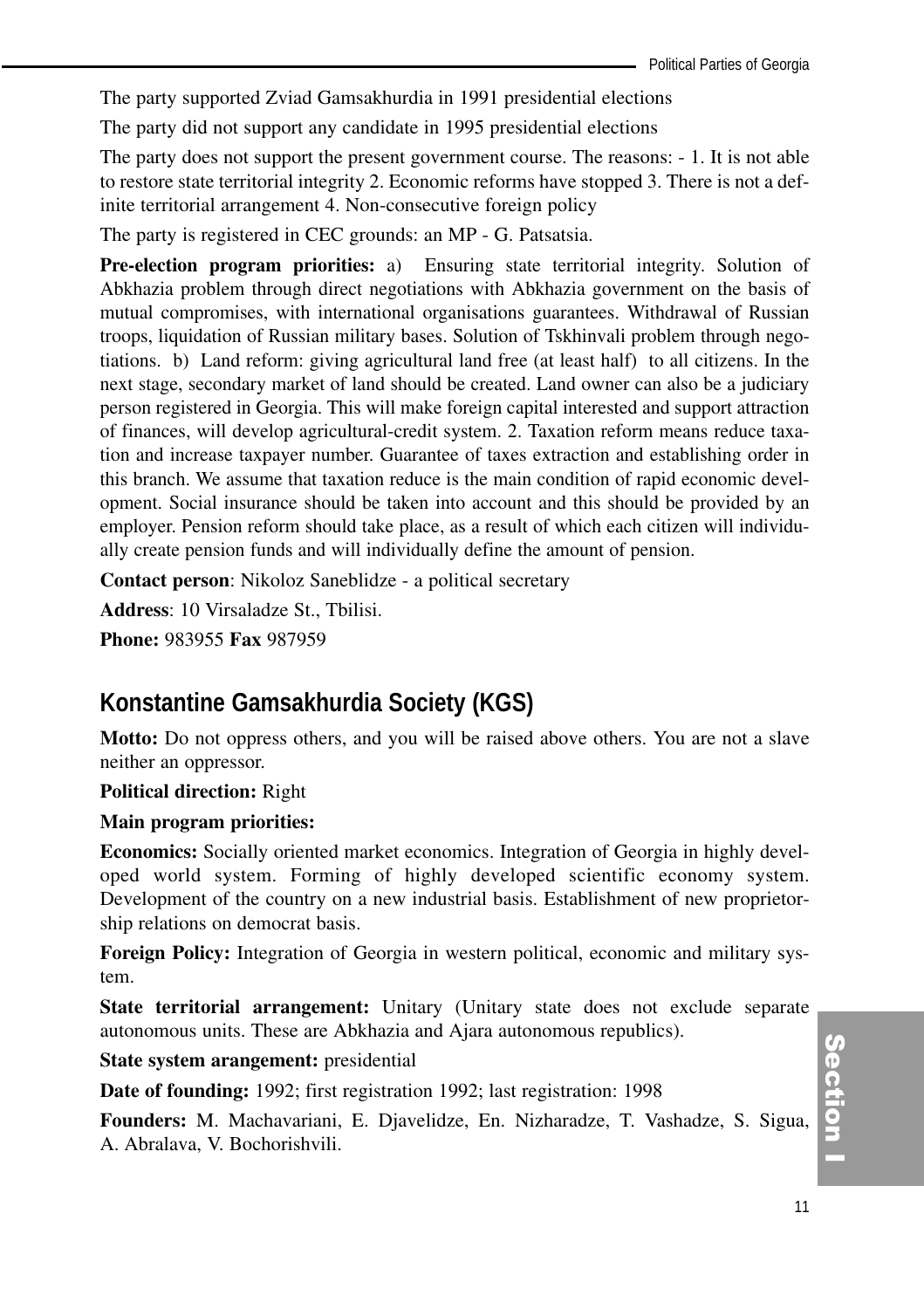The party supported Zviad Gamsakhurdia in 1991 presidential elections

The party did not support any candidate in 1995 presidential elections

The party does not support the present government course. The reasons: - 1. It is not able to restore state territorial integrity 2. Economic reforms have stopped 3. There is not a definite territorial arrangement 4. Non-consecutive foreign policy

The party is registered in CEC grounds: an MP - G. Patsatsia.

**Pre-election program priorities:** a) Ensuring state territorial integrity. Solution of Abkhazia problem through direct negotiations with Abkhazia government on the basis of mutual compromises, with international organisations guarantees. Withdrawal of Russian troops, liquidation of Russian military bases. Solution of Tskhinvali problem through negotiations. b) Land reform: giving agricultural land free (at least half) to all citizens. In the next stage, secondary market of land should be created. Land owner can also be a judiciary person registered in Georgia. This will make foreign capital interested and support attraction of finances, will develop agricultural-credit system. 2. Taxation reform means reduce taxation and increase taxpayer number. Guarantee of taxes extraction and establishing order in this branch. We assume that taxation reduce is the main condition of rapid economic development. Social insurance should be taken into account and this should be provided by an employer. Pension reform should take place, as a result of which each citizen will individually create pension funds and will individually define the amount of pension.

**Contact person**: Nikoloz Saneblidze - a political secretary

**Address**: 10 Virsaladze St., Tbilisi.

**Phone:** 983955 **Fax** 987959

# **Konstantine Gamsakhurdia Society (KGS)**

**Motto:** Do not oppress others, and you will be raised above others. You are not a slave neither an oppressor.

#### **Political direction:** Right

#### **Main program priorities:**

**Economics:** Socially oriented market economics. Integration of Georgia in highly developed world system. Forming of highly developed scientific economy system. Development of the country on a new industrial basis. Establishment of new proprietorship relations on democrat basis.

**Foreign Policy:** Integration of Georgia in western political, economic and military system.

**State territorial arrangement:** Unitary (Unitary state does not exclude separate autonomous units. These are Abkhazia and Ajara autonomous republics).

**State system arangement:** presidential

**Date of founding:** 1992; first registration 1992; last registration: 1998

**Founders:** M. Machavariani, E. Djavelidze, En. Nizharadze, T. Vashadze, S. Sigua, A. Abralava, V. Bochorishvili.

# (၈<br>စ ction<br>I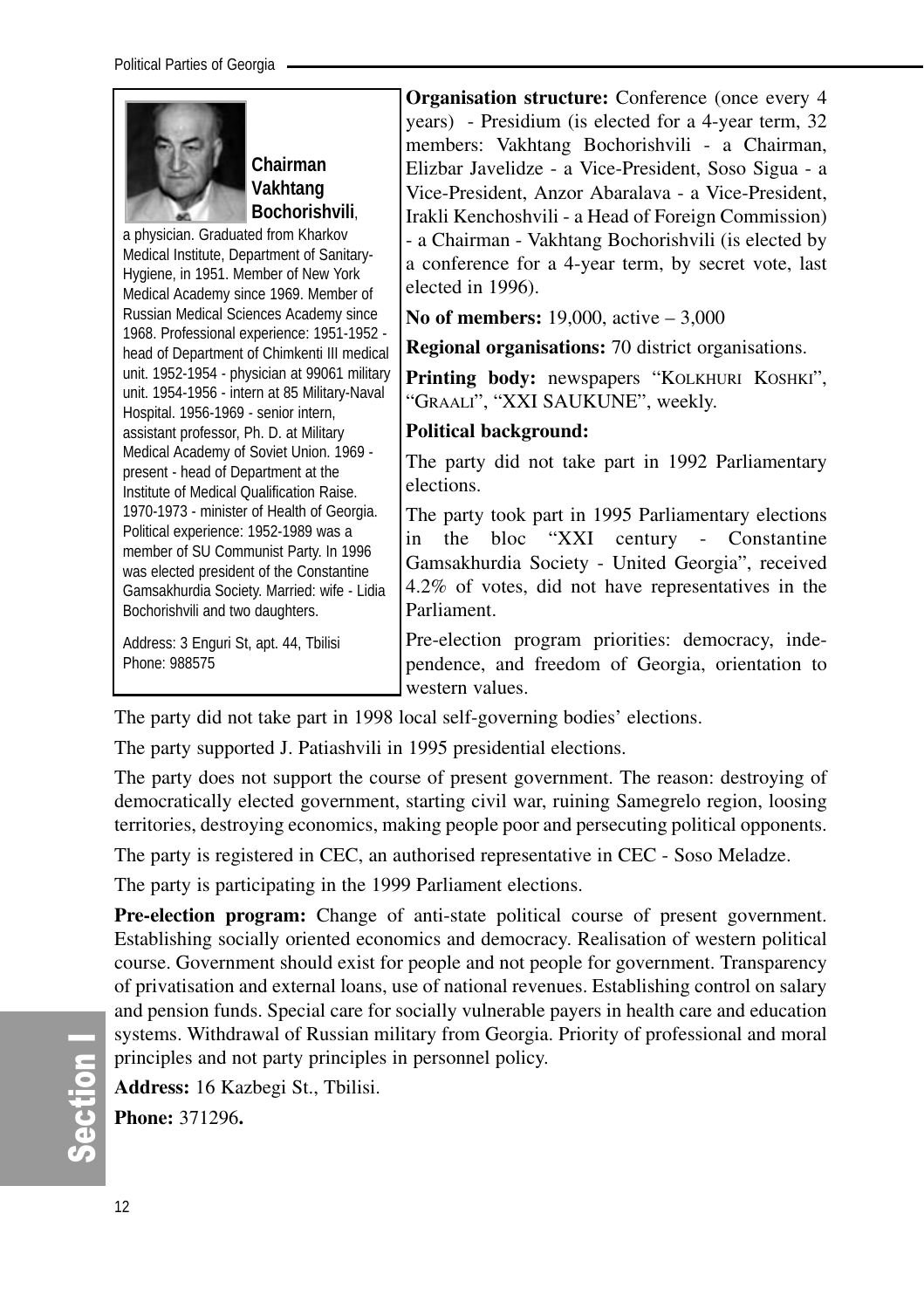

**Chairman Vakhtang Bochorishvili**,

a physician. Graduated from Kharkov Medical Institute, Department of Sanitary-Hygiene, in 1951. Member of New York Medical Academy since 1969. Member of Russian Medical Sciences Academy since 1968. Professional experience: 1951-1952 head of Department of Chimkenti III medical unit. 1952-1954 - physician at 99061 military unit. 1954-1956 - intern at 85 Military-Naval Hospital. 1956-1969 - senior intern, assistant professor, Ph. D. at Military Medical Academy of Soviet Union. 1969 present - head of Department at the Institute of Medical Qualification Raise. 1970-1973 - minister of Health of Georgia. Political experience: 1952-1989 was a member of SU Communist Party. In 1996 was elected president of the Constantine Gamsakhurdia Society. Married: wife - Lidia Bochorishvili and two daughters.

Address: 3 Enguri St, apt. 44, Tbilisi Phone: 988575

**Organisation structure:** Conference (once every 4 years) - Presidium (is elected for a 4-year term, 32 members: Vakhtang Bochorishvili - a Chairman, Elizbar Javelidze - a Vice-President, Soso Sigua - a Vice-President, Anzor Abaralava - a Vice-President, Irakli Kenchoshvili - a Head of Foreign Commission) - a Chairman - Vakhtang Bochorishvili (is elected by a conference for a 4-year term, by secret vote, last elected in 1996).

**No of members:** 19,000, active – 3,000

**Regional organisations:** 70 district organisations.

Printing body: newspapers "KOLKHURI KOSHKI", "GRAALI", "XXI SAUKUNE", weekly.

#### **Political background:**

The party did not take part in 1992 Parliamentary elections.

The party took part in 1995 Parliamentary elections in the bloc "XXI century - Constantine Gamsakhurdia Society - United Georgia", received 4.2% of votes, did not have representatives in the Parliament.

Pre-election program priorities: democracy, independence, and freedom of Georgia, orientation to western values.

The party did not take part in 1998 local self-governing bodies' elections.

The party supported J. Patiashvili in 1995 presidential elections.

The party does not support the course of present government. The reason: destroying of democratically elected government, starting civil war, ruining Samegrelo region, loosing territories, destroying economics, making people poor and persecuting political opponents.

The party is registered in CEC, an authorised representative in CEC - Soso Meladze.

The party is participating in the 1999 Parliament elections.

**Pre-election program:** Change of anti-state political course of present government. Establishing socially oriented economics and democracy. Realisation of western political course. Government should exist for people and not people for government. Transparency of privatisation and external loans, use of national revenues. Establishing control on salary and pension funds. Special care for socially vulnerable payers in health care and education systems. Withdrawal of Russian military from Georgia. Priority of professional and moral principles and not party principles in personnel policy.

**Address:** 16 Kazbegi St., Tbilisi.

**Phone:** 371296**.**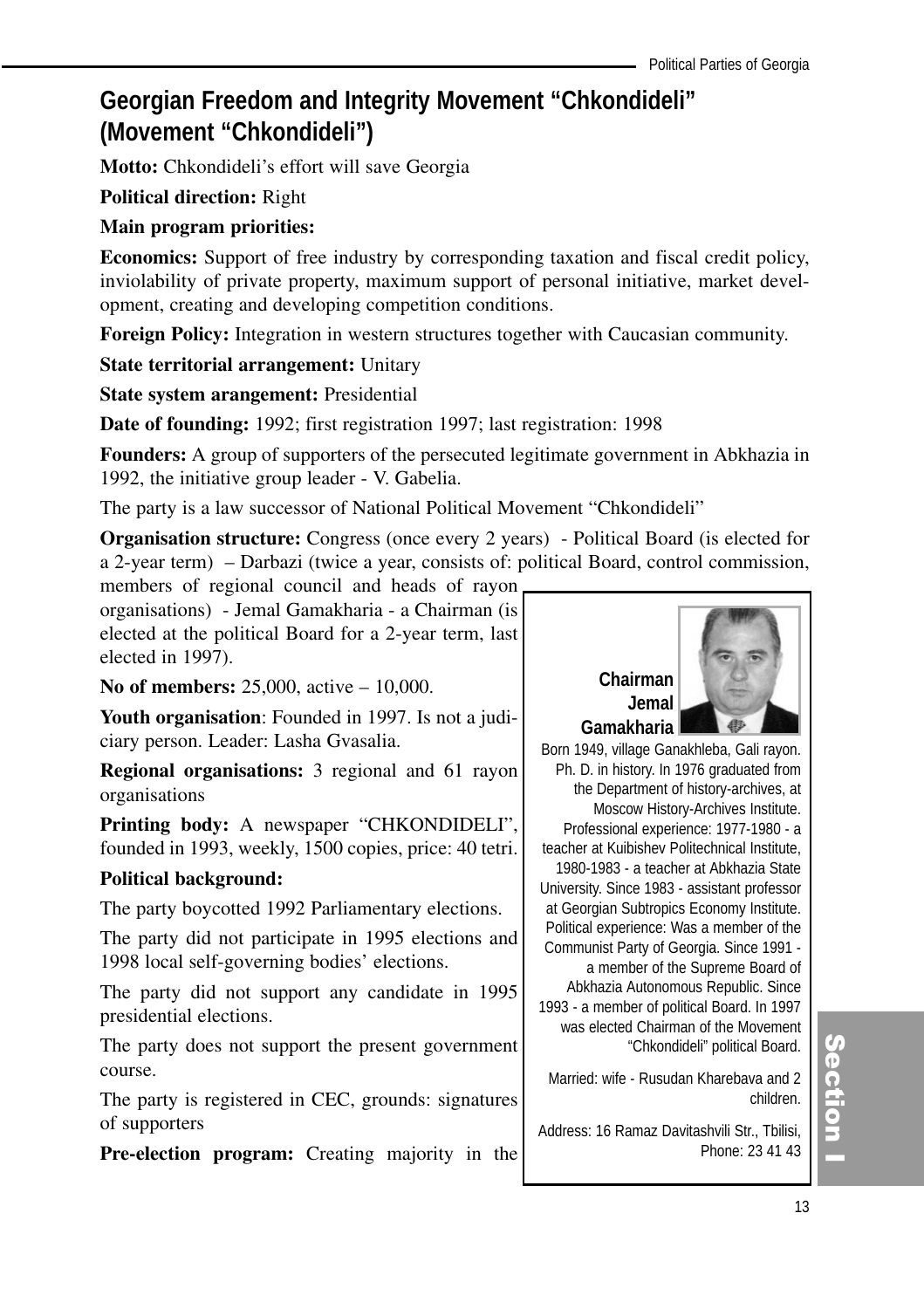# **Georgian Freedom and Integrity Movement "Chkondideli" (Movement "Chkondideli")**

**Motto:** Chkondideli's effort will save Georgia

**Political direction:** Right

#### **Main program priorities:**

**Economics:** Support of free industry by corresponding taxation and fiscal credit policy, inviolability of private property, maximum support of personal initiative, market development, creating and developing competition conditions.

**Foreign Policy:** Integration in western structures together with Caucasian community.

**State territorial arrangement:** Unitary

**State system arangement:** Presidential

**Date of founding:** 1992; first registration 1997; last registration: 1998

**Founders:** A group of supporters of the persecuted legitimate government in Abkhazia in 1992, the initiative group leader - V. Gabelia.

The party is a law successor of National Political Movement "Chkondideli"

**Organisation structure:** Congress (once every 2 years) - Political Board (is elected for a 2-year term) – Darbazi (twice a year, consists of: political Board, control commission,

members of regional council and heads of rayon organisations) - Jemal Gamakharia - a Chairman (is elected at the political Board for a 2-year term, last elected in 1997).

**No of members:** 25,000, active – 10,000.

**Youth organisation**: Founded in 1997. Is not a judiciary person. Leader: Lasha Gvasalia.

**Regional organisations:** 3 regional and 61 rayon organisations

**Printing body:** A newspaper "CHKONDIDELI", founded in 1993, weekly, 1500 copies, price: 40 tetri.

### **Political background:**

The party boycotted 1992 Parliamentary elections.

The party did not participate in 1995 elections and 1998 local self-governing bodies' elections.

The party did not support any candidate in 1995 presidential elections.

The party does not support the present government course.

The party is registered in CEC, grounds: signatures of supporters

**Pre-election program:** Creating majority in the

# **Chairman Jemal Gamakharia**



Born 1949, village Ganakhleba, Gali rayon. Ph. D. in history. In 1976 graduated from the Department of history-archives, at Moscow History-Archives Institute. Professional experience: 1977-1980 - a teacher at Kuibishev Politechnical Institute, 1980-1983 - a teacher at Abkhazia State University. Since 1983 - assistant professor at Georgian Subtropics Economy Institute. Political experience: Was a member of the Communist Party of Georgia. Since 1991 a member of the Supreme Board of Abkhazia Autonomous Republic. Since 1993 - a member of political Board. In 1997 was elected Chairman of the Movement "Chkondideli" political Board.

Married: wife - Rusudan Kharebava and 2 children.

Address: 16 Ramaz Davitashvili Str., Tbilisi, Phone: 23 41 43

# (၈<br>စ ction<br>I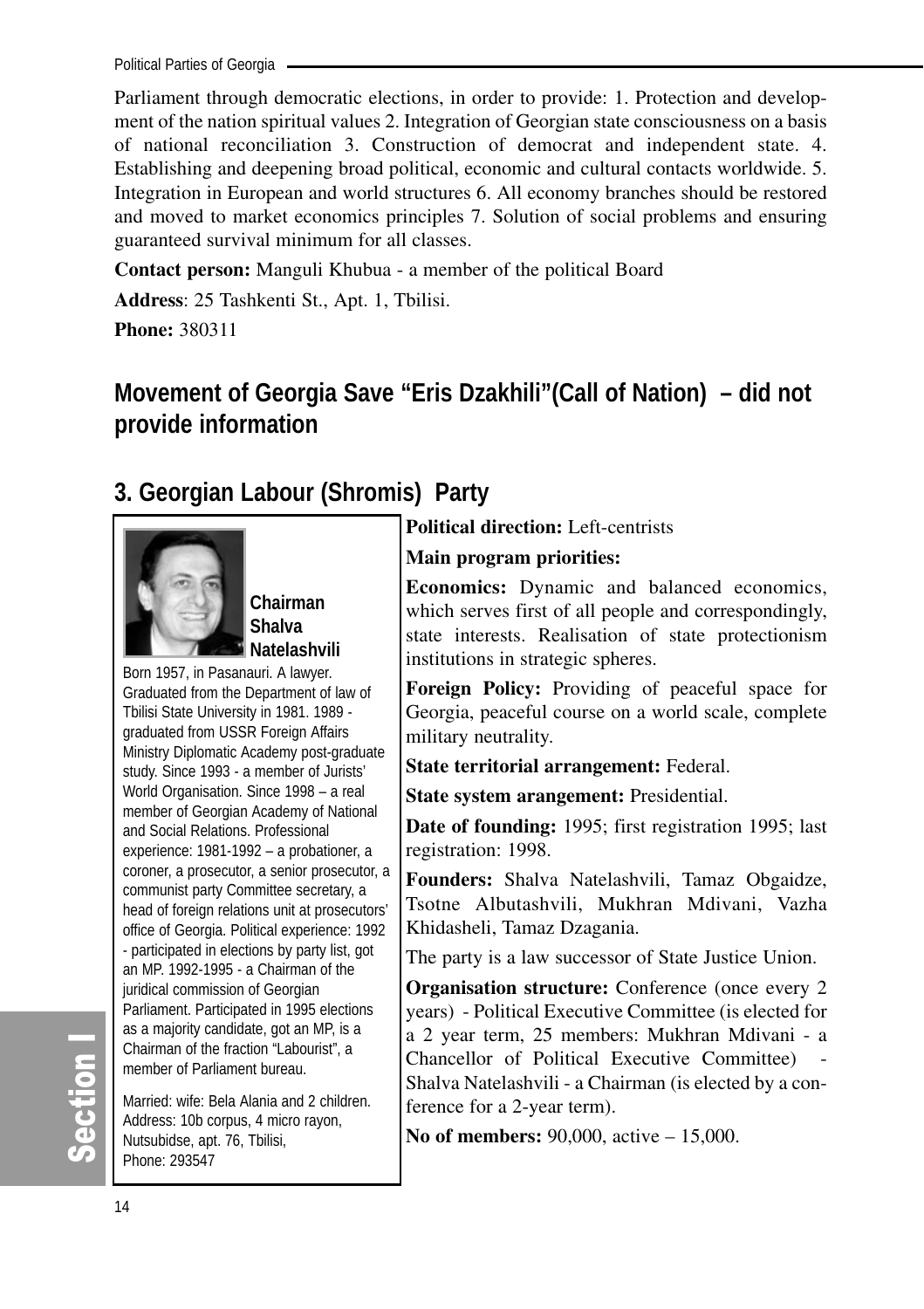Political Parties of Georgia

Parliament through democratic elections, in order to provide: 1. Protection and development of the nation spiritual values 2. Integration of Georgian state consciousness on a basis of national reconciliation 3. Construction of democrat and independent state. 4. Establishing and deepening broad political, economic and cultural contacts worldwide. 5. Integration in European and world structures 6. All economy branches should be restored and moved to market economics principles 7. Solution of social problems and ensuring guaranteed survival minimum for all classes.

**Contact person:** Manguli Khubua - a member of the political Board

**Address**: 25 Tashkenti St., Apt. 1, Tbilisi.

**Phone:** 380311

# **Movement of Georgia Save "Eris Dzakhili"(Call of Nation) – did not provide information**

# **3. Georgian Labour (Shromis) Party**



**Chairman Shalva Natelashvili** 

Born 1957, in Pasanauri. A lawyer. Graduated from the Department of law of Tbilisi State University in 1981. 1989 graduated from USSR Foreign Affairs Ministry Diplomatic Academy post-graduate study. Since 1993 - a member of Jurists' World Organisation. Since 1998 – a real member of Georgian Academy of National and Social Relations. Professional experience: 1981-1992 – a probationer, a coroner, a prosecutor, a senior prosecutor, a communist party Committee secretary, a head of foreign relations unit at prosecutors' office of Georgia. Political experience: 1992 - participated in elections by party list, got an MP. 1992-1995 - a Chairman of the juridical commission of Georgian Parliament. Participated in 1995 elections as a majority candidate, got an MP, is a Chairman of the fraction "Labourist", a member of Parliament bureau.

Married: wife: Bela Alania and 2 children. Address: 10b corpus, 4 micro rayon, Nutsubidse, apt. 76, Tbilisi, Phone: 293547

**Political direction:** Left-centrists

#### **Main program priorities:**

**Economics:** Dynamic and balanced economics, which serves first of all people and correspondingly, state interests. Realisation of state protectionism institutions in strategic spheres.

**Foreign Policy:** Providing of peaceful space for Georgia, peaceful course on a world scale, complete military neutrality.

**State territorial arrangement:** Federal.

**State system arangement:** Presidential.

**Date of founding:** 1995; first registration 1995; last registration: 1998.

**Founders:** Shalva Natelashvili, Tamaz Obgaidze, Tsotne Albutashvili, Mukhran Mdivani, Vazha Khidasheli, Tamaz Dzagania.

The party is a law successor of State Justice Union.

**Organisation structure:** Conference (once every 2) years) - Political Executive Committee (is elected for a 2 year term, 25 members: Mukhran Mdivani - a Chancellor of Political Executive Committee) - Shalva Natelashvili - a Chairman (is elected by a conference for a 2-year term).

**No of members:** 90,000, active – 15,000.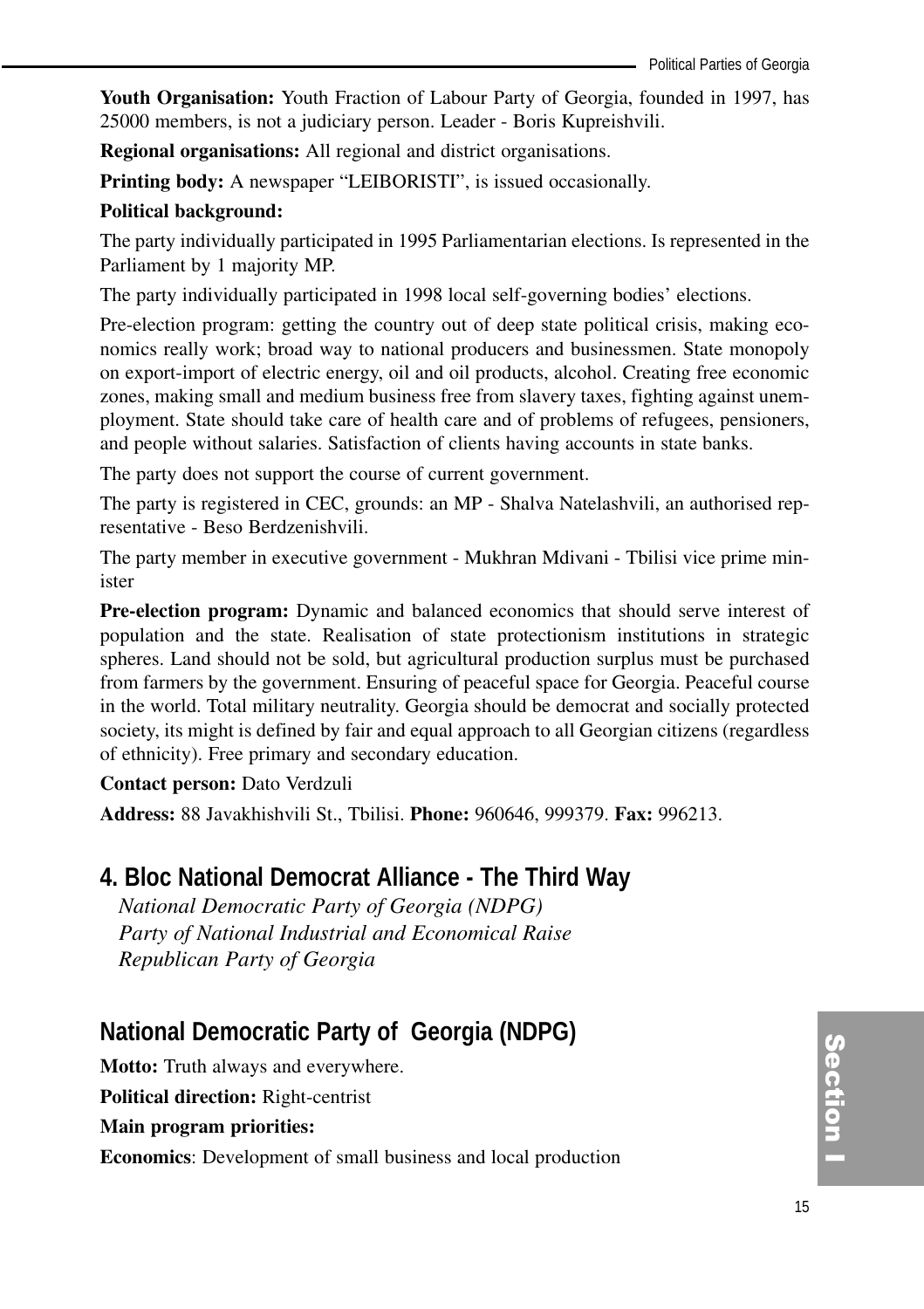**Youth Organisation:** Youth Fraction of Labour Party of Georgia, founded in 1997, has 25000 members, is not a judiciary person. Leader - Boris Kupreishvili.

**Regional organisations:** All regional and district organisations.

**Printing body:** A newspaper "LEIBORISTI", is issued occasionally.

#### **Political background:**

The party individually participated in 1995 Parliamentarian elections. Is represented in the Parliament by 1 majority MP.

The party individually participated in 1998 local self-governing bodies' elections.

Pre-election program: getting the country out of deep state political crisis, making economics really work; broad way to national producers and businessmen. State monopoly on export-import of electric energy, oil and oil products, alcohol. Creating free economic zones, making small and medium business free from slavery taxes, fighting against unemployment. State should take care of health care and of problems of refugees, pensioners, and people without salaries. Satisfaction of clients having accounts in state banks.

The party does not support the course of current government.

The party is registered in CEC, grounds: an MP - Shalva Natelashvili, an authorised representative - Beso Berdzenishvili.

The party member in executive government - Mukhran Mdivani - Tbilisi vice prime minister

**Pre-election program:** Dynamic and balanced economics that should serve interest of population and the state. Realisation of state protectionism institutions in strategic spheres. Land should not be sold, but agricultural production surplus must be purchased from farmers by the government. Ensuring of peaceful space for Georgia. Peaceful course in the world. Total military neutrality. Georgia should be democrat and socially protected society, its might is defined by fair and equal approach to all Georgian citizens (regardless of ethnicity). Free primary and secondary education.

#### **Contact person:** Dato Verdzuli

**Address:** 88 Javakhishvili St., Tbilisi. **Phone:** 960646, 999379. **Fax:** 996213.

## **4. Bloc National Democrat Alliance - The Third Way**

*National Democratic Party of Georgia (NDPG) Party of National Industrial and Economical Raise Republican Party of Georgia*

# **National Democratic Party of Georgia (NDPG)**

**Motto:** Truth always and everywhere.

**Political direction:** Right-centrist

**Main program priorities:**

**Economics**: Development of small business and local production

(၈<br>စ ction<br>I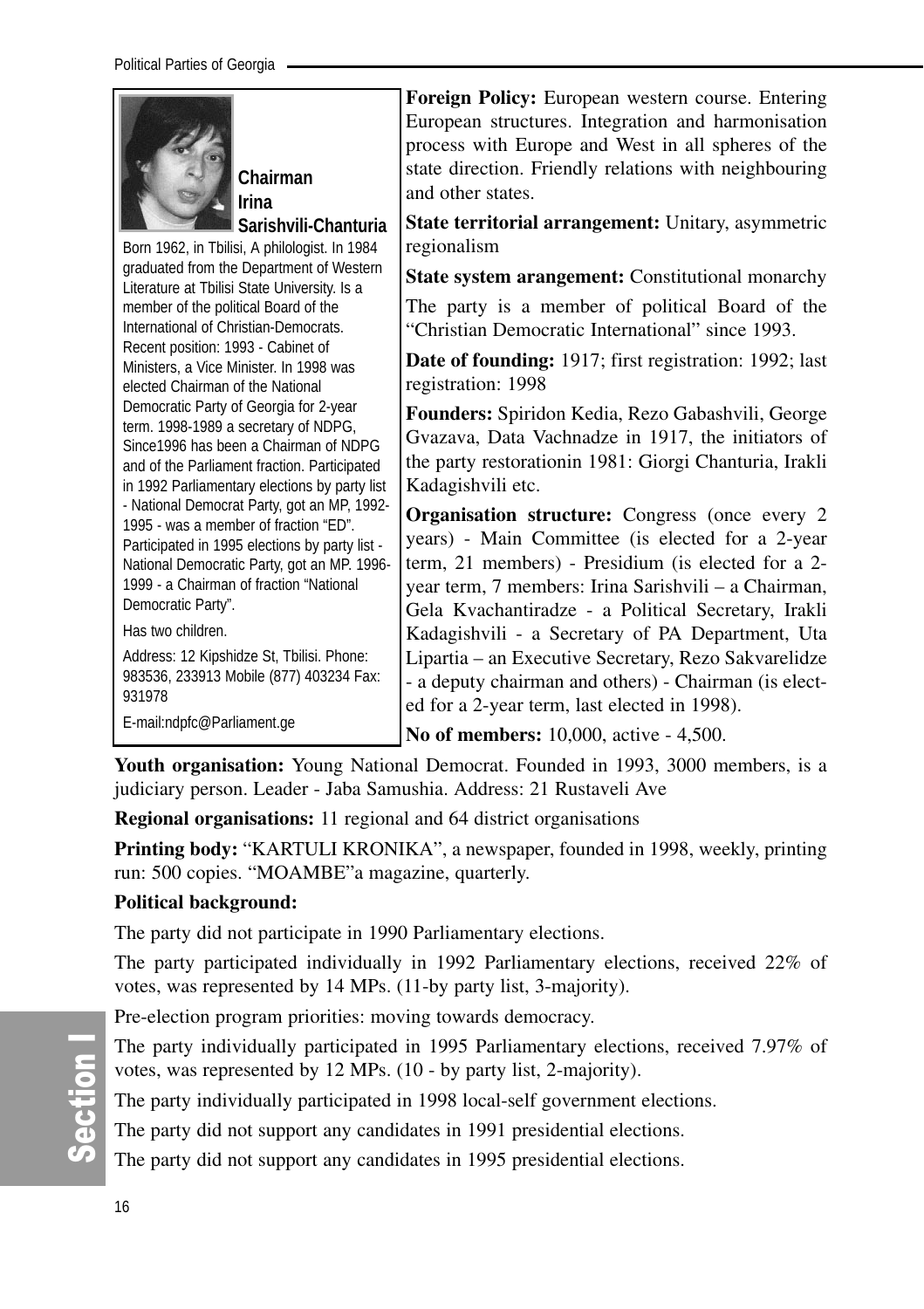| Chairman<br>Irina                                                                                                                                                                                                                                      | Foreign Policy: European western course. Entering<br>European structures. Integration and harmonisation<br>process with Europe and West in all spheres of the<br>state direction. Friendly relations with neighbouring<br>and other states.                             |
|--------------------------------------------------------------------------------------------------------------------------------------------------------------------------------------------------------------------------------------------------------|-------------------------------------------------------------------------------------------------------------------------------------------------------------------------------------------------------------------------------------------------------------------------|
| Sarishvili-Chanturia<br>Born 1962, in Tbilisi, A philologist. In 1984                                                                                                                                                                                  | State territorial arrangement: Unitary, asymmetric<br>regionalism                                                                                                                                                                                                       |
| graduated from the Department of Western<br>Literature at Tbilisi State University. Is a<br>member of the political Board of the<br>International of Christian-Democrats.                                                                              | <b>State system arangement:</b> Constitutional monarchy<br>The party is a member of political Board of the<br>"Christian Democratic International" since 1993.                                                                                                          |
| Recent position: 1993 - Cabinet of<br>Ministers, a Vice Minister. In 1998 was<br>elected Chairman of the National                                                                                                                                      | <b>Date of founding:</b> 1917; first registration: 1992; last<br>registration: 1998                                                                                                                                                                                     |
| Democratic Party of Georgia for 2-year<br>term. 1998-1989 a secretary of NDPG,<br>Since 1996 has been a Chairman of NDPG<br>and of the Parliament fraction. Participated<br>in 1992 Parliamentary elections by party list                              | Founders: Spiridon Kedia, Rezo Gabashvili, George<br>Gvazava, Data Vachnadze in 1917, the initiators of<br>the party restorationin 1981: Giorgi Chanturia, Irakli<br>Kadagishvili etc.                                                                                  |
| - National Democrat Party, got an MP, 1992-<br>1995 - was a member of fraction "ED".<br>Participated in 1995 elections by party list -<br>National Democratic Party, got an MP. 1996-<br>1999 - a Chairman of fraction "National<br>Democratic Party". | Organisation structure: Congress (once every 2<br>years) - Main Committee (is elected for a 2-year<br>term, 21 members) - Presidium (is elected for a 2-<br>year term, 7 members: Irina Sarishvili – a Chairman,<br>Gela Kvachantiradze - a Political Secretary, Irakli |
| Has two children.<br>Address: 12 Kipshidze St, Tbilisi. Phone:<br>983536, 233913 Mobile (877) 403234 Fax:<br>931978<br>E-mail:ndpfc@Parliament.ge                                                                                                      | Kadagishvili - a Secretary of PA Department, Uta<br>Lipartia – an Executive Secretary, Rezo Sakvarelidze<br>- a deputy chairman and others) - Chairman (is elect-<br>ed for a 2-year term, last elected in 1998).                                                       |
|                                                                                                                                                                                                                                                        | No of members: 10,000, active - 4,500.                                                                                                                                                                                                                                  |

**Youth organisation:** Young National Democrat. Founded in 1993, 3000 members, is a judiciary person. Leader - Jaba Samushia. Address: 21 Rustaveli Ave

**Regional organisations:** 11 regional and 64 district organisations

**Printing body:** "KARTULI KRONIKA", a newspaper, founded in 1998, weekly, printing run: 500 copies. "MOAMBE"a magazine, quarterly.

#### **Political background:**

The party did not participate in 1990 Parliamentary elections.

The party participated individually in 1992 Parliamentary elections, received 22% of votes, was represented by 14 MPs. (11-by party list, 3-majority).

Pre-election program priorities: moving towards democracy.

The party individually participated in 1995 Parliamentary elections, received 7.97% of votes, was represented by 12 MPs. (10 - by party list, 2-majority).

The party individually participated in 1998 local-self government elections.

The party did not support any candidates in 1991 presidential elections.

The party did not support any candidates in 1995 presidential elections.

တိ ction I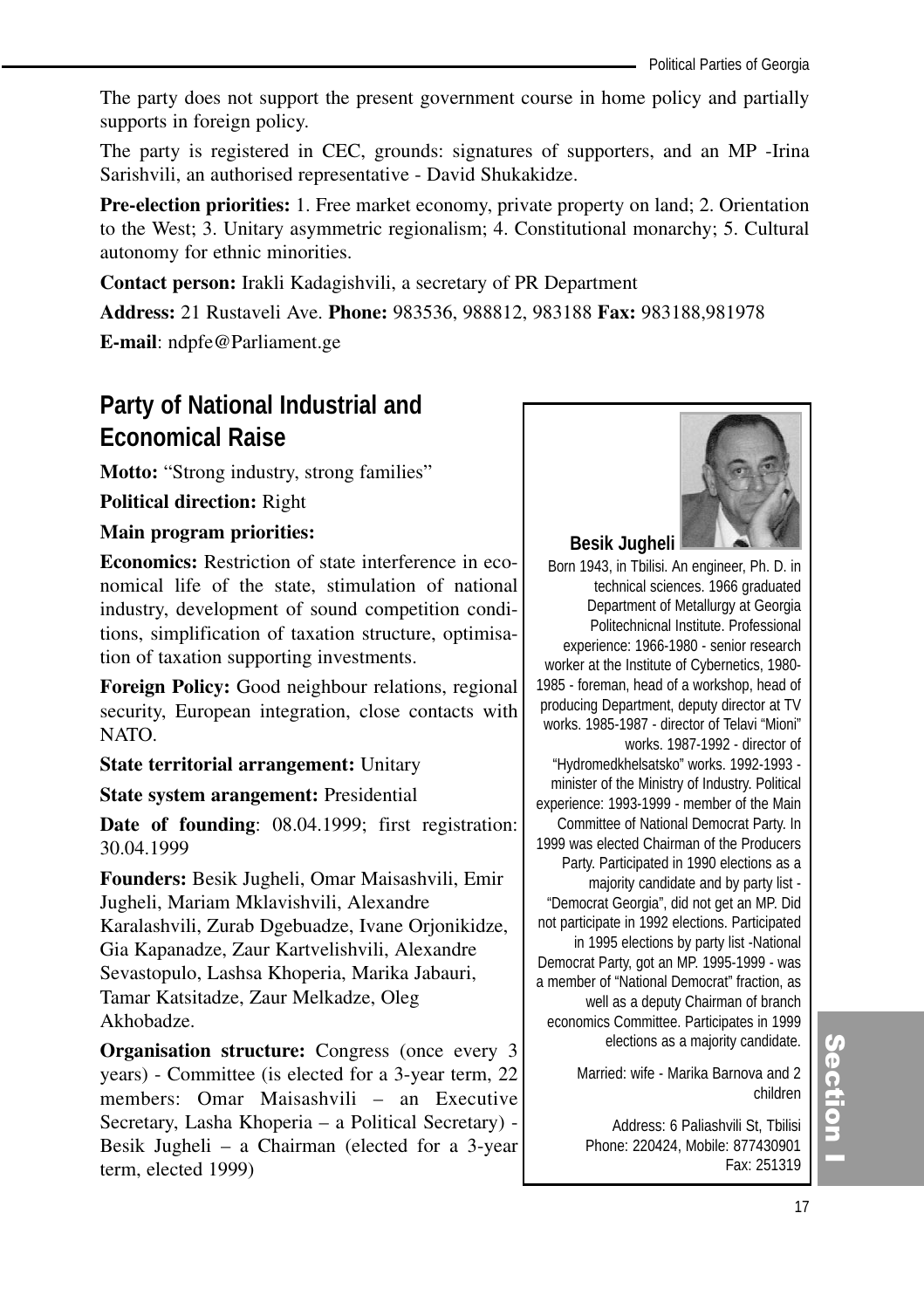The party does not support the present government course in home policy and partially supports in foreign policy.

The party is registered in CEC, grounds: signatures of supporters, and an MP -Irina Sarishvili, an authorised representative - David Shukakidze.

**Pre-election priorities:** 1. Free market economy, private property on land; 2. Orientation to the West; 3. Unitary asymmetric regionalism; 4. Constitutional monarchy; 5. Cultural autonomy for ethnic minorities.

**Contact person:** Irakli Kadagishvili, a secretary of PR Department

**Address:** 21 Rustaveli Ave. **Phone:** 983536, 988812, 983188 **Fax:** 983188,981978

**E-mail**: ndpfe@Parliament.ge

# **Party of National Industrial and Economical Raise**

**Motto:** "Strong industry, strong families"

**Political direction:** Right

#### **Main program priorities:**

**Economics:** Restriction of state interference in economical life of the state, stimulation of national industry, development of sound competition conditions, simplification of taxation structure, optimisation of taxation supporting investments.

**Foreign Policy:** Good neighbour relations, regional security, European integration, close contacts with NATO.

**State territorial arrangement:** Unitary

**State system arangement:** Presidential

**Date of founding**: 08.04.1999; first registration: 30.04.1999

**Founders:** Besik Jugheli, Omar Maisashvili, Emir Jugheli, Mariam Mklavishvili, Alexandre Karalashvili, Zurab Dgebuadze, Ivane Orjonikidze, Gia Kapanadze, Zaur Kartvelishvili, Alexandre Sevastopulo, Lashsa Khoperia, Marika Jabauri, Tamar Katsitadze, Zaur Melkadze, Oleg Akhobadze.

**Organisation structure:** Congress (once every 3) years) - Committee (is elected for a 3-year term, 22 members: Omar Maisashvili – an Executive Secretary, Lasha Khoperia – a Political Secretary) - Besik Jugheli – a Chairman (elected for a 3-year term, elected 1999)



**Besik Jugheli** 

Born 1943, in Tbilisi. An engineer, Ph. D. in technical sciences. 1966 graduated Department of Metallurgy at Georgia Politechnicnal Institute. Professional experience: 1966-1980 - senior research worker at the Institute of Cybernetics, 1980- 1985 - foreman, head of a workshop, head of producing Department, deputy director at TV works. 1985-1987 - director of Telavi "Mioni" works. 1987-1992 - director of "Hydromedkhelsatsko" works. 1992-1993 minister of the Ministry of Industry. Political experience: 1993-1999 - member of the Main Committee of National Democrat Party. In 1999 was elected Chairman of the Producers Party. Participated in 1990 elections as a majority candidate and by party list - "Democrat Georgia", did not get an MP. Did not participate in 1992 elections. Participated in 1995 elections by party list -National Democrat Party, got an MP. 1995-1999 - was a member of "National Democrat" fraction, as well as a deputy Chairman of branch economics Committee. Participates in 1999 elections as a majority candidate.

> Married: wife - Marika Barnova and 2 children

Address: 6 Paliashvili St, Tbilisi Phone: 220424, Mobile: 877430901 Fax: 251319

# (၈<br>စ ction<br>I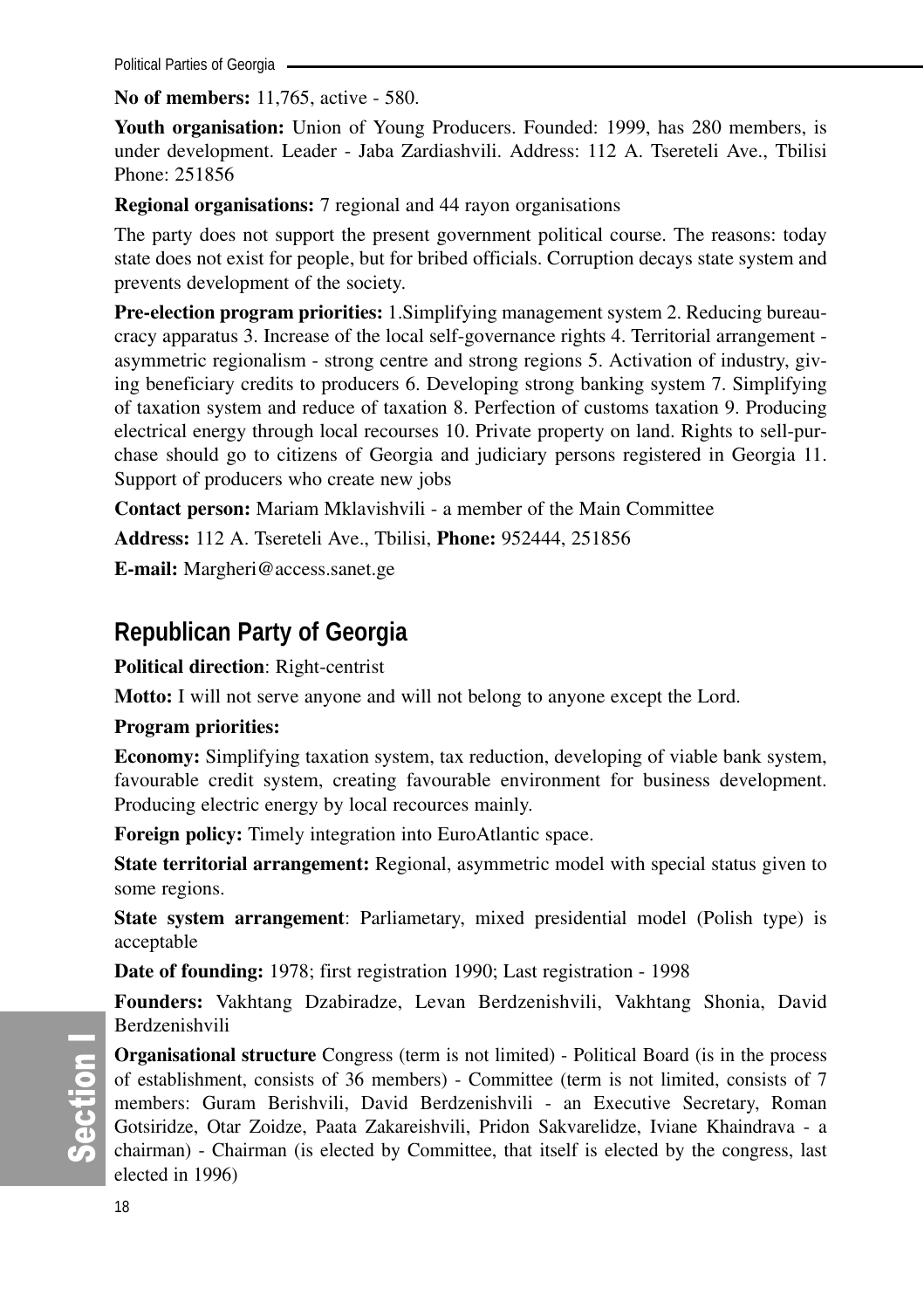Political Parties of Georgia -

**No of members:** 11,765, active - 580.

**Youth organisation:** Union of Young Producers. Founded: 1999, has 280 members, is under development. Leader - Jaba Zardiashvili. Address: 112 A. Tsereteli Ave., Tbilisi Phone: 251856

**Regional organisations:** 7 regional and 44 rayon organisations

The party does not support the present government political course. The reasons: today state does not exist for people, but for bribed officials. Corruption decays state system and prevents development of the society.

**Pre-election program priorities:** 1.Simplifying management system 2. Reducing bureaucracy apparatus 3. Increase of the local self-governance rights 4. Territorial arrangement asymmetric regionalism - strong centre and strong regions 5. Activation of industry, giving beneficiary credits to producers 6. Developing strong banking system 7. Simplifying of taxation system and reduce of taxation 8. Perfection of customs taxation 9. Producing electrical energy through local recourses 10. Private property on land. Rights to sell-purchase should go to citizens of Georgia and judiciary persons registered in Georgia 11. Support of producers who create new jobs

**Contact person:** Mariam Mklavishvili - a member of the Main Committee

**Address:** 112 A. Tsereteli Ave., Tbilisi, **Phone:** 952444, 251856

**E-mail:** Margheri@access.sanet.ge

# **Republican Party of Georgia**

**Political direction**: Right-centrist

**Motto:** I will not serve anyone and will not belong to anyone except the Lord.

#### **Program priorities:**

**Economy:** Simplifying taxation system, tax reduction, developing of viable bank system, favourable credit system, creating favourable environment for business development. Producing electric energy by local recources mainly.

**Foreign policy:** Timely integration into EuroAtlantic space.

**State territorial arrangement:** Regional, asymmetric model with special status given to some regions.

**State system arrangement**: Parliametary, mixed presidential model (Polish type) is acceptable

**Date of founding:** 1978; first registration 1990; Last registration - 1998

**Founders:** Vakhtang Dzabiradze, Levan Berdzenishvili, Vakhtang Shonia, David Berdzenishvili

တိ ction I

**Organisational structure** Congress (term is not limited) - Political Board (is in the process of establishment, consists of 36 members) - Committee (term is not limited, consists of 7 members: Guram Berishvili, David Berdzenishvili - an Executive Secretary, Roman Gotsiridze, Otar Zoidze, Paata Zakareishvili, Pridon Sakvarelidze, Iviane Khaindrava - a chairman) - Chairman (is elected by Committee, that itself is elected by the congress, last elected in 1996)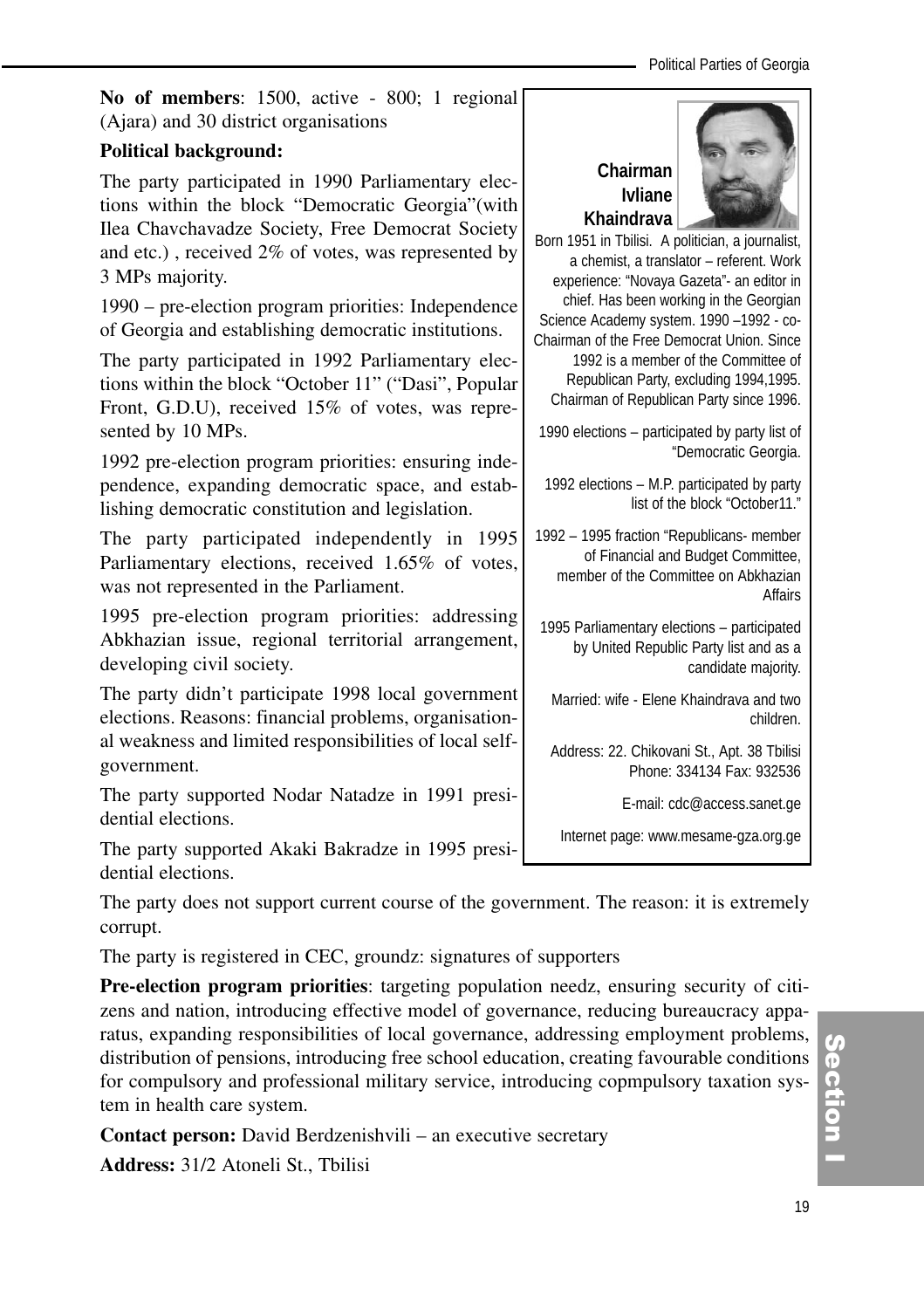**No of members**: 1500, active - 800; 1 regional (Ajara) and 30 district organisations

#### **Political background:**

The party participated in 1990 Parliamentary elections within the block "Democratic Georgia"(with Ilea Chavchavadze Society, Free Democrat Society and etc.) , received 2% of votes, was represented by 3 MPs majority.

1990 – pre-election program priorities: Independence of Georgia and establishing democratic institutions.

The party participated in 1992 Parliamentary elections within the block "October 11" ("Dasi", Popular Front, G.D.U), received 15% of votes, was represented by 10 MPs.

1992 pre-election program priorities: ensuring independence, expanding democratic space, and establishing democratic constitution and legislation.

The party participated independently in 1995 Parliamentary elections, received 1.65% of votes, was not represented in the Parliament.

1995 pre-election program priorities: addressing Abkhazian issue, regional territorial arrangement, developing civil society.

The party didn't participate 1998 local government elections. Reasons: financial problems, organisational weakness and limited responsibilities of local selfgovernment.

The party supported Nodar Natadze in 1991 presidential elections.

The party supported Akaki Bakradze in 1995 presidential elections.

The party does not support current course of the government. The reason: it is extremely corrupt.

The party is registered in CEC, groundz: signatures of supporters

**Pre-election program priorities**: targeting population needz, ensuring security of citizens and nation, introducing effective model of governance, reducing bureaucracy apparatus, expanding responsibilities of local governance, addressing employment problems, distribution of pensions, introducing free school education, creating favourable conditions for compulsory and professional military service, introducing copmpulsory taxation system in health care system.

**Contact person:** David Berdzenishvili – an executive secretary

**Address:** 31/2 Atoneli St., Tbilisi

# **Chairman Ivliane Khaindrava**



Born 1951 in Tbilisi. A politician, a journalist, a chemist, a translator – referent. Work experience: "Novaya Gazeta"- an editor in chief. Has been working in the Georgian Science Academy system. 1990 –1992 - co-Chairman of the Free Democrat Union. Since 1992 is a member of the Committee of Republican Party, excluding 1994,1995. Chairman of Republican Party since 1996.

1990 elections – participated by party list of "Democratic Georgia.

1992 elections – M.P. participated by party list of the block "October11."

1992 – 1995 fraction "Republicans- member of Financial and Budget Committee, member of the Committee on Abkhazian Affairs

1995 Parliamentary elections – participated by United Republic Party list and as a candidate majority.

Married: wife - Elene Khaindrava and two children.

Address: 22. Chikovani St., Apt. 38 Tbilisi Phone: 334134 Fax: 932536

E-mail: cdc@access.sanet.ge

Internet page: www.mesame-gza.org.ge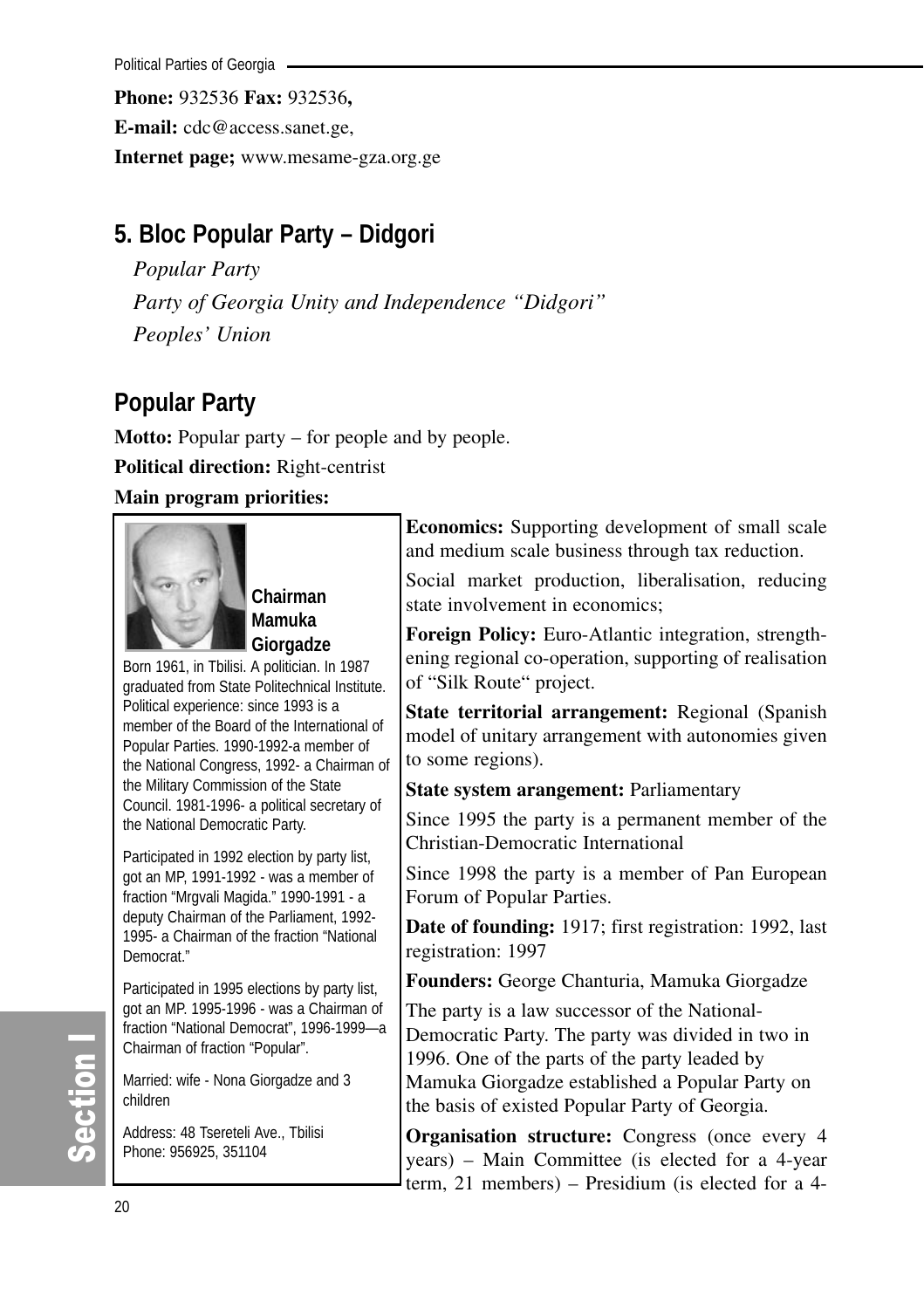Political Parties of Georgia

**Phone:** 932536 **Fax:** 932536**,**

**E-mail:** cdc@access.sanet.ge,

**Internet page;** www.mesame-gza.org.ge

# **5. Bloc Popular Party – Didgori**

*Popular Party Party of Georgia Unity and Independence "Didgori" Peoples' Union*

# **Popular Party**

**Motto:** Popular party – for people and by people. **Political direction:** Right-centrist **Main program priorities:**



**Chairman Mamuka Giorgadze** 

Born 1961, in Tbilisi. A politician. In 1987 graduated from State Politechnical Institute. Political experience: since 1993 is a member of the Board of the International of Popular Parties. 1990-1992-a member of the National Congress, 1992- a Chairman of the Military Commission of the State Council. 1981-1996- a political secretary of the National Democratic Party.

Participated in 1992 election by party list, got an MP, 1991-1992 - was a member of fraction "Mrgvali Magida." 1990-1991 - a deputy Chairman of the Parliament, 1992- 1995- a Chairman of the fraction "National Democrat."

Participated in 1995 elections by party list, got an MP. 1995-1996 - was a Chairman of fraction "National Democrat", 1996-1999—a Chairman of fraction "Popular".

Married: wife - Nona Giorgadze and 3 children

Address: 48 Tsereteli Ave., Tbilisi Phone: 956925, 351104

**Economics:** Supporting development of small scale and medium scale business through tax reduction.

Social market production, liberalisation, reducing state involvement in economics;

**Foreign Policy:** Euro-Atlantic integration, strengthening regional co-operation, supporting of realisation of "Silk Route" project.

**State territorial arrangement:** Regional (Spanish model of unitary arrangement with autonomies given to some regions).

**State system arangement:** Parliamentary

Since 1995 the party is a permanent member of the Christian-Democratic International

Since 1998 the party is a member of Pan European Forum of Popular Parties.

**Date of founding:** 1917; first registration: 1992, last registration: 1997

**Founders:** George Chanturia, Mamuka Giorgadze

The party is a law successor of the National-Democratic Party. The party was divided in two in 1996. One of the parts of the party leaded by Mamuka Giorgadze established a Popular Party on the basis of existed Popular Party of Georgia.

**Organisation structure:** Congress (once every 4 years) – Main Committee (is elected for a 4-year term, 21 members) – Presidium (is elected for a 4-

# တိ ction I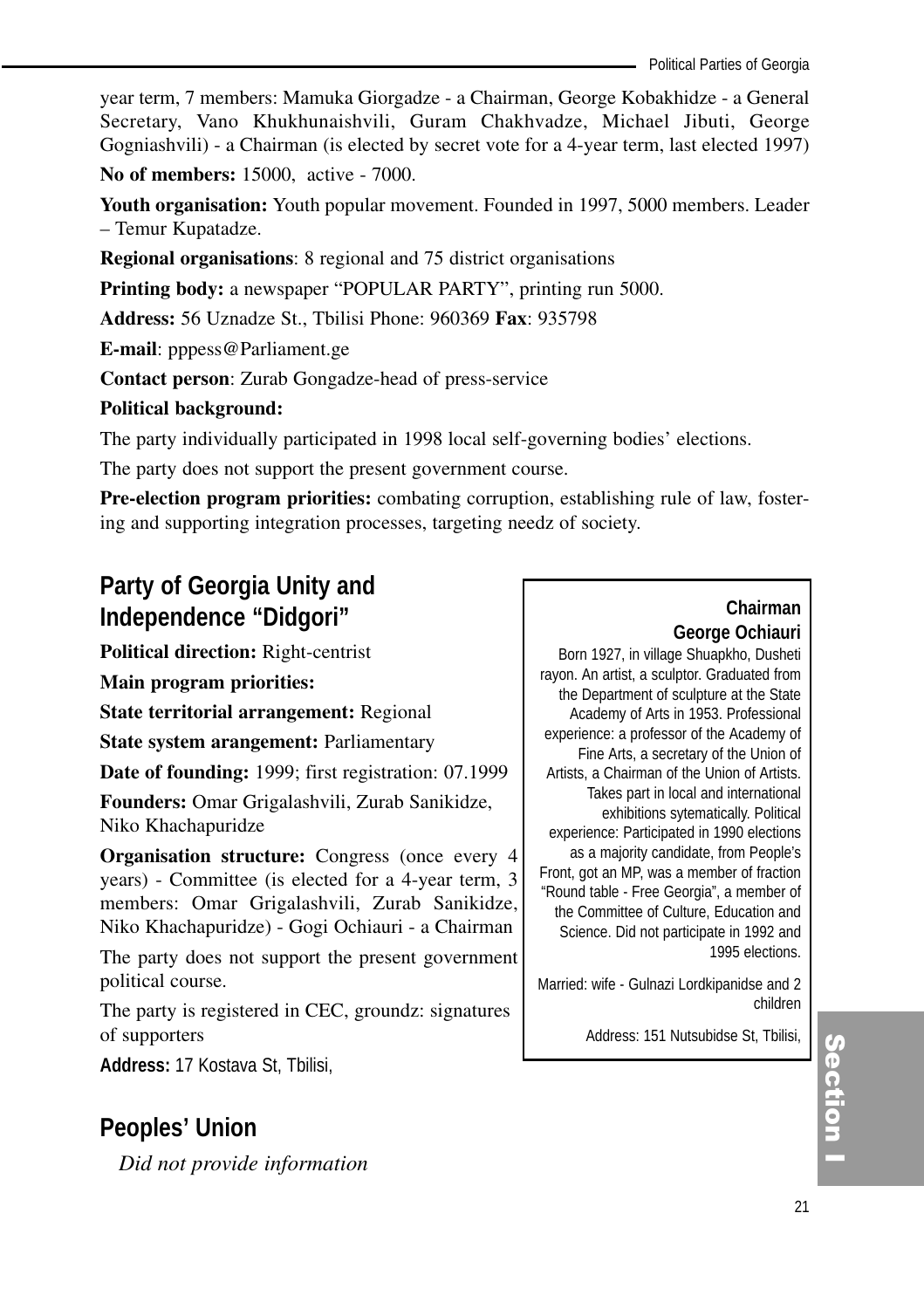year term, 7 members: Mamuka Giorgadze - a Chairman, George Kobakhidze - a General Secretary, Vano Khukhunaishvili, Guram Chakhvadze, Michael Jibuti, George Gogniashvili) - a Chairman (is elected by secret vote for a 4-year term, last elected 1997)

**No of members:** 15000, active - 7000.

**Youth organisation:** Youth popular movement. Founded in 1997, 5000 members. Leader – Temur Kupatadze.

**Regional organisations**: 8 regional and 75 district organisations

**Printing body:** a newspaper "POPULAR PARTY", printing run 5000.

**Address:** 56 Uznadze St., Tbilisi Phone: 960369 **Fax**: 935798

**E-mail**: pppess@Parliament.ge

**Contact person**: Zurab Gongadze-head of press-service

#### **Political background:**

The party individually participated in 1998 local self-governing bodies' elections.

The party does not support the present government course.

**Pre-election program priorities:** combating corruption, establishing rule of law, fostering and supporting integration processes, targeting needz of society.

# **Party of Georgia Unity and Independence "Didgori"**

**Political direction:** Right-centrist

**Main program priorities:**

**State territorial arrangement:** Regional

**State system arangement:** Parliamentary

**Date of founding:** 1999; first registration: 07.1999

**Founders:** Omar Grigalashvili, Zurab Sanikidze, Niko Khachapuridze

**Organisation structure:** Congress (once every 4 years) - Committee (is elected for a 4-year term, 3 members: Omar Grigalashvili, Zurab Sanikidze, Niko Khachapuridze) - Gogi Ochiauri - a Chairman

The party does not support the present government political course.

The party is registered in CEC, groundz: signatures of supporters

**Address:** 17 Kostava St, Tbilisi,

# **Peoples' Union**

*Did not provide information*

## **Chairman George Ochiauri**

Born 1927, in village Shuapkho, Dusheti rayon. An artist, a sculptor. Graduated from the Department of sculpture at the State Academy of Arts in 1953. Professional experience: a professor of the Academy of Fine Arts, a secretary of the Union of Artists, a Chairman of the Union of Artists. Takes part in local and international exhibitions sytematically. Political experience: Participated in 1990 elections as a majority candidate, from People's Front, got an MP, was a member of fraction "Round table - Free Georgia", a member of the Committee of Culture, Education and Science. Did not participate in 1992 and 1995 elections.

Married: wife - Gulnazi Lordkipanidse and 2 children

Address: 151 Nutsubidse St, Tbilisi,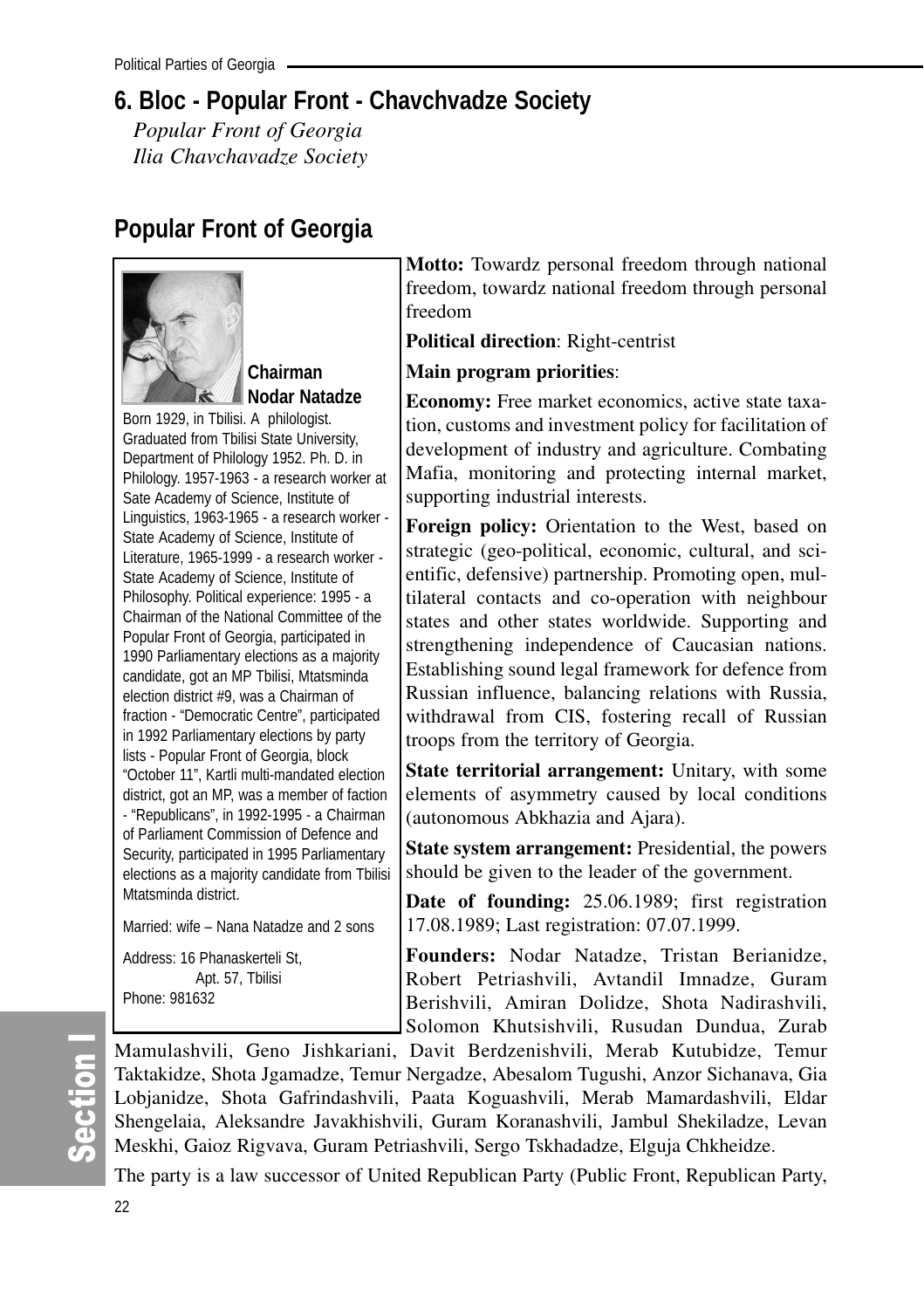# **6. Bloc - Popular Front - Chavchvadze Society**

*Popular Front of Georgia Ilia Chavchavadze Society*

# **Popular Front of Georgia**



**Chairman Nodar Natadze**

Born 1929, in Tbilisi. A philologist. Graduated from Tbilisi State University, Department of Philology 1952. Ph. D. in Philology. 1957-1963 - a research worker at Sate Academy of Science, Institute of Linguistics, 1963-1965 - a research worker - State Academy of Science, Institute of Literature, 1965-1999 - a research worker - State Academy of Science, Institute of Philosophy. Political experience: 1995 - a Chairman of the National Committee of the Popular Front of Georgia, participated in 1990 Parliamentary elections as a majority candidate, got an MP Tbilisi, Mtatsminda election district #9, was a Chairman of fraction - "Democratic Centre", participated in 1992 Parliamentary elections by party lists - Popular Front of Georgia, block "October 11", Kartli multi-mandated election district, got an MP, was a member of faction - "Republicans", in 1992-1995 - a Chairman of Parliament Commission of Defence and Security, participated in 1995 Parliamentary elections as a majority candidate from Tbilisi Mtatsminda district.

Married: wife – Nana Natadze and 2 sons

Address: 16 Phanaskerteli St, Apt. 57, Tbilisi Phone: 981632

**Motto:** Towardz personal freedom through national freedom, towardz national freedom through personal freedom

**Political direction**: Right-centrist

#### **Main program priorities**:

**Economy:** Free market economics, active state taxation, customs and investment policy for facilitation of development of industry and agriculture. Combating Mafia, monitoring and protecting internal market, supporting industrial interests.

**Foreign policy:** Orientation to the West, based on strategic (geo-political, economic, cultural, and scientific, defensive) partnership. Promoting open, multilateral contacts and co-operation with neighbour states and other states worldwide. Supporting and strengthening independence of Caucasian nations. Establishing sound legal framework for defence from Russian influence, balancing relations with Russia, withdrawal from CIS, fostering recall of Russian troops from the territory of Georgia.

**State territorial arrangement:** Unitary, with some elements of asymmetry caused by local conditions (autonomous Abkhazia and Ajara).

**State system arrangement:** Presidential, the powers should be given to the leader of the government.

**Date of founding:** 25.06.1989; first registration 17.08.1989; Last registration: 07.07.1999.

**Founders:** Nodar Natadze, Tristan Berianidze, Robert Petriashvili, Avtandil Imnadze, Guram Berishvili, Amiran Dolidze, Shota Nadirashvili, Solomon Khutsishvili, Rusudan Dundua, Zurab

Mamulashvili, Geno Jishkariani, Davit Berdzenishvili, Merab Kutubidze, Temur Taktakidze, Shota Jgamadze, Temur Nergadze, Abesalom Tugushi, Anzor Sichanava, Gia Lobjanidze, Shota Gafrindashvili, Paata Koguashvili, Merab Mamardashvili, Eldar Shengelaia, Aleksandre Javakhishvili, Guram Koranashvili, Jambul Shekiladze, Levan Meskhi, Gaioz Rigvava, Guram Petriashvili, Sergo Tskhadadze, Elguja Chkheidze.

The party is a law successor of United Republican Party (Public Front, Republican Party,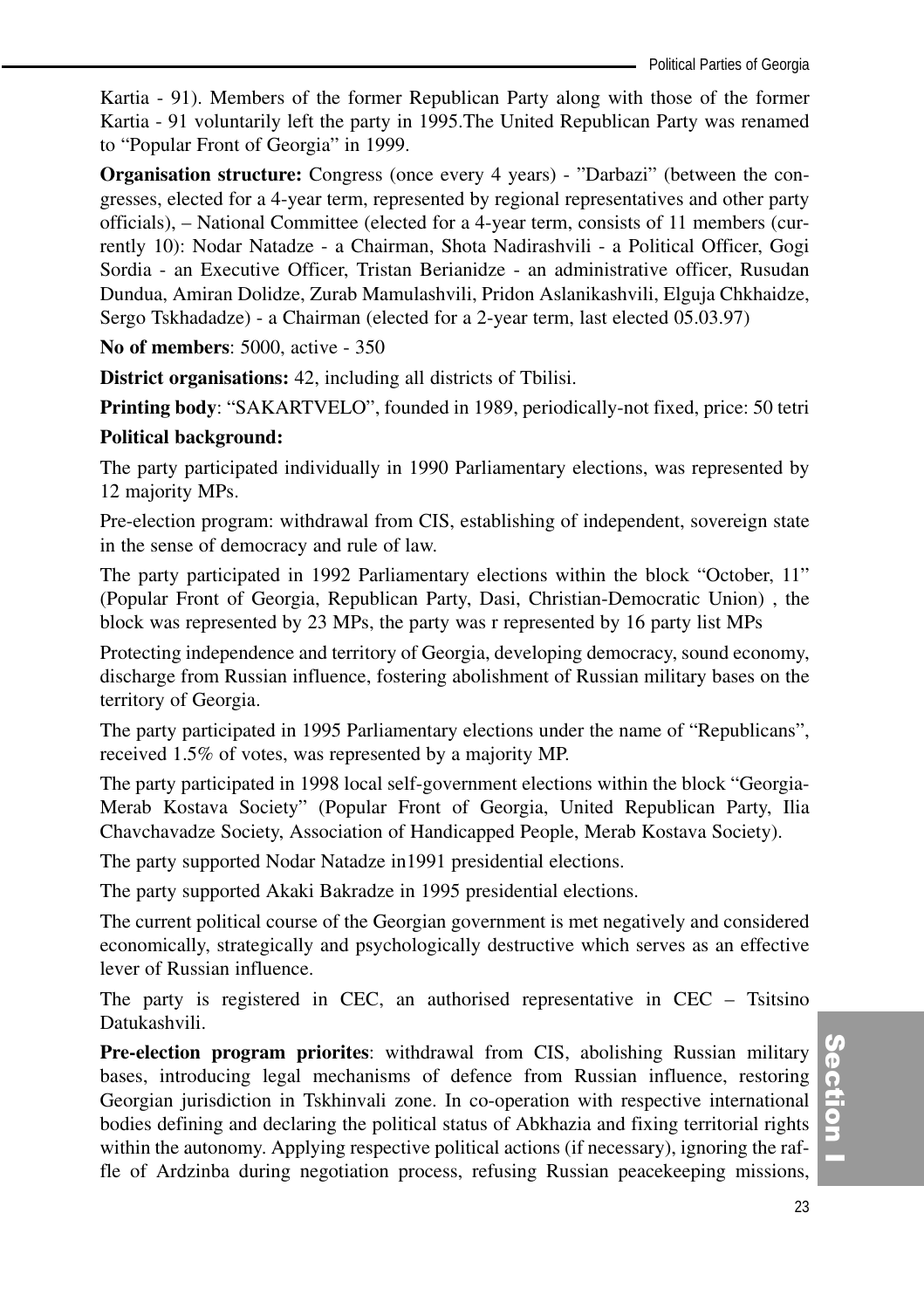Kartia - 91). Members of the former Republican Party along with those of the former Kartia - 91 voluntarily left the party in 1995.The United Republican Party was renamed to "Popular Front of Georgia" in 1999.

**Organisation structure:** Congress (once every 4 years) - "Darbazi" (between the congresses, elected for a 4-year term, represented by regional representatives and other party officials), – National Committee (elected for a 4-year term, consists of 11 members (currently 10): Nodar Natadze - a Chairman, Shota Nadirashvili - a Political Officer, Gogi Sordia - an Executive Officer, Tristan Berianidze - an administrative officer, Rusudan Dundua, Amiran Dolidze, Zurab Mamulashvili, Pridon Aslanikashvili, Elguja Chkhaidze, Sergo Tskhadadze) - a Chairman (elected for a 2-year term, last elected 05.03.97)

**No of members**: 5000, active - 350

**District organisations:** 42, including all districts of Tbilisi.

**Printing body**: "SAKARTVELO", founded in 1989, periodically-not fixed, price: 50 tetri

#### **Political background:**

The party participated individually in 1990 Parliamentary elections, was represented by 12 majority MPs.

Pre-election program: withdrawal from CIS, establishing of independent, sovereign state in the sense of democracy and rule of law.

The party participated in 1992 Parliamentary elections within the block "October, 11" (Popular Front of Georgia, Republican Party, Dasi, Christian-Democratic Union) , the block was represented by 23 MPs, the party was r represented by 16 party list MPs

Protecting independence and territory of Georgia, developing democracy, sound economy, discharge from Russian influence, fostering abolishment of Russian military bases on the territory of Georgia.

The party participated in 1995 Parliamentary elections under the name of "Republicans", received 1.5% of votes, was represented by a majority MP.

The party participated in 1998 local self-government elections within the block "Georgia-Merab Kostava Society" (Popular Front of Georgia, United Republican Party, Ilia Chavchavadze Society, Association of Handicapped People, Merab Kostava Society).

The party supported Nodar Natadze in1991 presidential elections.

The party supported Akaki Bakradze in 1995 presidential elections.

The current political course of the Georgian government is met negatively and considered economically, strategically and psychologically destructive which serves as an effective lever of Russian influence.

The party is registered in CEC, an authorised representative in CEC – Tsitsino Datukashvili.

**Pre-election program priorites**: withdrawal from CIS, abolishing Russian military bases, introducing legal mechanisms of defence from Russian influence, restoring Georgian jurisdiction in Tskhinvali zone. In co-operation with respective international bodies defining and declaring the political status of Abkhazia and fixing territorial rights within the autonomy. Applying respective political actions (if necessary), ignoring the raffle of Ardzinba during negotiation process, refusing Russian peacekeeping missions,

(၈<br>စ ction<br>I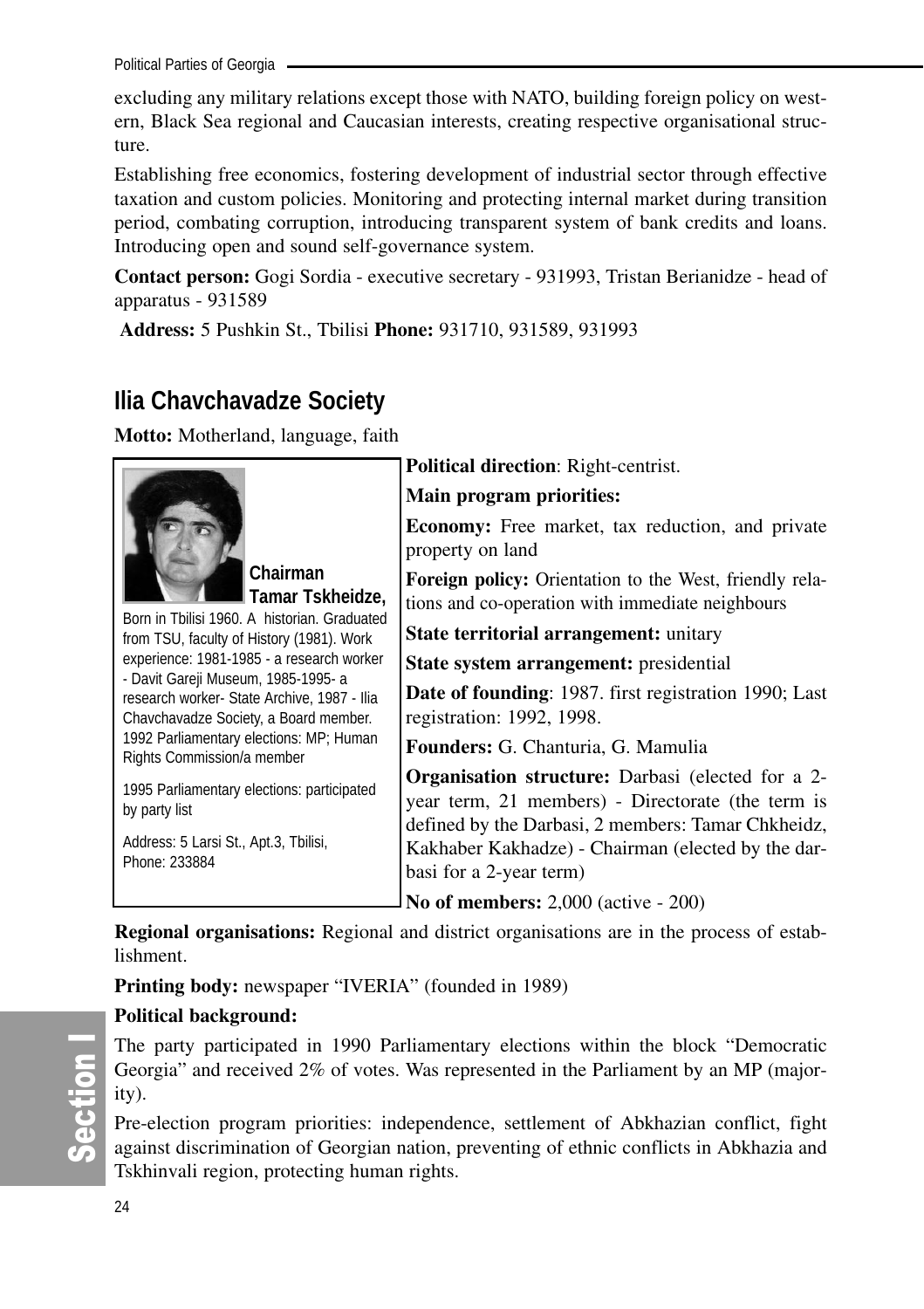Political Parties of Georgia

excluding any military relations except those with NATO, building foreign policy on western, Black Sea regional and Caucasian interests, creating respective organisational structure.

Establishing free economics, fostering development of industrial sector through effective taxation and custom policies. Monitoring and protecting internal market during transition period, combating corruption, introducing transparent system of bank credits and loans. Introducing open and sound self-governance system.

**Contact person:** Gogi Sordia - executive secretary - 931993, Tristan Berianidze - head of apparatus - 931589

**Address:** 5 Pushkin St., Tbilisi **Phone:** 931710, 931589, 931993

# **Ilia Chavchavadze Society**

**Motto:** Motherland, language, faith



**Chairman Tamar Tskheidze,**

Born in Tbilisi 1960. A historian. Graduated from TSU, faculty of History (1981). Work experience: 1981-1985 - a research worker - Davit Gareji Museum, 1985-1995- a research worker- State Archive, 1987 - Ilia Chavchavadze Society, a Board member. 1992 Parliamentary elections: MP; Human Rights Commission/a member

1995 Parliamentary elections: participated by party list

Address: 5 Larsi St., Apt.3, Tbilisi, Phone: 233884

**Political direction**: Right-centrist.

**Main program priorities:** 

**Economy:** Free market, tax reduction, and private property on land

**Foreign policy:** Orientation to the West, friendly relations and co-operation with immediate neighbours

**State territorial arrangement:** unitary

**State system arrangement:** presidential

**Date of founding**: 1987. first registration 1990; Last registration: 1992, 1998.

**Founders:** G. Chanturia, G. Mamulia

**Organisation structure:** Darbasi (elected for a 2 year term, 21 members) - Directorate (the term is defined by the Darbasi, 2 members: Tamar Chkheidz, Kakhaber Kakhadze) - Chairman (elected by the darbasi for a 2-year term)

**No of members:** 2,000 (active - 200)

**Regional organisations:** Regional and district organisations are in the process of establishment.

**Printing body:** newspaper "IVERIA" (founded in 1989)

### **Political background:**

The party participated in 1990 Parliamentary elections within the block "Democratic Georgia" and received 2% of votes. Was represented in the Parliament by an MP (majority).

Pre-election program priorities: independence, settlement of Abkhazian conflict, fight against discrimination of Georgian nation, preventing of ethnic conflicts in Abkhazia and Tskhinvali region, protecting human rights.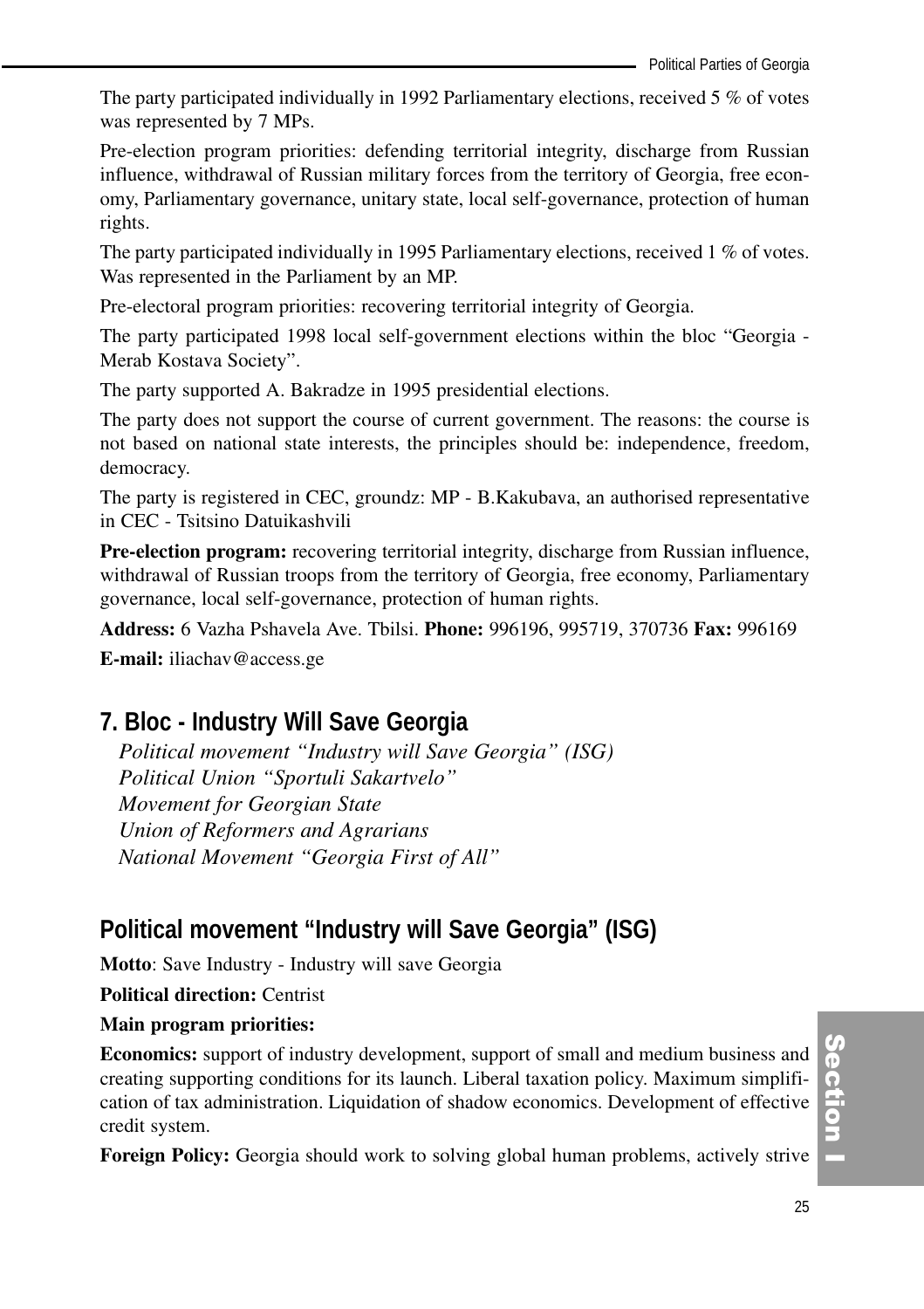The party participated individually in 1992 Parliamentary elections, received 5 % of votes was represented by 7 MPs.

Pre-election program priorities: defending territorial integrity, discharge from Russian influence, withdrawal of Russian military forces from the territory of Georgia, free economy, Parliamentary governance, unitary state, local self-governance, protection of human rights.

The party participated individually in 1995 Parliamentary elections, received 1 % of votes. Was represented in the Parliament by an MP.

Pre-electoral program priorities: recovering territorial integrity of Georgia.

The party participated 1998 local self-government elections within the bloc "Georgia - Merab Kostava Society".

The party supported A. Bakradze in 1995 presidential elections.

The party does not support the course of current government. The reasons: the course is not based on national state interests, the principles should be: independence, freedom, democracy.

The party is registered in CEC, groundz: MP - B.Kakubava, an authorised representative in CEC - Tsitsino Datuikashvili

**Pre-election program:** recovering territorial integrity, discharge from Russian influence, withdrawal of Russian troops from the territory of Georgia, free economy, Parliamentary governance, local self-governance, protection of human rights.

**Address:** 6 Vazha Pshavela Ave. Tbilsi. **Phone:** 996196, 995719, 370736 **Fax:** 996169

**E-mail:** iliachav@access.ge

# **7. Bloc - Industry Will Save Georgia**

*Political movement "Industry will Save Georgia" (ISG) Political Union "Sportuli Sakartvelo" Movement for Georgian State Union of Reformers and Agrarians National Movement "Georgia First of All"*

# **Political movement "Industry will Save Georgia" (ISG)**

**Motto**: Save Industry - Industry will save Georgia

**Political direction:** Centrist

#### **Main program priorities:**

**Economics:** support of industry development, support of small and medium business and creating supporting conditions for its launch. Liberal taxation policy. Maximum simplification of tax administration. Liquidation of shadow economics. Development of effective credit system.

**Foreign Policy:** Georgia should work to solving global human problems, actively strive

(၈<br>စ ction<br>I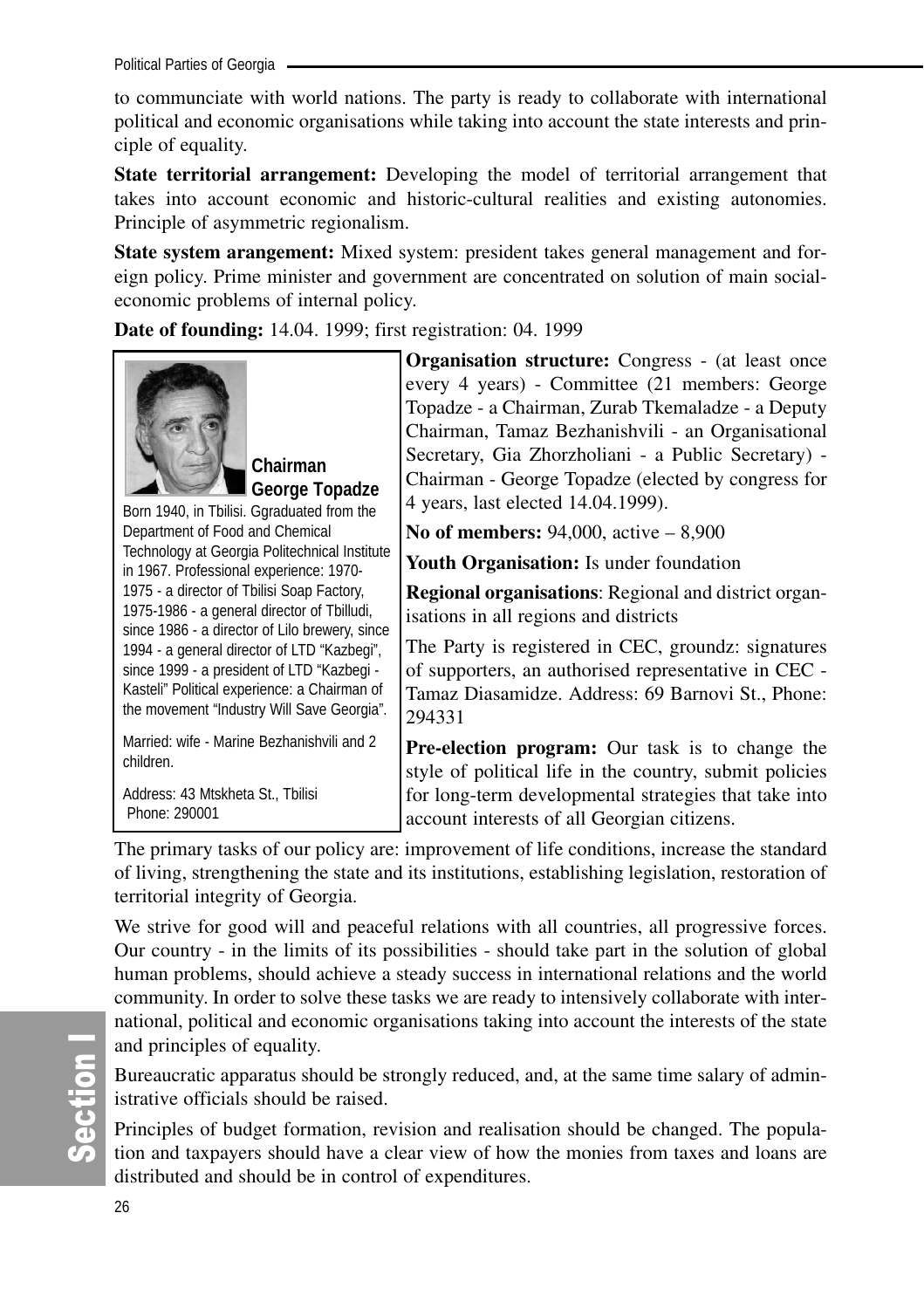Political Parties of Georgia

to communciate with world nations. The party is ready to collaborate with international political and economic organisations while taking into account the state interests and principle of equality.

**State territorial arrangement:** Developing the model of territorial arrangement that takes into account economic and historic-cultural realities and existing autonomies. Principle of asymmetric regionalism.

**State system arangement:** Mixed system: president takes general management and foreign policy. Prime minister and government are concentrated on solution of main socialeconomic problems of internal policy.

**Date of founding:** 14.04. 1999; first registration: 04. 1999



**Chairman George Topadze**

Born 1940, in Tbilisi. Ggraduated from the Department of Food and Chemical Technology at Georgia Politechnical Institute in 1967. Professional experience: 1970- 1975 - a director of Tbilisi Soap Factory, 1975-1986 - a general director of Tbilludi, since 1986 - a director of Lilo brewery, since 1994 - a general director of LTD "Kazbegi", since 1999 - a president of LTD "Kazbegi - Kasteli" Political experience: a Chairman of the movement "Industry Will Save Georgia".

Married: wife - Marine Bezhanishvili and 2 children.

Address: 43 Mtskheta St., Tbilisi Phone: 290001

**Organisation structure:** Congress - (at least once every 4 years) - Committee (21 members: George Topadze - a Chairman, Zurab Tkemaladze - a Deputy Chairman, Tamaz Bezhanishvili - an Organisational Secretary, Gia Zhorzholiani - a Public Secretary) - Chairman - George Topadze (elected by congress for 4 years, last elected 14.04.1999).

**No of members:** 94,000, active – 8,900

**Youth Organisation:** Is under foundation

**Regional organisations**: Regional and district organisations in all regions and districts

The Party is registered in CEC, groundz: signatures of supporters, an authorised representative in CEC - Tamaz Diasamidze. Address: 69 Barnovi St., Phone: 294331

**Pre-election program:** Our task is to change the style of political life in the country, submit policies for long-term developmental strategies that take into account interests of all Georgian citizens.

The primary tasks of our policy are: improvement of life conditions, increase the standard of living, strengthening the state and its institutions, establishing legislation, restoration of territorial integrity of Georgia.

We strive for good will and peaceful relations with all countries, all progressive forces. Our country - in the limits of its possibilities - should take part in the solution of global human problems, should achieve a steady success in international relations and the world community. In order to solve these tasks we are ready to intensively collaborate with international, political and economic organisations taking into account the interests of the state and principles of equality.

Bureaucratic apparatus should be strongly reduced, and, at the same time salary of administrative officials should be raised.

Principles of budget formation, revision and realisation should be changed. The population and taxpayers should have a clear view of how the monies from taxes and loans are distributed and should be in control of expenditures.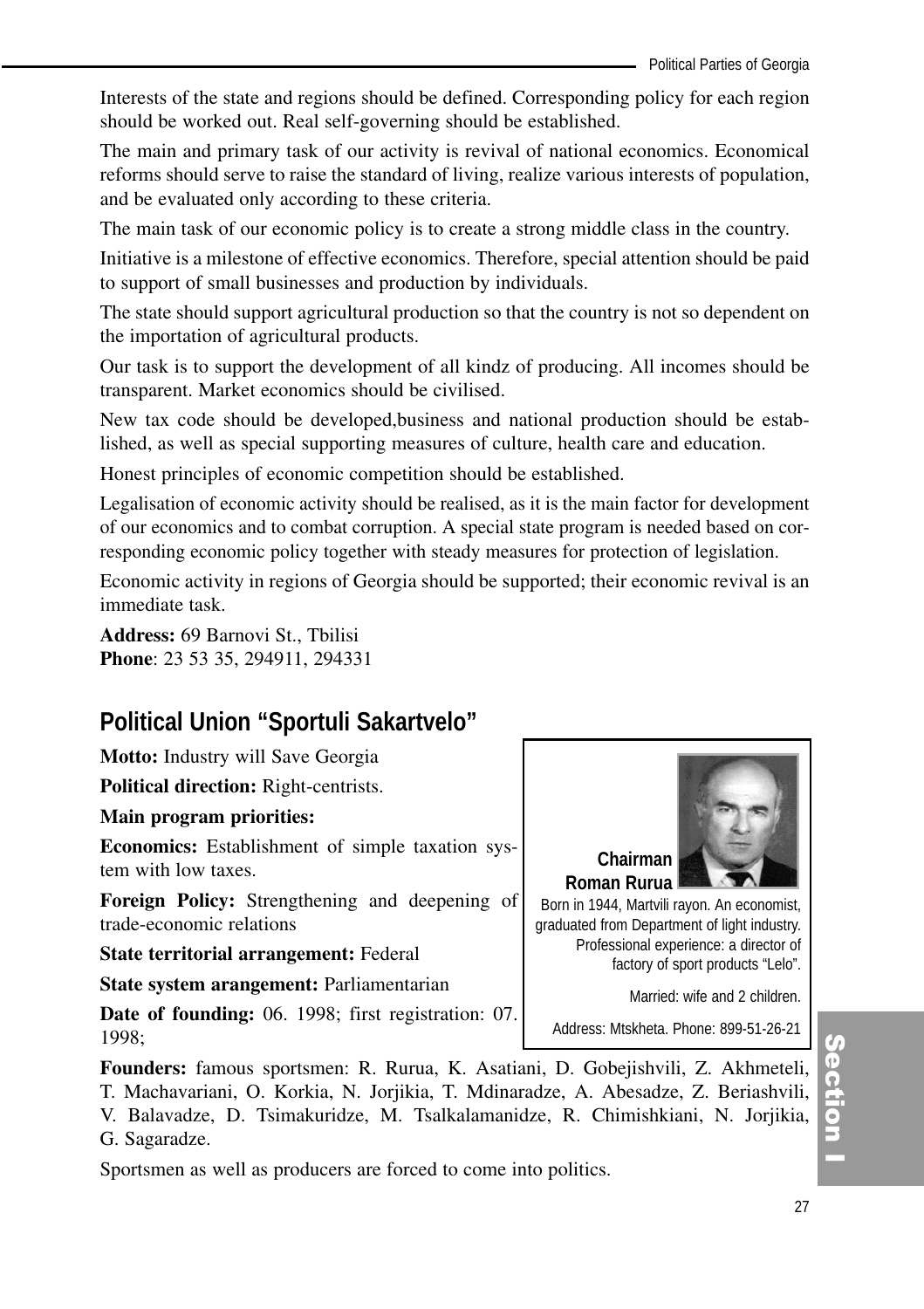Interests of the state and regions should be defined. Corresponding policy for each region should be worked out. Real self-governing should be established.

The main and primary task of our activity is revival of national economics. Economical reforms should serve to raise the standard of living, realize various interests of population, and be evaluated only according to these criteria.

The main task of our economic policy is to create a strong middle class in the country.

Initiative is a milestone of effective economics. Therefore, special attention should be paid to support of small businesses and production by individuals.

The state should support agricultural production so that the country is not so dependent on the importation of agricultural products.

Our task is to support the development of all kindz of producing. All incomes should be transparent. Market economics should be civilised.

New tax code should be developed,business and national production should be established, as well as special supporting measures of culture, health care and education.

Honest principles of economic competition should be established.

Legalisation of economic activity should be realised, as it is the main factor for development of our economics and to combat corruption. A special state program is needed based on corresponding economic policy together with steady measures for protection of legislation.

Economic activity in regions of Georgia should be supported; their economic revival is an immediate task.

**Address:** 69 Barnovi St., Tbilisi **Phone**: 23 53 35, 294911, 294331

# **Political Union "Sportuli Sakartvelo"**

**Motto:** Industry will Save Georgia

**Political direction:** Right-centrists.

#### **Main program priorities:**

**Economics:** Establishment of simple taxation system with low taxes.

**Foreign Policy:** Strengthening and deepening of trade-economic relations

**State territorial arrangement:** Federal

**State system arangement:** Parliamentarian

**Date of founding:** 06. 1998; first registration: 07. 1998;

**Founders:** famous sportsmen: R. Rurua, K. Asatiani, D. Gobejishvili, Z. Akhmeteli, T. Machavariani, O. Korkia, N. Jorjikia, T. Mdinaradze, A. Abesadze, Z. Beriashvili, V. Balavadze, D. Tsimakuridze, M. Tsalkalamanidze, R. Chimishkiani, N. Jorjikia, G. Sagaradze.

Sportsmen as well as producers are forced to come into politics.



**Roman Rurua** Born in 1944, Martvili rayon. An economist, graduated from Department of light industry. Professional experience: a director of factory of sport products "Lelo".

Married: wife and 2 children.

Address: Mtskheta. Phone: 899-51-26-21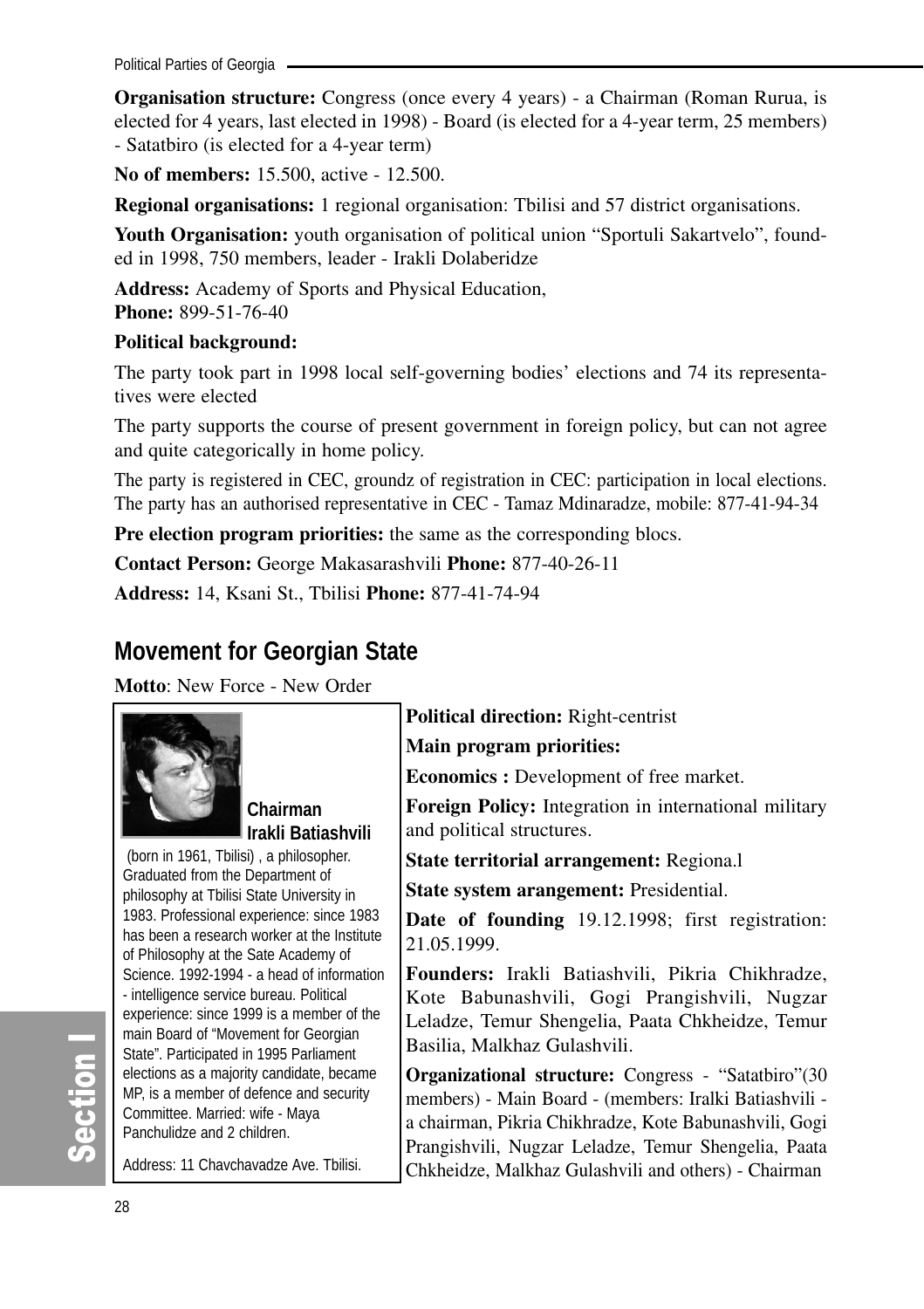Political Parties of Georgia

**Organisation structure:** Congress (once every 4 years) - a Chairman (Roman Rurua, is elected for 4 years, last elected in 1998) - Board (is elected for a 4-year term, 25 members) - Satatbiro (is elected for a 4-year term)

**No of members:** 15.500, active - 12.500.

**Regional organisations:** 1 regional organisation: Tbilisi and 57 district organisations.

Youth Organisation: vouth organisation of political union "Sportuli Sakartvelo", founded in 1998, 750 members, leader - Irakli Dolaberidze

**Address:** Academy of Sports and Physical Education, **Phone:** 899-51-76-40

#### **Political background:**

The party took part in 1998 local self-governing bodies' elections and 74 its representatives were elected

The party supports the course of present government in foreign policy, but can not agree and quite categorically in home policy.

The party is registered in CEC, groundz of registration in CEC: participation in local elections. The party has an authorised representative in CEC - Tamaz Mdinaradze, mobile: 877-41-94-34

**Pre election program priorities:** the same as the corresponding blocs.

**Contact Person:** George Makasarashvili **Phone:** 877-40-26-11

**Address:** 14, Ksani St., Tbilisi **Phone:** 877-41-74-94

# **Movement for Georgian State**

**Motto**: New Force - New Order



**Chairman Irakli Batiashvili** 

(born in 1961, Tbilisi) , a philosopher. Graduated from the Department of philosophy at Tbilisi State University in 1983. Professional experience: since 1983 has been a research worker at the Institute of Philosophy at the Sate Academy of Science. 1992-1994 - a head of information - intelligence service bureau. Political experience: since 1999 is a member of the main Board of "Movement for Georgian State". Participated in 1995 Parliament elections as a majority candidate, became MP, is a member of defence and security Committee. Married: wife - Maya Panchulidze and 2 children.

Address: 11 Chavchavadze Ave. Tbilisi.

**Political direction:** Right-centrist

**Main program priorities:**

**Economics :** Development of free market.

**Foreign Policy:** Integration in international military and political structures.

**State territorial arrangement:** Regiona.l

**State system arangement:** Presidential.

**Date of founding** 19.12.1998; first registration: 21.05.1999.

**Founders:** Irakli Batiashvili, Pikria Chikhradze, Kote Babunashvili, Gogi Prangishvili, Nugzar Leladze, Temur Shengelia, Paata Chkheidze, Temur Basilia, Malkhaz Gulashvili.

**Organizational structure:** Congress - "Satatbiro"(30 members) - Main Board - (members: Iralki Batiashvili a chairman, Pikria Chikhradze, Kote Babunashvili, Gogi Prangishvili, Nugzar Leladze, Temur Shengelia, Paata Chkheidze, Malkhaz Gulashvili and others) - Chairman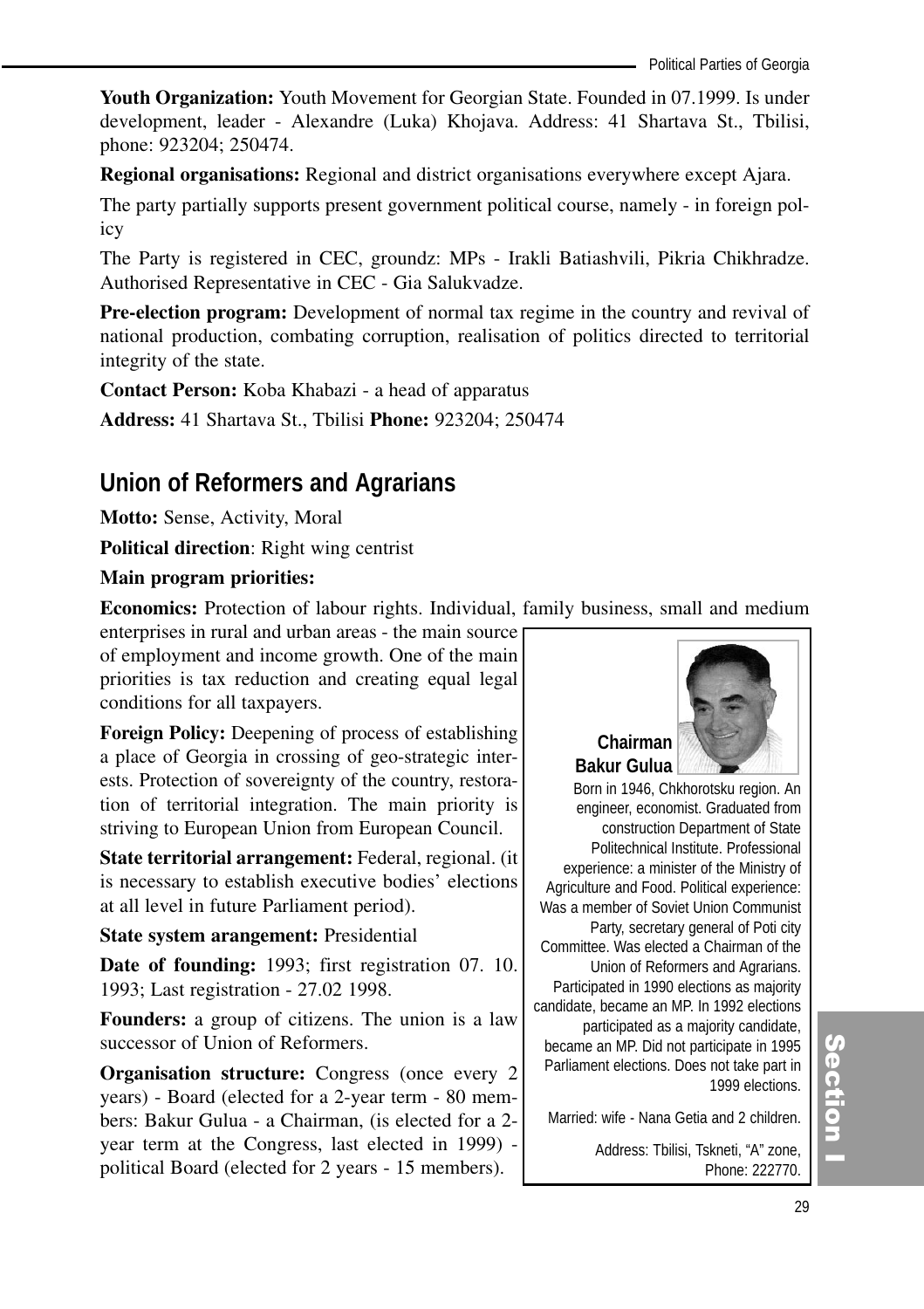**Youth Organization:** Youth Movement for Georgian State. Founded in 07.1999. Is under development, leader - Alexandre (Luka) Khojava. Address: 41 Shartava St., Tbilisi, phone: 923204; 250474.

**Regional organisations:** Regional and district organisations everywhere except Ajara.

The party partially supports present government political course, namely - in foreign policy

The Party is registered in CEC, groundz: MPs - Irakli Batiashvili, Pikria Chikhradze. Authorised Representative in CEC - Gia Salukvadze.

**Pre-election program:** Development of normal tax regime in the country and revival of national production, combating corruption, realisation of politics directed to territorial integrity of the state.

**Contact Person:** Koba Khabazi - a head of apparatus

**Address:** 41 Shartava St., Tbilisi **Phone:** 923204; 250474

# **Union of Reformers and Agrarians**

**Motto:** Sense, Activity, Moral

**Political direction**: Right wing centrist

#### **Main program priorities:**

**Economics:** Protection of labour rights. Individual, family business, small and medium

enterprises in rural and urban areas - the main source of employment and income growth. One of the main priorities is tax reduction and creating equal legal conditions for all taxpayers.

**Foreign Policy:** Deepening of process of establishing a place of Georgia in crossing of geo-strategic interests. Protection of sovereignty of the country, restoration of territorial integration. The main priority is striving to European Union from European Council.

**State territorial arrangement:** Federal, regional. (it is necessary to establish executive bodies' elections at all level in future Parliament period).

#### **State system arangement:** Presidential

**Date of founding:** 1993; first registration 07. 10. 1993; Last registration - 27.02 1998.

**Founders:** a group of citizens. The union is a law successor of Union of Reformers.

**Organisation structure:** Congress (once every 2) years) - Board (elected for a 2-year term - 80 members: Bakur Gulua - a Chairman, (is elected for a 2 year term at the Congress, last elected in 1999) political Board (elected for 2 years - 15 members).



**Chairman Bakur Gulua**

Born in 1946, Chkhorotsku region. An engineer, economist. Graduated from construction Department of State Politechnical Institute. Professional experience: a minister of the Ministry of Agriculture and Food. Political experience: Was a member of Soviet Union Communist Party, secretary general of Poti city Committee. Was elected a Chairman of the Union of Reformers and Agrarians. Participated in 1990 elections as majority candidate, became an MP. In 1992 elections participated as a majority candidate, became an MP. Did not participate in 1995 Parliament elections. Does not take part in 1999 elections.

Married: wife - Nana Getia and 2 children.

Address: Tbilisi, Tskneti, "A" zone, Phone: 222770.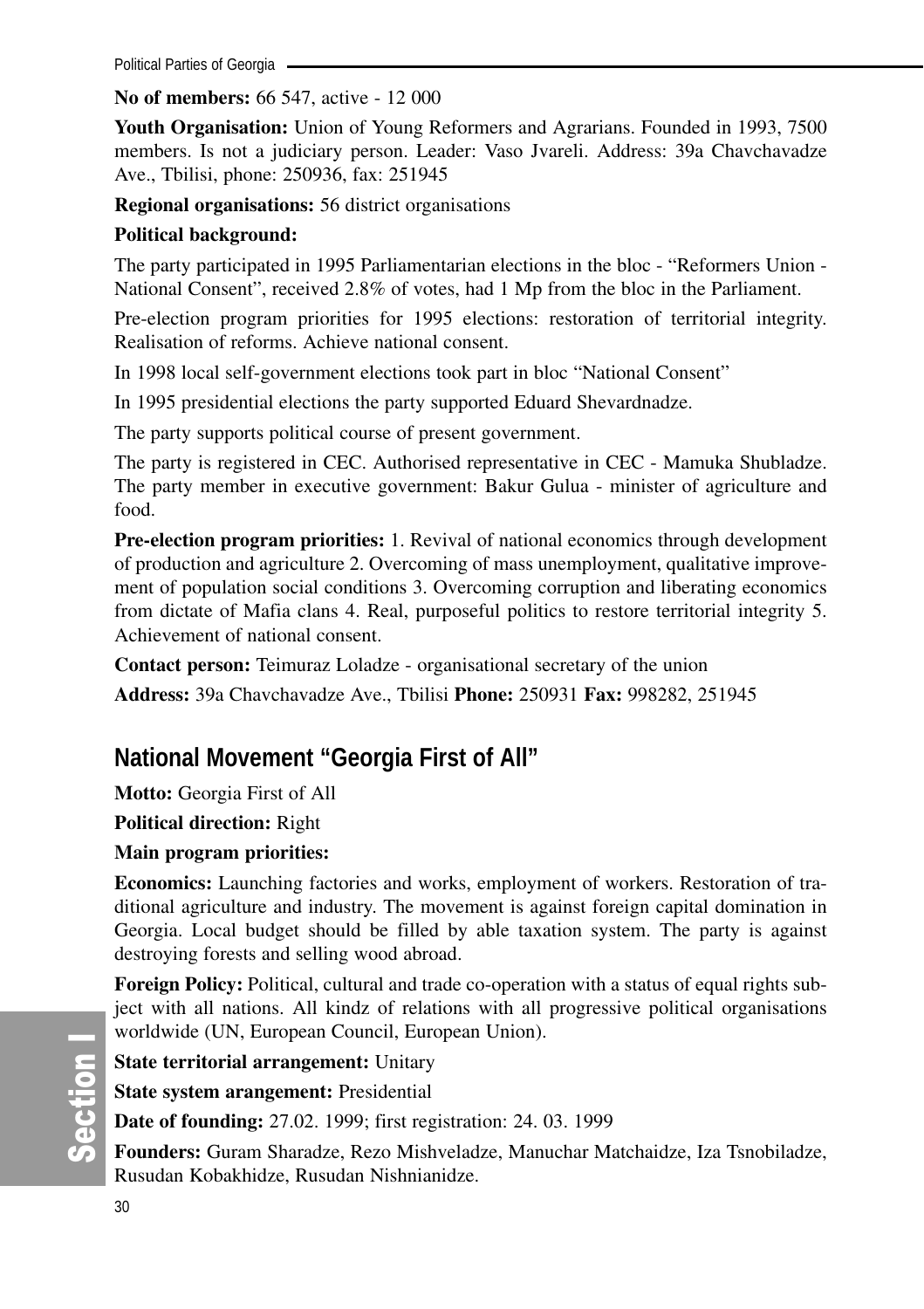#### **No of members:** 66 547, active - 12 000

**Youth Organisation:** Union of Young Reformers and Agrarians. Founded in 1993, 7500 members. Is not a judiciary person. Leader: Vaso Jvareli. Address: 39a Chavchavadze Ave., Tbilisi, phone: 250936, fax: 251945

**Regional organisations:** 56 district organisations

### **Political background:**

The party participated in 1995 Parliamentarian elections in the bloc - "Reformers Union - National Consent", received 2.8% of votes, had 1 Mp from the bloc in the Parliament.

Pre-election program priorities for 1995 elections: restoration of territorial integrity. Realisation of reforms. Achieve national consent.

In 1998 local self-government elections took part in bloc "National Consent"

In 1995 presidential elections the party supported Eduard Shevardnadze.

The party supports political course of present government.

The party is registered in CEC. Authorised representative in CEC - Mamuka Shubladze. The party member in executive government: Bakur Gulua - minister of agriculture and food.

**Pre-election program priorities:** 1. Revival of national economics through development of production and agriculture 2. Overcoming of mass unemployment, qualitative improvement of population social conditions 3. Overcoming corruption and liberating economics from dictate of Mafia clans 4. Real, purposeful politics to restore territorial integrity 5. Achievement of national consent.

**Contact person:** Teimuraz Loladze - organisational secretary of the union

**Address:** 39a Chavchavadze Ave., Tbilisi **Phone:** 250931 **Fax:** 998282, 251945

# **National Movement "Georgia First of All"**

**Motto:** Georgia First of All

**Political direction:** Right

### **Main program priorities:**

**Economics:** Launching factories and works, employment of workers. Restoration of traditional agriculture and industry. The movement is against foreign capital domination in Georgia. Local budget should be filled by able taxation system. The party is against destroying forests and selling wood abroad.

**Foreign Policy:** Political, cultural and trade co-operation with a status of equal rights subject with all nations. All kindz of relations with all progressive political organisations worldwide (UN, European Council, European Union).

**State territorial arrangement:** Unitary

**State system arangement:** Presidential

**Date of founding:** 27.02. 1999; first registration: 24. 03. 1999

**Founders:** Guram Sharadze, Rezo Mishveladze, Manuchar Matchaidze, Iza Tsnobiladze, Rusudan Kobakhidze, Rusudan Nishnianidze.

တိ ction I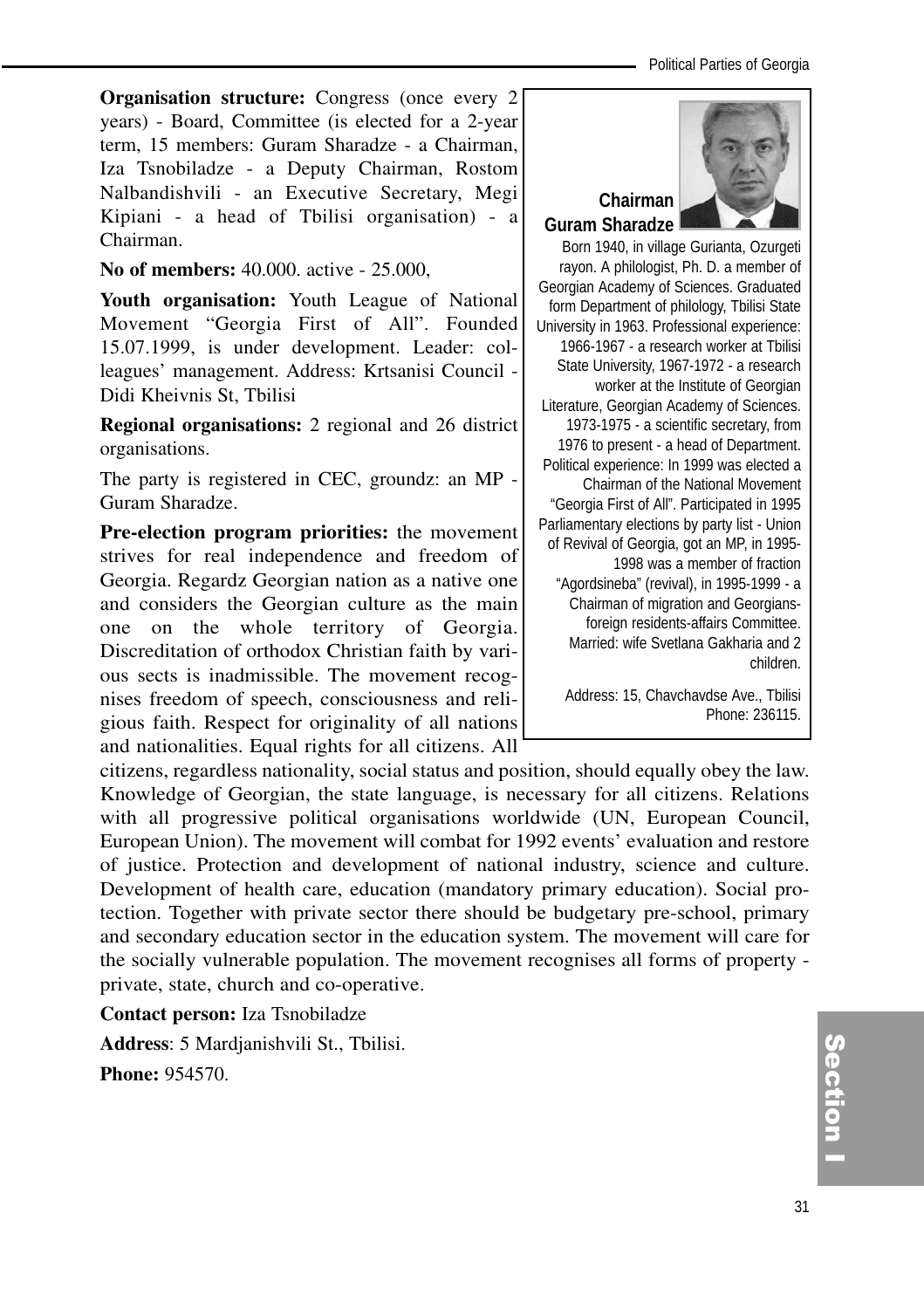**Organisation structure:** Congress (once every 2) years) - Board, Committee (is elected for a 2-year term, 15 members: Guram Sharadze - a Chairman, Iza Tsnobiladze - a Deputy Chairman, Rostom Nalbandishvili - an Executive Secretary, Megi Kipiani - a head of Tbilisi organisation) - a Chairman.

#### **No of members:** 40.000. active - 25.000,

**Youth organisation:** Youth League of National Movement "Georgia First of All". Founded 15.07.1999, is under development. Leader: colleagues' management. Address: Krtsanisi Council - Didi Kheivnis St, Tbilisi

**Regional organisations:** 2 regional and 26 district organisations.

The party is registered in CEC, groundz: an MP - Guram Sharadze.

**Pre-election program priorities:** the movement strives for real independence and freedom of Georgia. Regardz Georgian nation as a native one and considers the Georgian culture as the main one on the whole territory of Georgia. Discreditation of orthodox Christian faith by various sects is inadmissible. The movement recognises freedom of speech, consciousness and religious faith. Respect for originality of all nations and nationalities. Equal rights for all citizens. All

citizens, regardless nationality, social status and position, should equally obey the law. Knowledge of Georgian, the state language, is necessary for all citizens. Relations with all progressive political organisations worldwide (UN, European Council, European Union). The movement will combat for 1992 events' evaluation and restore of justice. Protection and development of national industry, science and culture. Development of health care, education (mandatory primary education). Social protection. Together with private sector there should be budgetary pre-school, primary and secondary education sector in the education system. The movement will care for the socially vulnerable population. The movement recognises all forms of property private, state, church and co-operative.

**Contact person:** Iza Tsnobiladze

**Address**: 5 Mardjanishvili St., Tbilisi.

**Phone:** 954570.



#### Born 1940, in village Gurianta, Ozurgeti rayon. A philologist, Ph. D. a member of Georgian Academy of Sciences. Graduated form Department of philology, Tbilisi State University in 1963. Professional experience: 1966-1967 - a research worker at Tbilisi State University, 1967-1972 - a research worker at the Institute of Georgian Literature, Georgian Academy of Sciences. 1973-1975 - a scientific secretary, from 1976 to present - a head of Department. Political experience: In 1999 was elected a Chairman of the National Movement "Georgia First of All". Participated in 1995 Parliamentary elections by party list - Union of Revival of Georgia, got an MP, in 1995- 1998 was a member of fraction "Agordsineba" (revival), in 1995-1999 - a Chairman of migration and Georgiansforeign residents-affairs Committee. Married: wife Svetlana Gakharia and 2 children.

Address: 15, Chavchavdse Ave., Tbilisi Phone: 236115.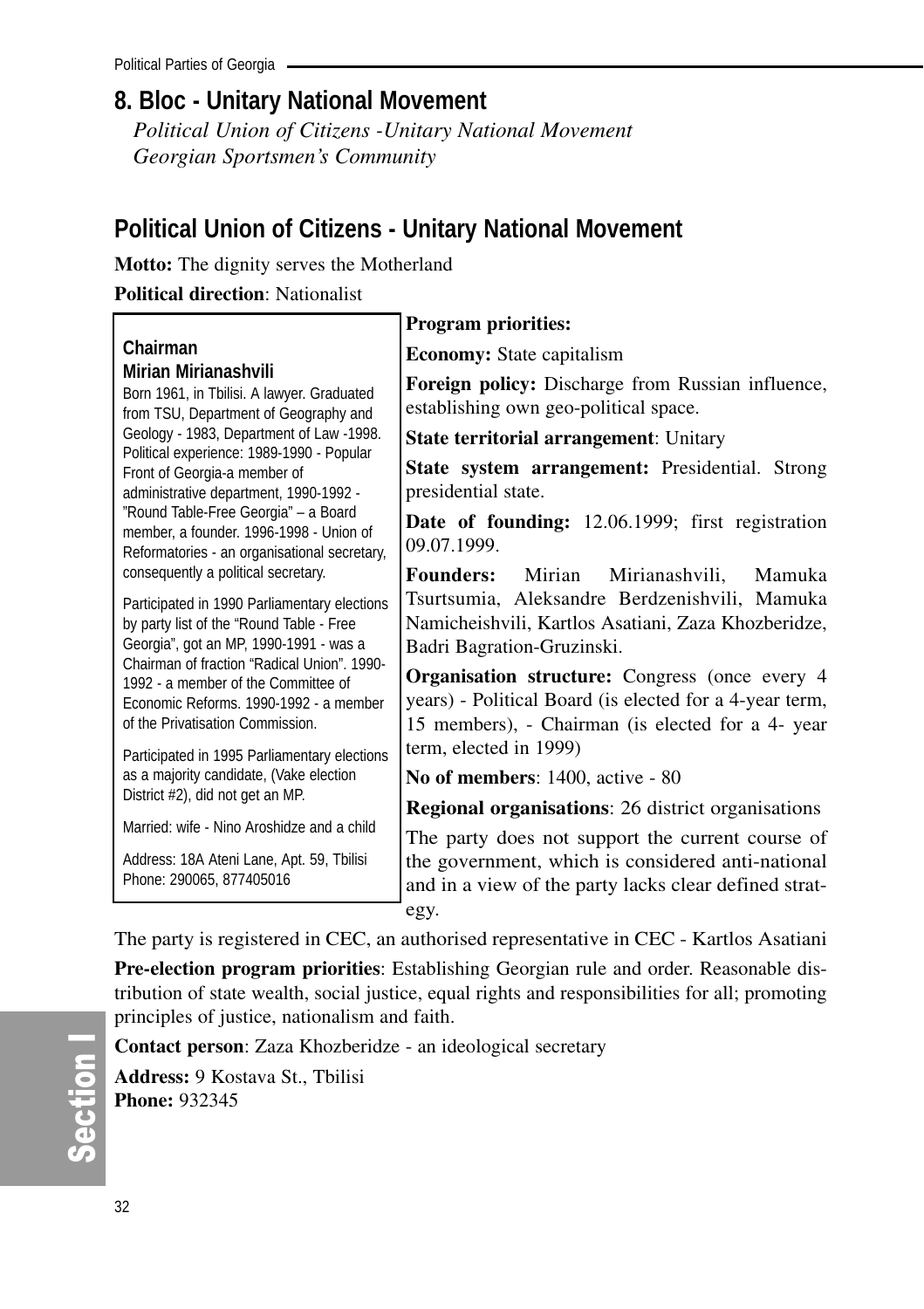# **8. Bloc - Unitary National Movement**

*Political Union of Citizens -Unitary National Movement Georgian Sportsmen's Community*

# **Political Union of Citizens - Unitary National Movement**

**Motto:** The dignity serves the Motherland

**Political direction**: Nationalist

|                                                                                                                                                                                                                          | <b>Program priorities:</b>                                                                                                                                            |
|--------------------------------------------------------------------------------------------------------------------------------------------------------------------------------------------------------------------------|-----------------------------------------------------------------------------------------------------------------------------------------------------------------------|
| Chairman<br>Mirian Mirianashvili<br>Born 1961, in Tbilisi. A lawyer. Graduated<br>from TSU, Department of Geography and                                                                                                  | <b>Economy:</b> State capitalism                                                                                                                                      |
|                                                                                                                                                                                                                          | Foreign policy: Discharge from Russian influence,<br>establishing own geo-political space.                                                                            |
| Geology - 1983, Department of Law -1998.                                                                                                                                                                                 | <b>State territorial arrangement: Unitary</b>                                                                                                                         |
| Political experience: 1989-1990 - Popular<br>Front of Georgia-a member of<br>administrative department, 1990-1992 -                                                                                                      | <b>State system arrangement:</b> Presidential. Strong<br>presidential state.                                                                                          |
| "Round Table-Free Georgia" - a Board<br>member, a founder, 1996-1998 - Union of<br>Reformatories - an organisational secretary,                                                                                          | Date of founding: 12.06.1999; first registration<br>09.07.1999.                                                                                                       |
| consequently a political secretary.<br>Participated in 1990 Parliamentary elections<br>by party list of the "Round Table - Free<br>Georgia", got an MP, 1990-1991 - was a<br>Chairman of fraction "Radical Union", 1990- | Mirian<br>Mirianashvili,<br><b>Founders:</b><br>Mamuka<br>Tsurtsumia, Aleksandre Berdzenishvili, Mamuka                                                               |
|                                                                                                                                                                                                                          | Namicheishvili, Kartlos Asatiani, Zaza Khozberidze,<br>Badri Bagration-Gruzinski.                                                                                     |
| 1992 - a member of the Committee of<br>Economic Reforms, 1990-1992 - a member<br>of the Privatisation Commission.                                                                                                        | <b>Organisation structure:</b> Congress (once every 4<br>years) - Political Board (is elected for a 4-year term,<br>15 members), - Chairman (is elected for a 4- year |
| Participated in 1995 Parliamentary elections                                                                                                                                                                             | term, elected in 1999)                                                                                                                                                |
| as a majority candidate, (Vake election                                                                                                                                                                                  | No of members: 1400, active - 80                                                                                                                                      |
| District #2), did not get an MP.                                                                                                                                                                                         | <b>Regional organisations:</b> 26 district organisations                                                                                                              |
| Married: wife - Nino Aroshidze and a child                                                                                                                                                                               | The party does not support the current course of                                                                                                                      |
| Address: 18A Ateni Lane, Apt. 59, Tbilisi<br>Phone: 290065, 877405016                                                                                                                                                    | the government, which is considered anti-national<br>and in a view of the party lacks clear defined strat-                                                            |
|                                                                                                                                                                                                                          | egy.                                                                                                                                                                  |

The party is registered in CEC, an authorised representative in CEC - Kartlos Asatiani

**Pre-election program priorities**: Establishing Georgian rule and order. Reasonable distribution of state wealth, social justice, equal rights and responsibilities for all; promoting principles of justice, nationalism and faith.

**Contact person**: Zaza Khozberidze - an ideological secretary

**Address:** 9 Kostava St., Tbilisi **Phone:** 932345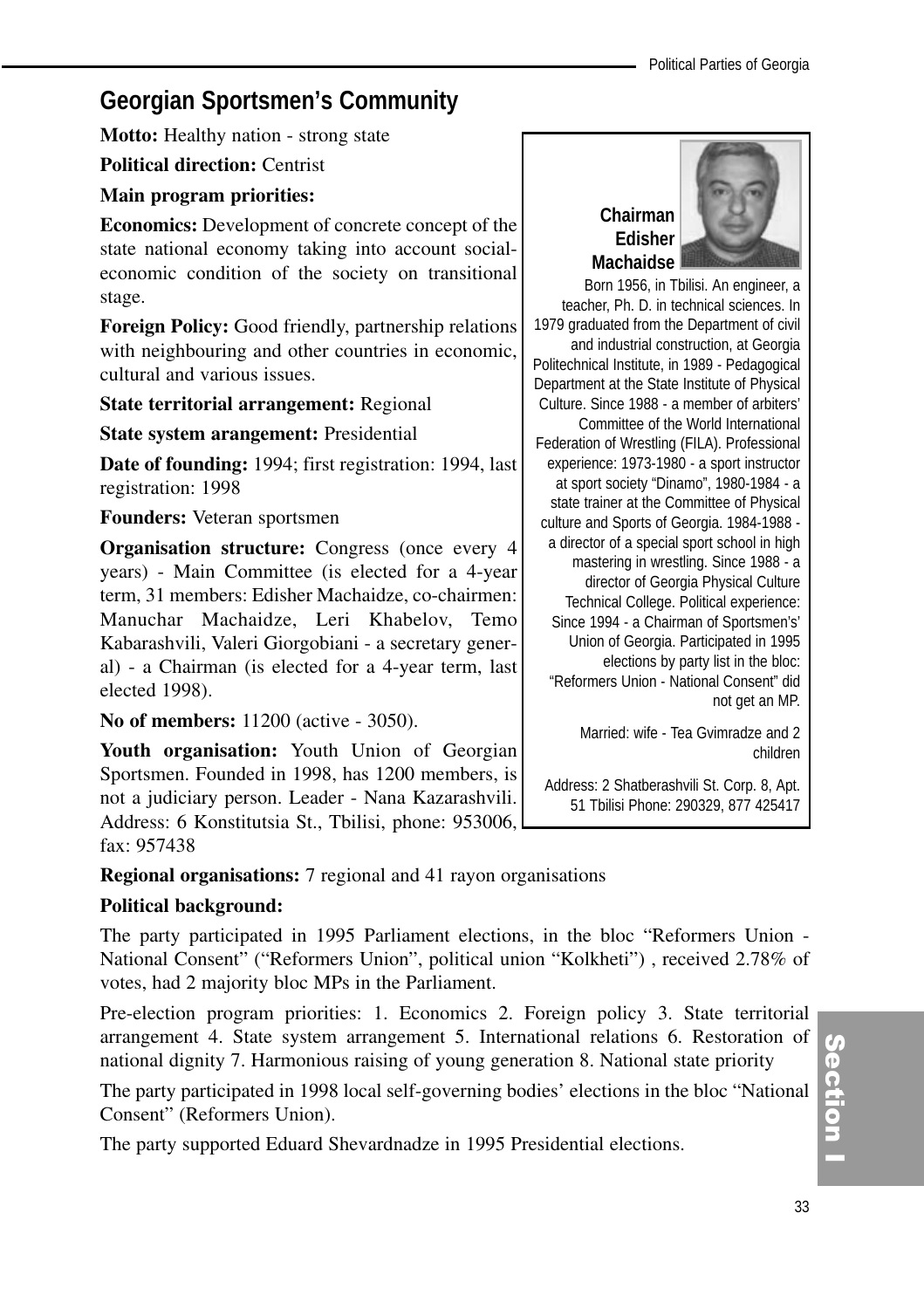# **Georgian Sportsmen's Community**

**Motto:** Healthy nation - strong state

**Political direction:** Centrist

#### **Main program priorities:**

**Economics:** Development of concrete concept of the state national economy taking into account socialeconomic condition of the society on transitional stage.

**Foreign Policy:** Good friendly, partnership relations with neighbouring and other countries in economic, cultural and various issues.

#### **State territorial arrangement:** Regional

#### **State system arangement:** Presidential

**Date of founding:** 1994; first registration: 1994, last registration: 1998

#### **Founders:** Veteran sportsmen

**Organisation structure:** Congress (once every 4 years) - Main Committee (is elected for a 4-year term, 31 members: Edisher Machaidze, co-chairmen: Manuchar Machaidze, Leri Khabelov, Temo Kabarashvili, Valeri Giorgobiani - a secretary general) - a Chairman (is elected for a 4-year term, last elected 1998).

**No of members:** 11200 (active - 3050).

**Youth organisation:** Youth Union of Georgian Sportsmen. Founded in 1998, has 1200 members, is not a judiciary person. Leader - Nana Kazarashvili. Address: 6 Konstitutsia St., Tbilisi, phone: 953006, fax: 957438

## **Regional organisations:** 7 regional and 41 rayon organisations

#### **Political background:**

The party participated in 1995 Parliament elections, in the bloc "Reformers Union - National Consent" ("Reformers Union", political union "Kolkheti") , received 2.78% of votes, had 2 majority bloc MPs in the Parliament.

Pre-election program priorities: 1. Economics 2. Foreign policy 3. State territorial arrangement 4. State system arrangement 5. International relations 6. Restoration of national dignity 7. Harmonious raising of young generation 8. National state priority

The party participated in 1998 local self-governing bodies' elections in the bloc "National Consent" (Reformers Union).

The party supported Eduard Shevardnadze in 1995 Presidential elections.

# **Chairman Edisher Machaidse**



Born 1956, in Tbilisi. An engineer, a teacher, Ph. D. in technical sciences. In 1979 graduated from the Department of civil and industrial construction, at Georgia Politechnical Institute, in 1989 - Pedagogical Department at the State Institute of Physical Culture. Since 1988 - a member of arbiters' Committee of the World International Federation of Wrestling (FILA). Professional experience: 1973-1980 - a sport instructor at sport society "Dinamo", 1980-1984 - a state trainer at the Committee of Physical culture and Sports of Georgia. 1984-1988 a director of a special sport school in high mastering in wrestling. Since 1988 - a director of Georgia Physical Culture Technical College. Political experience: Since 1994 - a Chairman of Sportsmen's' Union of Georgia. Participated in 1995 elections by party list in the bloc: "Reformers Union - National Consent" did not get an MP.

> Married: wife - Tea Gvimradze and 2 children

Address: 2 Shatberashvili St. Corp. 8, Apt. 51 Tbilisi Phone: 290329, 877 425417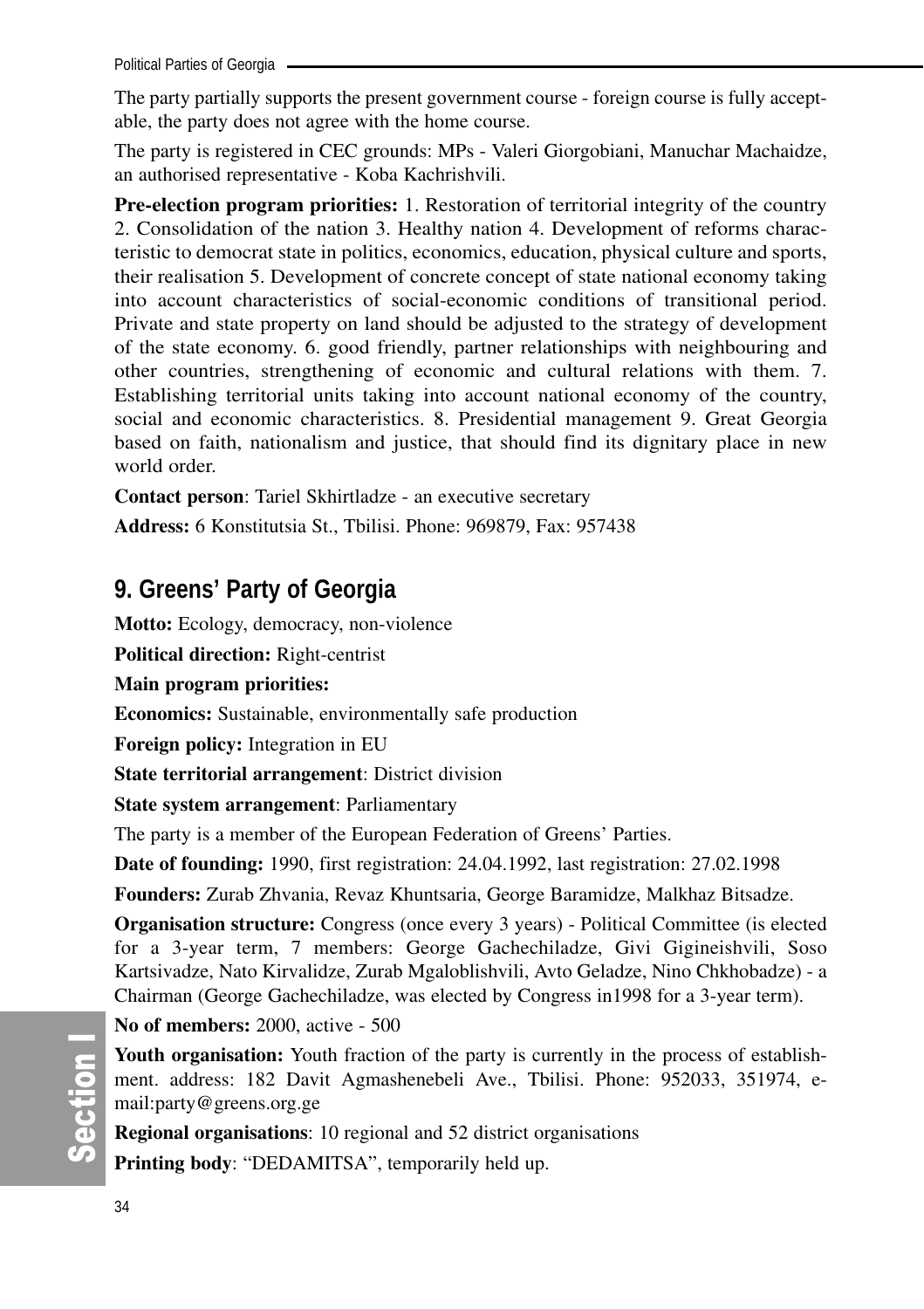Political Parties of Georgia

The party partially supports the present government course - foreign course is fully acceptable, the party does not agree with the home course.

The party is registered in CEC grounds: MPs - Valeri Giorgobiani, Manuchar Machaidze, an authorised representative - Koba Kachrishvili.

**Pre-election program priorities:** 1. Restoration of territorial integrity of the country 2. Consolidation of the nation 3. Healthy nation 4. Development of reforms characteristic to democrat state in politics, economics, education, physical culture and sports, their realisation 5. Development of concrete concept of state national economy taking into account characteristics of social-economic conditions of transitional period. Private and state property on land should be adjusted to the strategy of development of the state economy. 6. good friendly, partner relationships with neighbouring and other countries, strengthening of economic and cultural relations with them. 7. Establishing territorial units taking into account national economy of the country, social and economic characteristics. 8. Presidential management 9. Great Georgia based on faith, nationalism and justice, that should find its dignitary place in new world order.

**Contact person**: Tariel Skhirtladze - an executive secretary

**Address:** 6 Konstitutsia St., Tbilisi. Phone: 969879, Fax: 957438

# **9. Greens' Party of Georgia**

**Motto:** Ecology, democracy, non-violence

**Political direction:** Right-centrist

**Main program priorities:** 

**Economics:** Sustainable, environmentally safe production

**Foreign policy:** Integration in EU

**State territorial arrangement**: District division

**State system arrangement**: Parliamentary

The party is a member of the European Federation of Greens' Parties.

**Date of founding:** 1990, first registration: 24.04.1992, last registration: 27.02.1998

**Founders:** Zurab Zhvania, Revaz Khuntsaria, George Baramidze, Malkhaz Bitsadze.

**Organisation structure:** Congress (once every 3 years) - Political Committee (is elected for a 3-year term, 7 members: George Gachechiladze, Givi Gigineishvili, Soso Kartsivadze, Nato Kirvalidze, Zurab Mgaloblishvili, Avto Geladze, Nino Chkhobadze) - a Chairman (George Gachechiladze, was elected by Congress in1998 for a 3-year term).

**No of members:** 2000, active - 500

**Youth organisation:** Youth fraction of the party is currently in the process of establishment. address: 182 Davit Agmashenebeli Ave., Tbilisi. Phone: 952033, 351974, email:party@greens.org.ge

**Regional organisations**: 10 regional and 52 district organisations

**Printing body**: "DEDAMITSA", temporarily held up.

တိ ction I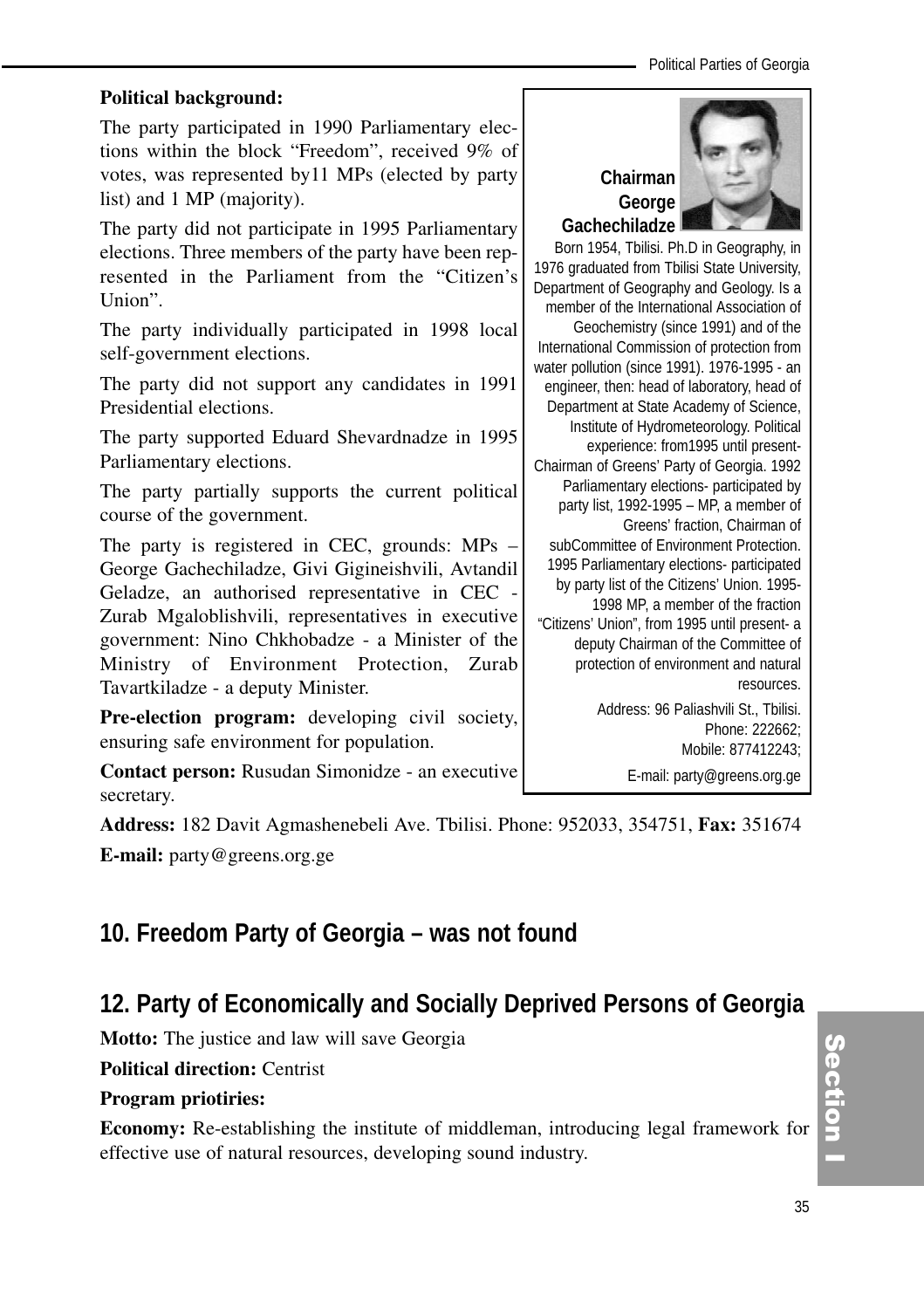#### **Political background:**

The party participated in 1990 Parliamentary elections within the block "Freedom", received 9% of votes, was represented by11 MPs (elected by party list) and 1 MP (majority).

The party did not participate in 1995 Parliamentary elections. Three members of the party have been represented in the Parliament from the "Citizen's Union".

The party individually participated in 1998 local self-government elections.

The party did not support any candidates in 1991 Presidential elections.

The party supported Eduard Shevardnadze in 1995 Parliamentary elections.

The party partially supports the current political course of the government.

The party is registered in CEC, grounds: MPs – George Gachechiladze, Givi Gigineishvili, Avtandil Geladze, an authorised representative in CEC - Zurab Mgaloblishvili, representatives in executive government: Nino Chkhobadze - a Minister of the Ministry of Environment Protection, Zurab Tavartkiladze - a deputy Minister.

**Pre-election program:** developing civil society, ensuring safe environment for population.

**Contact person:** Rusudan Simonidze - an executive secretary.

**Address:** 182 Davit Agmashenebeli Ave. Tbilisi. Phone: 952033, 354751, **Fax:** 351674

**E-mail:** party@greens.org.ge

# **10. Freedom Party of Georgia – was not found**

# **12. Party of Economically and Socially Deprived Persons of Georgia**

**Motto:** The justice and law will save Georgia

**Political direction:** Centrist

#### **Program priotiries:**

**Economy:** Re-establishing the institute of middleman, introducing legal framework for effective use of natural resources, developing sound industry.



Born 1954, Tbilisi. Ph.D in Geography, in 1976 graduated from Tbilisi State University, Department of Geography and Geology. Is a member of the International Association of Geochemistry (since 1991) and of the International Commission of protection from water pollution (since 1991). 1976-1995 - an engineer, then: head of laboratory, head of Department at State Academy of Science, Institute of Hydrometeorology. Political experience: from1995 until present-Chairman of Greens' Party of Georgia. 1992 Parliamentary elections- participated by party list, 1992-1995 – MP, a member of Greens' fraction, Chairman of subCommittee of Environment Protection. 1995 Parliamentary elections- participated by party list of the Citizens' Union. 1995- 1998 MP, a member of the fraction "Citizens' Union", from 1995 until present- a deputy Chairman of the Committee of protection of environment and natural resources. Address: 96 Paliashvili St., Tbilisi. Phone: 222662;

Mobile: 877412243; E-mail: party@greens.org.ge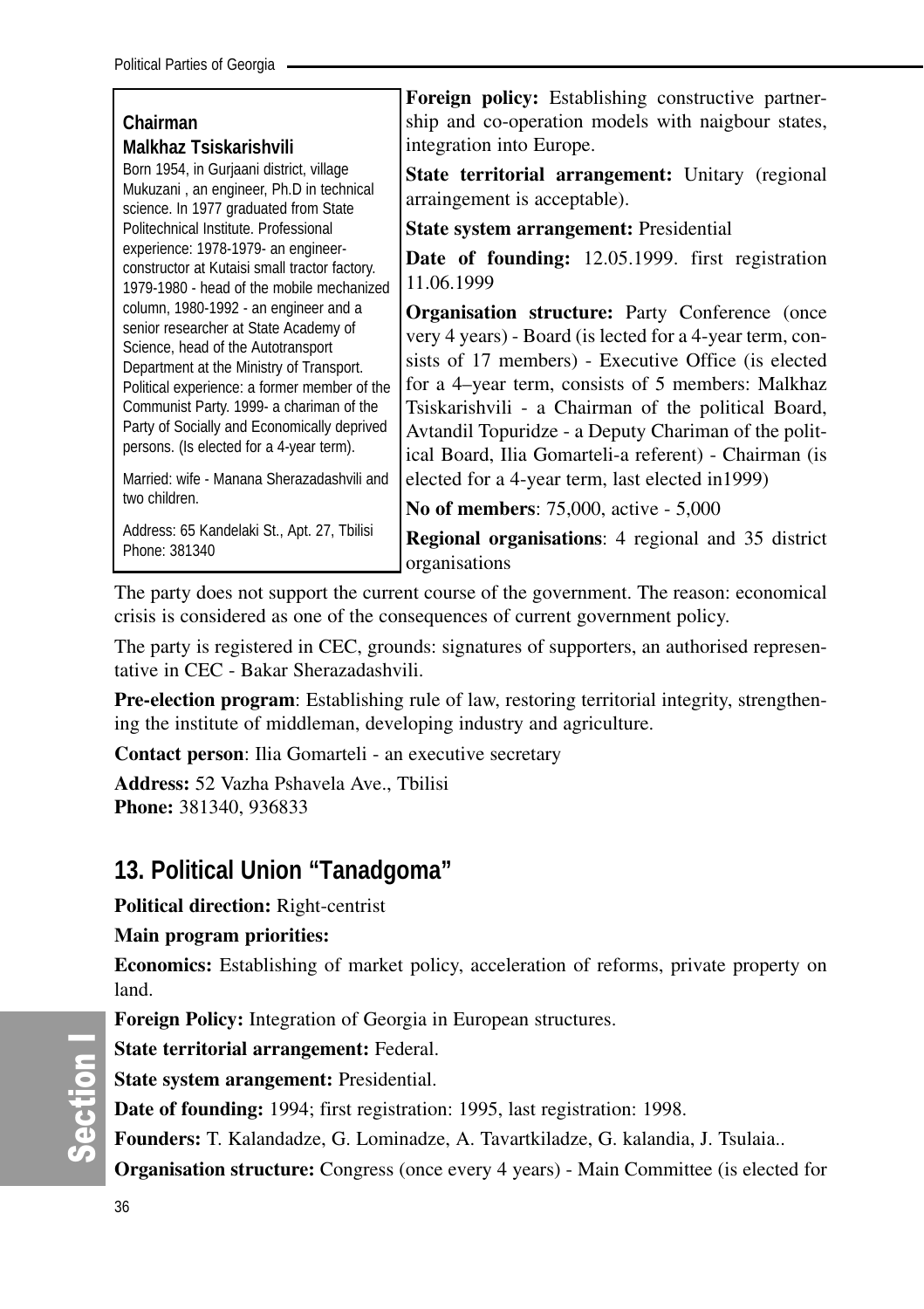|                                                                                                                                                                                                                                                                                                                                                                                                                        | <b>Foreign policy:</b> Establishing constructive partner-                                                                                                                                                                                                                                                                                                                                                                                                 |
|------------------------------------------------------------------------------------------------------------------------------------------------------------------------------------------------------------------------------------------------------------------------------------------------------------------------------------------------------------------------------------------------------------------------|-----------------------------------------------------------------------------------------------------------------------------------------------------------------------------------------------------------------------------------------------------------------------------------------------------------------------------------------------------------------------------------------------------------------------------------------------------------|
| Chairman                                                                                                                                                                                                                                                                                                                                                                                                               | ship and co-operation models with naigbour states,                                                                                                                                                                                                                                                                                                                                                                                                        |
| Malkhaz Tsiskarishvili                                                                                                                                                                                                                                                                                                                                                                                                 | integration into Europe.                                                                                                                                                                                                                                                                                                                                                                                                                                  |
| Born 1954, in Gurjaani district, village<br>Mukuzani, an engineer, Ph.D in technical<br>science. In 1977 graduated from State                                                                                                                                                                                                                                                                                          | State territorial arrangement: Unitary (regional<br>arraingement is acceptable).                                                                                                                                                                                                                                                                                                                                                                          |
| Politechnical Institute, Professional                                                                                                                                                                                                                                                                                                                                                                                  | <b>State system arrangement: Presidential</b>                                                                                                                                                                                                                                                                                                                                                                                                             |
| experience: 1978-1979- an engineer-<br>constructor at Kutaisi small tractor factory.<br>1979-1980 - head of the mobile mechanized                                                                                                                                                                                                                                                                                      | <b>Date of founding:</b> 12.05.1999. first registration<br>11.06.1999                                                                                                                                                                                                                                                                                                                                                                                     |
| column, 1980-1992 - an engineer and a<br>senior researcher at State Academy of<br>Science, head of the Autotransport<br>Department at the Ministry of Transport.<br>Political experience: a former member of the<br>Communist Party. 1999- a chariman of the<br>Party of Socially and Economically deprived<br>persons. (Is elected for a 4-year term).<br>Married: wife - Manana Sherazadashvili and<br>two children. | <b>Organisation structure:</b> Party Conference (once<br>very 4 years) - Board (is lected for a 4-year term, con-<br>sists of 17 members) - Executive Office (is elected<br>for a 4–year term, consists of 5 members: Malkhaz<br>Tsiskarishvili - a Chairman of the political Board,<br>Avtandil Topuridze - a Deputy Chariman of the polit-<br>ical Board, Ilia Gomarteli-a referent) - Chairman (is<br>elected for a 4-year term, last elected in 1999) |
|                                                                                                                                                                                                                                                                                                                                                                                                                        | <b>No of members:</b> 75,000, active - 5,000                                                                                                                                                                                                                                                                                                                                                                                                              |
| Address: 65 Kandelaki St., Apt. 27, Tbilisi<br>Phone: 381340                                                                                                                                                                                                                                                                                                                                                           | <b>Regional organisations:</b> 4 regional and 35 district<br>organisations                                                                                                                                                                                                                                                                                                                                                                                |

The party does not support the current course of the government. The reason: economical crisis is considered as one of the consequences of current government policy.

The party is registered in CEC, grounds: signatures of supporters, an authorised representative in CEC - Bakar Sherazadashvili.

**Pre-election program**: Establishing rule of law, restoring territorial integrity, strengthening the institute of middleman, developing industry and agriculture.

**Contact person**: Ilia Gomarteli - an executive secretary

**Address:** 52 Vazha Pshavela Ave., Tbilisi **Phone:** 381340, 936833

## **13. Political Union "Tanadgoma"**

**Political direction:** Right-centrist

#### **Main program priorities:**

**Economics:** Establishing of market policy, acceleration of reforms, private property on land.

**Foreign Policy:** Integration of Georgia in European structures.

**State territorial arrangement:** Federal.

**State system arangement:** Presidential.

**Date of founding:** 1994; first registration: 1995, last registration: 1998.

**Founders:** T. Kalandadze, G. Lominadze, A. Tavartkiladze, G. kalandia, J. Tsulaia..

**Organisation structure:** Congress (once every 4 years) - Main Committee (is elected for

တိ ction I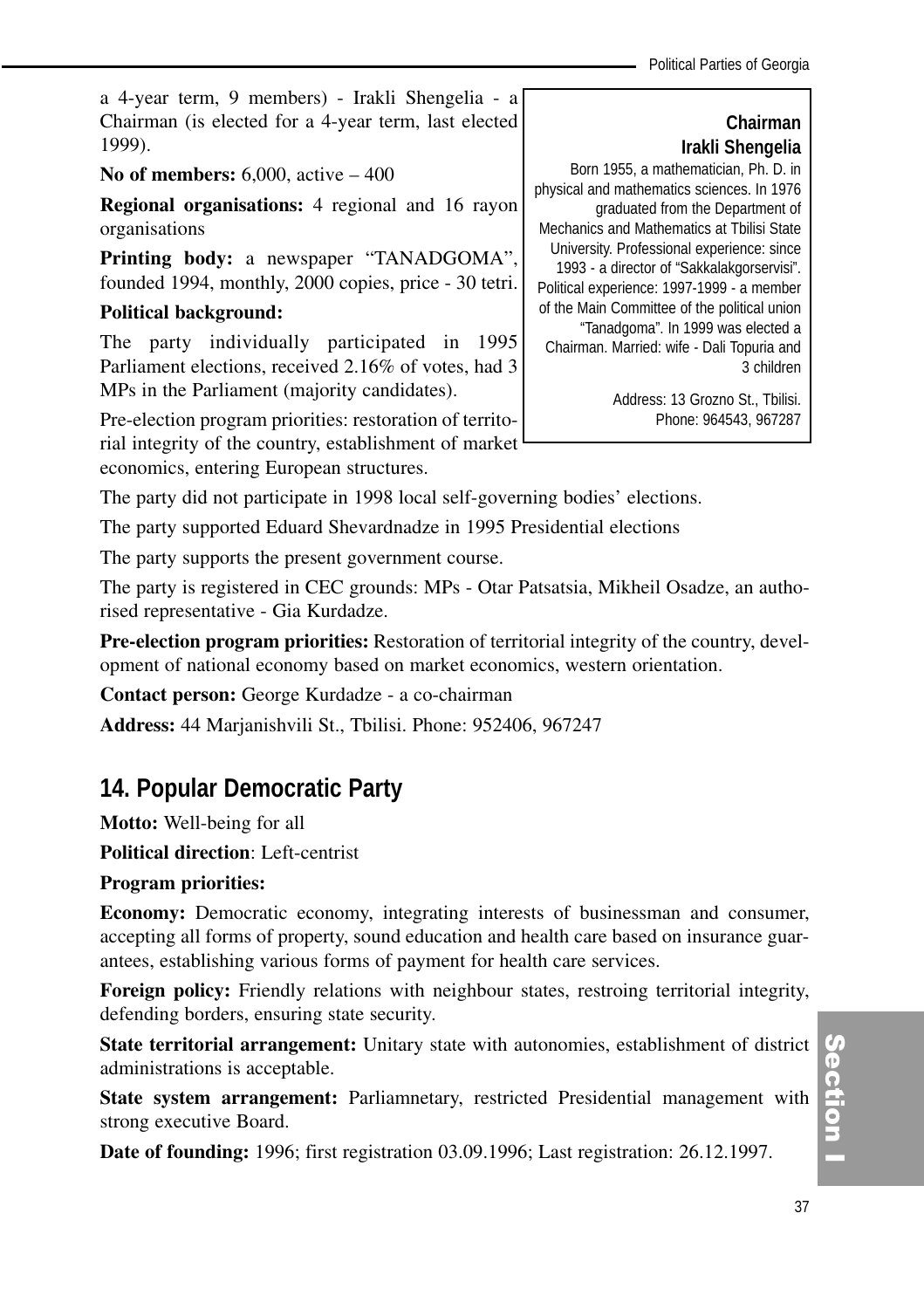a 4-year term, 9 members) - Irakli Shengelia - a Chairman (is elected for a 4-year term, last elected 1999).

## **No of members:** 6,000, active – 400

**Regional organisations:** 4 regional and 16 rayon organisations

**Printing body:** a newspaper "TANADGOMA", founded 1994, monthly, 2000 copies, price - 30 tetri.

### **Political background:**

The party individually participated in 1995 Parliament elections, received 2.16% of votes, had 3 MPs in the Parliament (majority candidates).

Pre-election program priorities: restoration of territorial integrity of the country, establishment of market economics, entering European structures.

**Chairman Irakli Shengelia**  Born 1955, a mathematician, Ph. D. in physical and mathematics sciences. In 1976 graduated from the Department of Mechanics and Mathematics at Tbilisi State University. Professional experience: since 1993 - a director of "Sakkalakgorservisi". Political experience: 1997-1999 - a member of the Main Committee of the political union "Tanadgoma". In 1999 was elected a Chairman. Married: wife - Dali Topuria and 3 children

> Address: 13 Grozno St., Tbilisi. Phone: 964543, 967287

The party did not participate in 1998 local self-governing bodies' elections.

The party supported Eduard Shevardnadze in 1995 Presidential elections

The party supports the present government course.

The party is registered in CEC grounds: MPs - Otar Patsatsia, Mikheil Osadze, an authorised representative - Gia Kurdadze.

**Pre-election program priorities:** Restoration of territorial integrity of the country, development of national economy based on market economics, western orientation.

**Contact person:** George Kurdadze - a co-chairman

**Address:** 44 Marjanishvili St., Tbilisi. Phone: 952406, 967247

## **14. Popular Democratic Party**

**Motto:** Well-being for all

**Political direction**: Left-centrist

#### **Program priorities:**

**Economy:** Democratic economy, integrating interests of businessman and consumer, accepting all forms of property, sound education and health care based on insurance guarantees, establishing various forms of payment for health care services.

**Foreign policy:** Friendly relations with neighbour states, restroing territorial integrity, defending borders, ensuring state security.

**State territorial arrangement:** Unitary state with autonomies, establishment of district administrations is acceptable.

**State system arrangement:** Parliamnetary, restricted Presidential management with strong executive Board.

**Date of founding:** 1996; first registration 03.09.1996; Last registration: 26.12.1997.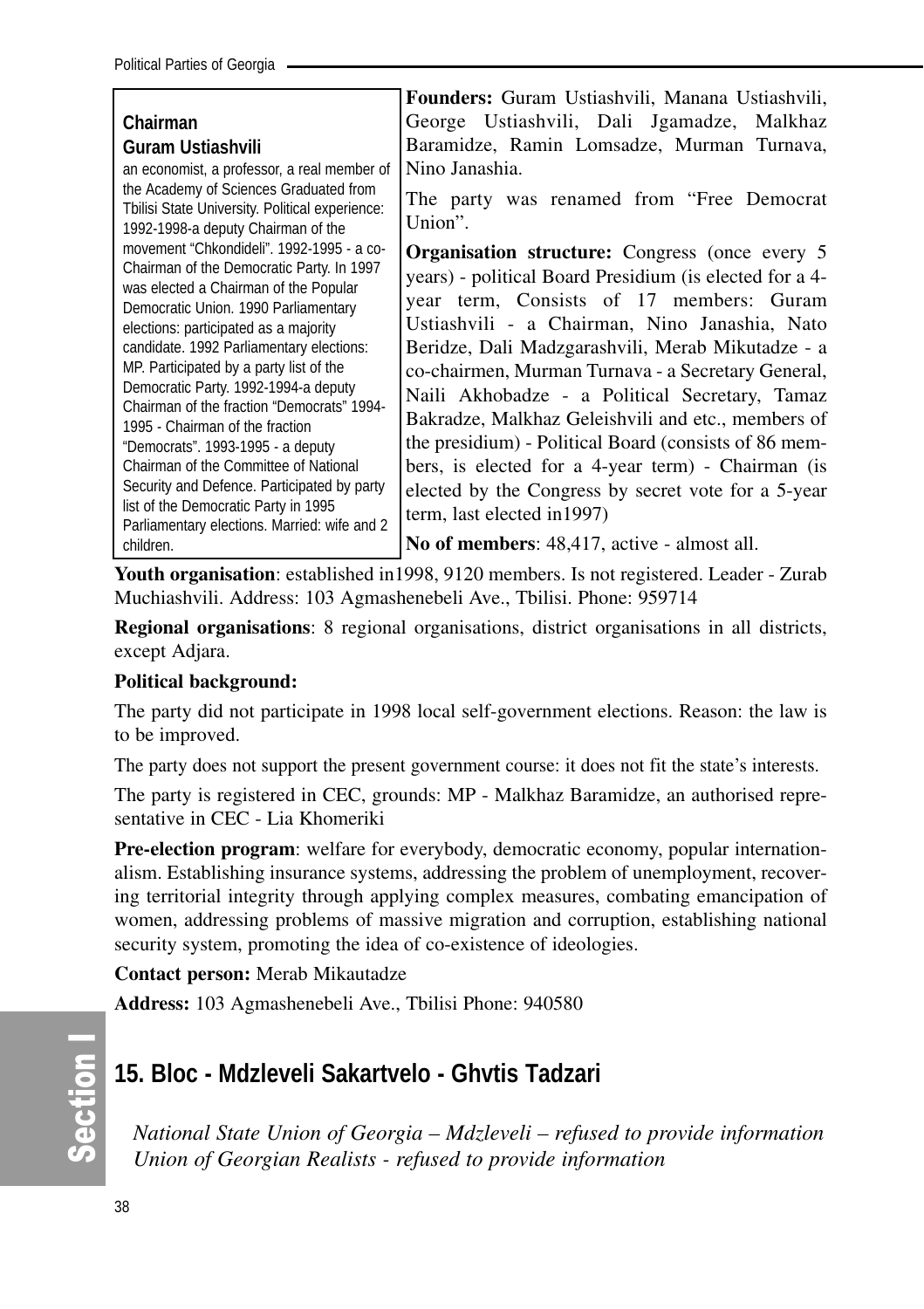| George Ustiashvili, Dali Jgamadze, Malkhaz<br>Chairman<br>Baramidze, Ramin Lomsadze, Murman Turnava,<br>Guram Ustiashvili<br>Nino Janashia.<br>an economist, a professor, a real member of<br>the Academy of Sciences Graduated from<br>The party was renamed from "Free Democrat"<br>Tbilisi State University. Political experience:<br>Union".<br>1992-1998-a deputy Chairman of the<br>movement "Chkondideli", 1992-1995 - a co-<br><b>Organisation structure:</b> Congress (once every 5<br>Chairman of the Democratic Party. In 1997<br>years) - political Board Presidium (is elected for a 4-<br>was elected a Chairman of the Popular<br>year term, Consists of 17 members: Guram<br>Democratic Union. 1990 Parliamentary<br>Ustiashvili - a Chairman, Nino Janashia, Nato<br>elections: participated as a majority<br>candidate. 1992 Parliamentary elections:<br>Beridze, Dali Madzgarashvili, Merab Mikutadze - a<br>MP. Participated by a party list of the<br>co-chairmen, Murman Turnava - a Secretary General,<br>Democratic Party. 1992-1994-a deputy<br>Naili Akhobadze - a Political Secretary, Tamaz<br>Chairman of the fraction "Democrats" 1994-<br>Bakradze, Malkhaz Geleishvili and etc., members of<br>1995 - Chairman of the fraction<br>the presidium) - Political Board (consists of 86 mem-<br>"Democrats". 1993-1995 - a deputy<br>Chairman of the Committee of National<br>bers, is elected for a 4-year term) - Chairman (is<br>Security and Defence. Participated by party<br>elected by the Congress by secret vote for a 5-year<br>list of the Democratic Party in 1995<br>term, last elected in 1997)<br>Parliamentary elections. Married: wife and 2 |           | Founders: Guram Ustiashvili, Manana Ustiashvili, |
|------------------------------------------------------------------------------------------------------------------------------------------------------------------------------------------------------------------------------------------------------------------------------------------------------------------------------------------------------------------------------------------------------------------------------------------------------------------------------------------------------------------------------------------------------------------------------------------------------------------------------------------------------------------------------------------------------------------------------------------------------------------------------------------------------------------------------------------------------------------------------------------------------------------------------------------------------------------------------------------------------------------------------------------------------------------------------------------------------------------------------------------------------------------------------------------------------------------------------------------------------------------------------------------------------------------------------------------------------------------------------------------------------------------------------------------------------------------------------------------------------------------------------------------------------------------------------------------------------------------------------------------------------------------------------------------|-----------|--------------------------------------------------|
|                                                                                                                                                                                                                                                                                                                                                                                                                                                                                                                                                                                                                                                                                                                                                                                                                                                                                                                                                                                                                                                                                                                                                                                                                                                                                                                                                                                                                                                                                                                                                                                                                                                                                          |           |                                                  |
|                                                                                                                                                                                                                                                                                                                                                                                                                                                                                                                                                                                                                                                                                                                                                                                                                                                                                                                                                                                                                                                                                                                                                                                                                                                                                                                                                                                                                                                                                                                                                                                                                                                                                          |           |                                                  |
|                                                                                                                                                                                                                                                                                                                                                                                                                                                                                                                                                                                                                                                                                                                                                                                                                                                                                                                                                                                                                                                                                                                                                                                                                                                                                                                                                                                                                                                                                                                                                                                                                                                                                          |           |                                                  |
|                                                                                                                                                                                                                                                                                                                                                                                                                                                                                                                                                                                                                                                                                                                                                                                                                                                                                                                                                                                                                                                                                                                                                                                                                                                                                                                                                                                                                                                                                                                                                                                                                                                                                          |           |                                                  |
|                                                                                                                                                                                                                                                                                                                                                                                                                                                                                                                                                                                                                                                                                                                                                                                                                                                                                                                                                                                                                                                                                                                                                                                                                                                                                                                                                                                                                                                                                                                                                                                                                                                                                          |           |                                                  |
|                                                                                                                                                                                                                                                                                                                                                                                                                                                                                                                                                                                                                                                                                                                                                                                                                                                                                                                                                                                                                                                                                                                                                                                                                                                                                                                                                                                                                                                                                                                                                                                                                                                                                          | children. | No of members: 48,417, active - almost all.      |

**Youth organisation**: established in1998, 9120 members. Is not registered. Leader - Zurab Muchiashvili. Address: 103 Agmashenebeli Ave., Tbilisi. Phone: 959714

**Regional organisations**: 8 regional organisations, district organisations in all districts, except Adjara.

#### **Political background:**

The party did not participate in 1998 local self-government elections. Reason: the law is to be improved.

The party does not support the present government course: it does not fit the state's interests.

The party is registered in CEC, grounds: MP - Malkhaz Baramidze, an authorised representative in CEC - Lia Khomeriki

**Pre-election program**: welfare for everybody, democratic economy, popular internationalism. Establishing insurance systems, addressing the problem of unemployment, recovering territorial integrity through applying complex measures, combating emancipation of women, addressing problems of massive migration and corruption, establishing national security system, promoting the idea of co-existence of ideologies.

**Contact person:** Merab Mikautadze

**Address:** 103 Agmashenebeli Ave., Tbilisi Phone: 940580

## **15. Bloc - Mdzleveli Sakartvelo - Ghvtis Tadzari**

*National State Union of Georgia – Mdzleveli – refused to provide information Union of Georgian Realists - refused to provide information*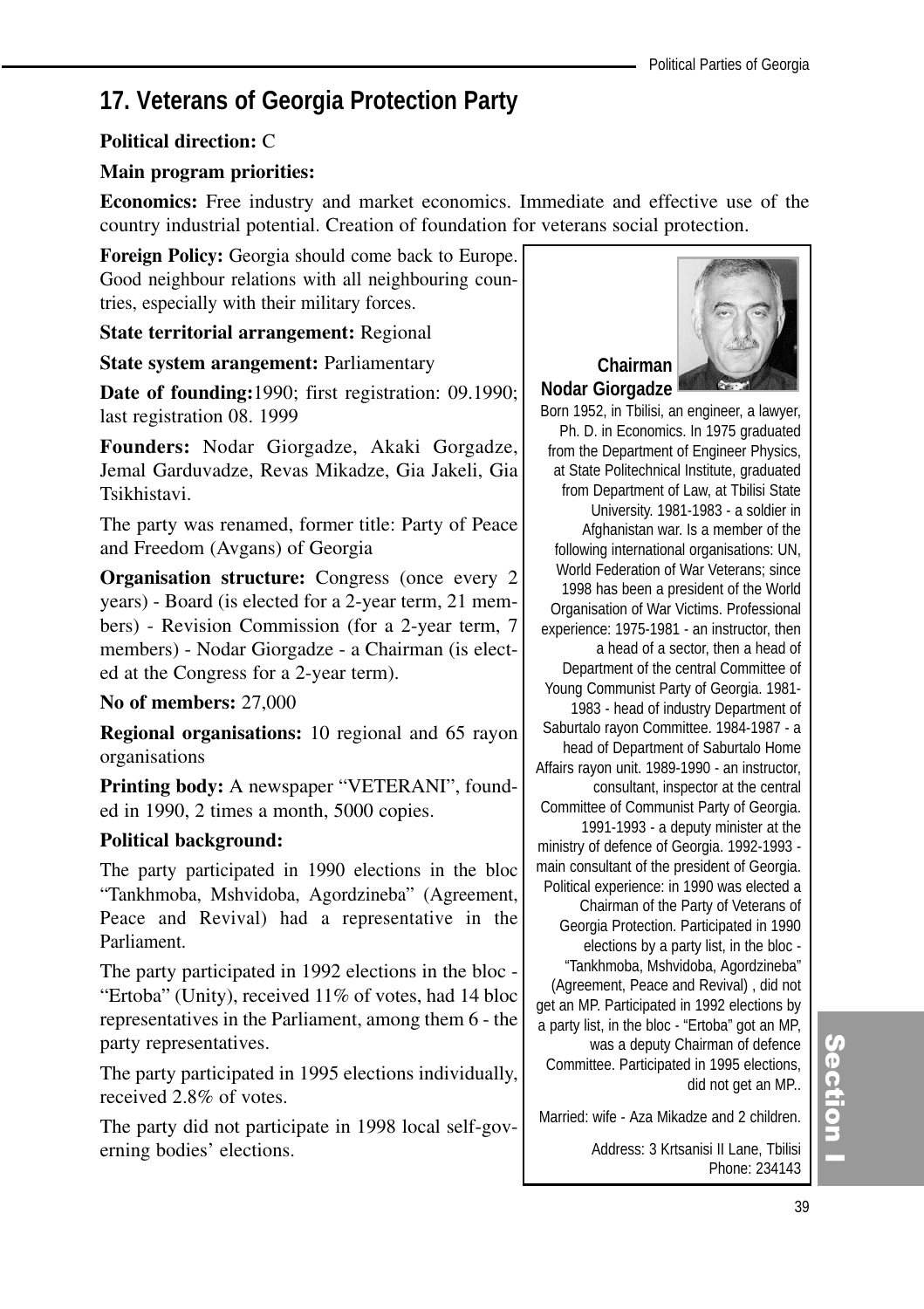# **17. Veterans of Georgia Protection Party**

#### **Political direction:** C

### **Main program priorities:**

**Economics:** Free industry and market economics. Immediate and effective use of the country industrial potential. Creation of foundation for veterans social protection.

**Foreign Policy:** Georgia should come back to Europe. Good neighbour relations with all neighbouring countries, especially with their military forces.

**State territorial arrangement:** Regional

**State system arangement:** Parliamentary

**Date of founding:**1990; first registration: 09.1990; last registration 08. 1999

**Founders:** Nodar Giorgadze, Akaki Gorgadze, Jemal Garduvadze, Revas Mikadze, Gia Jakeli, Gia Tsikhistavi.

The party was renamed, former title: Party of Peace and Freedom (Avgans) of Georgia

**Organisation structure:** Congress (once every 2) years) - Board (is elected for a 2-year term, 21 members) - Revision Commission (for a 2-year term, 7 members) - Nodar Giorgadze - a Chairman (is elected at the Congress for a 2-year term).

#### **No of members:** 27,000

**Regional organisations:** 10 regional and 65 rayon organisations

**Printing body:** A newspaper "VETERANI", founded in 1990, 2 times a month, 5000 copies.

#### **Political background:**

The party participated in 1990 elections in the bloc "Tankhmoba, Mshvidoba, Agordzineba" (Agreement, Peace and Revival) had a representative in the Parliament.

The party participated in 1992 elections in the bloc - "Ertoba" (Unity), received 11% of votes, had 14 bloc representatives in the Parliament, among them 6 - the party representatives.

The party participated in 1995 elections individually, received 2.8% of votes.

The party did not participate in 1998 local self-governing bodies' elections.



Born 1952, in Tbilisi, an engineer, a lawyer, Ph. D. in Economics. In 1975 graduated from the Department of Engineer Physics, at State Politechnical Institute, graduated from Department of Law, at Tbilisi State University. 1981-1983 - a soldier in Afghanistan war. Is a member of the following international organisations: UN, World Federation of War Veterans; since 1998 has been a president of the World Organisation of War Victims. Professional experience: 1975-1981 - an instructor, then a head of a sector, then a head of Department of the central Committee of Young Communist Party of Georgia. 1981- 1983 - head of industry Department of Saburtalo rayon Committee. 1984-1987 - a head of Department of Saburtalo Home Affairs rayon unit. 1989-1990 - an instructor, consultant, inspector at the central Committee of Communist Party of Georgia. 1991-1993 - a deputy minister at the ministry of defence of Georgia. 1992-1993 -

main consultant of the president of Georgia. Political experience: in 1990 was elected a Chairman of the Party of Veterans of Georgia Protection. Participated in 1990 elections by a party list, in the bloc - "Tankhmoba, Mshvidoba, Agordzineba" (Agreement, Peace and Revival) , did not get an MP. Participated in 1992 elections by a party list, in the bloc - "Ertoba" got an MP, was a deputy Chairman of defence Committee. Participated in 1995 elections,

did not get an MP..

Married: wife - Aza Mikadze and 2 children.

Address: 3 Krtsanisi II Lane, Tbilisi Phone: 234143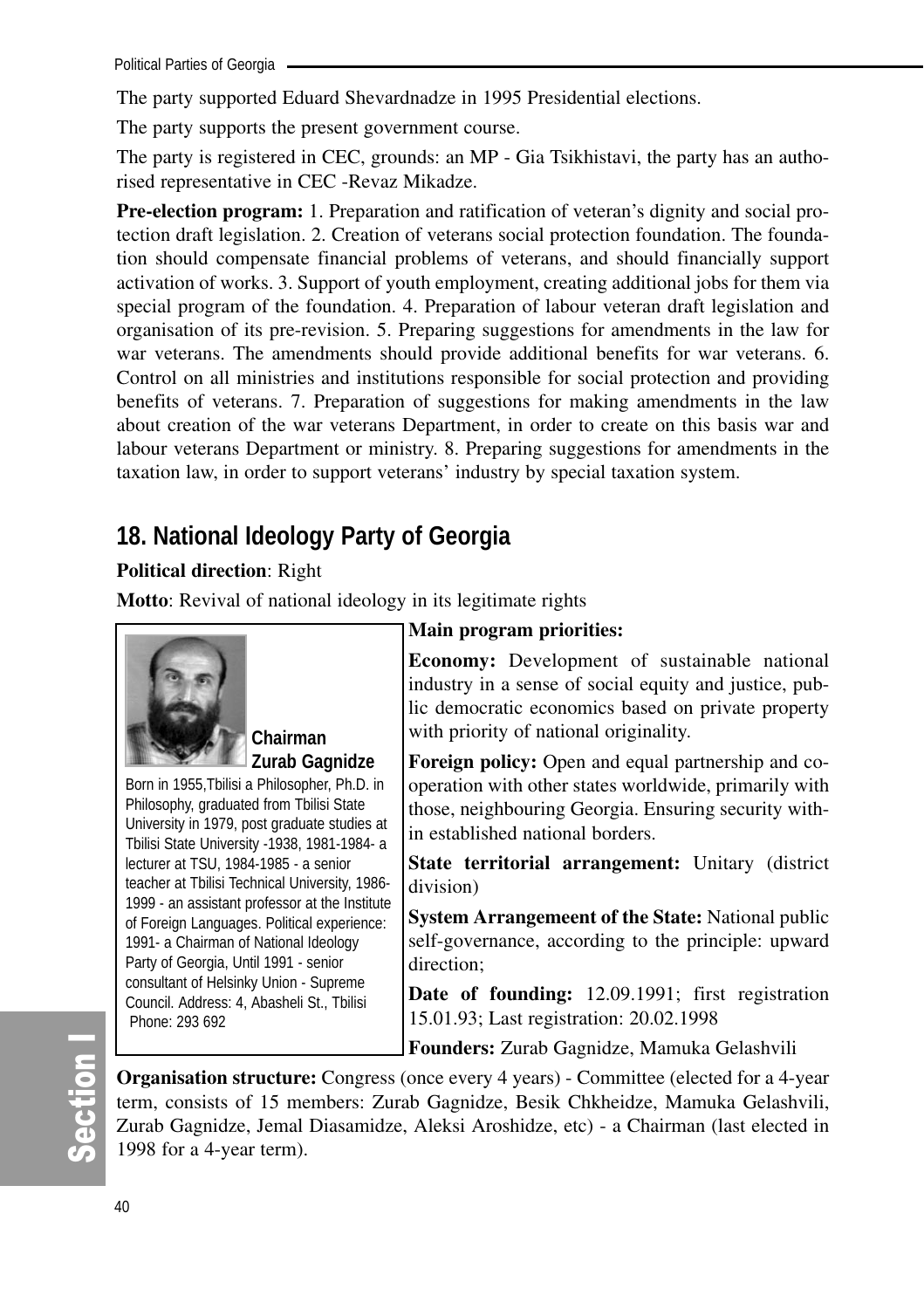The party supported Eduard Shevardnadze in 1995 Presidential elections.

The party supports the present government course.

The party is registered in CEC, grounds: an MP - Gia Tsikhistavi, the party has an authorised representative in CEC -Revaz Mikadze.

**Pre-election program:** 1. Preparation and ratification of veteran's dignity and social protection draft legislation. 2. Creation of veterans social protection foundation. The foundation should compensate financial problems of veterans, and should financially support activation of works. 3. Support of youth employment, creating additional jobs for them via special program of the foundation. 4. Preparation of labour veteran draft legislation and organisation of its pre-revision. 5. Preparing suggestions for amendments in the law for war veterans. The amendments should provide additional benefits for war veterans. 6. Control on all ministries and institutions responsible for social protection and providing benefits of veterans. 7. Preparation of suggestions for making amendments in the law about creation of the war veterans Department, in order to create on this basis war and labour veterans Department or ministry. 8. Preparing suggestions for amendments in the taxation law, in order to support veterans' industry by special taxation system.

## **18. National Ideology Party of Georgia**

## **Political direction**: Right

**Motto**: Revival of national ideology in its legitimate rights



**Chairman Zurab Gagnidze**

Born in 1955,Tbilisi a Philosopher, Ph.D. in Philosophy, graduated from Tbilisi State University in 1979, post graduate studies at Tbilisi State University -1938, 1981-1984- a lecturer at TSU, 1984-1985 - a senior teacher at Tbilisi Technical University, 1986- 1999 - an assistant professor at the Institute of Foreign Languages. Political experience: 1991- a Chairman of National Ideology Party of Georgia, Until 1991 - senior consultant of Helsinky Union - Supreme Council. Address: 4, Abasheli St., Tbilisi Phone: 293 692

## **Main program priorities:**

**Economy:** Development of sustainable national industry in a sense of social equity and justice, public democratic economics based on private property with priority of national originality.

**Foreign policy:** Open and equal partnership and cooperation with other states worldwide, primarily with those, neighbouring Georgia. Ensuring security within established national borders.

**State territorial arrangement:** Unitary (district division)

**System Arrangemeent of the State:** National public self-governance, according to the principle: upward direction;

**Date of founding:** 12.09.1991; first registration 15.01.93; Last registration: 20.02.1998

**Founders:** Zurab Gagnidze, Mamuka Gelashvili

**Organisation structure:** Congress (once every 4 years) - Committee (elected for a 4-year term, consists of 15 members: Zurab Gagnidze, Besik Chkheidze, Mamuka Gelashvili, Zurab Gagnidze, Jemal Diasamidze, Aleksi Aroshidze, etc) - a Chairman (last elected in 1998 for a 4-year term).

# တိ ction I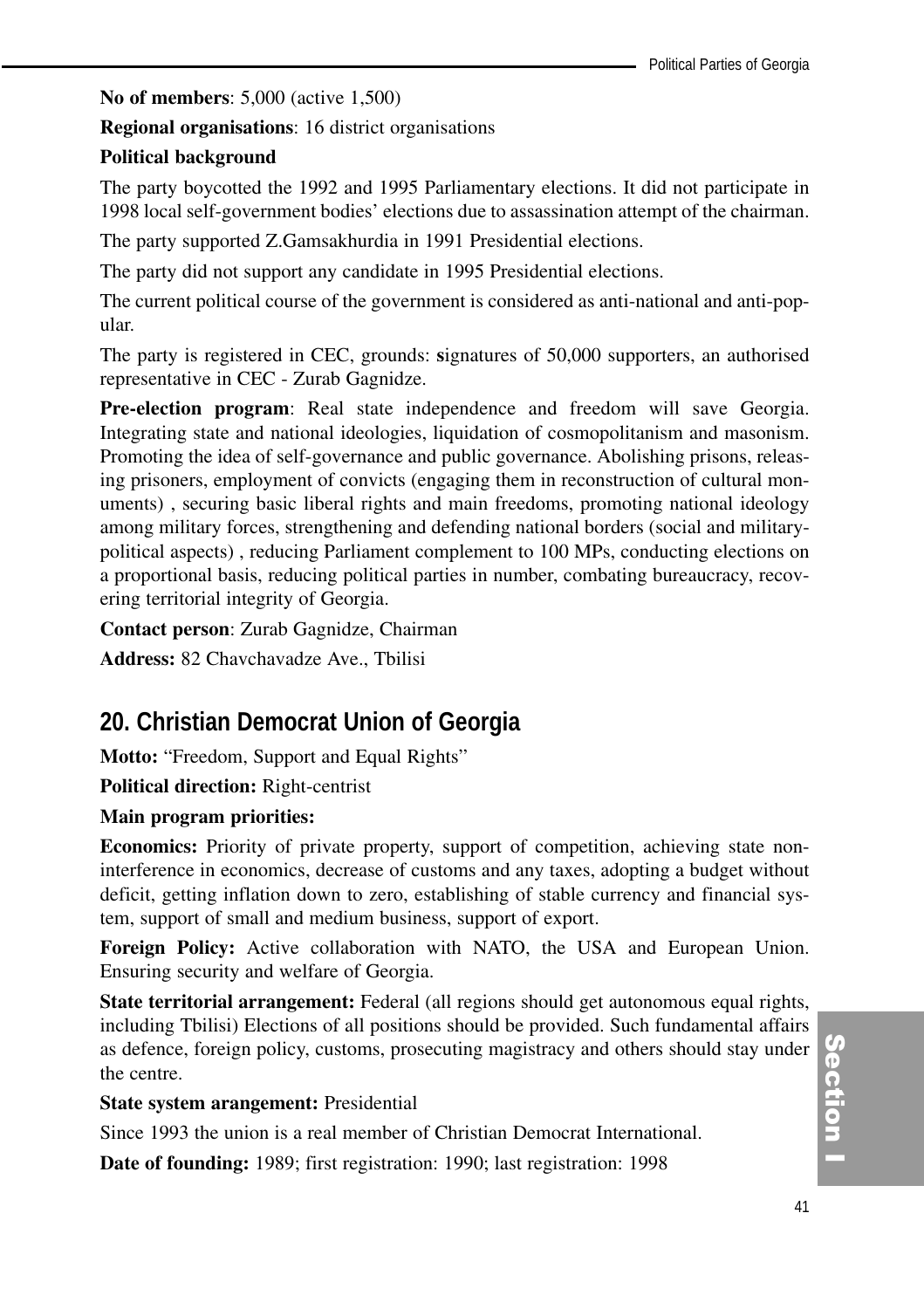**No of members**: 5,000 (active 1,500)

**Regional organisations**: 16 district organisations

## **Political background**

The party boycotted the 1992 and 1995 Parliamentary elections. It did not participate in 1998 local self-government bodies' elections due to assassination attempt of the chairman.

The party supported Z.Gamsakhurdia in 1991 Presidential elections.

The party did not support any candidate in 1995 Presidential elections.

The current political course of the government is considered as anti-national and anti-popular.

The party is registered in CEC, grounds: **s**ignatures of 50,000 supporters, an authorised representative in CEC - Zurab Gagnidze.

**Pre-election program**: Real state independence and freedom will save Georgia. Integrating state and national ideologies, liquidation of cosmopolitanism and masonism. Promoting the idea of self-governance and public governance. Abolishing prisons, releasing prisoners, employment of convicts (engaging them in reconstruction of cultural monuments) , securing basic liberal rights and main freedoms, promoting national ideology among military forces, strengthening and defending national borders (social and militarypolitical aspects) , reducing Parliament complement to 100 MPs, conducting elections on a proportional basis, reducing political parties in number, combating bureaucracy, recovering territorial integrity of Georgia.

**Contact person**: Zurab Gagnidze, Chairman

**Address:** 82 Chavchavadze Ave., Tbilisi

## **20. Christian Democrat Union of Georgia**

**Motto:** "Freedom, Support and Equal Rights"

**Political direction:** Right-centrist

## **Main program priorities:**

**Economics:** Priority of private property, support of competition, achieving state noninterference in economics, decrease of customs and any taxes, adopting a budget without deficit, getting inflation down to zero, establishing of stable currency and financial system, support of small and medium business, support of export.

**Foreign Policy:** Active collaboration with NATO, the USA and European Union. Ensuring security and welfare of Georgia.

**State territorial arrangement:** Federal (all regions should get autonomous equal rights, including Tbilisi) Elections of all positions should be provided. Such fundamental affairs as defence, foreign policy, customs, prosecuting magistracy and others should stay under the centre.

#### **State system arangement:** Presidential

Since 1993 the union is a real member of Christian Democrat International.

**Date of founding:** 1989; first registration: 1990; last registration: 1998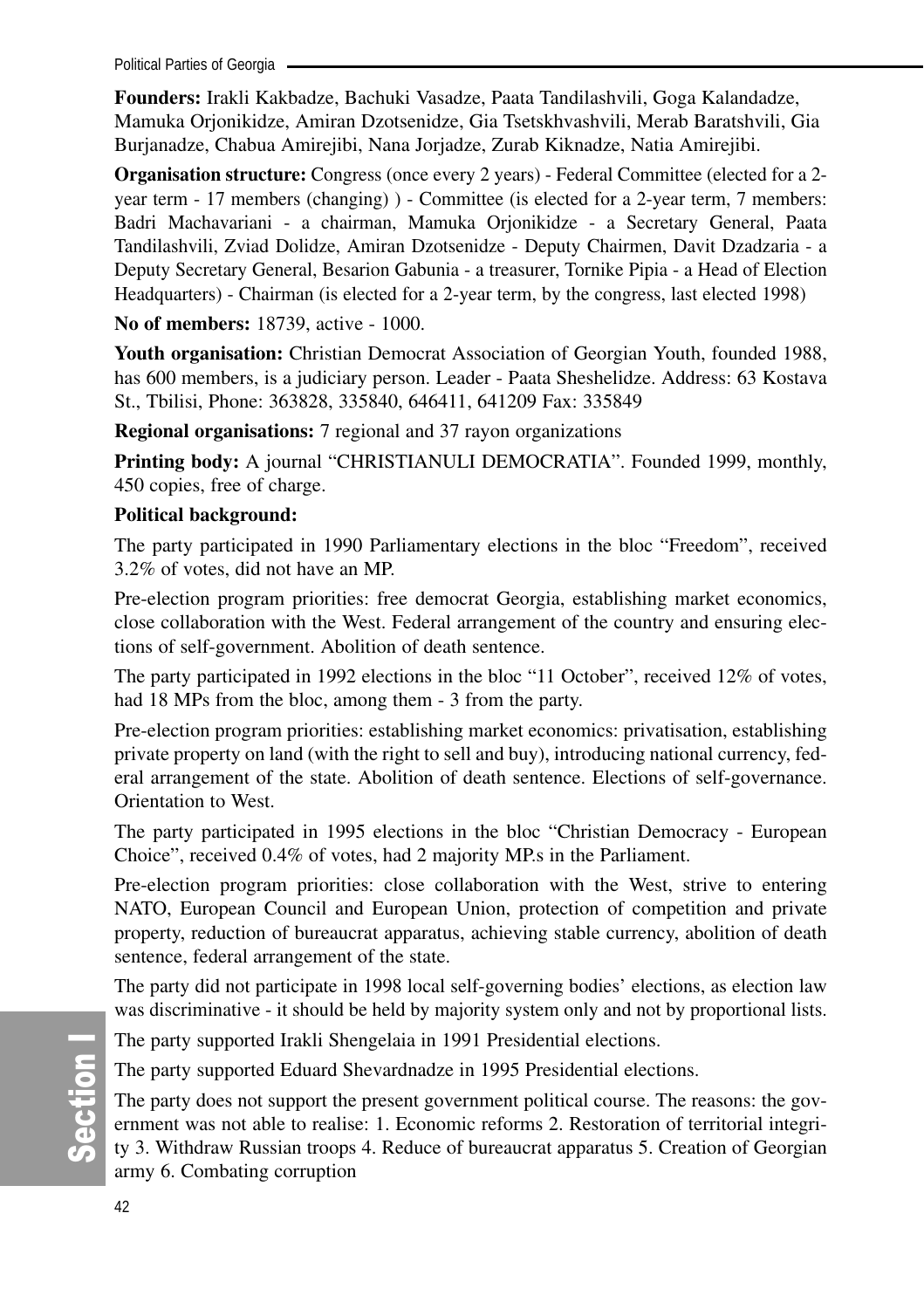Political Parties of Georgia .

**Founders:** Irakli Kakbadze, Bachuki Vasadze, Paata Tandilashvili, Goga Kalandadze, Mamuka Orjonikidze, Amiran Dzotsenidze, Gia Tsetskhvashvili, Merab Baratshvili, Gia Burjanadze, Chabua Amirejibi, Nana Jorjadze, Zurab Kiknadze, Natia Amirejibi.

**Organisation structure:** Congress (once every 2 years) - Federal Committee (elected for a 2 year term - 17 members (changing) ) - Committee (is elected for a 2-year term, 7 members: Badri Machavariani - a chairman, Mamuka Orjonikidze - a Secretary General, Paata Tandilashvili, Zviad Dolidze, Amiran Dzotsenidze - Deputy Chairmen, Davit Dzadzaria - a Deputy Secretary General, Besarion Gabunia - a treasurer, Tornike Pipia - a Head of Election Headquarters) - Chairman (is elected for a 2-year term, by the congress, last elected 1998)

**No of members:** 18739, active - 1000.

**Youth organisation:** Christian Democrat Association of Georgian Youth, founded 1988, has 600 members, is a judiciary person. Leader - Paata Sheshelidze. Address: 63 Kostava St., Tbilisi, Phone: 363828, 335840, 646411, 641209 Fax: 335849

**Regional organisations:** 7 regional and 37 rayon organizations

**Printing body:** A journal "CHRISTIANULI DEMOCRATIA". Founded 1999, monthly, 450 copies, free of charge.

## **Political background:**

The party participated in 1990 Parliamentary elections in the bloc "Freedom", received 3.2% of votes, did not have an MP.

Pre-election program priorities: free democrat Georgia, establishing market economics, close collaboration with the West. Federal arrangement of the country and ensuring elections of self-government. Abolition of death sentence.

The party participated in 1992 elections in the bloc "11 October", received 12% of votes, had 18 MPs from the bloc, among them - 3 from the party.

Pre-election program priorities: establishing market economics: privatisation, establishing private property on land (with the right to sell and buy), introducing national currency, federal arrangement of the state. Abolition of death sentence. Elections of self-governance. Orientation to West.

The party participated in 1995 elections in the bloc "Christian Democracy - European Choice", received 0.4% of votes, had 2 majority MP.s in the Parliament.

Pre-election program priorities: close collaboration with the West, strive to entering NATO, European Council and European Union, protection of competition and private property, reduction of bureaucrat apparatus, achieving stable currency, abolition of death sentence, federal arrangement of the state.

The party did not participate in 1998 local self-governing bodies' elections, as election law was discriminative - it should be held by majority system only and not by proportional lists.

The party supported Irakli Shengelaia in 1991 Presidential elections.

The party supported Eduard Shevardnadze in 1995 Presidential elections.

The party does not support the present government political course. The reasons: the government was not able to realise: 1. Economic reforms 2. Restoration of territorial integrity 3. Withdraw Russian troops 4. Reduce of bureaucrat apparatus 5. Creation of Georgian army 6. Combating corruption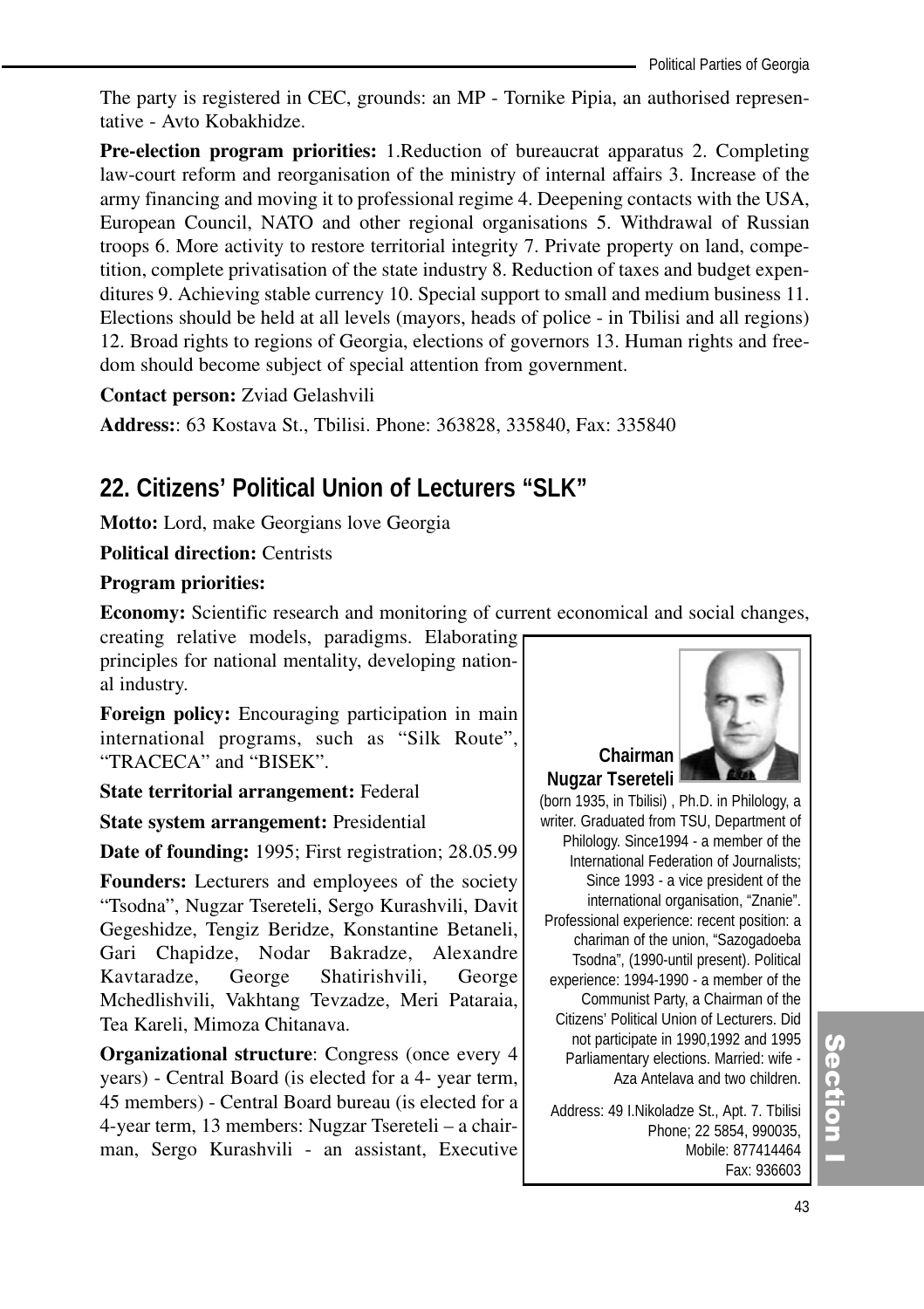The party is registered in CEC, grounds: an MP - Tornike Pipia, an authorised representative - Avto Kobakhidze.

**Pre-election program priorities:** 1.Reduction of bureaucrat apparatus 2. Completing law-court reform and reorganisation of the ministry of internal affairs 3. Increase of the army financing and moving it to professional regime 4. Deepening contacts with the USA, European Council, NATO and other regional organisations 5. Withdrawal of Russian troops 6. More activity to restore territorial integrity 7. Private property on land, competition, complete privatisation of the state industry 8. Reduction of taxes and budget expenditures 9. Achieving stable currency 10. Special support to small and medium business 11. Elections should be held at all levels (mayors, heads of police - in Tbilisi and all regions) 12. Broad rights to regions of Georgia, elections of governors 13. Human rights and freedom should become subject of special attention from government.

**Contact person:** Zviad Gelashvili

**Address:**: 63 Kostava St., Tbilisi. Phone: 363828, 335840, Fax: 335840

## **22. Citizens' Political Union of Lecturers "SLK"**

**Motto:** Lord, make Georgians love Georgia

**Political direction: Centrists** 

#### **Program priorities:**

**Economy:** Scientific research and monitoring of current economical and social changes,

creating relative models, paradigms. Elaborating principles for national mentality, developing national industry.

**Foreign policy:** Encouraging participation in main international programs, such as "Silk Route", "TRACECA" and "BISEK".

**State territorial arrangement:** Federal

**State system arrangement:** Presidential

**Date of founding:** 1995; First registration; 28.05.99

**Founders:** Lecturers and employees of the society "Tsodna", Nugzar Tsereteli, Sergo Kurashvili, Davit Gegeshidze, Tengiz Beridze, Konstantine Betaneli, Gari Chapidze, Nodar Bakradze, Alexandre Kavtaradze, George Shatirishvili, George Mchedlishvili, Vakhtang Tevzadze, Meri Pataraia, Tea Kareli, Mimoza Chitanava.

**Organizational structure:** Congress (once every 4) years) - Central Board (is elected for a 4- year term, 45 members) - Central Board bureau (is elected for a 4-year term, 13 members: Nugzar Tsereteli – a chairman, Sergo Kurashvili - an assistant, Executive



**Chairman Nugzar Tsereteli**

(born 1935, in Tbilisi) , Ph.D. in Philology, a writer. Graduated from TSU, Department of Philology. Since1994 - a member of the International Federation of Journalists; Since 1993 - a vice president of the international organisation, "Znanie". Professional experience: recent position: a chariman of the union, "Sazogadoeba Tsodna", (1990-until present). Political experience: 1994-1990 - a member of the Communist Party, a Chairman of the Citizens' Political Union of Lecturers. Did not participate in 1990,1992 and 1995 Parliamentary elections. Married: wife - Aza Antelava and two children.

Address: 49 I.Nikoladze St., Apt. 7. Tbilisi Phone; 22 5854, 990035, Mobile: 877414464 Fax: 936603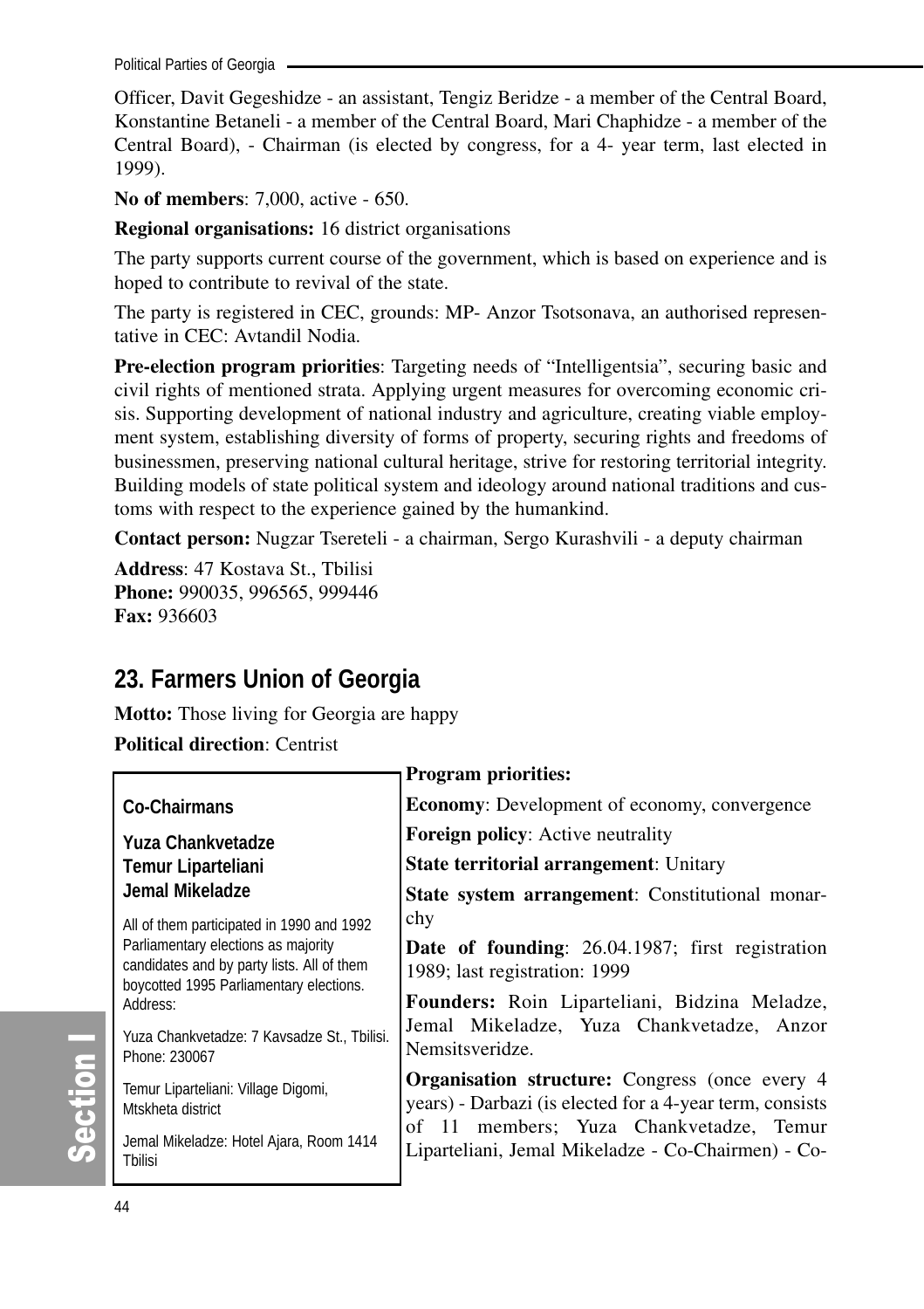Political Parties of Georgia

Officer, Davit Gegeshidze - an assistant, Tengiz Beridze - a member of the Central Board, Konstantine Betaneli - a member of the Central Board, Mari Chaphidze - a member of the Central Board), - Chairman (is elected by congress, for a 4- year term, last elected in 1999).

**No of members**: 7,000, active - 650.

**Regional organisations:** 16 district organisations

The party supports current course of the government, which is based on experience and is hoped to contribute to revival of the state.

The party is registered in CEC, grounds: MP- Anzor Tsotsonava, an authorised representative in CEC: Avtandil Nodia.

**Pre-election program priorities**: Targeting needs of "Intelligentsia", securing basic and civil rights of mentioned strata. Applying urgent measures for overcoming economic crisis. Supporting development of national industry and agriculture, creating viable employment system, establishing diversity of forms of property, securing rights and freedoms of businessmen, preserving national cultural heritage, strive for restoring territorial integrity. Building models of state political system and ideology around national traditions and customs with respect to the experience gained by the humankind.

**Contact person:** Nugzar Tsereteli - a chairman, Sergo Kurashvili - a deputy chairman

**Address**: 47 Kostava St., Tbilisi **Phone:** 990035, 996565, 999446 **Fax:** 936603

## **23. Farmers Union of Georgia**

**Motto:** Those living for Georgia are happy

**Political direction**: Centrist

|                                                                                                                              | <b>Program priorities:</b>                                                                                        |
|------------------------------------------------------------------------------------------------------------------------------|-------------------------------------------------------------------------------------------------------------------|
| Co-Chairmans                                                                                                                 | <b>Economy:</b> Development of economy, convergence                                                               |
| Yuza Chankvetadze                                                                                                            | <b>Foreign policy:</b> Active neutrality                                                                          |
| <b>Temur Liparteliani</b>                                                                                                    | <b>State territorial arrangement: Unitary</b>                                                                     |
| Jemal Mikeladze                                                                                                              | <b>State system arrangement:</b> Constitutional monar-                                                            |
| All of them participated in 1990 and 1992                                                                                    | chy                                                                                                               |
| Parliamentary elections as majority<br>candidates and by party lists. All of them<br>boycotted 1995 Parliamentary elections. | <b>Date of founding:</b> 26.04.1987; first registration<br>1989; last registration: 1999                          |
| Address:                                                                                                                     | Founders: Roin Liparteliani, Bidzina Meladze,                                                                     |
| Yuza Chankvetadze: 7 Kavsadze St., Tbilisi.<br>Phone: 230067                                                                 | Jemal Mikeladze, Yuza Chankvetadze, Anzor<br>Nemsitsveridze.                                                      |
| Temur Liparteliani: Village Digomi,<br>Mtskheta district                                                                     | <b>Organisation structure:</b> Congress (once every 4<br>years) - Darbazi (is elected for a 4-year term, consists |
| Jemal Mikeladze: Hotel Ajara, Room 1414<br>Thilisi                                                                           | of 11 members; Yuza Chankvetadze, Temur<br>Liparteliani, Jemal Mikeladze - Co-Chairmen) - Co-                     |

တိ

ction I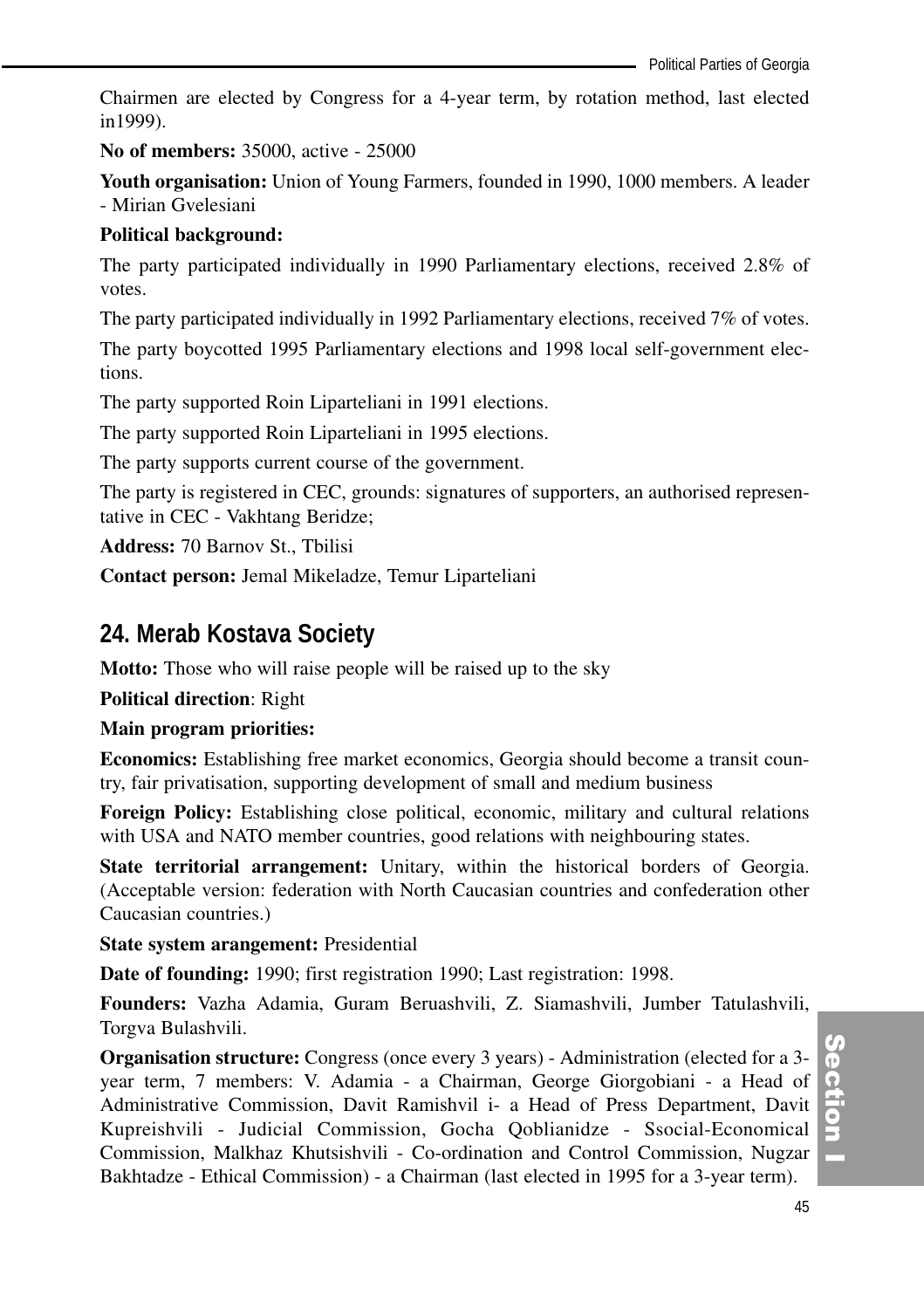Chairmen are elected by Congress for a 4-year term, by rotation method, last elected in1999).

**No of members:** 35000, active - 25000

**Youth organisation:** Union of Young Farmers, founded in 1990, 1000 members. A leader - Mirian Gvelesiani

#### **Political background:**

The party participated individually in 1990 Parliamentary elections, received 2.8% of votes.

The party participated individually in 1992 Parliamentary elections, received 7% of votes.

The party boycotted 1995 Parliamentary elections and 1998 local self-government elections.

The party supported Roin Liparteliani in 1991 elections.

The party supported Roin Liparteliani in 1995 elections.

The party supports current course of the government.

The party is registered in CEC, grounds: signatures of supporters, an authorised representative in CEC - Vakhtang Beridze;

**Address:** 70 Barnov St., Tbilisi

**Contact person:** Jemal Mikeladze, Temur Liparteliani

## **24. Merab Kostava Society**

**Motto:** Those who will raise people will be raised up to the sky

**Political direction**: Right

**Main program priorities:**

**Economics:** Establishing free market economics, Georgia should become a transit country, fair privatisation, supporting development of small and medium business

**Foreign Policy:** Establishing close political, economic, military and cultural relations with USA and NATO member countries, good relations with neighbouring states.

**State territorial arrangement:** Unitary, within the historical borders of Georgia. (Acceptable version: federation with North Caucasian countries and confederation other Caucasian countries.)

**State system arangement:** Presidential

**Date of founding:** 1990; first registration 1990; Last registration: 1998.

**Founders:** Vazha Adamia, Guram Beruashvili, Z. Siamashvili, Jumber Tatulashvili, Torgva Bulashvili.

**Organisation structure:** Congress (once every 3 years) - Administration (elected for a 3 year term, 7 members: V. Adamia - a Chairman, George Giorgobiani - a Head of Administrative Commission, Davit Ramishvil i- a Head of Press Department, Davit Kupreishvili - Judicial Commission, Gocha Qoblianidze - Ssocial-Economical Commission, Malkhaz Khutsishvili - Co-ordination and Control Commission, Nugzar Bakhtadze - Ethical Commission) - a Chairman (last elected in 1995 for a 3-year term).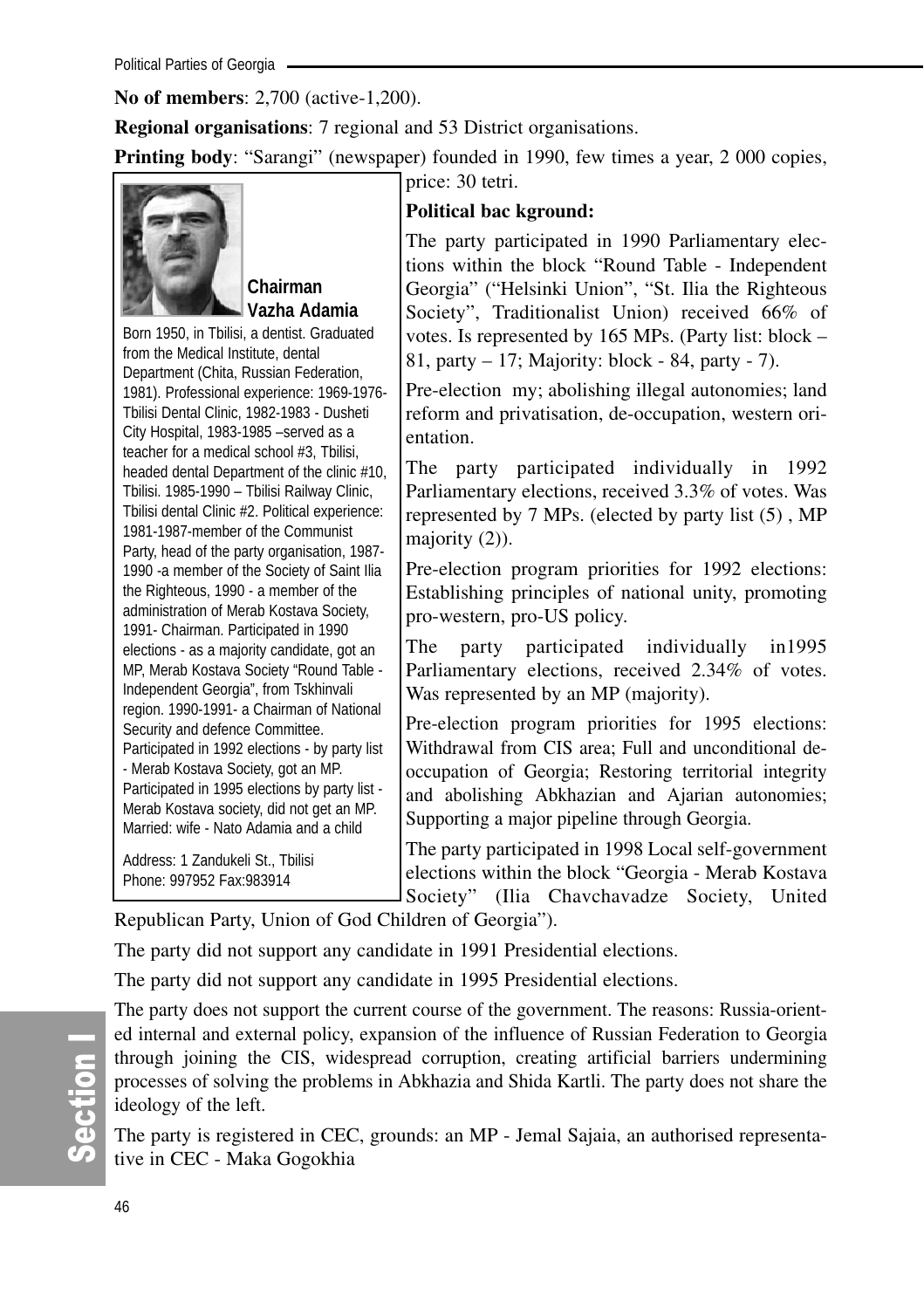**No of members**: 2,700 (active-1,200).

**Regional organisations**: 7 regional and 53 District organisations.

**Printing body**: "Sarangi" (newspaper) founded in 1990, few times a year, 2000 copies, price: 30 tetri.

## **Chairman Vazha Adamia**

Born 1950, in Tbilisi, a dentist. Graduated from the Medical Institute, dental Department (Chita, Russian Federation, 1981). Professional experience: 1969-1976- Tbilisi Dental Clinic, 1982-1983 - Dusheti City Hospital, 1983-1985 –served as a teacher for a medical school #3, Tbilisi, headed dental Department of the clinic #10, Tbilisi. 1985-1990 – Tbilisi Railway Clinic, Tbilisi dental Clinic #2. Political experience: 1981-1987-member of the Communist Party, head of the party organisation, 1987- 1990 -a member of the Society of Saint Ilia the Righteous, 1990 - a member of the administration of Merab Kostava Society, 1991- Chairman. Participated in 1990 elections - as a majority candidate, got an MP, Merab Kostava Society "Round Table - Independent Georgia", from Tskhinvali region. 1990-1991- a Chairman of National Security and defence Committee. Participated in 1992 elections - by party list - Merab Kostava Society, got an MP. Participated in 1995 elections by party list - Merab Kostava society, did not get an MP. Married: wife - Nato Adamia and a child

Address: 1 Zandukeli St., Tbilisi Phone: 997952 Fax:983914

## **Political bac kground:**

The party participated in 1990 Parliamentary elections within the block "Round Table - Independent Georgia" ("Helsinki Union", "St. Ilia the Righteous Society", Traditionalist Union) received 66% of votes. Is represented by 165 MPs. (Party list: block – 81, party – 17; Majority: block - 84, party - 7).

Pre-election my; abolishing illegal autonomies; land reform and privatisation, de-occupation, western orientation.

The party participated individually in 1992 Parliamentary elections, received 3.3% of votes. Was represented by 7 MPs. (elected by party list (5) , MP majority (2)).

Pre-election program priorities for 1992 elections: Establishing principles of national unity, promoting pro-western, pro-US policy.

The party participated individually in1995 Parliamentary elections, received 2.34% of votes. Was represented by an MP (majority).

Pre-election program priorities for 1995 elections: Withdrawal from CIS area; Full and unconditional deoccupation of Georgia; Restoring territorial integrity and abolishing Abkhazian and Ajarian autonomies; Supporting a major pipeline through Georgia.

The party participated in 1998 Local self-government elections within the block "Georgia - Merab Kostava Society" (Ilia Chavchavadze Society, United

Republican Party, Union of God Children of Georgia").

The party did not support any candidate in 1991 Presidential elections.

The party did not support any candidate in 1995 Presidential elections.

The party does not support the current course of the government. The reasons: Russia-oriented internal and external policy, expansion of the influence of Russian Federation to Georgia through joining the CIS, widespread corruption, creating artificial barriers undermining processes of solving the problems in Abkhazia and Shida Kartli. The party does not share the ideology of the left.

The party is registered in CEC, grounds: an MP - Jemal Sajaia, an authorised representative in CEC - Maka Gogokhia

တိ ction I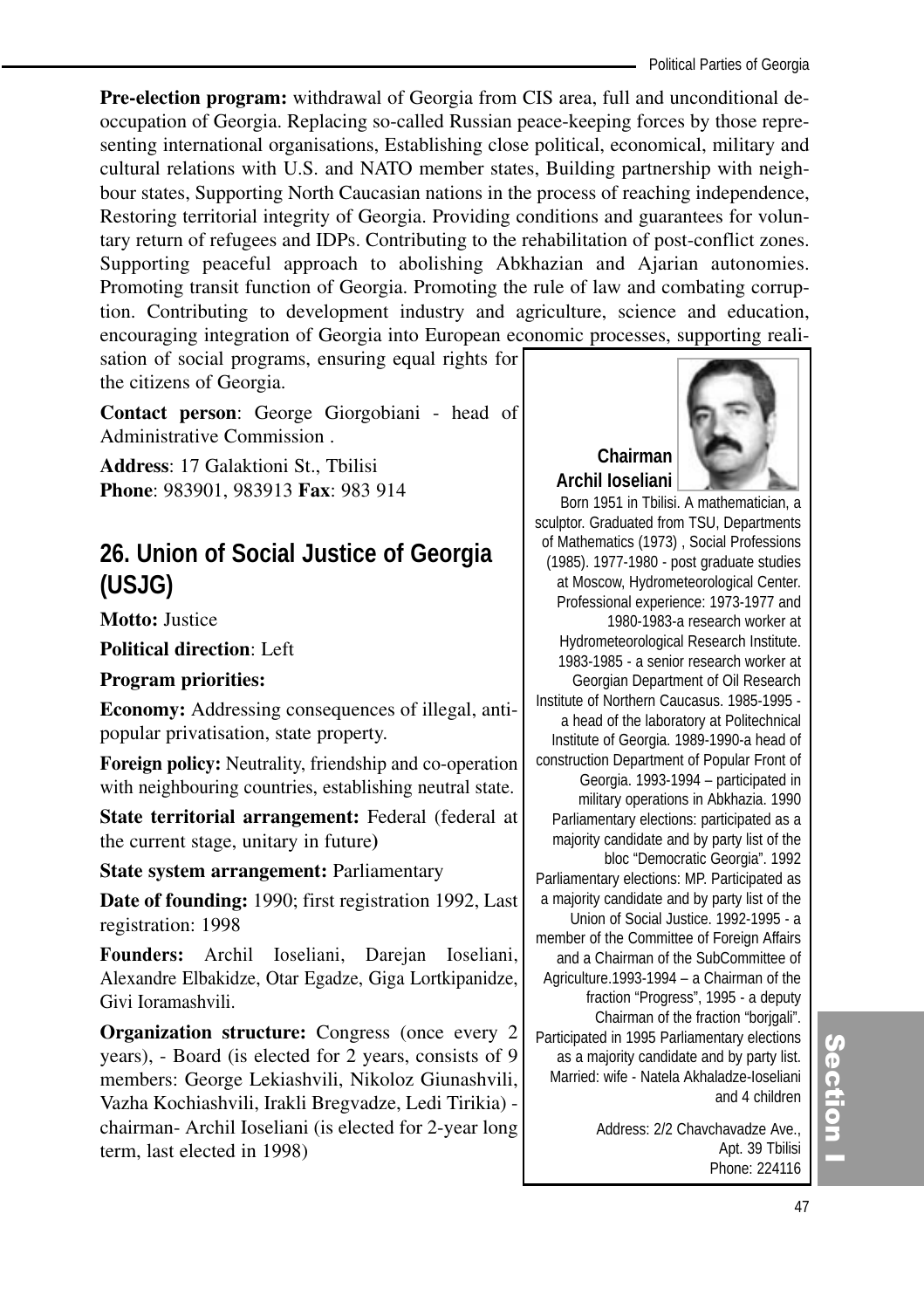**Pre-election program:** withdrawal of Georgia from CIS area, full and unconditional deoccupation of Georgia. Replacing so-called Russian peace-keeping forces by those representing international organisations, Establishing close political, economical, military and cultural relations with U.S. and NATO member states, Building partnership with neighbour states, Supporting North Caucasian nations in the process of reaching independence, Restoring territorial integrity of Georgia. Providing conditions and guarantees for voluntary return of refugees and IDPs. Contributing to the rehabilitation of post-conflict zones. Supporting peaceful approach to abolishing Abkhazian and Ajarian autonomies. Promoting transit function of Georgia. Promoting the rule of law and combating corruption. Contributing to development industry and agriculture, science and education, encouraging integration of Georgia into European economic processes, supporting reali-

sation of social programs, ensuring equal rights for the citizens of Georgia.

**Contact person**: George Giorgobiani - head of Administrative Commission .

**Address**: 17 Galaktioni St., Tbilisi **Phone**: 983901, 983913 **Fax**: 983 914

## **26. Union of Social Justice of Georgia (USJG)**

**Motto:** Justice

**Political direction**: Left

**Program priorities:** 

**Economy:** Addressing consequences of illegal, antipopular privatisation, state property.

**Foreign policy:** Neutrality, friendship and co-operation with neighbouring countries, establishing neutral state.

**State territorial arrangement:** Federal (federal at the current stage, unitary in future**)** 

**State system arrangement:** Parliamentary

**Date of founding:** 1990; first registration 1992, Last registration: 1998

**Founders:** Archil Ioseliani, Darejan Ioseliani, Alexandre Elbakidze, Otar Egadze, Giga Lortkipanidze, Givi Ioramashvili.

**Organization structure:** Congress (once every 2) years), - Board (is elected for 2 years, consists of 9 members: George Lekiashvili, Nikoloz Giunashvili, Vazha Kochiashvili, Irakli Bregvadze, Ledi Tirikia) chairman- Archil Ioseliani (is elected for 2-year long term, last elected in 1998)



## **Chairman Archil Ioseliani**

Born 1951 in Tbilisi. A mathematician, a sculptor. Graduated from TSU, Departments of Mathematics (1973) , Social Professions (1985). 1977-1980 - post graduate studies at Moscow, Hydrometeorological Center. Professional experience: 1973-1977 and 1980-1983-a research worker at Hydrometeorological Research Institute. 1983-1985 - a senior research worker at Georgian Department of Oil Research Institute of Northern Caucasus. 1985-1995 a head of the laboratory at Politechnical Institute of Georgia. 1989-1990-a head of construction Department of Popular Front of Georgia. 1993-1994 – participated in military operations in Abkhazia. 1990 Parliamentary elections: participated as a majority candidate and by party list of the bloc "Democratic Georgia". 1992 Parliamentary elections: MP. Participated as a majority candidate and by party list of the Union of Social Justice. 1992-1995 - a member of the Committee of Foreign Affairs and a Chairman of the SubCommittee of Agriculture.1993-1994 – a Chairman of the fraction "Progress", 1995 - a deputy Chairman of the fraction "borjgali". Participated in 1995 Parliamentary elections as a majority candidate and by party list. Married: wife - Natela Akhaladze-Ioseliani and 4 children

> Address: 2/2 Chavchavadze Ave., Apt. 39 Tbilisi Phone: 224116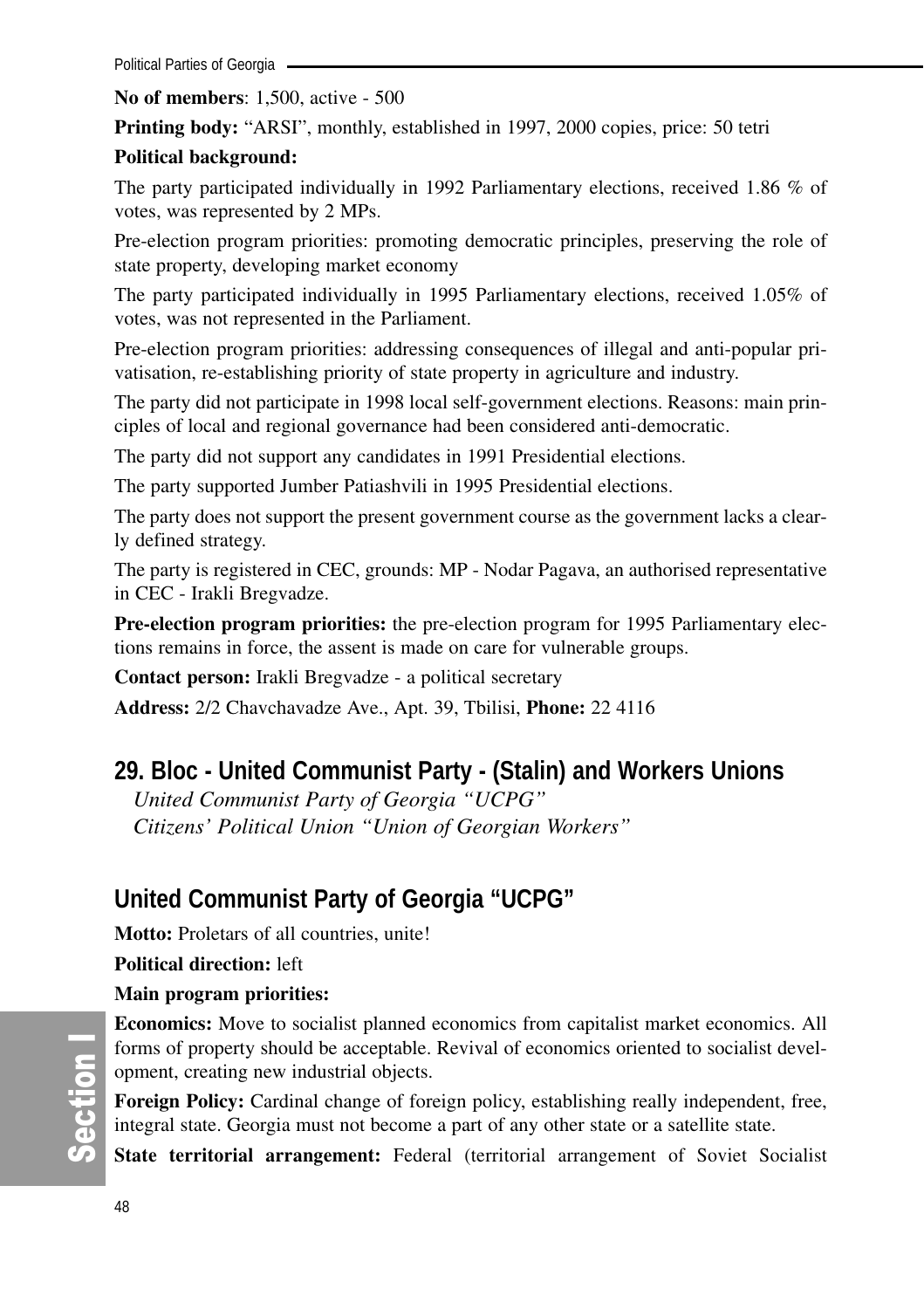#### **No of members**: 1,500, active - 500

**Printing body:** "ARSI", monthly, established in 1997, 2000 copies, price: 50 tetri

## **Political background:**

The party participated individually in 1992 Parliamentary elections, received 1.86 % of votes, was represented by 2 MPs.

Pre-election program priorities: promoting democratic principles, preserving the role of state property, developing market economy

The party participated individually in 1995 Parliamentary elections, received 1.05% of votes, was not represented in the Parliament.

Pre-election program priorities: addressing consequences of illegal and anti-popular privatisation, re-establishing priority of state property in agriculture and industry.

The party did not participate in 1998 local self-government elections. Reasons: main principles of local and regional governance had been considered anti-democratic.

The party did not support any candidates in 1991 Presidential elections.

The party supported Jumber Patiashvili in 1995 Presidential elections.

The party does not support the present government course as the government lacks a clearly defined strategy.

The party is registered in CEC, grounds: MP - Nodar Pagava, an authorised representative in CEC - Irakli Bregvadze.

**Pre-election program priorities:** the pre-election program for 1995 Parliamentary elections remains in force, the assent is made on care for vulnerable groups.

**Contact person:** Irakli Bregvadze - a political secretary

**Address:** 2/2 Chavchavadze Ave., Apt. 39, Tbilisi, **Phone:** 22 4116

## **29. Bloc - United Communist Party - (Stalin) and Workers Unions**

*United Communist Party of Georgia "UCPG" Citizens' Political Union "Union of Georgian Workers"*

## **United Communist Party of Georgia "UCPG"**

**Motto:** Proletars of all countries, unite!

**Political direction:** left

**Main program priorities:**

**Economics:** Move to socialist planned economics from capitalist market economics. All forms of property should be acceptable. Revival of economics oriented to socialist development, creating new industrial objects.

**Foreign Policy:** Cardinal change of foreign policy, establishing really independent, free, integral state. Georgia must not become a part of any other state or a satellite state.

**State territorial arrangement:** Federal (territorial arrangement of Soviet Socialist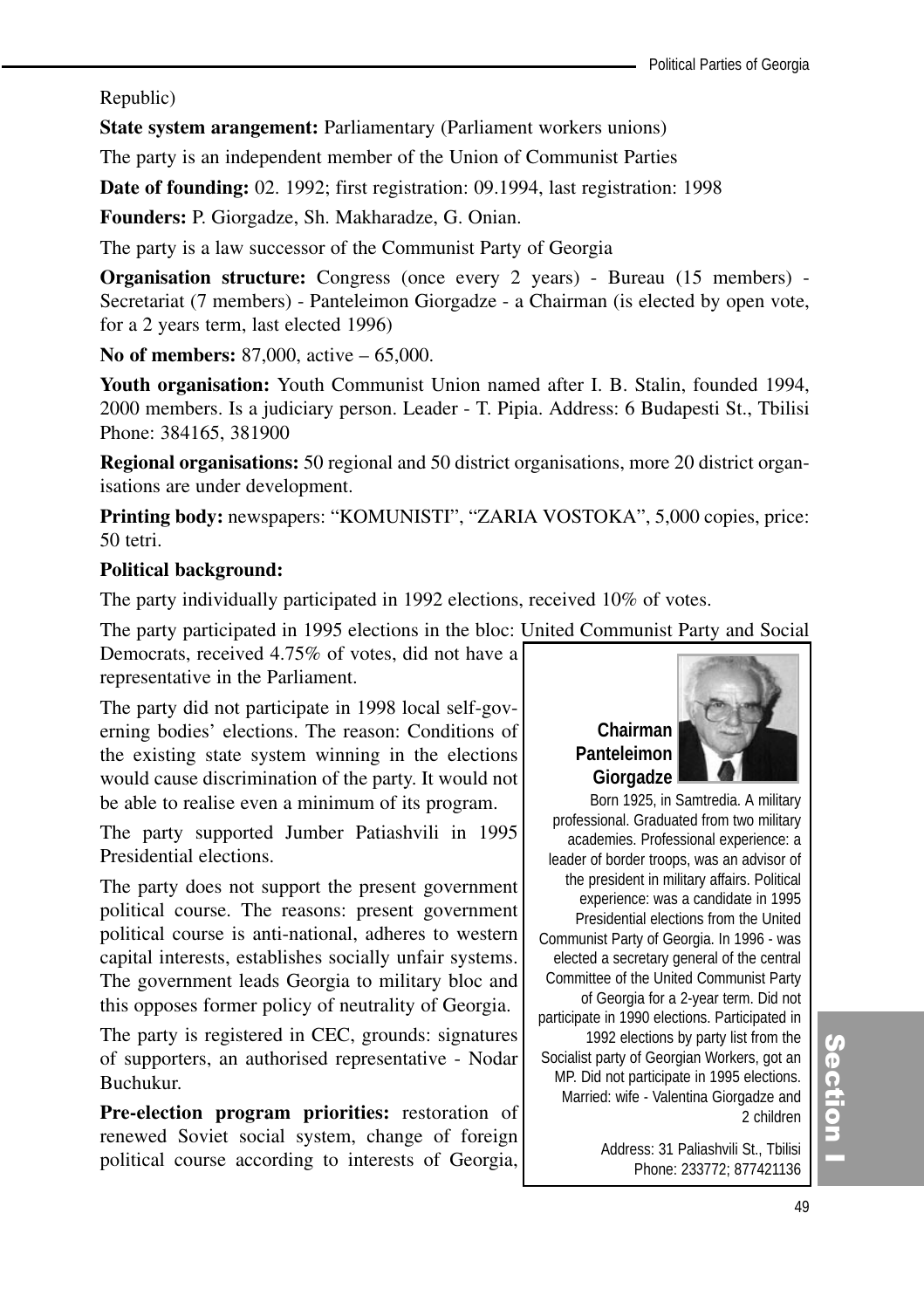Republic)

**State system arangement:** Parliamentary (Parliament workers unions)

The party is an independent member of the Union of Communist Parties

**Date of founding:** 02. 1992; first registration: 09.1994, last registration: 1998

**Founders:** P. Giorgadze, Sh. Makharadze, G. Onian.

The party is a law successor of the Communist Party of Georgia

**Organisation structure:** Congress (once every 2 years) - Bureau (15 members) - Secretariat (7 members) - Panteleimon Giorgadze - a Chairman (is elected by open vote, for a 2 years term, last elected 1996)

**No of members:** 87,000, active – 65,000.

**Youth organisation:** Youth Communist Union named after I. B. Stalin, founded 1994, 2000 members. Is a judiciary person. Leader - T. Pipia. Address: 6 Budapesti St., Tbilisi Phone: 384165, 381900

**Regional organisations:** 50 regional and 50 district organisations, more 20 district organisations are under development.

**Printing body:** newspapers: "KOMUNISTI", "ZARIA VOSTOKA", 5,000 copies, price: 50 tetri.

#### **Political background:**

The party individually participated in 1992 elections, received 10% of votes.

The party participated in 1995 elections in the bloc: United Communist Party and Social

Democrats, received 4.75% of votes, did not have a representative in the Parliament.

The party did not participate in 1998 local self-governing bodies' elections. The reason: Conditions of the existing state system winning in the elections would cause discrimination of the party. It would not be able to realise even a minimum of its program.

The party supported Jumber Patiashvili in 1995 Presidential elections.

The party does not support the present government political course. The reasons: present government political course is anti-national, adheres to western capital interests, establishes socially unfair systems. The government leads Georgia to military bloc and this opposes former policy of neutrality of Georgia.

The party is registered in CEC, grounds: signatures of supporters, an authorised representative - Nodar Buchukur.

**Pre-election program priorities:** restoration of renewed Soviet social system, change of foreign political course according to interests of Georgia,

# **Chairman Panteleimon Giorgadze**

Born 1925, in Samtredia. A military professional. Graduated from two military academies. Professional experience: a leader of border troops, was an advisor of the president in military affairs. Political experience: was a candidate in 1995 Presidential elections from the United Communist Party of Georgia. In 1996 - was elected a secretary general of the central Committee of the United Communist Party of Georgia for a 2-year term. Did not participate in 1990 elections. Participated in 1992 elections by party list from the Socialist party of Georgian Workers, got an MP. Did not participate in 1995 elections. Married: wife - Valentina Giorgadze and 2 children

> Address: 31 Paliashvili St., Tbilisi Phone: 233772; 877421136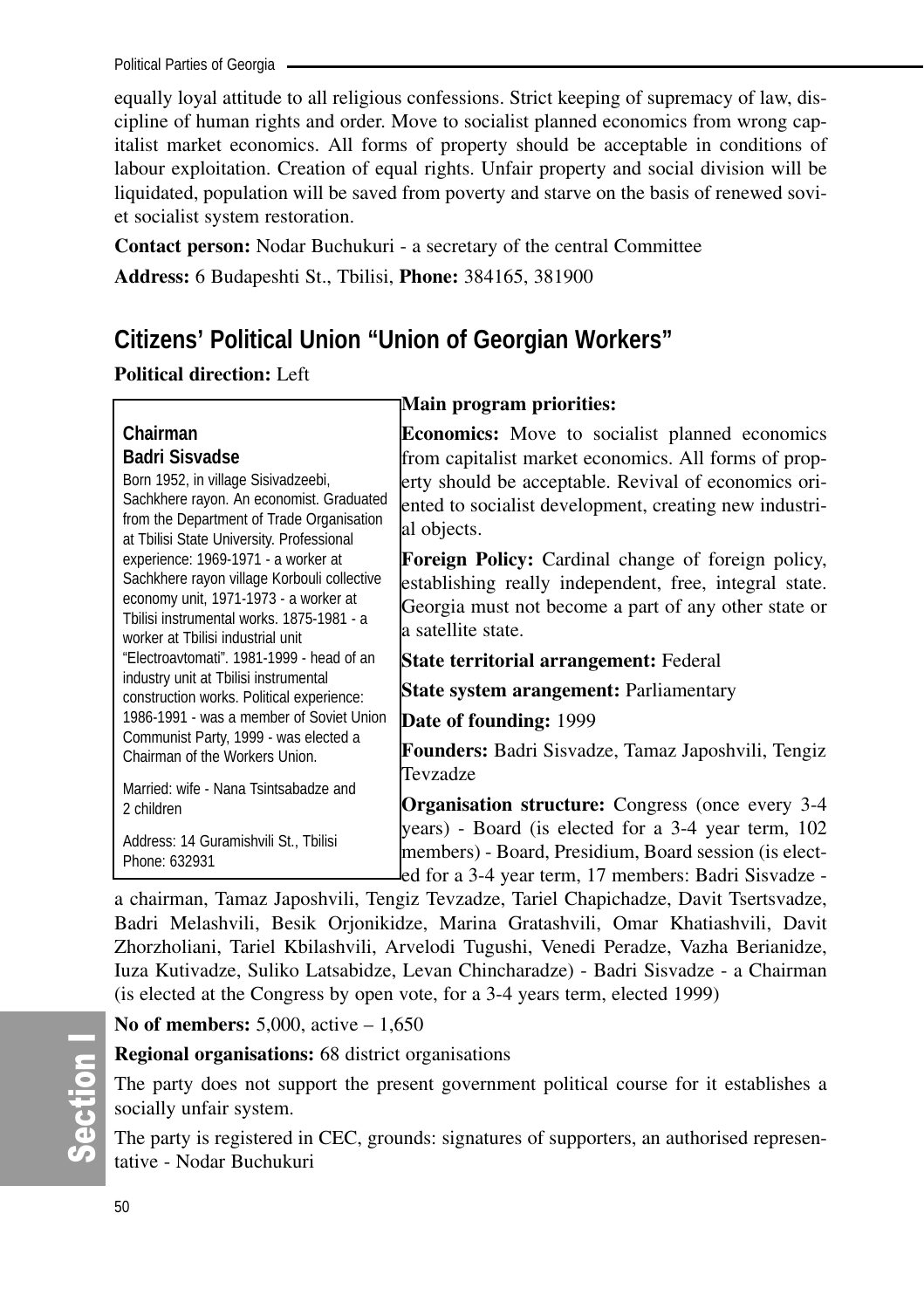Political Parties of Georgia

equally loyal attitude to all religious confessions. Strict keeping of supremacy of law, discipline of human rights and order. Move to socialist planned economics from wrong capitalist market economics. All forms of property should be acceptable in conditions of labour exploitation. Creation of equal rights. Unfair property and social division will be liquidated, population will be saved from poverty and starve on the basis of renewed soviet socialist system restoration.

**Contact person:** Nodar Buchukuri - a secretary of the central Committee

**Address:** 6 Budapeshti St., Tbilisi, **Phone:** 384165, 381900

## **Citizens' Political Union "Union of Georgian Workers"**

**Political direction:** Left

| Chairman<br><b>Badri Sisvadse</b>                                              | <b>Economics:</b> Move to socialist planned economics<br>from capitalist market economics. All forms of prop- |
|--------------------------------------------------------------------------------|---------------------------------------------------------------------------------------------------------------|
| Born 1952, in village Sisivadzeebi,                                            |                                                                                                               |
| Sachkhere rayon. An economist. Graduated                                       | erty should be acceptable. Revival of economics ori-                                                          |
| from the Department of Trade Organisation                                      | ented to socialist development, creating new industri-                                                        |
| at Tbilisi State University. Professional                                      | al objects.                                                                                                   |
| experience: 1969-1971 - a worker at                                            | <b>Foreign Policy:</b> Cardinal change of foreign policy,                                                     |
| Sachkhere rayon village Korbouli collective                                    | establishing really independent, free, integral state.                                                        |
| economy unit, 1971-1973 - a worker at                                          | Georgia must not become a part of any other state or                                                          |
| Tbilisi instrumental works, 1875-1981 - a<br>worker at Tbilisi industrial unit | a satellite state.                                                                                            |
| "Electroavtomati", 1981-1999 - head of an                                      |                                                                                                               |
| industry unit at Tbilisi instrumental                                          | <b>State territorial arrangement: Federal</b>                                                                 |
| construction works. Political experience:                                      | State system arangement: Parliamentary                                                                        |
| 1986-1991 - was a member of Soviet Union                                       | <b>Date of founding: 1999</b>                                                                                 |
| Communist Party, 1999 - was elected a<br>Chairman of the Workers Union.        | <b>Founders:</b> Badri Sisvadze, Tamaz Japoshvili, Tengiz                                                     |
|                                                                                | Tevzadze                                                                                                      |
| Married: wife - Nana Tsintsabadze and                                          | <b>Organisation structure:</b> Congress (once every 3-4                                                       |
| 2 children                                                                     | years) - Board (is elected for a 3-4 year term, 102                                                           |
| Address: 14 Guramishvili St., Tbilisi                                          |                                                                                                               |
| Phone: 632931                                                                  | members) - Board, Presidium, Board session (is elect-                                                         |
|                                                                                | led for a 3-4 year term, 17 members: Badri Sisvadze -                                                         |

**Main program priorities:**

a chairman, Tamaz Japoshvili, Tengiz Tevzadze, Tariel Chapichadze, Davit Tsertsvadze, Badri Melashvili, Besik Orjonikidze, Marina Gratashvili, Omar Khatiashvili, Davit Zhorzholiani, Tariel Kbilashvili, Arvelodi Tugushi, Venedi Peradze, Vazha Berianidze, Iuza Kutivadze, Suliko Latsabidze, Levan Chincharadze) - Badri Sisvadze - a Chairman

(is elected at the Congress by open vote, for a 3-4 years term, elected 1999)

**No of members:** 5,000, active – 1,650

**Regional organisations:** 68 district organisations

The party does not support the present government political course for it establishes a socially unfair system.

The party is registered in CEC, grounds: signatures of supporters, an authorised representative - Nodar Buchukuri

တိ ction I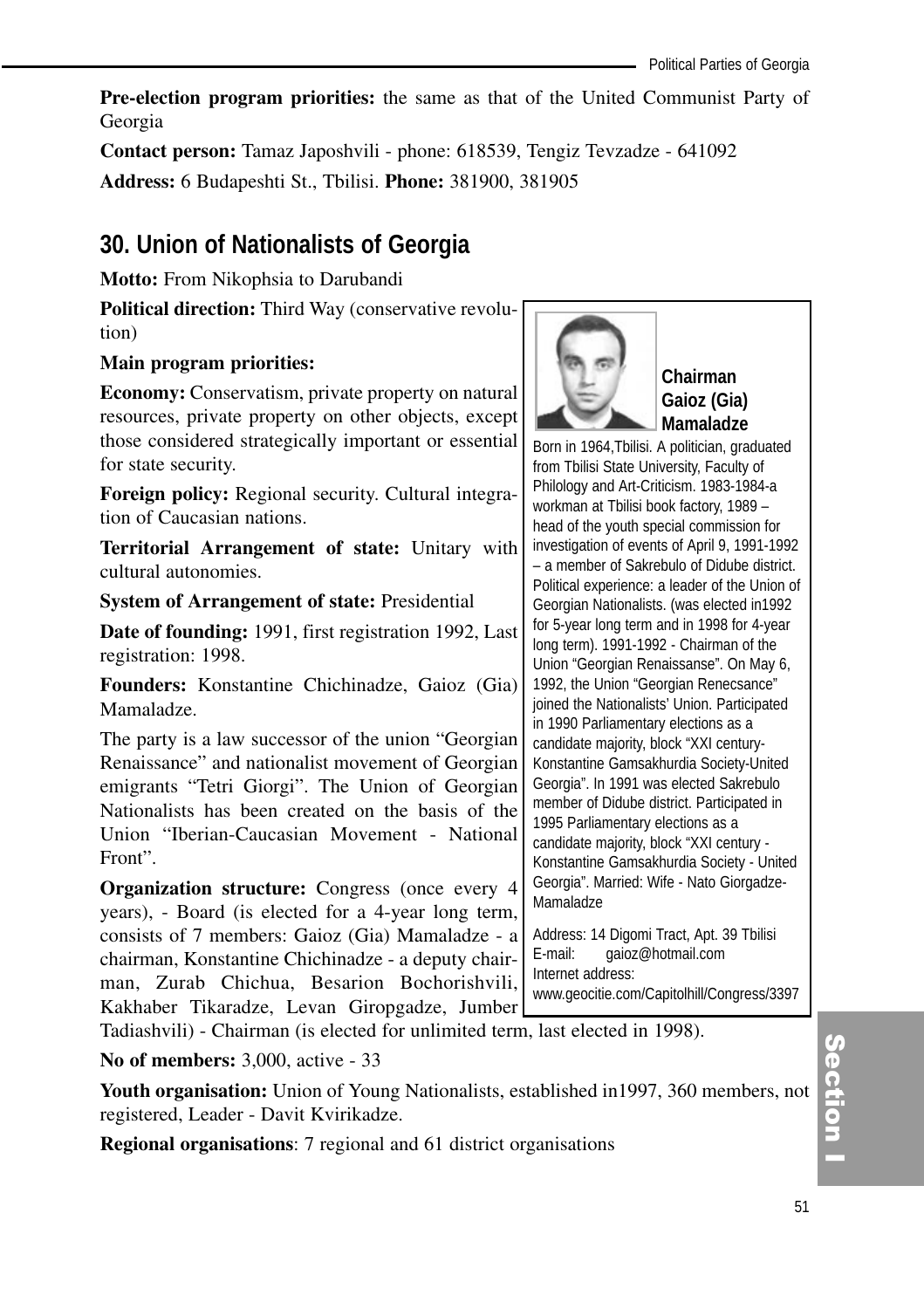**Pre-election program priorities:** the same as that of the United Communist Party of Georgia

**Contact person:** Tamaz Japoshvili - phone: 618539, Tengiz Tevzadze - 641092 **Address:** 6 Budapeshti St., Tbilisi. **Phone:** 381900, 381905

## **30. Union of Nationalists of Georgia**

**Motto:** From Nikophsia to Darubandi

**Political direction:** Third Way (conservative revolution)

### **Main program priorities:**

**Economy:** Conservatism, private property on natural resources, private property on other objects, except those considered strategically important or essential for state security.

**Foreign policy:** Regional security. Cultural integration of Caucasian nations.

**Territorial Arrangement of state:** Unitary with cultural autonomies.

**System of Arrangement of state:** Presidential

**Date of founding:** 1991, first registration 1992, Last registration: 1998.

**Founders:** Konstantine Chichinadze, Gaioz (Gia) Mamaladze.

The party is a law successor of the union "Georgian Renaissance" and nationalist movement of Georgian emigrants "Tetri Giorgi". The Union of Georgian Nationalists has been created on the basis of the Union "Iberian-Caucasian Movement - National Front".

**Organization structure:** Congress (once every 4 years), - Board (is elected for a 4-year long term, consists of 7 members: Gaioz (Gia) Mamaladze - a chairman, Konstantine Chichinadze - a deputy chairman, Zurab Chichua, Besarion Bochorishvili, Kakhaber Tikaradze, Levan Giropgadze, Jumber



**Chairman Gaioz (Gia) Mamaladze** 

Born in 1964,Tbilisi. A politician, graduated from Tbilisi State University, Faculty of Philology and Art-Criticism. 1983-1984-a workman at Tbilisi book factory, 1989 – head of the youth special commission for investigation of events of April 9, 1991-1992 – a member of Sakrebulo of Didube district. Political experience: a leader of the Union of Georgian Nationalists. (was elected in1992 for 5-year long term and in 1998 for 4-year long term). 1991-1992 - Chairman of the Union "Georgian Renaissanse". On May 6, 1992, the Union "Georgian Renecsance" joined the Nationalists' Union. Participated in 1990 Parliamentary elections as a candidate majority, block "XXI century-Konstantine Gamsakhurdia Society-United Georgia". In 1991 was elected Sakrebulo member of Didube district. Participated in 1995 Parliamentary elections as a candidate majority, block "XXI century - Konstantine Gamsakhurdia Society - United Georgia". Married: Wife - Nato Giorgadze-Mamaladze

Address: 14 Digomi Tract, Apt. 39 Tbilisi E-mail: gaioz@hotmail.com Internet address:

www.geocitie.com/Capitolhill/Congress/3397

Tadiashvili) - Chairman (is elected for unlimited term, last elected in 1998).

**No of members:** 3,000, active - 33

**Youth organisation:** Union of Young Nationalists, established in1997, 360 members, not registered, Leader - Davit Kvirikadze.

**Regional organisations**: 7 regional and 61 district organisations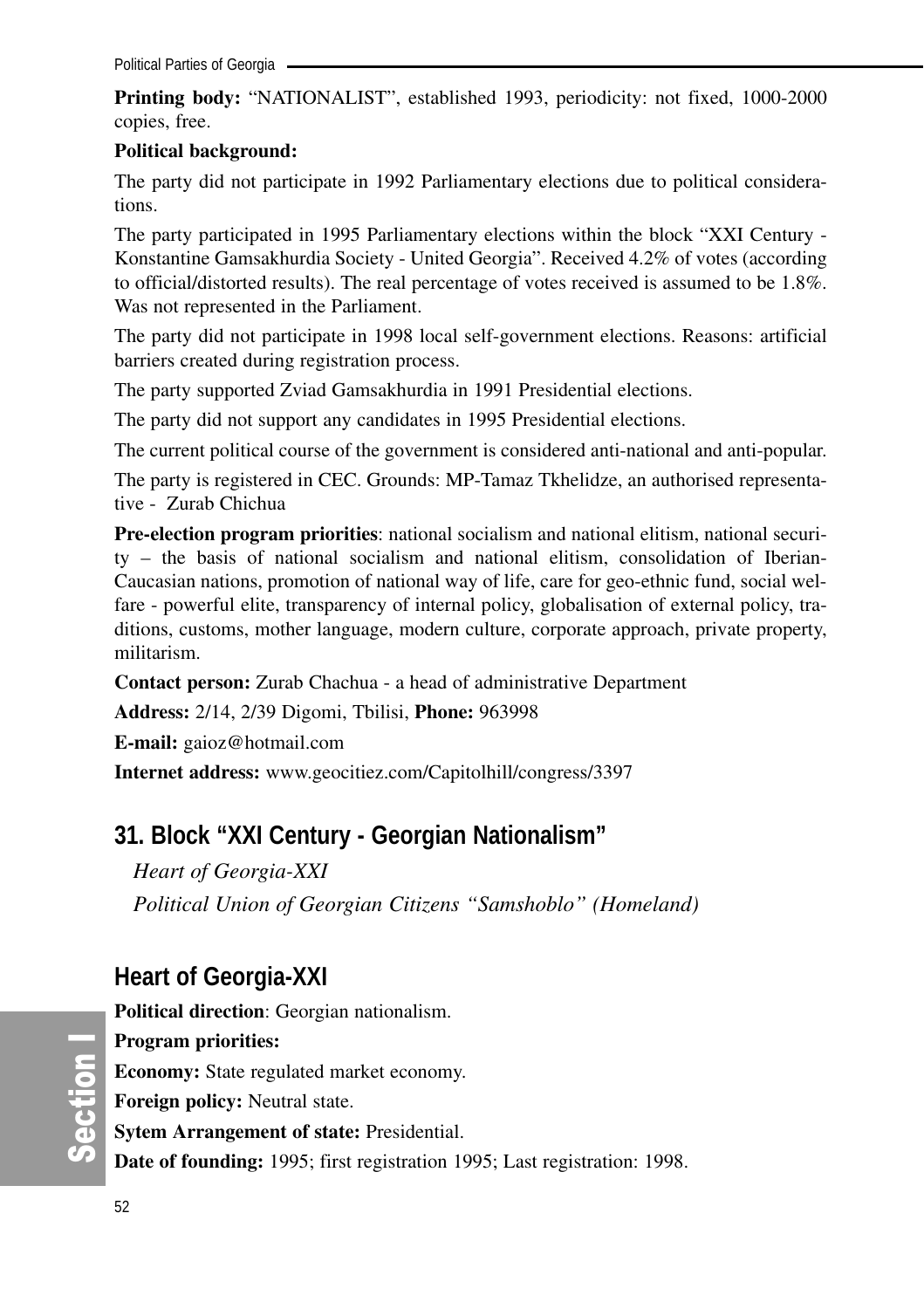**Printing body:** "NATIONALIST", established 1993, periodicity: not fixed, 1000-2000 copies, free.

#### **Political background:**

The party did not participate in 1992 Parliamentary elections due to political considerations.

The party participated in 1995 Parliamentary elections within the block "XXI Century - Konstantine Gamsakhurdia Society - United Georgia". Received 4.2% of votes (according to official/distorted results). The real percentage of votes received is assumed to be 1.8%. Was not represented in the Parliament.

The party did not participate in 1998 local self-government elections. Reasons: artificial barriers created during registration process.

The party supported Zviad Gamsakhurdia in 1991 Presidential elections.

The party did not support any candidates in 1995 Presidential elections.

The current political course of the government is considered anti-national and anti-popular.

The party is registered in CEC. Grounds: MP-Tamaz Tkhelidze, an authorised representative - Zurab Chichua

**Pre-election program priorities**: national socialism and national elitism, national security – the basis of national socialism and national elitism, consolidation of Iberian-Caucasian nations, promotion of national way of life, care for geo-ethnic fund, social welfare - powerful elite, transparency of internal policy, globalisation of external policy, traditions, customs, mother language, modern culture, corporate approach, private property, militarism.

**Contact person:** Zurab Chachua - a head of administrative Department

**Address:** 2/14, 2/39 Digomi, Tbilisi, **Phone:** 963998

**E-mail:** gaioz@hotmail.com

**Internet address:** www.geocitiez.com/Capitolhill/congress/3397

## **31. Block "XXI Century - Georgian Nationalism"**

*Heart of Georgia-XXI*

*Political Union of Georgian Citizens "Samshoblo" (Homeland)* 

## **Heart of Georgia-XXI**

**Political direction**: Georgian nationalism. **Program priorities: Economy:** State regulated market economy. **Foreign policy:** Neutral state. **Sytem Arrangement of state:** Presidential. **Date of founding:** 1995; first registration 1995; Last registration: 1998.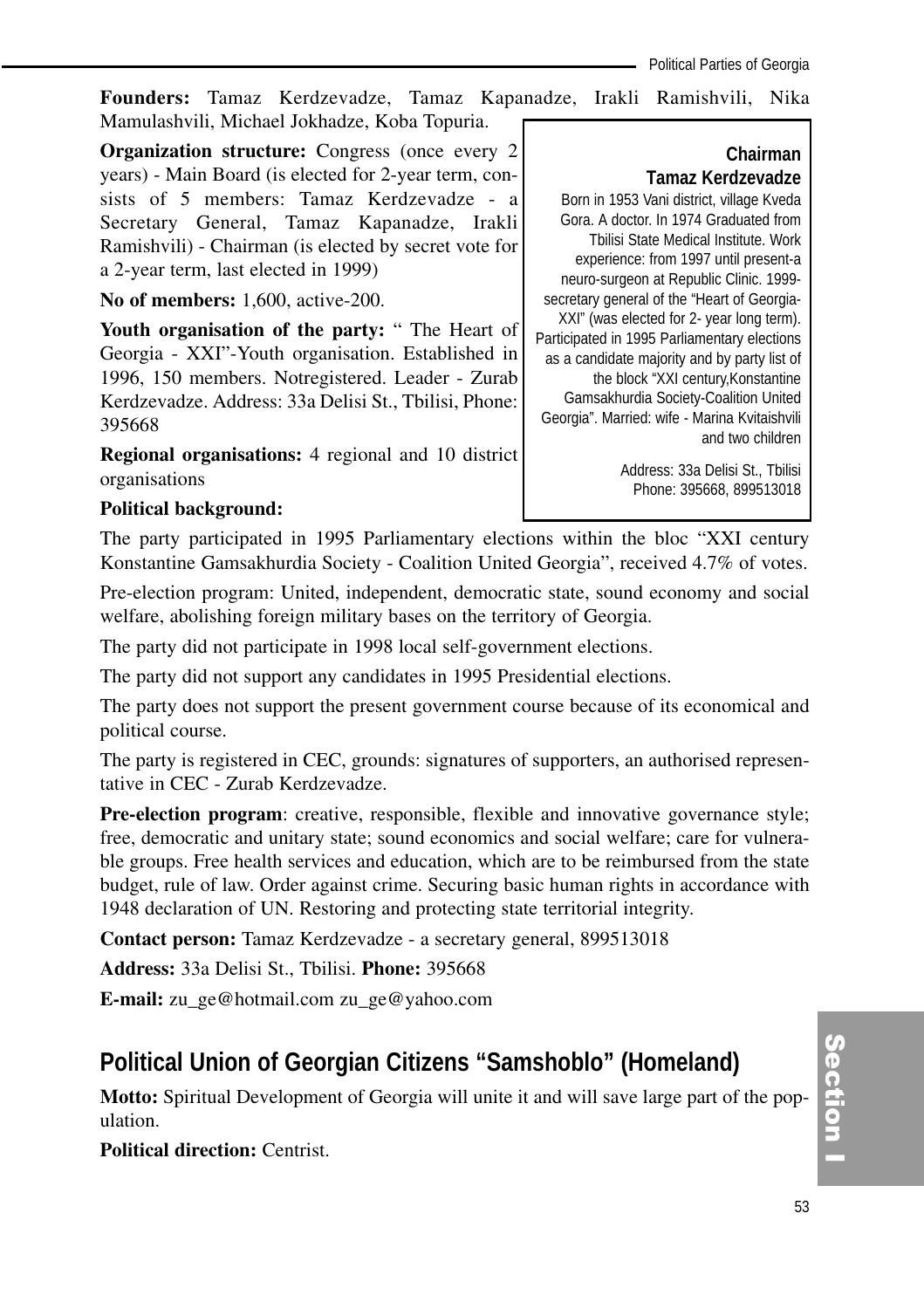**Founders:** Tamaz Kerdzevadze, Tamaz Kapanadze, Irakli Ramishvili, Nika Mamulashvili, Michael Jokhadze, Koba Topuria.

**Organization structure:** Congress (once every 2) years) - Main Board (is elected for 2-year term, consists of 5 members: Tamaz Kerdzevadze - a Secretary General, Tamaz Kapanadze, Irakli Ramishvili) - Chairman (is elected by secret vote for a 2-year term, last elected in 1999)

**No of members:** 1,600, active-200.

**Youth organisation of the party:** " The Heart of Georgia - XXI"-Youth organisation. Established in 1996, 150 members. Notregistered. Leader - Zurab Kerdzevadze. Address: 33a Delisi St., Tbilisi, Phone: 395668

**Regional organisations:** 4 regional and 10 district organisations

## **Chairman Tamaz Kerdzevadze**

Born in 1953 Vani district, village Kveda Gora. A doctor. In 1974 Graduated from Tbilisi State Medical Institute. Work experience: from 1997 until present-a neuro-surgeon at Republic Clinic. 1999 secretary general of the "Heart of Georgia-XXI" (was elected for 2- year long term). Participated in 1995 Parliamentary elections as a candidate majority and by party list of the block "XXI century,Konstantine Gamsakhurdia Society-Coalition United Georgia". Married: wife - Marina Kvitaishvili and two children

> Address: 33a Delisi St., Tbilisi Phone: 395668, 899513018

#### **Political background:**

The party participated in 1995 Parliamentary elections within the bloc "XXI century Konstantine Gamsakhurdia Society - Coalition United Georgia", received 4.7% of votes.

Pre-election program: United, independent, democratic state, sound economy and social welfare, abolishing foreign military bases on the territory of Georgia.

The party did not participate in 1998 local self-government elections.

The party did not support any candidates in 1995 Presidential elections.

The party does not support the present government course because of its economical and political course.

The party is registered in CEC, grounds: signatures of supporters, an authorised representative in CEC - Zurab Kerdzevadze.

**Pre-election program**: creative, responsible, flexible and innovative governance style; free, democratic and unitary state; sound economics and social welfare; care for vulnerable groups. Free health services and education, which are to be reimbursed from the state budget, rule of law. Order against crime. Securing basic human rights in accordance with 1948 declaration of UN. Restoring and protecting state territorial integrity.

**Contact person:** Tamaz Kerdzevadze - a secretary general, 899513018

**Address:** 33a Delisi St., Tbilisi. **Phone:** 395668

**E-mail:** zu\_ge@hotmail.com zu\_ge@yahoo.com

## **Political Union of Georgian Citizens "Samshoblo" (Homeland)**

**Motto:** Spiritual Development of Georgia will unite it and will save large part of the population.

**Political direction:** Centrist.

(၈<br>စ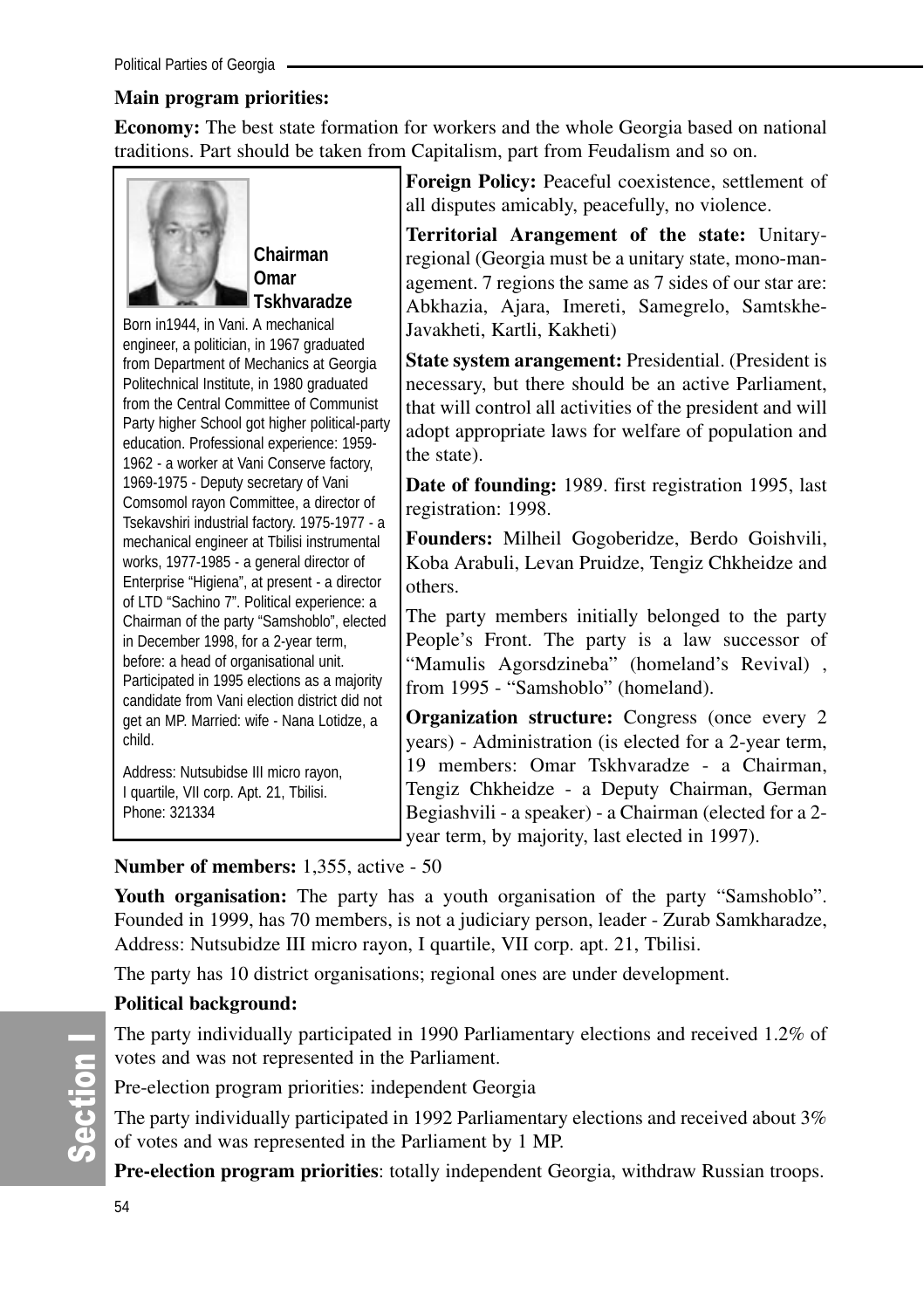## **Main program priorities:**

**Economy:** The best state formation for workers and the whole Georgia based on national traditions. Part should be taken from Capitalism, part from Feudalism and so on.



**Chairman Omar Tskhvaradze**

Born in1944, in Vani. A mechanical engineer, a politician, in 1967 graduated from Department of Mechanics at Georgia Politechnical Institute, in 1980 graduated from the Central Committee of Communist Party higher School got higher political-party education. Professional experience: 1959- 1962 - a worker at Vani Conserve factory, 1969-1975 - Deputy secretary of Vani Comsomol rayon Committee, a director of Tsekavshiri industrial factory. 1975-1977 - a mechanical engineer at Tbilisi instrumental works, 1977-1985 - a general director of Enterprise "Higiena", at present - a director of LTD "Sachino 7". Political experience: a Chairman of the party "Samshoblo", elected in December 1998, for a 2-year term, before: a head of organisational unit. Participated in 1995 elections as a majority candidate from Vani election district did not get an MP. Married: wife - Nana Lotidze, a child.

Address: Nutsubidse III micro rayon, I quartile, VII corp. Apt. 21, Tbilisi. Phone: 321334

**Foreign Policy:** Peaceful coexistence, settlement of all disputes amicably, peacefully, no violence.

**Territorial Arangement of the state:** Unitaryregional (Georgia must be a unitary state, mono-management. 7 regions the same as 7 sides of our star are: Abkhazia, Ajara, Imereti, Samegrelo, Samtskhe-Javakheti, Kartli, Kakheti)

**State system arangement:** Presidential. (President is necessary, but there should be an active Parliament, that will control all activities of the president and will adopt appropriate laws for welfare of population and the state).

**Date of founding:** 1989. first registration 1995, last registration: 1998.

**Founders:** Milheil Gogoberidze, Berdo Goishvili, Koba Arabuli, Levan Pruidze, Tengiz Chkheidze and others.

The party members initially belonged to the party People's Front. The party is a law successor of "Mamulis Agorsdzineba" (homeland's Revival) , from 1995 - "Samshoblo" (homeland).

**Organization structure:** Congress (once every 2) years) - Administration (is elected for a 2-year term, 19 members: Omar Tskhvaradze - a Chairman, Tengiz Chkheidze - a Deputy Chairman, German Begiashvili - a speaker) - a Chairman (elected for a 2 year term, by majority, last elected in 1997).

## **Number of members:** 1,355, active - 50

**Youth organisation:** The party has a youth organisation of the party "Samshoblo". Founded in 1999, has 70 members, is not a judiciary person, leader - Zurab Samkharadze, Address: Nutsubidze III micro rayon, I quartile, VII corp. apt. 21, Tbilisi.

The party has 10 district organisations; regional ones are under development.

## **Political background:**

The party individually participated in 1990 Parliamentary elections and received 1.2% of votes and was not represented in the Parliament.

Pre-election program priorities: independent Georgia

The party individually participated in 1992 Parliamentary elections and received about 3% of votes and was represented in the Parliament by 1 MP.

**Pre-election program priorities**: totally independent Georgia, withdraw Russian troops.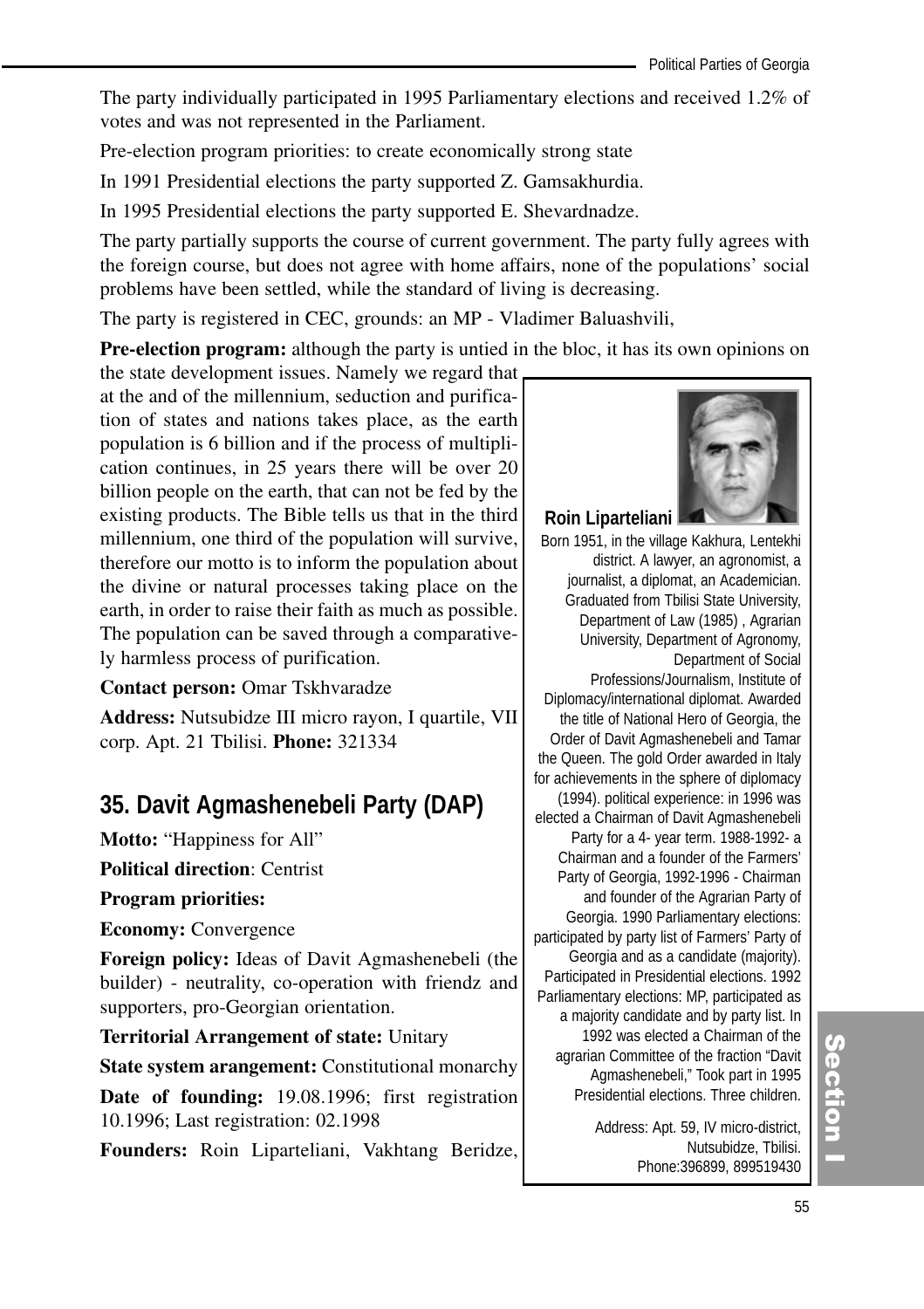The party individually participated in 1995 Parliamentary elections and received 1.2% of votes and was not represented in the Parliament.

Pre-election program priorities: to create economically strong state

In 1991 Presidential elections the party supported Z. Gamsakhurdia.

In 1995 Presidential elections the party supported E. Shevardnadze.

The party partially supports the course of current government. The party fully agrees with the foreign course, but does not agree with home affairs, none of the populations' social problems have been settled, while the standard of living is decreasing.

The party is registered in CEC, grounds: an MP - Vladimer Baluashvili,

**Pre-election program:** although the party is untied in the bloc, it has its own opinions on

the state development issues. Namely we regard that at the and of the millennium, seduction and purification of states and nations takes place, as the earth population is 6 billion and if the process of multiplication continues, in 25 years there will be over 20 billion people on the earth, that can not be fed by the existing products. The Bible tells us that in the third millennium, one third of the population will survive, therefore our motto is to inform the population about the divine or natural processes taking place on the earth, in order to raise their faith as much as possible. The population can be saved through a comparatively harmless process of purification.

#### **Contact person:** Omar Tskhvaradze

**Address:** Nutsubidze III micro rayon, I quartile, VII corp. Apt. 21 Tbilisi. **Phone:** 321334

## **35. Davit Agmashenebeli Party (DAP)**

**Motto:** "Happiness for All"

**Political direction**: Centrist

**Program priorities:** 

**Economy:** Convergence

**Foreign policy:** Ideas of Davit Agmashenebeli (the builder) - neutrality, co-operation with friendz and supporters, pro-Georgian orientation.

**Territorial Arrangement of state:** Unitary

**State system arangement:** Constitutional monarchy

**Date of founding:** 19.08.1996; first registration 10.1996; Last registration: 02.1998

**Founders:** Roin Liparteliani, Vakhtang Beridze,



#### **Roin Liparteliani**

Born 1951, in the village Kakhura, Lentekhi district. A lawyer, an agronomist, a journalist, a diplomat, an Academician. Graduated from Tbilisi State University, Department of Law (1985) , Agrarian University, Department of Agronomy, Department of Social Professions/Journalism, Institute of Diplomacy/international diplomat. Awarded the title of National Hero of Georgia, the Order of Davit Agmashenebeli and Tamar the Queen. The gold Order awarded in Italy for achievements in the sphere of diplomacy (1994). political experience: in 1996 was elected a Chairman of Davit Agmashenebeli Party for a 4- year term. 1988-1992- a Chairman and a founder of the Farmers' Party of Georgia, 1992-1996 - Chairman and founder of the Agrarian Party of Georgia. 1990 Parliamentary elections: participated by party list of Farmers' Party of Georgia and as a candidate (majority). Participated in Presidential elections. 1992 Parliamentary elections: MP, participated as a majority candidate and by party list. In 1992 was elected a Chairman of the agrarian Committee of the fraction "Davit Agmashenebeli," Took part in 1995 Presidential elections. Three children.

> Address: Apt. 59, IV micro-district, Nutsubidze, Tbilisi. Phone:396899, 899519430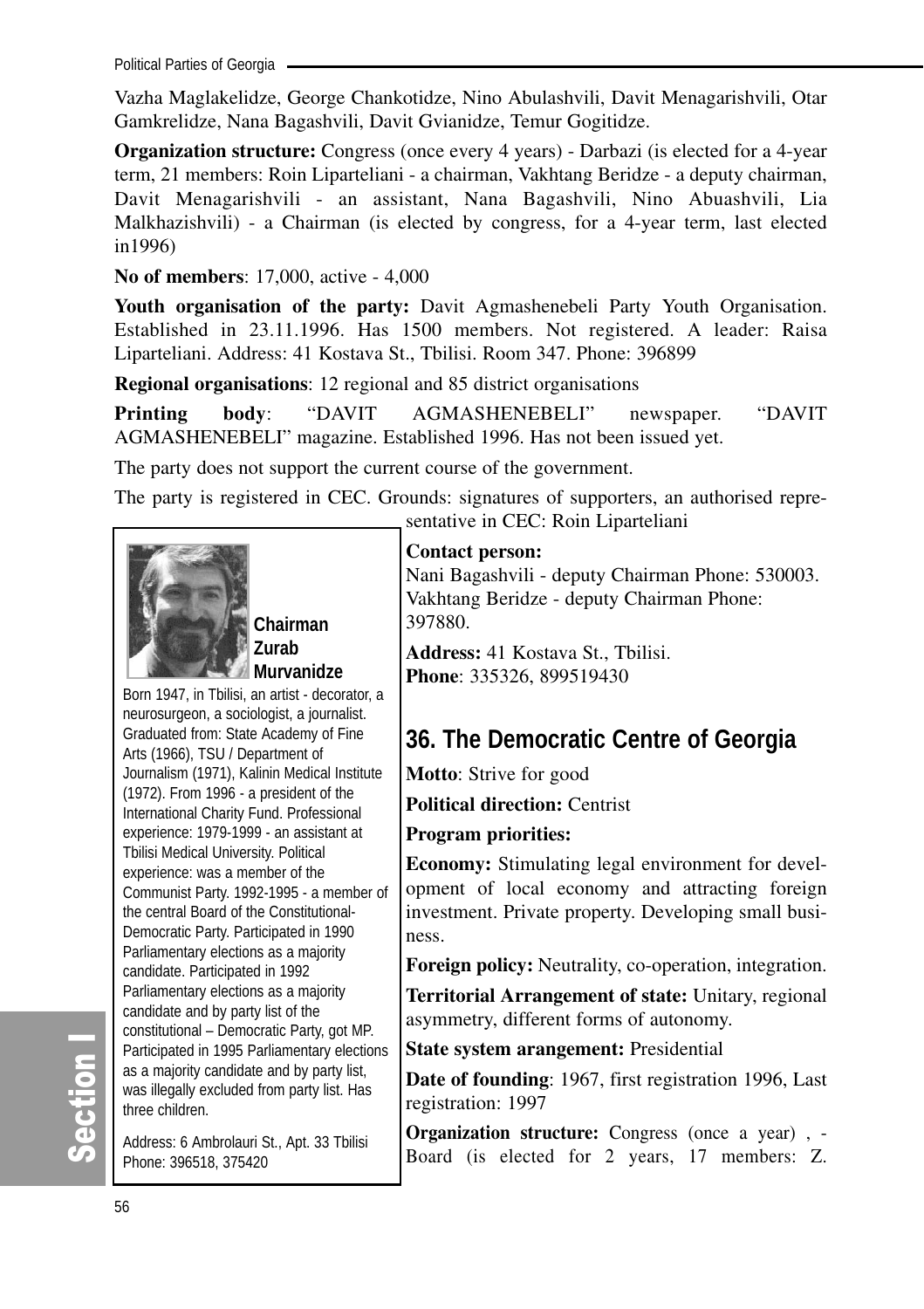Political Parties of Georgia

Vazha Maglakelidze, George Chankotidze, Nino Abulashvili, Davit Menagarishvili, Otar Gamkrelidze, Nana Bagashvili, Davit Gvianidze, Temur Gogitidze.

**Organization structure:** Congress (once every 4 years) - Darbazi (is elected for a 4-year term, 21 members: Roin Liparteliani - a chairman, Vakhtang Beridze - a deputy chairman, Davit Menagarishvili - an assistant, Nana Bagashvili, Nino Abuashvili, Lia Malkhazishvili) - a Chairman (is elected by congress, for a 4-year term, last elected in1996)

**No of members**: 17,000, active - 4,000

Youth organisation of the party: Davit Agmashenebeli Party Youth Organisation. Established in 23.11.1996. Has 1500 members. Not registered. A leader: Raisa Liparteliani. Address: 41 Kostava St., Tbilisi. Room 347. Phone: 396899

**Regional organisations**: 12 regional and 85 district organisations

**Printing body**: "DAVIT AGMASHENEBELI" newspaper. "DAVIT AGMASHENEBELI" magazine. Established 1996. Has not been issued yet.

The party does not support the current course of the government.

The party is registered in CEC. Grounds: signatures of supporters, an authorised representative in CEC: Roin Liparteliani



**Chairman Zurab Murvanidze**

Born 1947, in Tbilisi, an artist - decorator, a neurosurgeon, a sociologist, a journalist. Graduated from: State Academy of Fine Arts (1966), TSU / Department of Journalism (1971), Kalinin Medical Institute (1972). From 1996 - a president of the International Charity Fund. Professional experience: 1979-1999 - an assistant at Tbilisi Medical University. Political experience: was a member of the Communist Party. 1992-1995 - a member of the central Board of the Constitutional-Democratic Party. Participated in 1990 Parliamentary elections as a majority candidate. Participated in 1992 Parliamentary elections as a majority candidate and by party list of the constitutional – Democratic Party, got MP. Participated in 1995 Parliamentary elections as a majority candidate and by party list, was illegally excluded from party list. Has three children.

Address: 6 Ambrolauri St., Apt. 33 Tbilisi Phone: 396518, 375420

## **Contact person:**

Nani Bagashvili - deputy Chairman Phone: 530003. Vakhtang Beridze - deputy Chairman Phone: 397880.

**Address:** 41 Kostava St., Tbilisi. **Phone**: 335326, 899519430

## **36. The Democratic Centre of Georgia**

**Motto**: Strive for good

**Political direction:** Centrist

## **Program priorities:**

**Economy:** Stimulating legal environment for development of local economy and attracting foreign investment. Private property. Developing small business.

**Foreign policy:** Neutrality, co-operation, integration.

**Territorial Arrangement of state:** Unitary, regional asymmetry, different forms of autonomy.

**State system arangement:** Presidential

**Date of founding**: 1967, first registration 1996, Last registration: 1997

**Organization structure:** Congress (once a year), -Board (is elected for 2 years, 17 members: Z.

တိ ction I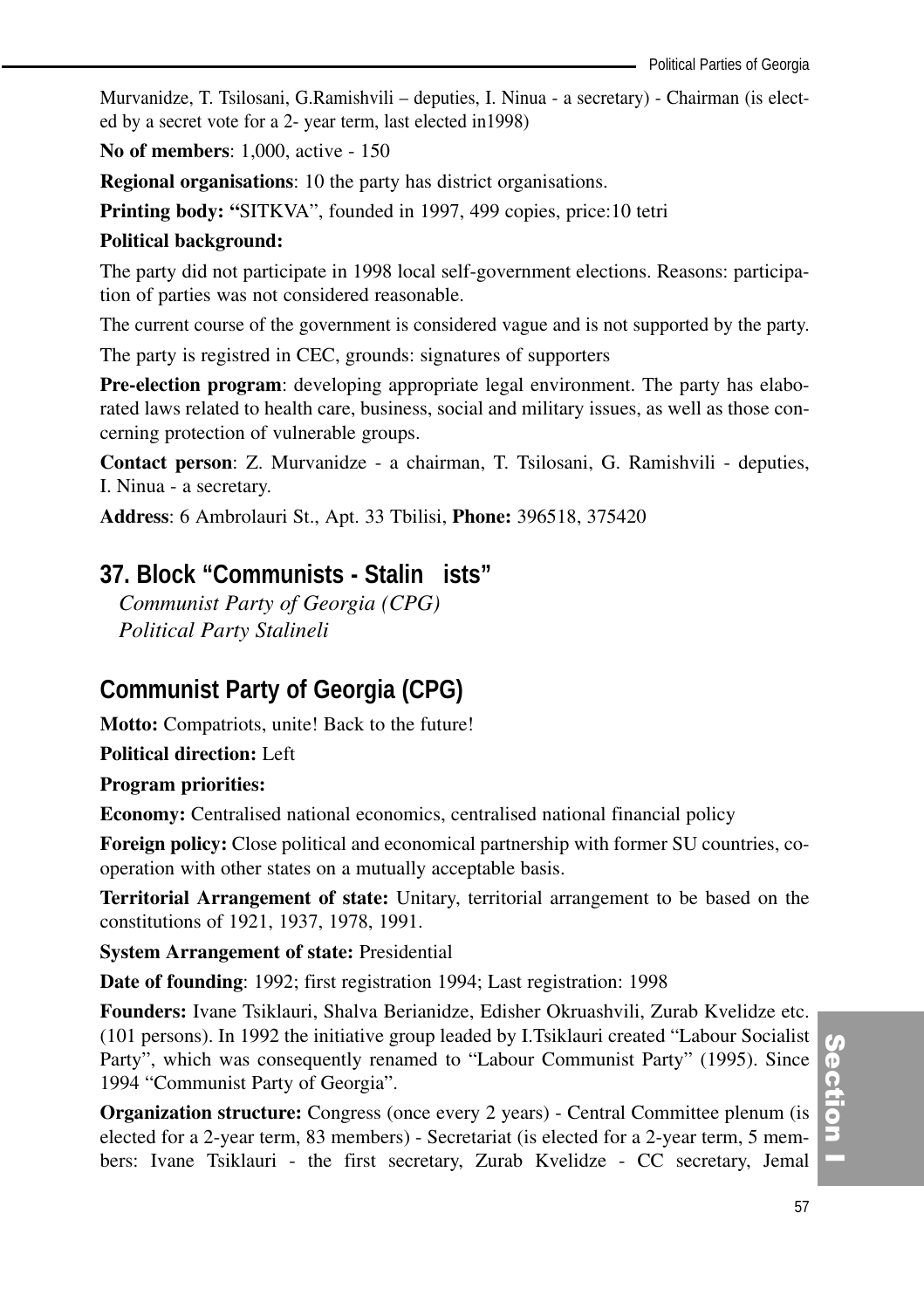Murvanidze, T. Tsilosani, G.Ramishvili – deputies, I. Ninua - a secretary) - Chairman (is elected by a secret vote for a 2- year term, last elected in1998)

**No of members**: 1,000, active - 150

**Regional organisations**: 10 the party has district organisations.

**Printing body: "**SITKVA", founded in 1997, 499 copies, price:10 tetri

#### **Political background:**

The party did not participate in 1998 local self-government elections. Reasons: participation of parties was not considered reasonable.

The current course of the government is considered vague and is not supported by the party.

The party is registred in CEC, grounds: signatures of supporters

**Pre-election program**: developing appropriate legal environment. The party has elaborated laws related to health care, business, social and military issues, as well as those concerning protection of vulnerable groups.

**Contact person**: Z. Murvanidze - a chairman, T. Tsilosani, G. Ramishvili - deputies, I. Ninua - a secretary.

**Address**: 6 Ambrolauri St., Apt. 33 Tbilisi, **Phone:** 396518, 375420

## **37. Block "Communists - Stalin ists"**

*Communist Party of Georgia (CPG) Political Party Stalineli* 

## **Communist Party of Georgia (CPG)**

**Motto:** Compatriots, unite! Back to the future!

**Political direction:** Left

#### **Program priorities:**

**Economy:** Centralised national economics, centralised national financial policy

**Foreign policy:** Close political and economical partnership with former SU countries, cooperation with other states on a mutually acceptable basis.

**Territorial Arrangement of state:** Unitary, territorial arrangement to be based on the constitutions of 1921, 1937, 1978, 1991.

**System Arrangement of state:** Presidential

**Date of founding**: 1992; first registration 1994; Last registration: 1998

**Founders:** Ivane Tsiklauri, Shalva Berianidze, Edisher Okruashvili, Zurab Kvelidze etc. (101 persons). In 1992 the initiative group leaded by I.Tsiklauri created "Labour Socialist Party", which was consequently renamed to "Labour Communist Party" (1995). Since 1994 "Communist Party of Georgia".

**Organization structure:** Congress (once every 2 years) - Central Committee plenum (is elected for a 2-year term, 83 members) - Secretariat (is elected for a 2-year term, 5 members: Ivane Tsiklauri - the first secretary, Zurab Kvelidze - CC secretary, Jemal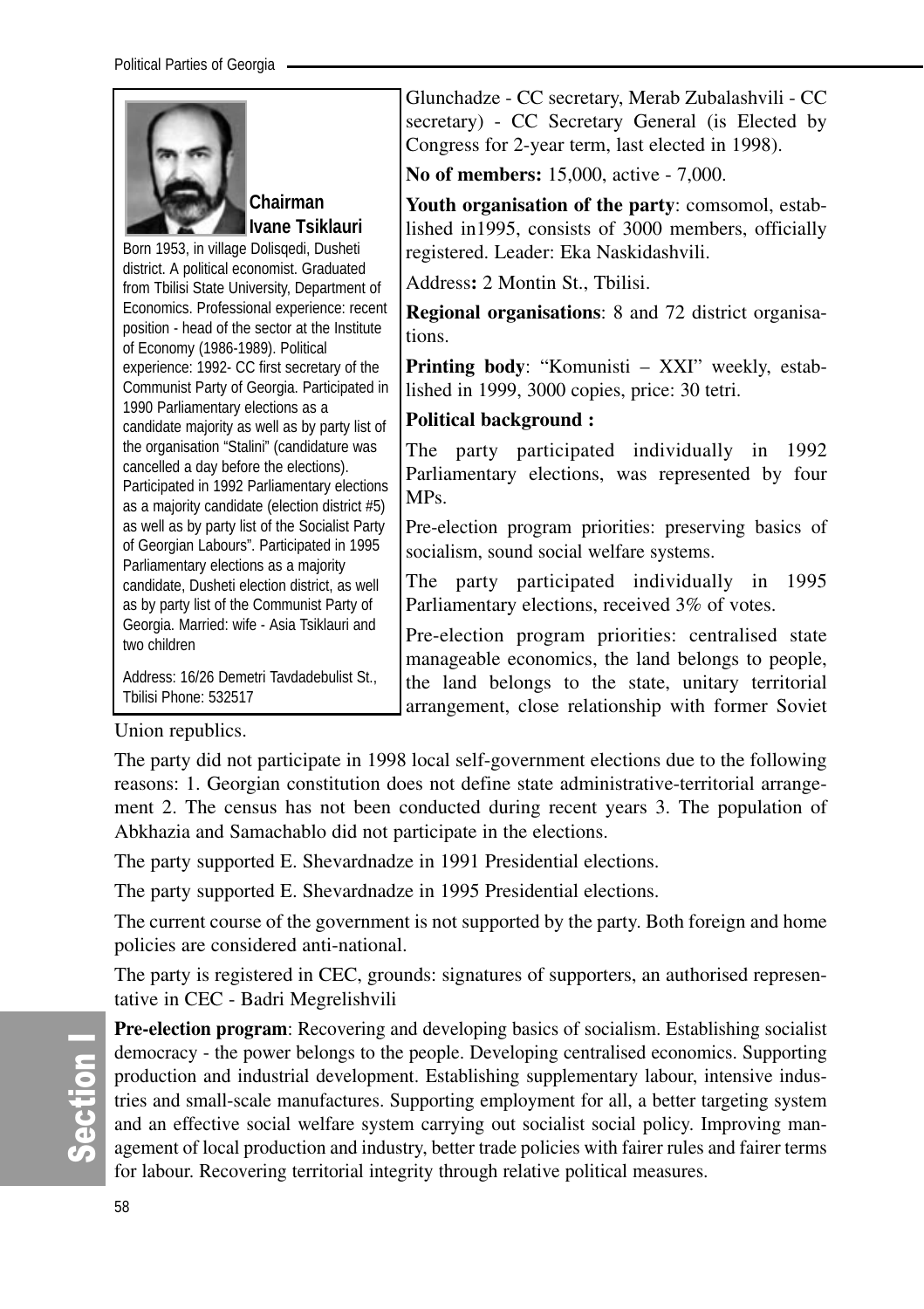|                                                                                                                                                                                         | Glunchadze - CC secretary, Merab Zubalashvili - CC<br>secretary) - CC Secretary General (is Elected by                                              |
|-----------------------------------------------------------------------------------------------------------------------------------------------------------------------------------------|-----------------------------------------------------------------------------------------------------------------------------------------------------|
|                                                                                                                                                                                         | Congress for 2-year term, last elected in 1998).<br>No of members: 15,000, active - 7,000.                                                          |
| Chairman<br>Ivane Tsiklauri<br>Born 1953, in village Dolisgedi, Dusheti                                                                                                                 | Youth organisation of the party: comsomol, estab-<br>lished in 1995, consists of 3000 members, officially<br>registered. Leader: Eka Naskidashvili. |
| district. A political economist. Graduated<br>from Tbilisi State University, Department of                                                                                              | Address: 2 Montin St., Tbilisi.                                                                                                                     |
| Economics. Professional experience: recent<br>position - head of the sector at the Institute<br>of Economy (1986-1989). Political                                                       | <b>Regional organisations:</b> 8 and 72 district organisa-<br>tions.                                                                                |
| experience: 1992- CC first secretary of the<br>Communist Party of Georgia. Participated in                                                                                              | <b>Printing body:</b> "Komunisti – XXI" weekly, estab-<br>lished in 1999, 3000 copies, price: 30 tetri.                                             |
| 1990 Parliamentary elections as a<br>candidate majority as well as by party list of                                                                                                     | <b>Political background:</b>                                                                                                                        |
| the organisation "Stalini" (candidature was<br>cancelled a day before the elections).<br>Participated in 1992 Parliamentary elections<br>as a majority candidate (election district #5) | The<br>party participated individually in 1992<br>Parliamentary elections, was represented by four<br>MPs.                                          |
| as well as by party list of the Socialist Party<br>of Georgian Labours". Participated in 1995<br>Parliamentary elections as a majority                                                  | Pre-election program priorities: preserving basics of<br>socialism, sound social welfare systems.                                                   |
| candidate, Dusheti election district, as well<br>as by party list of the Communist Party of                                                                                             | party participated individually in 1995<br>The<br>Parliamentary elections, received 3% of votes.                                                    |
| Georgia. Married: wife - Asia Tsiklauri and<br>two children                                                                                                                             | Pre-election program priorities: centralised state<br>manageable economics, the land belongs to people,                                             |
| Address: 16/26 Demetri Tavdadebulist St.,<br>Tbilisi Phone: 532517                                                                                                                      | the land belongs to the state, unitary territorial<br>arrangement, close relationship with former Soviet                                            |

Union republics.

The party did not participate in 1998 local self-government elections due to the following reasons: 1. Georgian constitution does not define state administrative-territorial arrangement 2. The census has not been conducted during recent years 3. The population of Abkhazia and Samachablo did not participate in the elections.

The party supported E. Shevardnadze in 1991 Presidential elections.

The party supported E. Shevardnadze in 1995 Presidential elections.

The current course of the government is not supported by the party. Both foreign and home policies are considered anti-national.

The party is registered in CEC, grounds: signatures of supporters, an authorised representative in CEC - Badri Megrelishvili

**Pre-election program**: Recovering and developing basics of socialism. Establishing socialist democracy - the power belongs to the people. Developing centralised economics. Supporting production and industrial development. Establishing supplementary labour, intensive industries and small-scale manufactures. Supporting employment for all, a better targeting system and an effective social welfare system carrying out socialist social policy. Improving management of local production and industry, better trade policies with fairer rules and fairer terms for labour. Recovering territorial integrity through relative political measures.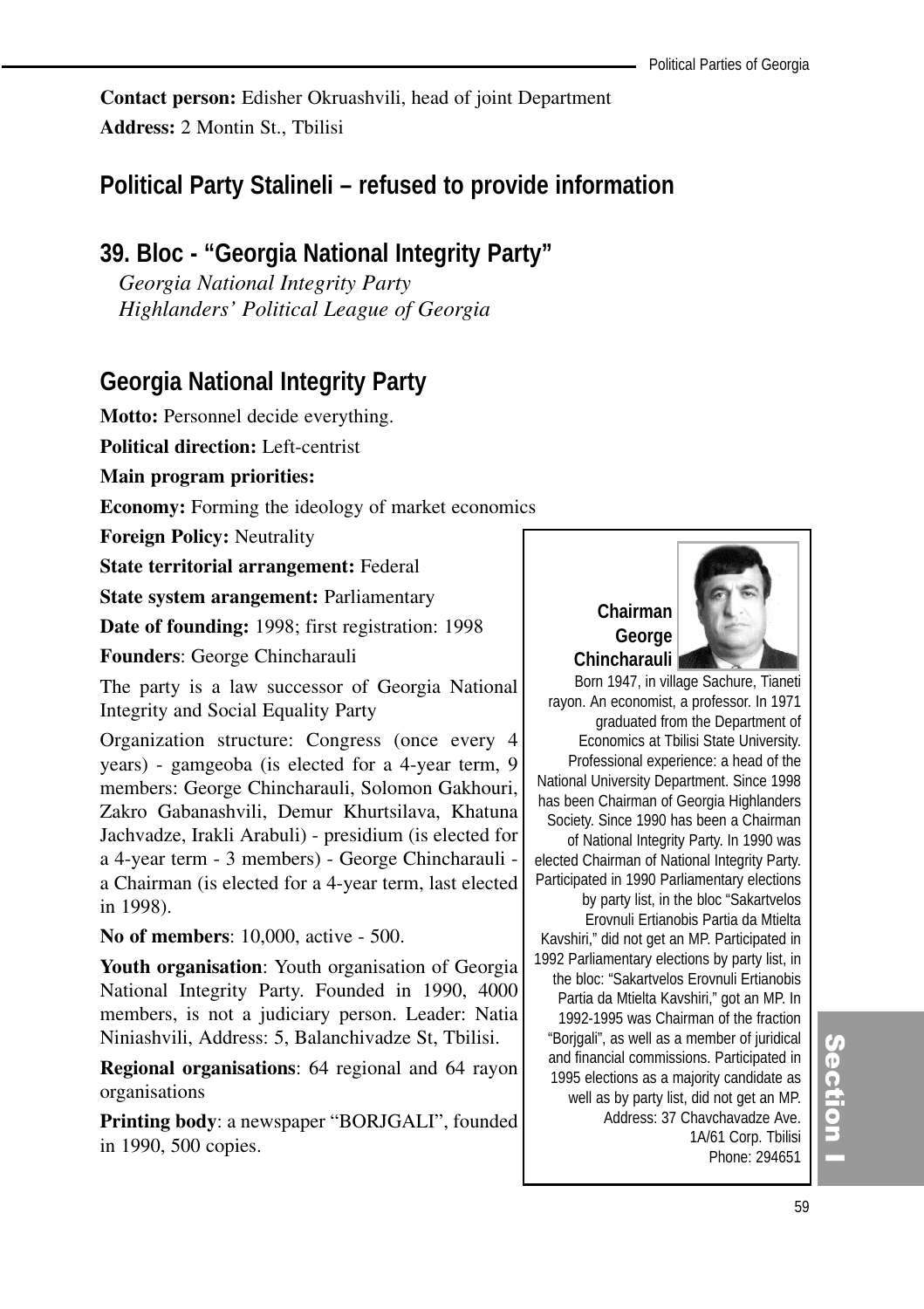**Contact person:** Edisher Okruashvili, head of joint Department **Address:** 2 Montin St., Tbilisi

## **Political Party Stalineli – refused to provide information**

## **39. Bloc - "Georgia National Integrity Party"**

*Georgia National Integrity Party Highlanders' Political League of Georgia*

## **Georgia National Integrity Party**

**Motto:** Personnel decide everything.

**Political direction:** Left-centrist

**Main program priorities:**

**Economy:** Forming the ideology of market economics

**Foreign Policy:** Neutrality

**State territorial arrangement:** Federal

**State system arangement:** Parliamentary

**Date of founding:** 1998; first registration: 1998

**Founders**: George Chincharauli

The party is a law successor of Georgia National Integrity and Social Equality Party

Organization structure: Congress (once every 4 years) - gamgeoba (is elected for a 4-year term, 9 members: George Chincharauli, Solomon Gakhouri, Zakro Gabanashvili, Demur Khurtsilava, Khatuna Jachvadze, Irakli Arabuli) - presidium (is elected for a 4-year term - 3 members) - George Chincharauli a Chairman (is elected for a 4-year term, last elected in 1998).

**No of members**: 10,000, active - 500.

**Youth organisation**: Youth organisation of Georgia National Integrity Party. Founded in 1990, 4000 members, is not a judiciary person. Leader: Natia Niniashvili, Address: 5, Balanchivadze St, Tbilisi.

**Regional organisations**: 64 regional and 64 rayon organisations

**Printing body**: a newspaper "BORJGALI", founded in 1990, 500 copies.

## **Chairman George Chincharauli**



rayon. An economist, a professor. In 1971 graduated from the Department of Economics at Tbilisi State University. Professional experience: a head of the National University Department. Since 1998 has been Chairman of Georgia Highlanders Society. Since 1990 has been a Chairman of National Integrity Party. In 1990 was elected Chairman of National Integrity Party. Participated in 1990 Parliamentary elections by party list, in the bloc "Sakartvelos Erovnuli Ertianobis Partia da Mtielta Kavshiri," did not get an MP. Participated in 1992 Parliamentary elections by party list, in the bloc: "Sakartvelos Erovnuli Ertianobis Partia da Mtielta Kavshiri," got an MP. In 1992-1995 was Chairman of the fraction "Borjgali", as well as a member of juridical and financial commissions. Participated in 1995 elections as a majority candidate as well as by party list, did not get an MP. Address: 37 Chavchavadze Ave. 1A/61 Corp. Tbilisi Phone: 294651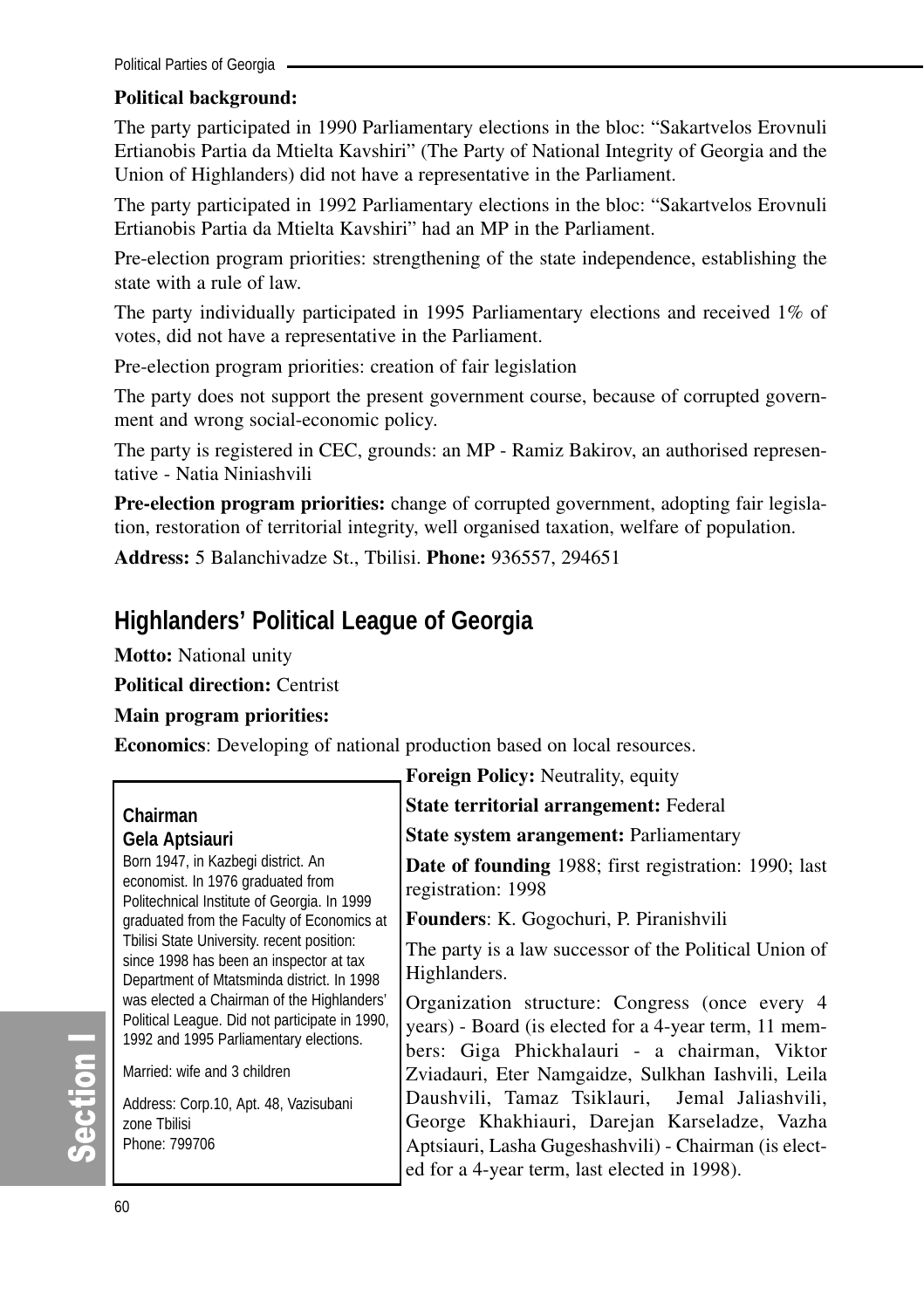## **Political background:**

The party participated in 1990 Parliamentary elections in the bloc: "Sakartvelos Erovnuli Ertianobis Partia da Mtielta Kavshiri" (The Party of National Integrity of Georgia and the Union of Highlanders) did not have a representative in the Parliament.

The party participated in 1992 Parliamentary elections in the bloc: "Sakartvelos Erovnuli Ertianobis Partia da Mtielta Kavshiri" had an MP in the Parliament.

Pre-election program priorities: strengthening of the state independence, establishing the state with a rule of law.

The party individually participated in 1995 Parliamentary elections and received 1% of votes, did not have a representative in the Parliament.

Pre-election program priorities: creation of fair legislation

The party does not support the present government course, because of corrupted government and wrong social-economic policy.

The party is registered in CEC, grounds: an MP - Ramiz Bakirov, an authorised representative - Natia Niniashvili

**Pre-election program priorities:** change of corrupted government, adopting fair legislation, restoration of territorial integrity, well organised taxation, welfare of population.

**Address:** 5 Balanchivadze St., Tbilisi. **Phone:** 936557, 294651

## **Highlanders' Political League of Georgia**

**Motto:** National unity

**Political direction:** Centrist

#### **Main program priorities:**

**Economics**: Developing of national production based on local resources.

|                                                                                                                                        | <b>Foreign Policy: Neutrality, equity</b>                                                                                                                                                               |
|----------------------------------------------------------------------------------------------------------------------------------------|---------------------------------------------------------------------------------------------------------------------------------------------------------------------------------------------------------|
| Chairman                                                                                                                               | State territorial arrangement: Federal                                                                                                                                                                  |
| Gela Aptsiauri                                                                                                                         | State system arangement: Parliamentary                                                                                                                                                                  |
| Born 1947, in Kazbegi district. An<br>economist. In 1976 graduated from<br>Politechnical Institute of Georgia. In 1999                 | <b>Date of founding</b> 1988; first registration: 1990; last<br>registration: 1998                                                                                                                      |
| graduated from the Faculty of Economics at                                                                                             | Founders: K. Gogochuri, P. Piranishvili                                                                                                                                                                 |
| Tbilisi State University. recent position:<br>since 1998 has been an inspector at tax<br>Department of Mtatsminda district. In 1998    | The party is a law successor of the Political Union of<br>Highlanders.                                                                                                                                  |
| was elected a Chairman of the Highlanders'<br>Political League. Did not participate in 1990,<br>1992 and 1995 Parliamentary elections. | Organization structure: Congress (once every 4<br>years) - Board (is elected for a 4-year term, 11 mem-<br>bers: Giga Phickhalauri - a chairman, Viktor                                                 |
| Married: wife and 3 children                                                                                                           | Zviadauri, Eter Namgaidze, Sulkhan Iashvili, Leila                                                                                                                                                      |
| Address: Corp.10, Apt. 48, Vazisubani<br>zone Tbilisi<br>Phone: 799706                                                                 | Daushvili, Tamaz Tsiklauri, Jemal Jaliashvili,<br>George Khakhiauri, Darejan Karseladze, Vazha<br>Aptsiauri, Lasha Gugeshashvili) - Chairman (is elect-<br>ed for a 4-year term, last elected in 1998). |

တိ

ction I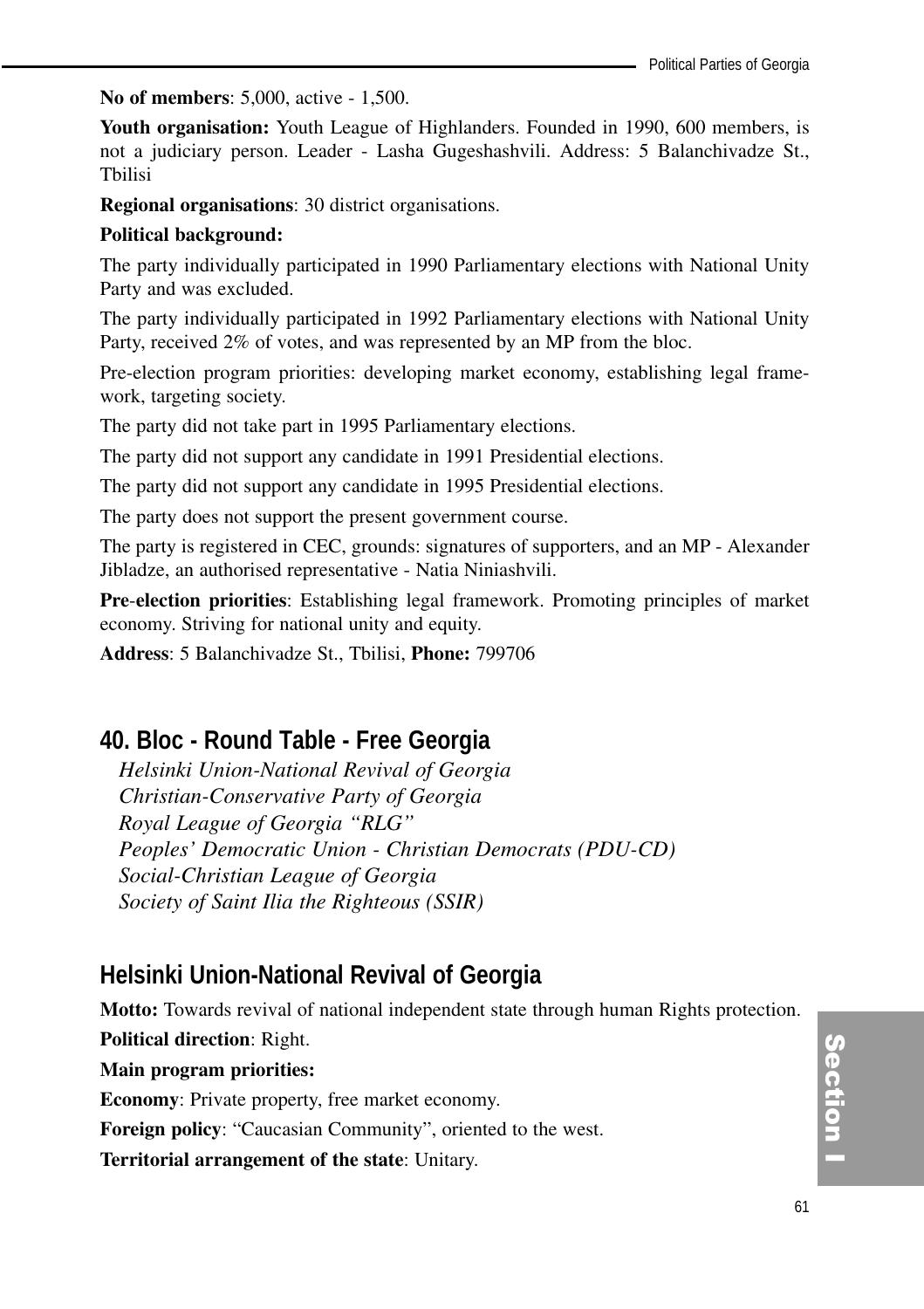**No of members**: 5,000, active - 1,500.

**Youth organisation:** Youth League of Highlanders. Founded in 1990, 600 members, is not a judiciary person. Leader - Lasha Gugeshashvili. Address: 5 Balanchivadze St., Tbilisi

**Regional organisations**: 30 district organisations.

#### **Political background:**

The party individually participated in 1990 Parliamentary elections with National Unity Party and was excluded.

The party individually participated in 1992 Parliamentary elections with National Unity Party, received 2% of votes, and was represented by an MP from the bloc.

Pre-election program priorities: developing market economy, establishing legal framework, targeting society.

The party did not take part in 1995 Parliamentary elections.

The party did not support any candidate in 1991 Presidential elections.

The party did not support any candidate in 1995 Presidential elections.

The party does not support the present government course.

The party is registered in CEC, grounds: signatures of supporters, and an MP - Alexander Jibladze, an authorised representative - Natia Niniashvili.

**Pre**-**election priorities**: Establishing legal framework. Promoting principles of market economy. Striving for national unity and equity.

**Address**: 5 Balanchivadze St., Tbilisi, **Phone:** 799706

## **40. Bloc - Round Table - Free Georgia**

*Helsinki Union-National Revival of Georgia Christian-Conservative Party of Georgia Royal League of Georgia "RLG" Peoples' Democratic Union - Christian Democrats (PDU-CD) Social-Christian League of Georgia Society of Saint Ilia the Righteous (SSIR)* 

## **Helsinki Union-National Revival of Georgia**

**Motto:** Towards revival of national independent state through human Rights protection.

**Political direction**: Right.

**Main program priorities:** 

**Economy**: Private property, free market economy.

**Foreign policy**: "Caucasian Community", oriented to the west.

**Territorial arrangement of the state**: Unitary.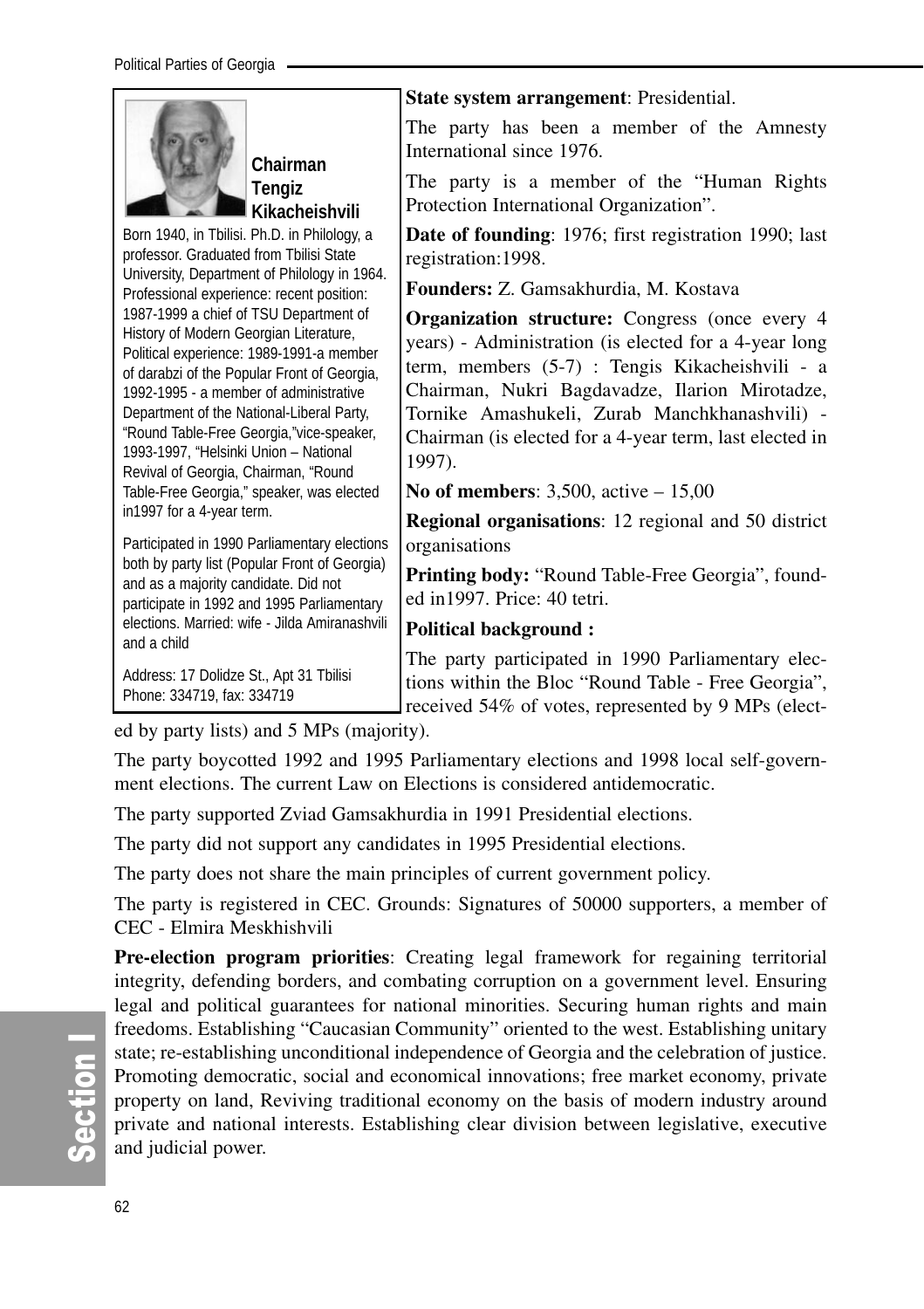

**Chairman Tengiz Kikacheishvili**

Born 1940, in Tbilisi. Ph.D. in Philology, a professor. Graduated from Tbilisi State University, Department of Philology in 1964. Professional experience: recent position: 1987-1999 a chief of TSU Department of History of Modern Georgian Literature, Political experience: 1989-1991-a member of darabzi of the Popular Front of Georgia, 1992-1995 - a member of administrative Department of the National-Liberal Party, "Round Table-Free Georgia,"vice-speaker, 1993-1997, "Helsinki Union – National Revival of Georgia, Chairman, "Round Table-Free Georgia," speaker, was elected in1997 for a 4-year term.

Participated in 1990 Parliamentary elections both by party list (Popular Front of Georgia) and as a majority candidate. Did not participate in 1992 and 1995 Parliamentary elections. Married: wife - Jilda Amiranashvili and a child

Address: 17 Dolidze St., Apt 31 Tbilisi Phone: 334719, fax: 334719

**State system arrangement**: Presidential.

The party has been a member of the Amnesty International since 1976.

The party is a member of the "Human Rights Protection International Organization".

**Date of founding**: 1976; first registration 1990; last registration:1998.

**Founders:** Z. Gamsakhurdia, M. Kostava

**Organization structure:** Congress (once every 4 years) - Administration (is elected for a 4-year long term, members (5-7) : Tengis Kikacheishvili - a Chairman, Nukri Bagdavadze, Ilarion Mirotadze, Tornike Amashukeli, Zurab Manchkhanashvili) - Chairman (is elected for a 4-year term, last elected in 1997).

**No of members**: 3,500, active – 15,00

**Regional organisations**: 12 regional and 50 district organisations

**Printing body:** "Round Table-Free Georgia", founded in1997. Price: 40 tetri.

## **Political background :**

The party participated in 1990 Parliamentary elections within the Bloc "Round Table - Free Georgia", received 54% of votes, represented by 9 MPs (elect-

ed by party lists) and 5 MPs (majority).

The party boycotted 1992 and 1995 Parliamentary elections and 1998 local self-government elections. The current Law on Elections is considered antidemocratic.

The party supported Zviad Gamsakhurdia in 1991 Presidential elections.

The party did not support any candidates in 1995 Presidential elections.

The party does not share the main principles of current government policy.

The party is registered in CEC. Grounds: Signatures of 50000 supporters, a member of CEC - Elmira Meskhishvili

**Pre-election program priorities**: Creating legal framework for regaining territorial integrity, defending borders, and combating corruption on a government level. Ensuring legal and political guarantees for national minorities. Securing human rights and main freedoms. Establishing "Caucasian Community" oriented to the west. Establishing unitary state; re-establishing unconditional independence of Georgia and the celebration of justice. Promoting democratic, social and economical innovations; free market economy, private property on land, Reviving traditional economy on the basis of modern industry around private and national interests. Establishing clear division between legislative, executive and judicial power.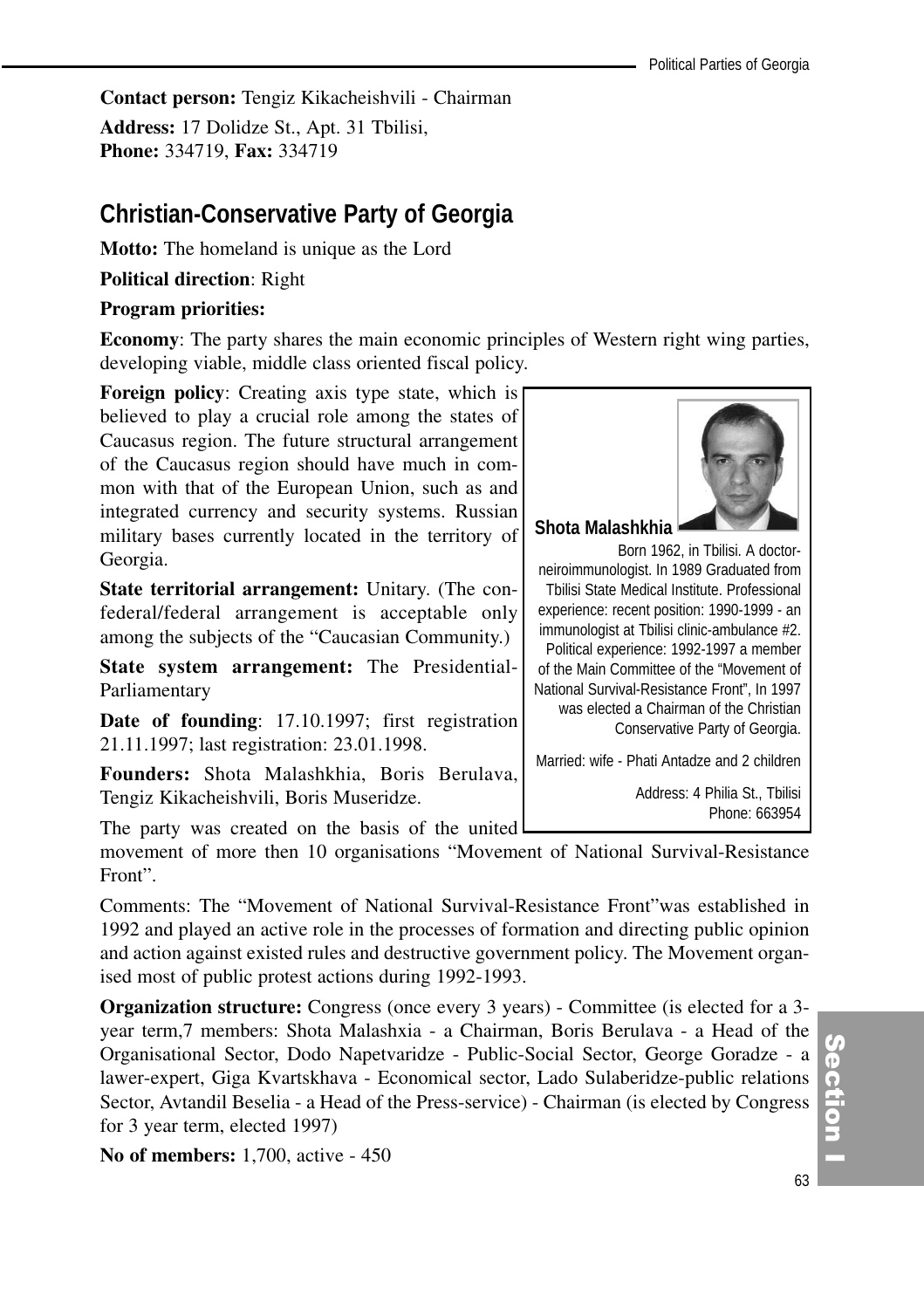**Contact person:** Tengiz Kikacheishvili - Chairman **Address:** 17 Dolidze St., Apt. 31 Tbilisi, **Phone:** 334719, **Fax:** 334719

## **Christian-Conservative Party of Georgia**

**Motto:** The homeland is unique as the Lord

**Political direction**: Right

### **Program priorities:**

**Economy**: The party shares the main economic principles of Western right wing parties, developing viable, middle class oriented fiscal policy.

**Foreign policy**: Creating axis type state, which is believed to play a crucial role among the states of Caucasus region. The future structural arrangement of the Caucasus region should have much in common with that of the European Union, such as and integrated currency and security systems. Russian military bases currently located in the territory of Georgia.

**State territorial arrangement:** Unitary. (The confederal/federal arrangement is acceptable only among the subjects of the "Caucasian Community.)

**State system arrangement:** The Presidential-Parliamentary

**Date of founding**: 17.10.1997; first registration 21.11.1997; last registration: 23.01.1998.

**Founders:** Shota Malashkhia, Boris Berulava, Tengiz Kikacheishvili, Boris Museridze.

The party was created on the basis of the united

movement of more then 10 organisations "Movement of National Survival-Resistance Front".

Comments: The "Movement of National Survival-Resistance Front"was established in 1992 and played an active role in the processes of formation and directing public opinion and action against existed rules and destructive government policy. The Movement organised most of public protest actions during 1992-1993.

**Organization structure:** Congress (once every 3 years) - Committee (is elected for a 3 year term,7 members: Shota Malashxia - a Chairman, Boris Berulava - a Head of the Organisational Sector, Dodo Napetvaridze - Public-Social Sector, George Goradze - a lawer-expert, Giga Kvartskhava - Economical sector, Lado Sulaberidze-public relations Sector, Avtandil Beselia - a Head of the Press-service) - Chairman (is elected by Congress for 3 year term, elected 1997)

**No of members:** 1,700, active - 450



Born 1962, in Tbilisi. A doctorneiroimmunologist. In 1989 Graduated from Tbilisi State Medical Institute. Professional experience: recent position: 1990-1999 - an immunologist at Tbilisi clinic-ambulance #2. Political experience: 1992-1997 a member of the Main Committee of the "Movement of National Survival-Resistance Front", In 1997 was elected a Chairman of the Christian Conservative Party of Georgia.

Married: wife - Phati Antadze and 2 children

Address: 4 Philia St., Tbilisi Phone: 663954

(၈<br>စ

ction<br>I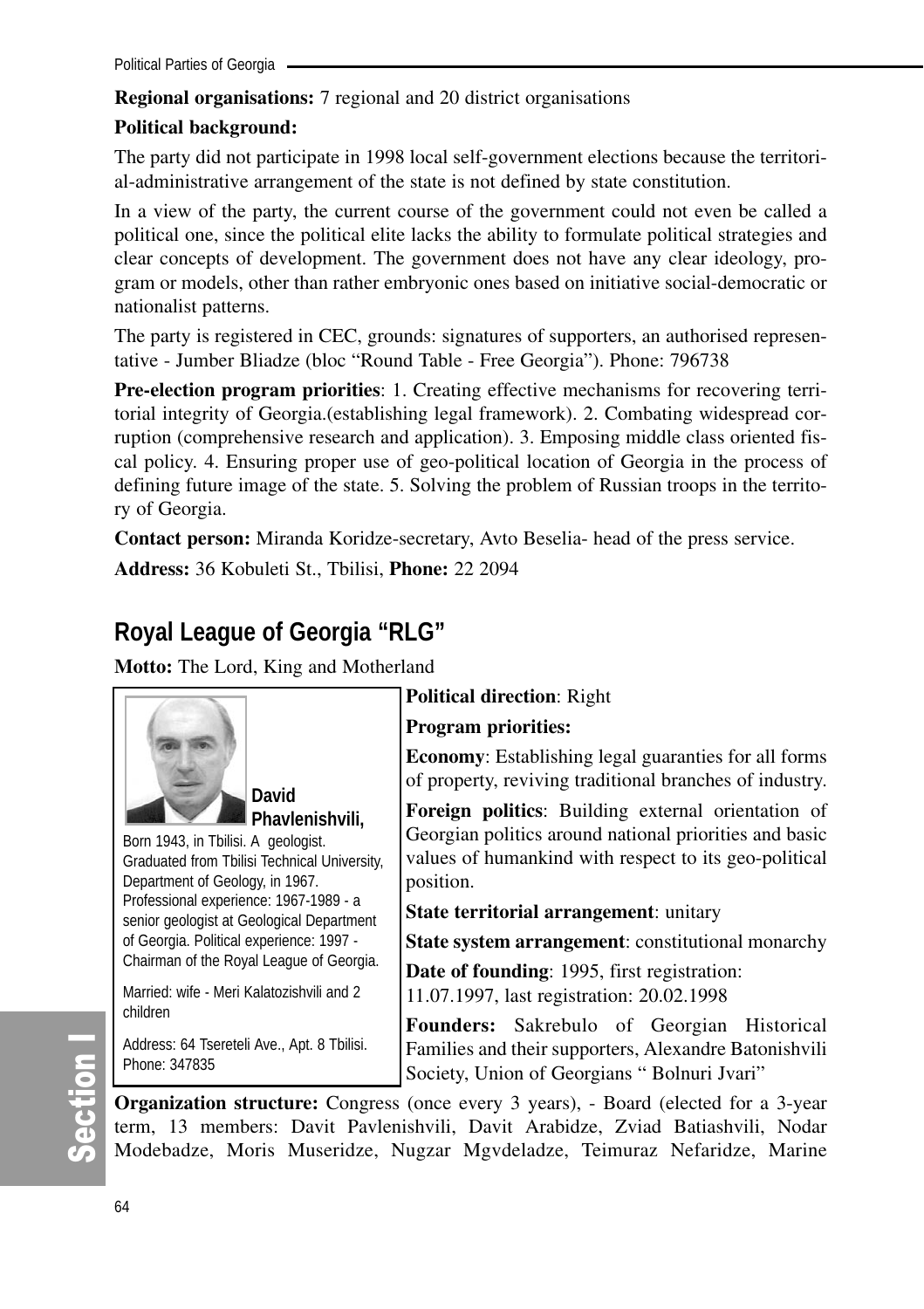## **Regional organisations:** 7 regional and 20 district organisations

## **Political background:**

The party did not participate in 1998 local self-government elections because the territorial-administrative arrangement of the state is not defined by state constitution.

In a view of the party, the current course of the government could not even be called a political one, since the political elite lacks the ability to formulate political strategies and clear concepts of development. The government does not have any clear ideology, program or models, other than rather embryonic ones based on initiative social-democratic or nationalist patterns.

The party is registered in CEC, grounds: signatures of supporters, an authorised representative - Jumber Bliadze (bloc "Round Table - Free Georgia"). Phone: 796738

**Pre-election program priorities**: 1. Creating effective mechanisms for recovering territorial integrity of Georgia.(establishing legal framework). 2. Combating widespread corruption (comprehensive research and application). 3. Emposing middle class oriented fiscal policy. 4. Ensuring proper use of geo-political location of Georgia in the process of defining future image of the state. 5. Solving the problem of Russian troops in the territory of Georgia.

**Contact person:** Miranda Koridze-secretary, Avto Beselia- head of the press service. **Address:** 36 Kobuleti St., Tbilisi, **Phone:** 22 2094

## **Royal League of Georgia "RLG"**

**Motto:** The Lord, King and Motherland



**Phavlenishvili,**

Born 1943, in Tbilisi. A geologist. Graduated from Tbilisi Technical University, Department of Geology, in 1967. Professional experience: 1967-1989 - a senior geologist at Geological Department of Georgia. Political experience: 1997 - Chairman of the Royal League of Georgia.

Married: wife - Meri Kalatozishvili and 2 children

Address: 64 Tsereteli Ave., Apt. 8 Tbilisi. Phone: 347835

## **Political direction**: Right

#### **Program priorities:**

**Economy**: Establishing legal guaranties for all forms of property, reviving traditional branches of industry.

**Foreign politics**: Building external orientation of Georgian politics around national priorities and basic values of humankind with respect to its geo-political position.

**State territorial arrangement**: unitary

**State system arrangement**: constitutional monarchy

**Date of founding**: 1995, first registration: 11.07.1997, last registration: 20.02.1998

**Founders:** Sakrebulo of Georgian Historical Families and their supporters, Alexandre Batonishvili Society, Union of Georgians " Bolnuri Jvari"

**Organization structure:** Congress (once every 3 years), - Board (elected for a 3-year term, 13 members: Davit Pavlenishvili, Davit Arabidze, Zviad Batiashvili, Nodar Modebadze, Moris Museridze, Nugzar Mgvdeladze, Teimuraz Nefaridze, Marine

တိ ction I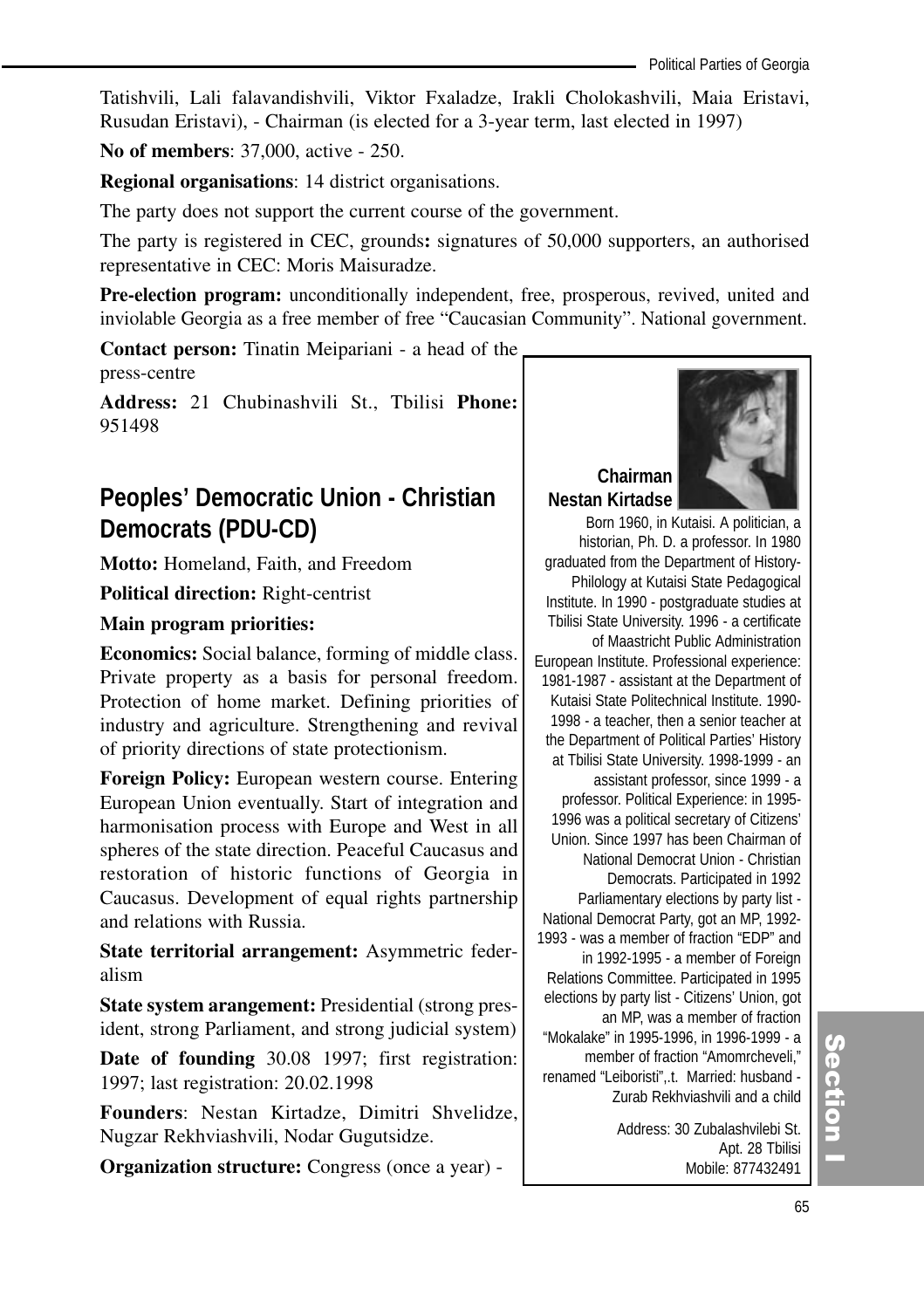Tatishvili, Lali falavandishvili, Viktor Fxaladze, Irakli Cholokashvili, Maia Eristavi, Rusudan Eristavi), - Chairman (is elected for a 3-year term, last elected in 1997)

**No of members**: 37,000, active - 250.

**Regional organisations**: 14 district organisations.

The party does not support the current course of the government.

The party is registered in CEC, grounds**:** signatures of 50,000 supporters, an authorised representative in CEC: Moris Maisuradze.

**Pre-election program:** unconditionally independent, free, prosperous, revived, united and inviolable Georgia as a free member of free "Caucasian Community". National government.

**Contact person:** Tinatin Meipariani - a head of the press-centre

**Address:** 21 Chubinashvili St., Tbilisi **Phone:** 951498

## **Peoples' Democratic Union - Christian Democrats (PDU-CD)**

**Motto:** Homeland, Faith, and Freedom

**Political direction:** Right-centrist

#### **Main program priorities:**

**Economics:** Social balance, forming of middle class. Private property as a basis for personal freedom. Protection of home market. Defining priorities of industry and agriculture. Strengthening and revival of priority directions of state protectionism.

**Foreign Policy:** European western course. Entering European Union eventually. Start of integration and harmonisation process with Europe and West in all spheres of the state direction. Peaceful Caucasus and restoration of historic functions of Georgia in Caucasus. Development of equal rights partnership and relations with Russia.

**State territorial arrangement:** Asymmetric federalism

**State system arangement:** Presidential (strong president, strong Parliament, and strong judicial system)

**Date of founding** 30.08 1997; first registration: 1997; last registration: 20.02.1998

**Founders**: Nestan Kirtadze, Dimitri Shvelidze, Nugzar Rekhviashvili, Nodar Gugutsidze.

**Organization structure:** Congress (once a year) -



#### **Chairman Nestan Kirtadse**

Born 1960, in Kutaisi. A politician, a historian, Ph. D. a professor. In 1980 graduated from the Department of History-Philology at Kutaisi State Pedagogical Institute. In 1990 - postgraduate studies at Tbilisi State University. 1996 - a certificate of Maastricht Public Administration European Institute. Professional experience: 1981-1987 - assistant at the Department of Kutaisi State Politechnical Institute. 1990- 1998 - a teacher, then a senior teacher at the Department of Political Parties' History at Tbilisi State University. 1998-1999 - an assistant professor, since 1999 - a professor. Political Experience: in 1995- 1996 was a political secretary of Citizens' Union. Since 1997 has been Chairman of National Democrat Union - Christian Democrats. Participated in 1992 Parliamentary elections by party list - National Democrat Party, got an MP, 1992- 1993 - was a member of fraction "EDP" and in 1992-1995 - a member of Foreign Relations Committee. Participated in 1995 elections by party list - Citizens' Union, got an MP, was a member of fraction "Mokalake" in 1995-1996, in 1996-1999 - a member of fraction "Amomrcheveli," renamed "Leiboristi",.t. Married: husband - Zurab Rekhviashvili and a child

Address: 30 Zubalashvilebi St. Apt. 28 Tbilisi Mobile: 877432491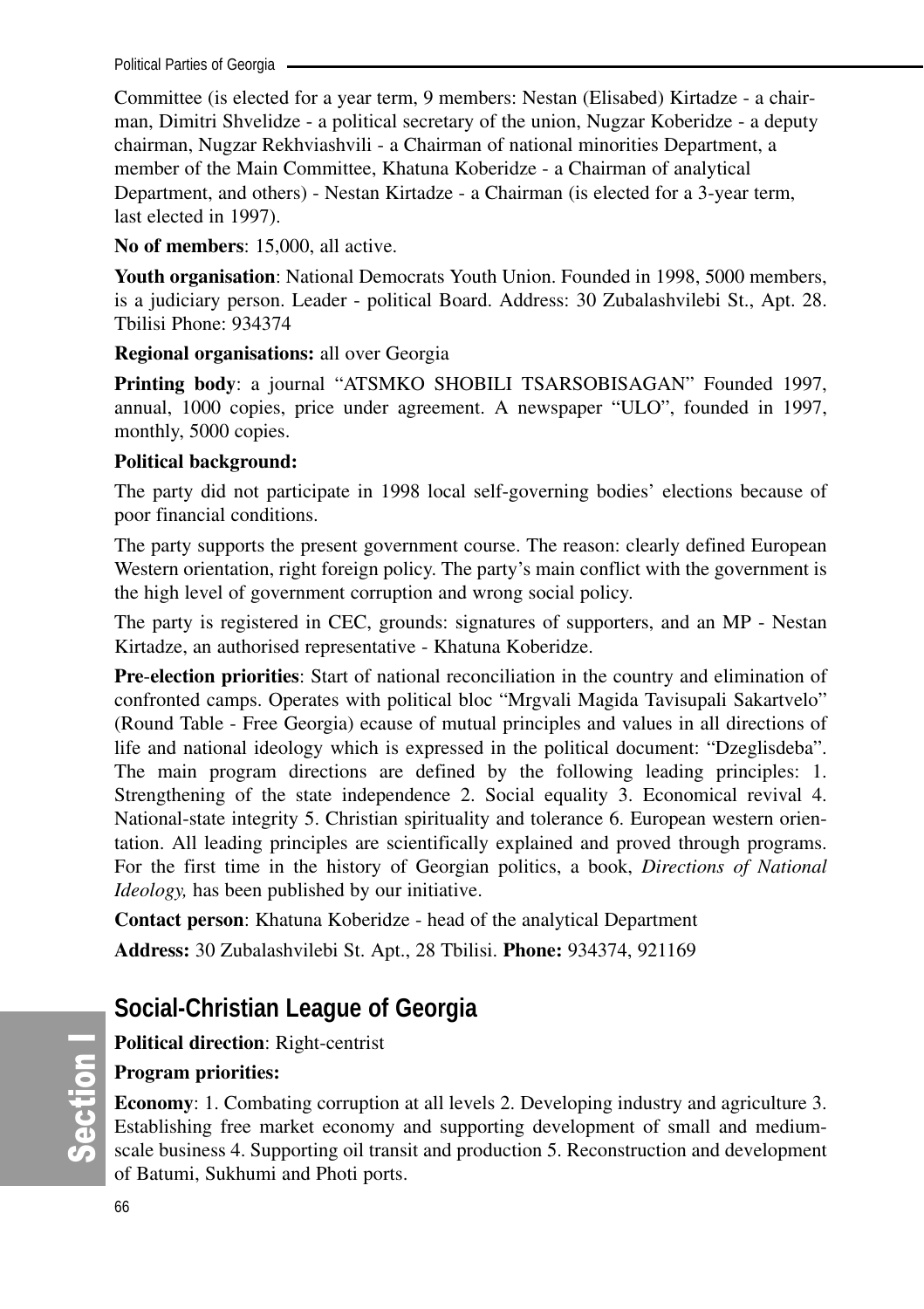Political Parties of Georgia

Committee (is elected for a year term, 9 members: Nestan (Elisabed) Kirtadze - a chairman, Dimitri Shvelidze - a political secretary of the union, Nugzar Koberidze - a deputy chairman, Nugzar Rekhviashvili - a Chairman of national minorities Department, a member of the Main Committee, Khatuna Koberidze - a Chairman of analytical Department, and others) - Nestan Kirtadze - a Chairman (is elected for a 3-year term, last elected in 1997).

**No of members**: 15,000, all active.

**Youth organisation**: National Democrats Youth Union. Founded in 1998, 5000 members, is a judiciary person. Leader - political Board. Address: 30 Zubalashvilebi St., Apt. 28. Tbilisi Phone: 934374

**Regional organisations:** all over Georgia

**Printing body**: a journal "ATSMKO SHOBILI TSARSOBISAGAN" Founded 1997, annual, 1000 copies, price under agreement. A newspaper "ULO", founded in 1997, monthly, 5000 copies.

### **Political background:**

The party did not participate in 1998 local self-governing bodies' elections because of poor financial conditions.

The party supports the present government course. The reason: clearly defined European Western orientation, right foreign policy. The party's main conflict with the government is the high level of government corruption and wrong social policy.

The party is registered in CEC, grounds: signatures of supporters, and an MP - Nestan Kirtadze, an authorised representative - Khatuna Koberidze.

**Pre**-**election priorities**: Start of national reconciliation in the country and elimination of confronted camps. Operates with political bloc "Mrgvali Magida Tavisupali Sakartvelo" (Round Table - Free Georgia) ecause of mutual principles and values in all directions of life and national ideology which is expressed in the political document: "Dzeglisdeba". The main program directions are defined by the following leading principles: 1. Strengthening of the state independence 2. Social equality 3. Economical revival 4. National-state integrity 5. Christian spirituality and tolerance 6. European western orientation. All leading principles are scientifically explained and proved through programs. For the first time in the history of Georgian politics, a book, *Directions of National Ideology,* has been published by our initiative.

**Contact person**: Khatuna Koberidze - head of the analytical Department **Address:** 30 Zubalashvilebi St. Apt., 28 Tbilisi. **Phone:** 934374, 921169

## **Social-Christian League of Georgia**

**Political direction**: Right-centrist

**Program priorities:** 

**Economy**: 1. Combating corruption at all levels 2. Developing industry and agriculture 3. Establishing free market economy and supporting development of small and mediumscale business 4. Supporting oil transit and production 5. Reconstruction and development of Batumi, Sukhumi and Photi ports.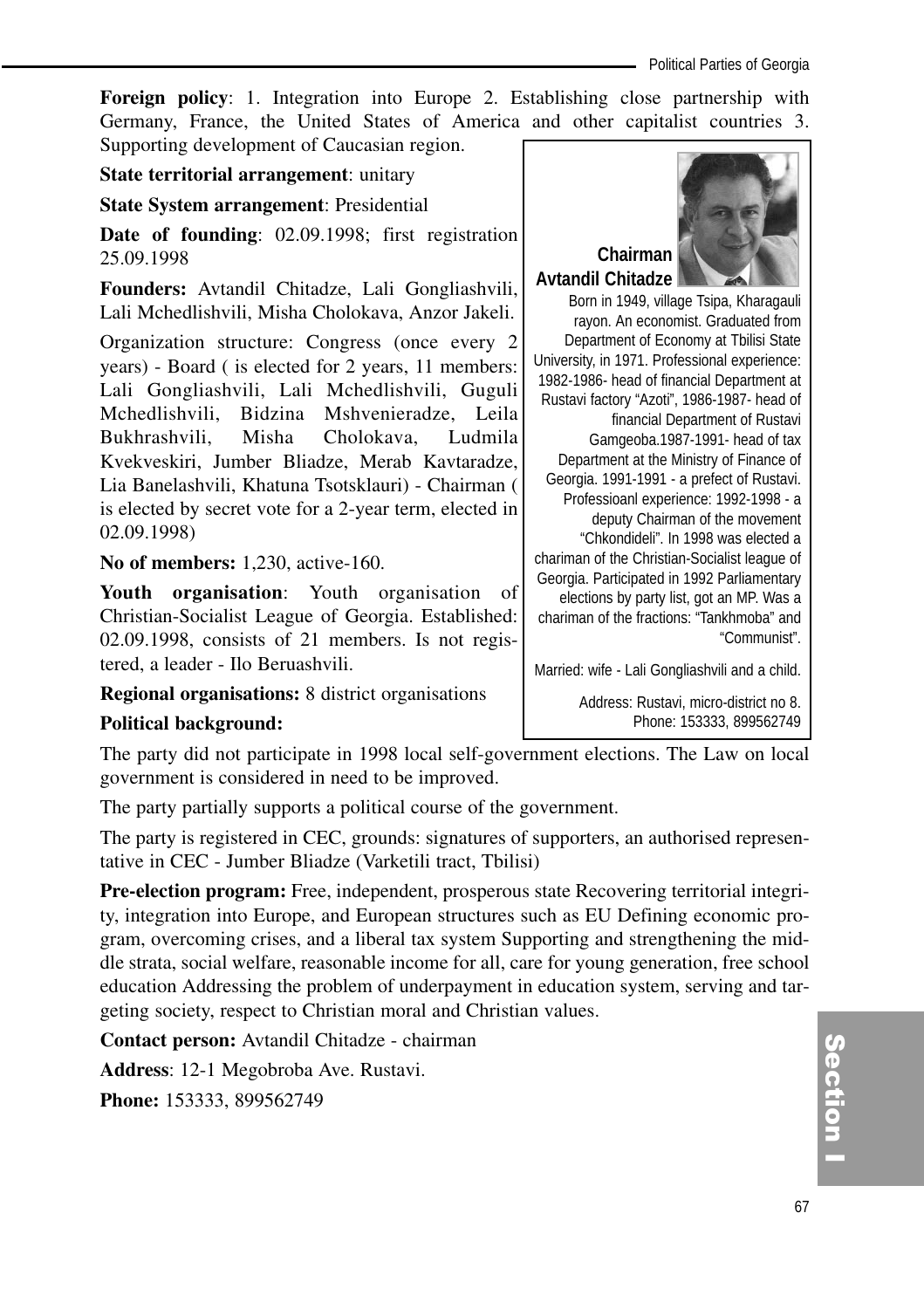**Foreign policy**: 1. Integration into Europe 2. Establishing close partnership with Germany, France, the United States of America and other capitalist countries 3. Supporting development of Caucasian region.

**State territorial arrangement**: unitary

**State System arrangement**: Presidential

**Date of founding**: 02.09.1998; first registration 25.09.1998

**Founders:** Avtandil Chitadze, Lali Gongliashvili, Lali Mchedlishvili, Misha Cholokava, Anzor Jakeli.

Organization structure: Congress (once every 2 years) - Board ( is elected for 2 years, 11 members: Lali Gongliashvili, Lali Mchedlishvili, Guguli Mchedlishvili, Bidzina Mshvenieradze, Leila Bukhrashvili, Misha Cholokava, Ludmila Kvekveskiri, Jumber Bliadze, Merab Kavtaradze, Lia Banelashvili, Khatuna Tsotsklauri) - Chairman ( is elected by secret vote for a 2-year term, elected in 02.09.1998)

**No of members:** 1,230, active-160.

**Youth organisation**: Youth organisation of Christian-Socialist League of Georgia. Established: 02.09.1998, consists of 21 members. Is not registered, a leader - Ilo Beruashvili.

**Regional organisations:** 8 district organisations

#### **Political background:**

The party did not participate in 1998 local self-government elections. The Law on local government is considered in need to be improved.

The party partially supports a political course of the government.

The party is registered in CEC, grounds: signatures of supporters, an authorised representative in CEC - Jumber Bliadze (Varketili tract, Tbilisi)

**Pre-election program:** Free, independent, prosperous state Recovering territorial integrity, integration into Europe, and European structures such as EU Defining economic program, overcoming crises, and a liberal tax system Supporting and strengthening the middle strata, social welfare, reasonable income for all, care for young generation, free school education Addressing the problem of underpayment in education system, serving and targeting society, respect to Christian moral and Christian values.

**Contact person:** Avtandil Chitadze - chairman

**Address**: 12-1 Megobroba Ave. Rustavi.

**Phone:** 153333, 899562749



**Avtandil Chitadze** Born in 1949, village Tsipa, Kharagauli rayon. An economist. Graduated from Department of Economy at Tbilisi State University, in 1971. Professional experience: 1982-1986- head of financial Department at Rustavi factory "Azoti", 1986-1987- head of financial Department of Rustavi Gamgeoba.1987-1991- head of tax Department at the Ministry of Finance of Georgia. 1991-1991 - a prefect of Rustavi. Professioanl experience: 1992-1998 - a deputy Chairman of the movement "Chkondideli". In 1998 was elected a chariman of the Christian-Socialist league of

Georgia. Participated in 1992 Parliamentary elections by party list, got an MP. Was a chariman of the fractions: "Tankhmoba" and "Communist".

Married: wife - Lali Gongliashvili and a child.

Address: Rustavi, micro-district no 8. Phone: 153333, 899562749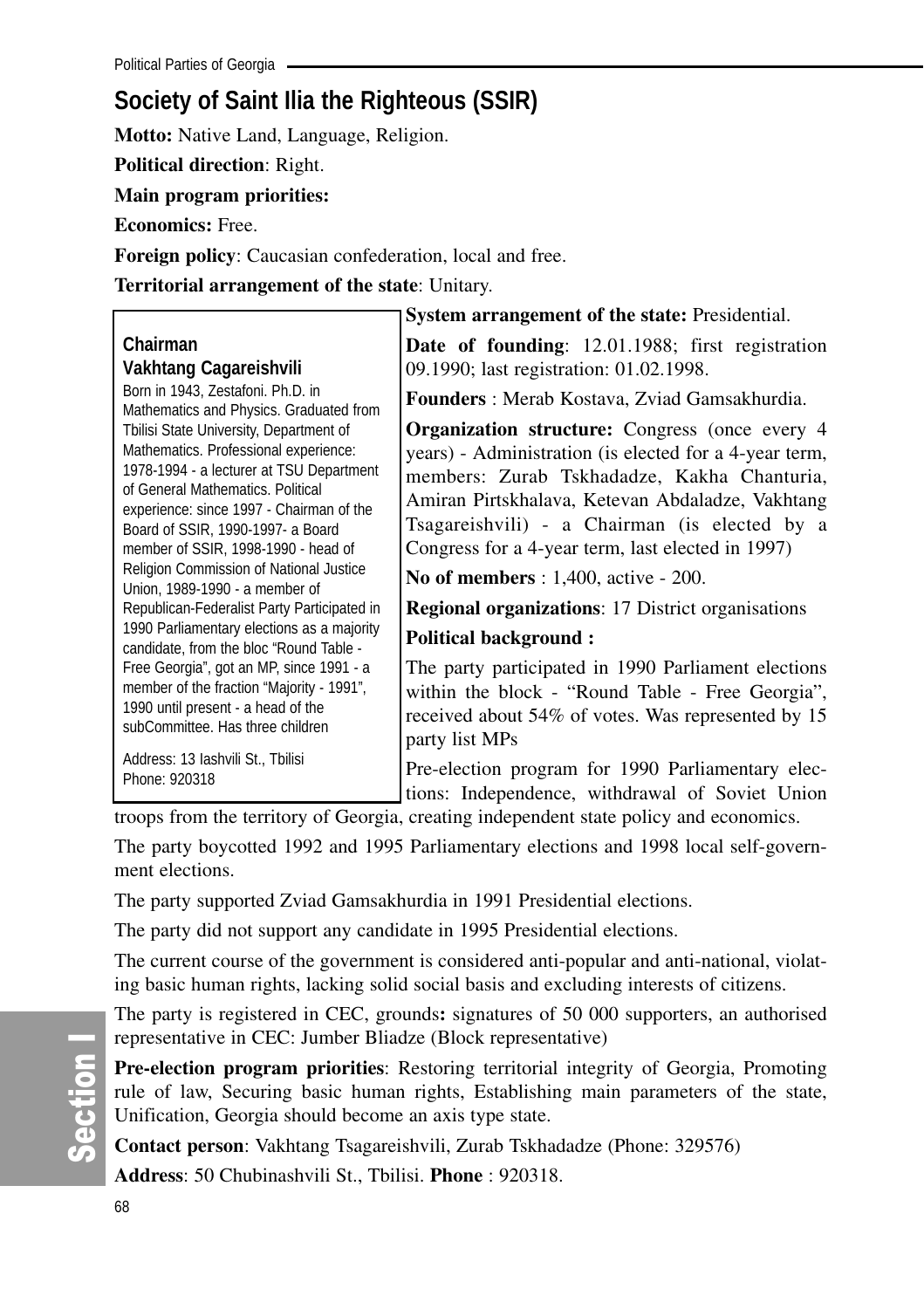# **Society of Saint Ilia the Righteous (SSIR)**

**Motto:** Native Land, Language, Religion.

**Political direction**: Right.

**Main program priorities:**

**Economics:** Free.

**Foreign policy**: Caucasian confederation, local and free.

**Territorial arrangement of the state**: Unitary.

## **Chairman Vakhtang Cagareishvili**

Born in 1943, Zestafoni. Ph.D. in Mathematics and Physics. Graduated from Tbilisi State University, Department of Mathematics. Professional experience: 1978-1994 - a lecturer at TSU Department of General Mathematics. Political experience: since 1997 - Chairman of the Board of SSIR, 1990-1997- a Board member of SSIR, 1998-1990 - head of Religion Commission of National Justice Union, 1989-1990 - a member of Republican-Federalist Party Participated in 1990 Parliamentary elections as a majority candidate, from the bloc "Round Table - Free Georgia", got an MP, since 1991 - a member of the fraction "Majority - 1991", 1990 until present - a head of the subCommittee. Has three children

Address: 13 Iashvili St., Tbilisi Phone: 920318

**System arrangement of the state:** Presidential.

**Date of founding**: 12.01.1988; first registration 09.1990; last registration: 01.02.1998.

**Founders** : Merab Kostava, Zviad Gamsakhurdia.

**Organization structure:** Congress (once every 4 years) - Administration (is elected for a 4-year term, members: Zurab Tskhadadze, Kakha Chanturia, Amiran Pirtskhalava, Ketevan Abdaladze, Vakhtang Tsagareishvili) - a Chairman (is elected by a Congress for a 4-year term, last elected in 1997)

**No of members** : 1,400, active - 200.

**Regional organizations**: 17 District organisations **Political background :**

The party participated in 1990 Parliament elections within the block - "Round Table - Free Georgia", received about 54% of votes. Was represented by 15 party list MPs

Pre-election program for 1990 Parliamentary elections: Independence, withdrawal of Soviet Union

troops from the territory of Georgia, creating independent state policy and economics.

The party boycotted 1992 and 1995 Parliamentary elections and 1998 local self-government elections.

The party supported Zviad Gamsakhurdia in 1991 Presidential elections.

The party did not support any candidate in 1995 Presidential elections.

The current course of the government is considered anti-popular and anti-national, violating basic human rights, lacking solid social basis and excluding interests of citizens.

The party is registered in CEC, grounds**:** signatures of 50 000 supporters, an authorised representative in CEC: Jumber Bliadze (Block representative)

**Pre-election program priorities**: Restoring territorial integrity of Georgia, Promoting rule of law, Securing basic human rights, Establishing main parameters of the state, Unification, Georgia should become an axis type state.

**Contact person**: Vakhtang Tsagareishvili, Zurab Tskhadadze (Phone: 329576)

**Address**: 50 Chubinashvili St., Tbilisi. **Phone** : 920318.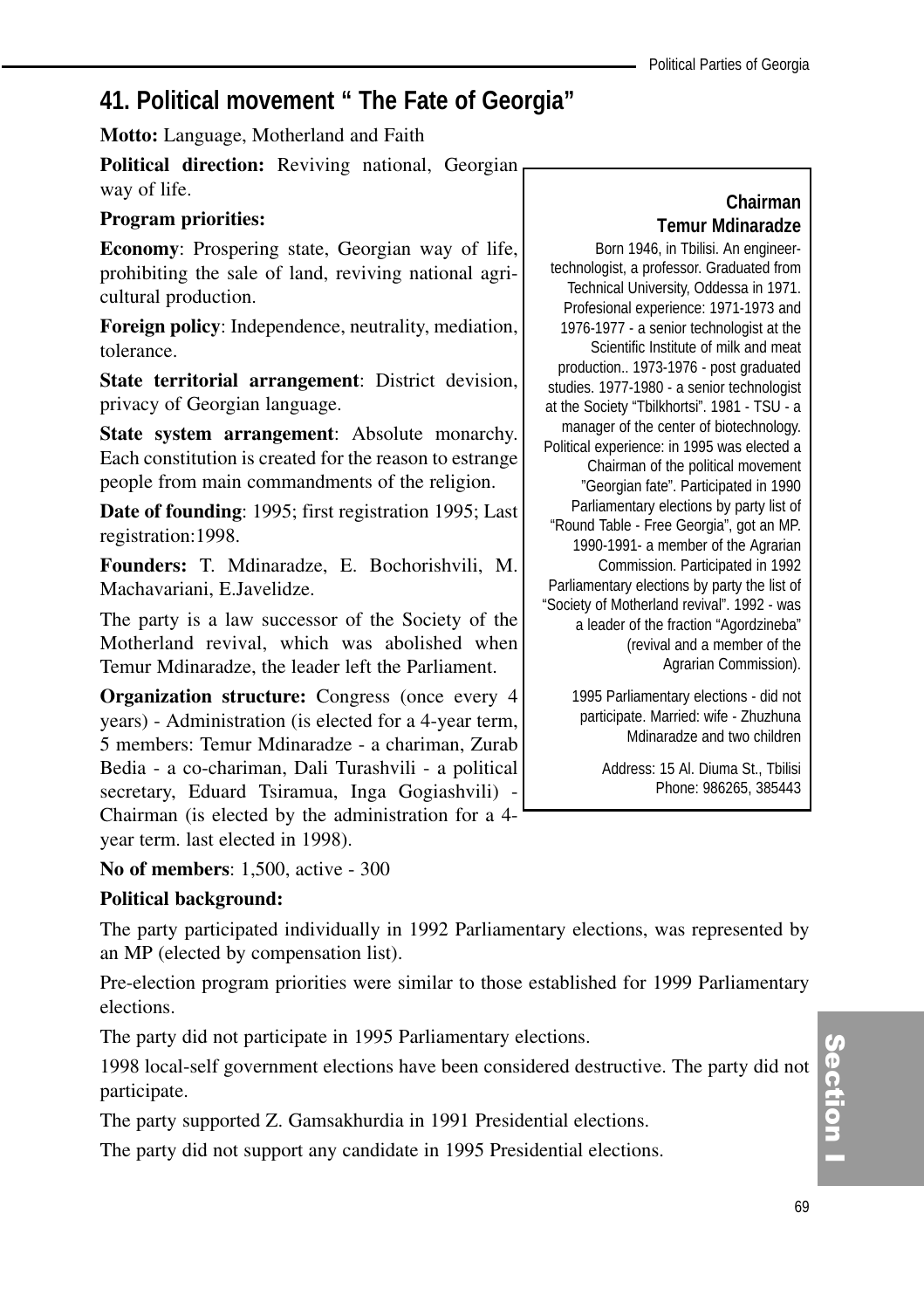## **41. Political movement " The Fate of Georgia"**

**Motto:** Language, Motherland and Faith

**Political direction:** Reviving national, Georgian way of life.

#### **Program priorities:**

**Economy**: Prospering state, Georgian way of life, prohibiting the sale of land, reviving national agricultural production.

**Foreign policy**: Independence, neutrality, mediation, tolerance.

**State territorial arrangement**: District devision, privacy of Georgian language.

**State system arrangement**: Absolute monarchy. Each constitution is created for the reason to estrange people from main commandments of the religion.

**Date of founding**: 1995; first registration 1995; Last registration:1998.

**Founders:** T. Mdinaradze, E. Bochorishvili, M. Machavariani, E.Javelidze.

The party is a law successor of the Society of the Motherland revival, which was abolished when Temur Mdinaradze, the leader left the Parliament.

**Organization structure:** Congress (once every 4 years) - Administration (is elected for a 4-year term, 5 members: Temur Mdinaradze - a chariman, Zurab Bedia - a co-chariman, Dali Turashvili - a political secretary, Eduard Tsiramua, Inga Gogiashvili) - Chairman (is elected by the administration for a 4 year term. last elected in 1998).

**No of members**: 1,500, active - 300

## **Political background:**

The party participated individually in 1992 Parliamentary elections, was represented by an MP (elected by compensation list).

Pre-election program priorities were similar to those established for 1999 Parliamentary elections.

The party did not participate in 1995 Parliamentary elections.

1998 local-self government elections have been considered destructive. The party did not participate.

The party supported Z. Gamsakhurdia in 1991 Presidential elections.

The party did not support any candidate in 1995 Presidential elections.

## **Chairman Temur Mdinaradze**

Born 1946, in Tbilisi. An engineertechnologist, a professor. Graduated from Technical University, Oddessa in 1971. Profesional experience: 1971-1973 and 1976-1977 - a senior technologist at the Scientific Institute of milk and meat production.. 1973-1976 - post graduated studies. 1977-1980 - a senior technologist at the Society "Tbilkhortsi". 1981 - TSU - a manager of the center of biotechnology. Political experience: in 1995 was elected a Chairman of the political movement "Georgian fate". Participated in 1990 Parliamentary elections by party list of "Round Table - Free Georgia", got an MP. 1990-1991- a member of the Agrarian Commission. Participated in 1992 Parliamentary elections by party the list of "Society of Motherland revival". 1992 - was a leader of the fraction "Agordzineba" (revival and a member of the Agrarian Commission).

> 1995 Parliamentary elections - did not participate. Married: wife - Zhuzhuna Mdinaradze and two children

> > Address: 15 Al. Diuma St., Tbilisi Phone: 986265, 385443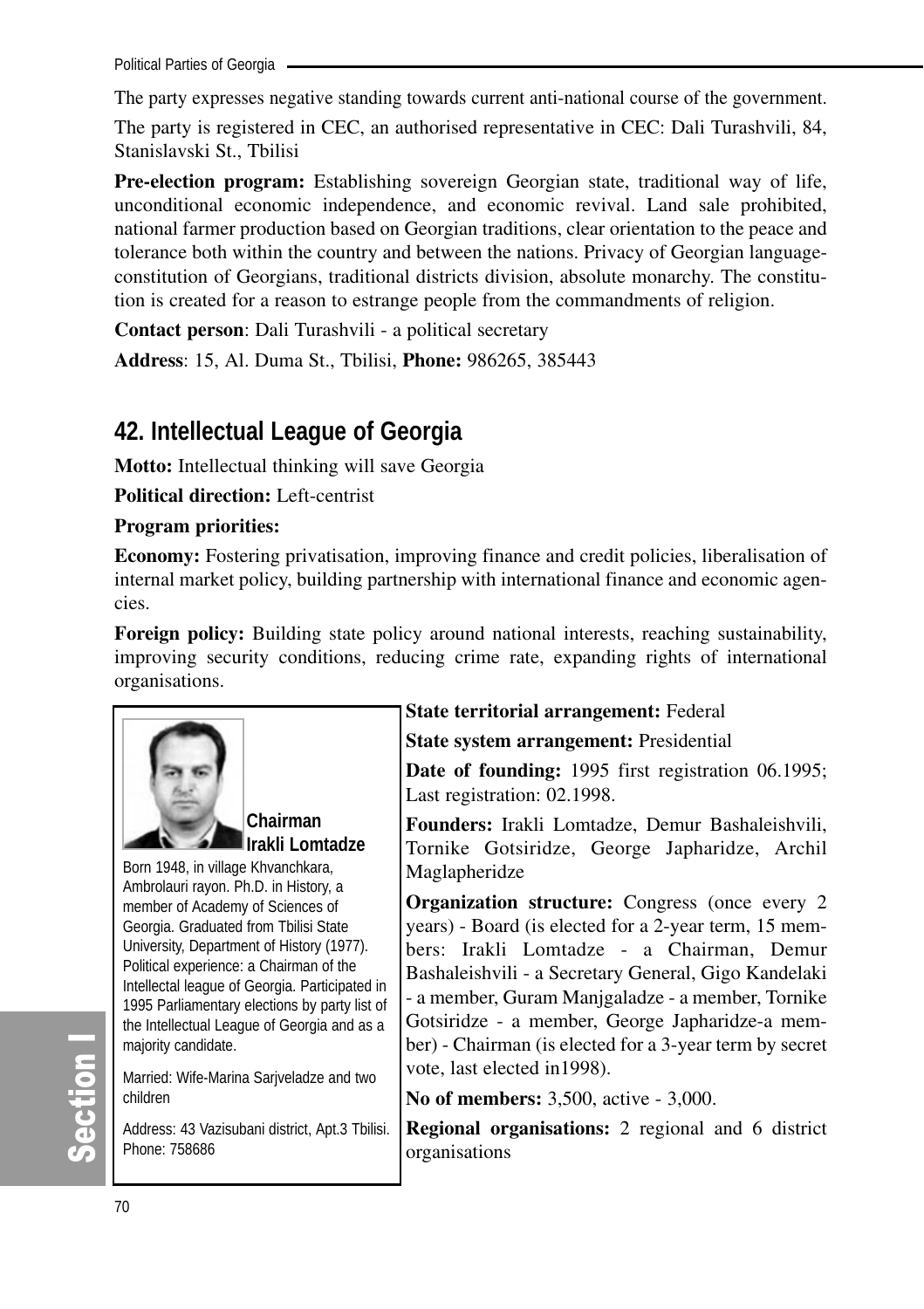Political Parties of Georgia

The party expresses negative standing towards current anti-national course of the government.

The party is registered in CEC, an authorised representative in CEC: Dali Turashvili, 84, Stanislavski St., Tbilisi

**Pre-election program:** Establishing sovereign Georgian state, traditional way of life, unconditional economic independence, and economic revival. Land sale prohibited, national farmer production based on Georgian traditions, clear orientation to the peace and tolerance both within the country and between the nations. Privacy of Georgian languageconstitution of Georgians, traditional districts division, absolute monarchy. The constitution is created for a reason to estrange people from the commandments of religion.

**Contact person**: Dali Turashvili - a political secretary

**Address**: 15, Al. Duma St., Tbilisi, **Phone:** 986265, 385443

## **42. Intellectual League of Georgia**

**Motto:** Intellectual thinking will save Georgia

**Political direction:** Left-centrist

## **Program priorities:**

**Economy:** Fostering privatisation, improving finance and credit policies, liberalisation of internal market policy, building partnership with international finance and economic agencies.

**Foreign policy:** Building state policy around national interests, reaching sustainability, improving security conditions, reducing crime rate, expanding rights of international organisations.



**Chairman Irakli Lomtadze**

Born 1948, in village Khvanchkara, Ambrolauri rayon. Ph.D. in History, a member of Academy of Sciences of Georgia. Graduated from Tbilisi State University, Department of History (1977). Political experience: a Chairman of the Intellectal league of Georgia. Participated in 1995 Parliamentary elections by party list of the Intellectual League of Georgia and as a majority candidate.

Married: Wife-Marina Sarjveladze and two children

Address: 43 Vazisubani district, Apt.3 Tbilisi. Phone: 758686

## **State territorial arrangement:** Federal

**State system arrangement:** Presidential

**Date of founding:** 1995 first registration 06.1995; Last registration: 02.1998.

**Founders:** Irakli Lomtadze, Demur Bashaleishvili, Tornike Gotsiridze, George Japharidze, Archil Maglapheridze

**Organization structure:** Congress (once every 2) years) - Board (is elected for a 2-year term, 15 members: Irakli Lomtadze - a Chairman, Demur Bashaleishvili - a Secretary General, Gigo Kandelaki - a member, Guram Manjgaladze - a member, Tornike Gotsiridze - a member, George Japharidze-a member) - Chairman (is elected for a 3-year term by secret vote, last elected in1998).

**No of members:** 3,500, active - 3,000.

**Regional organisations:** 2 regional and 6 district organisations

တိ ction I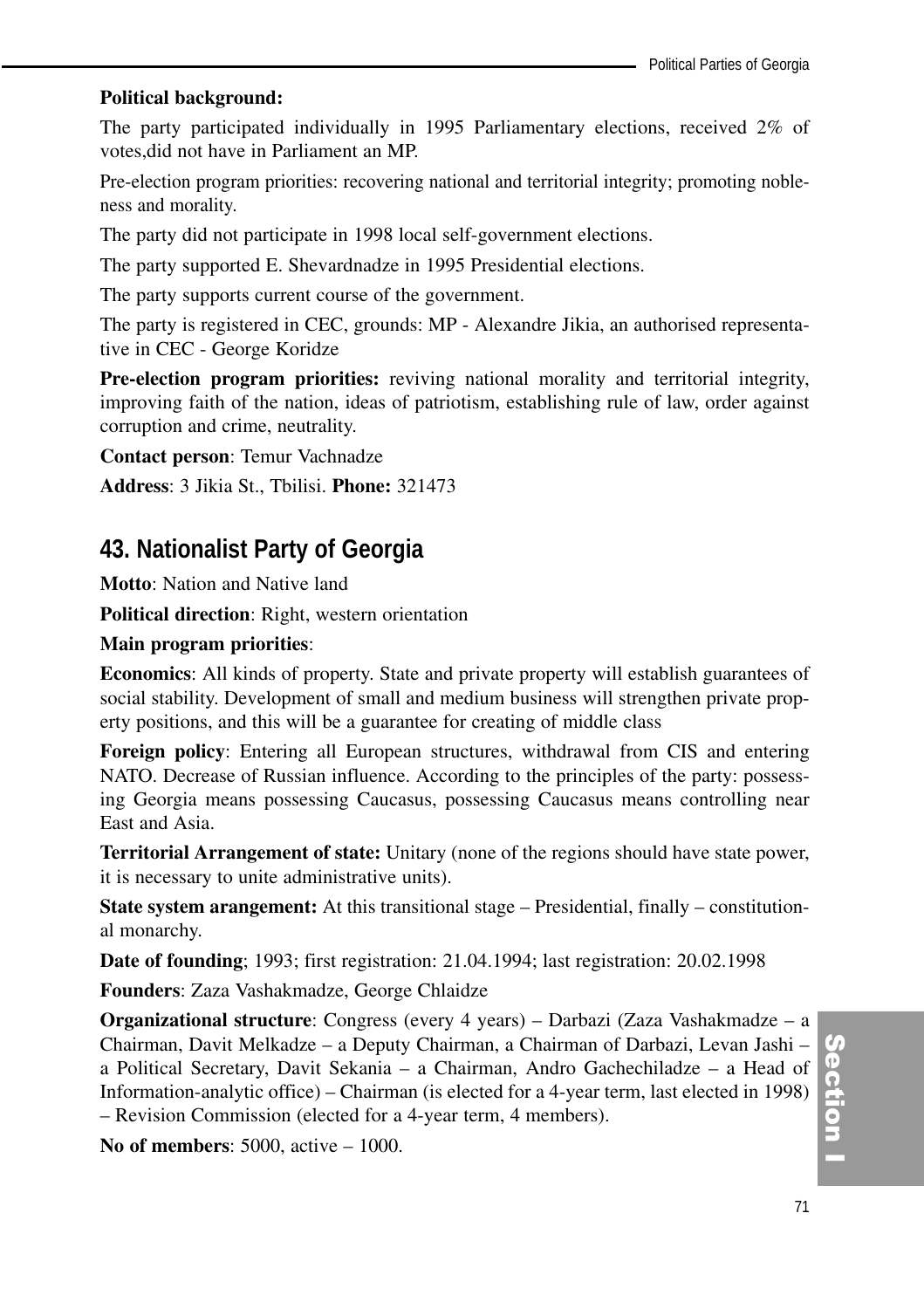#### **Political background:**

The party participated individually in 1995 Parliamentary elections, received 2% of votes,did not have in Parliament an MP.

Pre-election program priorities: recovering national and territorial integrity; promoting nobleness and morality.

The party did not participate in 1998 local self-government elections.

The party supported E. Shevardnadze in 1995 Presidential elections.

The party supports current course of the government.

The party is registered in CEC, grounds: MP - Alexandre Jikia, an authorised representative in CEC - George Koridze

**Pre-election program priorities:** reviving national morality and territorial integrity, improving faith of the nation, ideas of patriotism, establishing rule of law, order against corruption and crime, neutrality.

**Contact person**: Temur Vachnadze

**Address**: 3 Jikia St., Tbilisi. **Phone:** 321473

## **43. Nationalist Party of Georgia**

**Motto**: Nation and Native land

**Political direction**: Right, western orientation

#### **Main program priorities**:

**Economics**: All kinds of property. State and private property will establish guarantees of social stability. Development of small and medium business will strengthen private property positions, and this will be a guarantee for creating of middle class

**Foreign policy**: Entering all European structures, withdrawal from CIS and entering NATO. Decrease of Russian influence. According to the principles of the party: possessing Georgia means possessing Caucasus, possessing Caucasus means controlling near East and Asia.

**Territorial Arrangement of state:** Unitary (none of the regions should have state power, it is necessary to unite administrative units).

**State system arangement:** At this transitional stage – Presidential, finally – constitutional monarchy.

**Date of founding**; 1993; first registration: 21.04.1994; last registration: 20.02.1998

**Founders**: Zaza Vashakmadze, George Chlaidze

**Organizational structure**: Congress (every 4 years) – Darbazi (Zaza Vashakmadze – a Chairman, Davit Melkadze – a Deputy Chairman, a Chairman of Darbazi, Levan Jashi – a Political Secretary, Davit Sekania – a Chairman, Andro Gachechiladze – a Head of Information-analytic office) – Chairman (is elected for a 4-year term, last elected in 1998) – Revision Commission (elected for a 4-year term, 4 members).

**No of members**: 5000, active – 1000.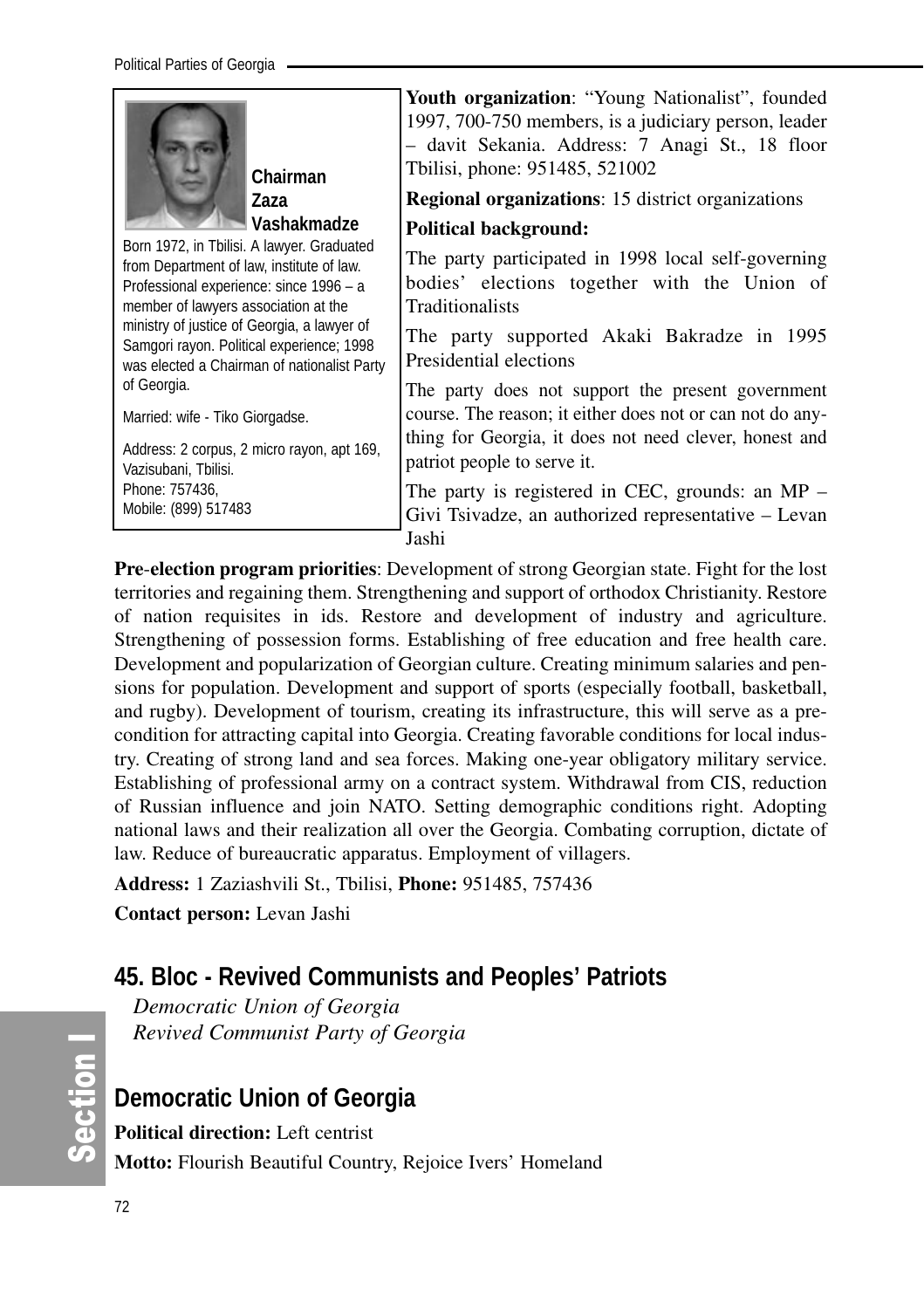

Professional experience: since 1996 – a ministry of justice of Georgia, a lawyer of Samgori rayon. Political experience; 1998 was elected a Chairman of nationalist Party of Georgia.

Married: wife - Tiko Giorgadse.

Address: 2 corpus, 2 micro rayon, apt 169, Vazisubani, Tbilisi. Phone: 757436, Mobile: (899) 517483

**Youth organization**: "Young Nationalist", founded 1997, 700-750 members, is a judiciary person, leader – davit Sekania. Address: 7 Anagi St., 18 floor Tbilisi, phone: 951485, 521002

**Regional organizations**: 15 district organizations

#### **Political background:**

The party participated in 1998 local self-governing bodies' elections together with the Union of Traditionalists

The party supported Akaki Bakradze in 1995 Presidential elections

The party does not support the present government course. The reason; it either does not or can not do anything for Georgia, it does not need clever, honest and patriot people to serve it.

The party is registered in CEC, grounds: an MP – Givi Tsivadze, an authorized representative – Levan Jashi

**Pre**-**election program priorities**: Development of strong Georgian state. Fight for the lost territories and regaining them. Strengthening and support of orthodox Christianity. Restore of nation requisites in ids. Restore and development of industry and agriculture. Strengthening of possession forms. Establishing of free education and free health care. Development and popularization of Georgian culture. Creating minimum salaries and pensions for population. Development and support of sports (especially football, basketball, and rugby). Development of tourism, creating its infrastructure, this will serve as a precondition for attracting capital into Georgia. Creating favorable conditions for local industry. Creating of strong land and sea forces. Making one-year obligatory military service. Establishing of professional army on a contract system. Withdrawal from CIS, reduction of Russian influence and join NATO. Setting demographic conditions right. Adopting national laws and their realization all over the Georgia. Combating corruption, dictate of law. Reduce of bureaucratic apparatus. Employment of villagers.

**Address:** 1 Zaziashvili St., Tbilisi, **Phone:** 951485, 757436

**Contact person:** Levan Jashi

## **45. Bloc - Revived Communists and Peoples' Patriots**

*Democratic Union of Georgia Revived Communist Party of Georgia*

## **Democratic Union of Georgia**

**Political direction:** Left centrist **Motto:** Flourish Beautiful Country, Rejoice Ivers' Homeland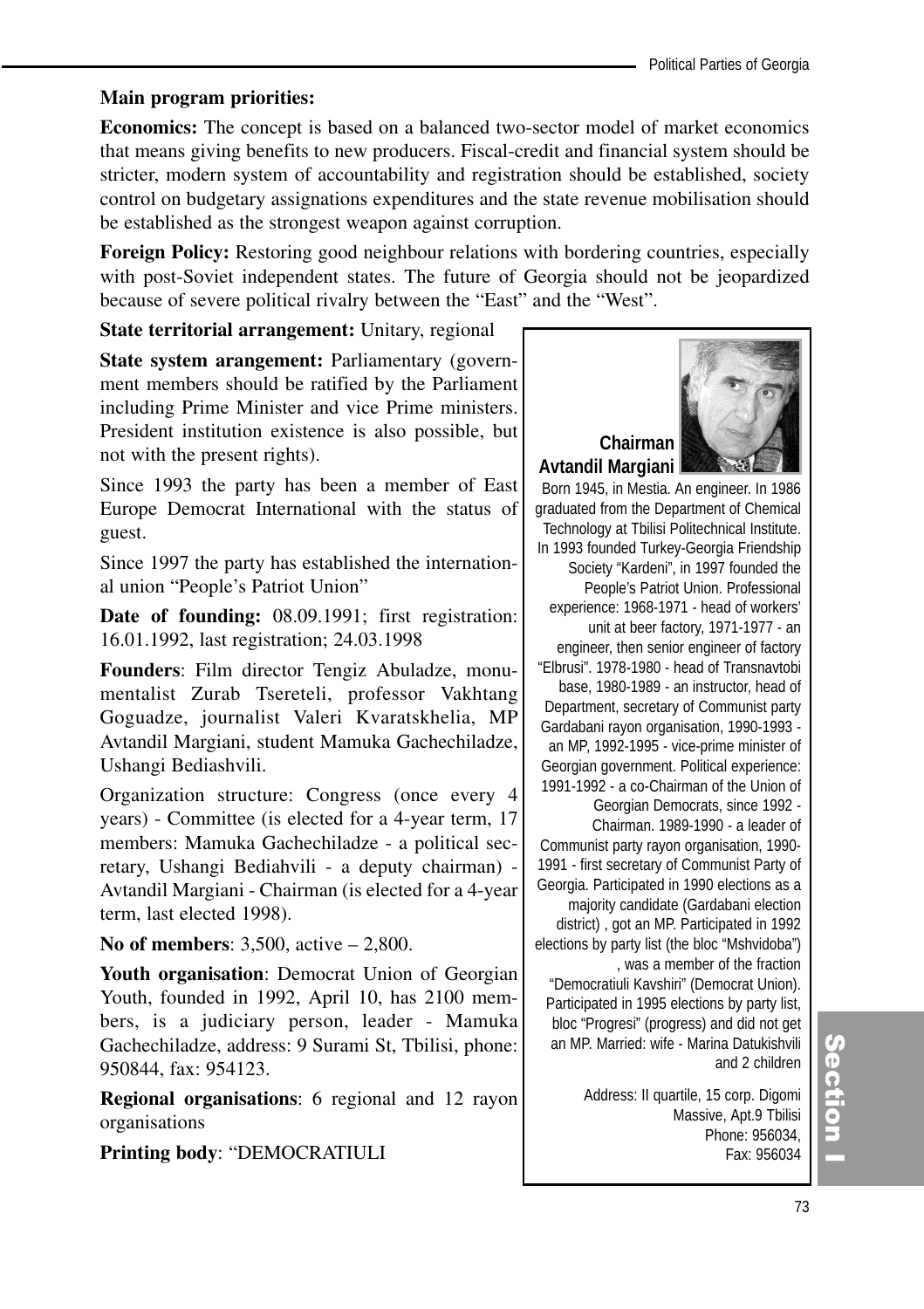#### **Main program priorities:**

**Economics:** The concept is based on a balanced two-sector model of market economics that means giving benefits to new producers. Fiscal-credit and financial system should be stricter, modern system of accountability and registration should be established, society control on budgetary assignations expenditures and the state revenue mobilisation should be established as the strongest weapon against corruption.

**Foreign Policy:** Restoring good neighbour relations with bordering countries, especially with post-Soviet independent states. The future of Georgia should not be jeopardized because of severe political rivalry between the "East" and the "West".

**State territorial arrangement:** Unitary, regional

**State system arangement:** Parliamentary (government members should be ratified by the Parliament including Prime Minister and vice Prime ministers. President institution existence is also possible, but not with the present rights).

Since 1993 the party has been a member of East Europe Democrat International with the status of guest.

Since 1997 the party has established the international union "People's Patriot Union"

**Date of founding:** 08.09.1991; first registration: 16.01.1992, last registration; 24.03.1998

**Founders**: Film director Tengiz Abuladze, monumentalist Zurab Tsereteli, professor Vakhtang Goguadze, journalist Valeri Kvaratskhelia, MP Avtandil Margiani, student Mamuka Gachechiladze, Ushangi Bediashvili.

Organization structure: Congress (once every 4 years) - Committee (is elected for a 4-year term, 17 members: Mamuka Gachechiladze - a political secretary, Ushangi Bediahvili - a deputy chairman) - Avtandil Margiani - Chairman (is elected for a 4-year term, last elected 1998).

**No of members**: 3,500, active – 2,800.

**Youth organisation**: Democrat Union of Georgian Youth, founded in 1992, April 10, has 2100 members, is a judiciary person, leader - Mamuka Gachechiladze, address: 9 Surami St, Tbilisi, phone: 950844, fax: 954123.

**Regional organisations**: 6 regional and 12 rayon organisations

**Printing body**: "DEMOCRATIULI



Born 1945, in Mestia. An engineer. In 1986 graduated from the Department of Chemical Technology at Tbilisi Politechnical Institute. In 1993 founded Turkey-Georgia Friendship Society "Kardeni", in 1997 founded the People's Patriot Union. Professional experience: 1968-1971 - head of workers' unit at beer factory, 1971-1977 - an engineer, then senior engineer of factory "Elbrusi". 1978-1980 - head of Transnavtobi base, 1980-1989 - an instructor, head of Department, secretary of Communist party Gardabani rayon organisation, 1990-1993 an MP, 1992-1995 - vice-prime minister of Georgian government. Political experience: 1991-1992 - a co-Chairman of the Union of Georgian Democrats, since 1992 - Chairman. 1989-1990 - a leader of Communist party rayon organisation, 1990- 1991 - first secretary of Communist Party of Georgia. Participated in 1990 elections as a

majority candidate (Gardabani election district) , got an MP. Participated in 1992 elections by party list (the bloc "Mshvidoba") , was a member of the fraction

"Democratiuli Kavshiri" (Democrat Union). Participated in 1995 elections by party list, bloc "Progresi" (progress) and did not get an MP. Married: wife - Marina Datukishvili and 2 children

> Address: II quartile, 15 corp. Digomi Massive, Apt.9 Tbilisi Phone: 956034, Fax: 956034

## (၈<br>စ ction<br>I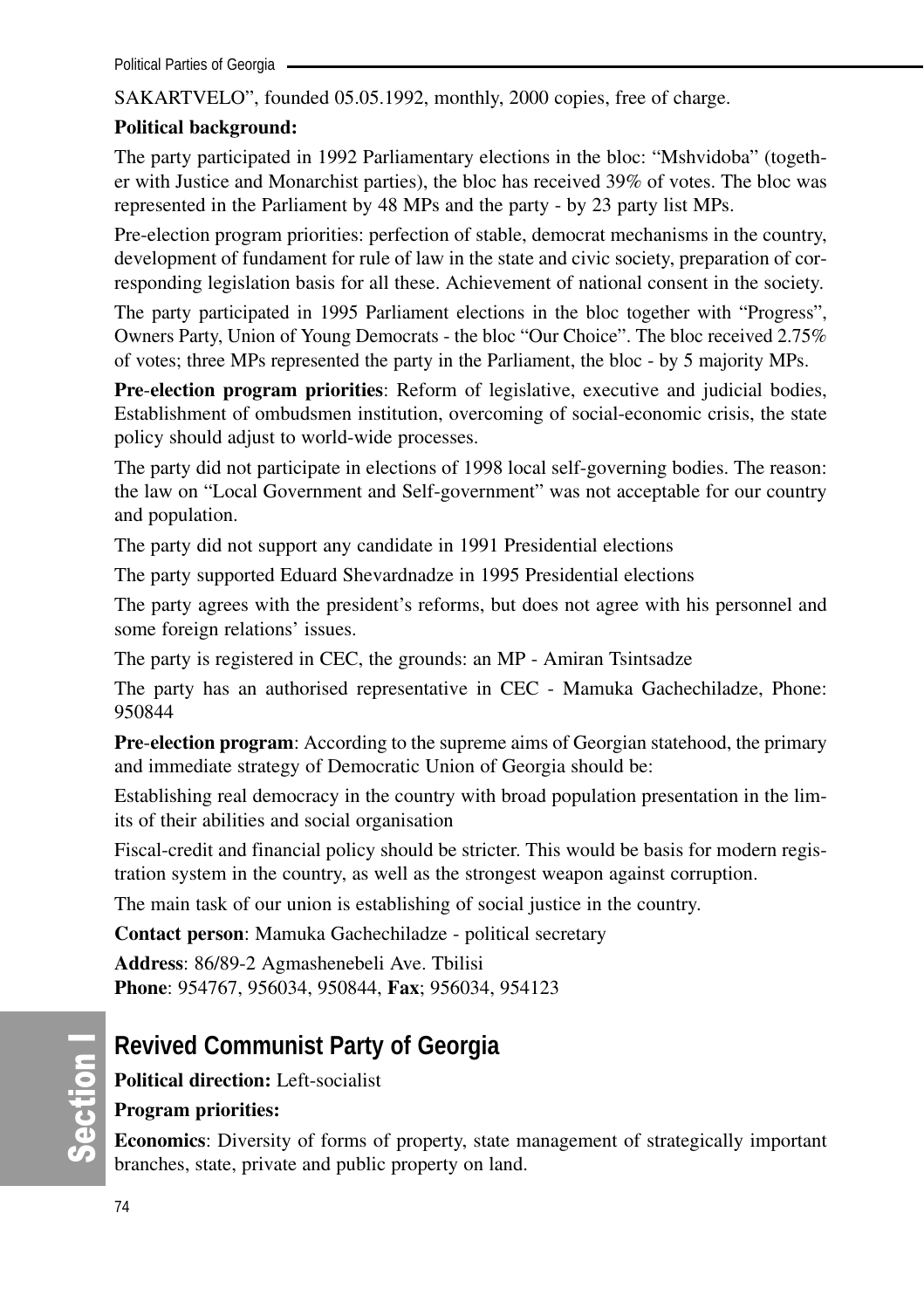SAKARTVELO", founded 05.05.1992, monthly, 2000 copies, free of charge.

## **Political background:**

The party participated in 1992 Parliamentary elections in the bloc: "Mshvidoba" (together with Justice and Monarchist parties), the bloc has received 39% of votes. The bloc was represented in the Parliament by 48 MPs and the party - by 23 party list MPs.

Pre-election program priorities: perfection of stable, democrat mechanisms in the country, development of fundament for rule of law in the state and civic society, preparation of corresponding legislation basis for all these. Achievement of national consent in the society.

The party participated in 1995 Parliament elections in the bloc together with "Progress", Owners Party, Union of Young Democrats - the bloc "Our Choice". The bloc received 2.75% of votes; three MPs represented the party in the Parliament, the bloc - by 5 majority MPs.

**Pre**-**election program priorities**: Reform of legislative, executive and judicial bodies, Establishment of ombudsmen institution, overcoming of social-economic crisis, the state policy should adjust to world-wide processes.

The party did not participate in elections of 1998 local self-governing bodies. The reason: the law on "Local Government and Self-government" was not acceptable for our country and population.

The party did not support any candidate in 1991 Presidential elections

The party supported Eduard Shevardnadze in 1995 Presidential elections

The party agrees with the president's reforms, but does not agree with his personnel and some foreign relations' issues.

The party is registered in CEC, the grounds: an MP - Amiran Tsintsadze

The party has an authorised representative in CEC - Mamuka Gachechiladze, Phone: 950844

**Pre**-**election program**: According to the supreme aims of Georgian statehood, the primary and immediate strategy of Democratic Union of Georgia should be:

Establishing real democracy in the country with broad population presentation in the limits of their abilities and social organisation

Fiscal-credit and financial policy should be stricter. This would be basis for modern registration system in the country, as well as the strongest weapon against corruption.

The main task of our union is establishing of social justice in the country.

**Contact person**: Mamuka Gachechiladze - political secretary

**Address**: 86/89-2 Agmashenebeli Ave. Tbilisi **Phone**: 954767, 956034, 950844, **Fax**; 956034, 954123

## **Revived Communist Party of Georgia**

**Political direction:** Left-socialist

## **Program priorities:**

**Economics**: Diversity of forms of property, state management of strategically important branches, state, private and public property on land.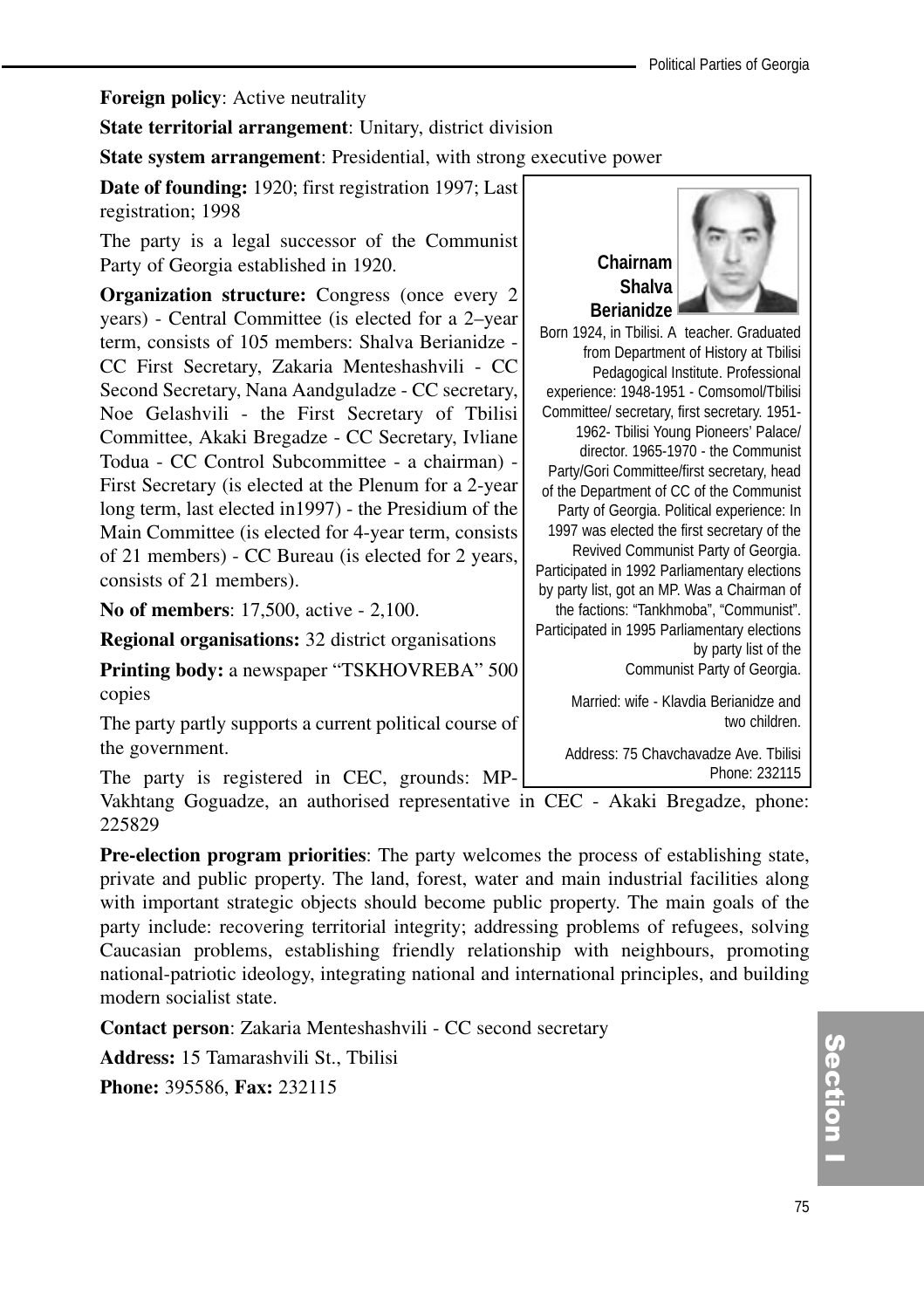**Foreign policy**: Active neutrality

**State territorial arrangement**: Unitary, district division

**State system arrangement:** Presidential, with strong executive power

**Date of founding:** 1920; first registration 1997; Last registration; 1998

The party is a legal successor of the Communist Party of Georgia established in 1920.

**Organization structure:** Congress (once every 2) years) - Central Committee (is elected for a 2–year term, consists of 105 members: Shalva Berianidze - CC First Secretary, Zakaria Menteshashvili - CC Second Secretary, Nana Aandguladze - CC secretary, Noe Gelashvili - the First Secretary of Tbilisi Committee, Akaki Bregadze - CC Secretary, Ivliane Todua - CC Control Subcommittee - a chairman) - First Secretary (is elected at the Plenum for a 2-year long term, last elected in1997) - the Presidium of the Main Committee (is elected for 4-year term, consists of 21 members) - CC Bureau (is elected for 2 years, consists of 21 members).

**No of members**: 17,500, active - 2,100.

**Regional organisations:** 32 district organisations

**Printing body:** a newspaper "TSKHOVREBA" 500 copies

The party partly supports a current political course of the government.

The party is registered in CEC, grounds: MP-

Vakhtang Goguadze, an authorised representative in CEC - Akaki Bregadze, phone: 225829

**Pre-election program priorities**: The party welcomes the process of establishing state, private and public property. The land, forest, water and main industrial facilities along with important strategic objects should become public property. The main goals of the party include: recovering territorial integrity; addressing problems of refugees, solving Caucasian problems, establishing friendly relationship with neighbours, promoting national-patriotic ideology, integrating national and international principles, and building modern socialist state.

**Contact person**: Zakaria Menteshashvili - CC second secretary

**Address:** 15 Tamarashvili St., Tbilisi

**Phone:** 395586, **Fax:** 232115



Born 1924, in Tbilisi. A teacher. Graduated from Department of History at Tbilisi Pedagogical Institute. Professional experience: 1948-1951 - Comsomol/Tbilisi Committee/ secretary, first secretary. 1951- 1962- Tbilisi Young Pioneers' Palace/ director. 1965-1970 - the Communist Party/Gori Committee/first secretary, head of the Department of CC of the Communist Party of Georgia. Political experience: In 1997 was elected the first secretary of the Revived Communist Party of Georgia. Participated in 1992 Parliamentary elections by party list, got an MP. Was a Chairman of the factions: "Tankhmoba", "Communist". Participated in 1995 Parliamentary elections by party list of the Communist Party of Georgia.

> Married: wife - Klavdia Berianidze and two children.

Address: 75 Chavchavadze Ave. Tbilisi Phone: 232115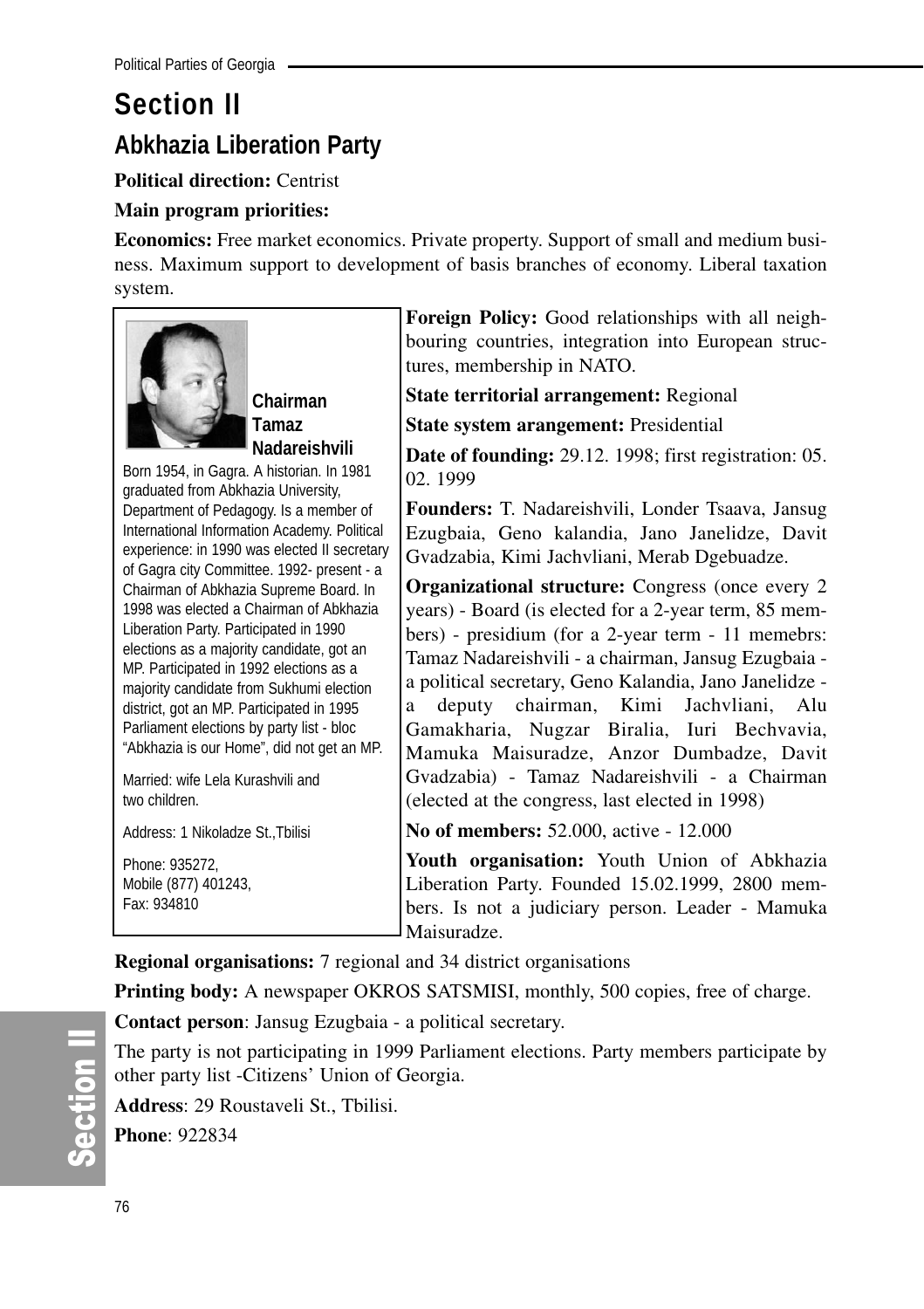## **Section II Abkhazia Liberation Party**

**Political direction:** Centrist

## **Main program priorities:**

**Economics:** Free market economics. Private property. Support of small and medium business. Maximum support to development of basis branches of economy. Liberal taxation system.



**Chairman Tamaz Nadareishvili**

Born 1954, in Gagra. A historian. In 1981 graduated from Abkhazia University, Department of Pedagogy. Is a member of International Information Academy. Political experience: in 1990 was elected II secretary of Gagra city Committee. 1992- present - a Chairman of Abkhazia Supreme Board. In 1998 was elected a Chairman of Abkhazia Liberation Party. Participated in 1990 elections as a majority candidate, got an MP. Participated in 1992 elections as a majority candidate from Sukhumi election district, got an MP. Participated in 1995 Parliament elections by party list - bloc "Abkhazia is our Home", did not get an MP.

Married: wife Lela Kurashvili and two children.

Address: 1 Nikoladze St.,Tbilisi

| Phone: 935272.       |  |
|----------------------|--|
| Mobile (877) 401243, |  |
| Fax: 934810          |  |

**Foreign Policy:** Good relationships with all neighbouring countries, integration into European structures, membership in NATO.

**State territorial arrangement:** Regional

**State system arangement:** Presidential

**Date of founding:** 29.12. 1998; first registration: 05. 02. 1999

**Founders:** T. Nadareishvili, Londer Tsaava, Jansug Ezugbaia, Geno kalandia, Jano Janelidze, Davit Gvadzabia, Kimi Jachvliani, Merab Dgebuadze.

**Organizational structure:** Congress (once every 2 years) - Board (is elected for a 2-year term, 85 members) - presidium (for a 2-year term - 11 memebrs: Tamaz Nadareishvili - a chairman, Jansug Ezugbaia a political secretary, Geno Kalandia, Jano Janelidze a deputy chairman, Kimi Jachvliani, Alu Gamakharia, Nugzar Biralia, Iuri Bechvavia, Mamuka Maisuradze, Anzor Dumbadze, Davit Gvadzabia) - Tamaz Nadareishvili - a Chairman (elected at the congress, last elected in 1998)

**No of members:** 52.000, active - 12.000

**Youth organisation:** Youth Union of Abkhazia Liberation Party. Founded 15.02.1999, 2800 members. Is not a judiciary person. Leader - Mamuka Maisuradze.

**Regional organisations:** 7 regional and 34 district organisations

**Printing body:** A newspaper OKROS SATSMISI, monthly, 500 copies, free of charge.

**Contact person**: Jansug Ezugbaia - a political secretary.

The party is not participating in 1999 Parliament elections. Party members participate by other party list -Citizens' Union of Georgia.

**Address**: 29 Roustaveli St., Tbilisi.

**Phone**: 922834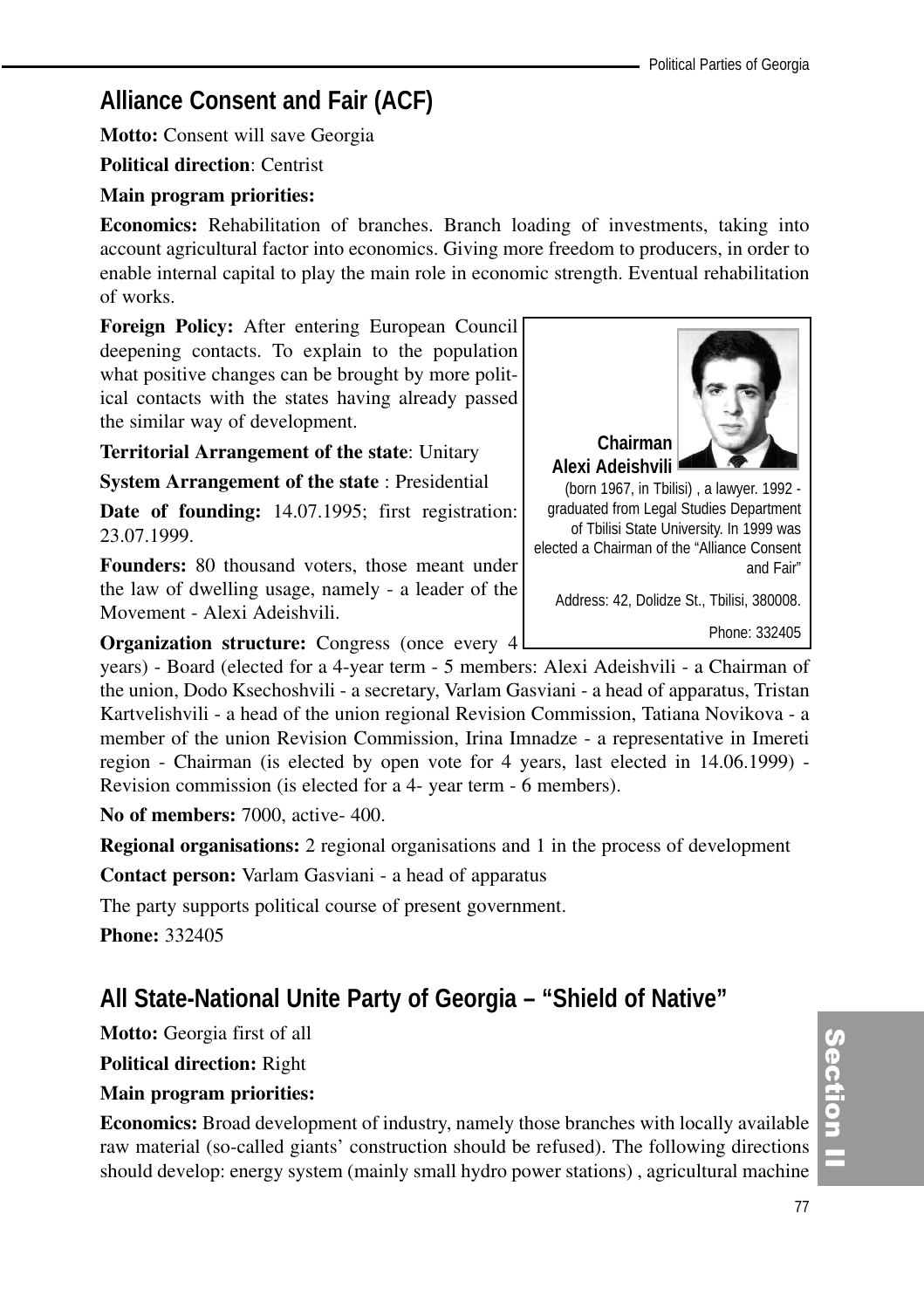## **Alliance Consent and Fair (ACF)**

**Motto:** Consent will save Georgia

**Political direction**: Centrist

## **Main program priorities:**

**Economics:** Rehabilitation of branches. Branch loading of investments, taking into account agricultural factor into economics. Giving more freedom to producers, in order to enable internal capital to play the main role in economic strength. Eventual rehabilitation of works.

**Foreign Policy:** After entering European Council deepening contacts. To explain to the population what positive changes can be brought by more political contacts with the states having already passed the similar way of development.

**Territorial Arrangement of the state**: Unitary

**System Arrangement of the state** : Presidential

**Date of founding:** 14.07.1995; first registration: 23.07.1999.

**Founders:** 80 thousand voters, those meant under the law of dwelling usage, namely - a leader of the Movement - Alexi Adeishvili.

**Organization structure:** Congress (once every 4)

years) - Board (elected for a 4-year term - 5 members: Alexi Adeishvili - a Chairman of the union, Dodo Ksechoshvili - a secretary, Varlam Gasviani - a head of apparatus, Tristan Kartvelishvili - a head of the union regional Revision Commission, Tatiana Novikova - a member of the union Revision Commission, Irina Imnadze - a representative in Imereti region - Chairman (is elected by open vote for 4 years, last elected in 14.06.1999) - Revision commission (is elected for a 4- year term - 6 members).

**No of members:** 7000, active- 400.

**Regional organisations:** 2 regional organisations and 1 in the process of development

**Contact person:** Varlam Gasviani - a head of apparatus

The party supports political course of present government.

**Phone:** 332405

## **All State-National Unite Party of Georgia – "Shield of Native"**

**Motto:** Georgia first of all

**Political direction:** Right

#### **Main program priorities:**

**Economics:** Broad development of industry, namely those branches with locally available raw material (so-called giants' construction should be refused). The following directions should develop: energy system (mainly small hydro power stations) , agricultural machine



elected a Chairman of the "Alliance Consent and Fair"

Address: 42, Dolidze St., Tbilisi, 380008.

Phone: 332405

Section | ction<br>I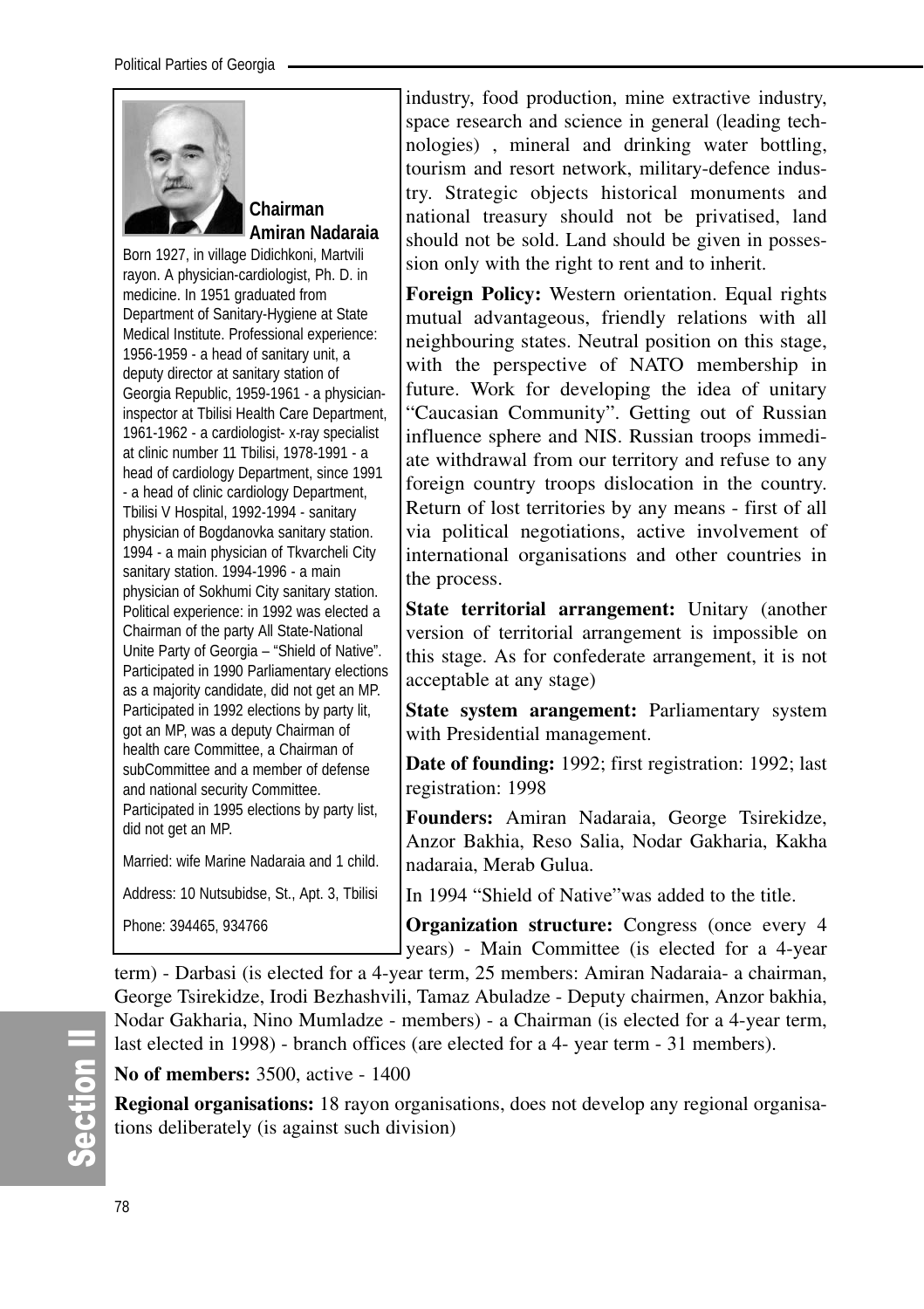

## **Chairman Amiran Nadaraia**

Born 1927, in village Didichkoni, Martvili rayon. A physician-cardiologist, Ph. D. in medicine. In 1951 graduated from Department of Sanitary-Hygiene at State Medical Institute. Professional experience: 1956-1959 - a head of sanitary unit, a deputy director at sanitary station of Georgia Republic, 1959-1961 - a physicianinspector at Tbilisi Health Care Department, 1961-1962 - a cardiologist- x-ray specialist at clinic number 11 Tbilisi, 1978-1991 - a head of cardiology Department, since 1991 - a head of clinic cardiology Department, Tbilisi V Hospital, 1992-1994 - sanitary physician of Bogdanovka sanitary station. 1994 - a main physician of Tkvarcheli City sanitary station. 1994-1996 - a main physician of Sokhumi City sanitary station. Political experience: in 1992 was elected a Chairman of the party All State-National Unite Party of Georgia – "Shield of Native". Participated in 1990 Parliamentary elections as a majority candidate, did not get an MP. Participated in 1992 elections by party lit, got an MP, was a deputy Chairman of health care Committee, a Chairman of subCommittee and a member of defense and national security Committee. Participated in 1995 elections by party list, did not get an MP. Married: wife Marine Nadaraia and 1 child.

Address: 10 Nutsubidse, St., Apt. 3, Tbilisi Phone: 394465, 934766

industry, food production, mine extractive industry, space research and science in general (leading technologies) , mineral and drinking water bottling, tourism and resort network, military-defence industry. Strategic objects historical monuments and national treasury should not be privatised, land should not be sold. Land should be given in possession only with the right to rent and to inherit.

**Foreign Policy:** Western orientation. Equal rights mutual advantageous, friendly relations with all neighbouring states. Neutral position on this stage, with the perspective of NATO membership in future. Work for developing the idea of unitary "Caucasian Community". Getting out of Russian influence sphere and NIS. Russian troops immediate withdrawal from our territory and refuse to any foreign country troops dislocation in the country. Return of lost territories by any means - first of all via political negotiations, active involvement of international organisations and other countries in the process.

**State territorial arrangement:** Unitary (another version of territorial arrangement is impossible on this stage. As for confederate arrangement, it is not acceptable at any stage)

**State system arangement:** Parliamentary system with Presidential management.

**Date of founding:** 1992; first registration: 1992; last registration: 1998

**Founders:** Amiran Nadaraia, George Tsirekidze, Anzor Bakhia, Reso Salia, Nodar Gakharia, Kakha nadaraia, Merab Gulua.

In 1994 "Shield of Native"was added to the title.

**Organization structure:** Congress (once every 4 years) - Main Committee (is elected for a 4-year

term) - Darbasi (is elected for a 4-year term, 25 members: Amiran Nadaraia- a chairman, George Tsirekidze, Irodi Bezhashvili, Tamaz Abuladze - Deputy chairmen, Anzor bakhia, Nodar Gakharia, Nino Mumladze - members) - a Chairman (is elected for a 4-year term, last elected in 1998) - branch offices (are elected for a 4- year term - 31 members).

## **No of members:** 3500, active - 1400

**Regional organisations:** 18 rayon organisations, does not develop any regional organisations deliberately (is against such division)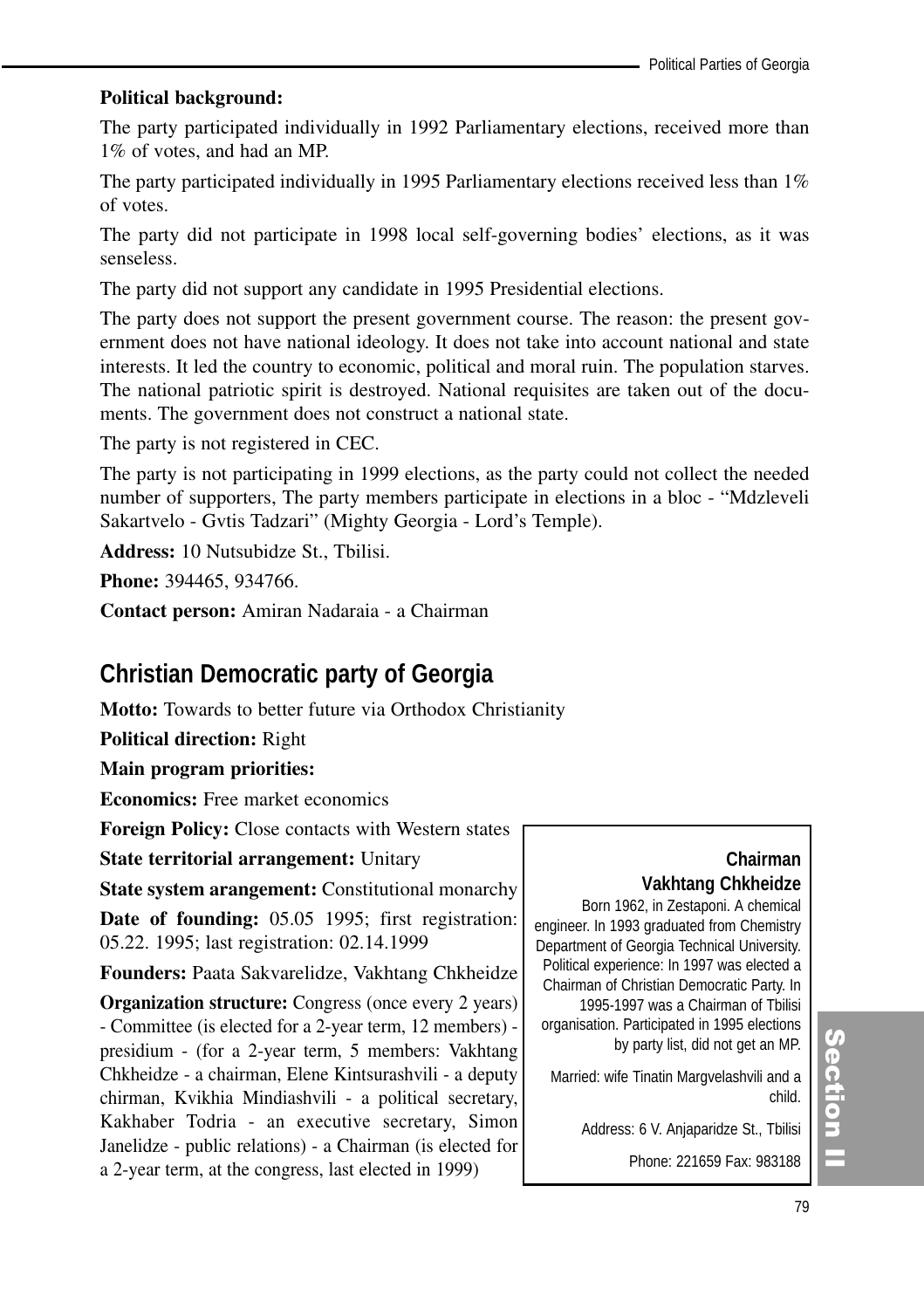#### **Political background:**

The party participated individually in 1992 Parliamentary elections, received more than 1% of votes, and had an MP.

The party participated individually in 1995 Parliamentary elections received less than  $1\%$ of votes.

The party did not participate in 1998 local self-governing bodies' elections, as it was senseless.

The party did not support any candidate in 1995 Presidential elections.

The party does not support the present government course. The reason: the present government does not have national ideology. It does not take into account national and state interests. It led the country to economic, political and moral ruin. The population starves. The national patriotic spirit is destroyed. National requisites are taken out of the documents. The government does not construct a national state.

The party is not registered in CEC.

The party is not participating in 1999 elections, as the party could not collect the needed number of supporters, The party members participate in elections in a bloc - "Mdzleveli Sakartvelo - Gvtis Tadzari" (Mighty Georgia - Lord's Temple).

**Address:** 10 Nutsubidze St., Tbilisi.

**Phone:** 394465, 934766.

**Contact person:** Amiran Nadaraia - a Chairman

## **Christian Democratic party of Georgia**

**Motto:** Towards to better future via Orthodox Christianity

**Political direction:** Right

**Main program priorities:**

**Economics:** Free market economics

**Foreign Policy:** Close contacts with Western states

**State territorial arrangement:** Unitary

**State system arangement:** Constitutional monarchy

**Date of founding:** 05.05 1995; first registration: 05.22. 1995; last registration: 02.14.1999

**Founders:** Paata Sakvarelidze, Vakhtang Chkheidze

**Organization structure:** Congress (once every 2 years) - Committee (is elected for a 2-year term, 12 members) presidium - (for a 2-year term, 5 members: Vakhtang Chkheidze - a chairman, Elene Kintsurashvili - a deputy chirman, Kvikhia Mindiashvili - a political secretary, Kakhaber Todria - an executive secretary, Simon Janelidze - public relations) - a Chairman (is elected for a 2-year term, at the congress, last elected in 1999)

## **Chairman Vakhtang Chkheidze**

Born 1962, in Zestaponi. A chemical engineer. In 1993 graduated from Chemistry Department of Georgia Technical University. Political experience: In 1997 was elected a Chairman of Christian Democratic Party. In 1995-1997 was a Chairman of Tbilisi organisation. Participated in 1995 elections by party list, did not get an MP.

Married: wife Tinatin Margvelashvili and a child.

Address: 6 V. Anjaparidze St., Tbilisi

Phone: 221659 Fax: 983188

## Section ction<br>I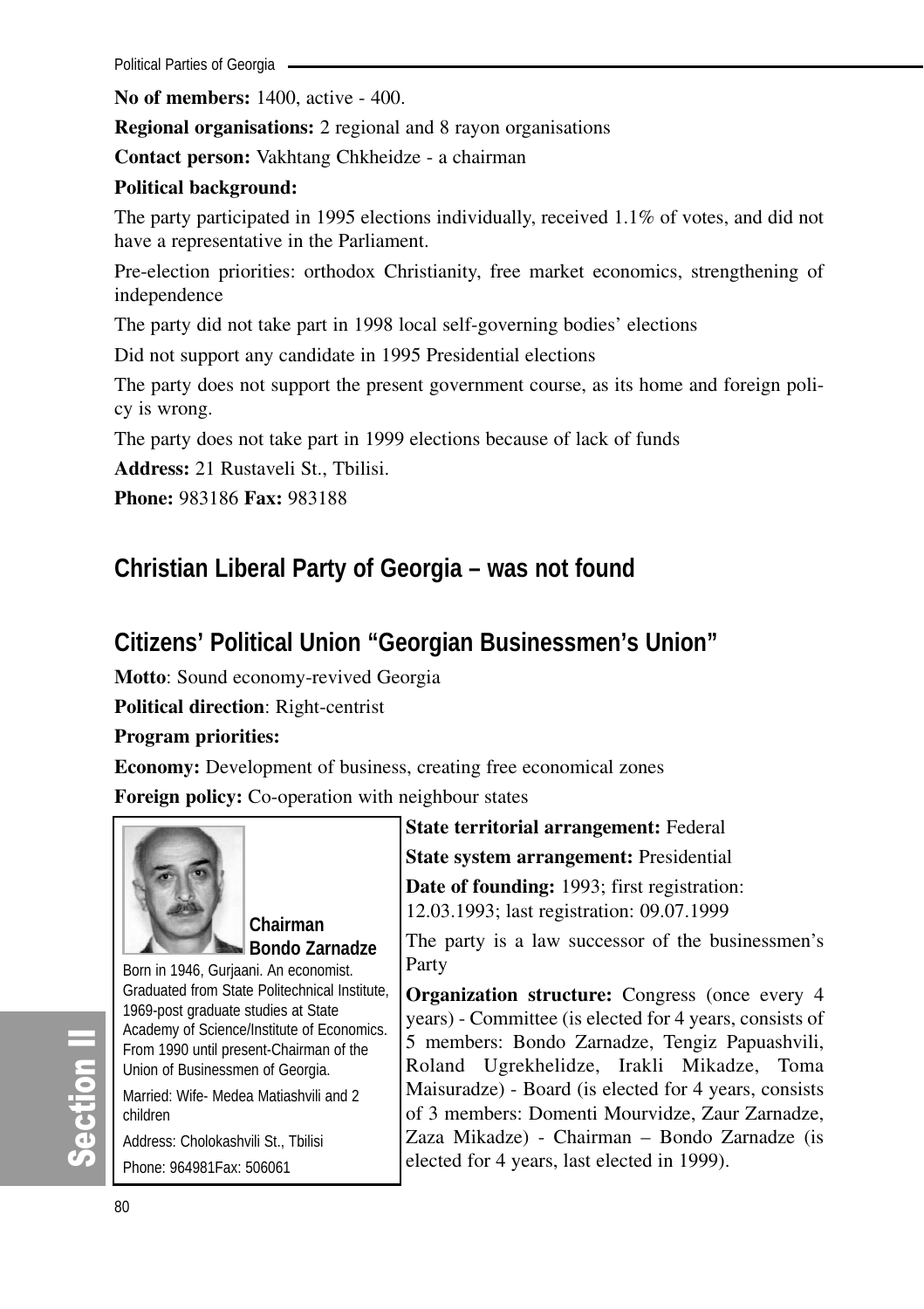**No of members:** 1400, active - 400.

**Regional organisations:** 2 regional and 8 rayon organisations

**Contact person:** Vakhtang Chkheidze - a chairman

#### **Political background:**

The party participated in 1995 elections individually, received 1.1% of votes, and did not have a representative in the Parliament.

Pre-election priorities: orthodox Christianity, free market economics, strengthening of independence

The party did not take part in 1998 local self-governing bodies' elections

Did not support any candidate in 1995 Presidential elections

The party does not support the present government course, as its home and foreign policy is wrong.

The party does not take part in 1999 elections because of lack of funds

**Address:** 21 Rustaveli St., Tbilisi.

**Phone:** 983186 **Fax:** 983188

## **Christian Liberal Party of Georgia – was not found**

## **Citizens' Political Union "Georgian Businessmen's Union"**

**Motto**: Sound economy-revived Georgia

**Political direction**: Right-centrist

**Program priorities:** 

**Economy:** Development of business, creating free economical zones

**Foreign policy:** Co-operation with neighbour states



**Chairman Bondo Zarnadze**

Born in 1946, Gurjaani. An economist. Graduated from State Politechnical Institute, 1969-post graduate studies at State Academy of Science/Institute of Economics. From 1990 until present-Chairman of the Union of Businessmen of Georgia.

Married: Wife- Medea Matiashvili and 2 children

Address: Cholokashvili St., Tbilisi Phone: 964981Fax: 506061

**State territorial arrangement:** Federal **State system arrangement:** Presidential

**Date of founding:** 1993; first registration: 12.03.1993; last registration: 09.07.1999

The party is a law successor of the businessmen's Party

**Organization structure:** Congress (once every 4 years) - Committee (is elected for 4 years, consists of 5 members: Bondo Zarnadze, Tengiz Papuashvili, Roland Ugrekhelidze, Irakli Mikadze, Toma Maisuradze) - Board (is elected for 4 years, consists of 3 members: Domenti Mourvidze, Zaur Zarnadze, Zaza Mikadze) - Chairman – Bondo Zarnadze (is elected for 4 years, last elected in 1999).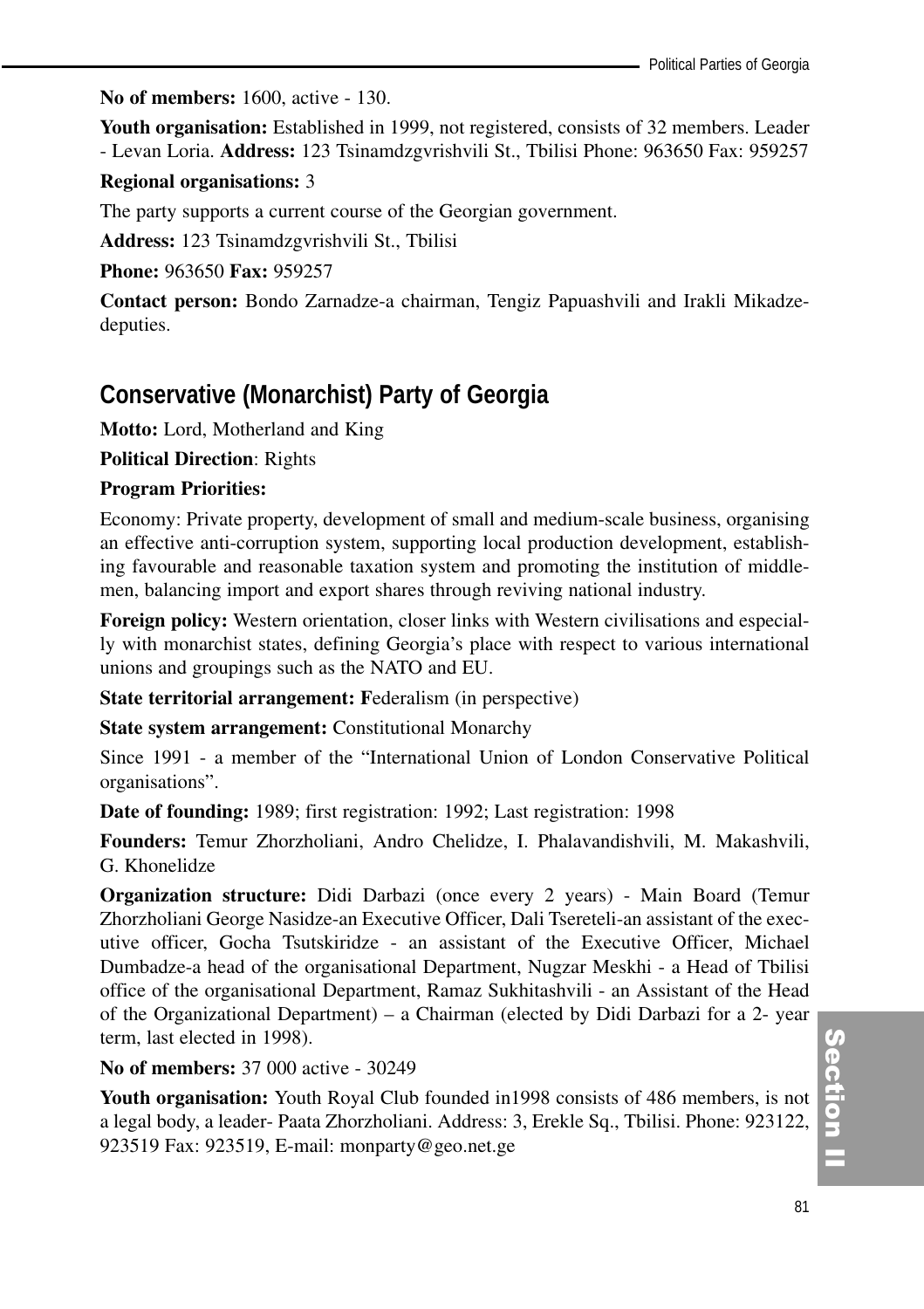**No of members:** 1600, active - 130.

**Youth organisation:** Established in 1999, not registered, consists of 32 members. Leader - Levan Loria. **Address:** 123 Tsinamdzgvrishvili St., Tbilisi Phone: 963650 Fax: 959257

#### **Regional organisations:** 3

The party supports a current course of the Georgian government.

**Address:** 123 Tsinamdzgvrishvili St., Tbilisi

**Phone:** 963650 **Fax:** 959257

**Contact person:** Bondo Zarnadze-a chairman, Tengiz Papuashvili and Irakli Mikadzedeputies.

## **Conservative (Monarchist) Party of Georgia**

**Motto:** Lord, Motherland and King

**Political Direction**: Rights

#### **Program Priorities:**

Economy: Private property, development of small and medium-scale business, organising an effective anti-corruption system, supporting local production development, establishing favourable and reasonable taxation system and promoting the institution of middlemen, balancing import and export shares through reviving national industry.

**Foreign policy:** Western orientation, closer links with Western civilisations and especially with monarchist states, defining Georgia's place with respect to various international unions and groupings such as the NATO and EU.

**State territorial arrangement: F**ederalism (in perspective)

**State system arrangement: Constitutional Monarchy** 

Since 1991 - a member of the "International Union of London Conservative Political organisations".

**Date of founding:** 1989; first registration: 1992; Last registration: 1998

**Founders:** Temur Zhorzholiani, Andro Chelidze, I. Phalavandishvili, M. Makashvili, G. Khonelidze

**Organization structure:** Didi Darbazi (once every 2 years) - Main Board (Temur Zhorzholiani George Nasidze-an Executive Officer, Dali Tsereteli-an assistant of the executive officer, Gocha Tsutskiridze - an assistant of the Executive Officer, Michael Dumbadze-a head of the organisational Department, Nugzar Meskhi - a Head of Tbilisi office of the organisational Department, Ramaz Sukhitashvili - an Assistant of the Head of the Organizational Department) – a Chairman (elected by Didi Darbazi for a 2- year term, last elected in 1998).

**No of members:** 37 000 active - 30249

**Youth organisation:** Youth Royal Club founded in1998 consists of 486 members, is not a legal body, a leader- Paata Zhorzholiani. Address: 3, Erekle Sq., Tbilisi. Phone: 923122, 923519 Fax: 923519, E-mail: monparty@geo.net.ge

Section I ction<br>I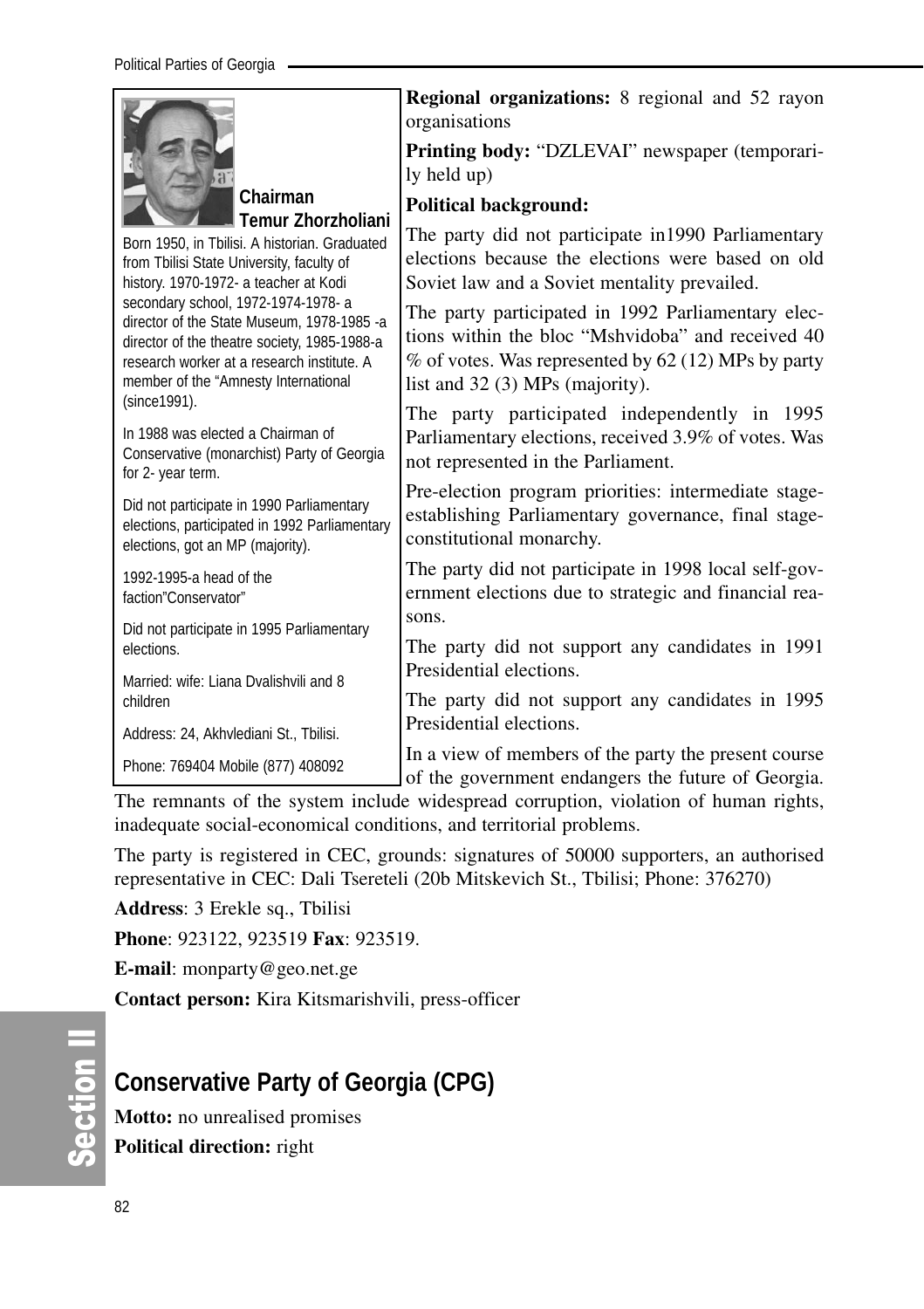|                                                                                                                                                                                                                                                                                                                                                                                             | <b>Regional organizations:</b> 8 regional and 52 rayon                                                                                                                                                                                                                                                                                                           |
|---------------------------------------------------------------------------------------------------------------------------------------------------------------------------------------------------------------------------------------------------------------------------------------------------------------------------------------------------------------------------------------------|------------------------------------------------------------------------------------------------------------------------------------------------------------------------------------------------------------------------------------------------------------------------------------------------------------------------------------------------------------------|
|                                                                                                                                                                                                                                                                                                                                                                                             | organisations<br>Printing body: "DZLEVAI" newspaper (temporari-<br>ly held up)                                                                                                                                                                                                                                                                                   |
| Chairman                                                                                                                                                                                                                                                                                                                                                                                    | <b>Political background:</b>                                                                                                                                                                                                                                                                                                                                     |
| <b>Temur Zhorzholiani</b><br>Born 1950, in Tbilisi. A historian. Graduated<br>from Tbilisi State University, faculty of<br>history. 1970-1972- a teacher at Kodi<br>secondary school, 1972-1974-1978- a<br>director of the State Museum, 1978-1985 -a<br>director of the theatre society, 1985-1988-a<br>research worker at a research institute. A<br>member of the "Amnesty International | The party did not participate in 1990 Parliamentary<br>elections because the elections were based on old<br>Soviet law and a Soviet mentality prevailed.<br>The party participated in 1992 Parliamentary elec-<br>tions within the bloc "Mshvidoba" and received 40<br>$\%$ of votes. Was represented by 62 (12) MPs by party<br>list and 32 (3) MPs (majority). |
| (since 1991).<br>In 1988 was elected a Chairman of<br>Conservative (monarchist) Party of Georgia<br>for 2- year term.                                                                                                                                                                                                                                                                       | The party participated independently in 1995<br>Parliamentary elections, received 3.9% of votes. Was<br>not represented in the Parliament.                                                                                                                                                                                                                       |
| Did not participate in 1990 Parliamentary<br>elections, participated in 1992 Parliamentary<br>elections, got an MP (majority).                                                                                                                                                                                                                                                              | Pre-election program priorities: intermediate stage-<br>establishing Parliamentary governance, final stage-<br>constitutional monarchy.                                                                                                                                                                                                                          |
| 1992-1995-a head of the<br>faction"Conservator"                                                                                                                                                                                                                                                                                                                                             | The party did not participate in 1998 local self-gov-<br>ernment elections due to strategic and financial rea-                                                                                                                                                                                                                                                   |
| Did not participate in 1995 Parliamentary<br>elections.                                                                                                                                                                                                                                                                                                                                     | sons.<br>The party did not support any candidates in 1991                                                                                                                                                                                                                                                                                                        |
| Married: wife: Liana Dvalishvili and 8                                                                                                                                                                                                                                                                                                                                                      | Presidential elections.                                                                                                                                                                                                                                                                                                                                          |
| children<br>Address: 24, Akhvlediani St., Tbilisi.                                                                                                                                                                                                                                                                                                                                          | The party did not support any candidates in 1995<br>Presidential elections.                                                                                                                                                                                                                                                                                      |
| Phone: 769404 Mobile (877) 408092                                                                                                                                                                                                                                                                                                                                                           | In a view of members of the party the present course<br>of the government endangers the future of Georgia.                                                                                                                                                                                                                                                       |

The remnants of the system include widespread corruption, violation of human rights, inadequate social-economical conditions, and territorial problems.

The party is registered in CEC, grounds: signatures of 50000 supporters, an authorised representative in CEC: Dali Tsereteli (20b Mitskevich St., Tbilisi; Phone: 376270)

**Address**: 3 Erekle sq., Tbilisi

**Phone**: 923122, 923519 **Fax**: 923519.

**E-mail**: monparty@geo.net.ge

**Contact person:** Kira Kitsmarishvili, press-officer

## **Conservative Party of Georgia (CPG)**

**Motto:** no unrealised promises **Political direction:** right

တိ **Ction II**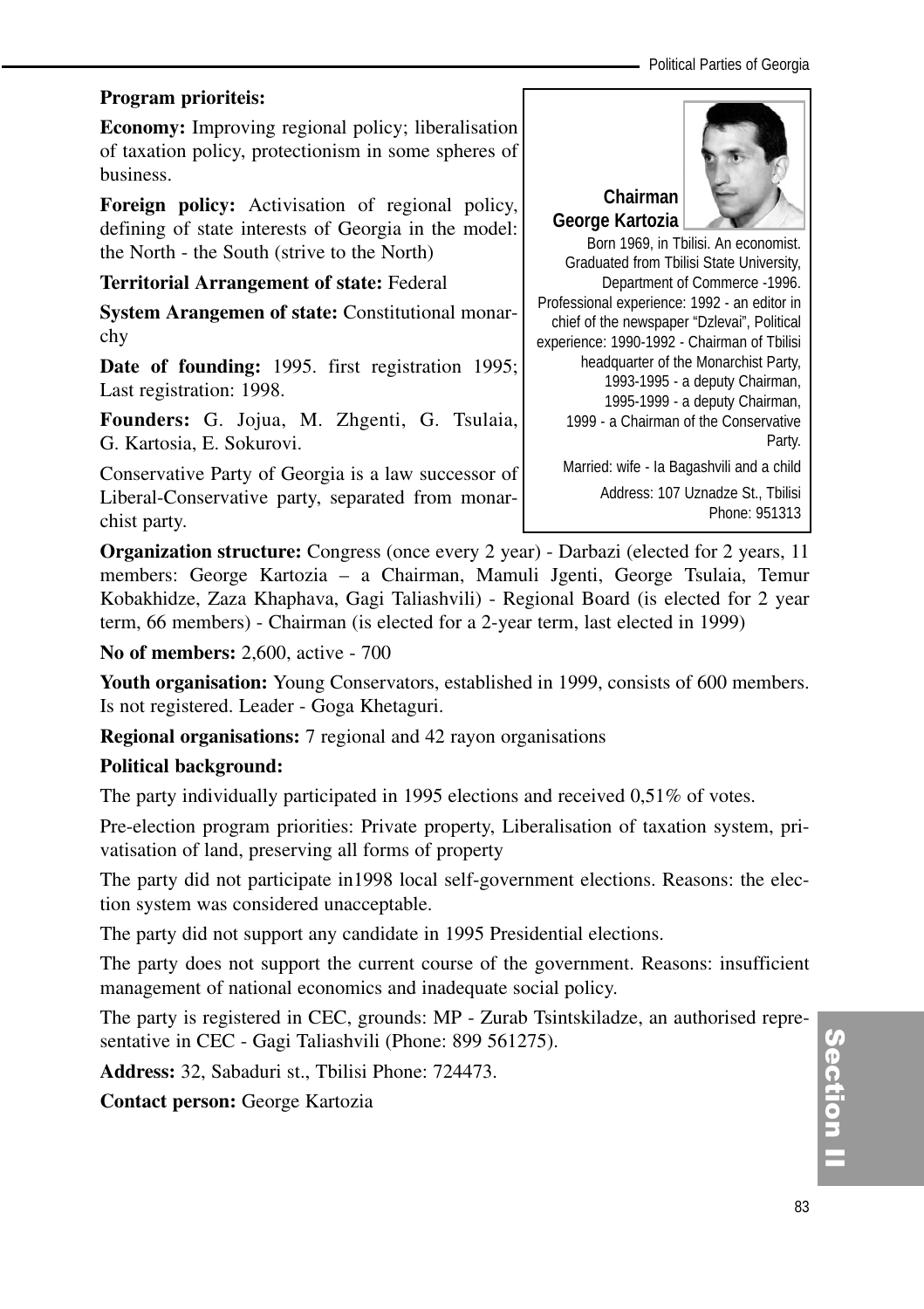Political Parties of Georgia

#### **Program prioriteis:**

**Economy:** Improving regional policy; liberalisation of taxation policy, protectionism in some spheres of business.

**Foreign policy:** Activisation of regional policy, defining of state interests of Georgia in the model: the North - the South (strive to the North)

#### **Territorial Arrangement of state:** Federal

**System Arangemen of state:** Constitutional monarchy

**Date of founding:** 1995. first registration 1995; Last registration: 1998.

**Founders:** G. Jojua, M. Zhgenti, G. Tsulaia, G. Kartosia, E. Sokurovi.

Conservative Party of Georgia is a law successor of Liberal-Conservative party, separated from monarchist party.



Phone: 951313

Born 1969, in Tbilisi. An economist. Graduated from Tbilisi State University, Department of Commerce -1996. Professional experience: 1992 - an editor in chief of the newspaper "Dzlevai", Political experience: 1990-1992 - Chairman of Tbilisi headquarter of the Monarchist Party, 1993-1995 - a deputy Chairman, 1995-1999 - a deputy Chairman, 1999 - a Chairman of the Conservative Party. Married: wife - Ia Bagashvili and a child Address: 107 Uznadze St., Tbilisi

**Organization structure:** Congress (once every 2 year) - Darbazi (elected for 2 years, 11 members: George Kartozia – a Chairman, Mamuli Jgenti, George Tsulaia, Temur Kobakhidze, Zaza Khaphava, Gagi Taliashvili) - Regional Board (is elected for 2 year term, 66 members) - Chairman (is elected for a 2-year term, last elected in 1999)

**No of members:** 2,600, active - 700

**Youth organisation:** Young Conservators, established in 1999, consists of 600 members. Is not registered. Leader - Goga Khetaguri.

**Regional organisations:** 7 regional and 42 rayon organisations

## **Political background:**

The party individually participated in 1995 elections and received 0,51% of votes.

Pre-election program priorities: Private property, Liberalisation of taxation system, privatisation of land, preserving all forms of property

The party did not participate in1998 local self-government elections. Reasons: the election system was considered unacceptable.

The party did not support any candidate in 1995 Presidential elections.

The party does not support the current course of the government. Reasons: insufficient management of national economics and inadequate social policy.

The party is registered in CEC, grounds: MP - Zurab Tsintskiladze, an authorised representative in CEC - Gagi Taliashvili (Phone: 899 561275).

**Address:** 32, Sabaduri st., Tbilisi Phone: 724473.

**Contact person:** George Kartozia

Section II ction<br>I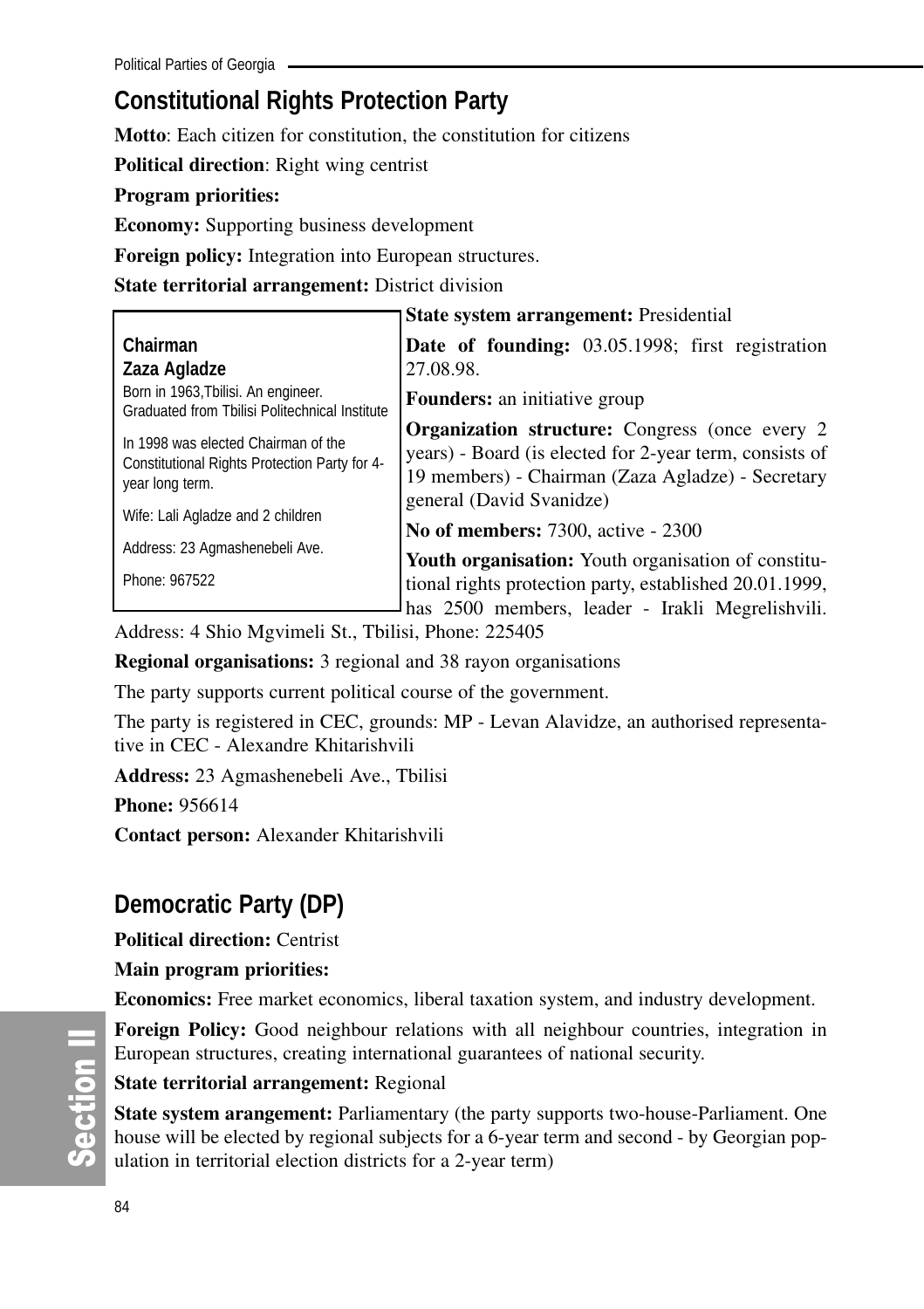## **Constitutional Rights Protection Party**

**Motto**: Each citizen for constitution, the constitution for citizens

**Political direction**: Right wing centrist

#### **Program priorities:**

**Economy:** Supporting business development

**Foreign policy:** Integration into European structures.

**State territorial arrangement:** District division

|                                                                                                         | State system arrangement: Presidential                                                                                                                                                             |  |  |
|---------------------------------------------------------------------------------------------------------|----------------------------------------------------------------------------------------------------------------------------------------------------------------------------------------------------|--|--|
| Chairman<br>Zaza Agladze                                                                                | <b>Date of founding:</b> 03.05.1998; first registration<br>27.08.98.                                                                                                                               |  |  |
| Born in 1963, Tbilisi. An engineer.<br>Graduated from Tbilisi Politechnical Institute                   | <b>Founders:</b> an initiative group                                                                                                                                                               |  |  |
| In 1998 was elected Chairman of the<br>Constitutional Rights Protection Party for 4-<br>year long term. | <b>Organization structure:</b> Congress (once every 2)<br>years) - Board (is elected for 2-year term, consists of<br>19 members) - Chairman (Zaza Agladze) - Secretary<br>general (David Svanidze) |  |  |
| Wife: Lali Agladze and 2 children                                                                       | <b>No of members: 7300, active - 2300</b>                                                                                                                                                          |  |  |
| Address: 23 Agmashenebeli Ave.                                                                          | <b>Youth organisation:</b> Youth organisation of constitu-                                                                                                                                         |  |  |
| Phone: 967522                                                                                           | tional rights protection party, established 20.01.1999,<br>has 2500 members, leader - Irakli Megrelishvili.                                                                                        |  |  |

Address: 4 Shio Mgvimeli St., Tbilisi, Phone: 225405

**Regional organisations:** 3 regional and 38 rayon organisations

The party supports current political course of the government.

The party is registered in CEC, grounds: MP - Levan Alavidze, an authorised representative in CEC - Alexandre Khitarishvili

**Address:** 23 Agmashenebeli Ave., Tbilisi

**Phone:** 956614

**Contact person:** Alexander Khitarishvili

## **Democratic Party (DP)**

**Political direction:** Centrist

## **Main program priorities:**

**Economics:** Free market economics, liberal taxation system, and industry development.

**Foreign Policy:** Good neighbour relations with all neighbour countries, integration in European structures, creating international guarantees of national security.

#### **State territorial arrangement:** Regional

**State system arangement:** Parliamentary (the party supports two-house-Parliament. One house will be elected by regional subjects for a 6-year term and second - by Georgian population in territorial election districts for a 2-year term)

တိ **Ction II**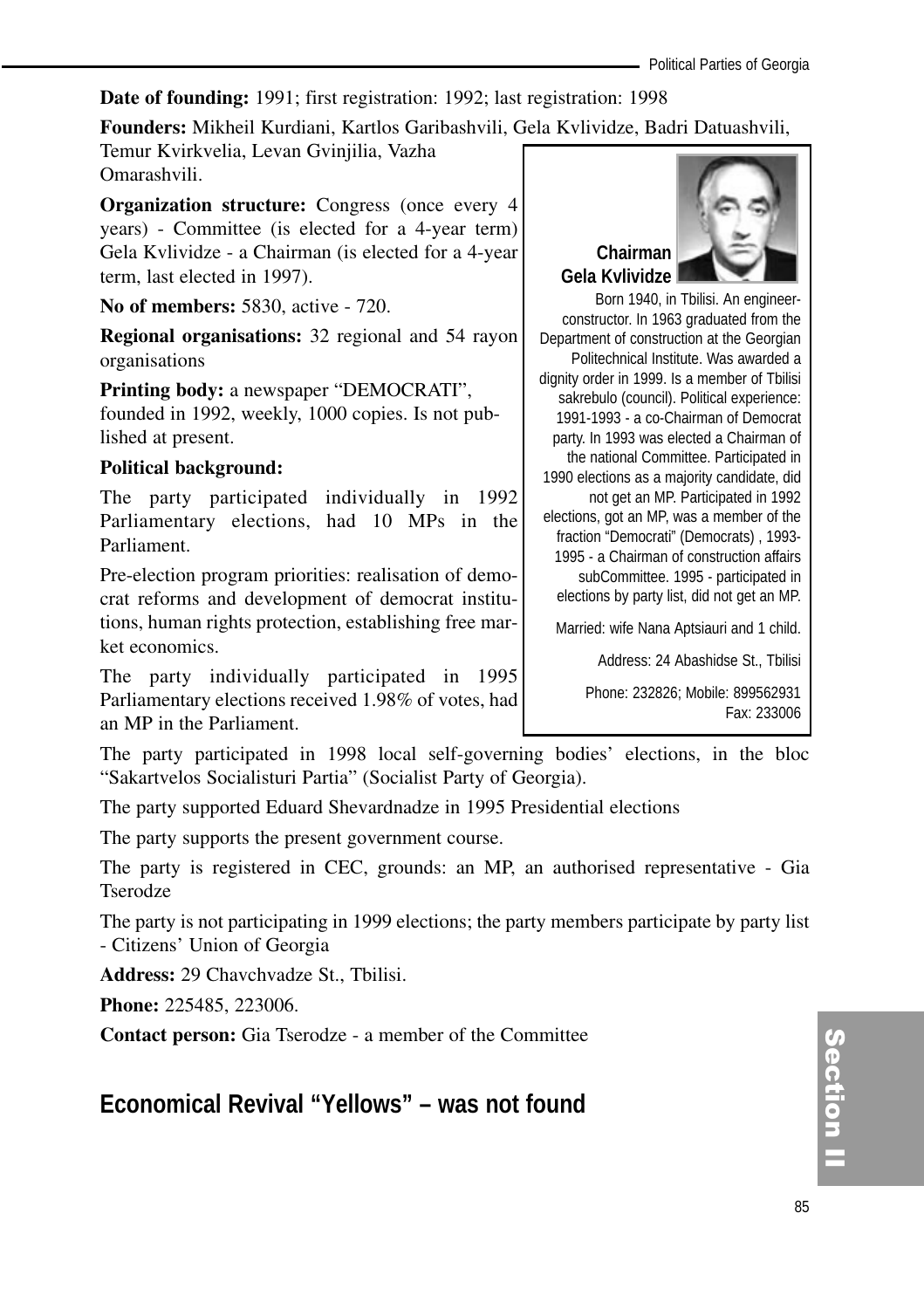#### **Date of founding:** 1991; first registration: 1992; last registration: 1998

#### **Founders:** Mikheil Kurdiani, Kartlos Garibashvili, Gela Kvlividze, Badri Datuashvili,

Temur Kvirkvelia, Levan Gvinjilia, Vazha Omarashvili.

**Organization structure:** Congress (once every 4 years) - Committee (is elected for a 4-year term) Gela Kvlividze - a Chairman (is elected for a 4-year term, last elected in 1997).

**No of members:** 5830, active - 720.

**Regional organisations:** 32 regional and 54 rayon organisations

**Printing body:** a newspaper "DEMOCRATI", founded in 1992, weekly, 1000 copies. Is not published at present.

#### **Political background:**

The party participated individually in 1992 Parliamentary elections, had 10 MPs in the Parliament.

Pre-election program priorities: realisation of democrat reforms and development of democrat institutions, human rights protection, establishing free market economics.

The party individually participated in 1995 Parliamentary elections received 1.98% of votes, had an MP in the Parliament.

The party participated in 1998 local self-governing bodies' elections, in the bloc "Sakartvelos Socialisturi Partia" (Socialist Party of Georgia).

The party supported Eduard Shevardnadze in 1995 Presidential elections

The party supports the present government course.

The party is registered in CEC, grounds: an MP, an authorised representative - Gia Tserodze

The party is not participating in 1999 elections; the party members participate by party list - Citizens' Union of Georgia

**Address:** 29 Chavchvadze St., Tbilisi.

**Phone:** 225485, 223006.

**Contact person:** Gia Tserodze - a member of the Committee

## **Economical Revival "Yellows" – was not found**



Born 1940, in Tbilisi. An engineerconstructor. In 1963 graduated from the Department of construction at the Georgian Politechnical Institute. Was awarded a dignity order in 1999. Is a member of Tbilisi sakrebulo (council). Political experience: 1991-1993 - a co-Chairman of Democrat party. In 1993 was elected a Chairman of the national Committee. Participated in 1990 elections as a majority candidate, did not get an MP. Participated in 1992 elections, got an MP, was a member of the fraction "Democrati" (Democrats) , 1993- 1995 - a Chairman of construction affairs subCommittee. 1995 - participated in elections by party list, did not get an MP.

Married: wife Nana Aptsiauri and 1 child.

Address: 24 Abashidse St., Tbilisi

Phone: 232826; Mobile: 899562931 Fax: 233006

> Section<br>I ction<br>I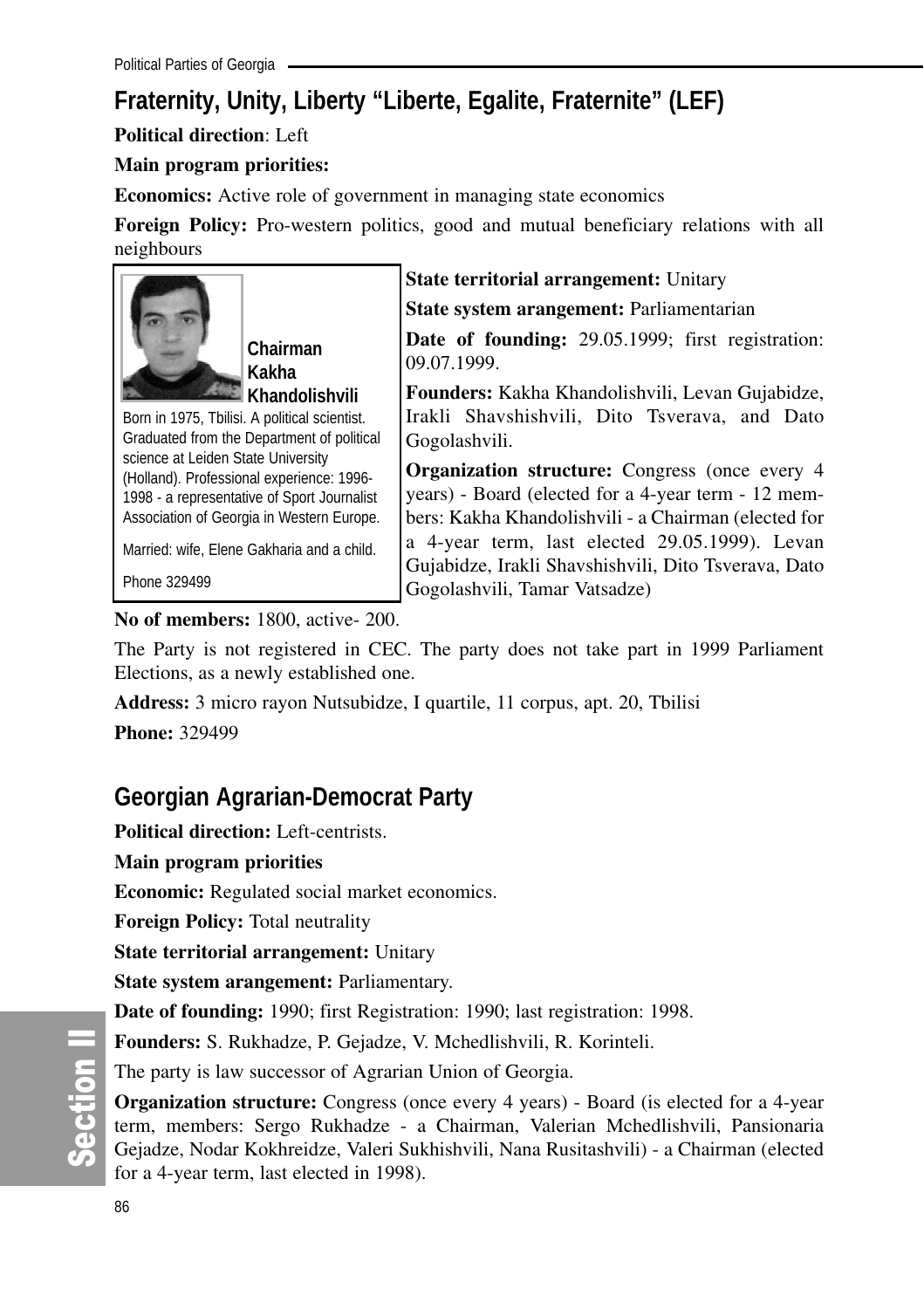## **Fraternity, Unity, Liberty "Liberte, Egalite, Fraternite" (LEF)**

**Political direction**: Left

## **Main program priorities:**

**Economics:** Active role of government in managing state economics

**Foreign Policy:** Pro-western politics, good and mutual beneficiary relations with all neighbours



**Chairman Kakha Khandolishvili**

Born in 1975, Tbilisi. A political scientist. Graduated from the Department of political science at Leiden State University (Holland). Professional experience: 1996- 1998 - a representative of Sport Journalist Association of Georgia in Western Europe.

Married: wife, Elene Gakharia and a child.

Phone 329499

**State territorial arrangement:** Unitary

**State system arangement:** Parliamentarian

**Date of founding:** 29.05.1999; first registration: 09.07.1999.

**Founders:** Kakha Khandolishvili, Levan Gujabidze, Irakli Shavshishvili, Dito Tsverava, and Dato Gogolashvili.

**Organization structure:** Congress (once every 4 years) - Board (elected for a 4-year term - 12 members: Kakha Khandolishvili - a Chairman (elected for a 4-year term, last elected 29.05.1999). Levan Gujabidze, Irakli Shavshishvili, Dito Tsverava, Dato Gogolashvili, Tamar Vatsadze)

**No of members:** 1800, active- 200.

The Party is not registered in CEC. The party does not take part in 1999 Parliament Elections, as a newly established one.

**Address:** 3 micro rayon Nutsubidze, I quartile, 11 corpus, apt. 20, Tbilisi

**Phone:** 329499

## **Georgian Agrarian-Democrat Party**

**Political direction:** Left-centrists.

**Main program priorities**

**Economic:** Regulated social market economics.

**Foreign Policy:** Total neutrality

**State territorial arrangement:** Unitary

**State system arangement:** Parliamentary.

**Date of founding:** 1990; first Registration: 1990; last registration: 1998.

**Founders:** S. Rukhadze, P. Gejadze, V. Mchedlishvili, R. Korinteli.

The party is law successor of Agrarian Union of Georgia.

**Organization structure:** Congress (once every 4 years) - Board (is elected for a 4-year term, members: Sergo Rukhadze - a Chairman, Valerian Mchedlishvili, Pansionaria Gejadze, Nodar Kokhreidze, Valeri Sukhishvili, Nana Rusitashvili) - a Chairman (elected for a 4-year term, last elected in 1998).

တိ **Ction II**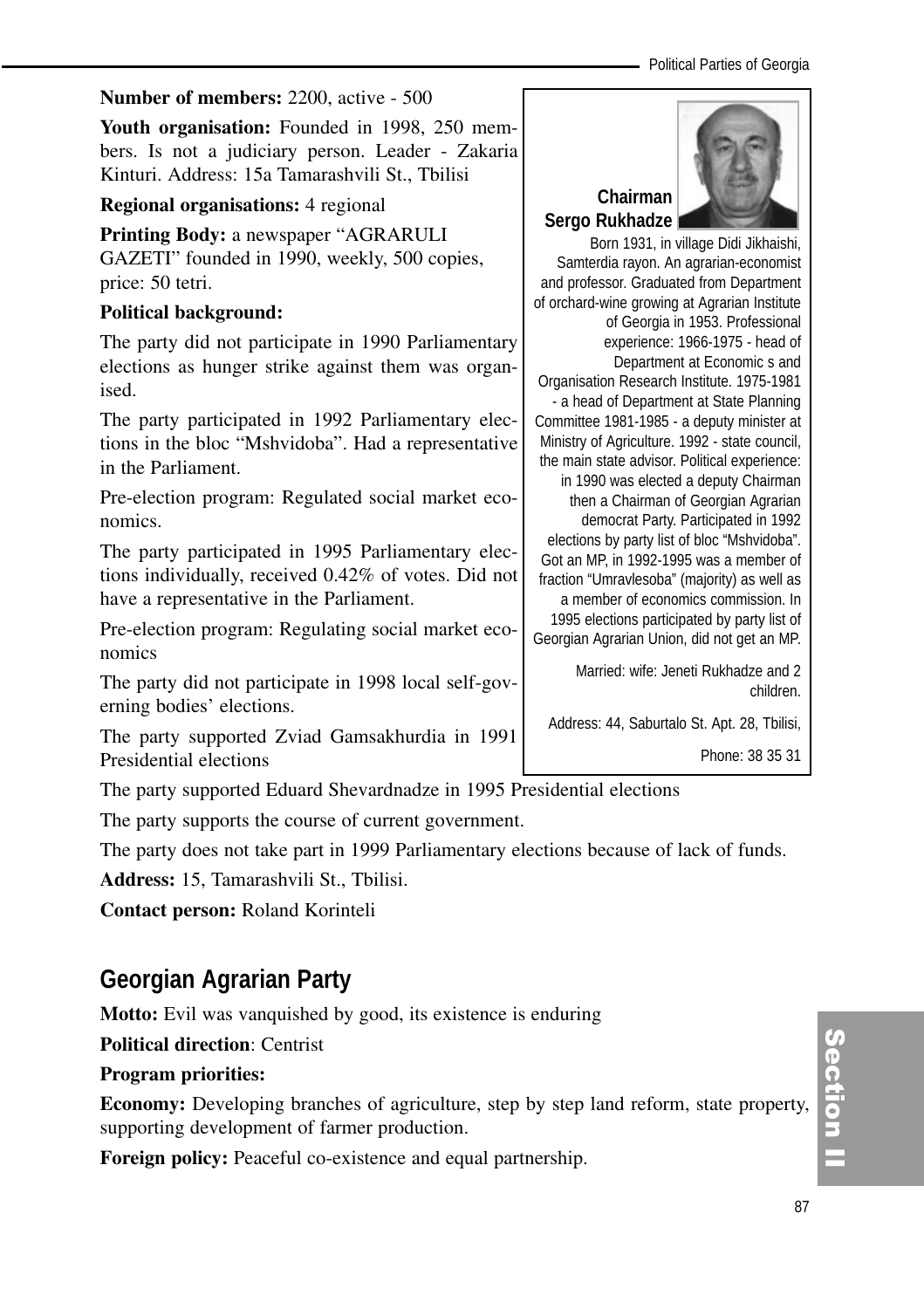#### **Number of members:** 2200, active - 500

**Youth organisation:** Founded in 1998, 250 members. Is not a judiciary person. Leader - Zakaria Kinturi. Address: 15a Tamarashvili St., Tbilisi

#### **Regional organisations:** 4 regional

**Printing Body:** a newspaper "AGRARULI GAZETI" founded in 1990, weekly, 500 copies, price: 50 tetri.

#### **Political background:**

The party did not participate in 1990 Parliamentary elections as hunger strike against them was organised.

The party participated in 1992 Parliamentary elections in the bloc "Mshvidoba". Had a representative in the Parliament.

Pre-election program: Regulated social market economics.

The party participated in 1995 Parliamentary elections individually, received 0.42% of votes. Did not have a representative in the Parliament.

Pre-election program: Regulating social market economics

The party did not participate in 1998 local self-governing bodies' elections.

The party supported Zviad Gamsakhurdia in 1991 Presidential elections

The party supported Eduard Shevardnadze in 1995 Presidential elections

The party supports the course of current government.

The party does not take part in 1999 Parliamentary elections because of lack of funds.

**Address:** 15, Tamarashvili St., Tbilisi.

**Contact person:** Roland Korinteli

## **Georgian Agrarian Party**

**Motto:** Evil was vanquished by good, its existence is enduring

**Political direction**: Centrist

#### **Program priorities:**

**Economy:** Developing branches of agriculture, step by step land reform, state property, supporting development of farmer production.

**Foreign policy:** Peaceful co-existence and equal partnership.



Born 1931, in village Didi Jikhaishi, Samterdia rayon. An agrarian-economist and professor. Graduated from Department of orchard-wine growing at Agrarian Institute of Georgia in 1953. Professional experience: 1966-1975 - head of Department at Economic s and Organisation Research Institute. 1975-1981 - a head of Department at State Planning Committee 1981-1985 - a deputy minister at Ministry of Agriculture. 1992 - state council, the main state advisor. Political experience: in 1990 was elected a deputy Chairman then a Chairman of Georgian Agrarian democrat Party. Participated in 1992 elections by party list of bloc "Mshvidoba". Got an MP, in 1992-1995 was a member of fraction "Umravlesoba" (majority) as well as a member of economics commission. In 1995 elections participated by party list of Georgian Agrarian Union, did not get an MP.

> Married: wife: Jeneti Rukhadze and 2 children.

Address: 44, Saburtalo St. Apt. 28, Tbilisi,

Phone: 38 35 31

Section II ction<br>I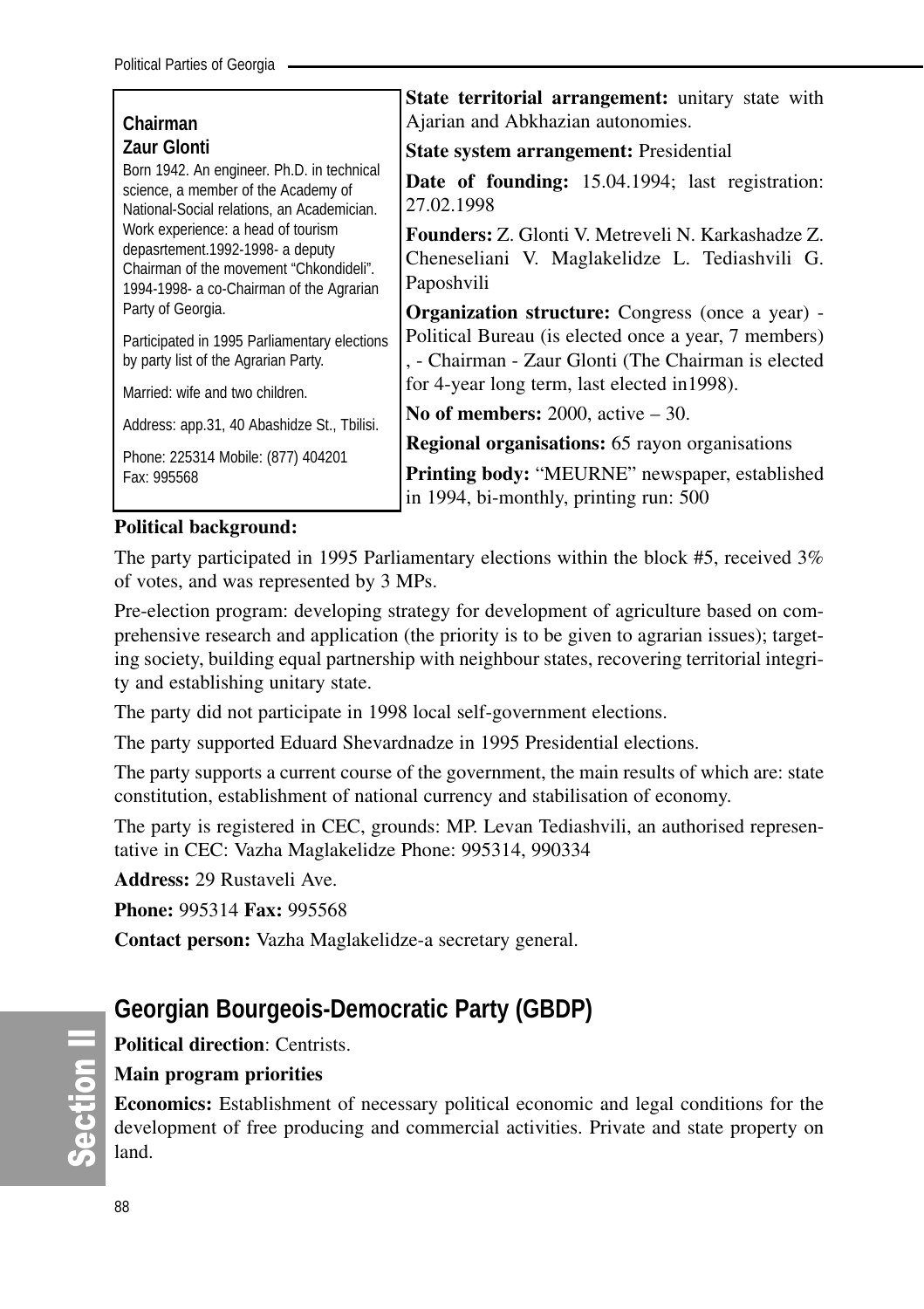|                                                                                                                                                               | State territorial arrangement: unitary state with                                                                         |  |  |
|---------------------------------------------------------------------------------------------------------------------------------------------------------------|---------------------------------------------------------------------------------------------------------------------------|--|--|
| Chairman                                                                                                                                                      | Ajarian and Abkhazian autonomies.                                                                                         |  |  |
| <b>Zaur Glonti</b>                                                                                                                                            | <b>State system arrangement:</b> Presidential                                                                             |  |  |
| Born 1942. An engineer. Ph.D. in technical<br>science, a member of the Academy of<br>National-Social relations, an Academician.                               | <b>Date of founding:</b> 15.04.1994; last registration:<br>27.02.1998                                                     |  |  |
| Work experience: a head of tourism<br>depasrtement.1992-1998- a deputy<br>Chairman of the movement "Chkondideli".<br>1994-1998- a co-Chairman of the Agrarian | <b>Founders:</b> Z. Glonti V. Metreveli N. Karkashadze Z.<br>Cheneseliani V. Maglakelidze L. Tediashvili G.<br>Paposhvili |  |  |
| Party of Georgia.                                                                                                                                             | <b>Organization structure:</b> Congress (once a year) -                                                                   |  |  |
| Participated in 1995 Parliamentary elections<br>by party list of the Agrarian Party.                                                                          | Political Bureau (is elected once a year, 7 members)<br>, - Chairman - Zaur Glonti (The Chairman is elected               |  |  |
| Married: wife and two children.                                                                                                                               | for 4-year long term, last elected in 1998).                                                                              |  |  |
| Address: app.31, 40 Abashidze St., Tbilisi.                                                                                                                   | No of members: $2000$ , active $-30$ .                                                                                    |  |  |
|                                                                                                                                                               | <b>Regional organisations:</b> 65 rayon organisations                                                                     |  |  |
| Phone: 225314 Mobile: (877) 404201<br>Fax: 995568                                                                                                             | <b>Printing body: "MEURNE"</b> newspaper, established<br>in 1994, bi-monthly, printing run: 500                           |  |  |

#### **Political background:**

The party participated in 1995 Parliamentary elections within the block #5, received 3% of votes, and was represented by 3 MPs.

Pre-election program: developing strategy for development of agriculture based on comprehensive research and application (the priority is to be given to agrarian issues); targeting society, building equal partnership with neighbour states, recovering territorial integrity and establishing unitary state.

The party did not participate in 1998 local self-government elections.

The party supported Eduard Shevardnadze in 1995 Presidential elections.

The party supports a current course of the government, the main results of which are: state constitution, establishment of national currency and stabilisation of economy.

The party is registered in CEC, grounds: MP. Levan Tediashvili, an authorised representative in CEC: Vazha Maglakelidze Phone: 995314, 990334

**Address:** 29 Rustaveli Ave.

**Phone:** 995314 **Fax:** 995568

**Contact person:** Vazha Maglakelidze-a secretary general.

## **Georgian Bourgeois-Democratic Party (GBDP)**

**Political direction**: Centrists.

## **Main program priorities**

**Economics:** Establishment of necessary political economic and legal conditions for the development of free producing and commercial activities. Private and state property on land.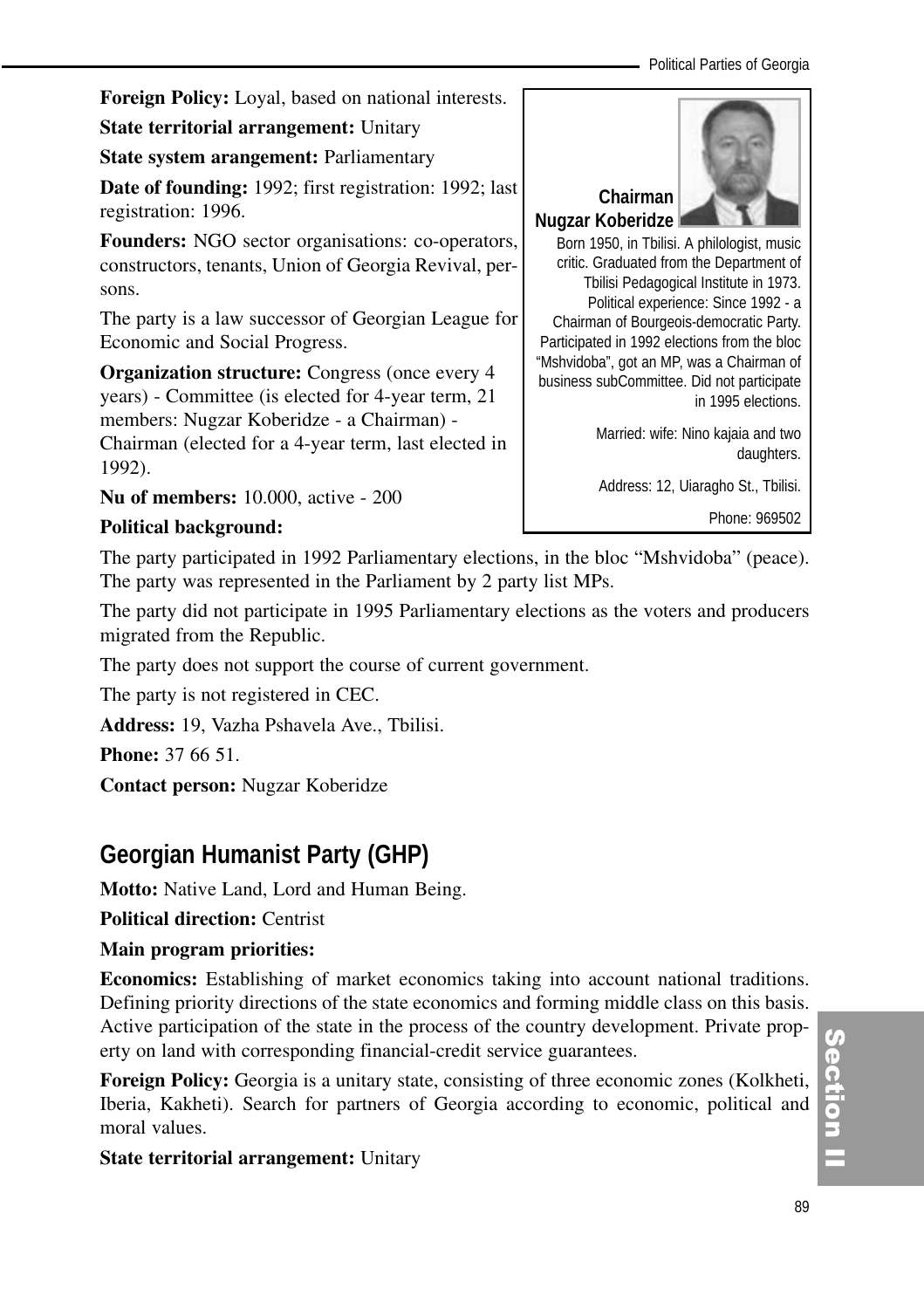**Foreign Policy:** Loyal, based on national interests.

**State territorial arrangement:** Unitary

**State system arangement: Parliamentary** 

**Date of founding:** 1992; first registration: 1992; last registration: 1996.

**Founders:** NGO sector organisations: co-operators, constructors, tenants, Union of Georgia Revival, persons.

The party is a law successor of Georgian League for Economic and Social Progress.

**Organization structure:** Congress (once every 4 years) - Committee (is elected for 4-year term, 21 members: Nugzar Koberidze - a Chairman) - Chairman (elected for a 4-year term, last elected in 1992).

**Nu of members:** 10.000, active - 200

## **Political background:**

The party participated in 1992 Parliamentary elections, in the bloc "Mshvidoba" (peace). The party was represented in the Parliament by 2 party list MPs.

The party did not participate in 1995 Parliamentary elections as the voters and producers migrated from the Republic.

The party does not support the course of current government.

The party is not registered in CEC.

**Address:** 19, Vazha Pshavela Ave., Tbilisi.

**Phone:** 37 66 51.

**Contact person:** Nugzar Koberidze

## **Georgian Humanist Party (GHP)**

**Motto:** Native Land, Lord and Human Being.

**Political direction:** Centrist

## **Main program priorities:**

**Economics:** Establishing of market economics taking into account national traditions. Defining priority directions of the state economics and forming middle class on this basis. Active participation of the state in the process of the country development. Private property on land with corresponding financial-credit service guarantees.

**Foreign Policy:** Georgia is a unitary state, consisting of three economic zones (Kolkheti, Iberia, Kakheti). Search for partners of Georgia according to economic, political and moral values.

**State territorial arrangement:** Unitary



Born 1950, in Tbilisi. A philologist, music critic. Graduated from the Department of Tbilisi Pedagogical Institute in 1973. Political experience: Since 1992 - a Chairman of Bourgeois-democratic Party. Participated in 1992 elections from the bloc "Mshvidoba", got an MP, was a Chairman of business subCommittee. Did not participate in 1995 elections.

> Married: wife: Nino kajaia and two daughters.

Address: 12, Uiaragho St., Tbilisi.

Phone: 969502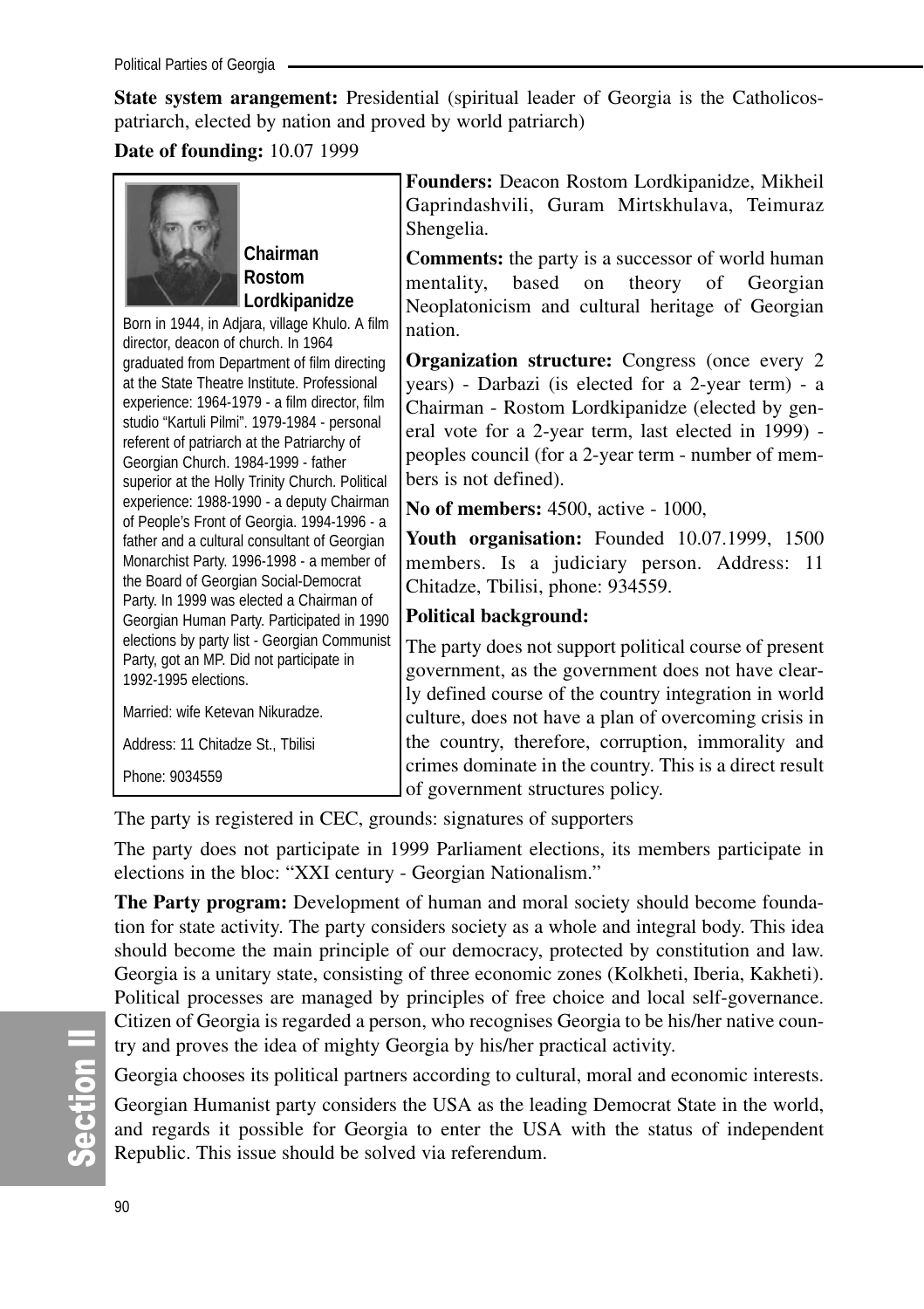**State system arangement:** Presidential (spiritual leader of Georgia is the Catholicospatriarch, elected by nation and proved by world patriarch)

#### **Date of founding:** 10.07 1999



**Chairman Rostom Lordkipanidze**

Born in 1944, in Adjara, village Khulo. A film director, deacon of church. In 1964 graduated from Department of film directing at the State Theatre Institute. Professional experience: 1964-1979 - a film director, film studio "Kartuli Pilmi". 1979-1984 - personal referent of patriarch at the Patriarchy of Georgian Church. 1984-1999 - father superior at the Holly Trinity Church. Political experience: 1988-1990 - a deputy Chairman of People's Front of Georgia. 1994-1996 - a father and a cultural consultant of Georgian Monarchist Party. 1996-1998 - a member of the Board of Georgian Social-Democrat Party. In 1999 was elected a Chairman of Georgian Human Party. Participated in 1990 elections by party list - Georgian Communist Party, got an MP. Did not participate in 1992-1995 elections.

Married: wife Ketevan Nikuradze.

Address: 11 Chitadze St., Tbilisi

Phone: 9034559

**Founders:** Deacon Rostom Lordkipanidze, Mikheil Gaprindashvili, Guram Mirtskhulava, Teimuraz Shengelia.

**Comments:** the party is a successor of world human mentality, based on theory of Georgian Neoplatonicism and cultural heritage of Georgian nation.

**Organization structure:** Congress (once every 2) years) - Darbazi (is elected for a 2-year term) - a Chairman - Rostom Lordkipanidze (elected by general vote for a 2-year term, last elected in 1999) peoples council (for a 2-year term - number of members is not defined).

**No of members:** 4500, active - 1000,

**Youth organisation:** Founded 10.07.1999, 1500 members. Is a judiciary person. Address: 11 Chitadze, Tbilisi, phone: 934559.

## **Political background:**

The party does not support political course of present government, as the government does not have clearly defined course of the country integration in world culture, does not have a plan of overcoming crisis in the country, therefore, corruption, immorality and crimes dominate in the country. This is a direct result of government structures policy.

The party is registered in CEC, grounds: signatures of supporters

The party does not participate in 1999 Parliament elections, its members participate in elections in the bloc: "XXI century - Georgian Nationalism."

**The Party program:** Development of human and moral society should become foundation for state activity. The party considers society as a whole and integral body. This idea should become the main principle of our democracy, protected by constitution and law. Georgia is a unitary state, consisting of three economic zones (Kolkheti, Iberia, Kakheti). Political processes are managed by principles of free choice and local self-governance. Citizen of Georgia is regarded a person, who recognises Georgia to be his/her native country and proves the idea of mighty Georgia by his/her practical activity.

Georgia chooses its political partners according to cultural, moral and economic interests.

Georgian Humanist party considers the USA as the leading Democrat State in the world, and regards it possible for Georgia to enter the USA with the status of independent Republic. This issue should be solved via referendum.

တိ **Ction II**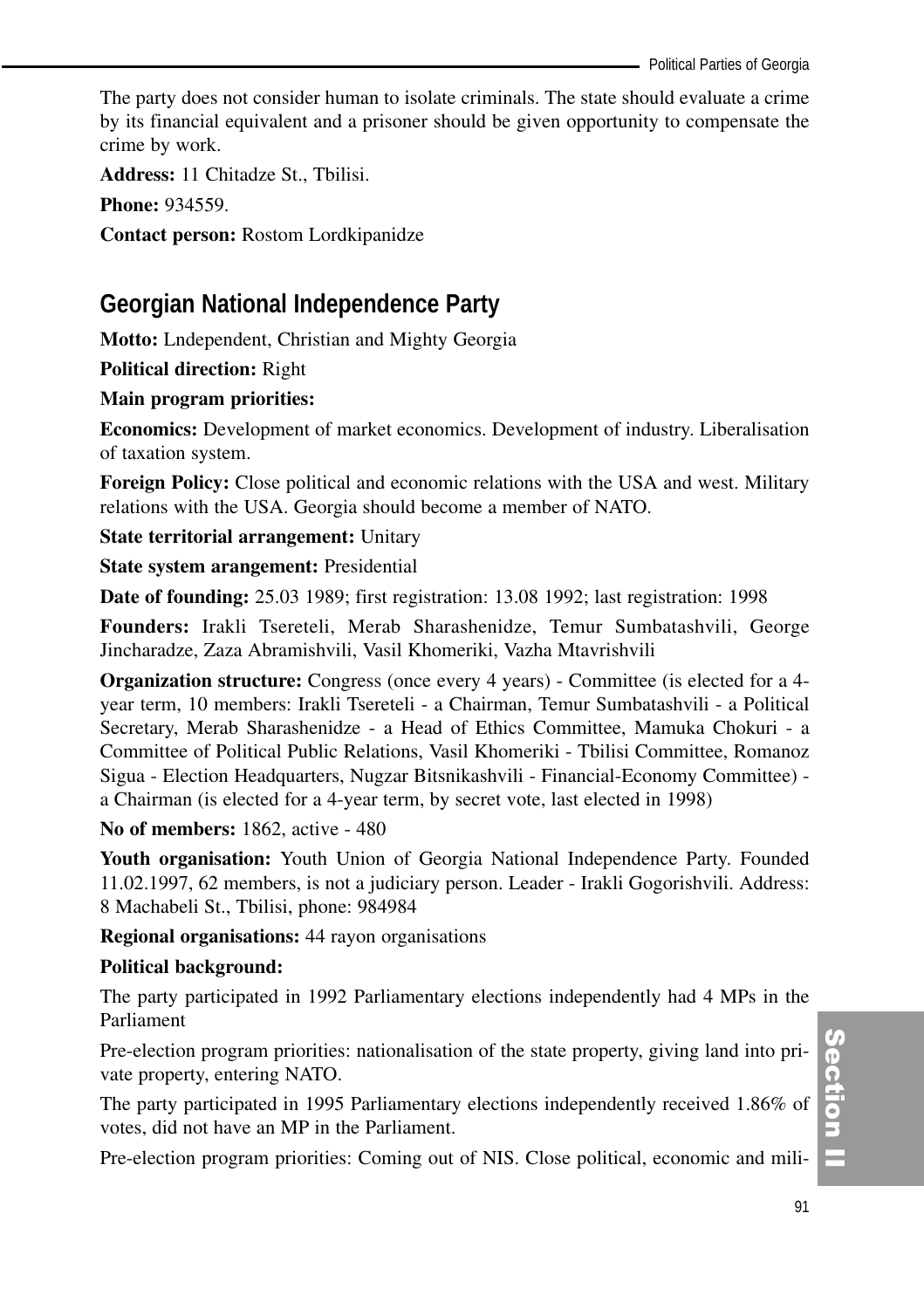The party does not consider human to isolate criminals. The state should evaluate a crime by its financial equivalent and a prisoner should be given opportunity to compensate the crime by work.

**Address:** 11 Chitadze St., Tbilisi.

**Phone:** 934559.

**Contact person:** Rostom Lordkipanidze

## **Georgian National Independence Party**

**Motto:** Lndependent, Christian and Mighty Georgia

**Political direction:** Right

#### **Main program priorities:**

**Economics:** Development of market economics. Development of industry. Liberalisation of taxation system.

**Foreign Policy:** Close political and economic relations with the USA and west. Military relations with the USA. Georgia should become a member of NATO.

**State territorial arrangement:** Unitary

**State system arangement:** Presidential

**Date of founding:** 25.03 1989; first registration: 13.08 1992; last registration: 1998

**Founders:** Irakli Tsereteli, Merab Sharashenidze, Temur Sumbatashvili, George Jincharadze, Zaza Abramishvili, Vasil Khomeriki, Vazha Mtavrishvili

**Organization structure:** Congress (once every 4 years) - Committee (is elected for a 4 year term, 10 members: Irakli Tsereteli - a Chairman, Temur Sumbatashvili - a Political Secretary, Merab Sharashenidze - a Head of Ethics Committee, Mamuka Chokuri - a Committee of Political Public Relations, Vasil Khomeriki - Tbilisi Committee, Romanoz Sigua - Election Headquarters, Nugzar Bitsnikashvili - Financial-Economy Committee) a Chairman (is elected for a 4-year term, by secret vote, last elected in 1998)

**No of members:** 1862, active - 480

**Youth organisation:** Youth Union of Georgia National Independence Party. Founded 11.02.1997, 62 members, is not a judiciary person. Leader - Irakli Gogorishvili. Address: 8 Machabeli St., Tbilisi, phone: 984984

**Regional organisations:** 44 rayon organisations

#### **Political background:**

The party participated in 1992 Parliamentary elections independently had 4 MPs in the Parliament

Pre-election program priorities: nationalisation of the state property, giving land into private property, entering NATO.

The party participated in 1995 Parliamentary elections independently received 1.86% of votes, did not have an MP in the Parliament.

Pre-election program priorities: Coming out of NIS. Close political, economic and mili-

Section ction<br>I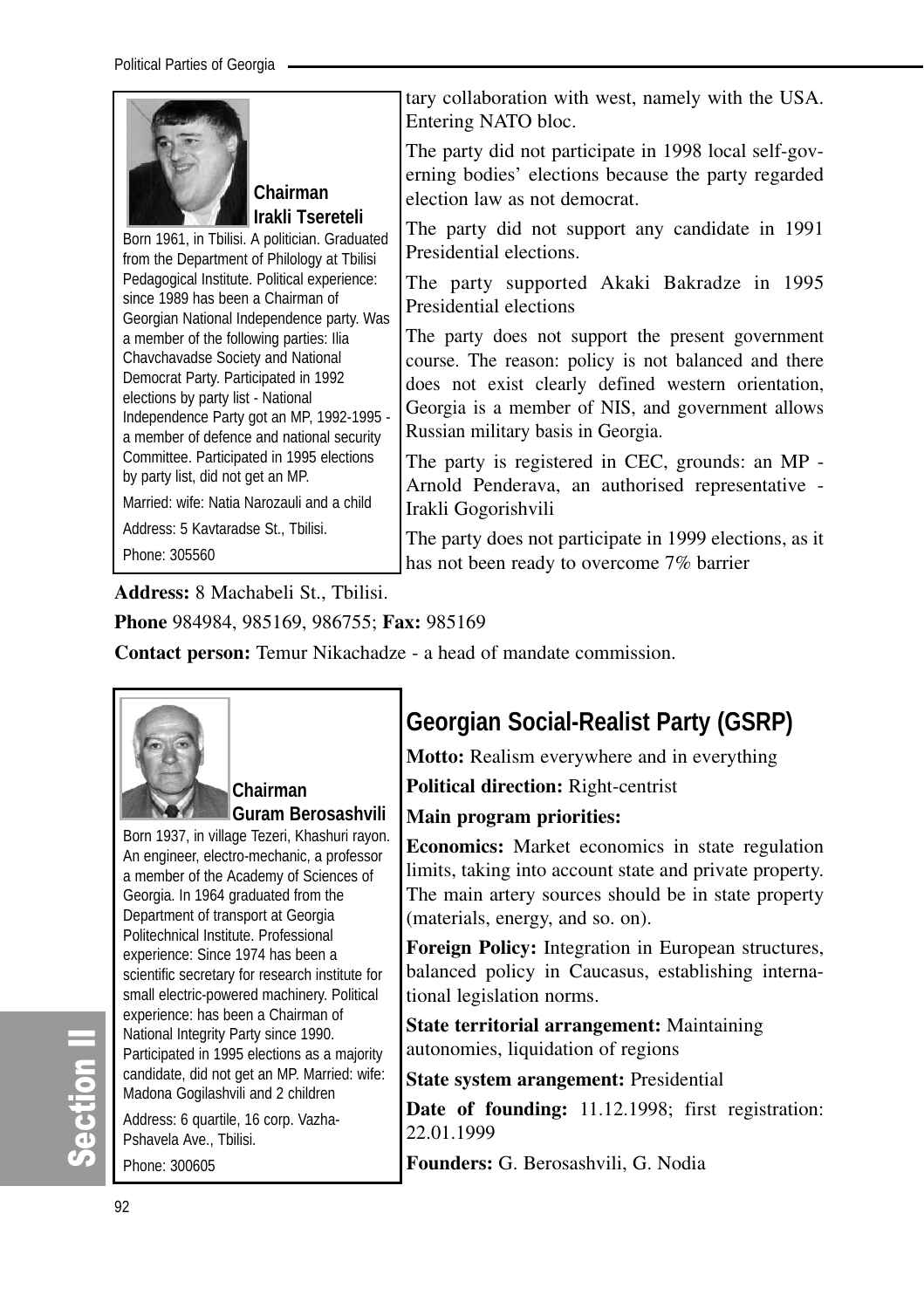

**Chairman Irakli Tsereteli** 

Born 1961, in Tbilisi. A politician. Graduated from the Department of Philology at Tbilisi Pedagogical Institute. Political experience: since 1989 has been a Chairman of Georgian National Independence party. Was a member of the following parties: Ilia Chavchavadse Society and National Democrat Party. Participated in 1992 elections by party list - National Independence Party got an MP, 1992-1995 a member of defence and national security Committee. Participated in 1995 elections by party list, did not get an MP.

Married: wife: Natia Narozauli and a child

Address: 5 Kavtaradse St., Tbilisi.

Phone: 305560

tary collaboration with west, namely with the USA. Entering NATO bloc.

The party did not participate in 1998 local self-governing bodies' elections because the party regarded election law as not democrat.

The party did not support any candidate in 1991 Presidential elections.

The party supported Akaki Bakradze in 1995 Presidential elections

The party does not support the present government course. The reason: policy is not balanced and there does not exist clearly defined western orientation, Georgia is a member of NIS, and government allows Russian military basis in Georgia.

The party is registered in CEC, grounds: an MP - Arnold Penderava, an authorised representative - Irakli Gogorishvili

The party does not participate in 1999 elections, as it has not been ready to overcome 7% barrier

**Address:** 8 Machabeli St., Tbilisi.

**Phone** 984984, 985169, 986755; **Fax:** 985169

**Contact person:** Temur Nikachadze - a head of mandate commission.



**Chairman Guram Berosashvili**

Born 1937, in village Tezeri, Khashuri rayon. An engineer, electro-mechanic, a professor a member of the Academy of Sciences of Georgia. In 1964 graduated from the Department of transport at Georgia Politechnical Institute. Professional experience: Since 1974 has been a scientific secretary for research institute for small electric-powered machinery. Political experience: has been a Chairman of National Integrity Party since 1990. Participated in 1995 elections as a majority candidate, did not get an MP. Married: wife: Madona Gogilashvili and 2 children

Address: 6 quartile, 16 corp. Vazha-Pshavela Ave., Tbilisi. Phone: 300605

## **Georgian Social-Realist Party (GSRP)**

**Motto:** Realism everywhere and in everything

**Political direction:** Right-centrist

## **Main program priorities:**

**Economics:** Market economics in state regulation limits, taking into account state and private property. The main artery sources should be in state property (materials, energy, and so. on).

**Foreign Policy:** Integration in European structures, balanced policy in Caucasus, establishing international legislation norms.

**State territorial arrangement:** Maintaining autonomies, liquidation of regions

**State system arangement:** Presidential

**Date of founding:** 11.12.1998; first registration: 22.01.1999

**Founders:** G. Berosashvili, G. Nodia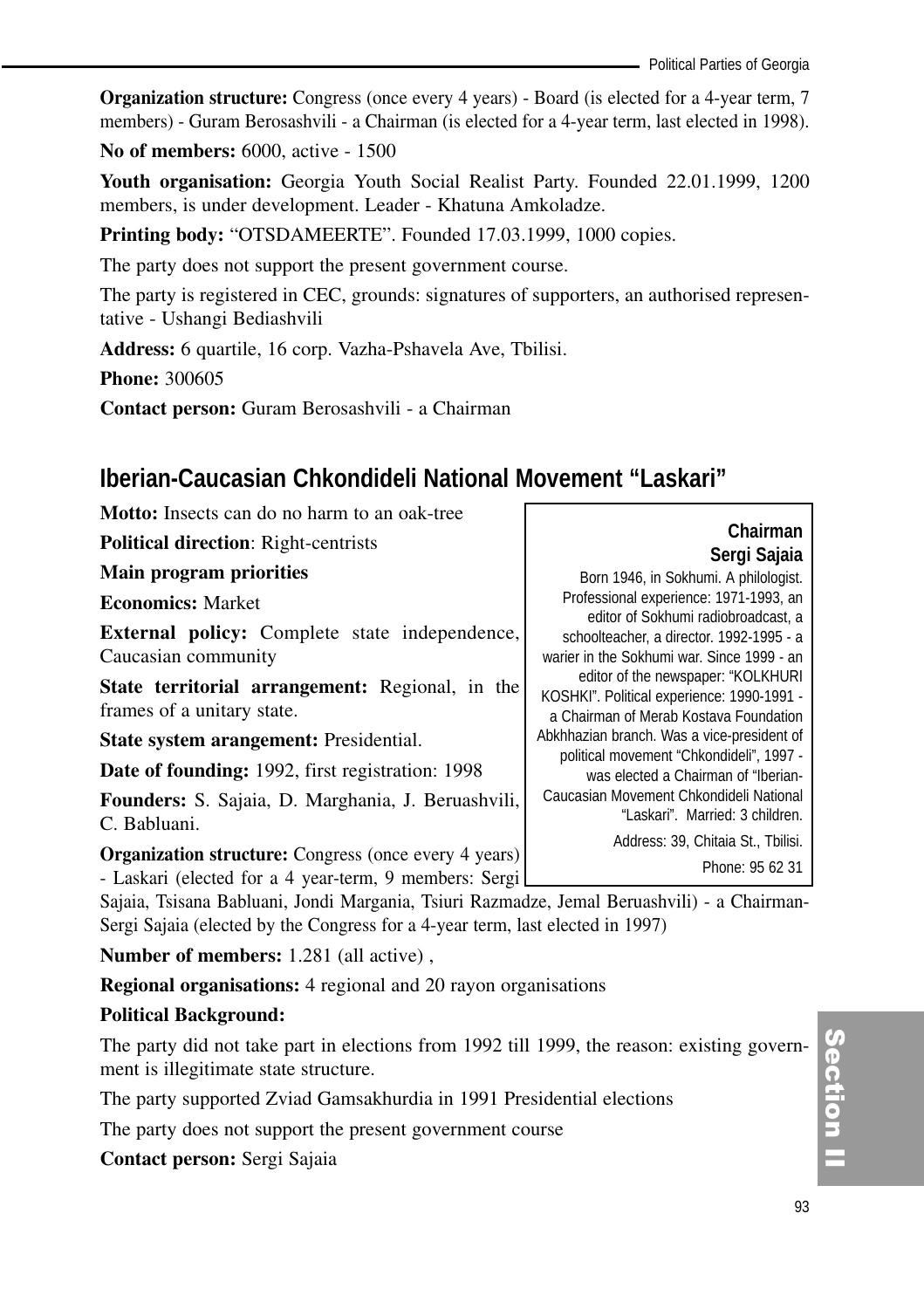**Organization structure:** Congress (once every 4 years) - Board (is elected for a 4-year term, 7 members) - Guram Berosashvili - a Chairman (is elected for a 4-year term, last elected in 1998).

**No of members:** 6000, active - 1500

**Youth organisation:** Georgia Youth Social Realist Party. Founded 22.01.1999, 1200 members, is under development. Leader - Khatuna Amkoladze.

**Printing body:** "OTSDAMEERTE". Founded 17.03.1999, 1000 copies.

The party does not support the present government course.

The party is registered in CEC, grounds: signatures of supporters, an authorised representative - Ushangi Bediashvili

**Address:** 6 quartile, 16 corp. Vazha-Pshavela Ave, Tbilisi.

**Phone:** 300605

**Contact person:** Guram Berosashvili - a Chairman

## **Iberian-Caucasian Chkondideli National Movement "Laskari"**

| <b>Motto:</b> Insects can do no harm to an oak-tree                               |                                            |
|-----------------------------------------------------------------------------------|--------------------------------------------|
| <b>Political direction:</b> Right-centrists                                       | Chairman                                   |
| Main program priorities                                                           | Sergi Sajaia                               |
|                                                                                   | Born 1946, in Sokhumi. A philologist.      |
| <b>Economics: Market</b>                                                          | Professional experience: 1971-1993, an     |
|                                                                                   | editor of Sokhumi radiobroadcast, a        |
| <b>External policy:</b> Complete state independence,                              | schoolteacher, a director. 1992-1995 - a   |
| Caucasian community                                                               | warier in the Sokhumi war. Since 1999 - an |
|                                                                                   | editor of the newspaper: "KOLKHURI         |
| <b>State territorial arrangement:</b> Regional, in the                            | KOSHKI". Political experience: 1990-1991 - |
| frames of a unitary state.                                                        | a Chairman of Merab Kostava Foundation     |
| State system arangement: Presidential.                                            | Abkhhazian branch. Was a vice-president of |
|                                                                                   | political movement "Chkondideli", 1997 -   |
| <b>Date of founding:</b> 1992, first registration: 1998                           | was elected a Chairman of "Iberian-        |
| Founders: S. Sajaia, D. Marghania, J. Beruashvili,                                | Caucasian Movement Chkondideli National    |
|                                                                                   | "Laskari". Married: 3 children.            |
| C. Babluani.                                                                      |                                            |
| <b>Organization structure:</b> Congress (once every 4 years)                      | Address: 39, Chitaia St., Tbilisi.         |
| $I = I = I$ , $I = I = I$ , $I = I = I$ , $I = I = I$ , $I = I = I$ , $I = I = I$ | Phone: 95 62 31                            |

- Laskari (elected for a 4 year-term, 9 members: Sergi

Sajaia, Tsisana Babluani, Jondi Margania, Tsiuri Razmadze, Jemal Beruashvili) - a Chairman-Sergi Sajaia (elected by the Congress for a 4-year term, last elected in 1997)

**Number of members:** 1.281 (all active) ,

**Regional organisations:** 4 regional and 20 rayon organisations

## **Political Background:**

The party did not take part in elections from 1992 till 1999, the reason: existing government is illegitimate state structure.

The party supported Zviad Gamsakhurdia in 1991 Presidential elections

The party does not support the present government course

**Contact person:** Sergi Sajaia

Section II ction<br>I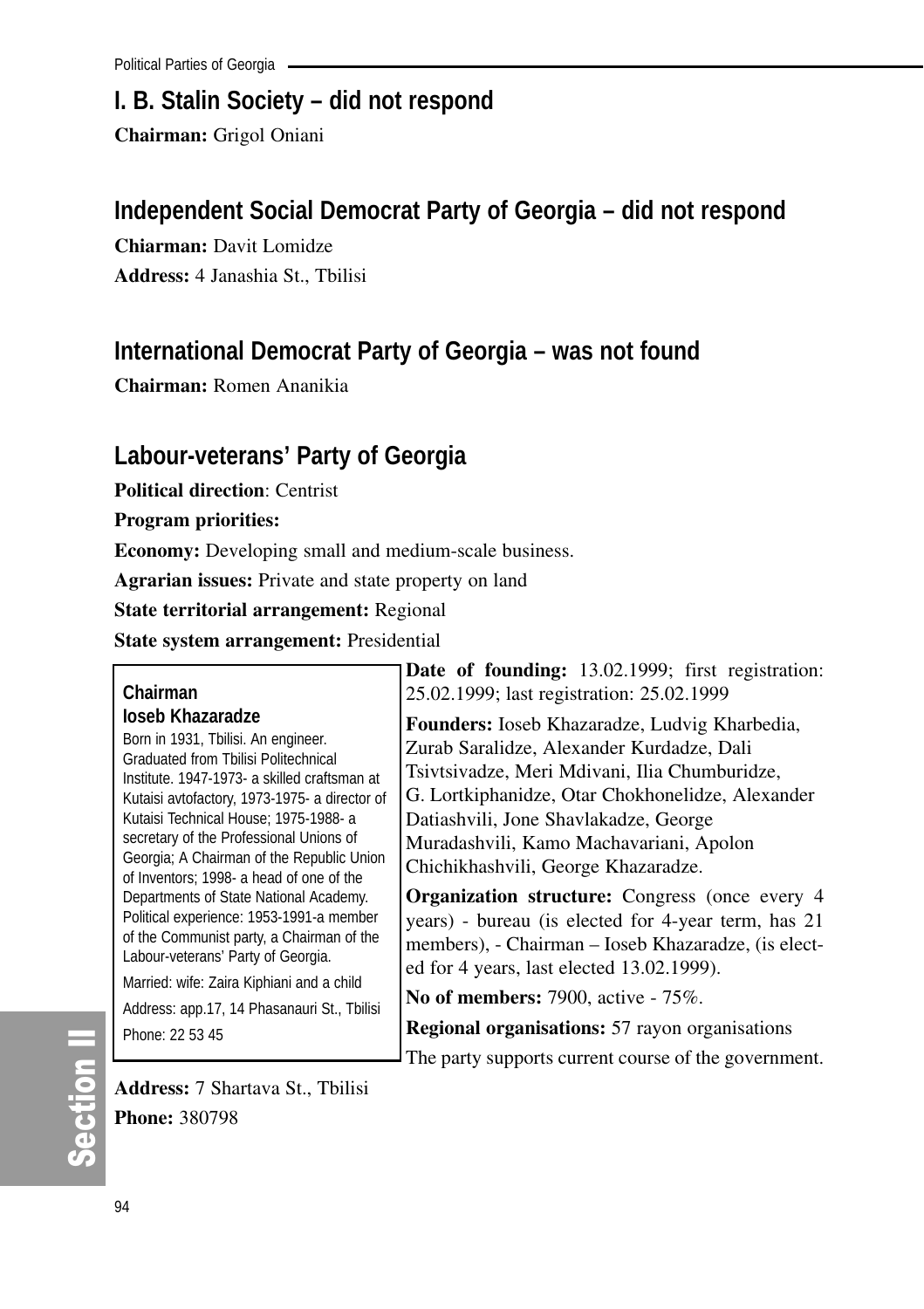## **I. B. Stalin Society – did not respond**

**Chairman:** Grigol Oniani

## **Independent Social Democrat Party of Georgia – did not respond**

**Chiarman:** Davit Lomidze **Address:** 4 Janashia St., Tbilisi

## **International Democrat Party of Georgia – was not found**

**Chairman:** Romen Ananikia

## **Labour-veterans' Party of Georgia**

**Political direction**: Centrist

**Program priorities:**

**Economy:** Developing small and medium-scale business.

**Agrarian issues:** Private and state property on land

**State territorial arrangement:** Regional

**State system arrangement:** Presidential

#### **Chairman Ioseb Khazaradze**

Born in 1931, Tbilisi. An engineer. Graduated from Tbilisi Politechnical Institute. 1947-1973- a skilled craftsman at Kutaisi avtofactory, 1973-1975- a director of Kutaisi Technical House; 1975-1988- a secretary of the Professional Unions of Georgia; A Chairman of the Republic Union of Inventors; 1998- a head of one of the Departments of State National Academy. Political experience: 1953-1991-a member of the Communist party, a Chairman of the Labour-veterans' Party of Georgia.

Married: wife: Zaira Kiphiani and a child Address: app.17, 14 Phasanauri St., Tbilisi

Phone: 22 53 45

**Date of founding:** 13.02.1999; first registration: 25.02.1999; last registration: 25.02.1999

**Founders:** Ioseb Khazaradze, Ludvig Kharbedia, Zurab Saralidze, Alexander Kurdadze, Dali Tsivtsivadze, Meri Mdivani, Ilia Chumburidze, G. Lortkiphanidze, Otar Chokhonelidze, Alexander Datiashvili, Jone Shavlakadze, George Muradashvili, Kamo Machavariani, Apolon Chichikhashvili, George Khazaradze.

**Organization structure:** Congress (once every 4 years) - bureau (is elected for 4-year term, has 21 members), - Chairman – Ioseb Khazaradze, (is elected for 4 years, last elected 13.02.1999).

**No of members:** 7900, active - 75%.

**Regional organisations:** 57 rayon organisations

The party supports current course of the government.

**Address:** 7 Shartava St., Tbilisi **Phone:** 380798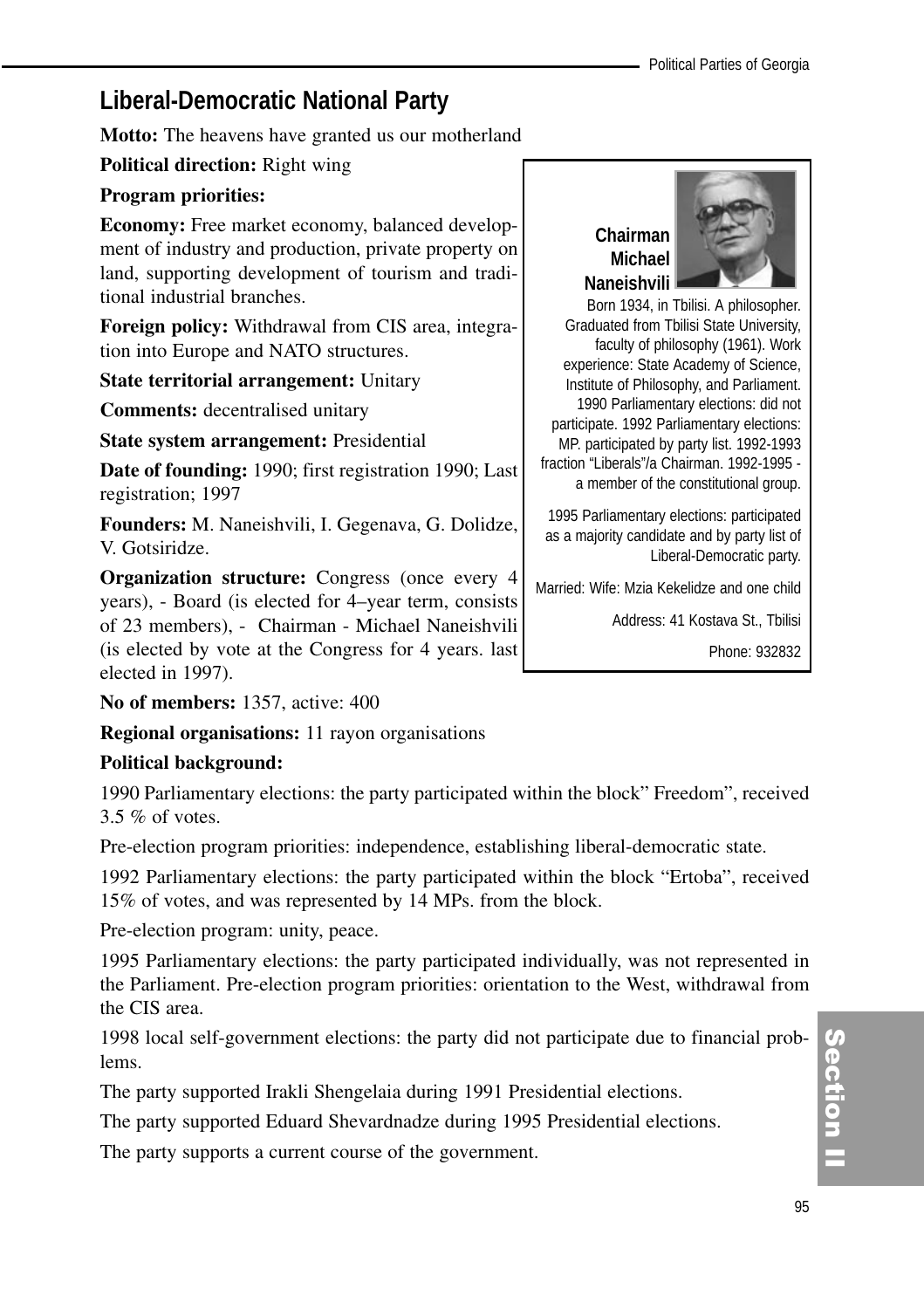## **Liberal-Democratic National Party**

**Motto:** The heavens have granted us our motherland

**Political direction:** Right wing

#### **Program priorities:**

**Economy:** Free market economy, balanced development of industry and production, private property on land, supporting development of tourism and traditional industrial branches.

**Foreign policy:** Withdrawal from CIS area, integration into Europe and NATO structures.

**State territorial arrangement:** Unitary

**Comments:** decentralised unitary

**State system arrangement:** Presidential

**Date of founding:** 1990; first registration 1990; Last registration; 1997

**Founders:** M. Naneishvili, I. Gegenava, G. Dolidze, V. Gotsiridze.

**Organization structure:** Congress (once every 4 years), - Board (is elected for 4–year term, consists of 23 members), - Chairman - Michael Naneishvili (is elected by vote at the Congress for 4 years. last elected in 1997).

**No of members:** 1357, active: 400

**Regional organisations:** 11 rayon organisations

#### **Political background:**

1990 Parliamentary elections: the party participated within the block" Freedom", received 3.5 % of votes.

Pre-election program priorities: independence, establishing liberal-democratic state.

1992 Parliamentary elections: the party participated within the block "Ertoba", received 15% of votes, and was represented by 14 MPs. from the block.

Pre-election program: unity, peace.

1995 Parliamentary elections: the party participated individually, was not represented in the Parliament. Pre-election program priorities: orientation to the West, withdrawal from the CIS area.

1998 local self-government elections: the party did not participate due to financial problems.

The party supported Irakli Shengelaia during 1991 Presidential elections.

The party supported Eduard Shevardnadze during 1995 Presidential elections.

The party supports a current course of the government.

## **Chairman Michael Naneishvili**



Born 1934, in Tbilisi. A philosopher. Graduated from Tbilisi State University, faculty of philosophy (1961). Work experience: State Academy of Science, Institute of Philosophy, and Parliament. 1990 Parliamentary elections: did not participate. 1992 Parliamentary elections: MP. participated by party list. 1992-1993 fraction "Liberals"/a Chairman. 1992-1995 a member of the constitutional group.

1995 Parliamentary elections: participated as a majority candidate and by party list of Liberal-Democratic party.

Married: Wife: Mzia Kekelidze and one child

Address: 41 Kostava St., Tbilisi

Phone: 932832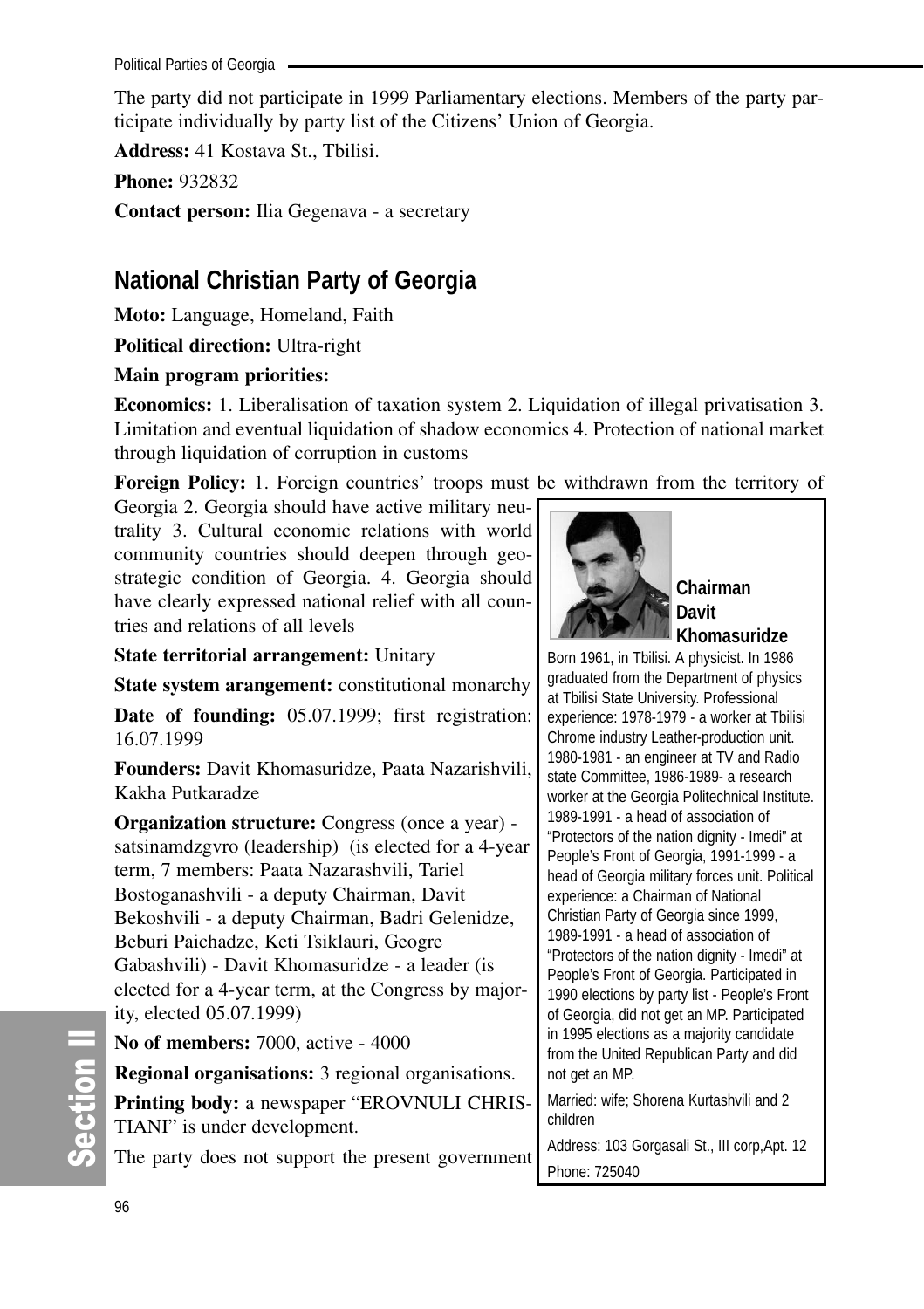The party did not participate in 1999 Parliamentary elections. Members of the party participate individually by party list of the Citizens' Union of Georgia.

**Address:** 41 Kostava St., Tbilisi.

**Phone:** 932832

**Contact person:** Ilia Gegenava - a secretary

## **National Christian Party of Georgia**

**Moto:** Language, Homeland, Faith

**Political direction:** Ultra-right

## **Main program priorities:**

**Economics:** 1. Liberalisation of taxation system 2. Liquidation of illegal privatisation 3. Limitation and eventual liquidation of shadow economics 4. Protection of national market through liquidation of corruption in customs

**Foreign Policy:** 1. Foreign countries' troops must be withdrawn from the territory of

Georgia 2. Georgia should have active military neutrality 3. Cultural economic relations with world community countries should deepen through geostrategic condition of Georgia. 4. Georgia should have clearly expressed national relief with all countries and relations of all levels

**State territorial arrangement:** Unitary

**State system arangement:** constitutional monarchy

**Date of founding:** 05.07.1999; first registration: 16.07.1999

**Founders:** Davit Khomasuridze, Paata Nazarishvili, Kakha Putkaradze

**Organization structure:** Congress (once a year) satsinamdzgvro (leadership) (is elected for a 4-year term, 7 members: Paata Nazarashvili, Tariel Bostoganashvili - a deputy Chairman, Davit Bekoshvili - a deputy Chairman, Badri Gelenidze, Beburi Paichadze, Keti Tsiklauri, Geogre Gabashvili) - Davit Khomasuridze - a leader (is elected for a 4-year term, at the Congress by majority, elected 05.07.1999)

**No of members:** 7000, active - 4000

**Regional organisations:** 3 regional organisations.

**Printing body:** a newspaper "EROVNULI CHRIS-TIANI" is under development.

The party does not support the present government



**Chairman Davit Khomasuridze**

Born 1961, in Tbilisi. A physicist. In 1986 graduated from the Department of physics at Tbilisi State University. Professional experience: 1978-1979 - a worker at Tbilisi Chrome industry Leather-production unit. 1980-1981 - an engineer at TV and Radio state Committee, 1986-1989- a research worker at the Georgia Politechnical Institute. 1989-1991 - a head of association of "Protectors of the nation dignity - Imedi" at People's Front of Georgia, 1991-1999 - a head of Georgia military forces unit. Political experience: a Chairman of National Christian Party of Georgia since 1999, 1989-1991 - a head of association of "Protectors of the nation dignity - Imedi" at People's Front of Georgia. Participated in 1990 elections by party list - People's Front of Georgia, did not get an MP. Participated in 1995 elections as a majority candidate from the United Republican Party and did not get an MP. Married: wife; Shorena Kurtashvili and 2 children

Address: 103 Gorgasali St., III corp,Apt. 12 Phone: 725040

တိ **Ction II**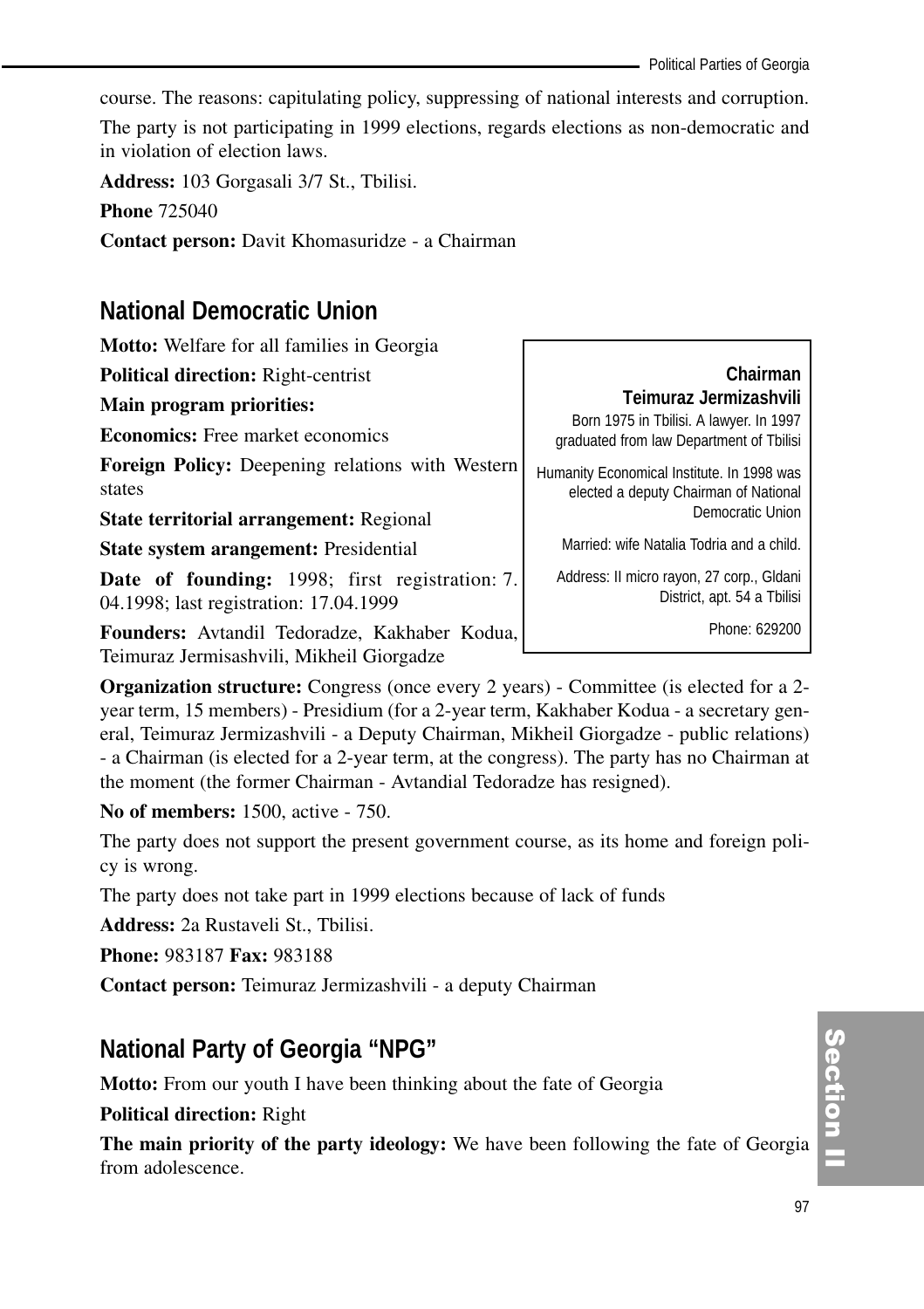course. The reasons: capitulating policy, suppressing of national interests and corruption.

The party is not participating in 1999 elections, regards elections as non-democratic and in violation of election laws.

**Address:** 103 Gorgasali 3/7 St., Tbilisi.

**Phone** 725040

**Contact person:** Davit Khomasuridze - a Chairman

## **National Democratic Union**

| <b>Motto:</b> Welfare for all families in Georgia                                               |                                                                                                               |
|-------------------------------------------------------------------------------------------------|---------------------------------------------------------------------------------------------------------------|
| <b>Political direction: Right-centrist</b>                                                      | Chairman                                                                                                      |
| Main program priorities:                                                                        | Teimuraz Jermizashvili<br>Born 1975 in Tbilisi. A lawyer. In 1997<br>graduated from law Department of Tbilisi |
| <b>Economics:</b> Free market economics                                                         |                                                                                                               |
| <b>Foreign Policy:</b> Deepening relations with Western<br>states                               | Humanity Economical Institute. In 1998 was<br>elected a deputy Chairman of National                           |
| State territorial arrangement: Regional                                                         | Democratic Union                                                                                              |
| <b>State system arangement:</b> Presidential                                                    | Married: wife Natalia Todria and a child.                                                                     |
| <b>Date of founding:</b> 1998; first registration: 7.<br>04.1998; last registration: 17.04.1999 | Address: Il micro rayon, 27 corp., Gldani<br>District, apt. 54 a Tbilisi                                      |
| Founders: Avtandil Tedoradze, Kakhaber Kodua,                                                   | Phone: 629200                                                                                                 |

Teimuraz Jermisashvili, Mikheil Giorgadze

**Organization structure:** Congress (once every 2 years) - Committee (is elected for a 2 year term, 15 members) - Presidium (for a 2-year term, Kakhaber Kodua - a secretary general, Teimuraz Jermizashvili - a Deputy Chairman, Mikheil Giorgadze - public relations) - a Chairman (is elected for a 2-year term, at the congress). The party has no Chairman at the moment (the former Chairman - Avtandial Tedoradze has resigned).

**No of members:** 1500, active - 750.

The party does not support the present government course, as its home and foreign policy is wrong.

The party does not take part in 1999 elections because of lack of funds

**Address:** 2a Rustaveli St., Tbilisi.

**Phone:** 983187 **Fax:** 983188

**Contact person:** Teimuraz Jermizashvili - a deputy Chairman

## **National Party of Georgia "NPG"**

**Motto:** From our youth I have been thinking about the fate of Georgia

## **Political direction:** Right

**The main priority of the party ideology:** We have been following the fate of Georgia from adolescence.

## Section I ction<br>I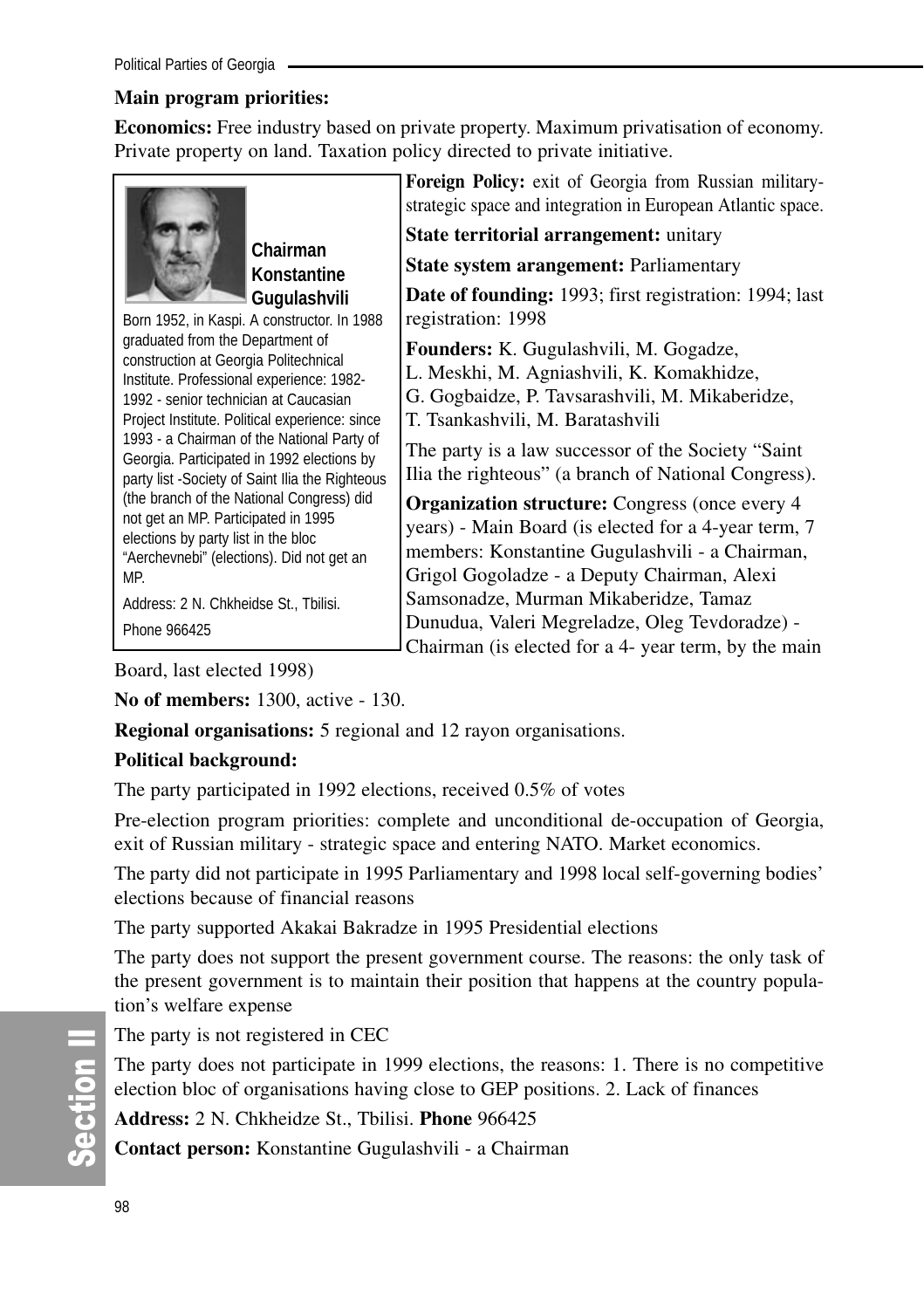## **Main program priorities:**

**Economics:** Free industry based on private property. Maximum privatisation of economy. Private property on land. Taxation policy directed to private initiative.



**Chairman Konstantine Gugulashvili** 

Born 1952, in Kaspi. A constructor. In 1988 graduated from the Department of construction at Georgia Politechnical Institute. Professional experience: 1982- 1992 - senior technician at Caucasian Project Institute. Political experience: since 1993 - a Chairman of the National Party of Georgia. Participated in 1992 elections by party list -Society of Saint Ilia the Righteous (the branch of the National Congress) did not get an MP. Participated in 1995 elections by party list in the bloc "Aerchevnebi" (elections). Did not get an MP.

Address: 2 N. Chkheidse St., Tbilisi. Phone 966425

**Foreign Policy:** exit of Georgia from Russian militarystrategic space and integration in European Atlantic space.

**State territorial arrangement:** unitary

**State system arangement:** Parliamentary

**Date of founding:** 1993; first registration: 1994; last registration: 1998

**Founders:** K. Gugulashvili, M. Gogadze, L. Meskhi, M. Agniashvili, K. Komakhidze, G. Gogbaidze, P. Tavsarashvili, M. Mikaberidze, T. Tsankashvili, M. Baratashvili

The party is a law successor of the Society "Saint Ilia the righteous" (a branch of National Congress).

**Organization structure:** Congress (once every 4 years) - Main Board (is elected for a 4-year term, 7 members: Konstantine Gugulashvili - a Chairman, Grigol Gogoladze - a Deputy Chairman, Alexi Samsonadze, Murman Mikaberidze, Tamaz Dunudua, Valeri Megreladze, Oleg Tevdoradze) - Chairman (is elected for a 4- year term, by the main

Board, last elected 1998)

**No of members:** 1300, active - 130.

**Regional organisations:** 5 regional and 12 rayon organisations.

## **Political background:**

The party participated in 1992 elections, received 0.5% of votes

Pre-election program priorities: complete and unconditional de-occupation of Georgia, exit of Russian military - strategic space and entering NATO. Market economics.

The party did not participate in 1995 Parliamentary and 1998 local self-governing bodies' elections because of financial reasons

The party supported Akakai Bakradze in 1995 Presidential elections

The party does not support the present government course. The reasons: the only task of the present government is to maintain their position that happens at the country population's welfare expense

The party is not registered in CEC

The party does not participate in 1999 elections, the reasons: 1. There is no competitive election bloc of organisations having close to GEP positions. 2. Lack of finances

**Address:** 2 N. Chkheidze St., Tbilisi. **Phone** 966425

**Contact person:** Konstantine Gugulashvili - a Chairman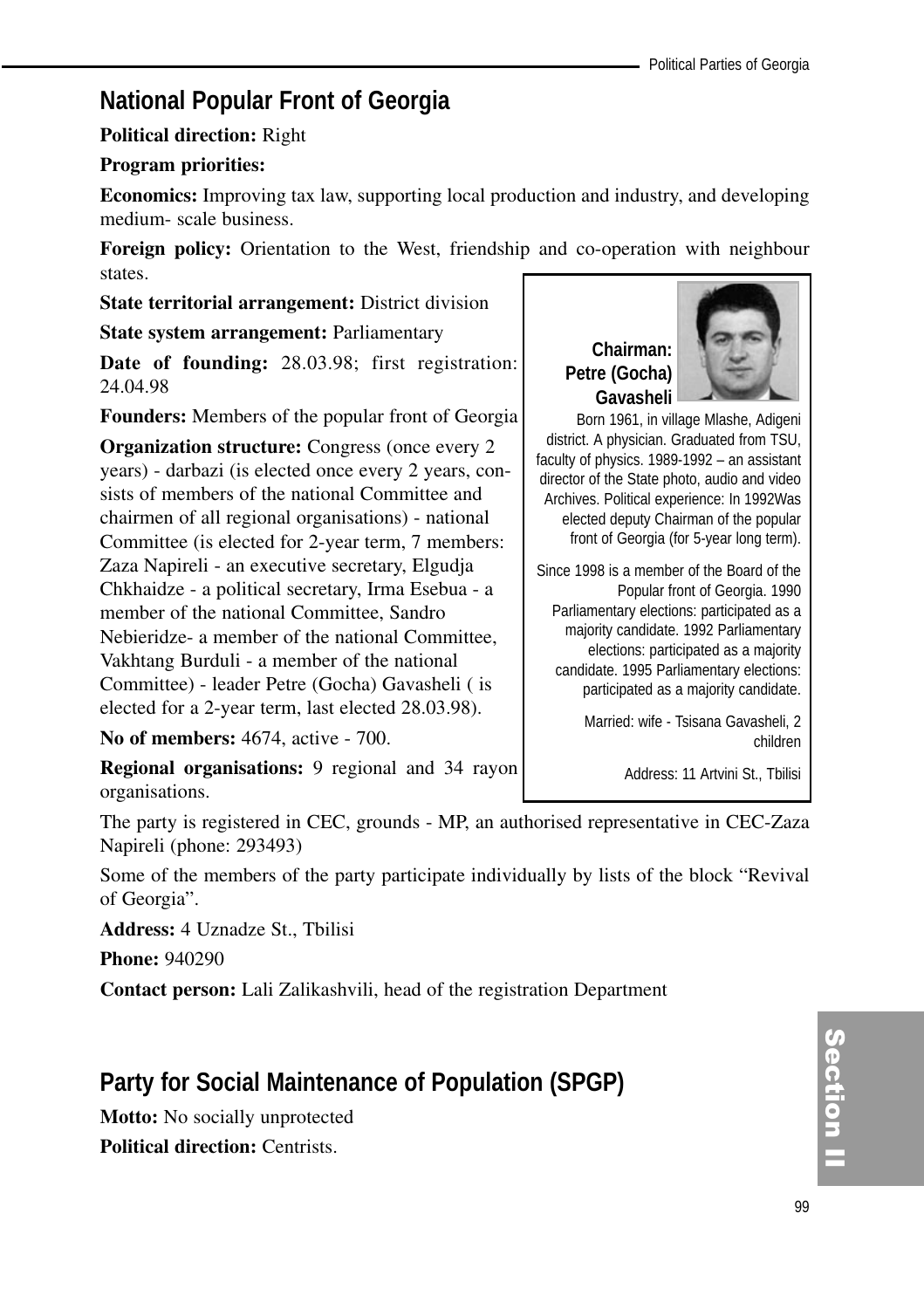## **National Popular Front of Georgia**

#### **Political direction:** Right

#### **Program priorities:**

**Economics:** Improving tax law, supporting local production and industry, and developing medium- scale business.

**Foreign policy:** Orientation to the West, friendship and co-operation with neighbour states.

**State territorial arrangement:** District division

**State system arrangement:** Parliamentary

**Date of founding:** 28.03.98; first registration: 24.04.98

**Founders:** Members of the popular front of Georgia

**Organization structure:** Congress (once every 2) years) - darbazi (is elected once every 2 years, consists of members of the national Committee and chairmen of all regional organisations) - national Committee (is elected for 2-year term, 7 members: Zaza Napireli - an executive secretary, Elgudja Chkhaidze - a political secretary, Irma Esebua - a member of the national Committee, Sandro Nebieridze- a member of the national Committee, Vakhtang Burduli - a member of the national Committee) - leader Petre (Gocha) Gavasheli ( is elected for a 2-year term, last elected 28.03.98).

**No of members:** 4674, active - 700.

**Chairman: Petre (Gocha) Gavasheli**



Born 1961, in village Mlashe, Adigeni district. A physician. Graduated from TSU, faculty of physics. 1989-1992 – an assistant director of the State photo, audio and video Archives. Political experience: In 1992Was elected deputy Chairman of the popular front of Georgia (for 5-year long term).

Since 1998 is a member of the Board of the Popular front of Georgia. 1990 Parliamentary elections: participated as a majority candidate. 1992 Parliamentary elections: participated as a majority candidate. 1995 Parliamentary elections: participated as a majority candidate.

> Married: wife - Tsisana Gavasheli, 2 children

> > Address: 11 Artvini St., Tbilisi

**Regional organisations:** 9 regional and 34 rayon organisations.

The party is registered in CEC, grounds - MP, an authorised representative in CEC-Zaza Napireli (phone: 293493)

Some of the members of the party participate individually by lists of the block "Revival of Georgia".

**Address:** 4 Uznadze St., Tbilisi

**Phone:** 940290

**Contact person:** Lali Zalikashvili, head of the registration Department

## **Party for Social Maintenance of Population (SPGP)**

**Motto:** No socially unprotected **Political direction:** Centrists.

Section<br>1 ction<br>I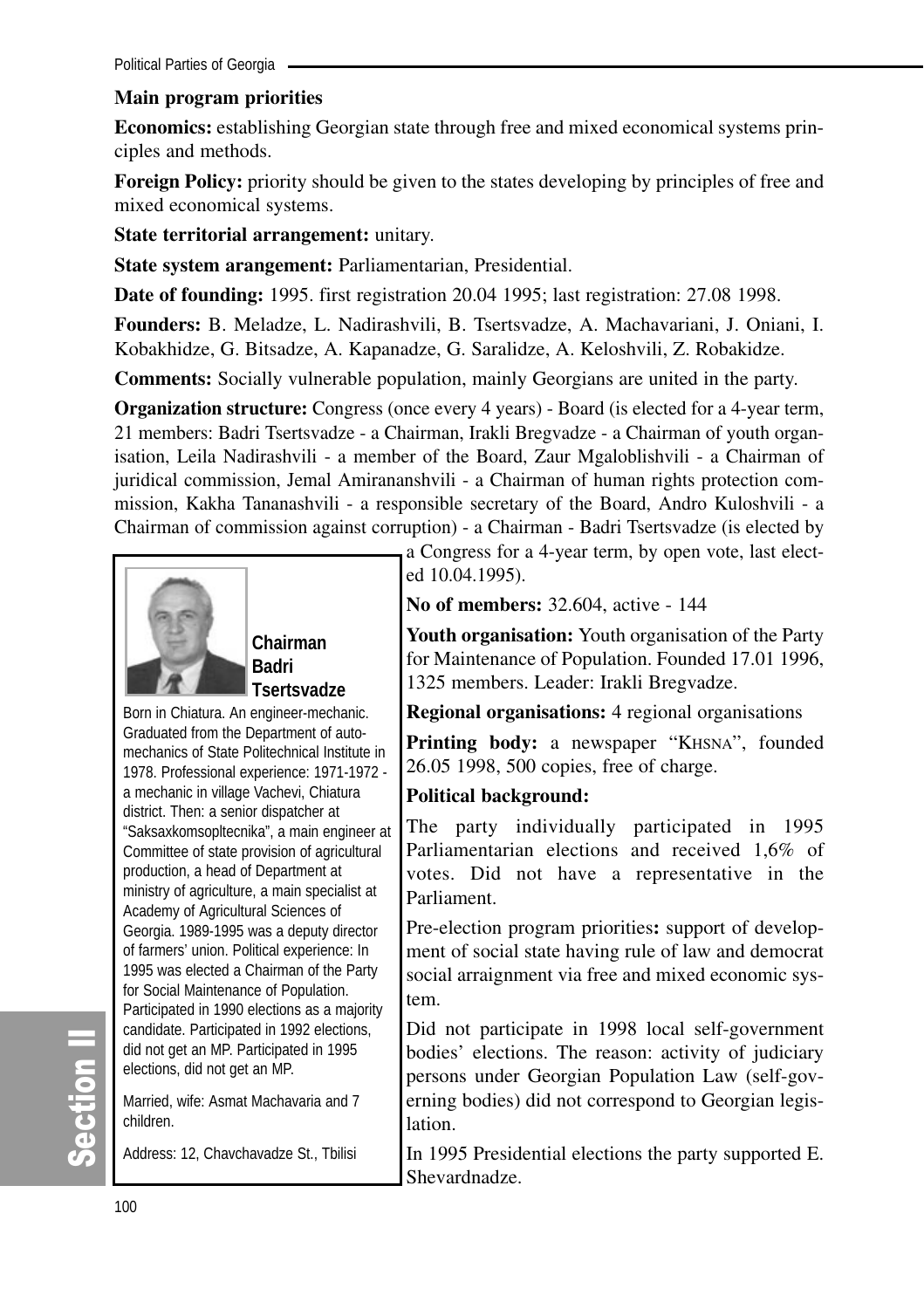Political Parties of Georgia

#### **Main program priorities**

**Economics:** establishing Georgian state through free and mixed economical systems principles and methods.

**Foreign Policy:** priority should be given to the states developing by principles of free and mixed economical systems.

**State territorial arrangement:** unitary.

**State system arangement:** Parliamentarian, Presidential.

**Date of founding:** 1995. first registration 20.04 1995; last registration: 27.08 1998.

**Founders:** B. Meladze, L. Nadirashvili, B. Tsertsvadze, A. Machavariani, J. Oniani, I. Kobakhidze, G. Bitsadze, A. Kapanadze, G. Saralidze, A. Keloshvili, Z. Robakidze.

**Comments:** Socially vulnerable population, mainly Georgians are united in the party.

**Organization structure:** Congress (once every 4 years) - Board (is elected for a 4-year term, 21 members: Badri Tsertsvadze - a Chairman, Irakli Bregvadze - a Chairman of youth organisation, Leila Nadirashvili - a member of the Board, Zaur Mgaloblishvili - a Chairman of juridical commission, Jemal Amirananshvili - a Chairman of human rights protection commission, Kakha Tananashvili - a responsible secretary of the Board, Andro Kuloshvili - a Chairman of commission against corruption) - a Chairman - Badri Tsertsvadze (is elected by



**Chairman Badri Tsertsvadze** 

Born in Chiatura. An engineer-mechanic. Graduated from the Department of automechanics of State Politechnical Institute in 1978. Professional experience: 1971-1972 a mechanic in village Vachevi, Chiatura district. Then: a senior dispatcher at "Saksaxkomsopltecnika", a main engineer at Committee of state provision of agricultural production, a head of Department at ministry of agriculture, a main specialist at Academy of Agricultural Sciences of Georgia. 1989-1995 was a deputy director of farmers' union. Political experience: In 1995 was elected a Chairman of the Party for Social Maintenance of Population. Participated in 1990 elections as a majority candidate. Participated in 1992 elections, did not get an MP. Participated in 1995 elections, did not get an MP.

Married, wife: Asmat Machavaria and 7 children.

Address: 12, Chavchavadze St., Tbilisi

a Congress for a 4-year term, by open vote, last elected 10.04.1995).

**No of members:** 32.604, active - 144

**Youth organisation:** Youth organisation of the Party for Maintenance of Population. Founded 17.01 1996, 1325 members. Leader: Irakli Bregvadze.

#### **Regional organisations:** 4 regional organisations

Printing body: a newspaper "KHSNA", founded 26.05 1998, 500 copies, free of charge.

#### **Political background:**

The party individually participated in 1995 Parliamentarian elections and received 1,6% of votes. Did not have a representative in the Parliament.

Pre-election program priorities**:** support of development of social state having rule of law and democrat social arraignment via free and mixed economic system.

Did not participate in 1998 local self-government bodies' elections. The reason: activity of judiciary persons under Georgian Population Law (self-governing bodies) did not correspond to Georgian legislation.

In 1995 Presidential elections the party supported E. Shevardnadze.

တိ

**Ction II**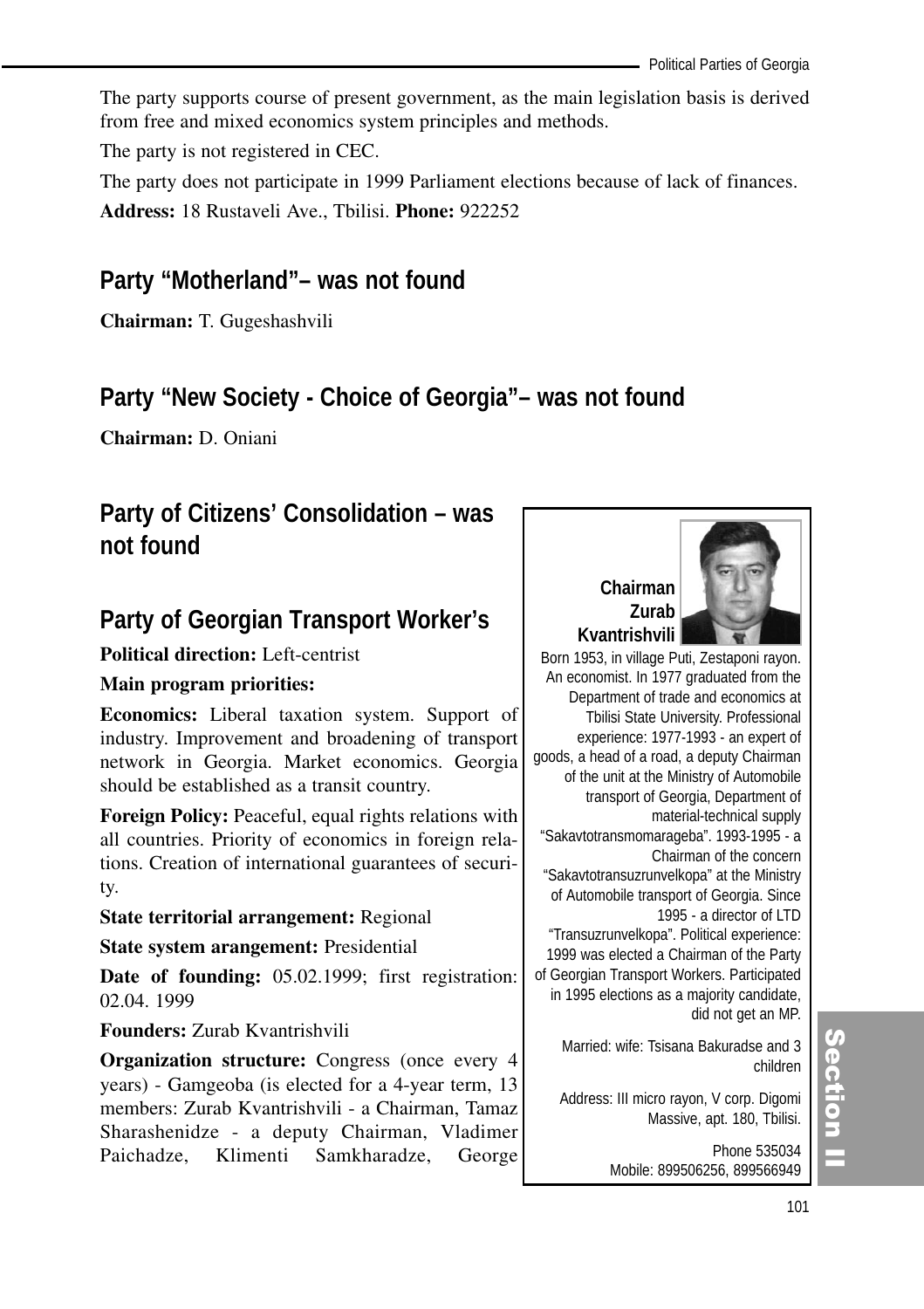The party supports course of present government, as the main legislation basis is derived from free and mixed economics system principles and methods.

The party is not registered in CEC.

The party does not participate in 1999 Parliament elections because of lack of finances.

**Address:** 18 Rustaveli Ave., Tbilisi. **Phone:** 922252

## **Party "Motherland"– was not found**

**Chairman:** T. Gugeshashvili

## **Party "New Society - Choice of Georgia"– was not found**

**Chairman:** D. Oniani

## **Party of Citizens' Consolidation – was not found**

## **Party of Georgian Transport Worker's**

## **Political direction:** Left-centrist

## **Main program priorities:**

**Economics:** Liberal taxation system. Support of industry. Improvement and broadening of transport network in Georgia. Market economics. Georgia should be established as a transit country.

**Foreign Policy:** Peaceful, equal rights relations with all countries. Priority of economics in foreign relations. Creation of international guarantees of security.

## **State territorial arrangement:** Regional

**State system arangement:** Presidential

**Date of founding:** 05.02.1999; first registration: 02.04. 1999

**Founders:** Zurab Kvantrishvili

**Organization structure:** Congress (once every 4 years) - Gamgeoba (is elected for a 4-year term, 13 members: Zurab Kvantrishvili - a Chairman, Tamaz Sharashenidze - a deputy Chairman, Vladimer Paichadze, Klimenti Samkharadze, George



An economist. In 1977 graduated from the Department of trade and economics at Tbilisi State University. Professional experience: 1977-1993 - an expert of goods, a head of a road, a deputy Chairman of the unit at the Ministry of Automobile transport of Georgia, Department of material-technical supply "Sakavtotransmomarageba". 1993-1995 - a Chairman of the concern "Sakavtotransuzrunvelkopa" at the Ministry of Automobile transport of Georgia. Since 1995 - a director of LTD "Transuzrunvelkopa". Political experience: 1999 was elected a Chairman of the Party of Georgian Transport Workers. Participated in 1995 elections as a majority candidate, did not get an MP.

Married: wife: Tsisana Bakuradse and 3 children

Address: III micro rayon, V corp. Digomi Massive, apt. 180, Tbilisi.

> Phone 535034 Mobile: 899506256, 899566949

## (၈<br>စ ction<br>I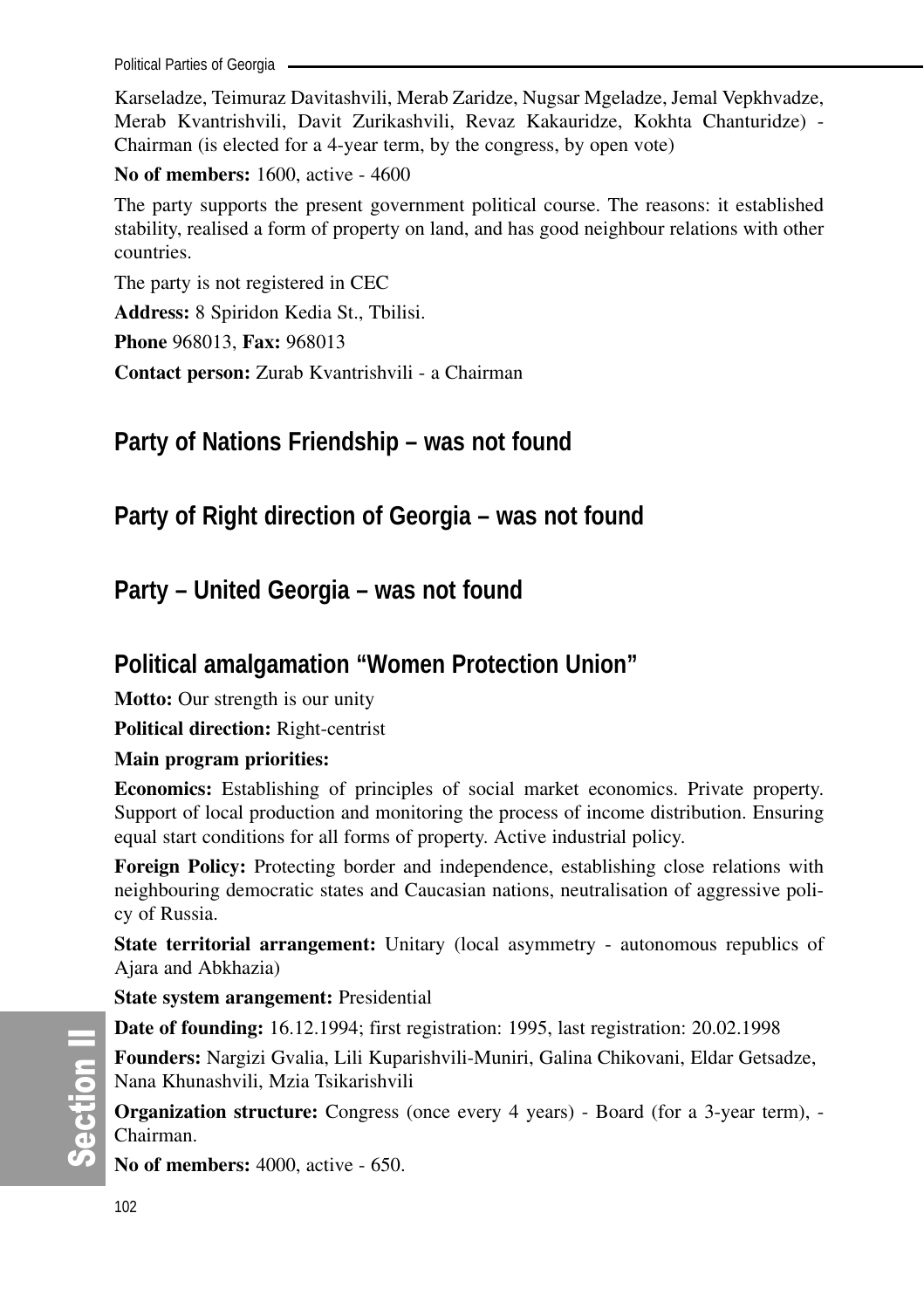Political Parties of Georgia

Karseladze, Teimuraz Davitashvili, Merab Zaridze, Nugsar Mgeladze, Jemal Vepkhvadze, Merab Kvantrishvili, Davit Zurikashvili, Revaz Kakauridze, Kokhta Chanturidze) - Chairman (is elected for a 4-year term, by the congress, by open vote)

**No of members:** 1600, active - 4600

The party supports the present government political course. The reasons: it established stability, realised a form of property on land, and has good neighbour relations with other countries.

The party is not registered in CEC

**Address:** 8 Spiridon Kedia St., Tbilisi.

**Phone** 968013, **Fax:** 968013

**Contact person:** Zurab Kvantrishvili - a Chairman

**Party of Nations Friendship – was not found**

**Party of Right direction of Georgia – was not found**

**Party – United Georgia – was not found**

## **Political amalgamation "Women Protection Union"**

**Motto:** Our strength is our unity

**Political direction:** Right-centrist

#### **Main program priorities:**

**Economics:** Establishing of principles of social market economics. Private property. Support of local production and monitoring the process of income distribution. Ensuring equal start conditions for all forms of property. Active industrial policy.

**Foreign Policy:** Protecting border and independence, establishing close relations with neighbouring democratic states and Caucasian nations, neutralisation of aggressive policy of Russia.

**State territorial arrangement:** Unitary (local asymmetry - autonomous republics of Ajara and Abkhazia)

**State system arangement:** Presidential

**Date of founding:** 16.12.1994; first registration: 1995, last registration: 20.02.1998

**Founders:** Nargizi Gvalia, Lili Kuparishvili-Muniri, Galina Chikovani, Eldar Getsadze, Nana Khunashvili, Mzia Tsikarishvili

**Organization structure:** Congress (once every 4 years) - Board (for a 3-year term), - Chairman.

**No of members:** 4000, active - 650.

တိ **Ction II**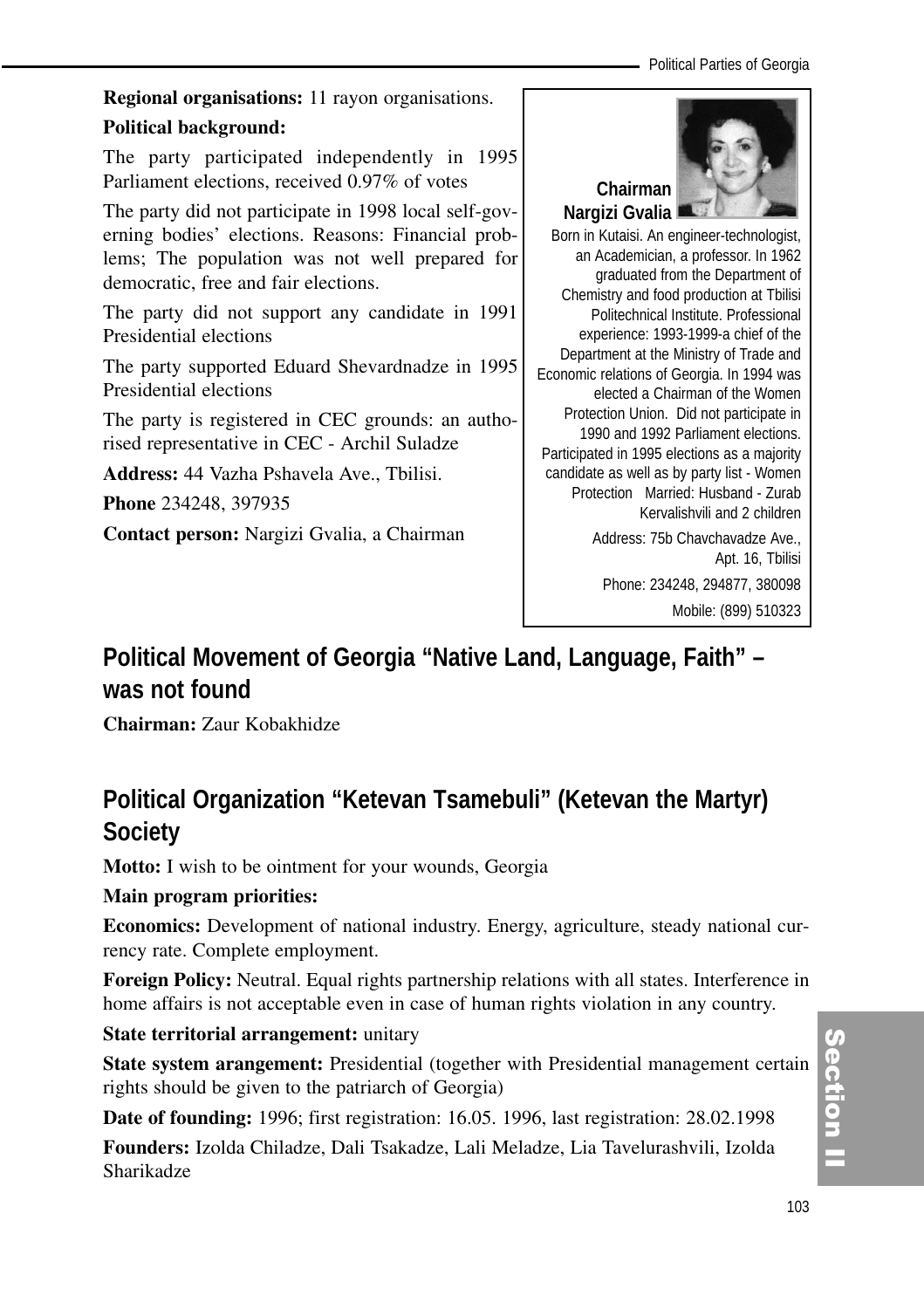**Regional organisations:** 11 rayon organisations. **Political background:**

The party participated independently in 1995 Parliament elections, received 0.97% of votes

The party did not participate in 1998 local self-governing bodies' elections. Reasons: Financial problems; The population was not well prepared for democratic, free and fair elections.

The party did not support any candidate in 1991 Presidential elections

The party supported Eduard Shevardnadze in 1995 Presidential elections

The party is registered in CEC grounds: an authorised representative in CEC - Archil Suladze

**Address:** 44 Vazha Pshavela Ave., Tbilisi.

**Phone** 234248, 397935

**Contact person:** Nargizi Gvalia, a Chairman



Born in Kutaisi. An engineer-technologist, an Academician, a professor. In 1962 graduated from the Department of Chemistry and food production at Tbilisi Politechnical Institute. Professional experience: 1993-1999-a chief of the Department at the Ministry of Trade and Economic relations of Georgia. In 1994 was elected a Chairman of the Women Protection Union. Did not participate in 1990 and 1992 Parliament elections. Participated in 1995 elections as a majority candidate as well as by party list - Women Protection Married: Husband - Zurab Kervalishvili and 2 children

> Address: 75b Chavchavadze Ave., Apt. 16, Tbilisi Phone: 234248, 294877, 380098 Mobile: (899) 510323

## **Political Movement of Georgia "Native Land, Language, Faith" – was not found**

**Chairman:** Zaur Kobakhidze

## **Political Organization "Ketevan Tsamebuli" (Ketevan the Martyr) Society**

**Motto:** I wish to be ointment for your wounds, Georgia

## **Main program priorities:**

**Economics:** Development of national industry. Energy, agriculture, steady national currency rate. Complete employment.

**Foreign Policy:** Neutral. Equal rights partnership relations with all states. Interference in home affairs is not acceptable even in case of human rights violation in any country.

## **State territorial arrangement:** unitary

**State system arangement:** Presidential (together with Presidential management certain rights should be given to the patriarch of Georgia)

**Date of founding:** 1996; first registration: 16.05. 1996, last registration: 28.02.1998 **Founders:** Izolda Chiladze, Dali Tsakadze, Lali Meladze, Lia Tavelurashvili, Izolda Sharikadze

# Section I ction<br>I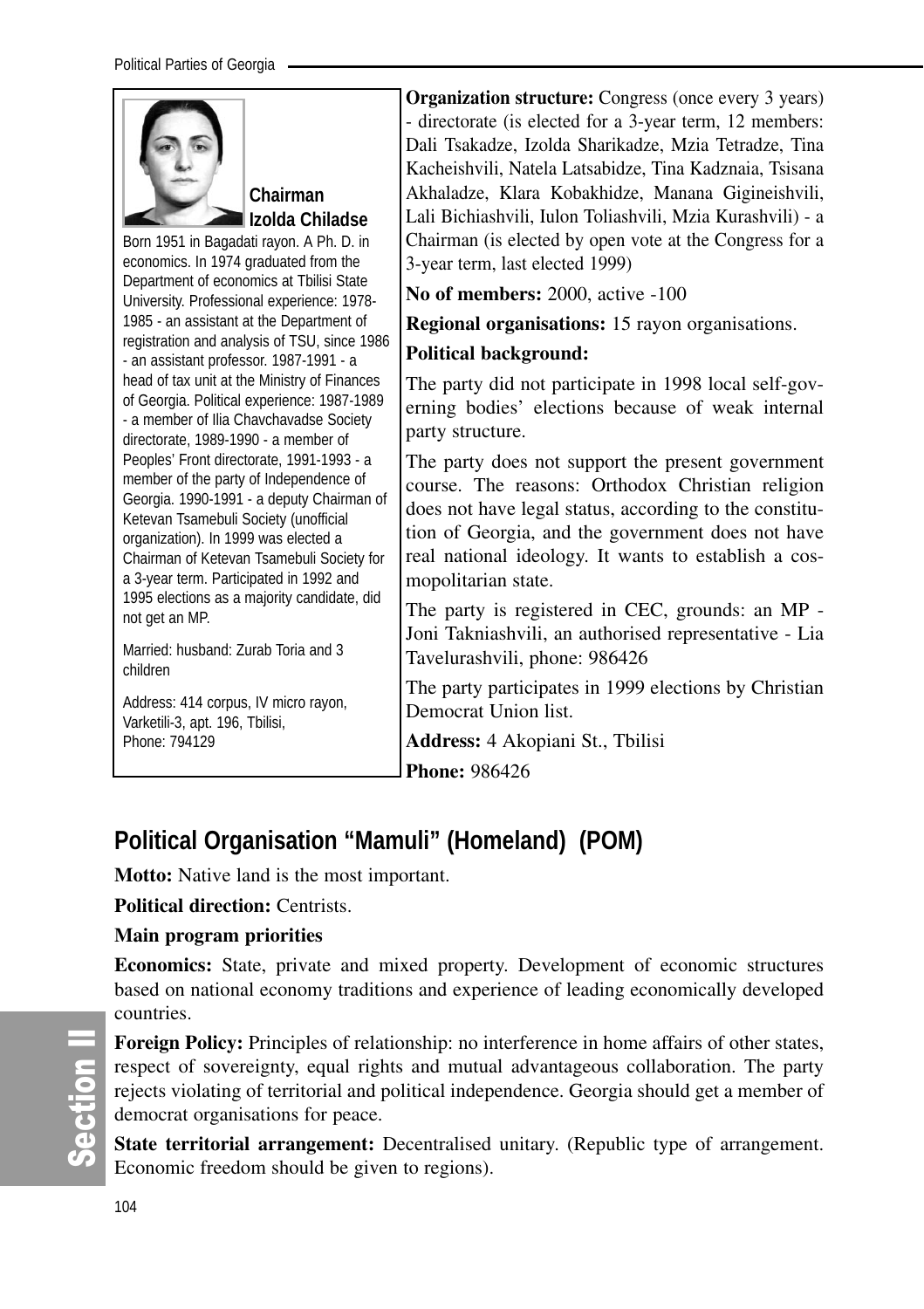## **Political Organisation "Mamuli" (Homeland) (POM)**

**Motto:** Native land is the most important.

**Political direction:** Centrists.

## **Main program priorities**

**Economics:** State, private and mixed property. Development of economic structures based on national economy traditions and experience of leading economically developed countries.

**Foreign Policy:** Principles of relationship: no interference in home affairs of other states, respect of sovereignty, equal rights and mutual advantageous collaboration. The party rejects violating of territorial and political independence. Georgia should get a member of democrat organisations for peace.

**State territorial arrangement:** Decentralised unitary. (Republic type of arrangement. Economic freedom should be given to regions).

တိ **Ction II**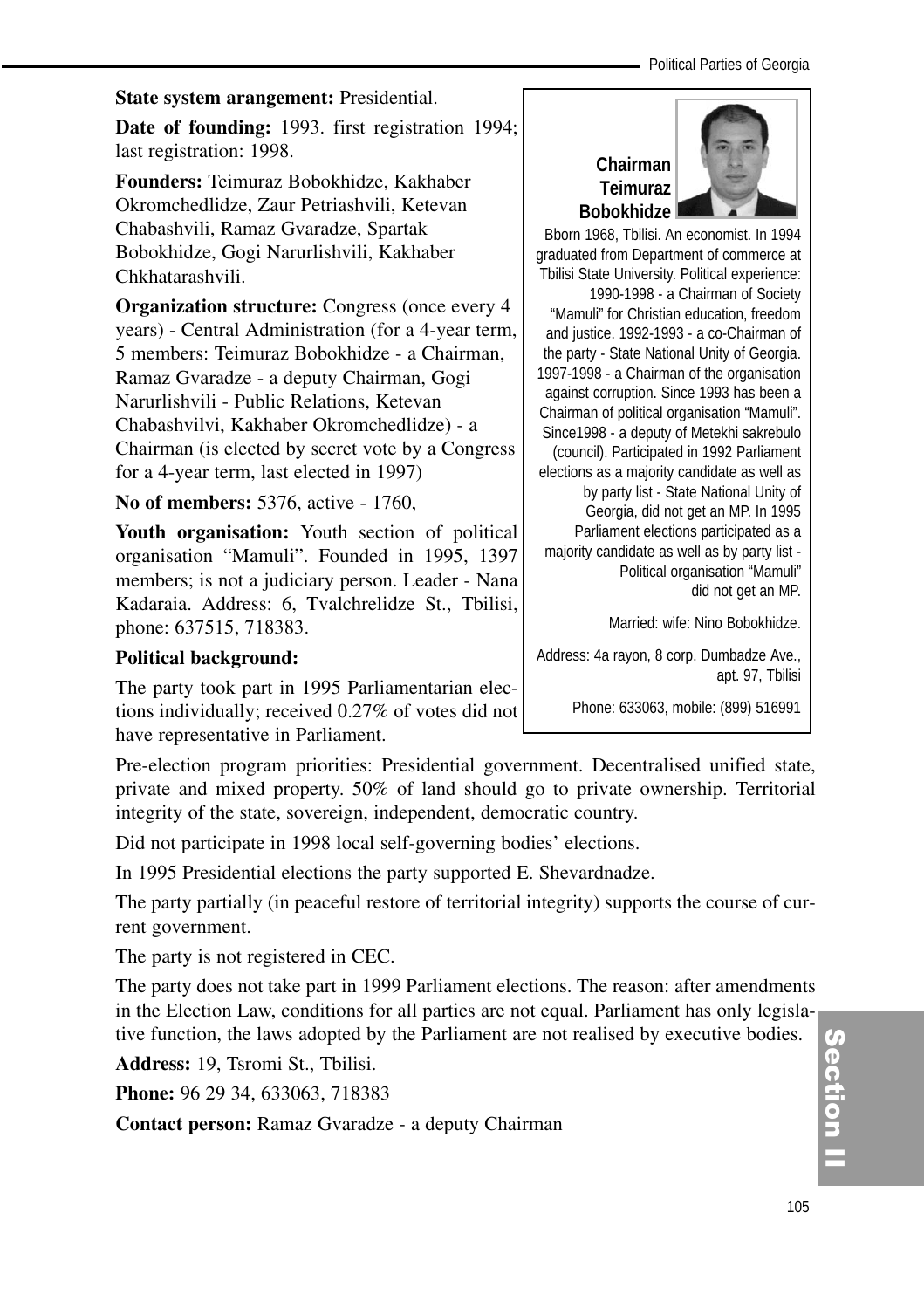#### **State system arangement:** Presidential.

**Date of founding:** 1993. first registration 1994; last registration: 1998.

**Founders:** Teimuraz Bobokhidze, Kakhaber Okromchedlidze, Zaur Petriashvili, Ketevan Chabashvili, Ramaz Gvaradze, Spartak Bobokhidze, Gogi Narurlishvili, Kakhaber Chkhatarashvili.

**Organization structure:** Congress (once every 4 years) - Central Administration (for a 4-year term, 5 members: Teimuraz Bobokhidze - a Chairman, Ramaz Gvaradze - a deputy Chairman, Gogi Narurlishvili - Public Relations, Ketevan Chabashvilvi, Kakhaber Okromchedlidze) - a Chairman (is elected by secret vote by a Congress for a 4-year term, last elected in 1997)

**No of members:** 5376, active - 1760,

Youth organisation: Youth section of political organisation "Mamuli". Founded in 1995, 1397 members; is not a judiciary person. Leader - Nana Kadaraia. Address: 6, Tvalchrelidze St., Tbilisi, phone: 637515, 718383.

## **Chairman Teimuraz Bobokhidze**



Bborn 1968, Tbilisi. An economist. In 1994 graduated from Department of commerce at Tbilisi State University. Political experience: 1990-1998 - a Chairman of Society "Mamuli" for Christian education, freedom and justice. 1992-1993 - a co-Chairman of the party - State National Unity of Georgia. 1997-1998 - a Chairman of the organisation against corruption. Since 1993 has been a Chairman of political organisation "Mamuli". Since1998 - a deputy of Metekhi sakrebulo (council). Participated in 1992 Parliament elections as a majority candidate as well as by party list - State National Unity of Georgia, did not get an MP. In 1995 Parliament elections participated as a majority candidate as well as by party list - Political organisation "Mamuli" did not get an MP.

Married: wife: Nino Bobokhidze.

Address: 4a rayon, 8 corp. Dumbadze Ave., apt. 97, Tbilisi

Phone: 633063, mobile: (899) 516991

#### **Political background:**

The party took part in 1995 Parliamentarian elections individually; received 0.27% of votes did not have representative in Parliament.

Pre-election program priorities: Presidential government. Decentralised unified state, private and mixed property. 50% of land should go to private ownership. Territorial integrity of the state, sovereign, independent, democratic country.

Did not participate in 1998 local self-governing bodies' elections.

In 1995 Presidential elections the party supported E. Shevardnadze.

The party partially (in peaceful restore of territorial integrity) supports the course of current government.

The party is not registered in CEC.

The party does not take part in 1999 Parliament elections. The reason: after amendments in the Election Law, conditions for all parties are not equal. Parliament has only legislative function, the laws adopted by the Parliament are not realised by executive bodies.

**Address:** 19, Tsromi St., Tbilisi.

**Phone:** 96 29 34, 633063, 718383

**Contact person:** Ramaz Gvaradze - a deputy Chairman

Section ction<br>I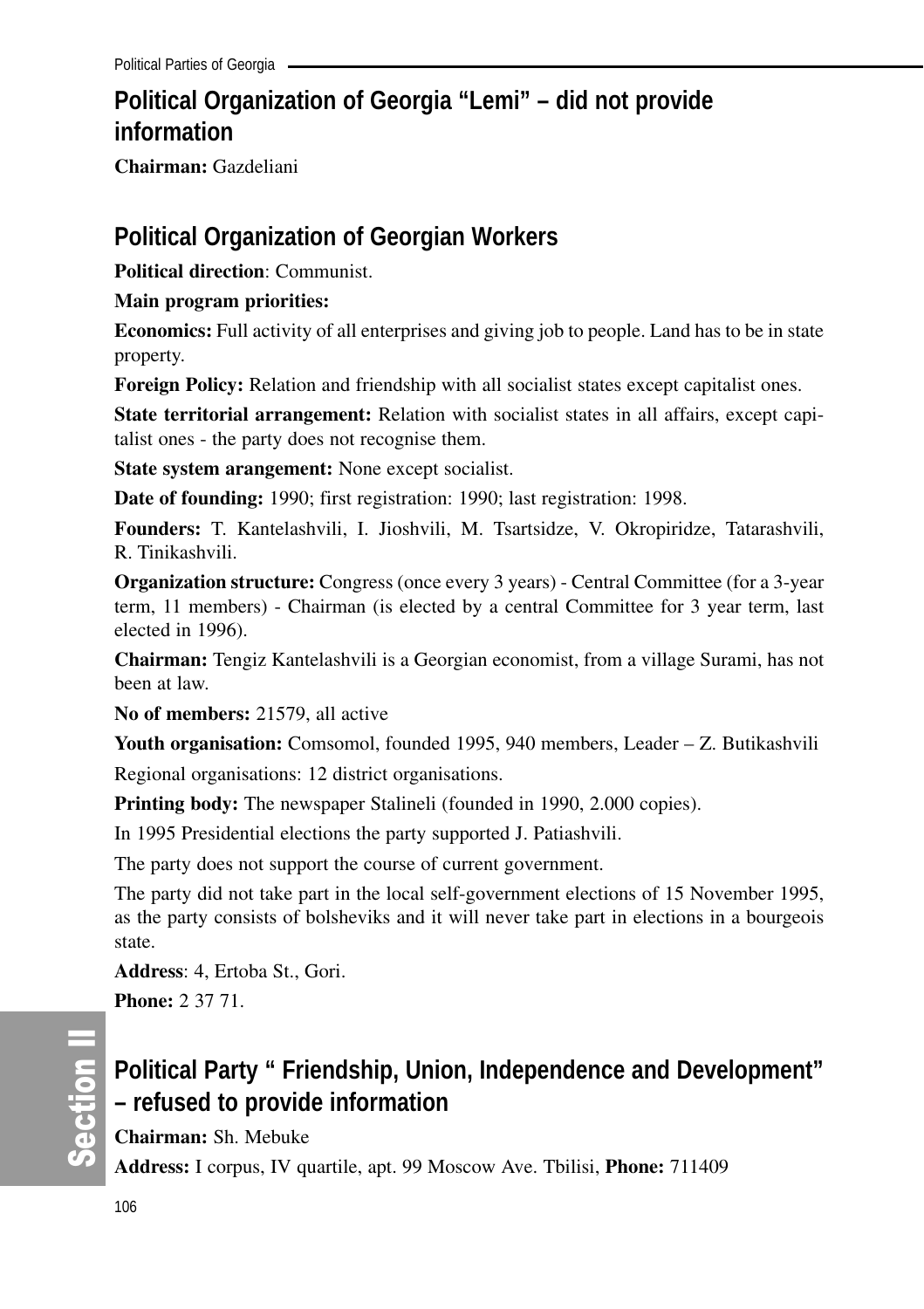## **Political Organization of Georgia "Lemi" – did not provide information**

**Chairman:** Gazdeliani

## **Political Organization of Georgian Workers**

**Political direction**: Communist.

#### **Main program priorities:**

**Economics:** Full activity of all enterprises and giving job to people. Land has to be in state property.

**Foreign Policy:** Relation and friendship with all socialist states except capitalist ones.

**State territorial arrangement:** Relation with socialist states in all affairs, except capitalist ones - the party does not recognise them.

**State system arangement:** None except socialist.

**Date of founding:** 1990; first registration: 1990; last registration: 1998.

**Founders:** T. Kantelashvili, I. Jioshvili, M. Tsartsidze, V. Okropiridze, Tatarashvili, R. Tinikashvili.

**Organization structure:** Congress (once every 3 years) - Central Committee (for a 3-year term, 11 members) - Chairman (is elected by a central Committee for 3 year term, last elected in 1996).

**Chairman:** Tengiz Kantelashvili is a Georgian economist, from a village Surami, has not been at law.

**No of members:** 21579, all active

**Youth organisation:** Comsomol, founded 1995, 940 members, Leader – Z. Butikashvili Regional organisations: 12 district organisations.

**Printing body:** The newspaper Stalineli (founded in 1990, 2.000 copies).

In 1995 Presidential elections the party supported J. Patiashvili.

The party does not support the course of current government.

The party did not take part in the local self-government elections of 15 November 1995, as the party consists of bolsheviks and it will never take part in elections in a bourgeois state.

**Address**: 4, Ertoba St., Gori.

**Phone:** 2 37 71.

တိ **Ction II** 

## **Political Party " Friendship, Union, Independence and Development" – refused to provide information**

**Chairman:** Sh. Mebuke

**Address:** I corpus, IV quartile, apt. 99 Moscow Ave. Tbilisi, **Phone:** 711409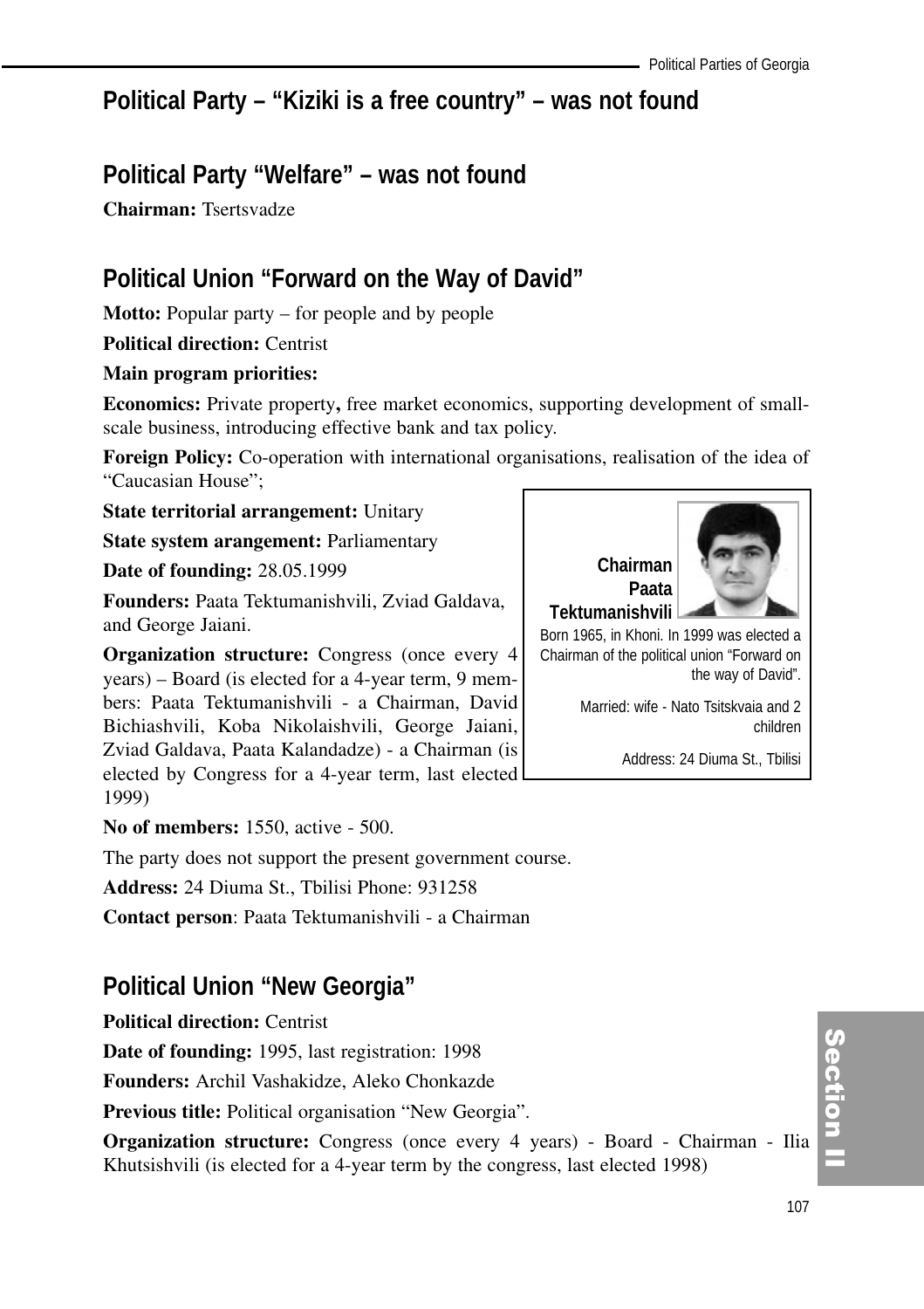## **Political Party – "Kiziki is a free country" – was not found**

## **Political Party "Welfare" – was not found**

**Chairman:** Tsertsvadze

## **Political Union "Forward on the Way of David"**

**Motto:** Popular party – for people and by people

**Political direction:** Centrist

#### **Main program priorities:**

**Economics:** Private property**,** free market economics, supporting development of smallscale business, introducing effective bank and tax policy.

**Foreign Policy:** Co-operation with international organisations, realisation of the idea of "Caucasian House";

**State territorial arrangement:** Unitary

**State system arangement:** Parliamentary

**Date of founding:** 28.05.1999

**Founders:** Paata Tektumanishvili, Zviad Galdava, and George Jaiani.

**Organization structure:** Congress (once every 4 years) – Board (is elected for a 4-year term, 9 members: Paata Tektumanishvili - a Chairman, David Bichiashvili, Koba Nikolaishvili, George Jaiani, Zviad Galdava, Paata Kalandadze) - a Chairman (is elected by Congress for a 4-year term, last elected 1999)

**No of members:** 1550, active - 500.

The party does not support the present government course.

**Address:** 24 Diuma St., Tbilisi Phone: 931258

**Contact person**: Paata Tektumanishvili - a Chairman

## **Political Union "New Georgia"**

**Political direction:** Centrist

**Date of founding:** 1995, last registration: 1998

**Founders:** Archil Vashakidze, Aleko Chonkazde

**Previous title:** Political organisation "New Georgia".

**Organization structure:** Congress (once every 4 years) - Board - Chairman - Ilia Khutsishvili (is elected for a 4-year term by the congress, last elected 1998)



Chairman of the political union "Forward on the way of David".

> Married: wife - Nato Tsitskvaia and 2 children

> > Address: 24 Diuma St., Tbilisi

## Section I ction<br>I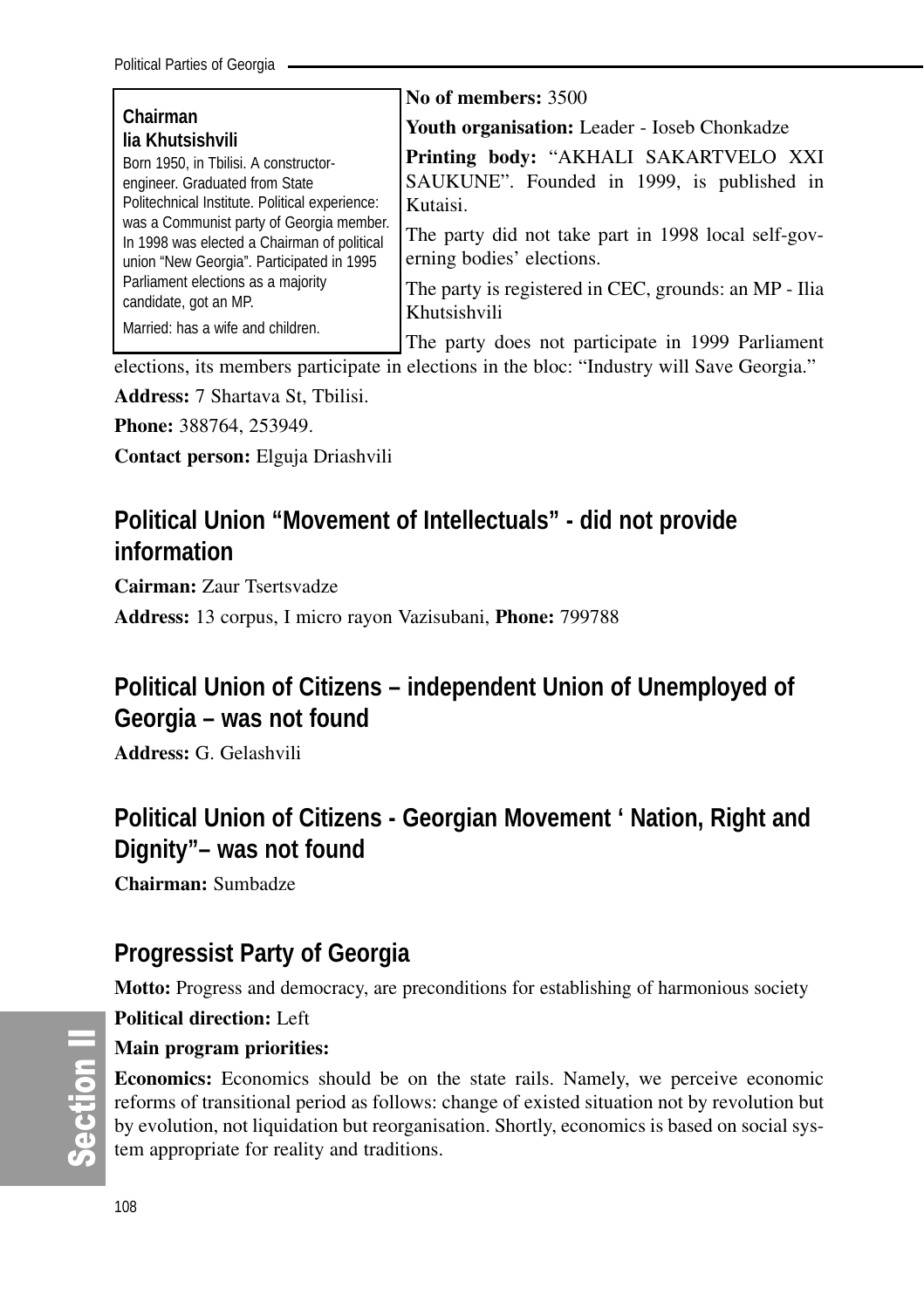|                                                                                                                                      | No of members: 3500                                                                 |
|--------------------------------------------------------------------------------------------------------------------------------------|-------------------------------------------------------------------------------------|
| Chairman<br>lia Khutsishvili                                                                                                         | Youth organisation: Leader - Ioseb Chonkadze                                        |
| Born 1950, in Tbilisi. A constructor-<br>engineer. Graduated from State                                                              | Printing body: "AKHALI SAKARTVELO XXI<br>SAUKUNE". Founded in 1999, is published in |
| Politechnical Institute. Political experience:                                                                                       | Kutaisi.                                                                            |
| was a Communist party of Georgia member.<br>In 1998 was elected a Chairman of political<br>union "New Georgia". Participated in 1995 | The party did not take part in 1998 local self-gov-<br>erning bodies' elections.    |
| Parliament elections as a majority<br>candidate, got an MP.                                                                          | The party is registered in CEC, grounds: an MP - Ilia<br>Khutsishvili               |
| Married: has a wife and children.                                                                                                    | The party does not participate in 1999 Parliament                                   |

elections, its members participate in elections in the bloc: "Industry will Save Georgia."

**Address:** 7 Shartava St, Tbilisi.

**Phone:** 388764, 253949.

**Contact person:** Elguja Driashvili

# **Political Union "Movement of Intellectuals" - did not provide information**

**Cairman:** Zaur Tsertsvadze

**Address:** 13 corpus, I micro rayon Vazisubani, **Phone:** 799788

# **Political Union of Citizens – independent Union of Unemployed of Georgia – was not found**

**Address:** G. Gelashvili

# **Political Union of Citizens - Georgian Movement ' Nation, Right and Dignity"– was not found**

**Chairman:** Sumbadze

# **Progressist Party of Georgia**

**Motto:** Progress and democracy, are preconditions for establishing of harmonious society

**Political direction:** Left

# **Main program priorities:**

**Economics:** Economics should be on the state rails. Namely, we perceive economic reforms of transitional period as follows: change of existed situation not by revolution but by evolution, not liquidation but reorganisation. Shortly, economics is based on social system appropriate for reality and traditions.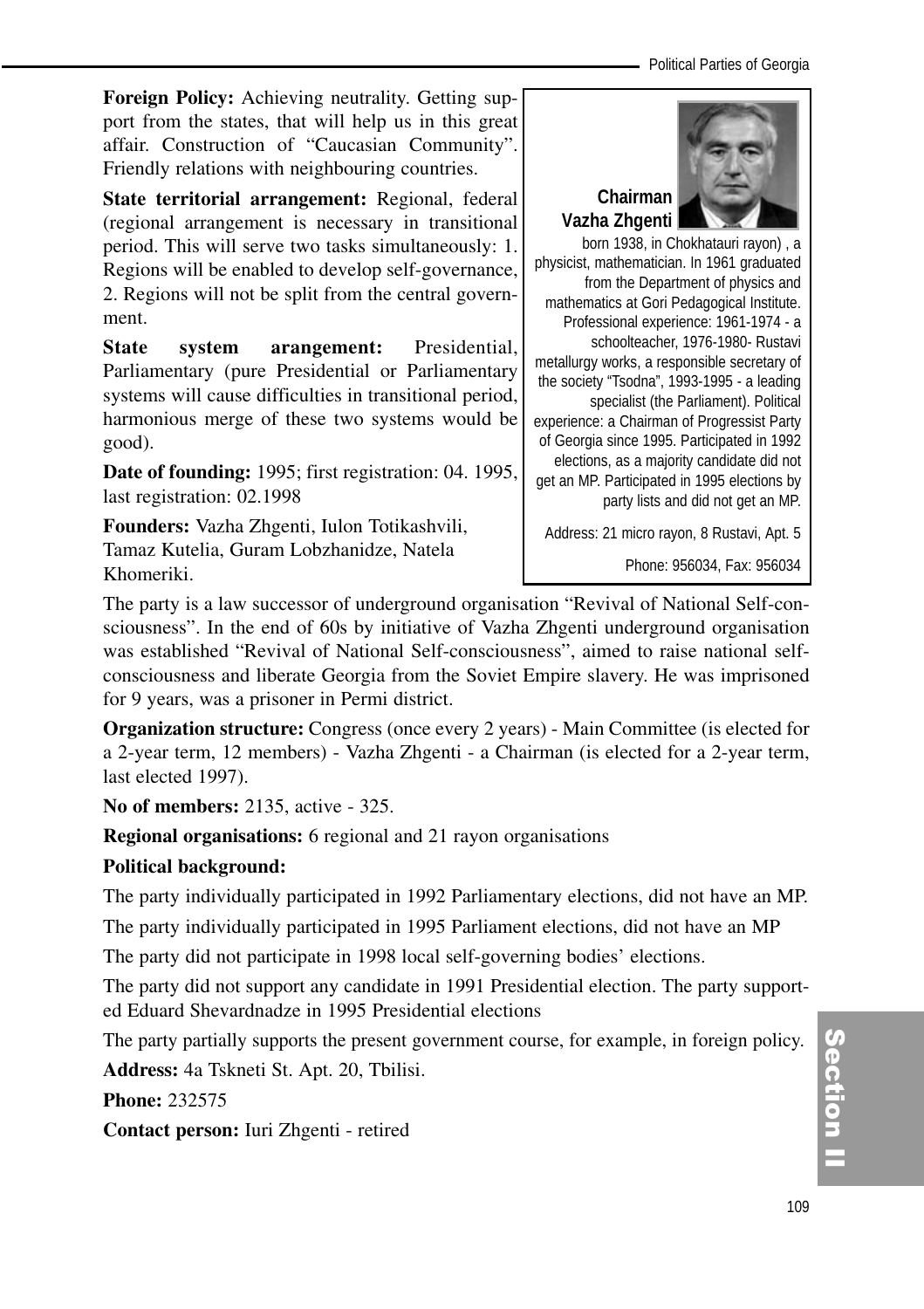Political Parties of Georgia

**Foreign Policy:** Achieving neutrality. Getting support from the states, that will help us in this great affair. Construction of "Caucasian Community". Friendly relations with neighbouring countries.

**State territorial arrangement:** Regional, federal (regional arrangement is necessary in transitional period. This will serve two tasks simultaneously: 1. Regions will be enabled to develop self-governance, 2. Regions will not be split from the central government.

**State system arangement:** Presidential, Parliamentary (pure Presidential or Parliamentary systems will cause difficulties in transitional period, harmonious merge of these two systems would be good).

**Date of founding:** 1995; first registration: 04. 1995, last registration: 02.1998

**Founders:** Vazha Zhgenti, Iulon Totikashvili, Tamaz Kutelia, Guram Lobzhanidze, Natela Khomeriki.



born 1938, in Chokhatauri rayon) , a physicist, mathematician. In 1961 graduated from the Department of physics and mathematics at Gori Pedagogical Institute. Professional experience: 1961-1974 - a schoolteacher, 1976-1980- Rustavi metallurgy works, a responsible secretary of the society "Tsodna", 1993-1995 - a leading specialist (the Parliament). Political experience: a Chairman of Progressist Party of Georgia since 1995. Participated in 1992 elections, as a majority candidate did not get an MP. Participated in 1995 elections by party lists and did not get an MP.

Address: 21 micro rayon, 8 Rustavi, Apt. 5

Phone: 956034, Fax: 956034

The party is a law successor of underground organisation "Revival of National Self-consciousness". In the end of 60s by initiative of Vazha Zhgenti underground organisation was established "Revival of National Self-consciousness", aimed to raise national selfconsciousness and liberate Georgia from the Soviet Empire slavery. He was imprisoned for 9 years, was a prisoner in Permi district.

**Organization structure:** Congress (once every 2 years) - Main Committee (is elected for a 2-year term, 12 members) - Vazha Zhgenti - a Chairman (is elected for a 2-year term, last elected 1997).

**No of members:** 2135, active - 325.

**Regional organisations:** 6 regional and 21 rayon organisations

# **Political background:**

The party individually participated in 1992 Parliamentary elections, did not have an MP.

The party individually participated in 1995 Parliament elections, did not have an MP

The party did not participate in 1998 local self-governing bodies' elections.

The party did not support any candidate in 1991 Presidential election. The party supported Eduard Shevardnadze in 1995 Presidential elections

The party partially supports the present government course, for example, in foreign policy. **Address:** 4a Tskneti St. Apt. 20, Tbilisi.

**Phone:** 232575

**Contact person:** Iuri Zhgenti - retired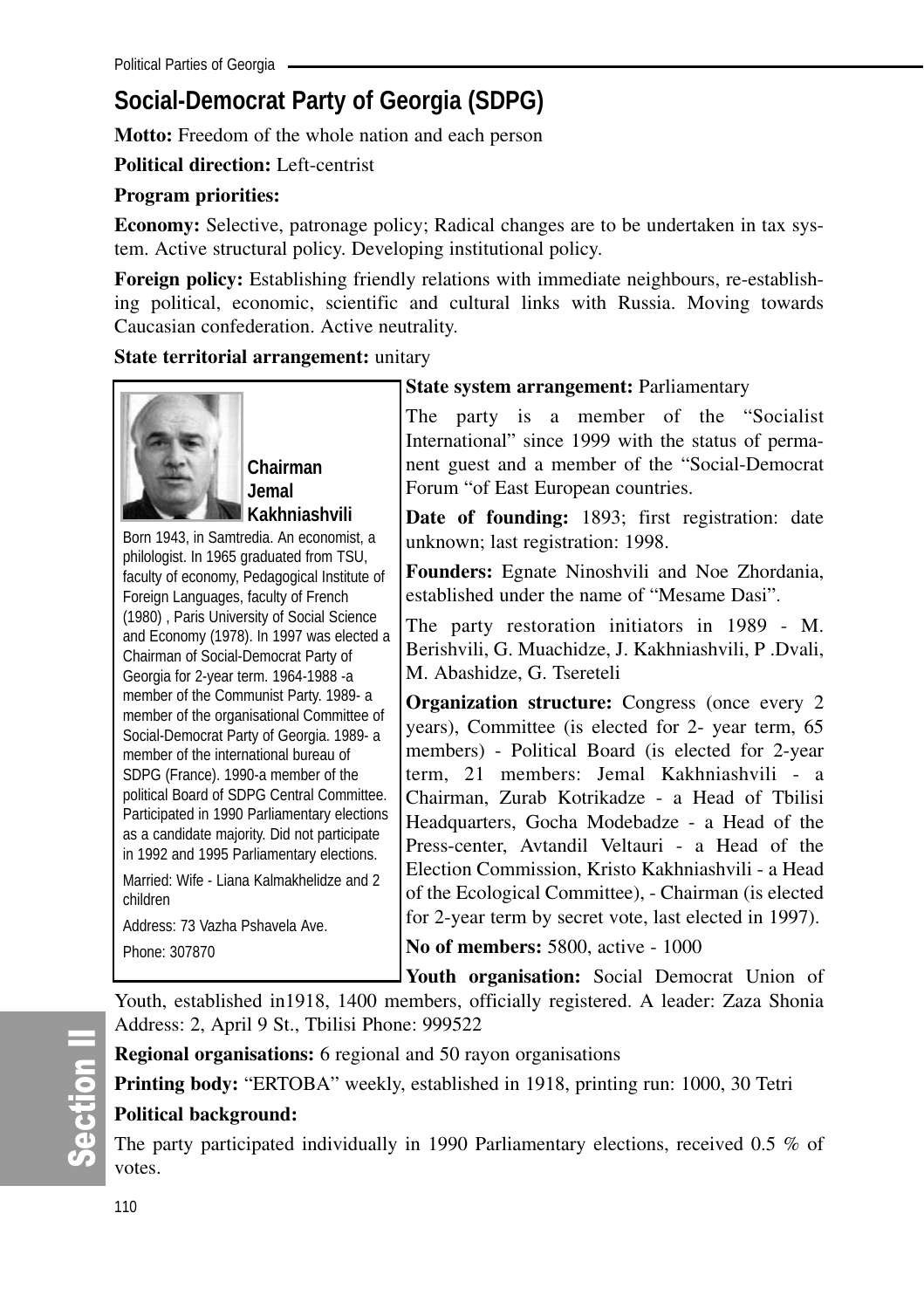# **Social-Democrat Party of Georgia (SDPG)**

**Motto:** Freedom of the whole nation and each person

**Political direction:** Left-centrist

# **Program priorities:**

**Economy:** Selective, patronage policy; Radical changes are to be undertaken in tax system. Active structural policy. Developing institutional policy.

**Foreign policy:** Establishing friendly relations with immediate neighbours, re-establishing political, economic, scientific and cultural links with Russia. Moving towards Caucasian confederation. Active neutrality.

# **State territorial arrangement:** unitary



**Chairman Jemal Kakhniashvili**

Born 1943, in Samtredia. An economist, a philologist. In 1965 graduated from TSU, faculty of economy, Pedagogical Institute of Foreign Languages, faculty of French (1980) , Paris University of Social Science and Economy (1978). In 1997 was elected a Chairman of Social-Democrat Party of Georgia for 2-year term. 1964-1988 -a member of the Communist Party. 1989- a member of the organisational Committee of Social-Democrat Party of Georgia. 1989- a member of the international bureau of SDPG (France). 1990-a member of the political Board of SDPG Central Committee. Participated in 1990 Parliamentary elections as a candidate majority. Did not participate in 1992 and 1995 Parliamentary elections. Married: Wife - Liana Kalmakhelidze and 2 children

```
Address: 73 Vazha Pshavela Ave.
Phone: 307870
```
# **State system arrangement:** Parliamentary

The party is a member of the "Socialist International" since 1999 with the status of permanent guest and a member of the "Social-Democrat Forum "of East European countries.

**Date of founding:** 1893; first registration: date unknown; last registration: 1998.

**Founders:** Egnate Ninoshvili and Noe Zhordania, established under the name of "Mesame Dasi".

The party restoration initiators in 1989 - M. Berishvili, G. Muachidze, J. Kakhniashvili, P .Dvali, M. Abashidze, G. Tsereteli

**Organization structure:** Congress (once every 2) years), Committee (is elected for 2- year term, 65 members) - Political Board (is elected for 2-year term, 21 members: Jemal Kakhniashvili - a Chairman, Zurab Kotrikadze - a Head of Tbilisi Headquarters, Gocha Modebadze - a Head of the Press-center, Avtandil Veltauri - a Head of the Election Commission, Kristo Kakhniashvili - a Head of the Ecological Committee), - Chairman (is elected for 2-year term by secret vote, last elected in 1997).

**No of members:** 5800, active - 1000

**Youth organisation:** Social Democrat Union of Youth, established in1918, 1400 members, officially registered. A leader: Zaza Shonia Address: 2, April 9 St., Tbilisi Phone: 999522

**Regional organisations:** 6 regional and 50 rayon organisations

**Printing body:** "ERTOBA" weekly, established in 1918, printing run: 1000, 30 Tetri

# **Political background:**

The party participated individually in 1990 Parliamentary elections, received 0.5 % of votes.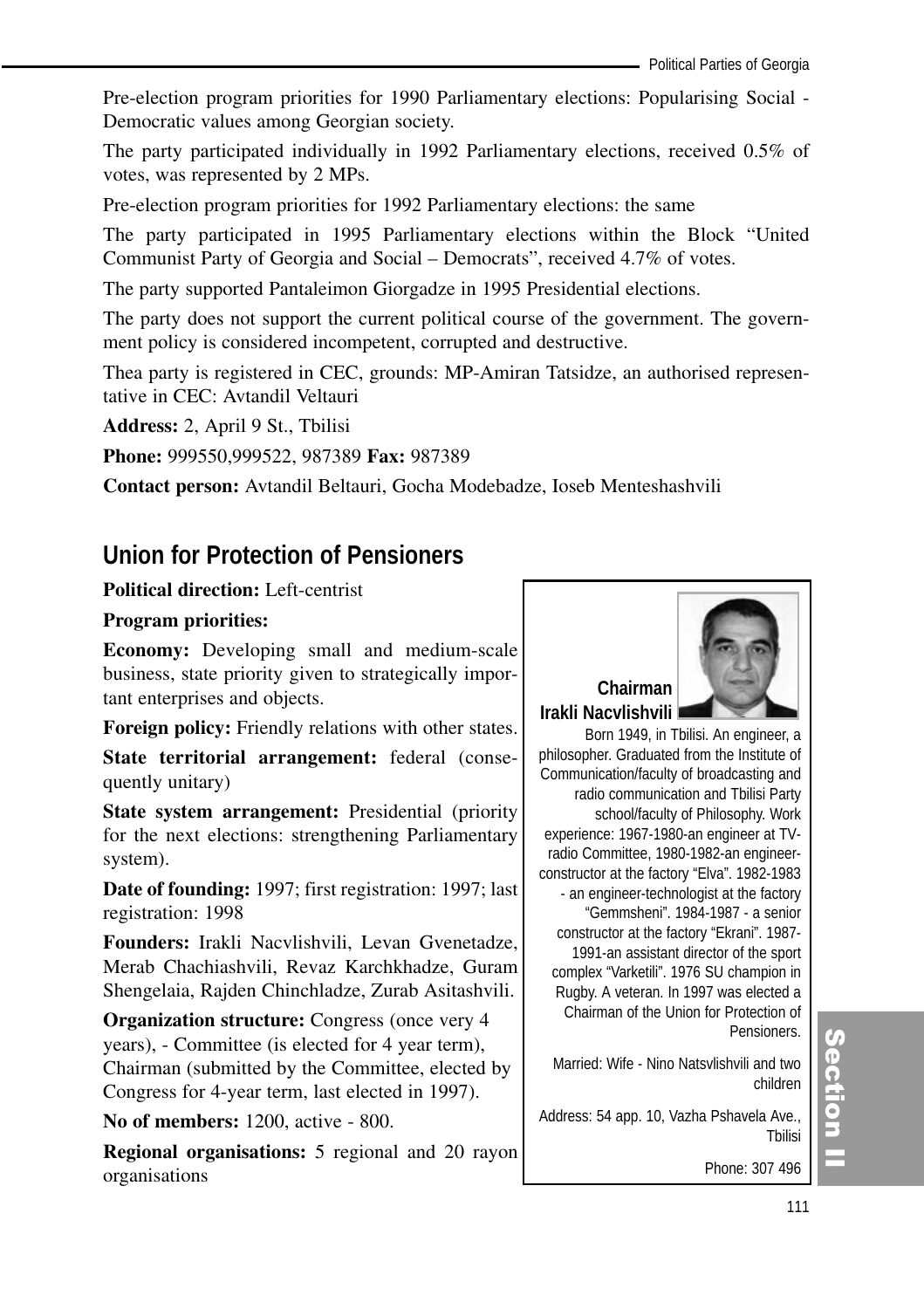Pre-election program priorities for 1990 Parliamentary elections: Popularising Social - Democratic values among Georgian society.

The party participated individually in 1992 Parliamentary elections, received 0.5% of votes, was represented by 2 MPs.

Pre-election program priorities for 1992 Parliamentary elections: the same

The party participated in 1995 Parliamentary elections within the Block "United Communist Party of Georgia and Social – Democrats", received 4.7% of votes.

The party supported Pantaleimon Giorgadze in 1995 Presidential elections.

The party does not support the current political course of the government. The government policy is considered incompetent, corrupted and destructive.

Thea party is registered in CEC, grounds: MP-Amiran Tatsidze, an authorised representative in CEC: Avtandil Veltauri

**Address:** 2, April 9 St., Tbilisi

**Phone:** 999550,999522, 987389 **Fax:** 987389

**Contact person:** Avtandil Beltauri, Gocha Modebadze, Ioseb Menteshashvili

# **Union for Protection of Pensioners**

# **Political direction:** Left-centrist

# **Program priorities:**

**Economy:** Developing small and medium-scale business, state priority given to strategically important enterprises and objects.

**Foreign policy:** Friendly relations with other states.

**State territorial arrangement:** federal (consequently unitary)

**State system arrangement:** Presidential (priority for the next elections: strengthening Parliamentary system).

**Date of founding:** 1997; first registration: 1997; last registration: 1998

**Founders:** Irakli Nacvlishvili, Levan Gvenetadze, Merab Chachiashvili, Revaz Karchkhadze, Guram Shengelaia, Rajden Chinchladze, Zurab Asitashvili.

**Organization structure:** Congress (once very 4) years), - Committee (is elected for 4 year term), Chairman (submitted by the Committee, elected by Congress for 4-year term, last elected in 1997).

**No of members:** 1200, active - 800.

**Regional organisations:** 5 regional and 20 rayon organisations



# **Chairman Irakli Nacvlishvili**

Born 1949, in Tbilisi. An engineer, a philosopher. Graduated from the Institute of Communication/faculty of broadcasting and radio communication and Tbilisi Party school/faculty of Philosophy. Work experience: 1967-1980-an engineer at TVradio Committee, 1980-1982-an engineerconstructor at the factory "Elva". 1982-1983 - an engineer-technologist at the factory "Gemmsheni". 1984-1987 - a senior constructor at the factory "Ekrani". 1987- 1991-an assistant director of the sport complex "Varketili". 1976 SU champion in Rugby. A veteran. In 1997 was elected a Chairman of the Union for Protection of **Pensioners** 

Married: Wife - Nino Natsvlishvili and two children

Address: 54 app. 10, Vazha Pshavela Ave., Tbilisi

Phone: 307 496

# (၈<br>စ ction<br>I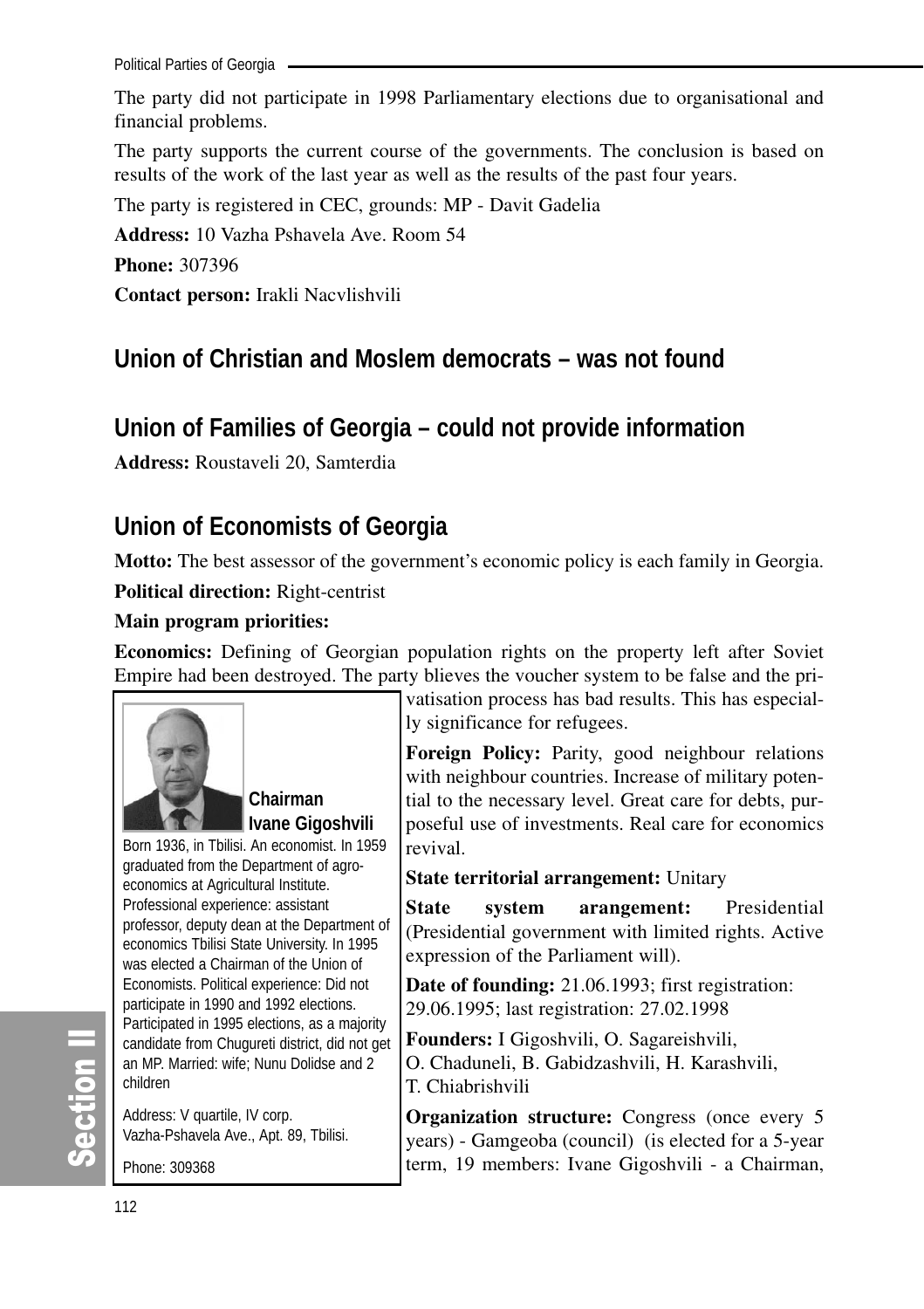Political Parties of Georgia

The party did not participate in 1998 Parliamentary elections due to organisational and financial problems.

The party supports the current course of the governments. The conclusion is based on results of the work of the last year as well as the results of the past four years.

The party is registered in CEC, grounds: MP - Davit Gadelia

**Address:** 10 Vazha Pshavela Ave. Room 54

**Phone:** 307396

**Contact person:** Irakli Nacvlishvili

# **Union of Christian and Moslem democrats – was not found**

# **Union of Families of Georgia – could not provide information**

**Address:** Roustaveli 20, Samterdia

# **Union of Economists of Georgia**

**Motto:** The best assessor of the government's economic policy is each family in Georgia.

**Political direction:** Right-centrist

# **Main program priorities:**

**Economics:** Defining of Georgian population rights on the property left after Soviet Empire had been destroyed. The party blieves the voucher system to be false and the pri-



**Chairman Ivane Gigoshvili**

Born 1936, in Tbilisi. An economist. In 1959 graduated from the Department of agroeconomics at Agricultural Institute. Professional experience: assistant professor, deputy dean at the Department of economics Tbilisi State University. In 1995 was elected a Chairman of the Union of Economists. Political experience: Did not participate in 1990 and 1992 elections. Participated in 1995 elections, as a majority candidate from Chugureti district, did not get an MP. Married: wife; Nunu Dolidse and 2 children

Address: V quartile, IV corp. Vazha-Pshavela Ave., Apt. 89, Tbilisi.

Phone: 309368

vatisation process has bad results. This has especially significance for refugees.

**Foreign Policy:** Parity, good neighbour relations with neighbour countries. Increase of military potential to the necessary level. Great care for debts, purposeful use of investments. Real care for economics revival.

# **State territorial arrangement:** Unitary

**State system arangement:** Presidential (Presidential government with limited rights. Active expression of the Parliament will).

**Date of founding:** 21.06.1993; first registration: 29.06.1995; last registration: 27.02.1998

**Founders:** I Gigoshvili, O. Sagareishvili, O. Chaduneli, B. Gabidzashvili, H. Karashvili, T. Chiabrishvili

**Organization structure:** Congress (once every 5) years) - Gamgeoba (council) (is elected for a 5-year term, 19 members: Ivane Gigoshvili - a Chairman,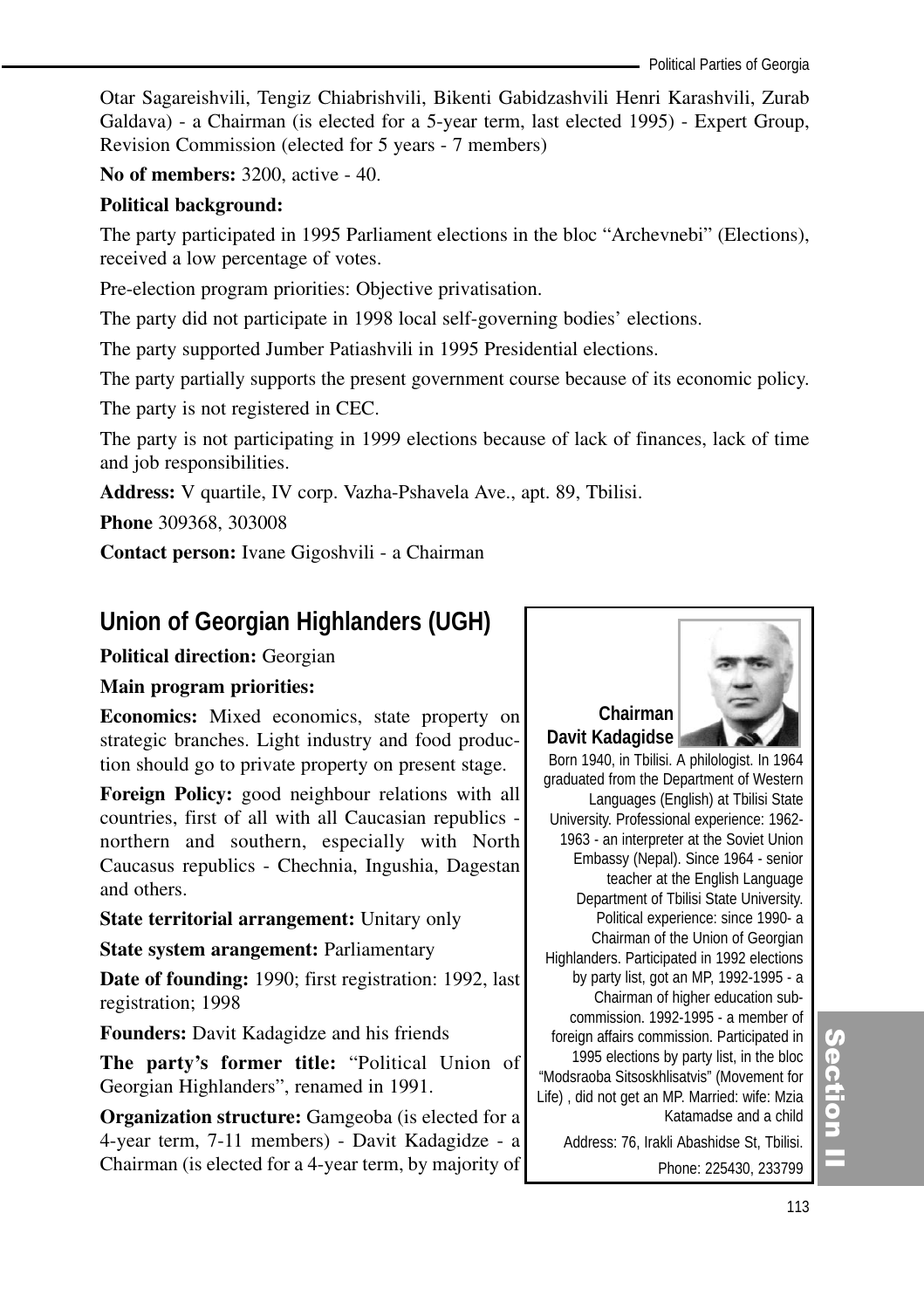Otar Sagareishvili, Tengiz Chiabrishvili, Bikenti Gabidzashvili Henri Karashvili, Zurab Galdava) - a Chairman (is elected for a 5-year term, last elected 1995) - Expert Group, Revision Commission (elected for 5 years - 7 members)

**No of members:** 3200, active - 40.

# **Political background:**

The party participated in 1995 Parliament elections in the bloc "Archevnebi" (Elections), received a low percentage of votes.

Pre-election program priorities: Objective privatisation.

The party did not participate in 1998 local self-governing bodies' elections.

The party supported Jumber Patiashvili in 1995 Presidential elections.

The party partially supports the present government course because of its economic policy.

The party is not registered in CEC.

The party is not participating in 1999 elections because of lack of finances, lack of time and job responsibilities.

**Address:** V quartile, IV corp. Vazha-Pshavela Ave., apt. 89, Tbilisi.

**Phone** 309368, 303008

**Contact person:** Ivane Gigoshvili - a Chairman

# **Union of Georgian Highlanders (UGH)**

# **Political direction:** Georgian

# **Main program priorities:**

**Economics:** Mixed economics, state property on strategic branches. Light industry and food production should go to private property on present stage.

**Foreign Policy:** good neighbour relations with all countries, first of all with all Caucasian republics northern and southern, especially with North Caucasus republics - Chechnia, Ingushia, Dagestan and others.

**State territorial arrangement:** Unitary only

**State system arangement:** Parliamentary

**Date of founding:** 1990; first registration: 1992, last registration; 1998

**Founders:** Davit Kadagidze and his friends

**The party's former title:** "Political Union of Georgian Highlanders", renamed in 1991.

**Organization structure:** Gamgeoba (is elected for a 4-year term, 7-11 members) - Davit Kadagidze - a Chairman (is elected for a 4-year term, by majority of



# **Chairman Davit Kadagidse**

Born 1940, in Tbilisi. A philologist. In 1964 graduated from the Department of Western Languages (English) at Tbilisi State University. Professional experience: 1962- 1963 - an interpreter at the Soviet Union Embassy (Nepal). Since 1964 - senior teacher at the English Language Department of Tbilisi State University. Political experience: since 1990- a Chairman of the Union of Georgian Highlanders. Participated in 1992 elections by party list, got an MP, 1992-1995 - a Chairman of higher education subcommission. 1992-1995 - a member of foreign affairs commission. Participated in 1995 elections by party list, in the bloc "Modsraoba Sitsoskhlisatvis" (Movement for Life) , did not get an MP. Married: wife: Mzia Katamadse and a child Address: 76, Irakli Abashidse St, Tbilisi.

(၈<br>စ ction<br>I

Phone: 225430, 233799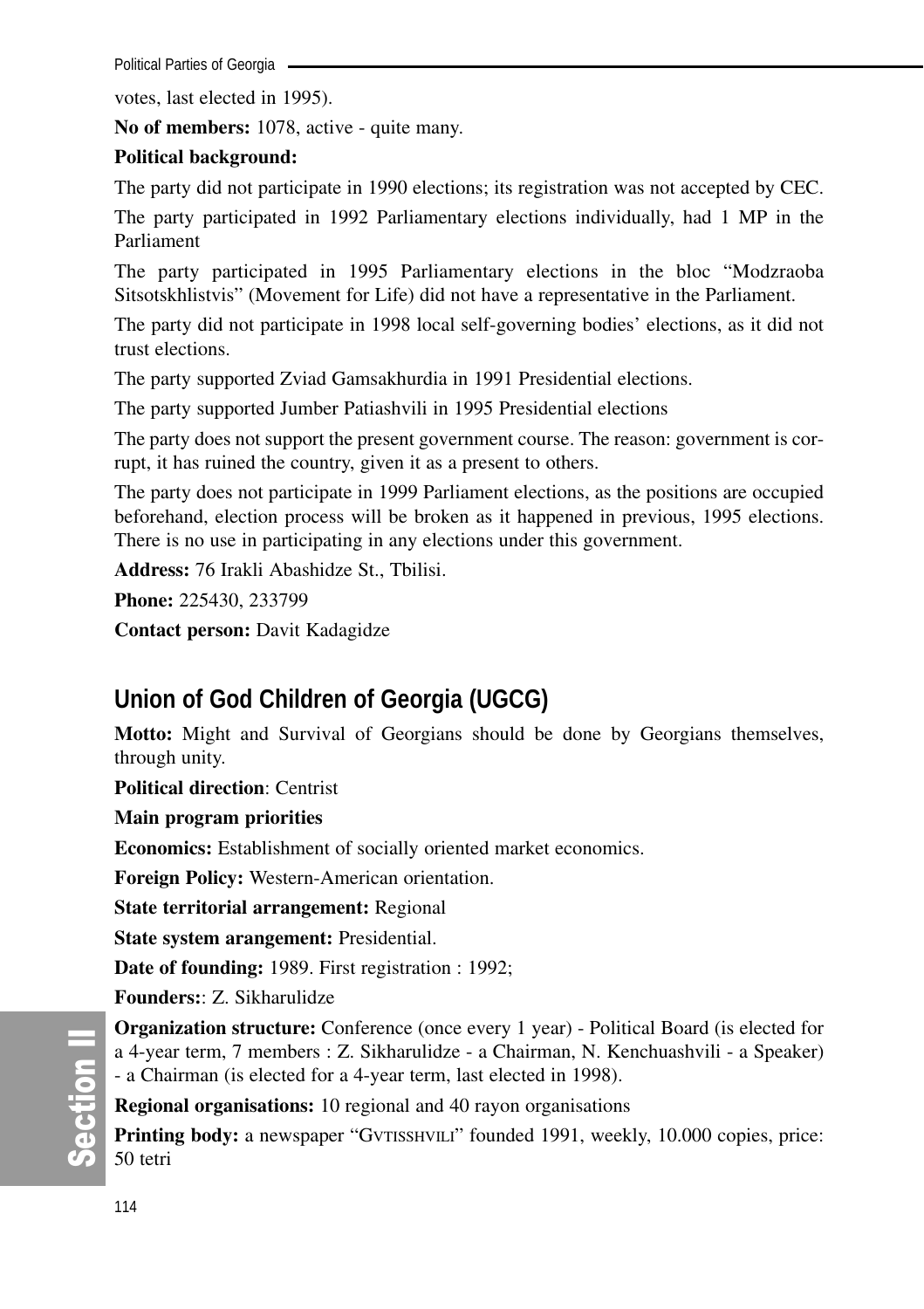Political Parties of Georgia -

votes, last elected in 1995).

**No of members:** 1078, active - quite many.

# **Political background:**

The party did not participate in 1990 elections; its registration was not accepted by CEC.

The party participated in 1992 Parliamentary elections individually, had 1 MP in the Parliament

The party participated in 1995 Parliamentary elections in the bloc "Modzraoba Sitsotskhlistvis" (Movement for Life) did not have a representative in the Parliament.

The party did not participate in 1998 local self-governing bodies' elections, as it did not trust elections.

The party supported Zviad Gamsakhurdia in 1991 Presidential elections.

The party supported Jumber Patiashvili in 1995 Presidential elections

The party does not support the present government course. The reason: government is corrupt, it has ruined the country, given it as a present to others.

The party does not participate in 1999 Parliament elections, as the positions are occupied beforehand, election process will be broken as it happened in previous, 1995 elections. There is no use in participating in any elections under this government.

**Address:** 76 Irakli Abashidze St., Tbilisi.

**Phone:** 225430, 233799

**Contact person:** Davit Kadagidze

# **Union of God Children of Georgia (UGCG)**

**Motto:** Might and Survival of Georgians should be done by Georgians themselves, through unity.

**Political direction**: Centrist

**Main program priorities**

**Economics:** Establishment of socially oriented market economics.

**Foreign Policy:** Western-American orientation.

**State territorial arrangement:** Regional

**State system arangement:** Presidential.

**Date of founding:** 1989. First registration : 1992;

**Founders:**: Z. Sikharulidze

**Organization structure:** Conference (once every 1 year) - Political Board (is elected for a 4-year term, 7 members : Z. Sikharulidze - a Chairman, N. Kenchuashvili - a Speaker) - a Chairman (is elected for a 4-year term, last elected in 1998).

**Regional organisations:** 10 regional and 40 rayon organisations

**Printing body:** a newspaper "GVTISSHVILI" founded 1991, weekly, 10.000 copies, price: 50 tetri

တိ **Ction II**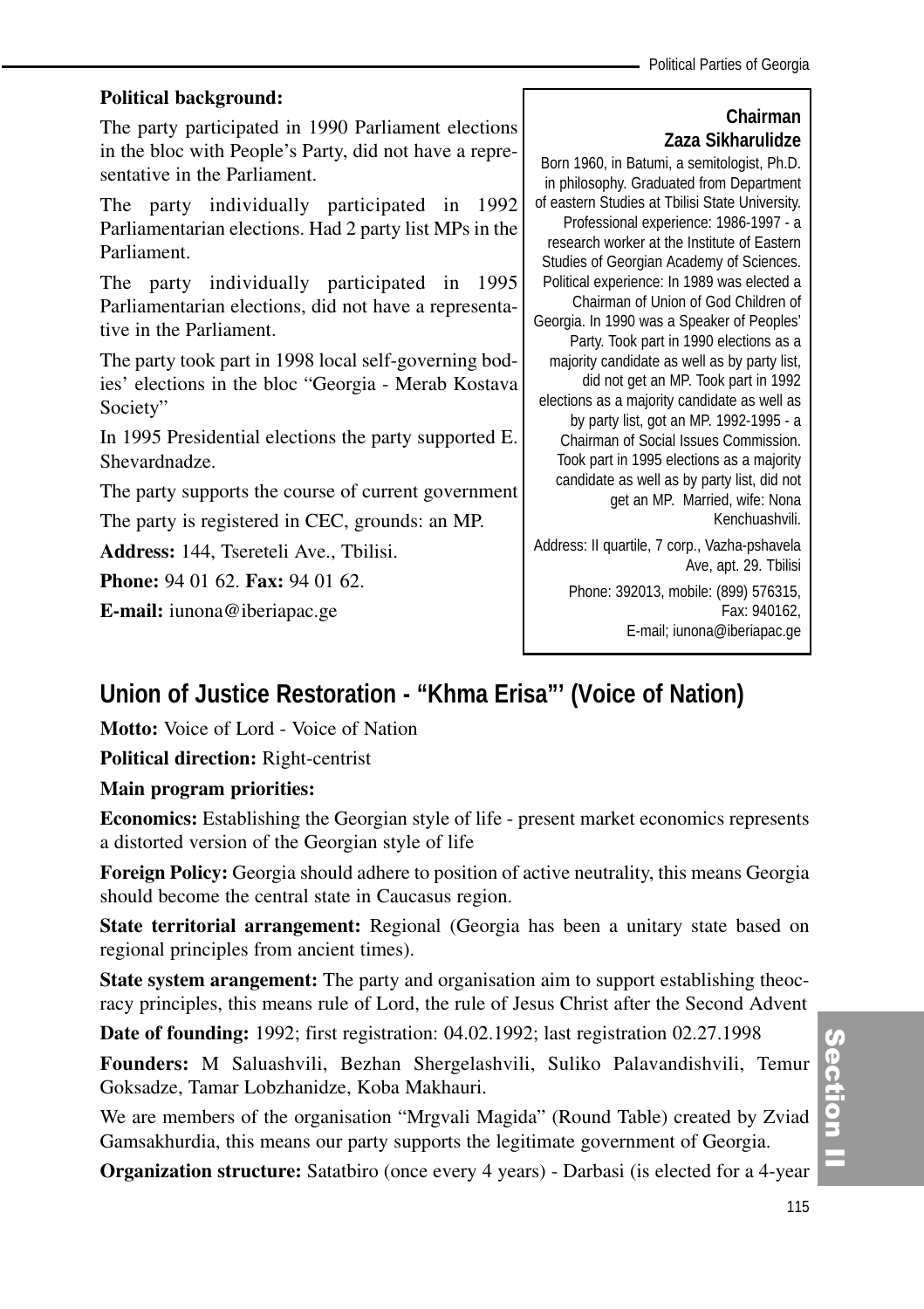# **Political background:**

The party participated in 1990 Parliament elections in the bloc with People's Party, did not have a representative in the Parliament.

The party individually participated in 1992 Parliamentarian elections. Had 2 party list MPs in the Parliament.

The party individually participated in 1995 Parliamentarian elections, did not have a representative in the Parliament.

The party took part in 1998 local self-governing bodies' elections in the bloc "Georgia - Merab Kostava Society"

In 1995 Presidential elections the party supported E. Shevardnadze.

The party supports the course of current government

The party is registered in CEC, grounds: an MP.

**Address:** 144, Tsereteli Ave., Tbilisi.

**Phone:** 94 01 62. **Fax:** 94 01 62.

**E-mail:** iunona@iberiapac.ge

# **Chairman Zaza Sikharulidze**

Born 1960, in Batumi, a semitologist, Ph.D. in philosophy. Graduated from Department of eastern Studies at Tbilisi State University. Professional experience: 1986-1997 - a research worker at the Institute of Eastern Studies of Georgian Academy of Sciences. Political experience: In 1989 was elected a Chairman of Union of God Children of Georgia. In 1990 was a Speaker of Peoples' Party. Took part in 1990 elections as a majority candidate as well as by party list, did not get an MP. Took part in 1992 elections as a majority candidate as well as by party list, got an MP. 1992-1995 - a Chairman of Social Issues Commission. Took part in 1995 elections as a majority candidate as well as by party list, did not get an MP. Married, wife: Nona Kenchuashvili.

Address: II quartile, 7 corp., Vazha-pshavela Ave, apt. 29. Tbilisi

> Phone: 392013, mobile: (899) 576315, Fax: 940162, E-mail; iunona@iberiapac.ge

# **Union of Justice Restoration - "Khma Erisa"' (Voice of Nation)**

**Motto:** Voice of Lord - Voice of Nation

**Political direction:** Right-centrist

# **Main program priorities:**

**Economics:** Establishing the Georgian style of life - present market economics represents a distorted version of the Georgian style of life

**Foreign Policy:** Georgia should adhere to position of active neutrality, this means Georgia should become the central state in Caucasus region.

**State territorial arrangement:** Regional (Georgia has been a unitary state based on regional principles from ancient times).

**State system arangement:** The party and organisation aim to support establishing theocracy principles, this means rule of Lord, the rule of Jesus Christ after the Second Advent

**Date of founding:** 1992; first registration: 04.02.1992; last registration 02.27.1998

**Founders:** M Saluashvili, Bezhan Shergelashvili, Suliko Palavandishvili, Temur Goksadze, Tamar Lobzhanidze, Koba Makhauri.

We are members of the organisation "Mrgvali Magida" (Round Table) created by Zviad Gamsakhurdia, this means our party supports the legitimate government of Georgia.

**Organization structure:** Satatbiro (once every 4 years) - Darbasi (is elected for a 4-year

Section ction<br>I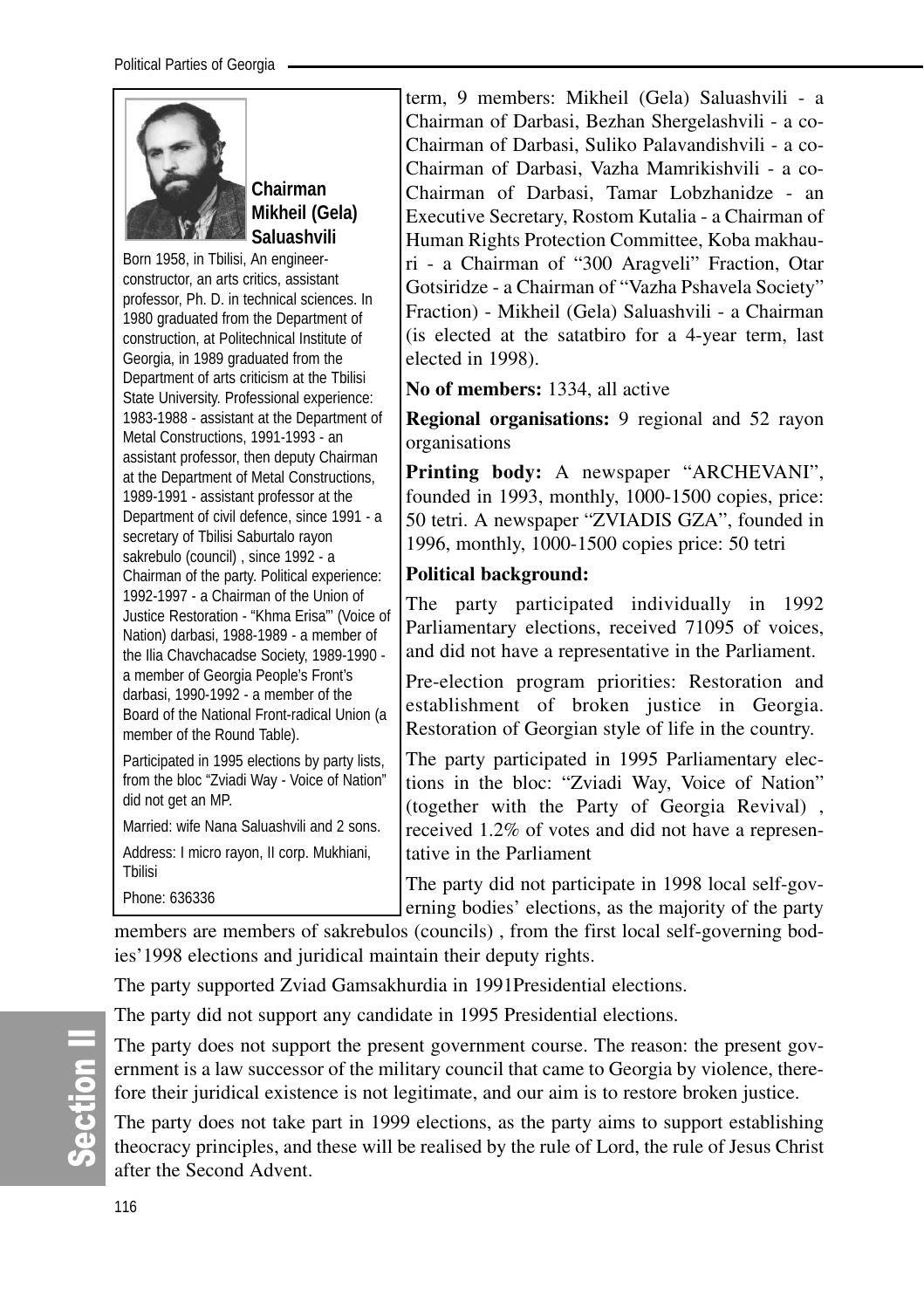

**Chairman Mikheil (Gela) Saluashvili** 

Born 1958, in Tbilisi, An engineerconstructor, an arts critics, assistant professor, Ph. D. in technical sciences. In 1980 graduated from the Department of construction, at Politechnical Institute of Georgia, in 1989 graduated from the Department of arts criticism at the Tbilisi State University. Professional experience: 1983-1988 - assistant at the Department of Metal Constructions, 1991-1993 - an assistant professor, then deputy Chairman at the Department of Metal Constructions, 1989-1991 - assistant professor at the Department of civil defence, since 1991 - a secretary of Tbilisi Saburtalo rayon sakrebulo (council) , since 1992 - a Chairman of the party. Political experience: 1992-1997 - a Chairman of the Union of Justice Restoration - "Khma Erisa"' (Voice of Nation) darbasi, 1988-1989 - a member of the Ilia Chavchacadse Society, 1989-1990 a member of Georgia People's Front's darbasi, 1990-1992 - a member of the Board of the National Front-radical Union (a member of the Round Table).

Participated in 1995 elections by party lists, from the bloc "Zviadi Way - Voice of Nation" did not get an MP.

Married: wife Nana Saluashvili and 2 sons. Address: I micro rayon, II corp. Mukhiani, Tbilisi

Phone: 636336

term, 9 members: Mikheil (Gela) Saluashvili - a Chairman of Darbasi, Bezhan Shergelashvili - a co-Chairman of Darbasi, Suliko Palavandishvili - a co-Chairman of Darbasi, Vazha Mamrikishvili - a co-Chairman of Darbasi, Tamar Lobzhanidze - an Executive Secretary, Rostom Kutalia - a Chairman of Human Rights Protection Committee, Koba makhauri - a Chairman of "300 Aragveli" Fraction, Otar Gotsiridze - a Chairman of "Vazha Pshavela Society" Fraction) - Mikheil (Gela) Saluashvili - a Chairman (is elected at the satatbiro for a 4-year term, last elected in 1998).

**No of members:** 1334, all active

**Regional organisations:** 9 regional and 52 rayon organisations

**Printing body:** A newspaper "ARCHEVANI", founded in 1993, monthly, 1000-1500 copies, price: 50 tetri. A newspaper "ZVIADIS GZA", founded in 1996, monthly, 1000-1500 copies price: 50 tetri

# **Political background:**

The party participated individually in 1992 Parliamentary elections, received 71095 of voices, and did not have a representative in the Parliament.

Pre-election program priorities: Restoration and establishment of broken justice in Georgia. Restoration of Georgian style of life in the country.

The party participated in 1995 Parliamentary elections in the bloc: "Zviadi Way, Voice of Nation" (together with the Party of Georgia Revival) , received 1.2% of votes and did not have a representative in the Parliament

The party did not participate in 1998 local self-governing bodies' elections, as the majority of the party

members are members of sakrebulos (councils) , from the first local self-governing bodies'1998 elections and juridical maintain their deputy rights.

The party supported Zviad Gamsakhurdia in 1991Presidential elections.

The party did not support any candidate in 1995 Presidential elections.

The party does not support the present government course. The reason: the present government is a law successor of the military council that came to Georgia by violence, therefore their juridical existence is not legitimate, and our aim is to restore broken justice.

The party does not take part in 1999 elections, as the party aims to support establishing theocracy principles, and these will be realised by the rule of Lord, the rule of Jesus Christ after the Second Advent.

တိ **Ction II**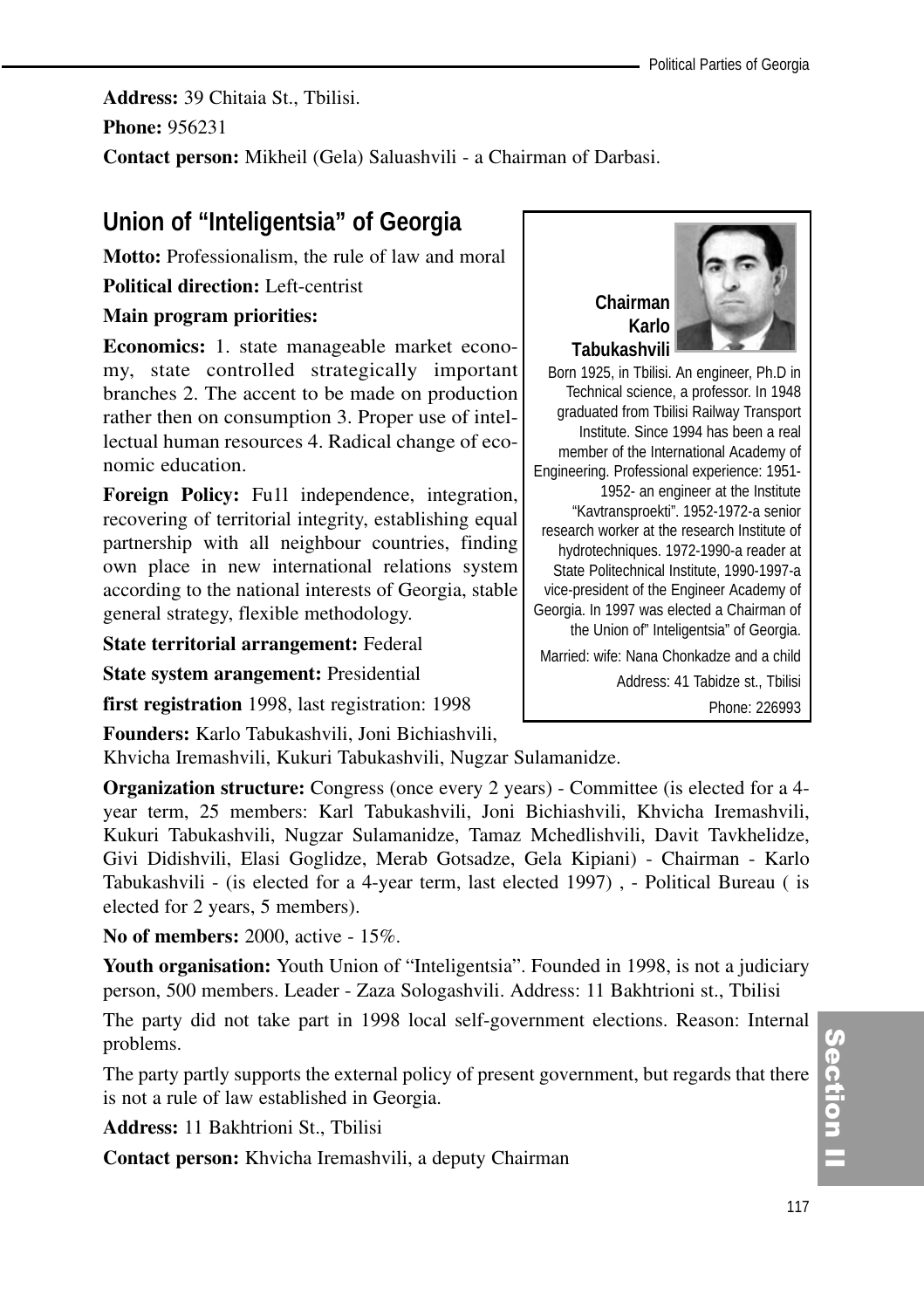**Address:** 39 Chitaia St., Tbilisi. **Phone:** 956231

**Contact person:** Mikheil (Gela) Saluashvili - a Chairman of Darbasi.

# **Union of "Inteligentsia" of Georgia**

**Motto:** Professionalism, the rule of law and moral

**Political direction:** Left-centrist

# **Main program priorities:**

**Economics:** 1. state manageable market economy, state controlled strategically important branches 2. The accent to be made on production rather then on consumption 3. Proper use of intellectual human resources 4. Radical change of economic education.

**Foreign Policy:** Fu1l independence, integration, recovering of territorial integrity, establishing equal partnership with all neighbour countries, finding own place in new international relations system according to the national interests of Georgia, stable general strategy, flexible methodology.

**State territorial arrangement:** Federal

**State system arangement:** Presidential

**first registration** 1998, last registration: 1998

**Founders:** Karlo Tabukashvili, Joni Bichiashvili,

Khvicha Iremashvili, Kukuri Tabukashvili, Nugzar Sulamanidze.

**Organization structure:** Congress (once every 2 years) - Committee (is elected for a 4 year term, 25 members: Karl Tabukashvili, Joni Bichiashvili, Khvicha Iremashvili, Kukuri Tabukashvili, Nugzar Sulamanidze, Tamaz Mchedlishvili, Davit Tavkhelidze, Givi Didishvili, Elasi Goglidze, Merab Gotsadze, Gela Kipiani) - Chairman - Karlo Tabukashvili - (is elected for a 4-year term, last elected 1997) , - Political Bureau ( is elected for 2 years, 5 members).

**No of members:** 2000, active - 15%.

Youth organisation: Youth Union of "Inteligentsia". Founded in 1998, is not a judiciary person, 500 members. Leader - Zaza Sologashvili. Address: 11 Bakhtrioni st., Tbilisi

The party did not take part in 1998 local self-government elections. Reason: Internal problems.

The party partly supports the external policy of present government, but regards that there is not a rule of law established in Georgia.

**Address:** 11 Bakhtrioni St., Tbilisi

**Contact person:** Khvicha Iremashvili, a deputy Chairman



Born 1925, in Tbilisi. An engineer, Ph.D in Technical science, a professor. In 1948 graduated from Tbilisi Railway Transport Institute. Since 1994 has been a real member of the International Academy of Engineering. Professional experience: 1951- 1952- an engineer at the Institute "Kavtransproekti". 1952-1972-a senior research worker at the research Institute of hydrotechniques. 1972-1990-a reader at State Politechnical Institute, 1990-1997-a vice-president of the Engineer Academy of Georgia. In 1997 was elected a Chairman of the Union of" Inteligentsia" of Georgia. Married: wife: Nana Chonkadze and a child Address: 41 Tabidze st., Tbilisi

Phone: 226993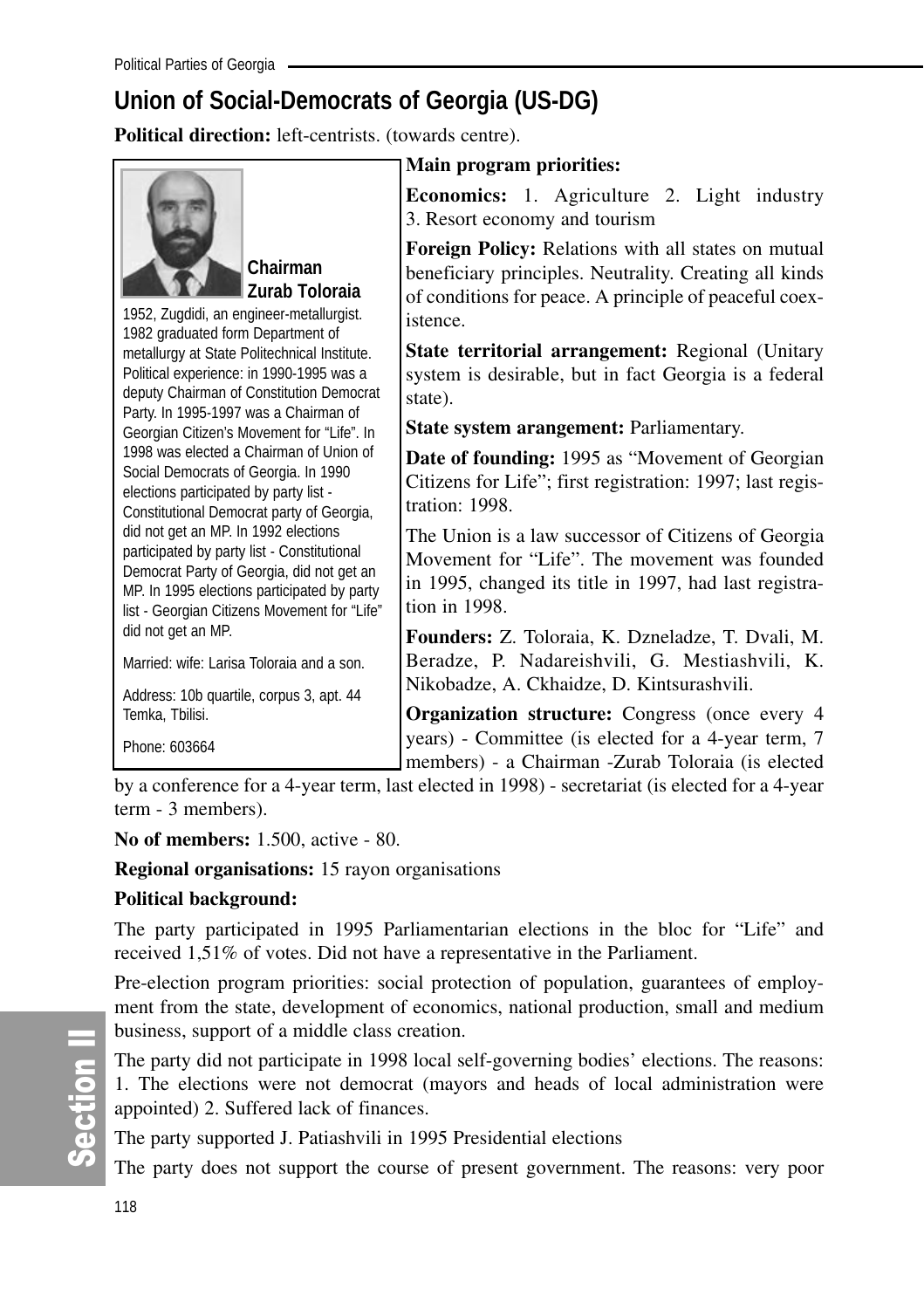# **Union of Social-Democrats of Georgia (US-DG)**

**Political direction:** left-centrists. (towards centre).



# **Chairman Zurab Toloraia**

1952, Zugdidi, an engineer-metallurgist. 1982 graduated form Department of metallurgy at State Politechnical Institute. Political experience: in 1990-1995 was a deputy Chairman of Constitution Democrat Party. In 1995-1997 was a Chairman of Georgian Citizen's Movement for "Life". In 1998 was elected a Chairman of Union of Social Democrats of Georgia. In 1990 elections participated by party list - Constitutional Democrat party of Georgia, did not get an MP. In 1992 elections participated by party list - Constitutional Democrat Party of Georgia, did not get an MP. In 1995 elections participated by party list - Georgian Citizens Movement for "Life" did not get an MP.

Married: wife: Larisa Toloraia and a son.

Address: 10b quartile, corpus 3, apt. 44 Temka, Tbilisi.

Phone: 603664

# **Main program priorities:**

**Economics:** 1. Agriculture 2. Light industry 3. Resort economy and tourism

**Foreign Policy:** Relations with all states on mutual beneficiary principles. Neutrality. Creating all kinds of conditions for peace. A principle of peaceful coexistence.

**State territorial arrangement:** Regional (Unitary system is desirable, but in fact Georgia is a federal state).

**State system arangement:** Parliamentary.

**Date of founding:** 1995 as "Movement of Georgian Citizens for Life"; first registration: 1997; last registration: 1998.

The Union is a law successor of Citizens of Georgia Movement for "Life". The movement was founded in 1995, changed its title in 1997, had last registration in 1998.

**Founders:** Z. Toloraia, K. Dzneladze, T. Dvali, M. Beradze, P. Nadareishvili, G. Mestiashvili, K. Nikobadze, A. Ckhaidze, D. Kintsurashvili.

**Organization structure:** Congress (once every 4 years) - Committee (is elected for a 4-year term, 7 members) - a Chairman -Zurab Toloraia (is elected

by a conference for a 4-year term, last elected in 1998) - secretariat (is elected for a 4-year term - 3 members).

**No of members:** 1.500, active - 80.

**Regional organisations:** 15 rayon organisations

# **Political background:**

The party participated in 1995 Parliamentarian elections in the bloc for "Life" and received 1,51% of votes. Did not have a representative in the Parliament.

Pre-election program priorities: social protection of population, guarantees of employment from the state, development of economics, national production, small and medium business, support of a middle class creation.

The party did not participate in 1998 local self-governing bodies' elections. The reasons: 1. The elections were not democrat (mayors and heads of local administration were appointed) 2. Suffered lack of finances.

The party supported J. Patiashvili in 1995 Presidential elections

The party does not support the course of present government. The reasons: very poor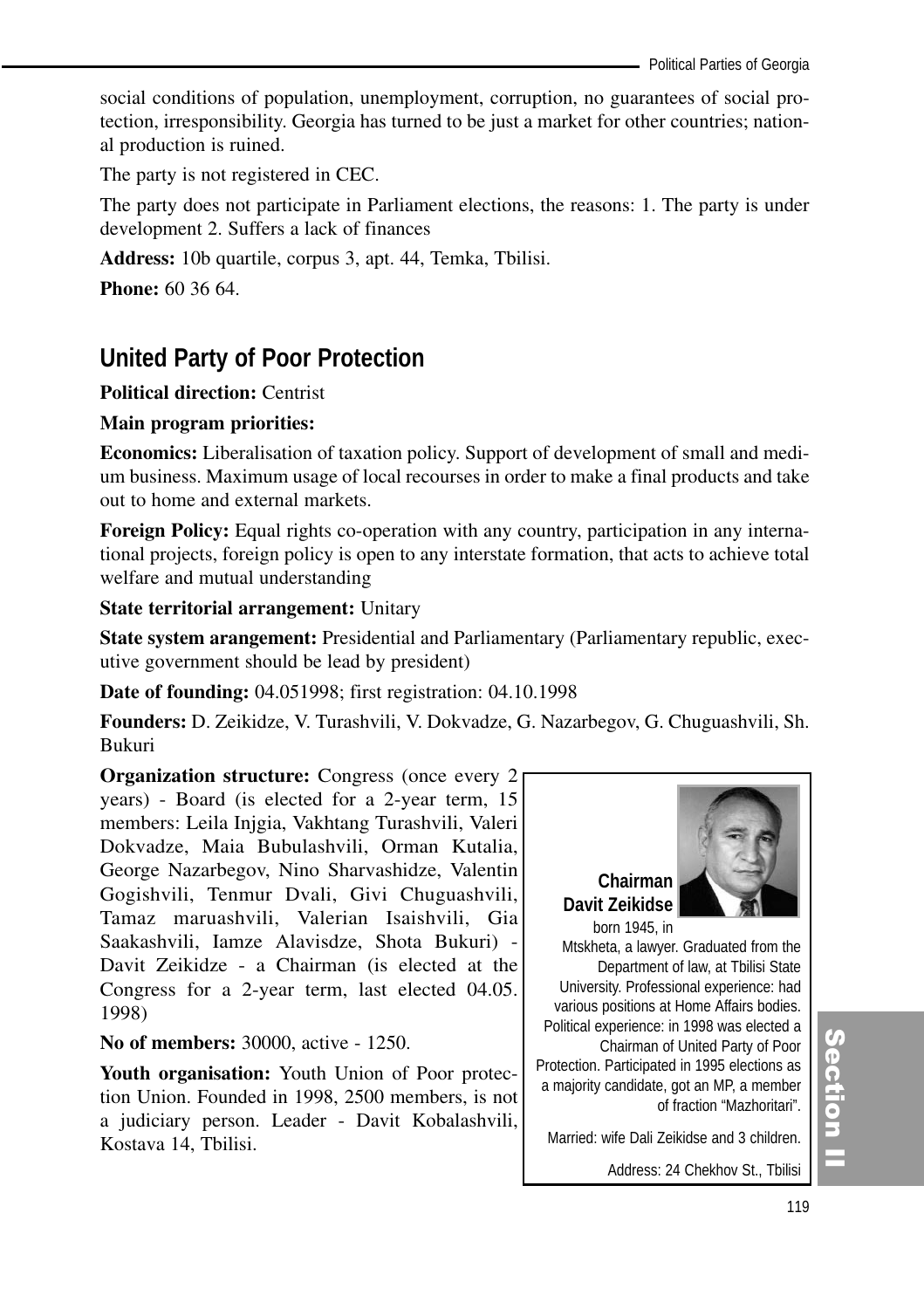social conditions of population, unemployment, corruption, no guarantees of social protection, irresponsibility. Georgia has turned to be just a market for other countries; national production is ruined.

The party is not registered in CEC.

The party does not participate in Parliament elections, the reasons: 1. The party is under development 2. Suffers a lack of finances

**Address:** 10b quartile, corpus 3, apt. 44, Temka, Tbilisi.

**Phone:** 60 36 64.

# **United Party of Poor Protection**

**Political direction:** Centrist

#### **Main program priorities:**

**Economics:** Liberalisation of taxation policy. Support of development of small and medium business. Maximum usage of local recourses in order to make a final products and take out to home and external markets.

**Foreign Policy:** Equal rights co-operation with any country, participation in any international projects, foreign policy is open to any interstate formation, that acts to achieve total welfare and mutual understanding

**State territorial arrangement:** Unitary

**State system arangement:** Presidential and Parliamentary (Parliamentary republic, executive government should be lead by president)

**Date of founding:** 04.051998; first registration: 04.10.1998

**Founders:** D. Zeikidze, V. Turashvili, V. Dokvadze, G. Nazarbegov, G. Chuguashvili, Sh. Bukuri

**Organization structure:** Congress (once every 2) years) - Board (is elected for a 2-year term, 15 members: Leila Injgia, Vakhtang Turashvili, Valeri Dokvadze, Maia Bubulashvili, Orman Kutalia, George Nazarbegov, Nino Sharvashidze, Valentin Gogishvili, Tenmur Dvali, Givi Chuguashvili, Tamaz maruashvili, Valerian Isaishvili, Gia Saakashvili, Iamze Alavisdze, Shota Bukuri) - Davit Zeikidze - a Chairman (is elected at the Congress for a 2-year term, last elected 04.05. 1998)

**No of members:** 30000, active - 1250.

**Youth organisation:** Youth Union of Poor protection Union. Founded in 1998, 2500 members, is not a judiciary person. Leader - Davit Kobalashvili, Kostava 14, Tbilisi.



Department of law, at Tbilisi State University. Professional experience: had various positions at Home Affairs bodies. Political experience: in 1998 was elected a Chairman of United Party of Poor Protection. Participated in 1995 elections as a majority candidate, got an MP, a member of fraction "Mazhoritari".

Married: wife Dali Zeikidse and 3 children.

Address: 24 Chekhov St., Tbilisi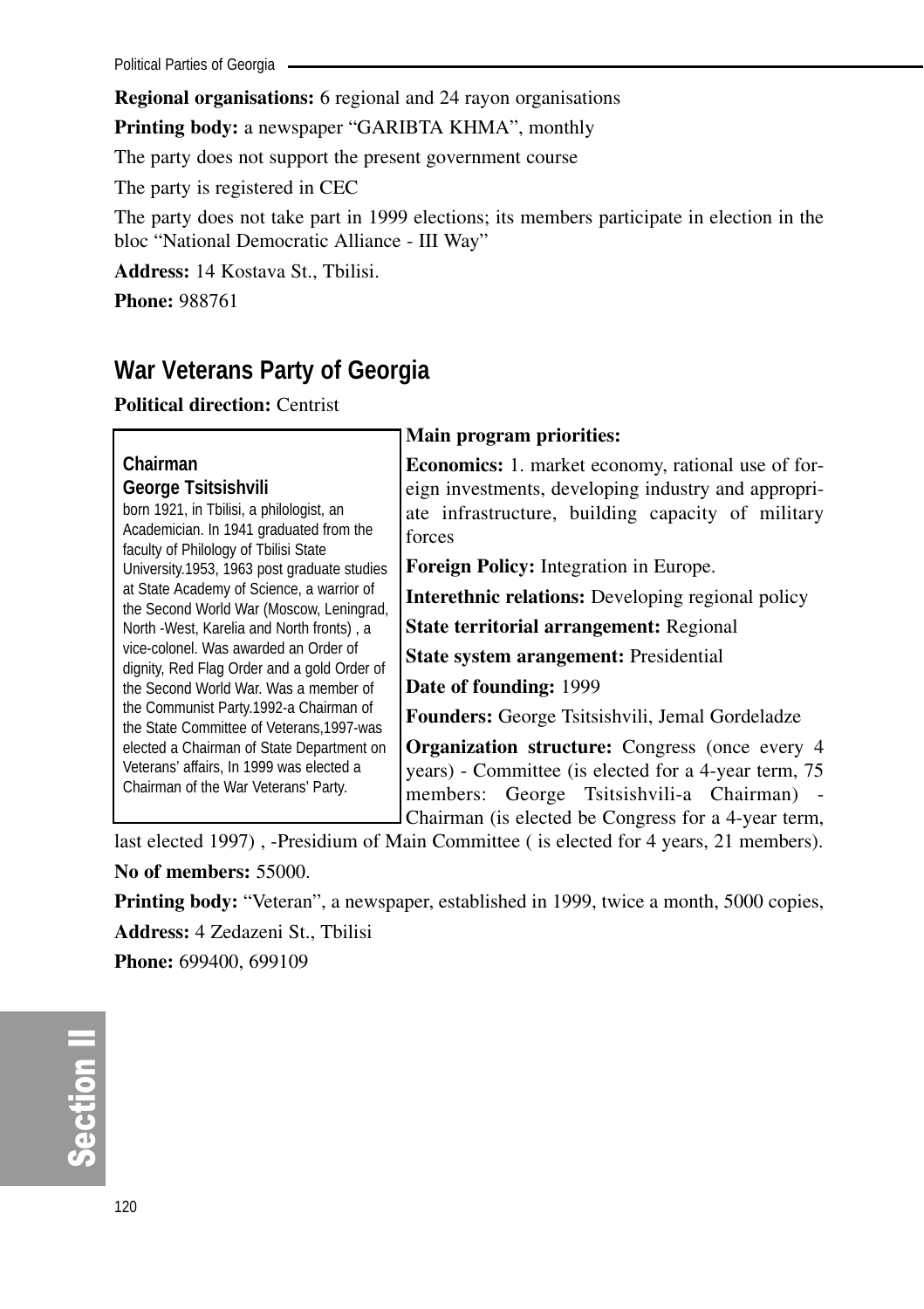**Regional organisations:** 6 regional and 24 rayon organisations

**Printing body:** a newspaper "GARIBTA KHMA", monthly

The party does not support the present government course

The party is registered in CEC

The party does not take part in 1999 elections; its members participate in election in the bloc "National Democratic Alliance - III Way"

**Address:** 14 Kostava St., Tbilisi.

**Phone:** 988761

# **War Veterans Party of Georgia**

**Political direction:** Centrist

# **Chairman George Tsitsishvili**

born 1921, in Tbilisi, a philologist, an Academician. In 1941 graduated from the faculty of Philology of Tbilisi State University.1953, 1963 post graduate studies at State Academy of Science, a warrior of the Second World War (Moscow, Leningrad, North -West, Karelia and North fronts) , a vice-colonel. Was awarded an Order of dignity, Red Flag Order and a gold Order of the Second World War. Was a member of the Communist Party.1992-a Chairman of the State Committee of Veterans,1997-was elected a Chairman of State Department on Veterans' affairs, In 1999 was elected a Chairman of the War Veterans' Party.

# **Main program priorities:**

**Economics:** 1. market economy, rational use of foreign investments, developing industry and appropriate infrastructure, building capacity of military forces

**Foreign Policy:** Integration in Europe.

**Interethnic relations:** Developing regional policy

**State territorial arrangement:** Regional

**State system arangement:** Presidential

**Date of founding:** 1999

**Founders:** George Tsitsishvili, Jemal Gordeladze

**Organization structure:** Congress (once every 4 years) - Committee (is elected for a 4-year term, 75 members: George Tsitsishvili-a Chairman) - Chairman (is elected be Congress for a 4-year term,

last elected 1997) , -Presidium of Main Committee ( is elected for 4 years, 21 members).

**No of members:** 55000.

**Printing body:** "Veteran", a newspaper, established in 1999, twice a month, 5000 copies, **Address:** 4 Zedazeni St., Tbilisi **Phone:** 699400, 699109

တိ **Ction II**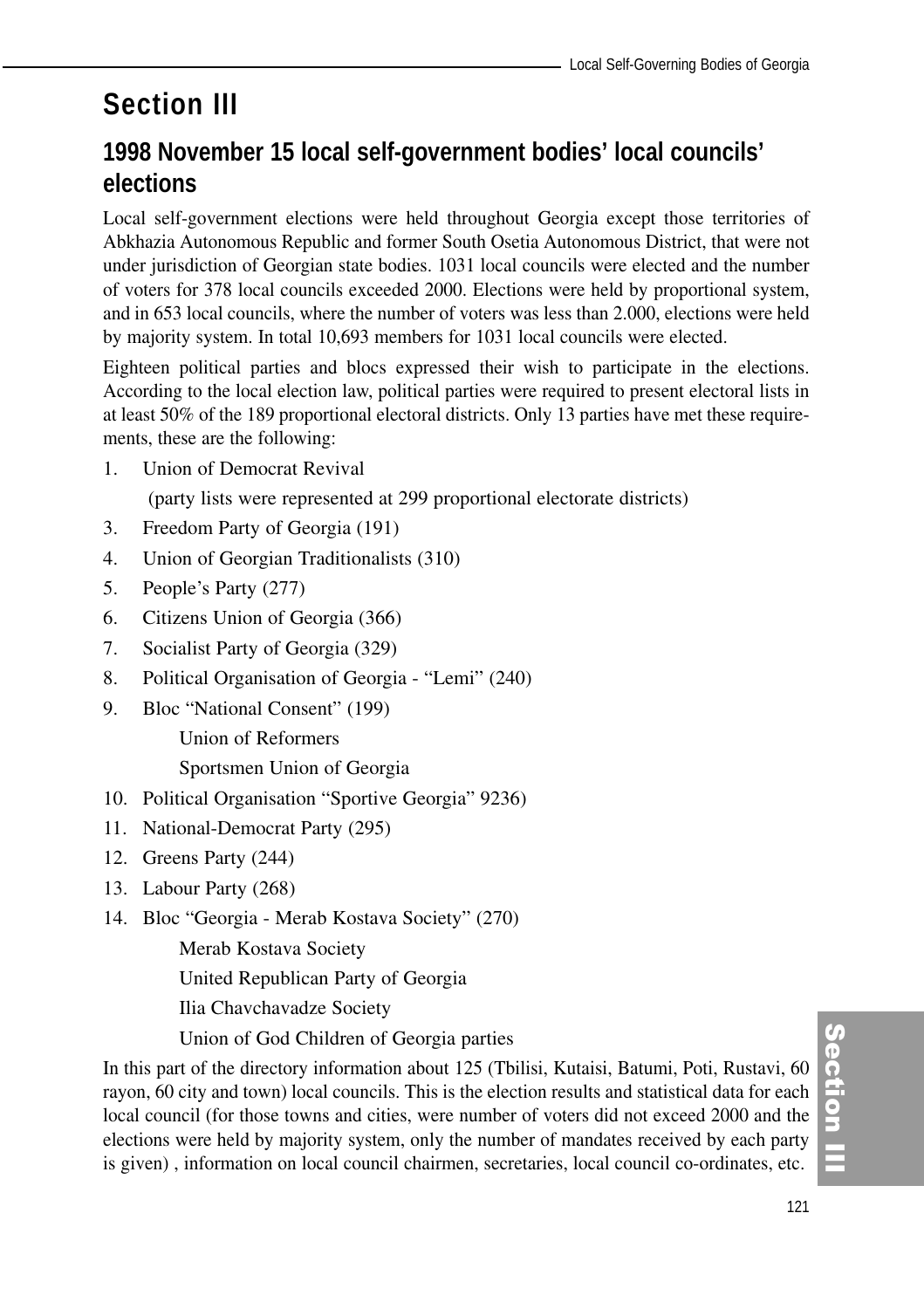# **Section III**

# **1998 November 15 local self-government bodies' local councils' elections**

Local self-government elections were held throughout Georgia except those territories of Abkhazia Autonomous Republic and former South Osetia Autonomous District, that were not under jurisdiction of Georgian state bodies. 1031 local councils were elected and the number of voters for 378 local councils exceeded 2000. Elections were held by proportional system, and in 653 local councils, where the number of voters was less than 2.000, elections were held by majority system. In total 10,693 members for 1031 local councils were elected.

Eighteen political parties and blocs expressed their wish to participate in the elections. According to the local election law, political parties were required to present electoral lists in at least 50% of the 189 proportional electoral districts. Only 13 parties have met these requirements, these are the following:

1. Union of Democrat Revival

(party lists were represented at 299 proportional electorate districts)

- 3. Freedom Party of Georgia (191)
- 4. Union of Georgian Traditionalists (310)
- 5. People's Party (277)
- 6. Citizens Union of Georgia (366)
- 7. Socialist Party of Georgia (329)
- 8. Political Organisation of Georgia "Lemi" (240)
- 9. Bloc "National Consent" (199)

Union of Reformers

Sportsmen Union of Georgia

- 10. Political Organisation "Sportive Georgia" 9236)
- 11. National-Democrat Party (295)
- 12. Greens Party (244)
- 13. Labour Party (268)
- 14. Bloc "Georgia Merab Kostava Society" (270)

Merab Kostava Society

United Republican Party of Georgia

Ilia Chavchavadze Society

Union of God Children of Georgia parties

In this part of the directory information about 125 (Tbilisi, Kutaisi, Batumi, Poti, Rustavi, 60 rayon, 60 city and town) local councils. This is the election results and statistical data for each local council (for those towns and cities, were number of voters did not exceed 2000 and the elections were held by majority system, only the number of mandates received by each party is given) , information on local council chairmen, secretaries, local council co-ordinates, etc.

**Section** ction III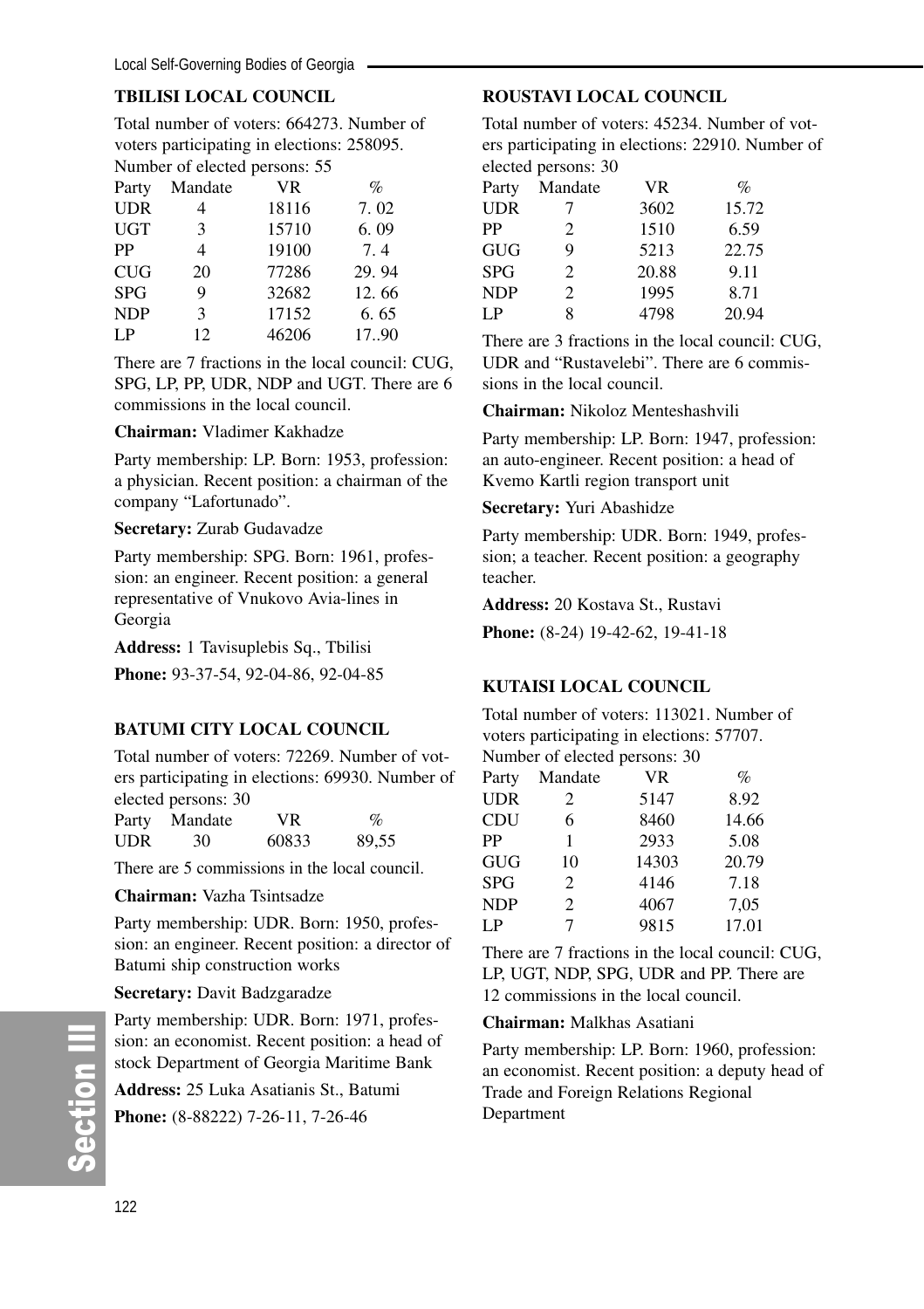# **TBILISI LOCAL COUNCIL**

Total number of voters: 664273. Number of voters participating in elections: 258095. Number of elected persons: 55

| Party      | Mandate | VR.   | %     |
|------------|---------|-------|-------|
| <b>UDR</b> | 4       | 18116 | 7.02  |
| <b>UGT</b> | 3       | 15710 | 6.09  |
| PP         | 4       | 19100 | 7.4   |
| <b>CUG</b> | 20      | 77286 | 29.94 |
| <b>SPG</b> | 9       | 32682 | 12.66 |
| <b>NDP</b> | 3       | 17152 | 6.65  |
| LP         | 12      | 46206 | 17.90 |

There are 7 fractions in the local council: CUG, SPG, LP, PP, UDR, NDP and UGT. There are 6 commissions in the local council.

#### **Chairman:** Vladimer Kakhadze

Party membership: LP. Born: 1953, profession: a physician. Recent position: a chairman of the company "Lafortunado".

#### **Secretary:** Zurab Gudavadze

Party membership: SPG. Born: 1961, profession: an engineer. Recent position: a general representative of Vnukovo Avia-lines in Georgia

**Address:** 1 Tavisuplebis Sq., Tbilisi

**Phone:** 93-37-54, 92-04-86, 92-04-85

#### **BATUMI CITY LOCAL COUNCIL**

Total number of voters: 72269. Number of voters participating in elections: 69930. Number of elected persons: 30

| Party | .<br>Mandate | VR.   | $\%$  |
|-------|--------------|-------|-------|
| UDR   | 30           | 60833 | 89,55 |

There are 5 commissions in the local council.

#### **Chairman:** Vazha Tsintsadze

Party membership: UDR. Born: 1950, profession: an engineer. Recent position: a director of Batumi ship construction works

#### **Secretary:** Davit Badzgaradze

Party membership: UDR. Born: 1971, profession: an economist. Recent position: a head of stock Department of Georgia Maritime Bank

**Address:** 25 Luka Asatianis St., Batumi **Phone:** (8-88222) 7-26-11, 7-26-46

# **ROUSTAVI LOCAL COUNCIL**

Total number of voters: 45234. Number of voters participating in elections: 22910. Number of elected persons: 30

| Party | Mandate | <b>VR</b> | $\%$  |
|-------|---------|-----------|-------|
| UDR   | 7       | 3602      | 15.72 |
| PP    | 2       | 1510      | 6.59  |
| GUG   | 9       | 5213      | 22.75 |
| SPG   | 2       | 20.88     | 9.11  |
| NDP   | 2       | 1995      | 8.71  |
| LP    | 8       | 4798      | 20.94 |
|       |         |           |       |

There are 3 fractions in the local council: CUG, UDR and "Rustavelebi". There are 6 commissions in the local council.

**Chairman:** Nikoloz Menteshashvili

Party membership: LP. Born: 1947, profession: an auto-engineer. Recent position: a head of Kvemo Kartli region transport unit

#### **Secretary:** Yuri Abashidze

Party membership: UDR. Born: 1949, profession; a teacher. Recent position: a geography teacher.

**Address:** 20 Kostava St., Rustavi

**Phone:** (8-24) 19-42-62, 19-41-18

# **KUTAISI LOCAL COUNCIL**

Total number of voters: 113021. Number of voters participating in elections: 57707. Number of elected persons: 30

| Party      | Mandate | <b>VR</b> | $\%$  |
|------------|---------|-----------|-------|
| <b>UDR</b> | 2       | 5147      | 8.92  |
| CDU        | 6       | 8460      | 14.66 |
| PP         | 1       | 2933      | 5.08  |
| <b>GUG</b> | 10      | 14303     | 20.79 |
| <b>SPG</b> | 2       | 4146      | 7.18  |
| <b>NDP</b> | 2       | 4067      | 7.05  |
| LP         | 7       | 9815      | 17.01 |

There are 7 fractions in the local council: CUG, LP, UGT, NDP, SPG, UDR and PP. There are 12 commissions in the local council.

#### **Chairman:** Malkhas Asatiani

Party membership: LP. Born: 1960, profession: an economist. Recent position: a deputy head of Trade and Foreign Relations Regional Department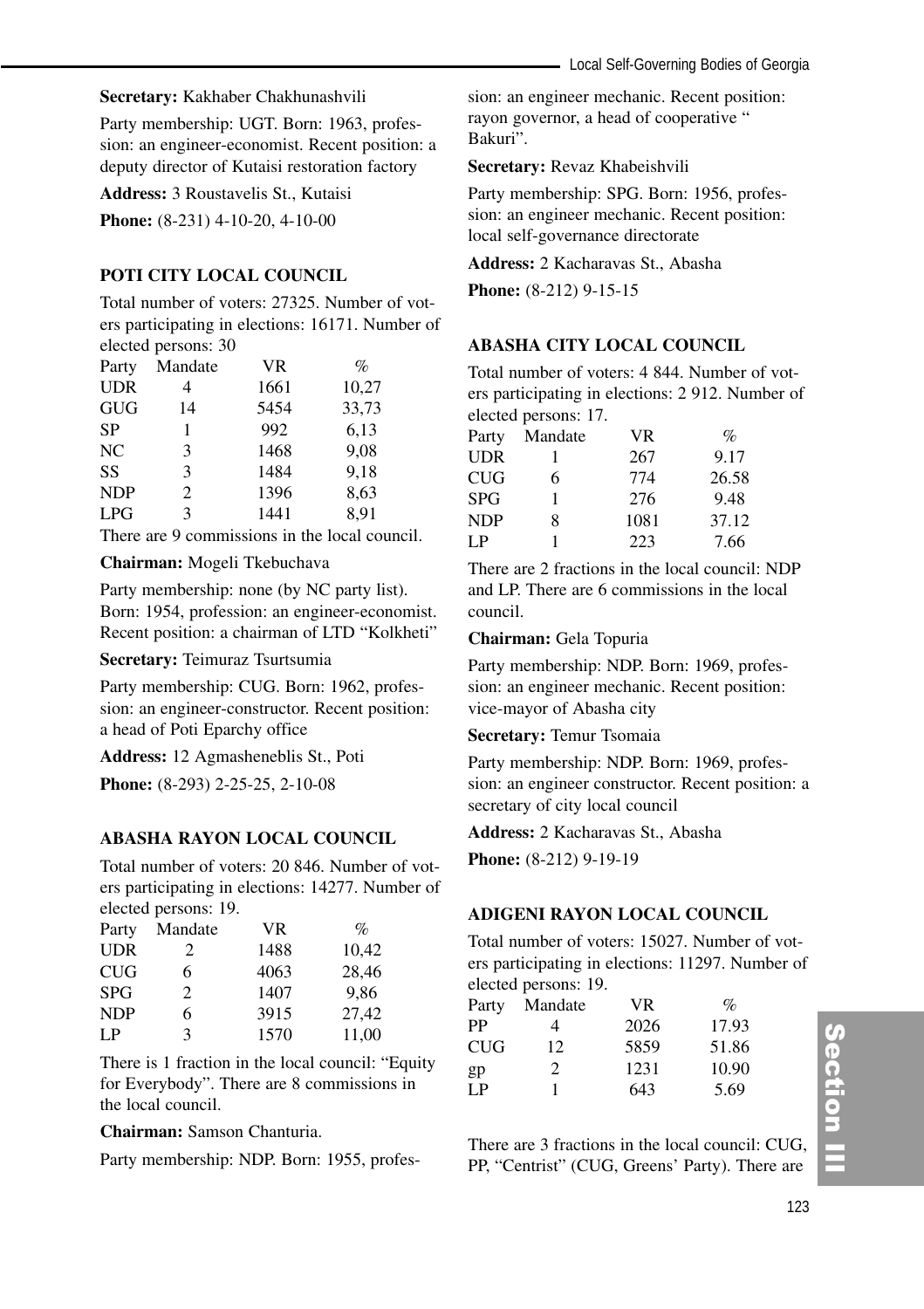#### **Secretary:** Kakhaber Chakhunashvili

Party membership: UGT. Born: 1963, profession: an engineer-economist. Recent position: a deputy director of Kutaisi restoration factory

**Address:** 3 Roustavelis St., Kutaisi

**Phone:**  $(8-231)$  4-10-20, 4-10-00

#### **POTI CITY LOCAL COUNCIL**

Total number of voters: 27325. Number of voters participating in elections: 16171. Number of elected persons: 30

| Party      | Mandate | VR   | $\%$  |
|------------|---------|------|-------|
| <b>UDR</b> | 4       | 1661 | 10,27 |
| <b>GUG</b> | 14      | 5454 | 33,73 |
| <b>SP</b>  | 1       | 992  | 6.13  |
| NC         | 3       | 1468 | 9.08  |
| SS         | 3       | 1484 | 9,18  |
| <b>NDP</b> | 2       | 1396 | 8,63  |
| <b>LPG</b> | 3       | 1441 | 8,91  |

There are 9 commissions in the local council.

#### **Chairman:** Mogeli Tkebuchava

Party membership: none (by NC party list). Born: 1954, profession: an engineer-economist. Recent position: a chairman of LTD "Kolkheti"

**Secretary:** Teimuraz Tsurtsumia

Party membership: CUG. Born: 1962, profession: an engineer-constructor. Recent position: a head of Poti Eparchy office

**Address:** 12 Agmasheneblis St., Poti

**Phone:** (8-293) 2-25-25, 2-10-08

#### **ABASHA RAYON LOCAL COUNCIL**

Total number of voters: 20 846. Number of voters participating in elections: 14277. Number of elected persons: 19.

| Party      | Mandate        | <b>VR</b> | $\%$  |
|------------|----------------|-----------|-------|
| <b>UDR</b> | 2              | 1488      | 10.42 |
| <b>CUG</b> | 6              | 4063      | 28,46 |
| <b>SPG</b> | $\mathfrak{D}$ | 1407      | 9.86  |
| <b>NDP</b> | 6              | 3915      | 27.42 |
| LP         | 3              | 1570      | 11.00 |

There is 1 fraction in the local council: "Equity for Everybody". There are 8 commissions in the local council.

**Chairman:** Samson Chanturia.

Party membership: NDP. Born: 1955, profes-

sion: an engineer mechanic. Recent position: rayon governor, a head of cooperative " Bakuri".

**Secretary:** Revaz Khabeishvili

Party membership: SPG. Born: 1956, profession: an engineer mechanic. Recent position: local self-governance directorate

**Address:** 2 Kacharavas St., Abasha

**Phone:** (8-212) 9-15-15

#### **ABASHA CITY LOCAL COUNCIL**

Total number of voters: 4 844. Number of voters participating in elections: 2 912. Number of elected persons: 17.

| Party      | Mandate | <b>VR</b> | $\%$  |
|------------|---------|-----------|-------|
| <b>UDR</b> |         | 267       | 9.17  |
| <b>CUG</b> | 6       | 774       | 26.58 |
| <b>SPG</b> |         | 276       | 9.48  |
| <b>NDP</b> | 8       | 1081      | 37.12 |
| LP.        |         | 223       | 7.66  |

There are 2 fractions in the local council: NDP and LP. There are 6 commissions in the local council.

#### **Chairman:** Gela Topuria

Party membership: NDP. Born: 1969, profession: an engineer mechanic. Recent position: vice-mayor of Abasha city

**Secretary:** Temur Tsomaia

Party membership: NDP. Born: 1969, profession: an engineer constructor. Recent position: a secretary of city local council

**Address:** 2 Kacharavas St., Abasha

**Phone:** (8-212) 9-19-19

#### **ADIGENI RAYON LOCAL COUNCIL**

Total number of voters: 15027. Number of voters participating in elections: 11297. Number of elected persons: 19.

| Party      | Mandate | VR.  | $\%$  |
|------------|---------|------|-------|
| PP         | 4       | 2026 | 17.93 |
| <b>CUG</b> | 12      | 5859 | 51.86 |
| gp         | 2       | 1231 | 10.90 |
| L P        |         | 643  | 5.69  |

There are 3 fractions in the local council: CUG, PP, "Centrist" (CUG, Greens' Party). There are

# Section II ction III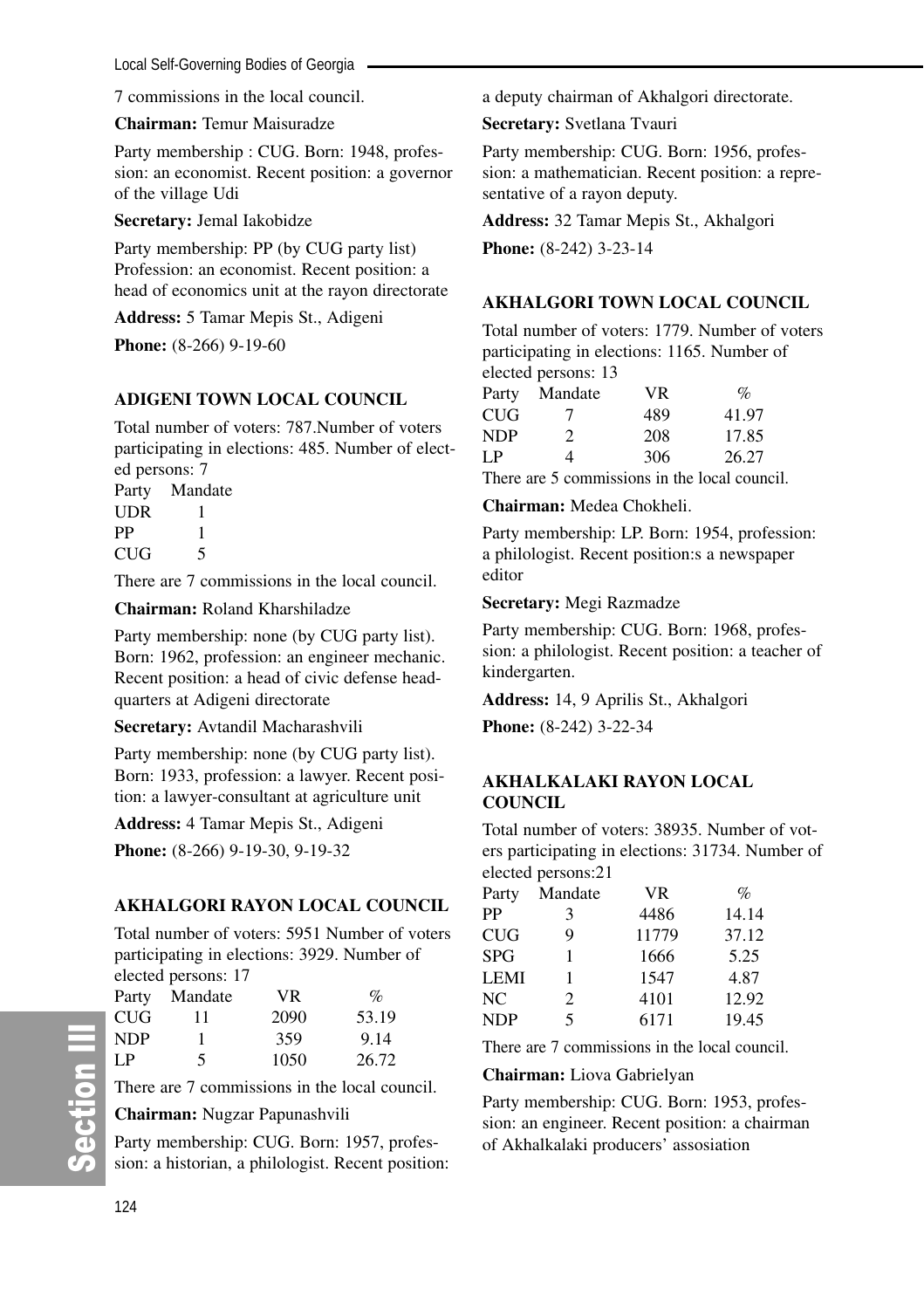Local Self-Governing Bodies of Georgia

7 commissions in the local council.

**Chairman:** Temur Maisuradze

Party membership : CUG. Born: 1948, profession: an economist. Recent position: a governor of the village Udi

**Secretary:** Jemal Iakobidze

Party membership: PP (by CUG party list) Profession: an economist. Recent position: a head of economics unit at the rayon directorate

**Address:** 5 Tamar Mepis St., Adigeni

**Phone:**  $(8-266)$  9-19-60

# **ADIGENI TOWN LOCAL COUNCIL**

Total number of voters: 787.Number of voters participating in elections: 485. Number of elected persons: 7

Party Mandate UDR 1 PP 1  $CIIG = 5$ 

There are 7 commissions in the local council.

**Chairman:** Roland Kharshiladze

Party membership: none (by CUG party list). Born: 1962, profession: an engineer mechanic. Recent position: a head of civic defense headquarters at Adigeni directorate

**Secretary:** Avtandil Macharashvili

Party membership: none (by CUG party list). Born: 1933, profession: a lawyer. Recent position: a lawyer-consultant at agriculture unit

**Address:** 4 Tamar Mepis St., Adigeni

**Phone:** (8-266) 9-19-30, 9-19-32

#### **AKHALGORI RAYON LOCAL COUNCIL**

Total number of voters: 5951 Number of voters participating in elections: 3929. Number of elected persons: 17

|            | $\frac{1}{2}$ |      |       |
|------------|---------------|------|-------|
| Party      | Mandate       | VR   | $\%$  |
| <b>CUG</b> | 11            | 2090 | 53.19 |
| <b>NDP</b> | 1             | 359  | 9.14  |
| L.P        | 5             | 1050 | 26.72 |

There are 7 commissions in the local council.

**Chairman:** Nugzar Papunashvili

Party membership: CUG. Born: 1957, profession: a historian, a philologist. Recent position: a deputy chairman of Akhalgori directorate.

**Secretary:** Svetlana Tvauri

Party membership: CUG. Born: 1956, profession: a mathematician. Recent position: a representative of a rayon deputy.

**Address:** 32 Tamar Mepis St., Akhalgori **Phone:** (8-242) 3-23-14

#### **AKHALGORI TOWN LOCAL COUNCIL**

Total number of voters: 1779. Number of voters participating in elections: 1165. Number of elected persons: 13

| Party | Mandate | VR. | $\%$  |
|-------|---------|-----|-------|
| CUG   | 7       | 489 | 41.97 |
| NDP   | 2       | 208 | 17.85 |
| LP    | 4       | 306 | 26.27 |

There are 5 commissions in the local council.

#### **Chairman:** Medea Chokheli.

Party membership: LP. Born: 1954, profession: a philologist. Recent position:s a newspaper editor

#### **Secretary:** Megi Razmadze

Party membership: CUG. Born: 1968, profession: a philologist. Recent position: a teacher of kindergarten.

**Address:** 14, 9 Aprilis St., Akhalgori

**Phone:** (8-242) 3-22-34

#### **AKHALKALAKI RAYON LOCAL COUNCIL**

Total number of voters: 38935. Number of voters participating in elections: 31734. Number of elected persons:21

| Party      | Mandate                 | <b>VR</b> | $\%$  |
|------------|-------------------------|-----------|-------|
| PP         | 3                       | 4486      | 14.14 |
| CUG        | 9                       | 11779     | 37.12 |
| SPG        | 1                       | 1666      | 5.25  |
| LEMI       | 1                       | 1547      | 4.87  |
| NC         | 2                       | 4101      | 12.92 |
| <b>NDP</b> | $\overline{\mathbf{5}}$ | 6171      | 19.45 |

There are 7 commissions in the local council.

**Chairman:** Liova Gabrielyan

Party membership: CUG. Born: 1953, profession: an engineer. Recent position: a chairman of Akhalkalaki producers' assosiation

တိ

**Ction III**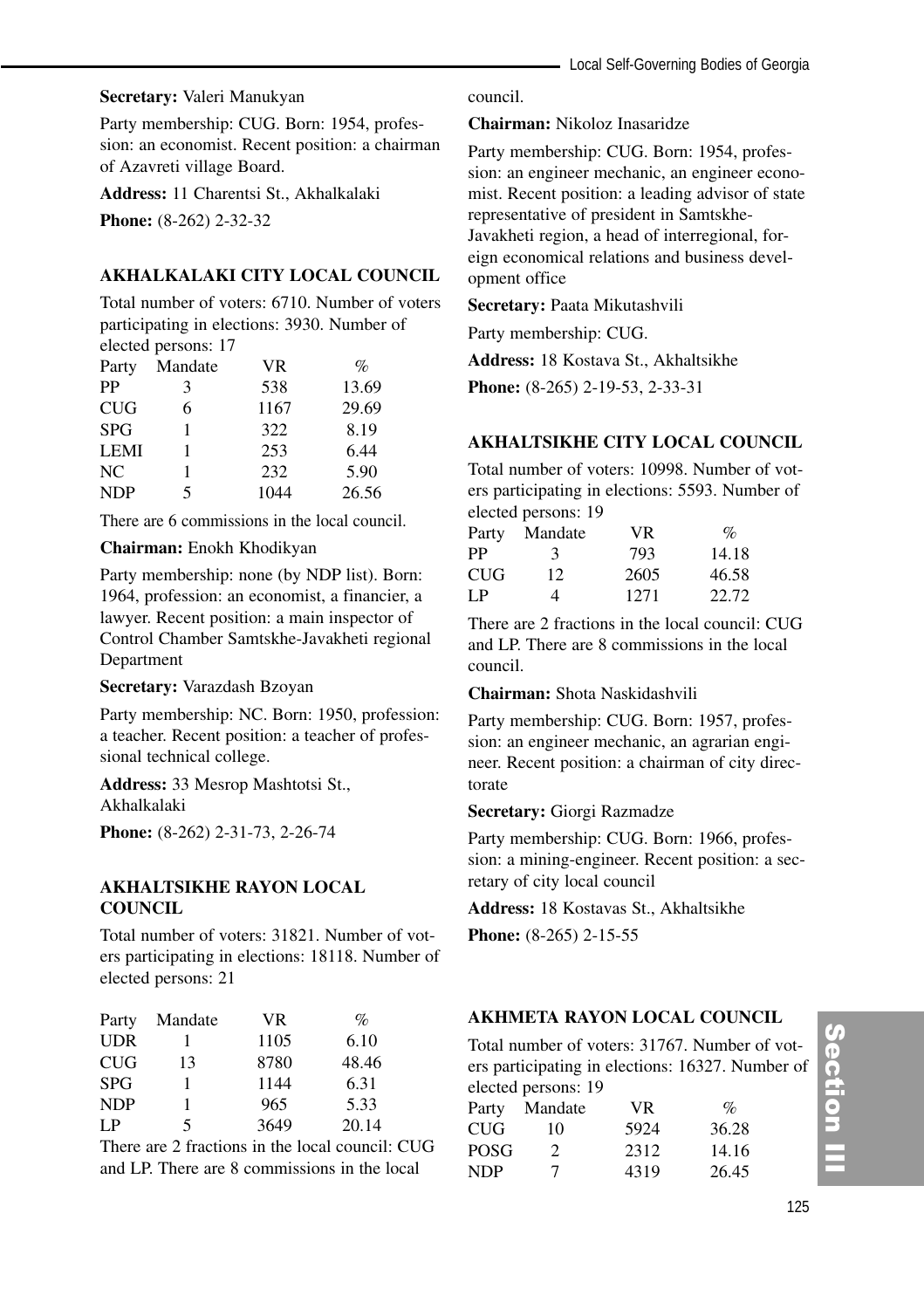#### **Secretary:** Valeri Manukyan

Party membership: CUG. Born: 1954, profession: an economist. Recent position: a chairman of Azavreti village Board.

**Address:** 11 Charentsi St., Akhalkalaki

**Phone:**  $(8-262)$  2-32-32

#### **AKHALKALAKI CITY LOCAL COUNCIL**

Total number of voters: 6710. Number of voters participating in elections: 3930. Number of elected persons: 17

| Party       | Mandate | VR   | $\%$  |
|-------------|---------|------|-------|
| PP          | 3       | 538  | 13.69 |
| <b>CUG</b>  | 6       | 1167 | 29.69 |
| <b>SPG</b>  |         | 322  | 8.19  |
| <b>LEMI</b> |         | 253  | 6.44  |
| NC.         |         | 232  | 5.90  |
| <b>NDP</b>  | 5       | 1044 | 26.56 |

There are 6 commissions in the local council.

#### **Chairman:** Enokh Khodikyan

Party membership: none (by NDP list). Born: 1964, profession: an economist, a financier, a lawyer. Recent position: a main inspector of Control Chamber Samtskhe-Javakheti regional Department

**Secretary:** Varazdash Bzoyan

Party membership: NC. Born: 1950, profession: a teacher. Recent position: a teacher of professional technical college.

**Address:** 33 Mesrop Mashtotsi St., Akhalkalaki

**Phone:** (8-262) 2-31-73, 2-26-74

#### **AKHALTSIKHE RAYON LOCAL COUNCIL**

Total number of voters: 31821. Number of voters participating in elections: 18118. Number of elected persons: 21

| Party      | Mandate | VR.  | $\%$  |
|------------|---------|------|-------|
| <b>UDR</b> |         | 1105 | 6.10  |
| <b>CUG</b> | 13      | 8780 | 48.46 |
| <b>SPG</b> |         | 1144 | 6.31  |
| <b>NDP</b> |         | 965  | 5.33  |
| LP         | 5       | 3649 | 20.14 |

There are 2 fractions in the local council: CUG and LP. There are 8 commissions in the local

council.

#### **Chairman:** Nikoloz Inasaridze

Party membership: CUG. Born: 1954, profession: an engineer mechanic, an engineer economist. Recent position: a leading advisor of state representative of president in Samtskhe-Javakheti region, a head of interregional, foreign economical relations and business development office

**Secretary:** Paata Mikutashvili

Party membership: CUG.

**Address:** 18 Kostava St., Akhaltsikhe

**Phone:** (8-265) 2-19-53, 2-33-31

#### **AKHALTSIKHE CITY LOCAL COUNCIL**

Total number of voters: 10998. Number of voters participating in elections: 5593. Number of elected persons: 19

| Party | Mandate | VR.  | $\mathcal{O}_\mathcal{D}$ |
|-------|---------|------|---------------------------|
| PP    | 3       | 793  | 14.18                     |
| CUG   | 12      | 2605 | 46.58                     |
| I P   | 4       | 1271 | 22.72                     |

There are 2 fractions in the local council: CUG and LP. There are 8 commissions in the local council.

#### **Chairman:** Shota Naskidashvili

Party membership: CUG. Born: 1957, profession: an engineer mechanic, an agrarian engineer. Recent position: a chairman of city directorate

#### **Secretary:** Giorgi Razmadze

Party membership: CUG. Born: 1966, profession: a mining-engineer. Recent position: a secretary of city local council

**Address:** 18 Kostavas St., Akhaltsikhe

**Phone:** (8-265) 2-15-55

# **AKHMETA RAYON LOCAL COUNCIL**

Total number of voters: 31767. Number of voters participating in elections: 16327. Number of elected persons: 19

| $\frac{1}{2}$ |      |       |
|---------------|------|-------|
| Mandate       | VR.  | $\%$  |
| 10            | 5924 | 36.28 |
| 2             | 2312 | 14.16 |
| 7             | 4319 | 26.45 |
|               |      |       |

# Section III ction III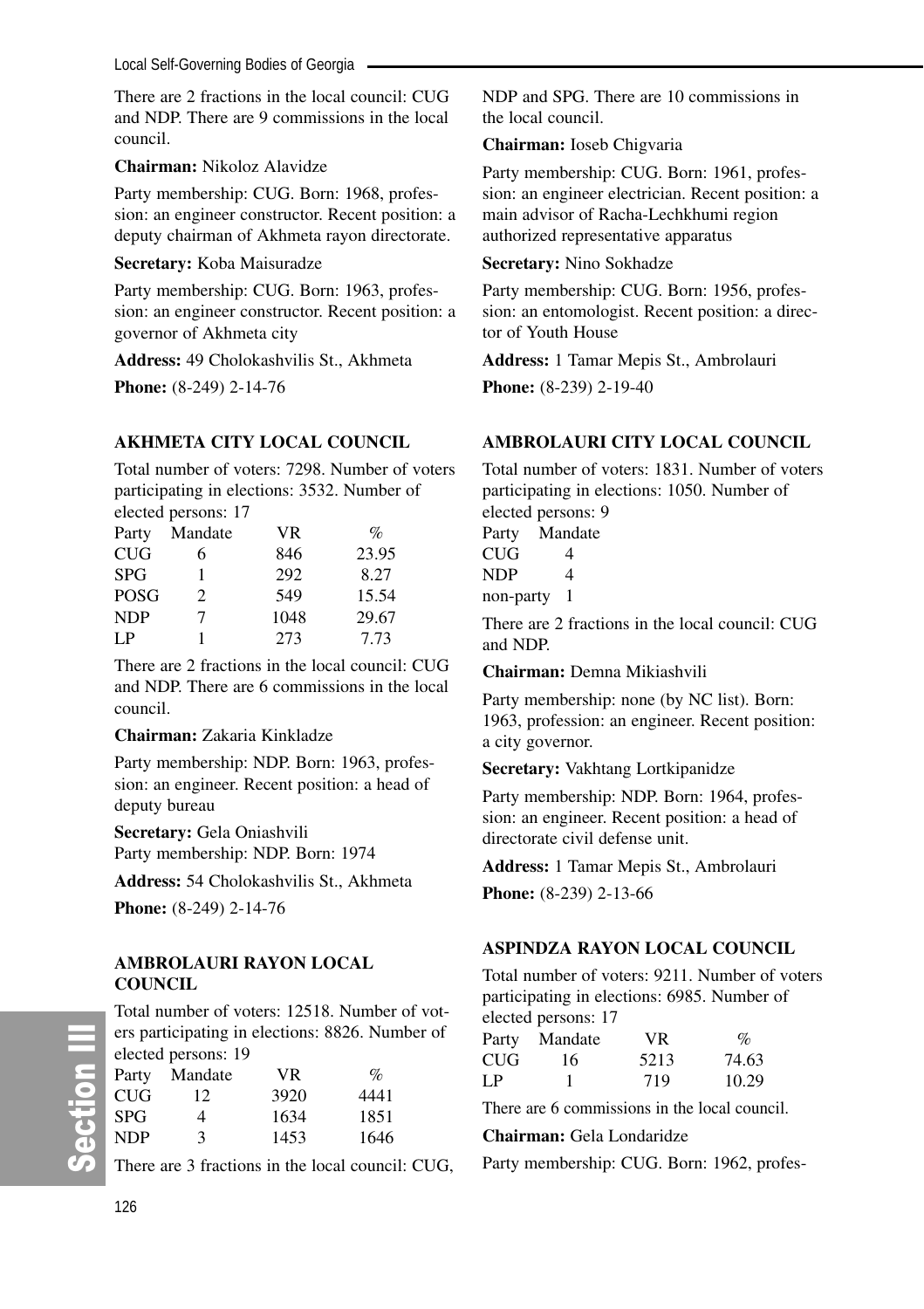There are 2 fractions in the local council: CUG and NDP. There are 9 commissions in the local council.

#### **Chairman:** Nikoloz Alavidze

Party membership: CUG. Born: 1968, profession: an engineer constructor. Recent position: a deputy chairman of Akhmeta rayon directorate.

#### **Secretary:** Koba Maisuradze

Party membership: CUG. Born: 1963, profession: an engineer constructor. Recent position: a governor of Akhmeta city

**Address:** 49 Cholokashvilis St., Akhmeta

**Phone:** (8-249) 2-14-76

# **AKHMETA CITY LOCAL COUNCIL**

Total number of voters: 7298. Number of voters participating in elections: 3532. Number of elected persons: 17

|       | $\alpha$ . The persons $\alpha$ |      |       |
|-------|---------------------------------|------|-------|
| Party | Mandate                         | VR.  | $\%$  |
| CUG   | 6                               | 846  | 23.95 |
| SPG   |                                 | 292  | 8.27  |
| POSG  | 2                               | 549  | 15.54 |
| NDP   | 7                               | 1048 | 29.67 |
| LP    |                                 | 273  | 7.73  |

There are 2 fractions in the local council: CUG and NDP. There are 6 commissions in the local council.

#### **Chairman:** Zakaria Kinkladze

Party membership: NDP. Born: 1963, profession: an engineer. Recent position: a head of deputy bureau

**Secretary:** Gela Oniashvili Party membership: NDP. Born: 1974

**Address:** 54 Cholokashvilis St., Akhmeta

**Phone:** (8-249) 2-14-76

#### **AMBROLAURI RAYON LOCAL COUNCIL**

Total number of voters: 12518. Number of voters participating in elections: 8826. Number of elected persons: 19

| Party      | Mandate | VR.  | $\%$ |
|------------|---------|------|------|
| <b>CUG</b> | 12.     | 3920 | 4441 |
| <b>SPG</b> | 4       | 1634 | 1851 |
| <b>NDP</b> | 3       | 1453 | 1646 |

There are 3 fractions in the local council: CUG,

NDP and SPG. There are 10 commissions in the local council.

### **Chairman:** Ioseb Chigvaria

Party membership: CUG. Born: 1961, profession: an engineer electrician. Recent position: a main advisor of Racha-Lechkhumi region authorized representative apparatus

#### **Secretary:** Nino Sokhadze

Party membership: CUG. Born: 1956, profession: an entomologist. Recent position: a director of Youth House

**Address:** 1 Tamar Mepis St., Ambrolauri

**Phone:** (8-239) 2-19-40

# **AMBROLAURI CITY LOCAL COUNCIL**

Total number of voters: 1831. Number of voters participating in elections: 1050. Number of elected persons: 9

| Party | Mandate |
|-------|---------|
| CUG   | 4       |
| NDP   | 4       |
|       |         |

non-party 1

There are 2 fractions in the local council: CUG and NDP.

**Chairman:** Demna Mikiashvili

Party membership: none (by NC list). Born: 1963, profession: an engineer. Recent position: a city governor.

**Secretary:** Vakhtang Lortkipanidze

Party membership: NDP. Born: 1964, profession: an engineer. Recent position: a head of directorate civil defense unit.

**Address:** 1 Tamar Mepis St., Ambrolauri **Phone:** (8-239) 2-13-66

# **ASPINDZA RAYON LOCAL COUNCIL**

Total number of voters: 9211. Number of voters participating in elections: 6985. Number of elected persons: 17

| $\alpha$ . $\beta$ . $\alpha$ |         |      |       |  |
|-------------------------------|---------|------|-------|--|
| Party                         | Mandate | VR.  | $\%$  |  |
| CUG                           | 16      | 5213 | 74.63 |  |
| LP                            |         | 719  | 10.29 |  |

There are 6 commissions in the local council.

**Chairman:** Gela Londaridze

Party membership: CUG. Born: 1962, profes-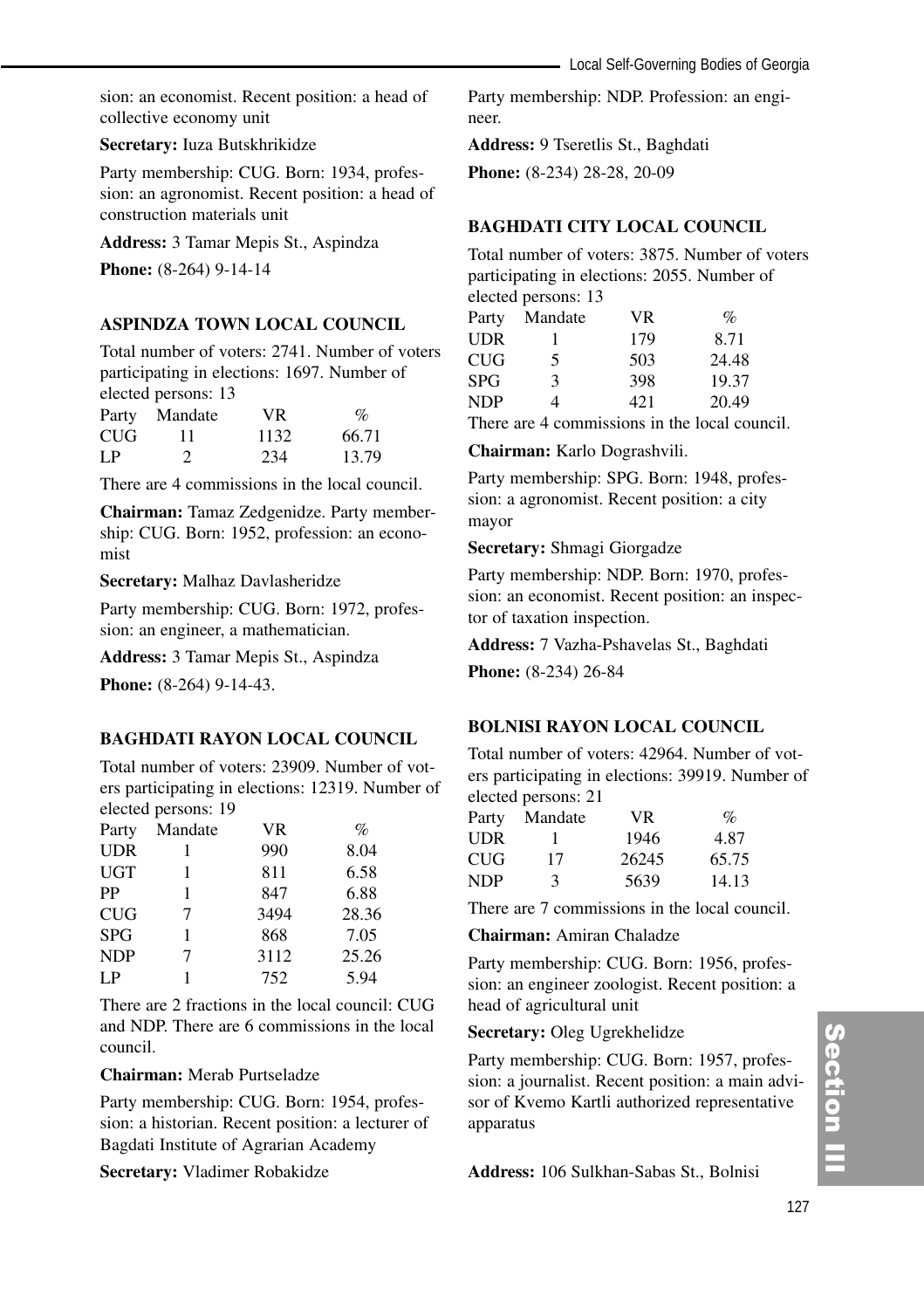sion: an economist. Recent position: a head of collective economy unit

#### **Secretary:** Iuza Butskhrikidze

Party membership: CUG. Born: 1934, profession: an agronomist. Recent position: a head of construction materials unit

**Address:** 3 Tamar Mepis St., Aspindza

**Phone:** (8-264) 9-14-14

#### **ASPINDZA TOWN LOCAL COUNCIL**

Total number of voters: 2741. Number of voters participating in elections: 1697. Number of elected persons: 13

| Party | Mandate | VR.  | $\%$  |
|-------|---------|------|-------|
| CUG   | 11      | 1132 | 66.71 |
| I P   | 2.      | 234  | 13.79 |

There are 4 commissions in the local council.

**Chairman:** Tamaz Zedgenidze. Party membership: CUG. Born: 1952, profession: an economist

**Secretary:** Malhaz Davlasheridze

Party membership: CUG. Born: 1972, profession: an engineer, a mathematician.

**Address:** 3 Tamar Mepis St., Aspindza

**Phone:** (8-264) 9-14-43.

#### **BAGHDATI RAYON LOCAL COUNCIL**

Total number of voters: 23909. Number of voters participating in elections: 12319. Number of elected persons: 19

| Mandate | VR   | $\%$  |
|---------|------|-------|
|         | 990  | 8.04  |
|         | 811  | 6.58  |
|         | 847  | 6.88  |
| 7       | 3494 | 28.36 |
|         | 868  | 7.05  |
| 7       | 3112 | 25.26 |
|         | 752  | 5.94  |
|         |      |       |

There are 2 fractions in the local council: CUG and NDP. There are 6 commissions in the local council.

#### **Chairman:** Merab Purtseladze

Party membership: CUG. Born: 1954, profession: a historian. Recent position: a lecturer of Bagdati Institute of Agrarian Academy

**Secretary:** Vladimer Robakidze

Party membership: NDP. Profession: an engineer.

**Address:** 9 Tseretlis St., Baghdati

**Phone:** (8-234) 28-28, 20-09

# **BAGHDATI CITY LOCAL COUNCIL**

Total number of voters: 3875. Number of voters participating in elections: 2055. Number of elected persons: 13

| Party | Mandate | <b>VR</b> | $\%$  |
|-------|---------|-----------|-------|
| UDR   |         | 179       | 8.71  |
| CUG   | 5       | 503       | 24.48 |
| SPG   | 3       | 398       | 19.37 |
| NDP   | 4       | 421       | 20.49 |
|       |         |           |       |

There are 4 commissions in the local council.

**Chairman:** Karlo Dograshvili.

Party membership: SPG. Born: 1948, profession: a agronomist. Recent position: a city mayor

**Secretary:** Shmagi Giorgadze

Party membership: NDP. Born: 1970, profession: an economist. Recent position: an inspector of taxation inspection.

**Address:** 7 Vazha-Pshavelas St., Baghdati

**Phone:** (8-234) 26-84

#### **BOLNISI RAYON LOCAL COUNCIL**

Total number of voters: 42964. Number of voters participating in elections: 39919. Number of elected persons: 21

|       | ----------------- |       |       |
|-------|-------------------|-------|-------|
| Party | Mandate           | VR.   | $\%$  |
| UDR   |                   | 1946  | 4.87  |
| CUG   | 17                | 26245 | 65.75 |
| NDP   | 3                 | 5639  | 14.13 |

There are 7 commissions in the local council.

**Chairman:** Amiran Chaladze

Party membership: CUG. Born: 1956, profession: an engineer zoologist. Recent position: a head of agricultural unit

#### **Secretary:** Oleg Ugrekhelidze

Party membership: CUG. Born: 1957, profession: a journalist. Recent position: a main advisor of Kvemo Kartli authorized representative apparatus

**Address:** 106 Sulkhan-Sabas St., Bolnisi

# Section III ction III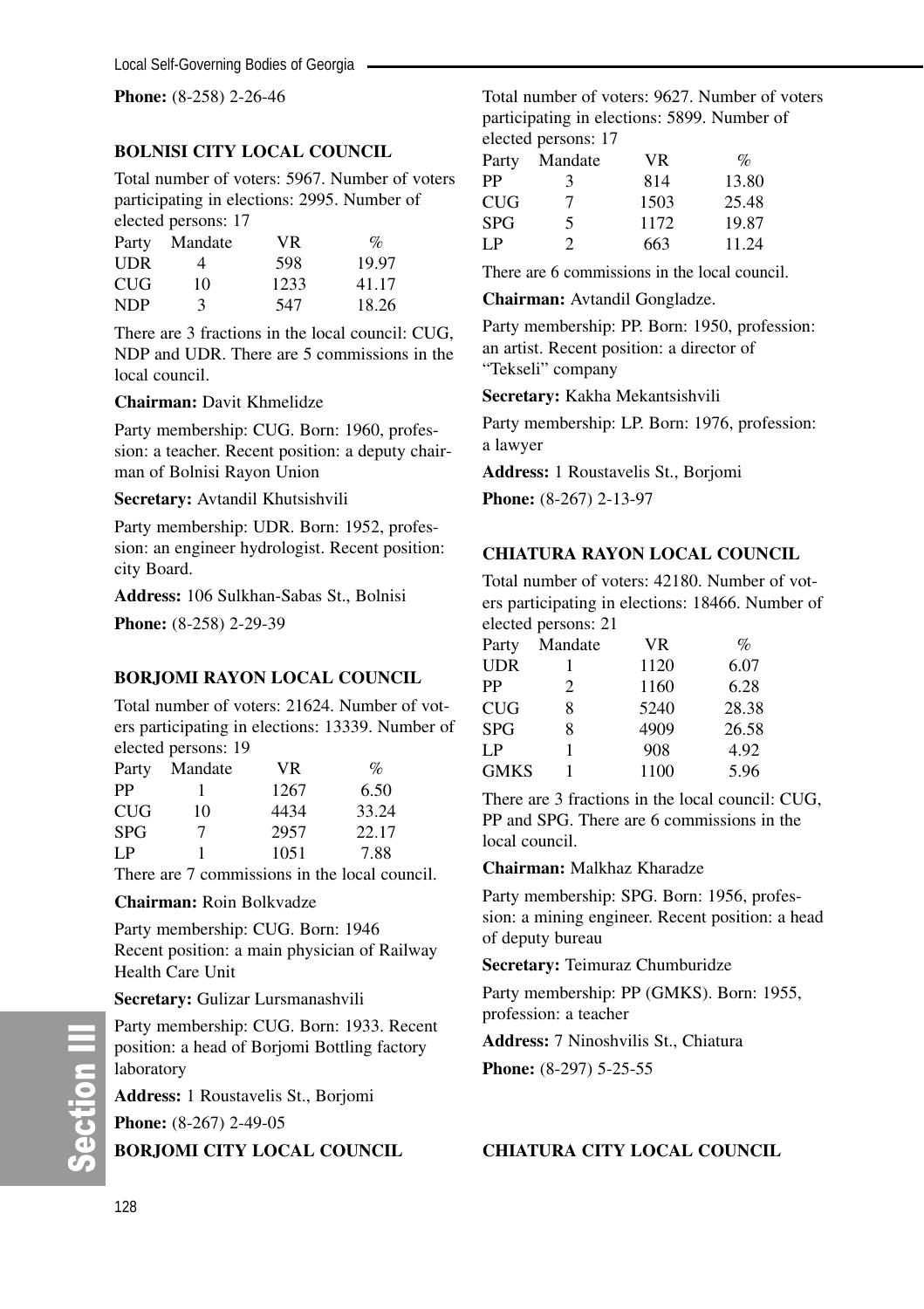**Phone:** (8-258) 2-26-46

# **BOLNISI CITY LOCAL COUNCIL**

Total number of voters: 5967. Number of voters participating in elections: 2995. Number of elected persons: 17

|            | $\frac{1}{2}$ |      |       |  |  |
|------------|---------------|------|-------|--|--|
| Party      | Mandate       | VR.  | $\%$  |  |  |
| <b>UDR</b> | 4             | 598  | 19.97 |  |  |
| <b>CUG</b> | 10            | 1233 | 41.17 |  |  |
| <b>NDP</b> | 3             | 547  | 18.26 |  |  |

There are 3 fractions in the local council: CUG, NDP and UDR. There are 5 commissions in the local council.

#### **Chairman:** Davit Khmelidze

Party membership: CUG. Born: 1960, profession: a teacher. Recent position: a deputy chairman of Bolnisi Rayon Union

**Secretary:** Avtandil Khutsishvili

Party membership: UDR. Born: 1952, profession: an engineer hydrologist. Recent position: city Board.

**Address:** 106 Sulkhan-Sabas St., Bolnisi

**Phone:** (8-258) 2-29-39

# **BORJOMI RAYON LOCAL COUNCIL**

Total number of voters: 21624. Number of voters participating in elections: 13339. Number of elected persons: 19

| Party | Mandate | VR.  | $\%$  |
|-------|---------|------|-------|
| РP    |         | 1267 | 6.50  |
| CUG   | 10      | 4434 | 33.24 |
| SPG   | 7       | 2957 | 22.17 |
| LP    |         | 1051 | 7.88  |
|       |         |      |       |

There are 7 commissions in the local council.

#### **Chairman:** Roin Bolkvadze

Party membership: CUG. Born: 1946 Recent position: a main physician of Railway Health Care Unit

**Secretary:** Gulizar Lursmanashvili

Party membership: CUG. Born: 1933. Recent position: a head of Borjomi Bottling factory laboratory

**Address:** 1 Roustavelis St., Borjomi

**Phone:** (8-267) 2-49-05

**BORJOMI CITY LOCAL COUNCIL**

Total number of voters: 9627. Number of voters participating in elections: 5899. Number of elected persons: 17

|   |         | $\mathcal{O}_0$ |
|---|---------|-----------------|
| 3 | 814     | 13.80           |
| 7 | 1503    | 25.48           |
| 5 | 1172    | 19.87           |
| 2 | 663     | 11.24           |
|   | Mandate | <b>VR</b>       |

There are 6 commissions in the local council.

**Chairman:** Avtandil Gongladze.

Party membership: PP. Born: 1950, profession: an artist. Recent position: a director of "Tekseli" company

**Secretary:** Kakha Mekantsishvili

Party membership: LP. Born: 1976, profession: a lawyer

**Address:** 1 Roustavelis St., Borjomi

**Phone:** (8-267) 2-13-97

#### **CHIATURA RAYON LOCAL COUNCIL**

Total number of voters: 42180. Number of voters participating in elections: 18466. Number of elected persons: 21

| Party       | Mandate | VR.  | $\%$  |
|-------------|---------|------|-------|
| <b>UDR</b>  |         | 1120 | 6.07  |
| PP          | 2       | 1160 | 6.28  |
| CUG         | 8       | 5240 | 28.38 |
| <b>SPG</b>  | 8       | 4909 | 26.58 |
| I P         | 1       | 908  | 4.92  |
| <b>GMKS</b> |         | 1100 | 5.96  |

There are 3 fractions in the local council: CUG, PP and SPG. There are 6 commissions in the local council.

**Chairman:** Malkhaz Kharadze

Party membership: SPG. Born: 1956, profession: a mining engineer. Recent position: a head of deputy bureau

**Secretary:** Teimuraz Chumburidze

Party membership: PP (GMKS). Born: 1955, profession: a teacher

**Address:** 7 Ninoshvilis St., Chiatura

**Phone:** (8-297) 5-25-55

#### **CHIATURA CITY LOCAL COUNCIL**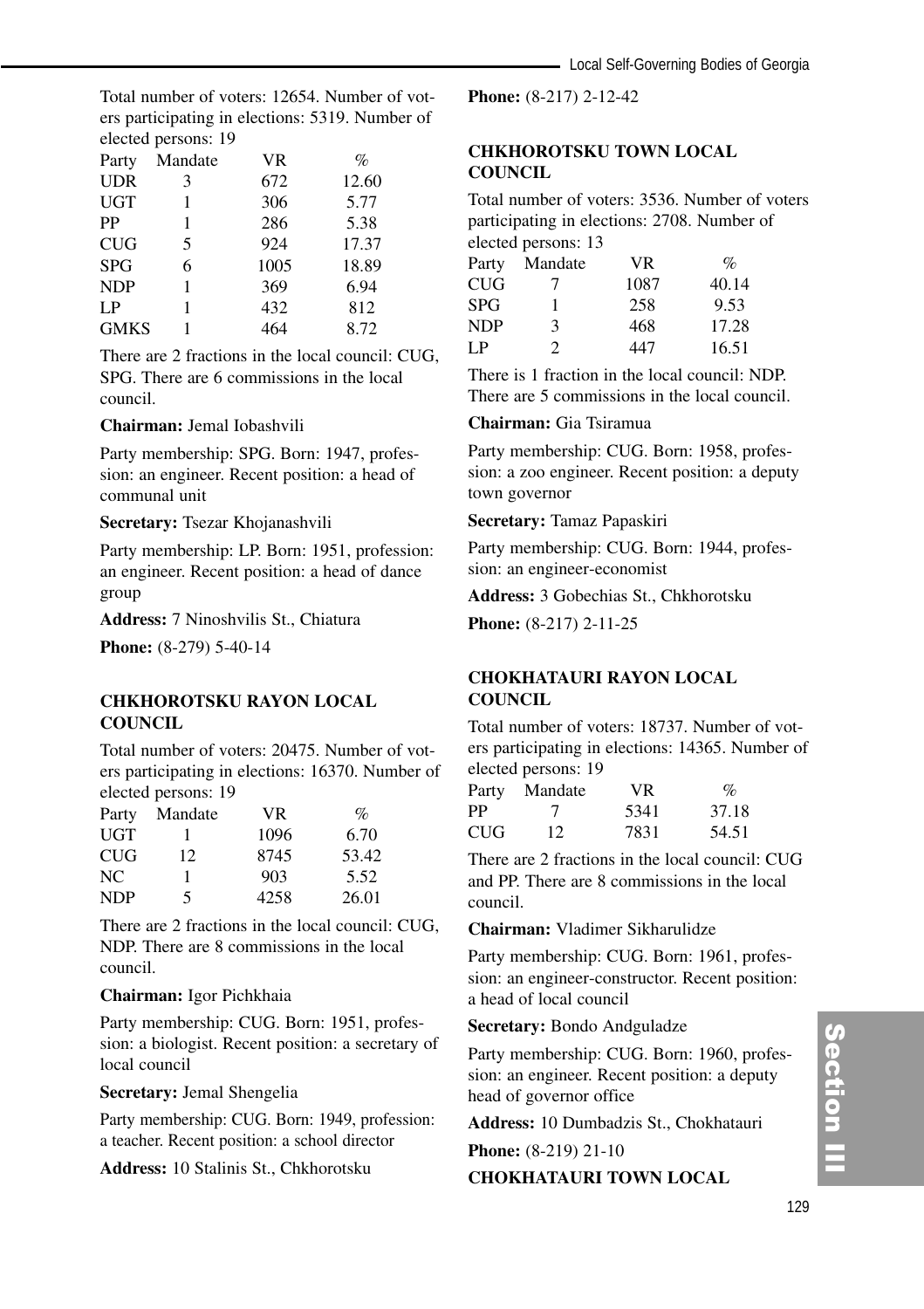Total number of voters: 12654. Number of voters participating in elections: 5319. Number of elected persons: 19

| Party       | Mandate | <b>VR</b> | $\%$  |  |
|-------------|---------|-----------|-------|--|
| <b>UDR</b>  | 3       | 672       | 12.60 |  |
| <b>UGT</b>  |         | 306       | 5.77  |  |
| PP          |         | 286       | 5.38  |  |
| <b>CUG</b>  | 5       | 924       | 17.37 |  |
| <b>SPG</b>  | 6       | 1005      | 18.89 |  |
| <b>NDP</b>  |         | 369       | 6.94  |  |
| LP          |         | 432       | 812   |  |
| <b>GMKS</b> |         | 464       | 8.72  |  |

There are 2 fractions in the local council: CUG, SPG. There are 6 commissions in the local council.

#### **Chairman:** Jemal Iobashvili

Party membership: SPG. Born: 1947, profession: an engineer. Recent position: a head of communal unit

#### **Secretary:** Tsezar Khojanashvili

Party membership: LP. Born: 1951, profession: an engineer. Recent position: a head of dance group

**Address:** 7 Ninoshvilis St., Chiatura

**Phone:** (8-279) 5-40-14

#### **CHKHOROTSKU RAYON LOCAL COUNCIL**

Total number of voters: 20475. Number of voters participating in elections: 16370. Number of elected persons: 19

| Party      | Mandate | <b>VR</b> | $\%$  |
|------------|---------|-----------|-------|
| UGT        |         | 1096      | 6.70  |
| <b>CUG</b> | 12      | 8745      | 53.42 |
| NC.        |         | 903       | 5.52  |
| <b>NDP</b> | 5       | 4258      | 26.01 |

There are 2 fractions in the local council: CUG, NDP. There are 8 commissions in the local council.

#### **Chairman:** Igor Pichkhaia

Party membership: CUG. Born: 1951, profession: a biologist. Recent position: a secretary of local council

**Secretary:** Jemal Shengelia

Party membership: CUG. Born: 1949, profession: a teacher. Recent position: a school director

**Address:** 10 Stalinis St., Chkhorotsku

**Phone:** (8-217) 2-12-42

# **CHKHOROTSKU TOWN LOCAL COUNCIL**

Total number of voters: 3536. Number of voters participating in elections: 2708. Number of elected persons: 13

|            | $\frac{1}{2}$ |           |       |
|------------|---------------|-----------|-------|
| Party      | Mandate       | <b>VR</b> | $\%$  |
| <b>CUG</b> |               | 1087      | 40.14 |
| <b>SPG</b> | 1             | 258       | 9.53  |
| <b>NDP</b> | $\mathbf{R}$  | 468       | 17.28 |
| LP         | $\mathcal{P}$ | 447       | 16.51 |

There is 1 fraction in the local council: NDP. There are 5 commissions in the local council.

#### **Chairman:** Gia Tsiramua

Party membership: CUG. Born: 1958, profession: a zoo engineer. Recent position: a deputy town governor

**Secretary:** Tamaz Papaskiri

Party membership: CUG. Born: 1944, profession: an engineer-economist

**Address:** 3 Gobechias St., Chkhorotsku

**Phone:** (8-217) 2-11-25

# **CHOKHATAURI RAYON LOCAL COUNCIL**

Total number of voters: 18737. Number of voters participating in elections: 14365. Number of elected persons: 19

| Party | Mandate | VR.  | $\%$  |
|-------|---------|------|-------|
| PP    |         | 5341 | 37.18 |
| CUG   | 12      | 7831 | 54.51 |

There are 2 fractions in the local council: CUG and PP. There are 8 commissions in the local council.

**Chairman:** Vladimer Sikharulidze

Party membership: CUG. Born: 1961, profession: an engineer-constructor. Recent position: a head of local council

**Secretary:** Bondo Andguladze

Party membership: CUG. Born: 1960, profession: an engineer. Recent position: a deputy head of governor office

**Address:** 10 Dumbadzis St., Chokhatauri

**Phone:** (8-219) 21-10

#### **CHOKHATAURI TOWN LOCAL**

# Section III ction III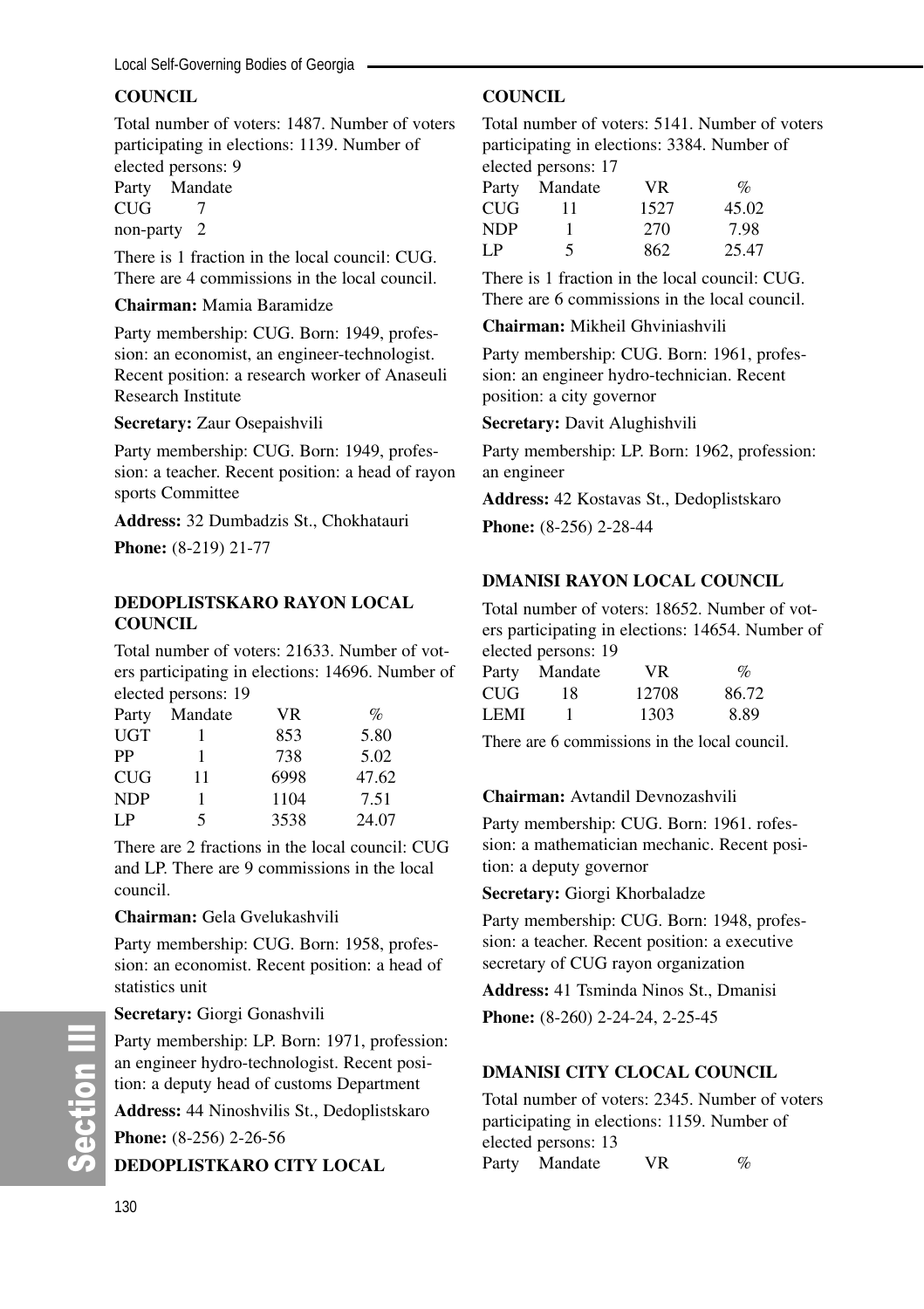# **COUNCIL**

Total number of voters: 1487. Number of voters participating in elections: 1139. Number of elected persons: 9 Party Mandate

CUG 7

non-party 2

There is 1 fraction in the local council: CUG. There are 4 commissions in the local council.

#### **Chairman:** Mamia Baramidze

Party membership: CUG. Born: 1949, profession: an economist, an engineer-technologist. Recent position: a research worker of Anaseuli Research Institute

**Secretary:** Zaur Osepaishvili

Party membership: CUG. Born: 1949, profession: a teacher. Recent position: a head of rayon sports Committee

**Address:** 32 Dumbadzis St., Chokhatauri

**Phone:** (8-219) 21-77

#### **DEDOPLISTSKARO RAYON LOCAL COUNCIL**

Total number of voters: 21633. Number of voters participating in elections: 14696. Number of elected persons: 19

| Party      | Mandate | VR   | $\%$  |
|------------|---------|------|-------|
| UGT        |         | 853  | 5.80  |
| PP         | 1       | 738  | 5.02  |
| <b>CUG</b> | 11      | 6998 | 47.62 |
| <b>NDP</b> |         | 1104 | 7.51  |
| LP         | 5       | 3538 | 24.07 |

There are 2 fractions in the local council: CUG and LP. There are 9 commissions in the local council.

#### **Chairman:** Gela Gvelukashvili

Party membership: CUG. Born: 1958, profession: an economist. Recent position: a head of statistics unit

#### **Secretary:** Giorgi Gonashvili

Party membership: LP. Born: 1971, profession: an engineer hydro-technologist. Recent position: a deputy head of customs Department **Address:** 44 Ninoshvilis St., Dedoplistskaro

**Phone:** (8-256) 2-26-56

**DEDOPLISTKARO CITY LOCAL**

### **COUNCIL**

Total number of voters: 5141. Number of voters participating in elections: 3384. Number of elected persons: 17

|     | $\bullet$ . $\bullet$ . $\bullet$ . $\bullet$ . $\bullet$ . $\bullet$ . $\bullet$ . $\bullet$ . $\bullet$ . $\bullet$ . $\bullet$ . $\bullet$ . $\bullet$ . $\bullet$ . $\bullet$ . $\bullet$ . $\bullet$ . $\bullet$ . $\bullet$ . $\bullet$ . $\bullet$ . $\bullet$ . $\bullet$ . $\bullet$ . $\bullet$ . $\bullet$ . $\bullet$ . $\bullet$ . $\bullet$ . $\bullet$ . $\bullet$ . $\bullet$ |      |                 |
|-----|-----------------------------------------------------------------------------------------------------------------------------------------------------------------------------------------------------------------------------------------------------------------------------------------------------------------------------------------------------------------------------------------------|------|-----------------|
|     | Party Mandate                                                                                                                                                                                                                                                                                                                                                                                 | VR.  | $\mathcal{O}_0$ |
| CUG | 11                                                                                                                                                                                                                                                                                                                                                                                            | 1527 | 45.02           |
| NDP |                                                                                                                                                                                                                                                                                                                                                                                               | 270  | 7.98            |
| LP  | 5                                                                                                                                                                                                                                                                                                                                                                                             | 862  | 25.47           |

There is 1 fraction in the local council: CUG. There are 6 commissions in the local council.

### **Chairman:** Mikheil Ghviniashvili

Party membership: CUG. Born: 1961, profession: an engineer hydro-technician. Recent position: a city governor

**Secretary:** Davit Alughishvili

Party membership: LP. Born: 1962, profession: an engineer

**Address:** 42 Kostavas St., Dedoplistskaro

**Phone:** (8-256) 2-28-44

#### **DMANISI RAYON LOCAL COUNCIL**

Total number of voters: 18652. Number of voters participating in elections: 14654. Number of elected persons: 19

| Party | Mandate | VR.   | $\%$  |
|-------|---------|-------|-------|
| CUG   | 18      | 12708 | 86.72 |
| LEMI  |         | 1303  | 8.89  |

There are 6 commissions in the local council.

#### **Chairman:** Avtandil Devnozashvili

Party membership: CUG. Born: 1961. rofession: a mathematician mechanic. Recent position: a deputy governor

**Secretary:** Giorgi Khorbaladze

Party membership: CUG. Born: 1948, profession: a teacher. Recent position: a executive secretary of CUG rayon organization

**Address:** 41 Tsminda Ninos St., Dmanisi

**Phone:** (8-260) 2-24-24, 2-25-45

#### **DMANISI CITY CLOCAL COUNCIL**

Total number of voters: 2345. Number of voters participating in elections: 1159. Number of elected persons: 13 Party Mandate VR %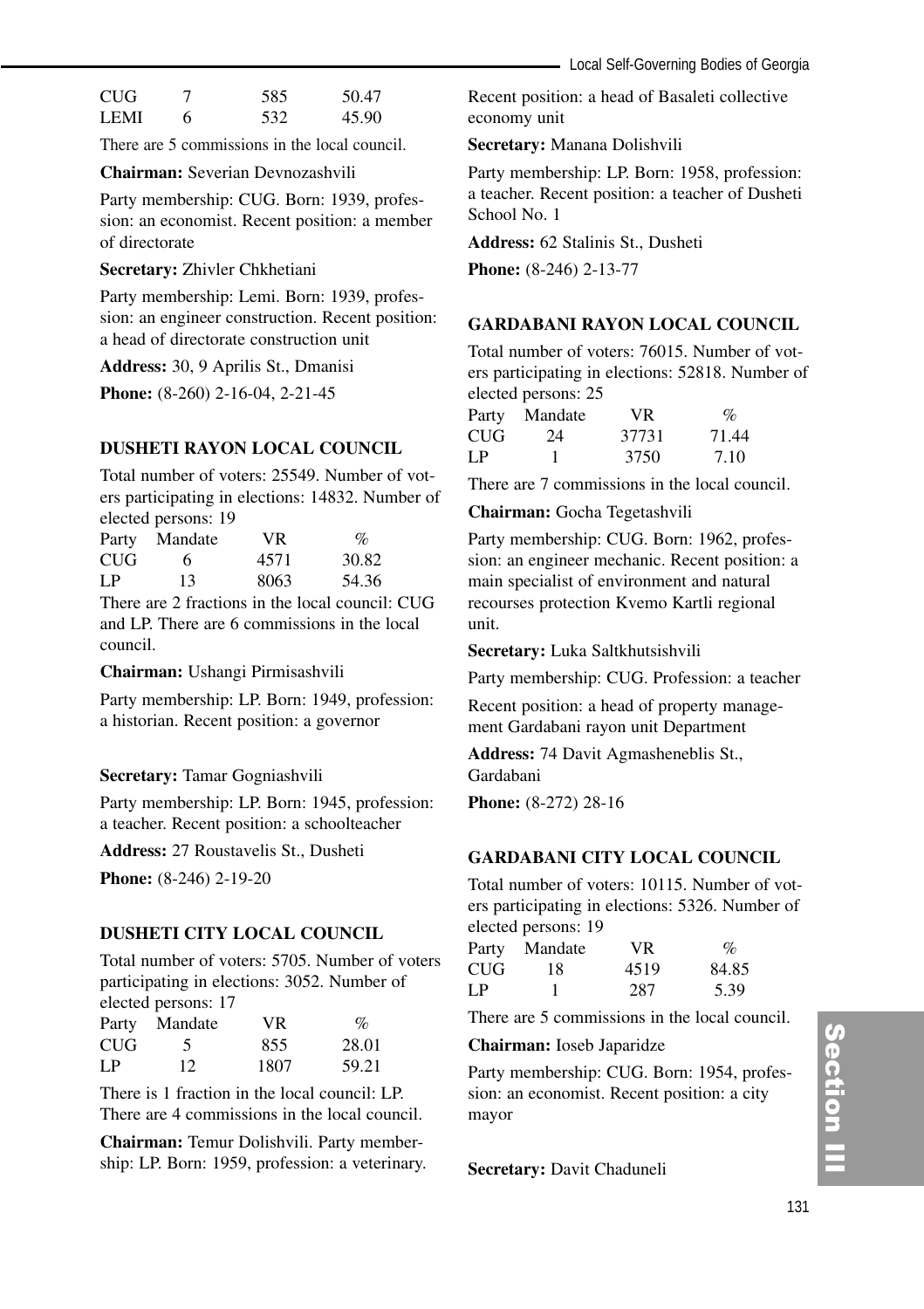| <b>CUG</b>  |   | 585 | 50.47 |
|-------------|---|-----|-------|
| <b>LEMI</b> | 6 | 532 | 45.90 |

There are 5 commissions in the local council.

#### **Chairman:** Severian Devnozashvili

Party membership: CUG. Born: 1939, profession: an economist. Recent position: a member of directorate

#### **Secretary:** Zhivler Chkhetiani

Party membership: Lemi. Born: 1939, profession: an engineer construction. Recent position: a head of directorate construction unit

**Address:** 30, 9 Aprilis St., Dmanisi

**Phone:** (8-260) 2-16-04, 2-21-45

#### **DUSHETI RAYON LOCAL COUNCIL**

Total number of voters: 25549. Number of voters participating in elections: 14832. Number of elected persons: 19

| Party | Mandate | VR.  | $\%$  |
|-------|---------|------|-------|
| CUG   | 6       | 4571 | 30.82 |
| LP    | 13      | 8063 | 54.36 |

There are 2 fractions in the local council: CUG and LP. There are 6 commissions in the local council.

**Chairman:** Ushangi Pirmisashvili

Party membership: LP. Born: 1949, profession: a historian. Recent position: a governor

#### **Secretary:** Tamar Gogniashvili

Party membership: LP. Born: 1945, profession: a teacher. Recent position: a schoolteacher

**Address:** 27 Roustavelis St., Dusheti

**Phone:** (8-246) 2-19-20

#### **DUSHETI CITY LOCAL COUNCIL**

Total number of voters: 5705. Number of voters participating in elections: 3052. Number of elected persons: 17

|     | Party Mandate | VR.  | $\%$  |
|-----|---------------|------|-------|
| CUG | 5             | 855  | 28.01 |
| LP  | 12            | 1807 | 59.21 |

There is 1 fraction in the local council: LP. There are 4 commissions in the local council.

**Chairman:** Temur Dolishvili. Party membership: LP. Born: 1959, profession: a veterinary.

Recent position: a head of Basaleti collective economy unit

#### **Secretary:** Manana Dolishvili

Party membership: LP. Born: 1958, profession: a teacher. Recent position: a teacher of Dusheti School No. 1

**Address:** 62 Stalinis St., Dusheti

**Phone:** (8-246) 2-13-77

#### **GARDABANI RAYON LOCAL COUNCIL**

Total number of voters: 76015. Number of voters participating in elections: 52818. Number of elected persons: 25

| Party | Mandate | VR.   | $\%$  |
|-------|---------|-------|-------|
| CUG   | 24      | 37731 | 71.44 |
| LP    |         | 3750  | 7.10  |

There are 7 commissions in the local council.

#### **Chairman:** Gocha Tegetashvili

Party membership: CUG. Born: 1962, profession: an engineer mechanic. Recent position: a main specialist of environment and natural recourses protection Kvemo Kartli regional unit.

**Secretary:** Luka Saltkhutsishvili

Party membership: CUG. Profession: a teacher

Recent position: a head of property management Gardabani rayon unit Department

**Address:** 74 Davit Agmasheneblis St., Gardabani

**Phone:** (8-272) 28-16

### **GARDABANI CITY LOCAL COUNCIL**

Total number of voters: 10115. Number of voters participating in elections: 5326. Number of elected persons: 19

| Party | Mandate | VR.  | $\%$  |
|-------|---------|------|-------|
| CUG-  | 18      | 4519 | 84.85 |
| LP.   |         | 287  | 5.39  |

There are 5 commissions in the local council.

#### **Chairman:** Ioseb Japaridze

Party membership: CUG. Born: 1954, profession: an economist. Recent position: a city mayor

**Secretary:** Davit Chaduneli

# Section III ction III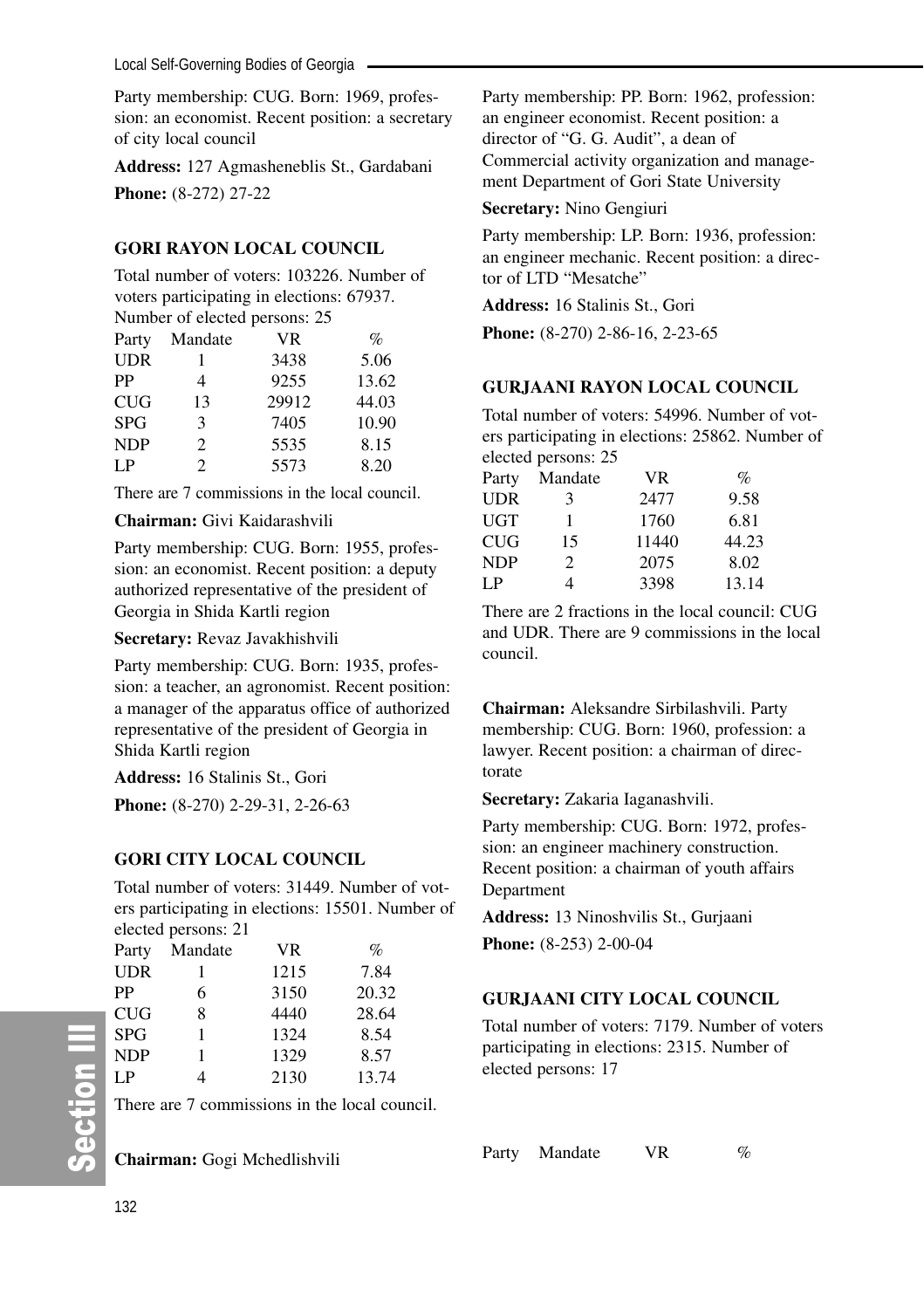Party membership: CUG. Born: 1969, profession: an economist. Recent position: a secretary of city local council

**Address:** 127 Agmasheneblis St., Gardabani **Phone:** (8-272) 27-22

#### **GORI RAYON LOCAL COUNCIL**

Total number of voters: 103226. Number of voters participating in elections: 67937. Number of elected persons: 25

|            |         | $1$ annoce of creeged persons. $25$ |       |
|------------|---------|-------------------------------------|-------|
| Party      | Mandate | VR                                  | $\%$  |
| <b>UDR</b> |         | 3438                                | 5.06  |
| PP         | 4       | 9255                                | 13.62 |
| <b>CUG</b> | 13      | 29912                               | 44.03 |
| <b>SPG</b> | 3       | 7405                                | 10.90 |
| <b>NDP</b> | 2       | 5535                                | 8.15  |
| LP         | 2       | 5573                                | 8.20  |
|            |         |                                     |       |

There are 7 commissions in the local council.

#### **Chairman:** Givi Kaidarashvili

Party membership: CUG. Born: 1955, profession: an economist. Recent position: a deputy authorized representative of the president of Georgia in Shida Kartli region

**Secretary:** Revaz Javakhishvili

Party membership: CUG. Born: 1935, profession: a teacher, an agronomist. Recent position: a manager of the apparatus office of authorized representative of the president of Georgia in Shida Kartli region

**Address:** 16 Stalinis St., Gori

**Phone:** (8-270) 2-29-31, 2-26-63

# **GORI CITY LOCAL COUNCIL**

Total number of voters: 31449. Number of voters participating in elections: 15501. Number of elected persons: 21

| Party      | Mandate | <b>VR</b> | $\%$  |
|------------|---------|-----------|-------|
| <b>UDR</b> |         | 1215      | 7.84  |
| PP         | 6       | 3150      | 20.32 |
| <b>CUG</b> | 8       | 4440      | 28.64 |
| <b>SPG</b> |         | 1324      | 8.54  |
| <b>NDP</b> |         | 1329      | 8.57  |
| LP         | 4       | 2130      | 13.74 |

There are 7 commissions in the local council.

**Chairman:** Gogi Mchedlishvili

Party membership: PP. Born: 1962, profession: an engineer economist. Recent position: a director of "G. G. Audit", a dean of Commercial activity organization and management Department of Gori State University

#### **Secretary:** Nino Gengiuri

Party membership: LP. Born: 1936, profession: an engineer mechanic. Recent position: a director of LTD "Mesatche"

**Address:** 16 Stalinis St., Gori **Phone:** (8-270) 2-86-16, 2-23-65

#### **GURJAANI RAYON LOCAL COUNCIL**

Total number of voters: 54996. Number of voters participating in elections: 25862. Number of elected persons: 25

| Party | Mandate        | VR.   | $\%$  |
|-------|----------------|-------|-------|
| UDR   | 3              | 2477  | 9.58  |
| UGT   | 1              | 1760  | 6.81  |
| CUG   | 15             | 11440 | 44.23 |
| NDP   | $\mathfrak{D}$ | 2075  | 8.02  |
| I P   | 4              | 3398  | 13.14 |

There are 2 fractions in the local council: CUG and UDR. There are 9 commissions in the local council.

**Chairman:** Aleksandre Sirbilashvili. Party membership: CUG. Born: 1960, profession: a lawyer. Recent position: a chairman of directorate

**Secretary:** Zakaria Iaganashvili.

Party membership: CUG. Born: 1972, profession: an engineer machinery construction. Recent position: a chairman of youth affairs Department

**Address:** 13 Ninoshvilis St., Gurjaani **Phone:** (8-253) 2-00-04

# **GURJAANI CITY LOCAL COUNCIL**

Total number of voters: 7179. Number of voters participating in elections: 2315. Number of elected persons: 17

Party Mandate VR %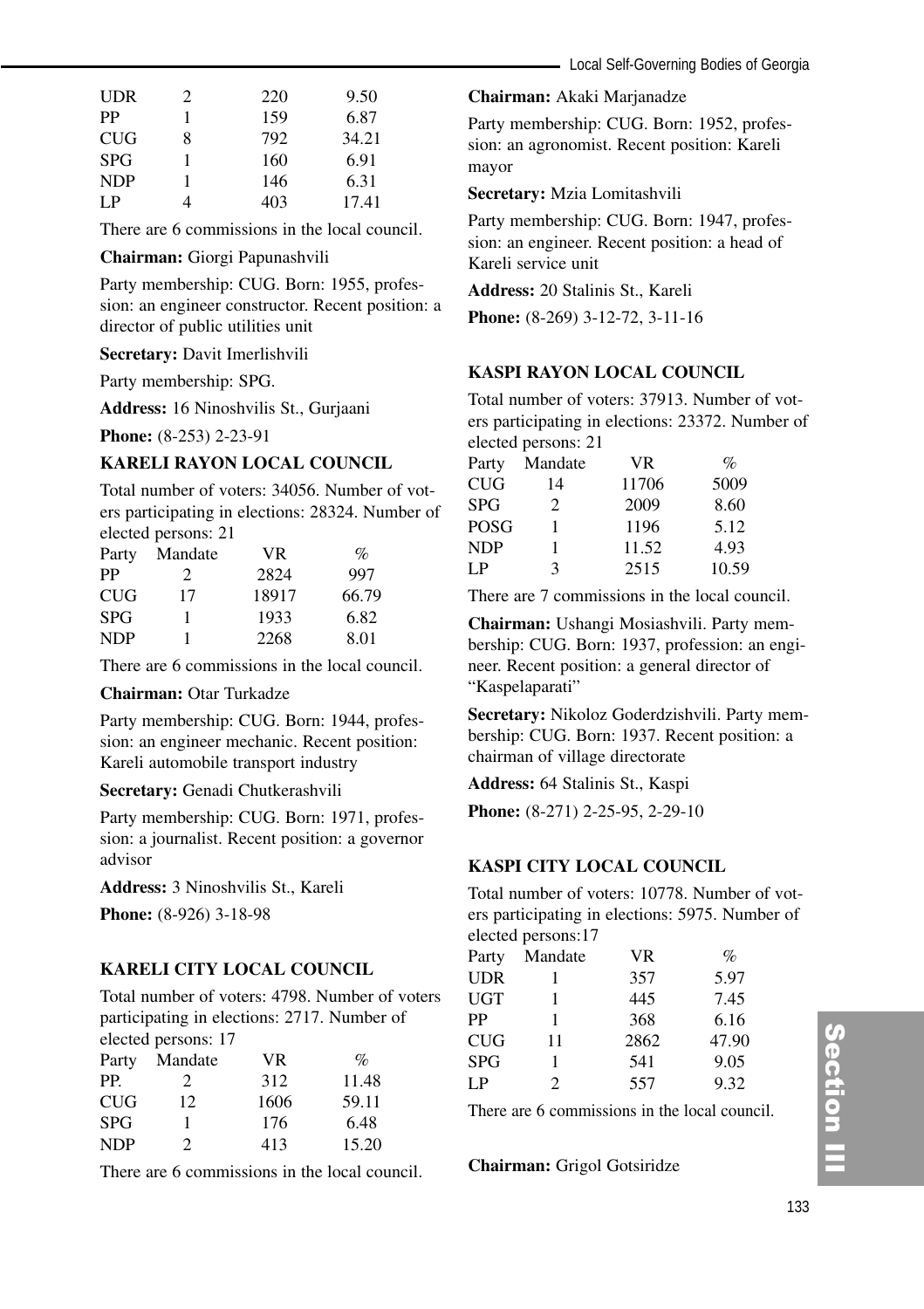| UDR        | 2 | 220 | 9.50  |
|------------|---|-----|-------|
| PP         |   | 159 | 6.87  |
| <b>CUG</b> | 8 | 792 | 34.21 |
| <b>SPG</b> |   | 160 | 6.91  |
| <b>NDP</b> |   | 146 | 6.31  |
| I P        |   | 403 | 17.41 |

There are 6 commissions in the local council.

**Chairman:** Giorgi Papunashvili

Party membership: CUG. Born: 1955, profession: an engineer constructor. Recent position: a director of public utilities unit

**Secretary:** Davit Imerlishvili

Party membership: SPG.

**Address:** 16 Ninoshvilis St., Gurjaani

**Phone:** (8-253) 2-23-91

#### **KARELI RAYON LOCAL COUNCIL**

Total number of voters: 34056. Number of voters participating in elections: 28324. Number of elected persons: 21

| Party      | Mandate | <b>VR</b> | $\%$  |
|------------|---------|-----------|-------|
| PP         | 2       | 2824      | 997   |
| <b>CUG</b> | 17      | 18917     | 66.79 |
| <b>SPG</b> |         | 1933      | 6.82  |
| <b>NDP</b> |         | 2268      | 8.01  |

There are 6 commissions in the local council.

#### **Chairman:** Otar Turkadze

Party membership: CUG. Born: 1944, profession: an engineer mechanic. Recent position: Kareli automobile transport industry

**Secretary:** Genadi Chutkerashvili

Party membership: CUG. Born: 1971, profession: a journalist. Recent position: a governor advisor

**Address:** 3 Ninoshvilis St., Kareli

**Phone:** (8-926) 3-18-98

#### **KARELI CITY LOCAL COUNCIL**

Total number of voters: 4798. Number of voters participating in elections: 2717. Number of elected persons: 17

|            | $\alpha$ |      |       |  |  |  |
|------------|----------|------|-------|--|--|--|
| Party      | Mandate  | VR.  | $\%$  |  |  |  |
| PP.        | 2        | 312  | 11.48 |  |  |  |
| <b>CUG</b> | 12.      | 1606 | 59.11 |  |  |  |
| <b>SPG</b> |          | 176  | 6.48  |  |  |  |
| <b>NDP</b> | 2        | 413  | 15.20 |  |  |  |
|            |          |      |       |  |  |  |

There are 6 commissions in the local council.

#### **Chairman:** Akaki Marjanadze

Party membership: CUG. Born: 1952, profession: an agronomist. Recent position: Kareli mayor

**Secretary:** Mzia Lomitashvili

Party membership: CUG. Born: 1947, profession: an engineer. Recent position: a head of Kareli service unit

**Address:** 20 Stalinis St., Kareli

**Phone:** (8-269) 3-12-72, 3-11-16

# **KASPI RAYON LOCAL COUNCIL**

Total number of voters: 37913. Number of voters participating in elections: 23372. Number of elected persons: 21

|            | $\frac{1}{2}$ |           |                  |
|------------|---------------|-----------|------------------|
| Party      | Mandate       | <b>VR</b> | $\mathcal{O}'_0$ |
| CUG        | 14            | 11706     | 5009             |
| <b>SPG</b> | 2             | 2009      | 8.60             |
| POSG       |               | 1196      | 5.12             |
| <b>NDP</b> |               | 11.52     | 4.93             |
| LP         | 3             | 2515      | 10.59            |

There are 7 commissions in the local council.

**Chairman:** Ushangi Mosiashvili. Party membership: CUG. Born: 1937, profession: an engineer. Recent position: a general director of "Kaspelaparati"

**Secretary:** Nikoloz Goderdzishvili. Party membership: CUG. Born: 1937. Recent position: a chairman of village directorate

**Address:** 64 Stalinis St., Kaspi

**Phone:** (8-271) 2-25-95, 2-29-10

#### **KASPI CITY LOCAL COUNCIL**

Total number of voters: 10778. Number of voters participating in elections: 5975. Number of elected persons:17

| Party      | Mandate        | <b>VR</b> | $\%$  |
|------------|----------------|-----------|-------|
| <b>UDR</b> |                | 357       | 5.97  |
| <b>UGT</b> |                | 445       | 7.45  |
| PP         | 1              | 368       | 6.16  |
| <b>CUG</b> | 11             | 2862      | 47.90 |
| <b>SPG</b> |                | 541       | 9.05  |
| LP         | $\mathfrak{D}$ | 557       | 9.32  |

There are 6 commissions in the local council.

**Chairman:** Grigol Gotsiridze

# Section II ction III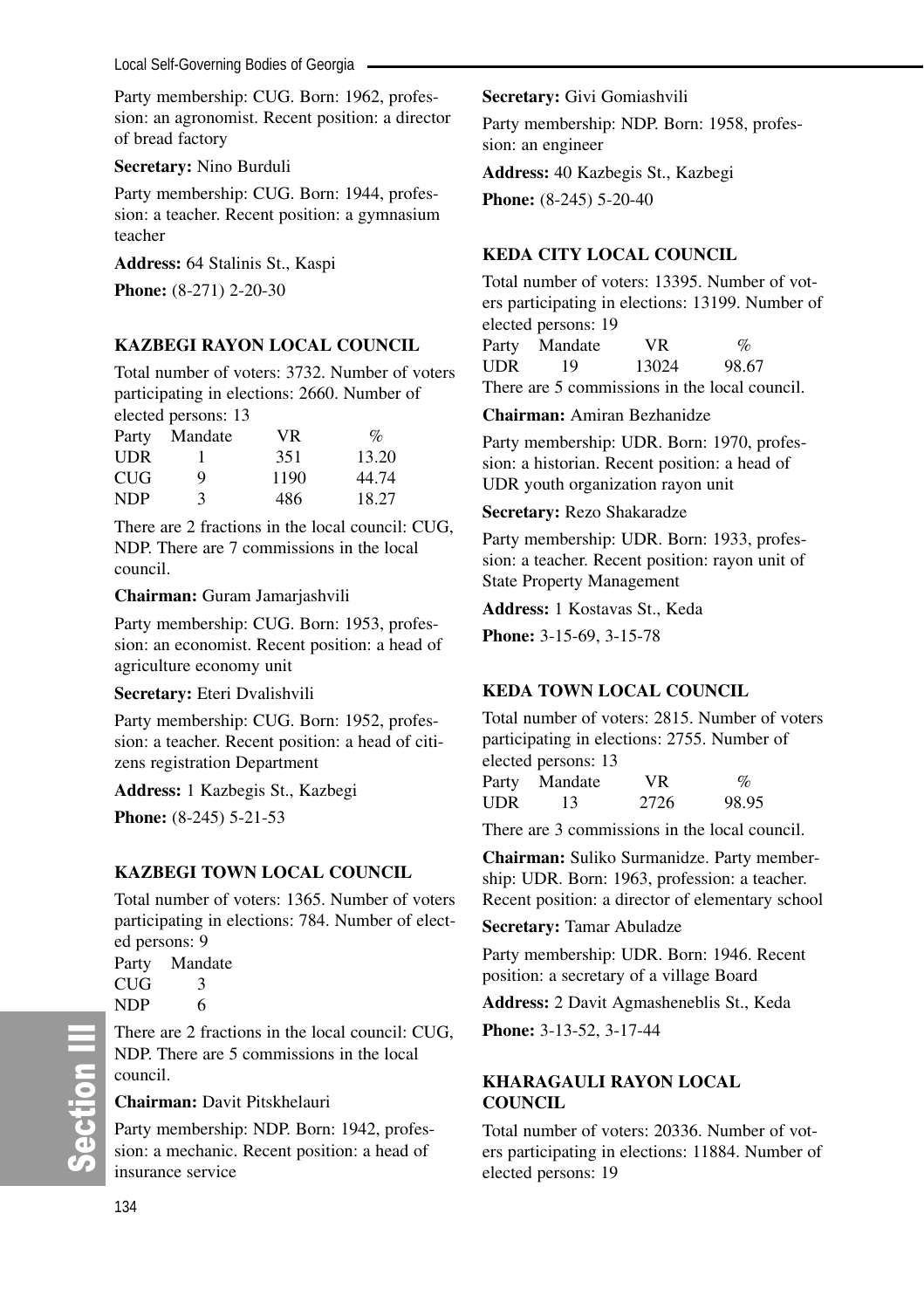Party membership: CUG. Born: 1962, profession: an agronomist. Recent position: a director of bread factory

**Secretary:** Nino Burduli

Party membership: CUG. Born: 1944, profession: a teacher. Recent position: a gymnasium teacher

**Address:** 64 Stalinis St., Kaspi

**Phone:** (8-271) 2-20-30

# **KAZBEGI RAYON LOCAL COUNCIL**

Total number of voters: 3732. Number of voters participating in elections: 2660. Number of elected persons: 13

| Party      | Mandate | VR.  | $\%$  |
|------------|---------|------|-------|
| <b>UDR</b> |         | 351  | 13.20 |
| <b>CUG</b> | 9       | 1190 | 44.74 |
| NDP        | 3       | 486  | 18.27 |

There are 2 fractions in the local council: CUG, NDP. There are 7 commissions in the local council.

**Chairman:** Guram Jamarjashvili

Party membership: CUG. Born: 1953, profession: an economist. Recent position: a head of agriculture economy unit

**Secretary:** Eteri Dvalishvili

Party membership: CUG. Born: 1952, profession: a teacher. Recent position: a head of citizens registration Department

**Address:** 1 Kazbegis St., Kazbegi **Phone:** (8-245) 5-21-53

# **KAZBEGI TOWN LOCAL COUNCIL**

Total number of voters: 1365. Number of voters participating in elections: 784. Number of elected persons: 9

Party Mandate  $CUG$  3 NDP 6

There are 2 fractions in the local council: CUG, NDP. There are 5 commissions in the local council.

# **Chairman:** Davit Pitskhelauri

Party membership: NDP. Born: 1942, profession: a mechanic. Recent position: a head of insurance service

# **Secretary:** Givi Gomiashvili

Party membership: NDP. Born: 1958, profession: an engineer

**Address:** 40 Kazbegis St., Kazbegi

**Phone:**  $(8-245)$  5-20-40

# **KEDA CITY LOCAL COUNCIL**

Total number of voters: 13395. Number of voters participating in elections: 13199. Number of elected persons: 19 Party Mandate VR %

UDR 19 13024 98.67

There are 5 commissions in the local council.

# **Chairman:** Amiran Bezhanidze

Party membership: UDR. Born: 1970, profession: a historian. Recent position: a head of UDR youth organization rayon unit

#### **Secretary:** Rezo Shakaradze

Party membership: UDR. Born: 1933, profession: a teacher. Recent position: rayon unit of State Property Management

**Address:** 1 Kostavas St., Keda

**Phone:** 3-15-69, 3-15-78

# **KEDA TOWN LOCAL COUNCIL**

Total number of voters: 2815. Number of voters participating in elections: 2755. Number of elected persons: 13

| Party      | Mandate | VR.  | $\%$  |
|------------|---------|------|-------|
| <b>UDR</b> | 13      | 2726 | 98.95 |

There are 3 commissions in the local council.

**Chairman:** Suliko Surmanidze. Party membership: UDR. Born: 1963, profession: a teacher. Recent position: a director of elementary school

#### **Secretary:** Tamar Abuladze

Party membership: UDR. Born: 1946. Recent position: a secretary of a village Board

**Address:** 2 Davit Agmasheneblis St., Keda **Phone:** 3-13-52, 3-17-44

# **KHARAGAULI RAYON LOCAL COUNCIL**

Total number of voters: 20336. Number of voters participating in elections: 11884. Number of elected persons: 19

တိ

**Ction III**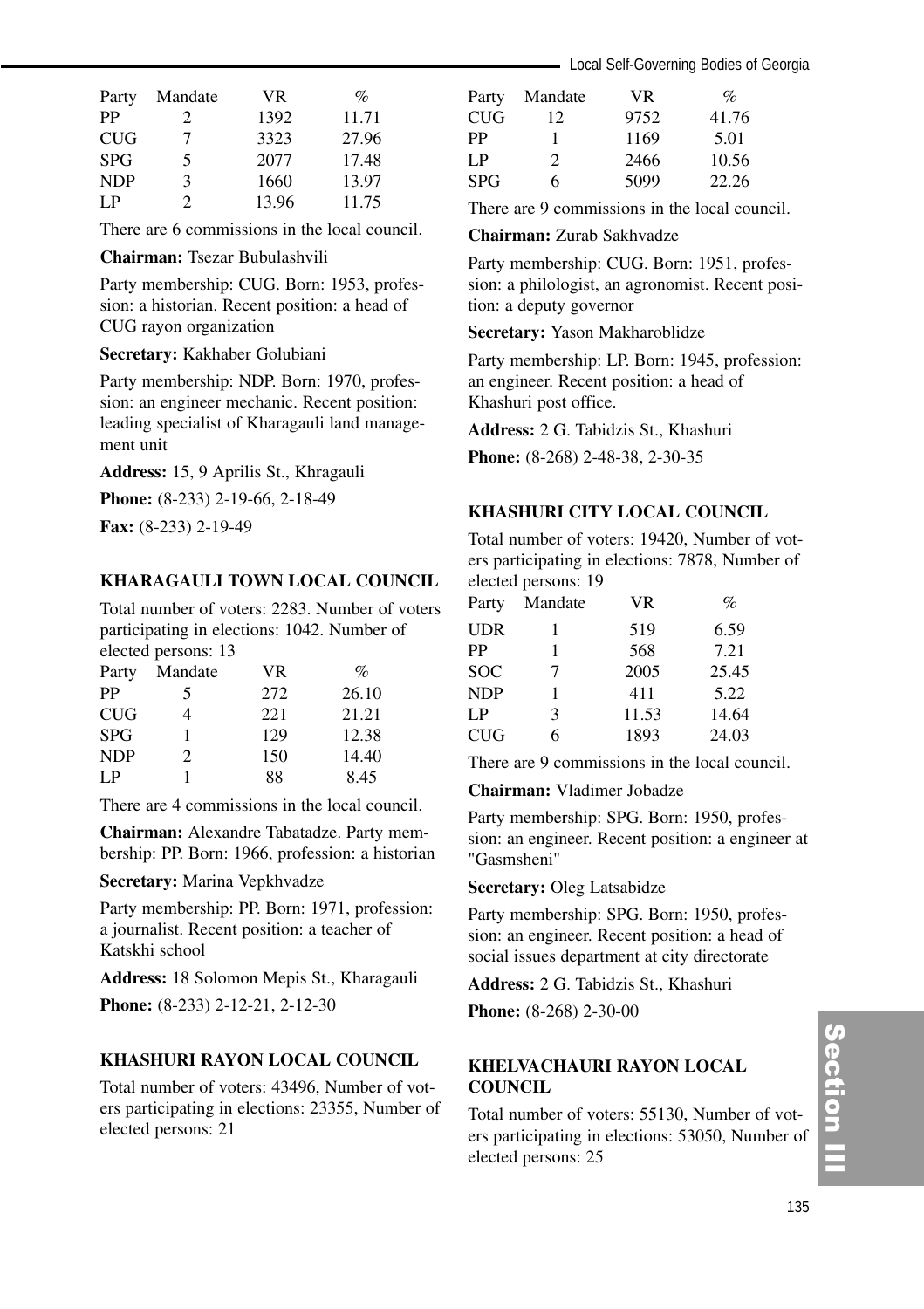| Party      | Mandate | VR.   | %     |
|------------|---------|-------|-------|
| PP         | 2       | 1392  | 11.71 |
| <b>CUG</b> | 7       | 3323  | 27.96 |
| <b>SPG</b> | 5       | 2077  | 17.48 |
| <b>NDP</b> | ٩       | 1660  | 13.97 |
| I P        | 2       | 13.96 | 11.75 |

There are 6 commissions in the local council.

#### **Chairman:** Tsezar Bubulashvili

Party membership: CUG. Born: 1953, profession: a historian. Recent position: a head of CUG rayon organization

#### **Secretary:** Kakhaber Golubiani

Party membership: NDP. Born: 1970, profession: an engineer mechanic. Recent position: leading specialist of Kharagauli land management unit

**Address:** 15, 9 Aprilis St., Khragauli

**Phone:** (8-233) 2-19-66, 2-18-49

**Fax:** (8-233) 2-19-49

#### **KHARAGAULI TOWN LOCAL COUNCIL**

Total number of voters: 2283. Number of voters participating in elections: 1042. Number of elected persons: 13

| Party      | Mandate       | VR.  | %     |
|------------|---------------|------|-------|
| PP         | 5             | 272  | 26.10 |
| <b>CUG</b> | 4             | 22.1 | 21.21 |
| <b>SPG</b> |               | 129  | 12.38 |
| <b>NDP</b> | $\mathcal{P}$ | 150  | 14.40 |
| I P        |               | 88   | 8.45  |

There are 4 commissions in the local council.

**Chairman:** Alexandre Tabatadze. Party membership: PP. Born: 1966, profession: a historian

**Secretary:** Marina Vepkhvadze

Party membership: PP. Born: 1971, profession: a journalist. Recent position: a teacher of Katskhi school

**Address:** 18 Solomon Mepis St., Kharagauli **Phone:** (8-233) 2-12-21, 2-12-30

### **KHASHURI RAYON LOCAL COUNCIL**

Total number of voters: 43496, Number of voters participating in elections: 23355, Number of elected persons: 21

| Party      | Mandate                     | VR.  | $\%$  |
|------------|-----------------------------|------|-------|
| <b>CUG</b> | 12                          | 9752 | 41.76 |
| PP         |                             | 1169 | 5.01  |
| LP.        | $\mathcal{D}_{\mathcal{L}}$ | 2466 | 10.56 |
| <b>SPG</b> | 6                           | 5099 | 22.26 |

There are 9 commissions in the local council.

#### **Chairman:** Zurab Sakhvadze

Party membership: CUG. Born: 1951, profession: a philologist, an agronomist. Recent position: a deputy governor

#### **Secretary:** Yason Makharoblidze

Party membership: LP. Born: 1945, profession: an engineer. Recent position: a head of Khashuri post office.

**Address:** 2 G. Tabidzis St., Khashuri

**Phone:** (8-268) 2-48-38, 2-30-35

#### **KHASHURI CITY LOCAL COUNCIL**

Total number of voters: 19420, Number of voters participating in elections: 7878, Number of elected persons: 19

| Party      | Mandate       | <b>VR</b> | $\%$  |
|------------|---------------|-----------|-------|
| <b>UDR</b> |               | 519       | 6.59  |
| PP         | 1             | 568       | 7.21  |
| <b>SOC</b> | 7             | 2005      | 25.45 |
| <b>NDP</b> | 1             | 411       | 5.22  |
| LP         | $\mathcal{F}$ | 11.53     | 14.64 |
| <b>CUG</b> | 6             | 1893      | 24.03 |

There are 9 commissions in the local council.

**Chairman:** Vladimer Jobadze

Party membership: SPG. Born: 1950, profession: an engineer. Recent position: a engineer at "Gasmsheni"

**Secretary:** Oleg Latsabidze

Party membership: SPG. Born: 1950, profession: an engineer. Recent position: a head of social issues department at city directorate

**Address:** 2 G. Tabidzis St., Khashuri

**Phone:** (8-268) 2-30-00

#### **KHELVACHAURI RAYON LOCAL COUNCIL**

Total number of voters: 55130, Number of voters participating in elections: 53050, Number of elected persons: 25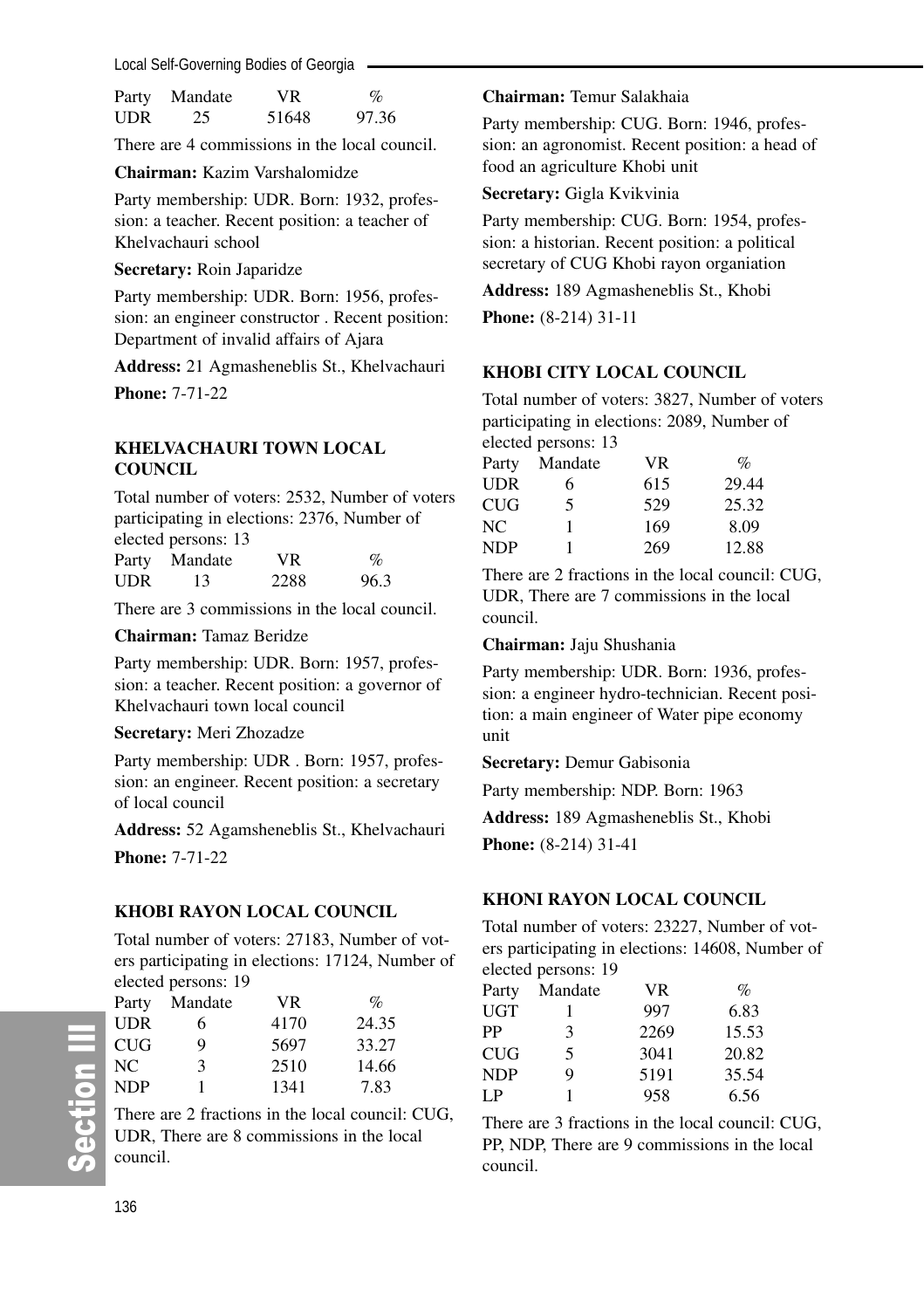Local Self-Governing Bodies of Georgia

| Party      | Mandate | VR    | $\%$  |
|------------|---------|-------|-------|
| <b>UDR</b> | 25      | 51648 | 97.36 |

There are 4 commissions in the local council.

**Chairman:** Kazim Varshalomidze

Party membership: UDR. Born: 1932, profession: a teacher. Recent position: a teacher of Khelvachauri school

#### **Secretary:** Roin Japaridze

Party membership: UDR. Born: 1956, profession: an engineer constructor . Recent position: Department of invalid affairs of Ajara

**Address:** 21 Agmasheneblis St., Khelvachauri **Phone:** 7-71-22

#### **KHELVACHAURI TOWN LOCAL COUNCIL**

Total number of voters: 2532, Number of voters participating in elections: 2376, Number of elected persons: 13 Party Mandate VR %

| 2288<br>96.3<br><b>UDR</b><br>13 | - --- - , |  |  |
|----------------------------------|-----------|--|--|
|                                  |           |  |  |

There are 3 commissions in the local council.

#### **Chairman:** Tamaz Beridze

Party membership: UDR. Born: 1957, profession: a teacher. Recent position: a governor of Khelvachauri town local council

#### **Secretary:** Meri Zhozadze

Party membership: UDR . Born: 1957, profession: an engineer. Recent position: a secretary of local council

**Address:** 52 Agamsheneblis St., Khelvachauri

**Phone:** 7-71-22

#### **KHOBI RAYON LOCAL COUNCIL**

Total number of voters: 27183, Number of voters participating in elections: 17124, Number of elected persons: 19

| Party      | Mandate | VR.  | $\%$  |
|------------|---------|------|-------|
| <b>UDR</b> | 6       | 4170 | 24.35 |
| <b>CUG</b> | 9       | 5697 | 33.27 |
| NC.        | 3       | 2510 | 14.66 |
| <b>NDP</b> |         | 1341 | 7.83  |

There are 2 fractions in the local council: CUG, UDR, There are 8 commissions in the local council.

#### **Chairman:** Temur Salakhaia

Party membership: CUG. Born: 1946, profession: an agronomist. Recent position: a head of food an agriculture Khobi unit

#### **Secretary:** Gigla Kvikvinia

Party membership: CUG. Born: 1954, profession: a historian. Recent position: a political secretary of CUG Khobi rayon organiation

**Address:** 189 Agmasheneblis St., Khobi

**Phone:** (8-214) 31-11

#### **KHOBI CITY LOCAL COUNCIL**

Total number of voters: 3827, Number of voters participating in elections: 2089, Number of elected persons: 13

|       | $\alpha$ . The persons $\alpha$ |           |                 |
|-------|---------------------------------|-----------|-----------------|
| Party | Mandate                         | <b>VR</b> | $\mathcal{O}_0$ |
| UDR   | 6                               | 615       | 29.44           |
| CUG   | 5                               | 529       | 25.32           |
| NC    | 1                               | 169       | 8.09            |
| NDP   |                                 | 269       | 12.88           |
|       |                                 |           |                 |

There are 2 fractions in the local council: CUG, UDR, There are 7 commissions in the local council.

**Chairman:** Jaju Shushania

Party membership: UDR. Born: 1936, profession: a engineer hydro-technician. Recent position: a main engineer of Water pipe economy unit

**Secretary:** Demur Gabisonia

Party membership: NDP. Born: 1963

**Address:** 189 Agmasheneblis St., Khobi

**Phone:** (8-214) 31-41

# **KHONI RAYON LOCAL COUNCIL**

Total number of voters: 23227, Number of voters participating in elections: 14608, Number of elected persons: 19

| Party | Mandate | VR.  | $\%$  |
|-------|---------|------|-------|
| UGT   |         | 997  | 6.83  |
| РP    | 3       | 2269 | 15.53 |
| CUG   | 5       | 3041 | 20.82 |
| NDP   | 9       | 5191 | 35.54 |
| I P   | 1       | 958  | 6.56  |

There are 3 fractions in the local council: CUG, PP, NDP, There are 9 commissions in the local council.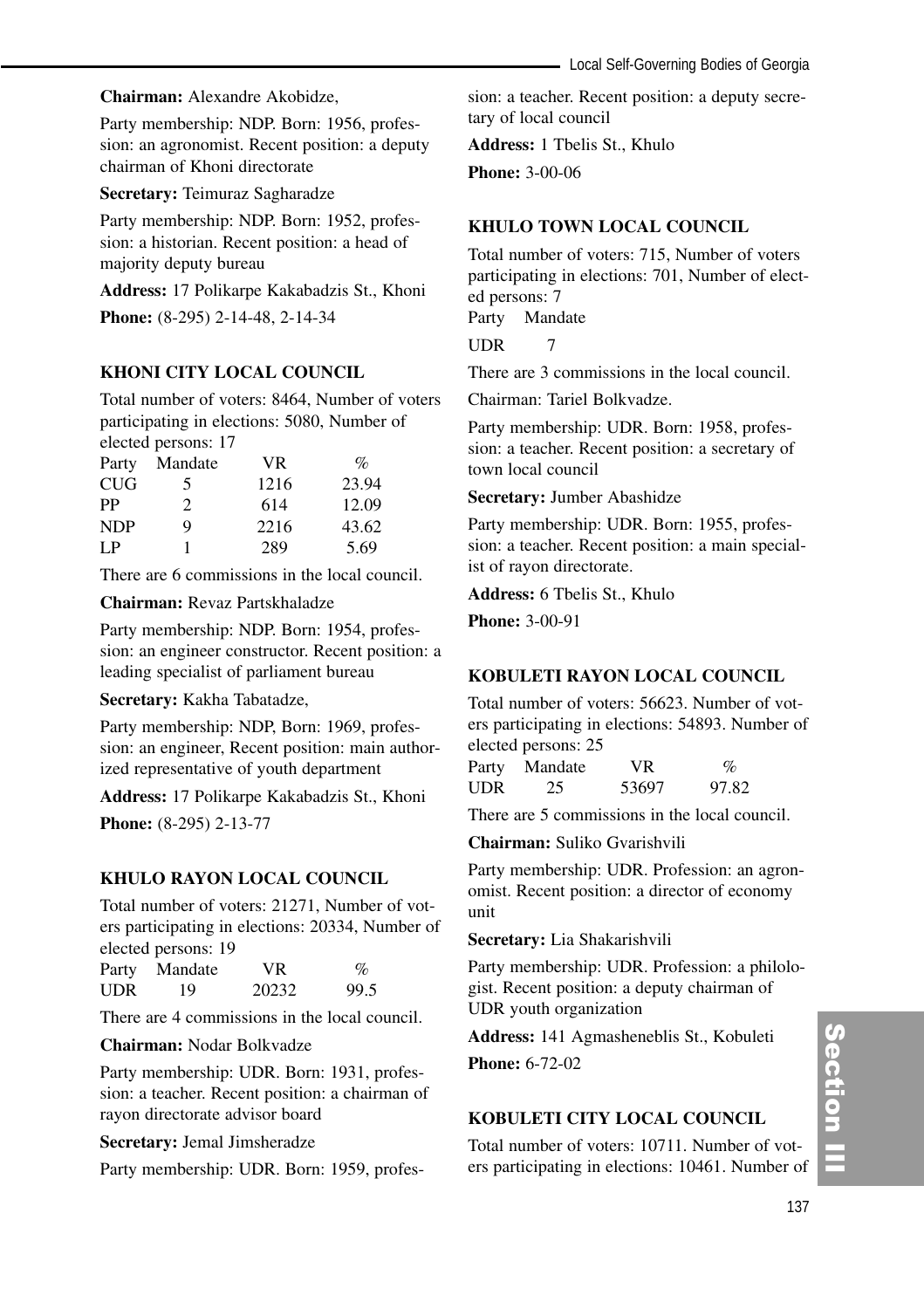**Chairman:** Alexandre Akobidze,

Party membership: NDP. Born: 1956, profession: an agronomist. Recent position: a deputy chairman of Khoni directorate

**Secretary:** Teimuraz Sagharadze

Party membership: NDP. Born: 1952, profession: a historian. Recent position: a head of majority deputy bureau

**Address:** 17 Polikarpe Kakabadzis St., Khoni **Phone:** (8-295) 2-14-48, 2-14-34

# **KHONI CITY LOCAL COUNCIL**

Total number of voters: 8464, Number of voters participating in elections: 5080, Number of elected persons: 17

| Party      | Mandate       | <b>VR</b> | $\%$  |
|------------|---------------|-----------|-------|
| <b>CUG</b> | 5             | 1216      | 23.94 |
| PP         | $\mathcal{L}$ | 614       | 12.09 |
| <b>NDP</b> | Q             | 2216      | 43.62 |
| LP         |               | 289       | 5.69  |

There are 6 commissions in the local council.

**Chairman:** Revaz Partskhaladze

Party membership: NDP. Born: 1954, profession: an engineer constructor. Recent position: a leading specialist of parliament bureau

**Secretary:** Kakha Tabatadze,

Party membership: NDP, Born: 1969, profession: an engineer, Recent position: main authorized representative of youth department

**Address:** 17 Polikarpe Kakabadzis St., Khoni **Phone:** (8-295) 2-13-77

#### **KHULO RAYON LOCAL COUNCIL**

Total number of voters: 21271, Number of voters participating in elections: 20334, Number of elected persons: 19

| Party | Mandate | VR.   | %    |
|-------|---------|-------|------|
| UDR   | 19      | 20232 | 99.5 |

There are 4 commissions in the local council.

#### **Chairman:** Nodar Bolkvadze

Party membership: UDR. Born: 1931, profession: a teacher. Recent position: a chairman of rayon directorate advisor board

**Secretary:** Jemal Jimsheradze

Party membership: UDR. Born: 1959, profes-

sion: a teacher. Recent position: a deputy secretary of local council

**Address:** 1 Tbelis St., Khulo

**Phone:** 3-00-06

#### **KHULO TOWN LOCAL COUNCIL**

Total number of voters: 715, Number of voters participating in elections: 701, Number of elected persons: 7 Party Mandate

UDR 7

There are 3 commissions in the local council.

Chairman: Tariel Bolkvadze.

Party membership: UDR. Born: 1958, profession: a teacher. Recent position: a secretary of town local council

**Secretary:** Jumber Abashidze

Party membership: UDR. Born: 1955, profession: a teacher. Recent position: a main specialist of rayon directorate.

**Address:** 6 Tbelis St., Khulo

**Phone:** 3-00-91

# **KOBULETI RAYON LOCAL COUNCIL**

Total number of voters: 56623. Number of voters participating in elections: 54893. Number of elected persons: 25

| Party | Mandate | VR.   | $\%$  |
|-------|---------|-------|-------|
| UDR   | 25      | 53697 | 97.82 |

There are 5 commissions in the local council.

# **Chairman:** Suliko Gvarishvili

Party membership: UDR. Profession: an agronomist. Recent position: a director of economy unit

**Secretary:** Lia Shakarishvili

Party membership: UDR. Profession: a philologist. Recent position: a deputy chairman of UDR youth organization

**Address:** 141 Agmasheneblis St., Kobuleti

**Phone:** 6-72-02

#### **KOBULETI CITY LOCAL COUNCIL**

Total number of voters: 10711. Number of voters participating in elections: 10461. Number of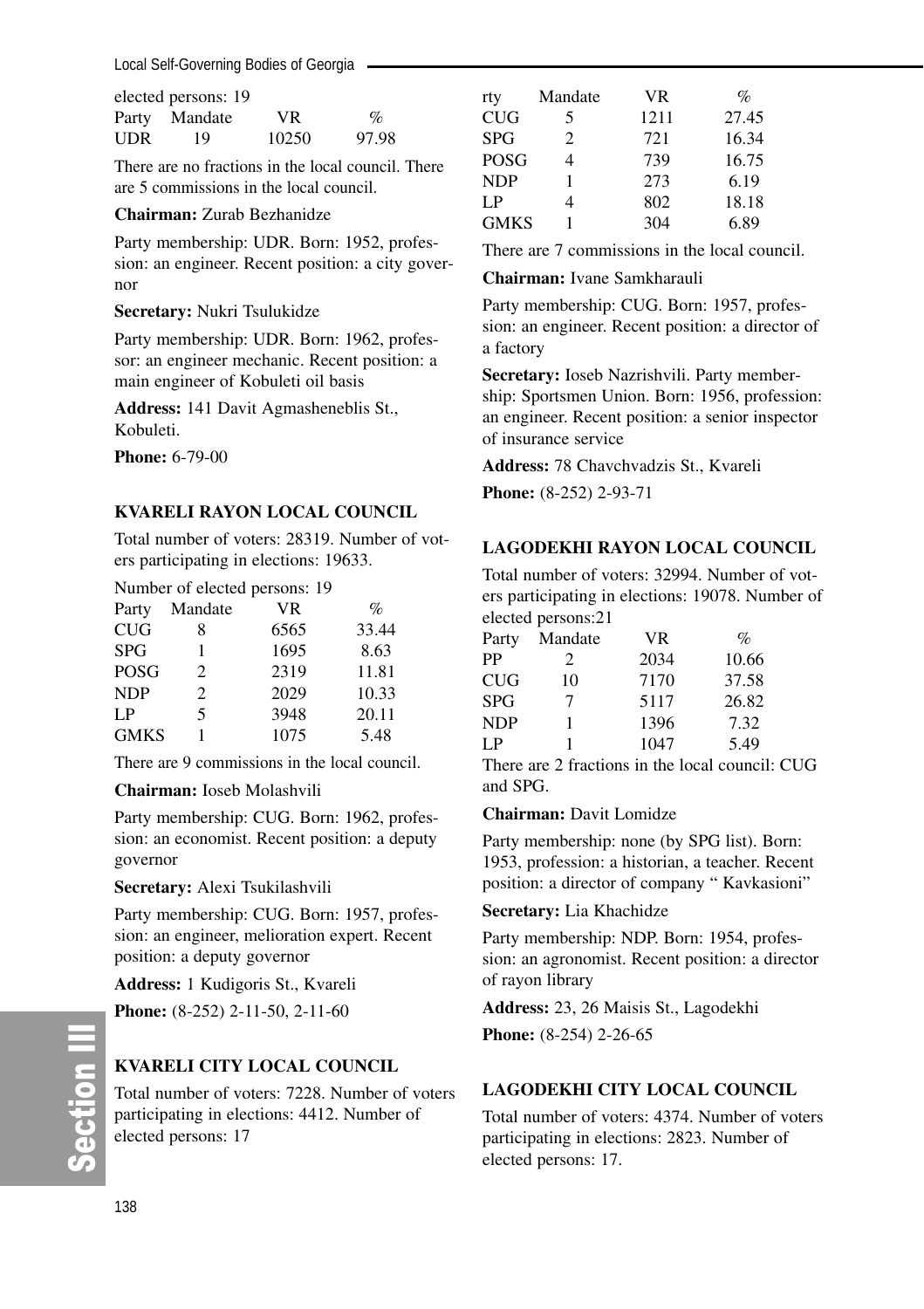Local Self-Governing Bodies of Georgia

|     | elected persons: 19 |       |                 |
|-----|---------------------|-------|-----------------|
|     | Party Mandate       | VR.   | $\mathcal{O}_D$ |
| UDR | 19                  | 10250 | 97.98           |

There are no fractions in the local council. There are 5 commissions in the local council.

### **Chairman:** Zurab Bezhanidze

Party membership: UDR. Born: 1952, profession: an engineer. Recent position: a city governor

#### **Secretary:** Nukri Tsulukidze

Party membership: UDR. Born: 1962, professor: an engineer mechanic. Recent position: a main engineer of Kobuleti oil basis

**Address:** 141 Davit Agmasheneblis St., Kobuleti.

**Phone:** 6-79-00

#### **KVARELI RAYON LOCAL COUNCIL**

Total number of voters: 28319. Number of voters participating in elections: 19633.

Number of elected persons: 19

| Party       | Mandate        | VR   | $\%$  |
|-------------|----------------|------|-------|
| CUG         | 8              | 6565 | 33.44 |
| <b>SPG</b>  |                | 1695 | 8.63  |
| POSG        | $\mathfrak{D}$ | 2319 | 11.81 |
| <b>NDP</b>  | 2              | 2029 | 10.33 |
| I P         | 5              | 3948 | 20.11 |
| <b>GMKS</b> |                | 1075 | 5.48  |

There are 9 commissions in the local council.

#### **Chairman:** Ioseb Molashvili

Party membership: CUG. Born: 1962, profession: an economist. Recent position: a deputy governor

**Secretary:** Alexi Tsukilashvili

Party membership: CUG. Born: 1957, profession: an engineer, melioration expert. Recent position: a deputy governor

**Address:** 1 Kudigoris St., Kvareli

**Phone:** (8-252) 2-11-50, 2-11-60

# **KVARELI CITY LOCAL COUNCIL**

Total number of voters: 7228. Number of voters participating in elections: 4412. Number of elected persons: 17

| rty         | Mandate        | VR   | $\%$  |
|-------------|----------------|------|-------|
| <b>CUG</b>  | 5              | 1211 | 27.45 |
| <b>SPG</b>  | $\mathfrak{D}$ | 721  | 16.34 |
| POSG        | 4              | 739  | 16.75 |
| <b>NDP</b>  |                | 273  | 6.19  |
| I P         | 4              | 802  | 18.18 |
| <b>GMKS</b> |                | 304  | 6.89  |

There are 7 commissions in the local council.

**Chairman:** Ivane Samkharauli

Party membership: CUG. Born: 1957, profession: an engineer. Recent position: a director of a factory

**Secretary:** Ioseb Nazrishvili. Party membership: Sportsmen Union. Born: 1956, profession: an engineer. Recent position: a senior inspector of insurance service

**Address:** 78 Chavchvadzis St., Kvareli

**Phone:** (8-252) 2-93-71

# **LAGODEKHI RAYON LOCAL COUNCIL**

Total number of voters: 32994. Number of voters participating in elections: 19078. Number of elected persons:21

| Mandate | <b>VR</b> | $\%$  |
|---------|-----------|-------|
| 2       | 2034      | 10.66 |
| 10      | 7170      | 37.58 |
| 7       | 5117      | 26.82 |
| 1       | 1396      | 7.32  |
| 1       | 1047      | 5.49  |
|         |           |       |

There are 2 fractions in the local council: CUG and SPG.

#### **Chairman:** Davit Lomidze

Party membership: none (by SPG list). Born: 1953, profession: a historian, a teacher. Recent position: a director of company " Kavkasioni"

#### **Secretary:** Lia Khachidze

Party membership: NDP. Born: 1954, profession: an agronomist. Recent position: a director of rayon library

**Address:** 23, 26 Maisis St., Lagodekhi **Phone:** (8-254) 2-26-65

# **LAGODEKHI CITY LOCAL COUNCIL**

Total number of voters: 4374. Number of voters participating in elections: 2823. Number of elected persons: 17.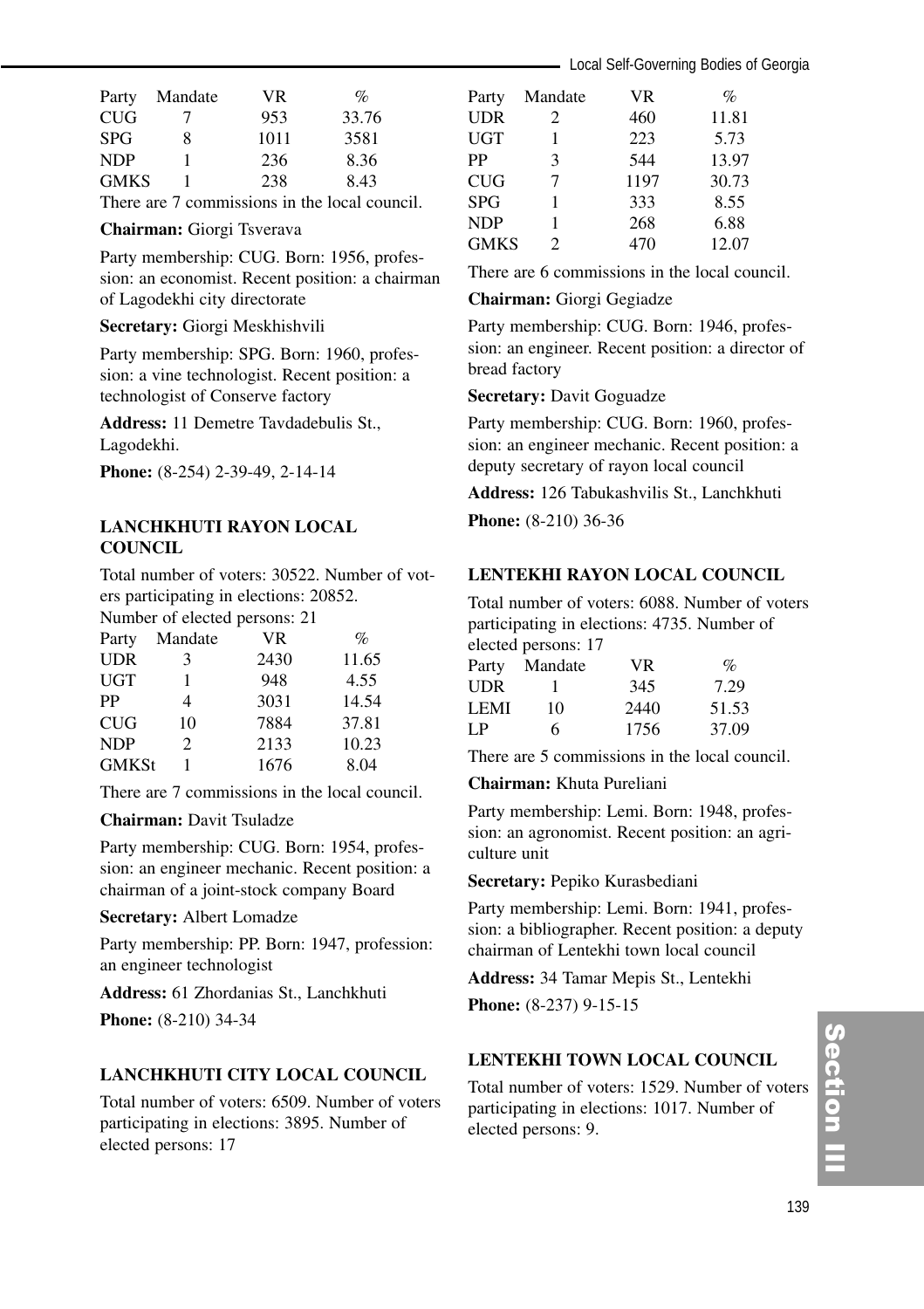| Party       | Mandate | VR.  | $\%$  |
|-------------|---------|------|-------|
| <b>CUG</b>  | $\cdot$ | 953  | 33.76 |
| <b>SPG</b>  | 8       | 1011 | 3581  |
| <b>NDP</b>  |         | 236  | 8.36  |
| <b>GMKS</b> |         | 238  | 8.43  |

There are 7 commissions in the local council.

#### **Chairman:** Giorgi Tsverava

Party membership: CUG. Born: 1956, profession: an economist. Recent position: a chairman of Lagodekhi city directorate

#### **Secretary:** Giorgi Meskhishvili

Party membership: SPG. Born: 1960, profession: a vine technologist. Recent position: a technologist of Conserve factory

**Address:** 11 Demetre Tavdadebulis St., Lagodekhi.

**Phone:** (8-254) 2-39-49, 2-14-14

# **LANCHKHUTI RAYON LOCAL COUNCIL**

Total number of voters: 30522. Number of voters participating in elections: 20852.

Number of elected persons: 21

| Party        | Mandate        | VR   | $\%$  |
|--------------|----------------|------|-------|
| <b>UDR</b>   | 3              | 2430 | 11.65 |
| <b>UGT</b>   |                | 948  | 4.55  |
| PP           | 4              | 3031 | 14.54 |
| <b>CUG</b>   | 10             | 7884 | 37.81 |
| <b>NDP</b>   | $\mathfrak{D}$ | 2133 | 10.23 |
| <b>GMKSt</b> |                | 1676 | 8.04  |

There are 7 commissions in the local council.

### **Chairman:** Davit Tsuladze

Party membership: CUG. Born: 1954, profession: an engineer mechanic. Recent position: a chairman of a joint-stock company Board

#### **Secretary:** Albert Lomadze

Party membership: PP. Born: 1947, profession: an engineer technologist

**Address:** 61 Zhordanias St., Lanchkhuti **Phone:** (8-210) 34-34

#### **LANCHKHUTI CITY LOCAL COUNCIL**

Total number of voters: 6509. Number of voters participating in elections: 3895. Number of elected persons: 17

| Party       | Mandate        | VR   | $\%$  |
|-------------|----------------|------|-------|
| <b>UDR</b>  | 2              | 460  | 11.81 |
| <b>UGT</b>  | 1              | 223  | 5.73  |
| PP          | 3              | 544  | 13.97 |
| <b>CUG</b>  | 7              | 1197 | 30.73 |
| <b>SPG</b>  |                | 333  | 8.55  |
| <b>NDP</b>  |                | 268  | 6.88  |
| <b>GMKS</b> | $\mathfrak{D}$ | 470  | 12.07 |
|             |                |      |       |

There are 6 commissions in the local council.

#### **Chairman:** Giorgi Gegiadze

Party membership: CUG. Born: 1946, profession: an engineer. Recent position: a director of bread factory

**Secretary:** Davit Goguadze

Party membership: CUG. Born: 1960, profession: an engineer mechanic. Recent position: a deputy secretary of rayon local council

**Address:** 126 Tabukashvilis St., Lanchkhuti **Phone:** (8-210) 36-36

#### **LENTEKHI RAYON LOCAL COUNCIL**

Total number of voters: 6088. Number of voters participating in elections: 4735. Number of elected persons: 17

|             | $\frac{1}{2}$ |      |       |
|-------------|---------------|------|-------|
| Party       | Mandate       | VR.  | $\%$  |
| UDR         |               | 345  | 7.29  |
| <b>LEMI</b> | 10            | 2440 | 51.53 |
| LP          | 6.            | 1756 | 37.09 |
|             |               |      |       |

There are 5 commissions in the local council.

#### **Chairman:** Khuta Pureliani

Party membership: Lemi. Born: 1948, profession: an agronomist. Recent position: an agriculture unit

#### **Secretary:** Pepiko Kurasbediani

Party membership: Lemi. Born: 1941, profession: a bibliographer. Recent position: a deputy chairman of Lentekhi town local council

**Address:** 34 Tamar Mepis St., Lentekhi

**Phone:**  $(8-237)$  9-15-15

# **LENTEKHI TOWN LOCAL COUNCIL**

Total number of voters: 1529. Number of voters participating in elections: 1017. Number of elected persons: 9.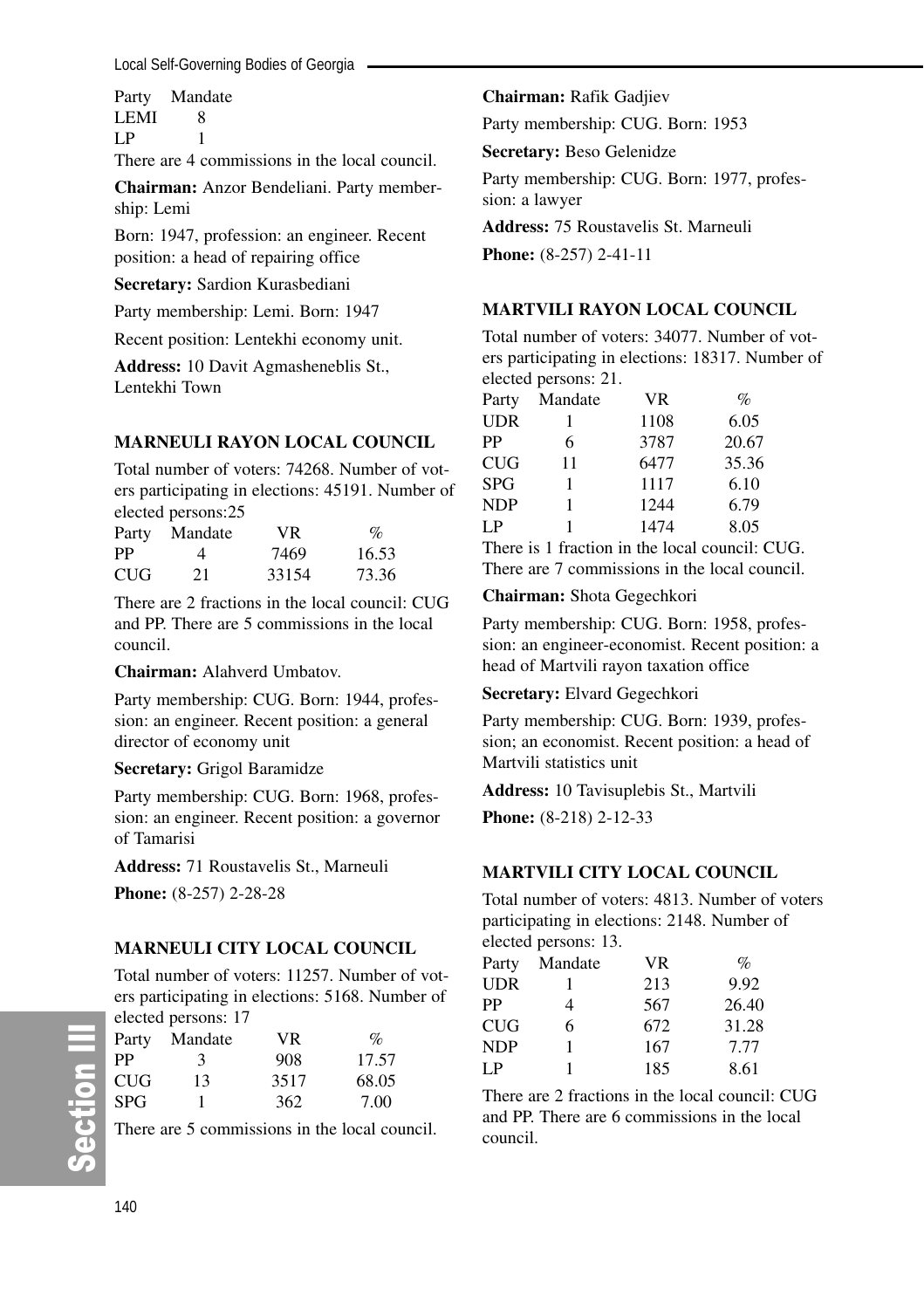Party Mandate LEMI 8  $LP$  1

There are 4 commissions in the local council.

**Chairman:** Anzor Bendeliani. Party membership: Lemi

Born: 1947, profession: an engineer. Recent position: a head of repairing office

**Secretary:** Sardion Kurasbediani

Party membership: Lemi. Born: 1947

Recent position: Lentekhi economy unit.

**Address:** 10 Davit Agmasheneblis St., Lentekhi Town

#### **MARNEULI RAYON LOCAL COUNCIL**

Total number of voters: 74268. Number of voters participating in elections: 45191. Number of elected persons:25

| Party      | Mandate | VR.   | $\%$  |
|------------|---------|-------|-------|
| PP         | 4       | 7469  | 16.53 |
| <b>CUG</b> | 21      | 33154 | 73.36 |

There are 2 fractions in the local council: CUG and PP. There are 5 commissions in the local council.

**Chairman:** Alahverd Umbatov.

Party membership: CUG. Born: 1944, profession: an engineer. Recent position: a general director of economy unit

**Secretary:** Grigol Baramidze

Party membership: CUG. Born: 1968, profession: an engineer. Recent position: a governor of Tamarisi

**Address:** 71 Roustavelis St., Marneuli **Phone:** (8-257) 2-28-28

# **MARNEULI CITY LOCAL COUNCIL**

Total number of voters: 11257. Number of voters participating in elections: 5168. Number of elected persons: 17

| Party      | Mandate | VR.  | $\%$  |
|------------|---------|------|-------|
| РP         | 3       | 908  | 17.57 |
| <b>CUG</b> | 13      | 3517 | 68.05 |
| <b>SPG</b> |         | 362  | 7.00  |

There are 5 commissions in the local council.

### **Chairman:** Rafik Gadjiev

Party membership: CUG. Born: 1953

**Secretary:** Beso Gelenidze

Party membership: CUG. Born: 1977, profession: a lawyer

**Address:** 75 Roustavelis St. Marneuli

**Phone:** (8-257) 2-41-11

#### **MARTVILI RAYON LOCAL COUNCIL**

Total number of voters: 34077. Number of voters participating in elections: 18317. Number of elected persons: 21.

| Party      | Mandate | <b>VR</b> | $\%$  |
|------------|---------|-----------|-------|
| UDR        |         | 1108      | 6.05  |
| PP         | 6       | 3787      | 20.67 |
| CUG        | 11      | 6477      | 35.36 |
| SPG        | 1       | 1117      | 6.10  |
| <b>NDP</b> | 1       | 1244      | 6.79  |
| LP         | 1       | 1474      | 8.05  |
|            |         |           |       |

There is 1 fraction in the local council: CUG. There are 7 commissions in the local council.

#### **Chairman:** Shota Gegechkori

Party membership: CUG. Born: 1958, profession: an engineer-economist. Recent position: a head of Martvili rayon taxation office

#### **Secretary:** Elvard Gegechkori

Party membership: CUG. Born: 1939, profession; an economist. Recent position: a head of Martvili statistics unit

**Address:** 10 Tavisuplebis St., Martvili **Phone:** (8-218) 2-12-33

# **MARTVILI CITY LOCAL COUNCIL**

Total number of voters: 4813. Number of voters participating in elections: 2148. Number of elected persons: 13.

| Party | Mandate | VR. | $\mathcal{O}_0$ |
|-------|---------|-----|-----------------|
| UDR   |         | 213 | 9.92            |
| РP    | 4       | 567 | 26.40           |
| CUG   | 6       | 672 | 31.28           |
| NDP   |         | 167 | 7.77            |
| I P   |         | 185 | 8.61            |

There are 2 fractions in the local council: CUG and PP. There are 6 commissions in the local council.

တိ

**Ction III**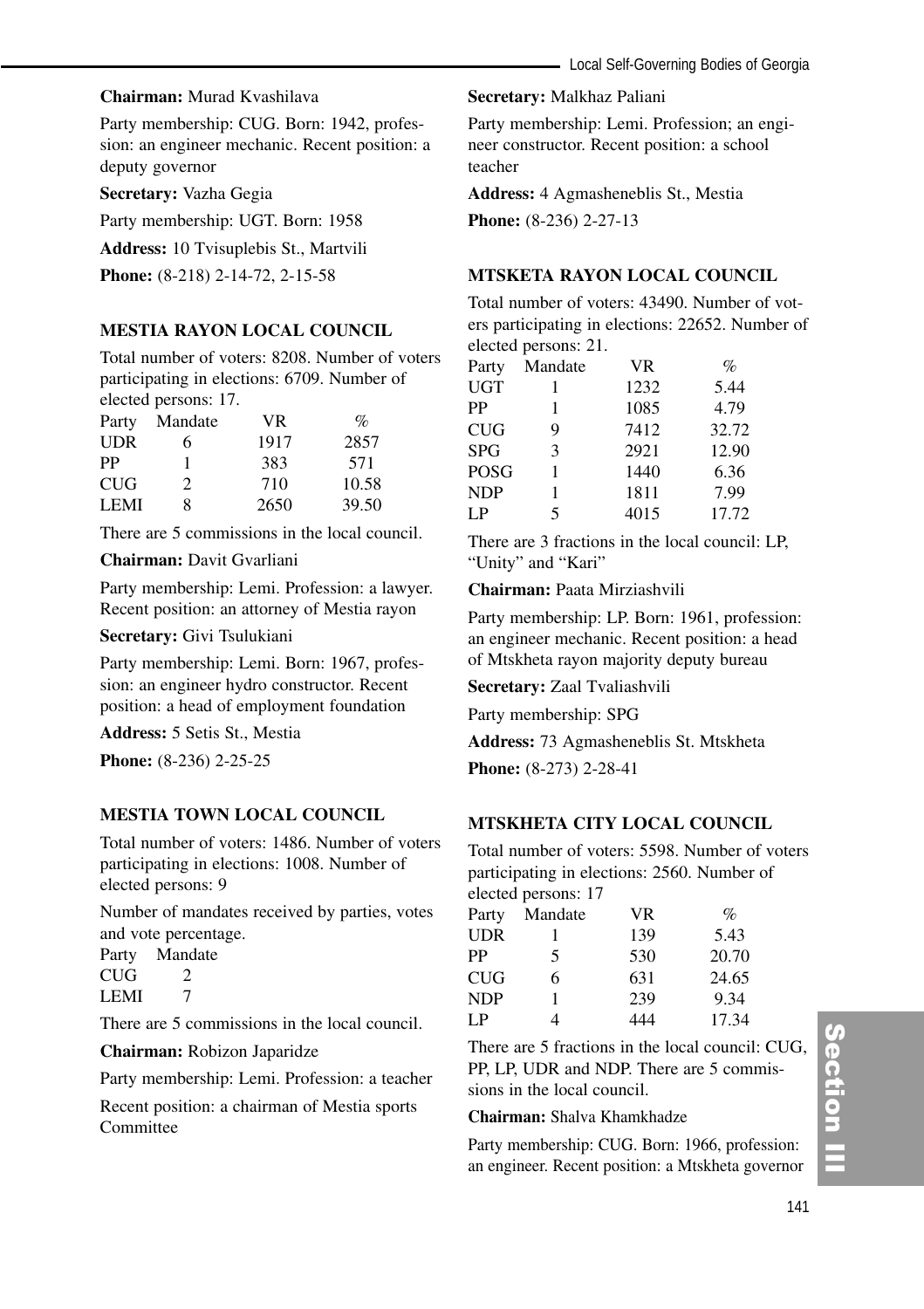#### **Chairman:** Murad Kvashilava

Party membership: CUG. Born: 1942, profession: an engineer mechanic. Recent position: a deputy governor

**Secretary:** Vazha Gegia

Party membership: UGT. Born: 1958

**Address:** 10 Tvisuplebis St., Martvili

**Phone:** (8-218) 2-14-72, 2-15-58

#### **MESTIA RAYON LOCAL COUNCIL**

Total number of voters: 8208. Number of voters participating in elections: 6709. Number of elected persons: 17.

| Party       | Mandate       | VR.  | $\%$  |
|-------------|---------------|------|-------|
| <b>UDR</b>  | 6             | 1917 | 2857  |
| PP          |               | 383  | 571   |
| <b>CUG</b>  | $\mathcal{P}$ | 710  | 10.58 |
| <b>LEMI</b> | 8             | 2650 | 39.50 |

There are 5 commissions in the local council.

#### **Chairman:** Davit Gvarliani

Party membership: Lemi. Profession: a lawyer. Recent position: an attorney of Mestia rayon

**Secretary:** Givi Tsulukiani

Party membership: Lemi. Born: 1967, profession: an engineer hydro constructor. Recent position: a head of employment foundation

**Address:** 5 Setis St., Mestia

**Phone:** (8-236) 2-25-25

# **MESTIA TOWN LOCAL COUNCIL**

Total number of voters: 1486. Number of voters participating in elections: 1008. Number of elected persons: 9

Number of mandates received by parties, votes and vote percentage.

Party Mandate  $CUG$  2 LEMI 7

There are 5 commissions in the local council.

**Chairman:** Robizon Japaridze

Party membership: Lemi. Profession: a teacher

Recent position: a chairman of Mestia sports Committee

#### **Secretary:** Malkhaz Paliani

Party membership: Lemi. Profession; an engineer constructor. Recent position: a school teacher

**Address:** 4 Agmasheneblis St., Mestia

**Phone:** (8-236) 2-27-13

### **MTSKETA RAYON LOCAL COUNCIL**

Total number of voters: 43490. Number of voters participating in elections: 22652. Number of elected persons: 21.

| Mandate | <b>VR</b> | $\%$  |
|---------|-----------|-------|
|         | 1232      | 5.44  |
| 1       | 1085      | 4.79  |
| 9       | 7412      | 32.72 |
| 3       | 2921      | 12.90 |
|         | 1440      | 6.36  |
| 1       | 1811      | 7.99  |
| 5       | 4015      | 17.72 |
|         |           |       |

There are 3 fractions in the local council: LP, "Unity" and "Kari"

**Chairman:** Paata Mirziashvili

Party membership: LP. Born: 1961, profession: an engineer mechanic. Recent position: a head of Mtskheta rayon majority deputy bureau

**Secretary:** Zaal Tvaliashvili

Party membership: SPG

**Address:** 73 Agmasheneblis St. Mtskheta

**Phone:** (8-273) 2-28-41

#### **MTSKHETA CITY LOCAL COUNCIL**

Total number of voters: 5598. Number of voters participating in elections: 2560. Number of elected persons: 17

| Party      | Mandate | VR. | $\%$  |
|------------|---------|-----|-------|
| <b>UDR</b> |         | 139 | 5.43  |
| PP         | 5       | 530 | 20.70 |
| <b>CUG</b> | 6       | 631 | 24.65 |
| <b>NDP</b> |         | 239 | 9.34  |
| LP         | 4       | 444 | 17.34 |

There are 5 fractions in the local council: CUG, PP, LP, UDR and NDP. There are 5 commissions in the local council.

**Chairman:** Shalva Khamkhadze

Party membership: CUG. Born: 1966, profession: an engineer. Recent position: a Mtskheta governor

# Section III ction III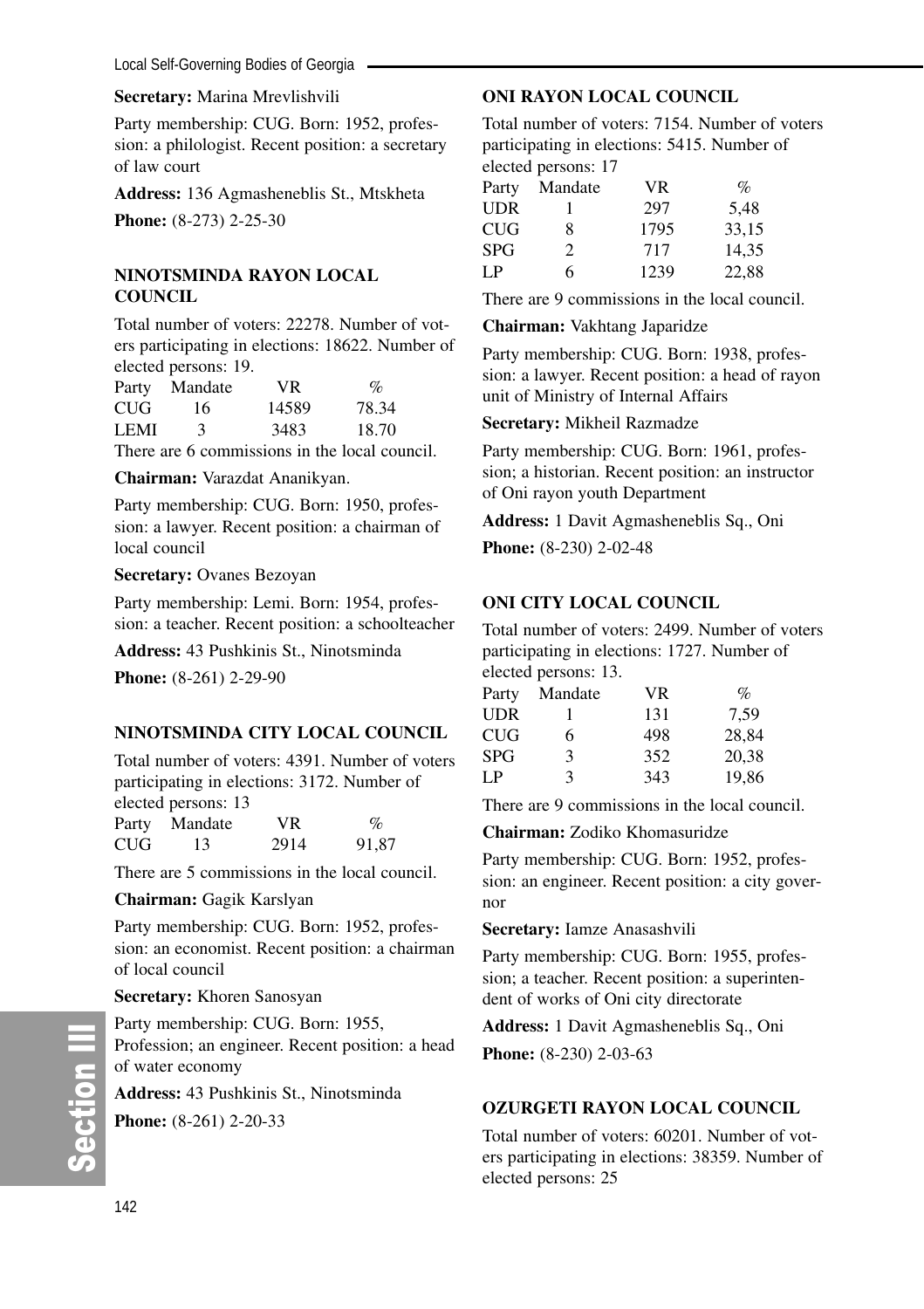#### **Secretary:** Marina Mrevlishvili

Party membership: CUG. Born: 1952, profession: a philologist. Recent position: a secretary of law court

**Address:** 136 Agmasheneblis St., Mtskheta

**Phone:** (8-273) 2-25-30

# **NINOTSMINDA RAYON LOCAL COUNCIL**

Total number of voters: 22278. Number of voters participating in elections: 18622. Number of elected persons: 19.

|        | Party Mandate | VR.   | $\%$  |
|--------|---------------|-------|-------|
| CUG    | 16            | 14589 | 78.34 |
| LEMI   | 3             | 3483  | 18.70 |
| $\sim$ |               |       |       |

There are 6 commissions in the local council.

**Chairman:** Varazdat Ananikyan.

Party membership: CUG. Born: 1950, profession: a lawyer. Recent position: a chairman of local council

#### **Secretary:** Ovanes Bezoyan

Party membership: Lemi. Born: 1954, profession: a teacher. Recent position: a schoolteacher

**Address:** 43 Pushkinis St., Ninotsminda

**Phone:** (8-261) 2-29-90

# **NINOTSMINDA CITY LOCAL COUNCIL**

Total number of voters: 4391. Number of voters participating in elections: 3172. Number of elected persons: 13

| Party | Mandate | VR   | $\%$  |
|-------|---------|------|-------|
| CUG   | 13      | 2914 | 91.87 |

There are 5 commissions in the local council.

**Chairman:** Gagik Karslyan

Party membership: CUG. Born: 1952, profession: an economist. Recent position: a chairman of local council

#### **Secretary:** Khoren Sanosyan

Party membership: CUG. Born: 1955, Profession; an engineer. Recent position: a head of water economy

**Address:** 43 Pushkinis St., Ninotsminda **Phone:** (8-261) 2-20-33

# **ONI RAYON LOCAL COUNCIL**

Total number of voters: 7154. Number of voters participating in elections: 5415. Number of elected persons: 17

| Mandate        | <b>VR</b> | $\%$  |
|----------------|-----------|-------|
|                | 297       | 5.48  |
| 8              | 1795      | 33.15 |
| $\mathfrak{D}$ | 717       | 14.35 |
| 6              | 1239      | 22,88 |
|                |           |       |

There are 9 commissions in the local council.

#### **Chairman:** Vakhtang Japaridze

Party membership: CUG. Born: 1938, profession: a lawyer. Recent position: a head of rayon unit of Ministry of Internal Affairs

#### **Secretary:** Mikheil Razmadze

Party membership: CUG. Born: 1961, profession; a historian. Recent position: an instructor of Oni rayon youth Department

**Address:** 1 Davit Agmasheneblis Sq., Oni

**Phone:** (8-230) 2-02-48

# **ONI CITY LOCAL COUNCIL**

Total number of voters: 2499. Number of voters participating in elections: 1727. Number of elected persons: 13.

| Mandate | VR. | $\mathcal{O}_0$ |
|---------|-----|-----------------|
|         | 131 | 7.59            |
| 6       | 498 | 28.84           |
| 3       | 352 | 20.38           |
| 3       | 343 | 19,86           |
|         |     |                 |

There are 9 commissions in the local council.

**Chairman:** Zodiko Khomasuridze

Party membership: CUG. Born: 1952, profession: an engineer. Recent position: a city governor

#### **Secretary:** Iamze Anasashvili

Party membership: CUG. Born: 1955, profession; a teacher. Recent position: a superintendent of works of Oni city directorate

**Address:** 1 Davit Agmasheneblis Sq., Oni

**Phone:**  $(8-230)$  2-03-63

# **OZURGETI RAYON LOCAL COUNCIL**

Total number of voters: 60201. Number of voters participating in elections: 38359. Number of elected persons: 25

တိ

**Ction III**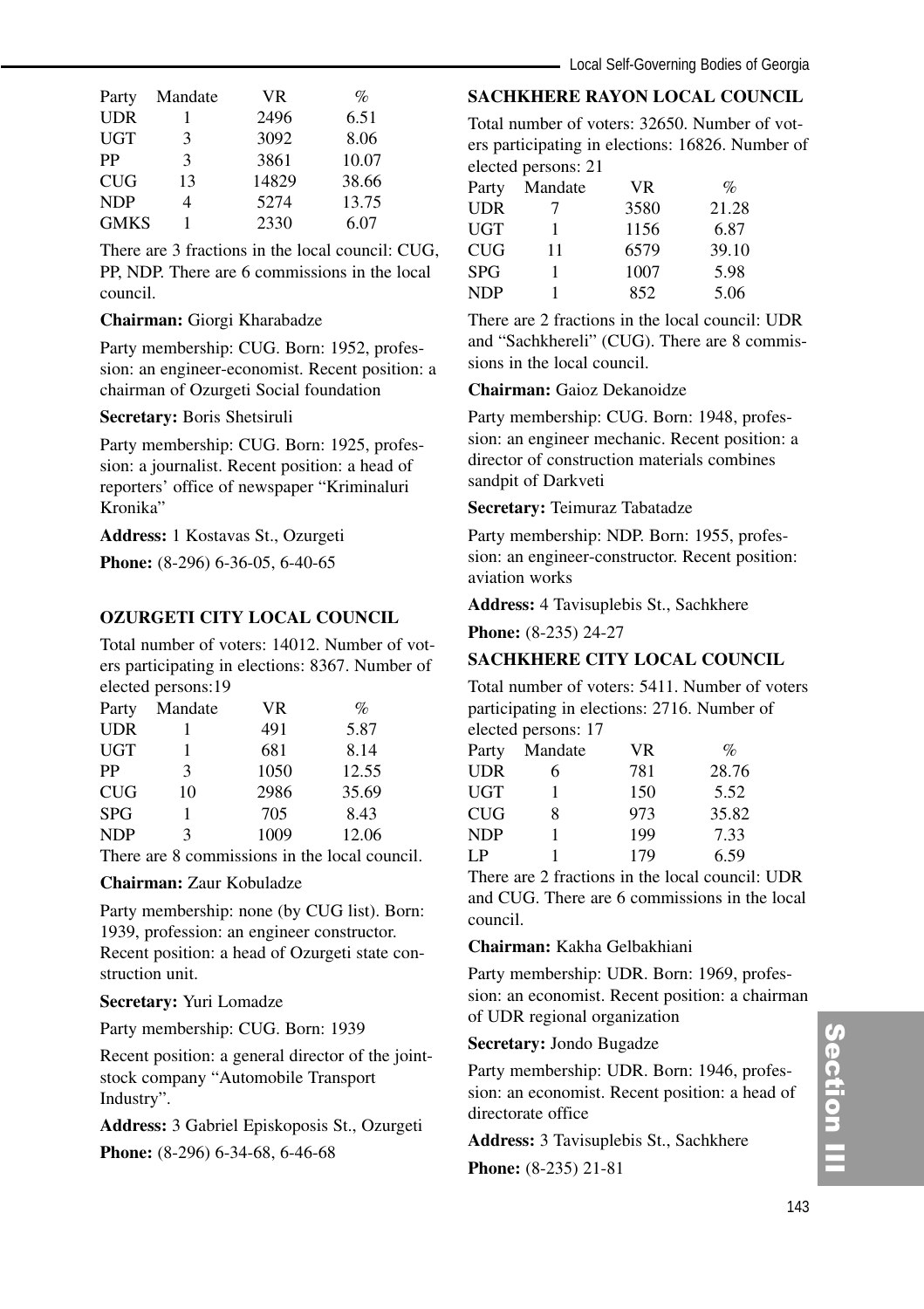| Party       | Mandate | VR.   | %     |
|-------------|---------|-------|-------|
| <b>UDR</b>  |         | 2496  | 6.51  |
| UGT         | 3       | 3092  | 8.06  |
| PP          | 3       | 3861  | 10.07 |
| <b>CUG</b>  | 13      | 14829 | 38.66 |
| <b>NDP</b>  |         | 5274  | 13.75 |
| <b>GMKS</b> |         | 2330  | 6.07  |

There are 3 fractions in the local council: CUG, PP, NDP. There are 6 commissions in the local council.

#### **Chairman:** Giorgi Kharabadze

Party membership: CUG. Born: 1952, profession: an engineer-economist. Recent position: a chairman of Ozurgeti Social foundation

#### **Secretary:** Boris Shetsiruli

Party membership: CUG. Born: 1925, profession: a journalist. Recent position: a head of reporters' office of newspaper "Kriminaluri Kronika"

**Address:** 1 Kostavas St., Ozurgeti

**Phone:** (8-296) 6-36-05, 6-40-65

# **OZURGETI CITY LOCAL COUNCIL**

Total number of voters: 14012. Number of voters participating in elections: 8367. Number of elected persons:19

| Party      | Mandate | VR   | $\%$  |
|------------|---------|------|-------|
| <b>UDR</b> |         | 491  | 5.87  |
| <b>UGT</b> |         | 681  | 8.14  |
| PP         | 3       | 1050 | 12.55 |
| <b>CUG</b> | 10      | 2986 | 35.69 |
| <b>SPG</b> |         | 705  | 8.43  |
| <b>NDP</b> | ٩       | 1009 | 12.06 |

There are 8 commissions in the local council.

#### **Chairman:** Zaur Kobuladze

Party membership: none (by CUG list). Born: 1939, profession: an engineer constructor. Recent position: a head of Ozurgeti state construction unit.

#### **Secretary:** Yuri Lomadze

Party membership: CUG. Born: 1939

Recent position: a general director of the jointstock company "Automobile Transport Industry".

**Address:** 3 Gabriel Episkoposis St., Ozurgeti

**Phone:** (8-296) 6-34-68, 6-46-68

# **SACHKHERE RAYON LOCAL COUNCIL**

Total number of voters: 32650. Number of voters participating in elections: 16826. Number of elected persons: 21

| Party      | Mandate | VR.  | $\%$  |
|------------|---------|------|-------|
| <b>UDR</b> | 7       | 3580 | 21.28 |
| UGT        |         | 1156 | 6.87  |
| <b>CUG</b> | 11      | 6579 | 39.10 |
| <b>SPG</b> |         | 1007 | 5.98  |
| <b>NDP</b> |         | 852  | 5.06  |

There are 2 fractions in the local council: UDR and "Sachkhereli" (CUG). There are 8 commissions in the local council.

#### **Chairman:** Gaioz Dekanoidze

Party membership: CUG. Born: 1948, profession: an engineer mechanic. Recent position: a director of construction materials combines sandpit of Darkveti

#### **Secretary:** Teimuraz Tabatadze

Party membership: NDP. Born: 1955, profession: an engineer-constructor. Recent position: aviation works

**Address:** 4 Tavisuplebis St., Sachkhere

**Phone:** (8-235) 24-27

# **SACHKHERE CITY LOCAL COUNCIL**

Total number of voters: 5411. Number of voters participating in elections: 2716. Number of elected persons: 17

| Party      | Mandate | <b>VR</b> | $\%$  |
|------------|---------|-----------|-------|
| <b>UDR</b> | 6       | 781       | 28.76 |
| UGT        | 1       | 150       | 5.52  |
| CUG        | 8       | 973       | 35.82 |
| NDP        | 1       | 199       | 7.33  |
| I P        |         | 179       | 6.59  |
|            |         |           |       |

There are 2 fractions in the local council: UDR and CUG. There are 6 commissions in the local council.

**Chairman:** Kakha Gelbakhiani

Party membership: UDR. Born: 1969, profession: an economist. Recent position: a chairman of UDR regional organization

#### **Secretary:** Jondo Bugadze

Party membership: UDR. Born: 1946, profession: an economist. Recent position: a head of directorate office

**Address:** 3 Tavisuplebis St., Sachkhere

**Phone:** (8-235) 21-81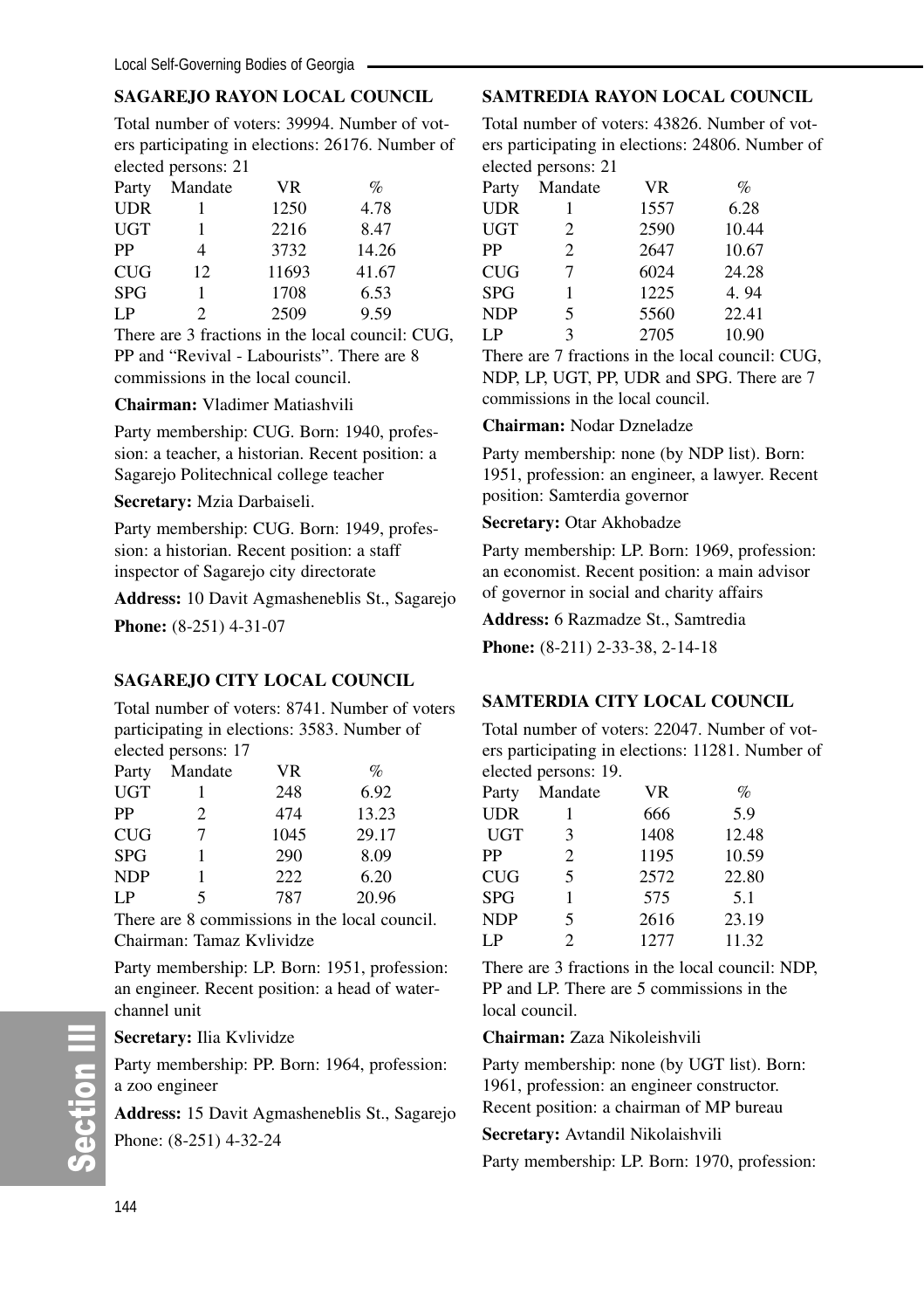# **SAGAREJO RAYON LOCAL COUNCIL**

Total number of voters: 39994. Number of voters participating in elections: 26176. Number of elected persons: 21

| Party      | Mandate | <b>VR</b> | $\%$  |  |
|------------|---------|-----------|-------|--|
| <b>UDR</b> |         | 1250      | 4.78  |  |
| <b>UGT</b> |         | 2216      | 8.47  |  |
| PP         | 4       | 3732      | 14.26 |  |
| <b>CUG</b> | 12      | 11693     | 41.67 |  |
| <b>SPG</b> |         | 1708      | 6.53  |  |
| LP         | 2       | 2509      | 9.59  |  |

There are 3 fractions in the local council: CUG, PP and "Revival - Labourists". There are 8 commissions in the local council.

**Chairman:** Vladimer Matiashvili

Party membership: CUG. Born: 1940, profession: a teacher, a historian. Recent position: a Sagarejo Politechnical college teacher

**Secretary:** Mzia Darbaiseli.

Party membership: CUG. Born: 1949, profession: a historian. Recent position: a staff inspector of Sagarejo city directorate

**Address:** 10 Davit Agmasheneblis St., Sagarejo **Phone:** (8-251) 4-31-07

# **SAGAREJO CITY LOCAL COUNCIL**

Total number of voters: 8741. Number of voters participating in elections: 3583. Number of elected persons: 17

|            | $\frac{1}{2}$ |      |       |
|------------|---------------|------|-------|
| Party      | Mandate       | VR   | $\%$  |
| <b>UGT</b> |               | 248  | 6.92  |
| PP         | 2             | 474  | 13.23 |
| CUG        | 7             | 1045 | 29.17 |
| <b>SPG</b> |               | 290  | 8.09  |
| <b>NDP</b> |               | 222  | 6.20  |
| LP.        | 5             | 787  | 20.96 |

There are 8 commissions in the local council. Chairman: Tamaz Kvlividze

Party membership: LP. Born: 1951, profession: an engineer. Recent position: a head of waterchannel unit

#### **Secretary:** Ilia Kvlividze

Party membership: PP. Born: 1964, profession: a zoo engineer

**Address:** 15 Davit Agmasheneblis St., Sagarejo Phone: (8-251) 4-32-24

# **SAMTREDIA RAYON LOCAL COUNCIL**

Total number of voters: 43826. Number of voters participating in elections: 24806. Number of elected persons: 21

| Party      | Mandate | <b>VR</b> | $\%$  |
|------------|---------|-----------|-------|
| UDR        | 1       | 1557      | 6.28  |
| UGT        | 2       | 2590      | 10.44 |
| PP         | 2       | 2647      | 10.67 |
| CUG        | 7       | 6024      | 24.28 |
| SPG        | 1       | 1225      | 4.94  |
| <b>NDP</b> | 5       | 5560      | 22.41 |
| LP         | 3       | 2705      | 10.90 |

There are 7 fractions in the local council: CUG, NDP, LP, UGT, PP, UDR and SPG. There are 7 commissions in the local council.

# **Chairman:** Nodar Dzneladze

Party membership: none (by NDP list). Born: 1951, profession: an engineer, a lawyer. Recent position: Samterdia governor

#### **Secretary:** Otar Akhobadze

Party membership: LP. Born: 1969, profession: an economist. Recent position: a main advisor of governor in social and charity affairs

**Address:** 6 Razmadze St., Samtredia

**Phone:** (8-211) 2-33-38, 2-14-18

# **SAMTERDIA CITY LOCAL COUNCIL**

Total number of voters: 22047. Number of voters participating in elections: 11281. Number of elected persons: 19.

| Party      | Mandate        | <b>VR</b> | $\%$  |
|------------|----------------|-----------|-------|
| UDR        | 1              | 666       | 5.9   |
| <b>UGT</b> | 3              | 1408      | 12.48 |
| PP         | 2              | 1195      | 10.59 |
| CUG        | 5              | 2572      | 22.80 |
| SPG        | 1              | 575       | 5.1   |
| <b>NDP</b> | 5              | 2616      | 23.19 |
| LP         | $\mathfrak{D}$ | 1277      | 11.32 |

There are 3 fractions in the local council: NDP, PP and LP. There are 5 commissions in the local council.

# **Chairman:** Zaza Nikoleishvili

Party membership: none (by UGT list). Born: 1961, profession: an engineer constructor. Recent position: a chairman of MP bureau

# **Secretary:** Avtandil Nikolaishvili

Party membership: LP. Born: 1970, profession: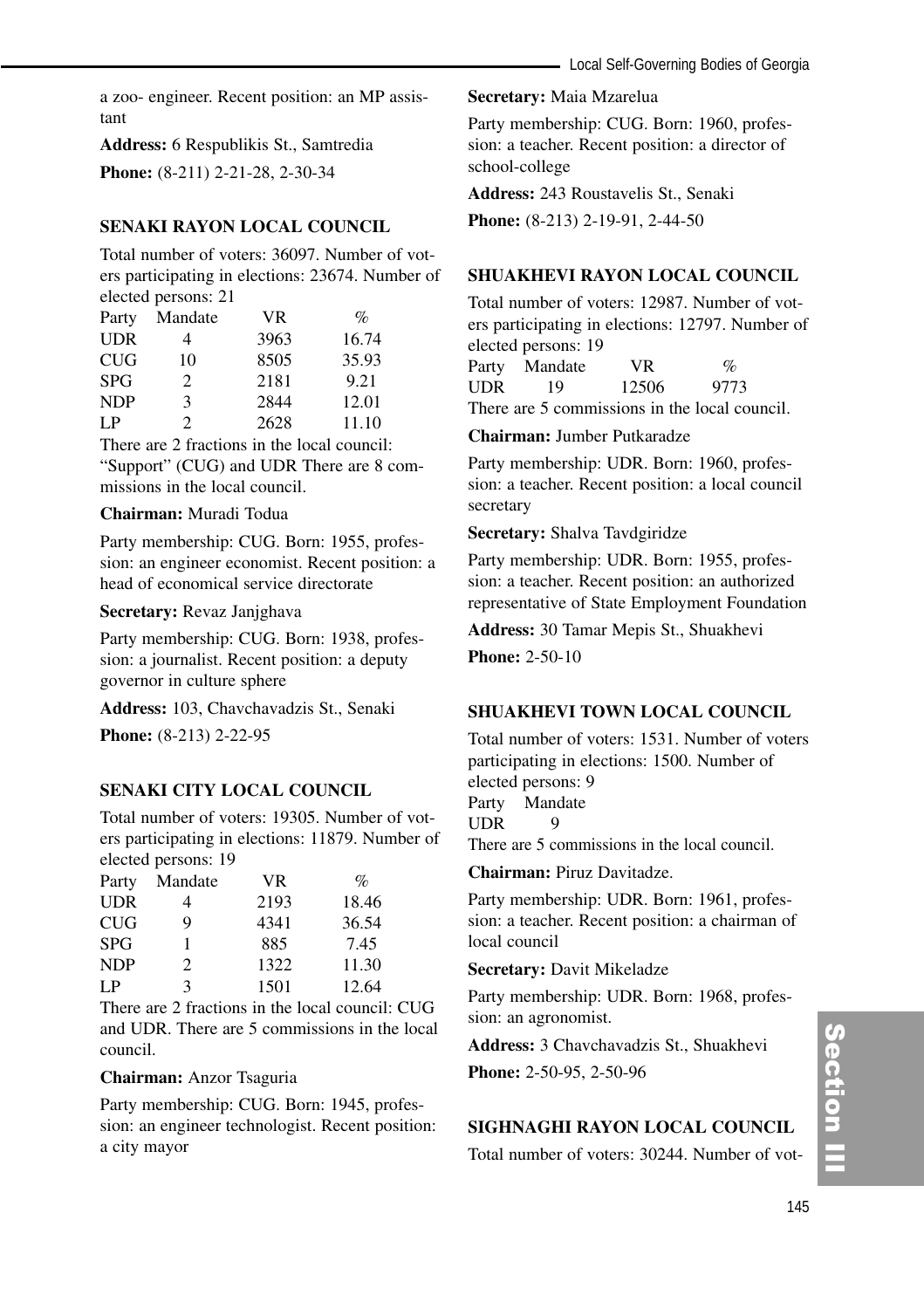a zoo- engineer. Recent position: an MP assistant

**Address:** 6 Respublikis St., Samtredia **Phone:** (8-211) 2-21-28, 2-30-34

# **SENAKI RAYON LOCAL COUNCIL**

Total number of voters: 36097. Number of voters participating in elections: 23674. Number of elected persons: 21

| Party      | Mandate | VR   | $\%$  |
|------------|---------|------|-------|
| <b>UDR</b> | 4       | 3963 | 16.74 |
| CUG        | 10      | 8505 | 35.93 |
| <b>SPG</b> | 2       | 2181 | 9.21  |
| <b>NDP</b> | 3       | 2844 | 12.01 |
| LP         | 2       | 2628 | 11.10 |

There are 2 fractions in the local council: "Support" (CUG) and UDR There are 8 commissions in the local council.

# **Chairman:** Muradi Todua

Party membership: CUG. Born: 1955, profession: an engineer economist. Recent position: a head of economical service directorate

#### **Secretary:** Revaz Janjghava

Party membership: CUG. Born: 1938, profession: a journalist. Recent position: a deputy governor in culture sphere

**Address:** 103, Chavchavadzis St., Senaki

**Phone:** (8-213) 2-22-95

# **SENAKI CITY LOCAL COUNCIL**

Total number of voters: 19305. Number of voters participating in elections: 11879. Number of elected persons: 19

| Party      | Mandate | VR.  | $\%$  |
|------------|---------|------|-------|
| <b>UDR</b> |         | 2193 | 18.46 |
| <b>CUG</b> | Q       | 4341 | 36.54 |
| <b>SPG</b> |         | 885  | 7.45  |
| <b>NDP</b> | 2       | 1322 | 11.30 |
| LP         | 3       | 1501 | 12.64 |

There are 2 fractions in the local council: CUG and UDR. There are 5 commissions in the local council.

#### **Chairman:** Anzor Tsaguria

Party membership: CUG. Born: 1945, profession: an engineer technologist. Recent position: a city mayor

#### **Secretary:** Maia Mzarelua

Party membership: CUG. Born: 1960, profession: a teacher. Recent position: a director of school-college

**Address:** 243 Roustavelis St., Senaki

**Phone:** (8-213) 2-19-91, 2-44-50

# **SHUAKHEVI RAYON LOCAL COUNCIL**

Total number of voters: 12987. Number of voters participating in elections: 12797. Number of elected persons: 19 Party Mandate VR %

UDR 19 12506 9773 There are 5 commissions in the local council.

#### **Chairman:** Jumber Putkaradze

Party membership: UDR. Born: 1960, profession: a teacher. Recent position: a local council secretary

# **Secretary:** Shalva Tavdgiridze

Party membership: UDR. Born: 1955, profession: a teacher. Recent position: an authorized representative of State Employment Foundation

**Address:** 30 Tamar Mepis St., Shuakhevi **Phone:** 2-50-10

# **SHUAKHEVI TOWN LOCAL COUNCIL**

Total number of voters: 1531. Number of voters participating in elections: 1500. Number of elected persons: 9 Party Mandate UDR 9 There are 5 commissions in the local council.

**Chairman:** Piruz Davitadze.

Party membership: UDR. Born: 1961, profession: a teacher. Recent position: a chairman of local council

**Secretary:** Davit Mikeladze

Party membership: UDR. Born: 1968, profession: an agronomist.

**Address:** 3 Chavchavadzis St., Shuakhevi

**Phone:** 2-50-95, 2-50-96

# **SIGHNAGHI RAYON LOCAL COUNCIL**

Total number of voters: 30244. Number of vot-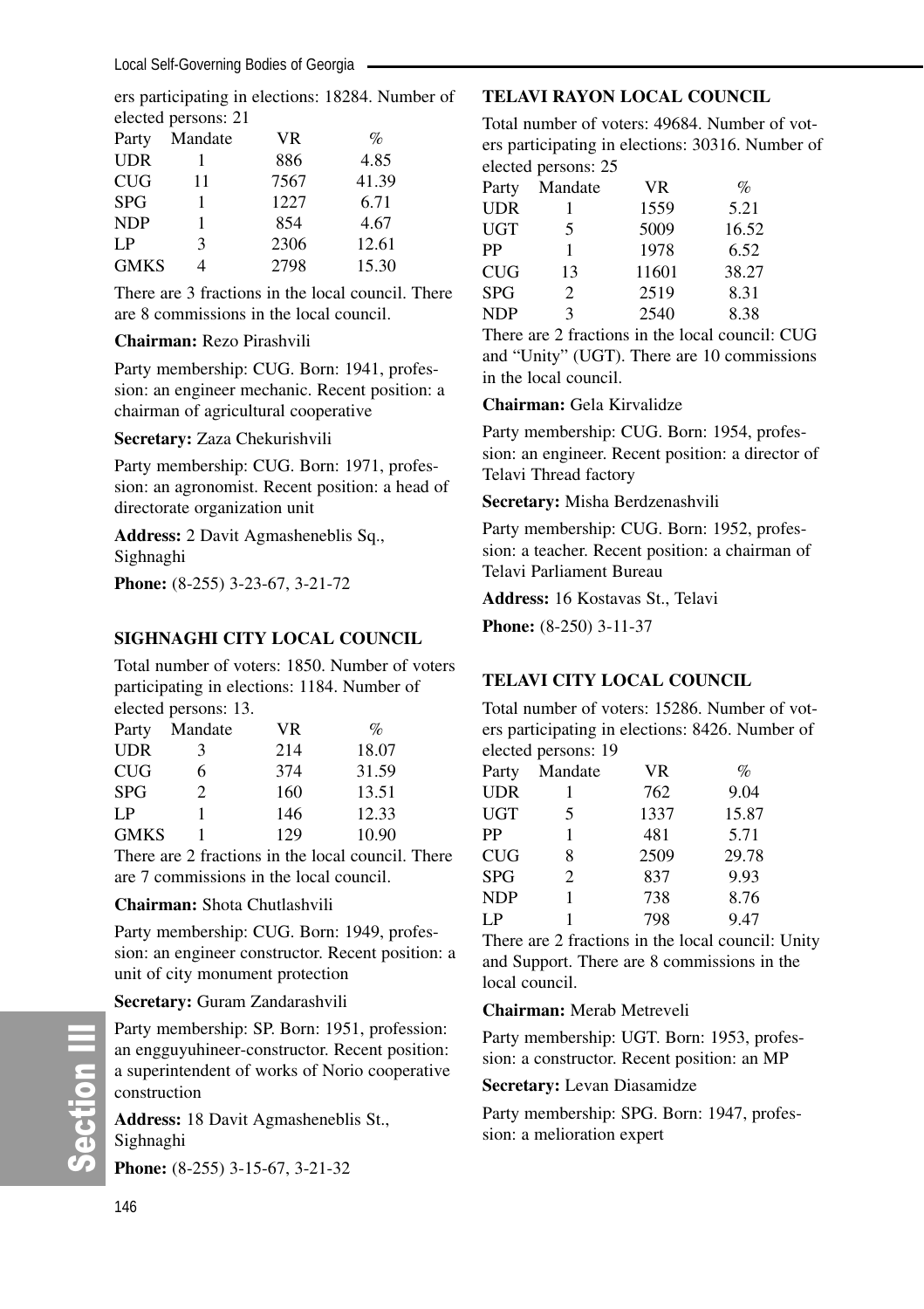ers participating in elections: 18284. Number of elected persons: 21

| Party       | Mandate | <b>VR</b> | $\%$  |
|-------------|---------|-----------|-------|
| <b>UDR</b>  |         | 886       | 4.85  |
| <b>CUG</b>  | 11      | 7567      | 41.39 |
| <b>SPG</b>  |         | 1227      | 6.71  |
| <b>NDP</b>  |         | 854       | 4.67  |
| LP          | 3       | 2306      | 12.61 |
| <b>GMKS</b> |         | 2798      | 15.30 |

There are 3 fractions in the local council. There are 8 commissions in the local council.

#### **Chairman:** Rezo Pirashvili

Party membership: CUG. Born: 1941, profession: an engineer mechanic. Recent position: a chairman of agricultural cooperative

**Secretary:** Zaza Chekurishvili

Party membership: CUG. Born: 1971, profession: an agronomist. Recent position: a head of directorate organization unit

**Address:** 2 Davit Agmasheneblis Sq., Sighnaghi

**Phone:** (8-255) 3-23-67, 3-21-72

# **SIGHNAGHI CITY LOCAL COUNCIL**

Total number of voters: 1850. Number of voters participating in elections: 1184. Number of elected persons: 13.

| Party       | Mandate | VR  | $\%$  |
|-------------|---------|-----|-------|
| <b>UDR</b>  | 3       | 214 | 18.07 |
| CUG         | 6       | 374 | 31.59 |
| <b>SPG</b>  | 2       | 160 | 13.51 |
| LP.         |         | 146 | 12.33 |
| <b>GMKS</b> |         | 129 | 10.90 |

There are 2 fractions in the local council. There are 7 commissions in the local council.

# **Chairman:** Shota Chutlashvili

Party membership: CUG. Born: 1949, profession: an engineer constructor. Recent position: a unit of city monument protection

#### **Secretary:** Guram Zandarashvili

Party membership: SP. Born: 1951, profession: an engguyuhineer-constructor. Recent position: a superintendent of works of Norio cooperative construction

**Address:** 18 Davit Agmasheneblis St., Sighnaghi

**Phone:** (8-255) 3-15-67, 3-21-32

# **TELAVI RAYON LOCAL COUNCIL**

Total number of voters: 49684. Number of voters participating in elections: 30316. Number of elected persons: 25

| Party      | Mandate | <b>VR</b> | $\%$  |
|------------|---------|-----------|-------|
| UDR        |         | 1559      | 5.21  |
| UGT        | 5       | 5009      | 16.52 |
| PP         | 1       | 1978      | 6.52  |
| CUG        | 13      | 11601     | 38.27 |
| SPG        | 2       | 2519      | 8.31  |
| <b>NDP</b> | 3       | 2540      | 8.38  |
|            |         |           |       |

There are 2 fractions in the local council: CUG and "Unity" (UGT). There are 10 commissions in the local council.

#### **Chairman:** Gela Kirvalidze

Party membership: CUG. Born: 1954, profession: an engineer. Recent position: a director of Telavi Thread factory

#### **Secretary:** Misha Berdzenashvili

Party membership: CUG. Born: 1952, profession: a teacher. Recent position: a chairman of Telavi Parliament Bureau

#### **Address:** 16 Kostavas St., Telavi

**Phone:** (8-250) 3-11-37

# **TELAVI CITY LOCAL COUNCIL**

Total number of voters: 15286. Number of voters participating in elections: 8426. Number of elected persons: 19

| Party      | Mandate | <b>VR</b> | $\%$  |
|------------|---------|-----------|-------|
| UDR        | 1       | 762       | 9.04  |
| UGT        | 5       | 1337      | 15.87 |
| PP         | 1       | 481       | 5.71  |
| CUG        | 8       | 2509      | 29.78 |
| SPG        | 2       | 837       | 9.93  |
| <b>NDP</b> | 1       | 738       | 8.76  |
| LP         |         | 798       | 9.47  |

There are 2 fractions in the local council: Unity and Support. There are 8 commissions in the local council.

#### **Chairman:** Merab Metreveli

Party membership: UGT. Born: 1953, profession: a constructor. Recent position: an MP

#### **Secretary:** Levan Diasamidze

Party membership: SPG. Born: 1947, profession: a melioration expert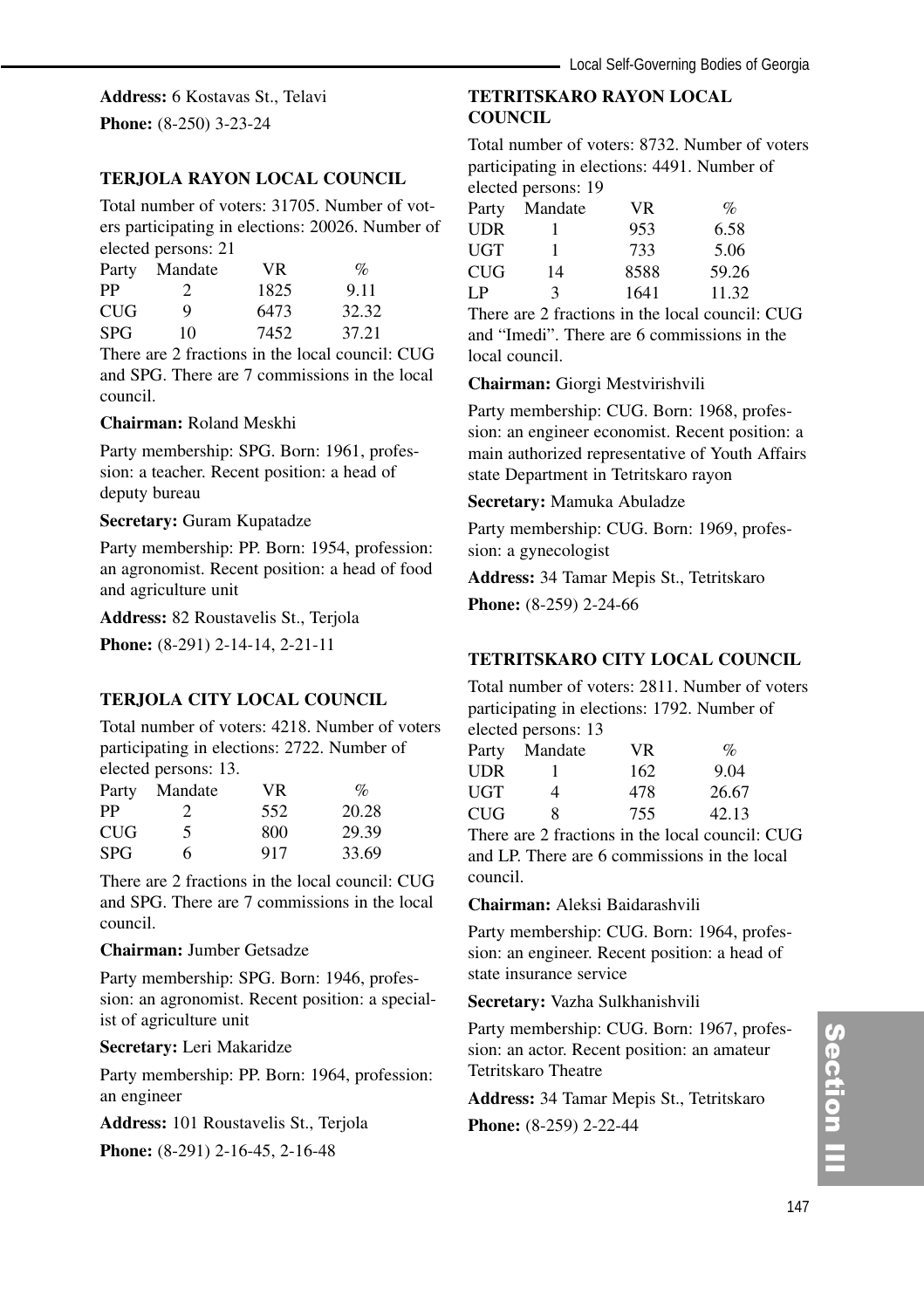**Address:** 6 Kostavas St., Telavi

**Phone:** (8-250) 3-23-24

# **TERJOLA RAYON LOCAL COUNCIL**

Total number of voters: 31705. Number of voters participating in elections: 20026. Number of elected persons: 21

| Party      | Mandate | VR.  | $\%$  |  |
|------------|---------|------|-------|--|
| PP         |         | 1825 | 9.11  |  |
| <b>CUG</b> | 9       | 6473 | 32.32 |  |
| <b>SPG</b> | 10      | 7452 | 37.21 |  |
|            |         |      |       |  |

There are 2 fractions in the local council: CUG and SPG. There are 7 commissions in the local council.

#### **Chairman:** Roland Meskhi

Party membership: SPG. Born: 1961, profession: a teacher. Recent position: a head of deputy bureau

#### **Secretary:** Guram Kupatadze

Party membership: PP. Born: 1954, profession: an agronomist. Recent position: a head of food and agriculture unit

**Address:** 82 Roustavelis St., Terjola

**Phone:** (8-291) 2-14-14, 2-21-11

#### **TERJOLA CITY LOCAL COUNCIL**

Total number of voters: 4218. Number of voters participating in elections: 2722. Number of elected persons: 13.

| Party      | Mandate | VR  | $\%$  |
|------------|---------|-----|-------|
| PP         | 2       | 552 | 20.28 |
| <b>CUG</b> | 5       | 800 | 29.39 |
| <b>SPG</b> | 6       | 917 | 33.69 |

There are 2 fractions in the local council: CUG and SPG. There are 7 commissions in the local council.

# **Chairman:** Jumber Getsadze

Party membership: SPG. Born: 1946, profession: an agronomist. Recent position: a specialist of agriculture unit

**Secretary:** Leri Makaridze

Party membership: PP. Born: 1964, profession: an engineer

**Address:** 101 Roustavelis St., Terjola **Phone:** (8-291) 2-16-45, 2-16-48

# **TETRITSKARO RAYON LOCAL COUNCIL**

Total number of voters: 8732. Number of voters participating in elections: 4491. Number of elected persons: 19

| Party | Mandate | <b>VR</b> | $\mathcal{O}_0$ |
|-------|---------|-----------|-----------------|
| UDR   |         | 953       | 6.58            |
| UGT   | ı       | 733       | 5.06            |
| CUG   | 14      | 8588      | 59.26           |
| I P   | 3       | 1641      | 11.32           |
|       |         |           |                 |

There are 2 fractions in the local council: CUG and "Imedi". There are 6 commissions in the local council.

**Chairman:** Giorgi Mestvirishvili

Party membership: CUG. Born: 1968, profession: an engineer economist. Recent position: a main authorized representative of Youth Affairs state Department in Tetritskaro rayon

#### **Secretary:** Mamuka Abuladze

Party membership: CUG. Born: 1969, profession: a gynecologist

**Address:** 34 Tamar Mepis St., Tetritskaro

**Phone:** (8-259) 2-24-66

# **TETRITSKARO CITY LOCAL COUNCIL**

Total number of voters: 2811. Number of voters participating in elections: 1792. Number of elected persons: 13

| Party | Mandate | VR. | $\%$  |
|-------|---------|-----|-------|
| UDR   |         | 162 | 9.04  |
| UGT   | 4       | 478 | 26.67 |
| CUG   | 8       | 755 | 42.13 |
|       |         |     |       |

There are 2 fractions in the local council: CUG and LP. There are 6 commissions in the local council.

#### **Chairman:** Aleksi Baidarashvili

Party membership: CUG. Born: 1964, profession: an engineer. Recent position: a head of state insurance service

**Secretary:** Vazha Sulkhanishvili

Party membership: CUG. Born: 1967, profession: an actor. Recent position: an amateur Tetritskaro Theatre

# **Address:** 34 Tamar Mepis St., Tetritskaro

**Phone:** (8-259) 2-22-44

# Section III ction III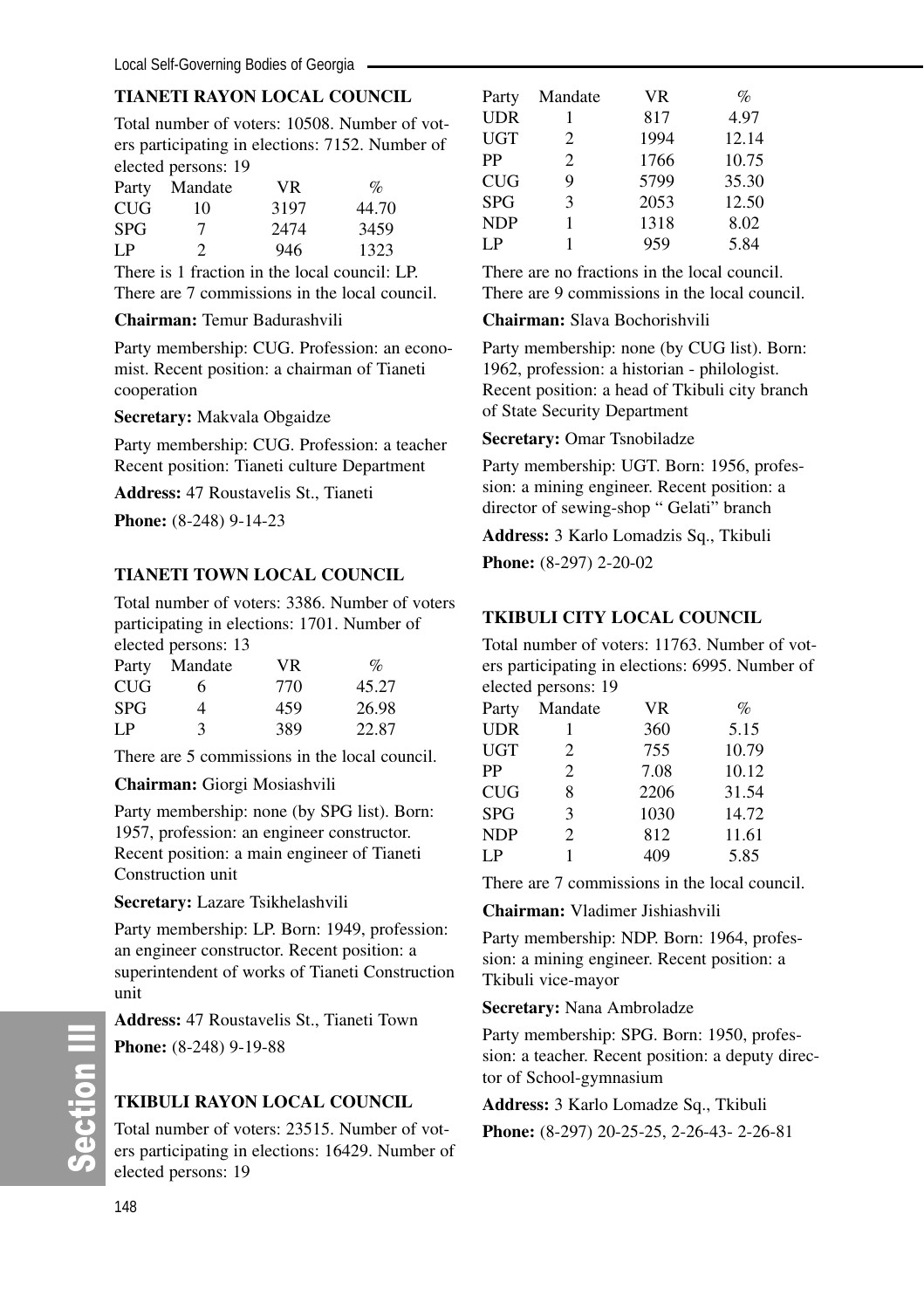# **TIANETI RAYON LOCAL COUNCIL**

Total number of voters: 10508. Number of voters participating in elections: 7152. Number of elected persons: 19

| Party      | Mandate | VR.  | $\%$  |
|------------|---------|------|-------|
| <b>CUG</b> | 10      | 3197 | 44.70 |
| <b>SPG</b> | 7       | 2474 | 3459  |
| LP         | 2       | 946  | 1323  |
|            |         |      |       |

There is 1 fraction in the local council: LP. There are 7 commissions in the local council.

#### **Chairman:** Temur Badurashvili

Party membership: CUG. Profession: an economist. Recent position: a chairman of Tianeti cooperation

#### **Secretary:** Makvala Obgaidze

Party membership: CUG. Profession: a teacher Recent position: Tianeti culture Department

**Address:** 47 Roustavelis St., Tianeti

**Phone:** (8-248) 9-14-23

# **TIANETI TOWN LOCAL COUNCIL**

Total number of voters: 3386. Number of voters participating in elections: 1701. Number of elected persons: 13

| Party      | Mandate | VR. | $\%$  |
|------------|---------|-----|-------|
| CUG        | 6       | 770 | 45.27 |
| <b>SPG</b> | 4       | 459 | 26.98 |
| I P        | ٩       | 389 | 22.87 |

There are 5 commissions in the local council.

**Chairman:** Giorgi Mosiashvili

Party membership: none (by SPG list). Born: 1957, profession: an engineer constructor. Recent position: a main engineer of Tianeti Construction unit

**Secretary:** Lazare Tsikhelashvili

Party membership: LP. Born: 1949, profession: an engineer constructor. Recent position: a superintendent of works of Tianeti Construction unit

**Address:** 47 Roustavelis St., Tianeti Town

**Phone:** (8-248) 9-19-88

# **TKIBULI RAYON LOCAL COUNCIL**

Total number of voters: 23515. Number of voters participating in elections: 16429. Number of elected persons: 19

| Party      | Mandate | <b>VR</b> | $\%$  |
|------------|---------|-----------|-------|
| <b>UDR</b> | 1       | 817       | 4.97  |
| <b>UGT</b> | 2       | 1994      | 12.14 |
| PP         | 2       | 1766      | 10.75 |
| <b>CUG</b> | 9       | 5799      | 35.30 |
| <b>SPG</b> | 3       | 2053      | 12.50 |
| <b>NDP</b> | 1       | 1318      | 8.02  |
| LP         |         | 959       | 5.84  |

There are no fractions in the local council. There are 9 commissions in the local council.

#### **Chairman:** Slava Bochorishvili

Party membership: none (by CUG list). Born: 1962, profession: a historian - philologist. Recent position: a head of Tkibuli city branch of State Security Department

#### **Secretary:** Omar Tsnobiladze

Party membership: UGT. Born: 1956, profession: a mining engineer. Recent position: a director of sewing-shop " Gelati" branch

**Address:** 3 Karlo Lomadzis Sq., Tkibuli

**Phone:** (8-297) 2-20-02

# **TKIBULI CITY LOCAL COUNCIL**

Total number of voters: 11763. Number of voters participating in elections: 6995. Number of elected persons: 19

| Party      | Mandate | <b>VR</b> | $\%$  |
|------------|---------|-----------|-------|
| UDR        | 1       | 360       | 5.15  |
| UGT        | 2       | 755       | 10.79 |
| PP         | 2       | 7.08      | 10.12 |
| CUG        | 8       | 2206      | 31.54 |
| SPG        | 3       | 1030      | 14.72 |
| <b>NDP</b> | 2       | 812       | 11.61 |
| LP         | 1       | 409       | 5.85  |
|            |         |           |       |

There are 7 commissions in the local council.

**Chairman:** Vladimer Jishiashvili

Party membership: NDP. Born: 1964, profession: a mining engineer. Recent position: a Tkibuli vice-mayor

#### **Secretary:** Nana Ambroladze

Party membership: SPG. Born: 1950, profession: a teacher. Recent position: a deputy director of School-gymnasium

#### **Address:** 3 Karlo Lomadze Sq., Tkibuli

**Phone:** (8-297) 20-25-25, 2-26-43- 2-26-81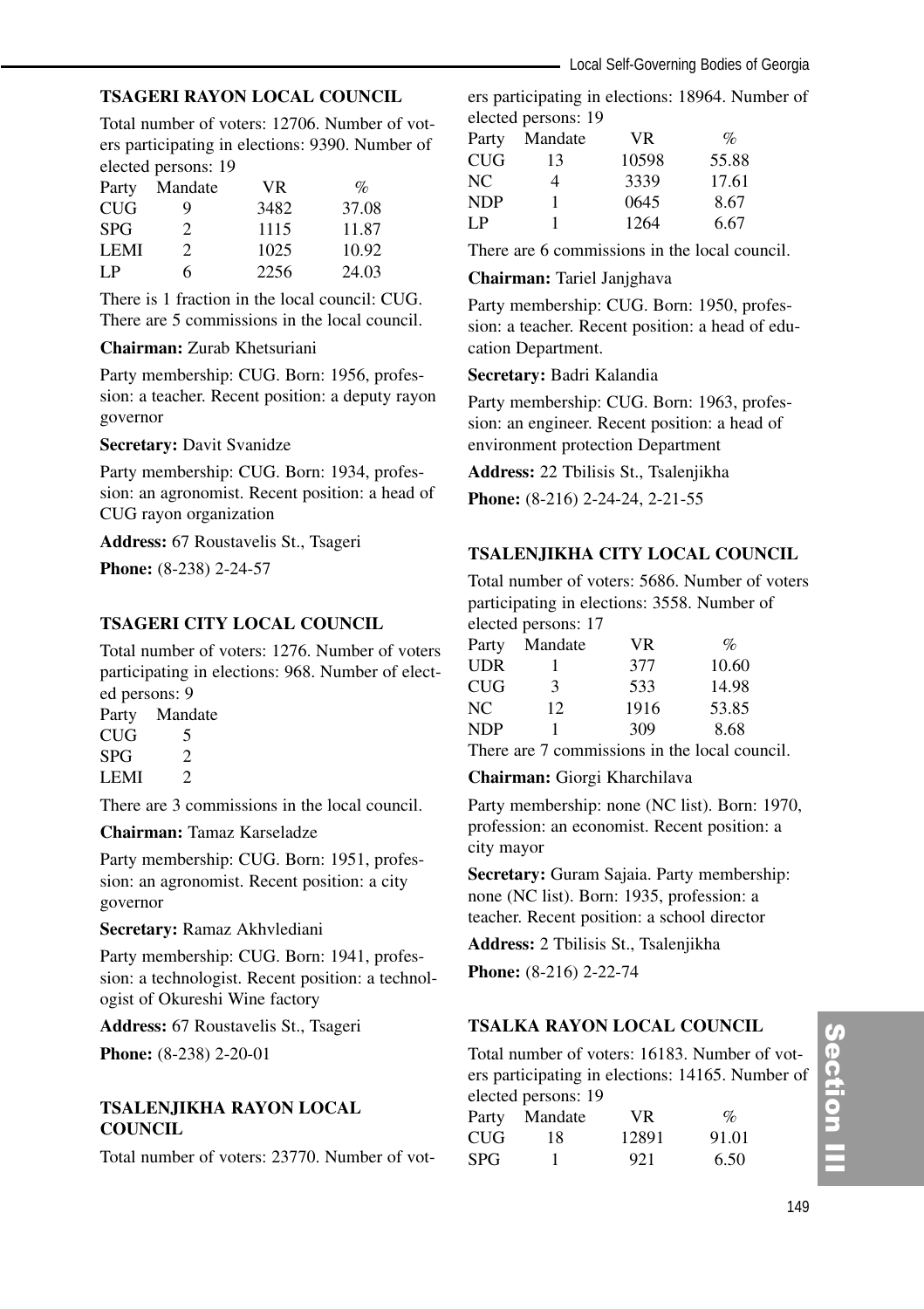### **TSAGERI RAYON LOCAL COUNCIL**

Total number of voters: 12706. Number of voters participating in elections: 9390. Number of elected persons: 19

| Party       | Mandate        | VR.  | $\%$  |
|-------------|----------------|------|-------|
| CUG         | Q              | 3482 | 37.08 |
| <b>SPG</b>  | $\mathfrak{D}$ | 1115 | 11.87 |
| <b>LEMI</b> | 2              | 1025 | 10.92 |
| I P         | 6              | 2256 | 24.03 |

There is 1 fraction in the local council: CUG. There are 5 commissions in the local council.

#### **Chairman:** Zurab Khetsuriani

Party membership: CUG. Born: 1956, profession: a teacher. Recent position: a deputy rayon governor

**Secretary:** Davit Svanidze

Party membership: CUG. Born: 1934, profession: an agronomist. Recent position: a head of CUG rayon organization

**Address:** 67 Roustavelis St., Tsageri

**Phone:** (8-238) 2-24-57

### **TSAGERI CITY LOCAL COUNCIL**

Total number of voters: 1276. Number of voters participating in elections: 968. Number of elected persons: 9

Party Mandate  $CUG$  5<br>SPG 2  $SPG$  $LEMI$  2

There are 3 commissions in the local council.

**Chairman:** Tamaz Karseladze

Party membership: CUG. Born: 1951, profession: an agronomist. Recent position: a city governor

**Secretary:** Ramaz Akhvlediani

Party membership: CUG. Born: 1941, profession: a technologist. Recent position: a technologist of Okureshi Wine factory

**Address:** 67 Roustavelis St., Tsageri

**Phone:** (8-238) 2-20-01

### **TSALENJIKHA RAYON LOCAL COUNCIL**

Total number of voters: 23770. Number of vot-

ers participating in elections: 18964. Number of elected persons: 19

| Party | Mandate | VR.   | $\%$  |
|-------|---------|-------|-------|
| CUG   | 13      | 10598 | 55.88 |
| NС    | 4       | 3339  | 17.61 |
| NDP   | 1       | 0645  | 8.67  |
| LP    | 1       | 1264  | 6.67  |

There are 6 commissions in the local council.

#### **Chairman:** Tariel Janjghava

Party membership: CUG. Born: 1950, profession: a teacher. Recent position: a head of education Department.

#### **Secretary:** Badri Kalandia

Party membership: CUG. Born: 1963, profession: an engineer. Recent position: a head of environment protection Department

**Address:** 22 Tbilisis St., Tsalenjikha **Phone:** (8-216) 2-24-24, 2-21-55

#### **TSALENJIKHA CITY LOCAL COUNCIL**

Total number of voters: 5686. Number of voters participating in elections: 3558. Number of elected persons: 17

| Party      | Mandate | VR   | $\%$  |
|------------|---------|------|-------|
| <b>UDR</b> |         | 377  | 10.60 |
| CUG        | 3       | 533  | 14.98 |
| NC         | 12.     | 1916 | 53.85 |
| <b>NDP</b> |         | 309  | 8.68  |

There are 7 commissions in the local council.

**Chairman:** Giorgi Kharchilava

Party membership: none (NC list). Born: 1970, profession: an economist. Recent position: a city mayor

**Secretary:** Guram Sajaia. Party membership: none (NC list). Born: 1935, profession: a teacher. Recent position: a school director

**Address:** 2 Tbilisis St., Tsalenjikha

**Phone:** (8-216) 2-22-74

# **TSALKA RAYON LOCAL COUNCIL**

Total number of voters: 16183. Number of voters participating in elections: 14165. Number of elected persons: 19

|            | $\frac{1}{2}$ |       |       |  |  |
|------------|---------------|-------|-------|--|--|
|            | Party Mandate | VR.   | $\%$  |  |  |
| <b>CUG</b> | 18            | 12891 | 91.01 |  |  |
| <b>SPG</b> | 1             | 921   | 6.50  |  |  |

# Section II ction III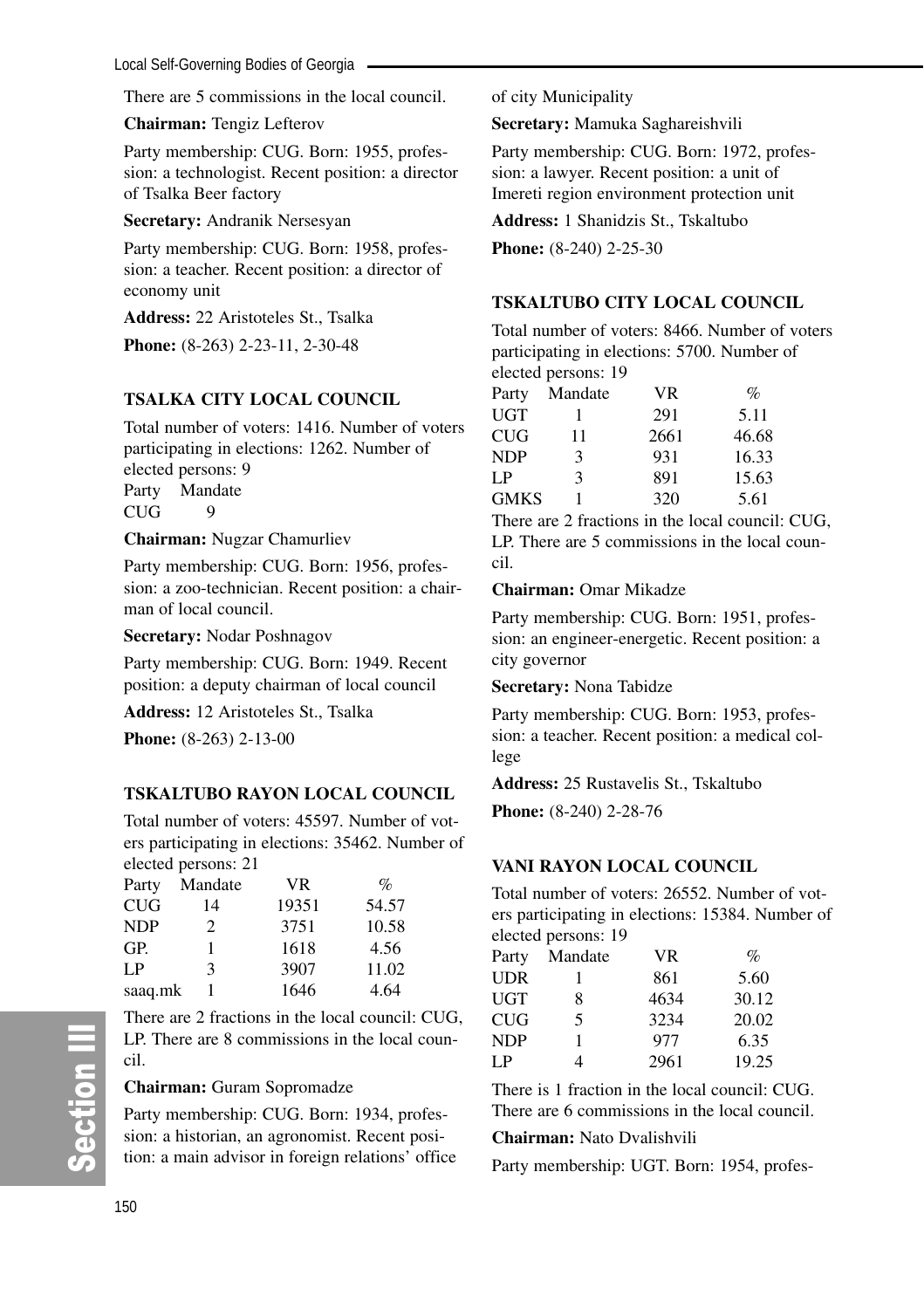There are 5 commissions in the local council.

**Chairman:** Tengiz Lefterov

Party membership: CUG. Born: 1955, profession: a technologist. Recent position: a director of Tsalka Beer factory

**Secretary:** Andranik Nersesyan

Party membership: CUG. Born: 1958, profession: a teacher. Recent position: a director of economy unit

**Address:** 22 Aristoteles St., Tsalka

**Phone:** (8-263) 2-23-11, 2-30-48

# **TSALKA CITY LOCAL COUNCIL**

Total number of voters: 1416. Number of voters participating in elections: 1262. Number of elected persons: 9 Party Mandate CUG<sub>9</sub>

#### **Chairman:** Nugzar Chamurliev

Party membership: CUG. Born: 1956, profession: a zoo-technician. Recent position: a chairman of local council.

**Secretary:** Nodar Poshnagov

Party membership: CUG. Born: 1949. Recent position: a deputy chairman of local council

**Address:** 12 Aristoteles St., Tsalka

**Phone:** (8-263) 2-13-00

# **TSKALTUBO RAYON LOCAL COUNCIL**

Total number of voters: 45597. Number of voters participating in elections: 35462. Number of elected persons: 21

| Party      | Mandate       | VR.   | $\%$  |
|------------|---------------|-------|-------|
| CUG        | 14            | 19351 | 54.57 |
| <b>NDP</b> | $\mathcal{D}$ | 3751  | 10.58 |
| GP.        | 1             | 1618  | 4.56  |
| LP         | 3             | 3907  | 11.02 |
| saaq.mk    |               | 1646  | 4.64  |

There are 2 fractions in the local council: CUG, LP. There are 8 commissions in the local council.

#### **Chairman:** Guram Sopromadze

Party membership: CUG. Born: 1934, profession: a historian, an agronomist. Recent position: a main advisor in foreign relations' office of city Municipality

**Secretary:** Mamuka Saghareishvili

Party membership: CUG. Born: 1972, profession: a lawyer. Recent position: a unit of Imereti region environment protection unit

**Address:** 1 Shanidzis St., Tskaltubo

**Phone:** (8-240) 2-25-30

# **TSKALTUBO CITY LOCAL COUNCIL**

Total number of voters: 8466. Number of voters participating in elections: 5700. Number of elected persons: 19

| Party       | Mandate | <b>VR</b> | $\%$  |
|-------------|---------|-----------|-------|
| UGT         |         | 291       | 5.11  |
| CUG         | 11      | 2661      | 46.68 |
| <b>NDP</b>  | 3       | 931       | 16.33 |
| LΡ          | 3       | 891       | 15.63 |
| <b>GMKS</b> |         | 320       | 5.61  |

There are 2 fractions in the local council: CUG, LP. There are 5 commissions in the local council.

# **Chairman:** Omar Mikadze

Party membership: CUG. Born: 1951, profession: an engineer-energetic. Recent position: a city governor

**Secretary:** Nona Tabidze

Party membership: CUG. Born: 1953, profession: a teacher. Recent position: a medical college

**Address:** 25 Rustavelis St., Tskaltubo

**Phone:** (8-240) 2-28-76

# **VANI RAYON LOCAL COUNCIL**

Total number of voters: 26552. Number of voters participating in elections: 15384. Number of elected persons: 19

| Party | Mandate | <b>VR</b> | $\%$  |
|-------|---------|-----------|-------|
| UDR   |         | 861       | 5.60  |
| UGT   | 8       | 4634      | 30.12 |
| CUG   | 5       | 3234      | 20.02 |
| NDP   | 1       | 977       | 6.35  |
| I P   | 4       | 2961      | 19.25 |
|       |         |           |       |

There is 1 fraction in the local council: CUG. There are 6 commissions in the local council.

# **Chairman:** Nato Dvalishvili

Party membership: UGT. Born: 1954, profes-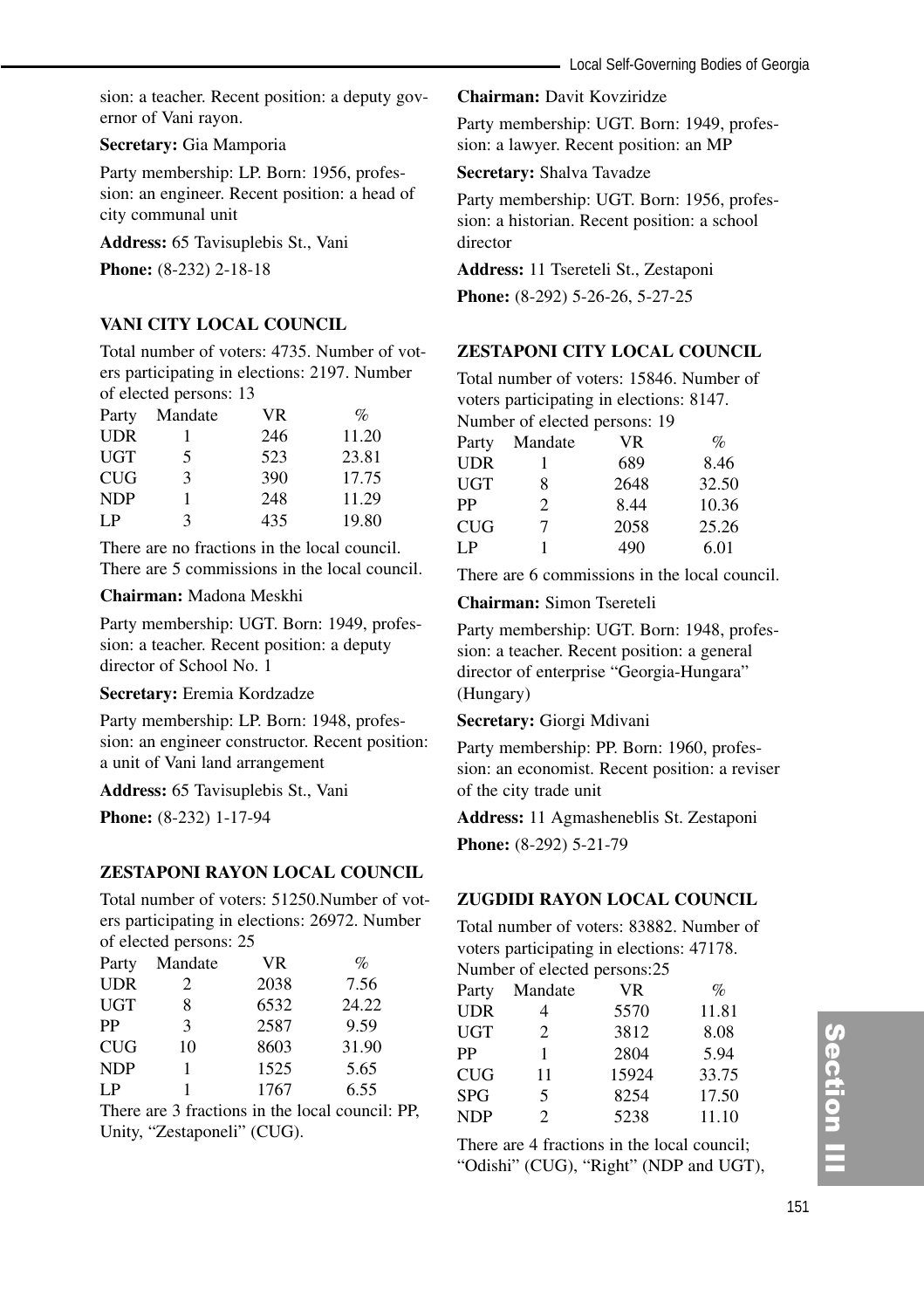sion: a teacher. Recent position: a deputy governor of Vani rayon.

#### **Secretary:** Gia Mamporia

Party membership: LP. Born: 1956, profession: an engineer. Recent position: a head of city communal unit

**Address:** 65 Tavisuplebis St., Vani

**Phone:** (8-232) 2-18-18

#### **VANI CITY LOCAL COUNCIL**

Total number of voters: 4735. Number of voters participating in elections: 2197. Number of elected persons: 13

| Party      | Mandate      | VR. | $\%$  |
|------------|--------------|-----|-------|
| <b>UDR</b> |              | 246 | 11.20 |
| UGT        | 5            | 523 | 23.81 |
| CUG        | $\mathbf{R}$ | 390 | 17.75 |
| <b>NDP</b> |              | 248 | 11.29 |
| I P        | 3            | 435 | 19.80 |

There are no fractions in the local council. There are 5 commissions in the local council.

#### **Chairman:** Madona Meskhi

Party membership: UGT. Born: 1949, profession: a teacher. Recent position: a deputy director of School No.<sup>1</sup>

**Secretary:** Eremia Kordzadze

Party membership: LP. Born: 1948, profession: an engineer constructor. Recent position: a unit of Vani land arrangement

**Address:** 65 Tavisuplebis St., Vani

**Phone:** (8-232) 1-17-94

#### **ZESTAPONI RAYON LOCAL COUNCIL**

Total number of voters: 51250.Number of voters participating in elections: 26972. Number of elected persons: 25

| Party      | Mandate        | VR.  | $\%$  |
|------------|----------------|------|-------|
| <b>UDR</b> | $\mathfrak{D}$ | 2038 | 7.56  |
| <b>UGT</b> | 8              | 6532 | 24.22 |
| PP         | 3              | 2587 | 9.59  |
| CUG        | 10             | 8603 | 31.90 |
| <b>NDP</b> | 1              | 1525 | 5.65  |
| LP         |                | 1767 | 6.55  |

There are 3 fractions in the local council: PP, Unity, "Zestaponeli" (CUG).

**Chairman:** Davit Kovziridze

Party membership: UGT. Born: 1949, profession: a lawyer. Recent position: an MP

**Secretary:** Shalva Tavadze

Party membership: UGT. Born: 1956, profession: a historian. Recent position: a school director

**Address:** 11 Tsereteli St., Zestaponi

**Phone:** (8-292) 5-26-26, 5-27-25

# **ZESTAPONI CITY LOCAL COUNCIL**

Total number of voters: 15846. Number of voters participating in elections: 8147.

Number of elected persons: 19

| Party      | Mandate | VR   | $\%$  |
|------------|---------|------|-------|
| <b>UDR</b> |         | 689  | 8.46  |
| <b>UGT</b> | 8       | 2648 | 32.50 |
| PP         | 2       | 8.44 | 10.36 |
| <b>CUG</b> | 7       | 2058 | 25.26 |
| I P        |         | 490  | 6.01  |

There are 6 commissions in the local council.

**Chairman:** Simon Tsereteli

Party membership: UGT. Born: 1948, profession: a teacher. Recent position: a general director of enterprise "Georgia-Hungara" (Hungary)

#### **Secretary:** Giorgi Mdivani

Party membership: PP. Born: 1960, profession: an economist. Recent position: a reviser of the city trade unit

**Address:** 11 Agmasheneblis St. Zestaponi

**Phone:** (8-292) 5-21-79

# **ZUGDIDI RAYON LOCAL COUNCIL**

Total number of voters: 83882. Number of voters participating in elections: 47178. Number of elected persons:25

| r vannowr or where a personsize |                |           |       |  |
|---------------------------------|----------------|-----------|-------|--|
| Party                           | Mandate        | <b>VR</b> | $\%$  |  |
| <b>UDR</b>                      |                | 5570      | 11.81 |  |
| <b>UGT</b>                      | 2              | 3812      | 8.08  |  |
| PP                              | 1              | 2804      | 5.94  |  |
| <b>CUG</b>                      | 11             | 15924     | 33.75 |  |
| <b>SPG</b>                      | 5              | 8254      | 17.50 |  |
| <b>NDP</b>                      | $\mathfrak{D}$ | 5238      | 11.10 |  |

There are 4 fractions in the local council; "Odishi" (CUG), "Right" (NDP and UGT),

# Section III ction III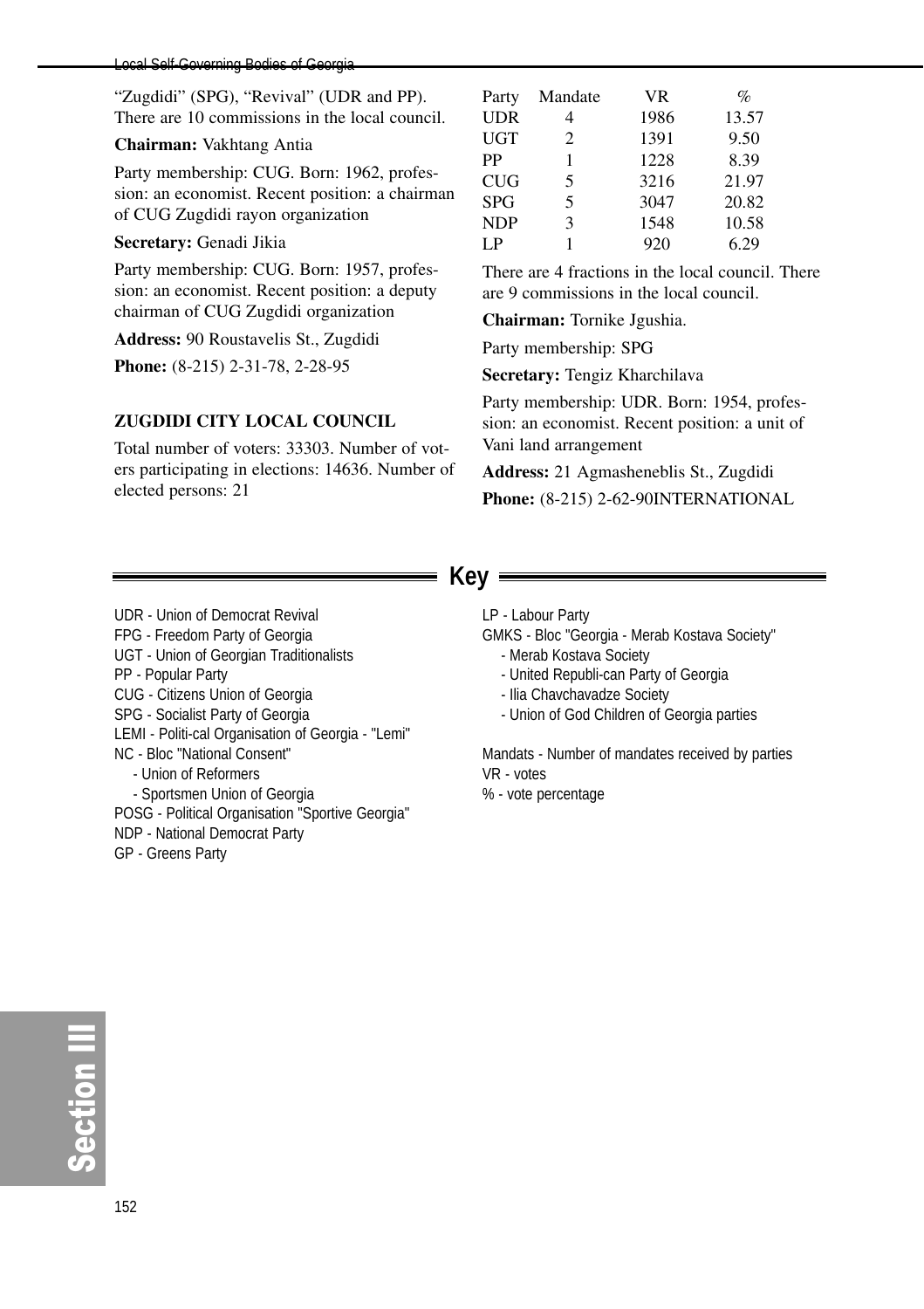#### Local Self-Governing Bodies of Georgia

"Zugdidi" (SPG), "Revival" (UDR and PP). There are 10 commissions in the local council.

#### **Chairman:** Vakhtang Antia

Party membership: CUG. Born: 1962, profession: an economist. Recent position: a chairman of CUG Zugdidi rayon organization

#### **Secretary:** Genadi Jikia

Party membership: CUG. Born: 1957, profession: an economist. Recent position: a deputy chairman of CUG Zugdidi organization

**Address:** 90 Roustavelis St., Zugdidi

**Phone:** (8-215) 2-31-78, 2-28-95

#### **ZUGDIDI CITY LOCAL COUNCIL**

Total number of voters: 33303. Number of voters participating in elections: 14636. Number of elected persons: 21

| Party      | Mandate | <b>VR</b> | $\%$  |
|------------|---------|-----------|-------|
| <b>UDR</b> | 4       | 1986      | 13.57 |
| <b>UGT</b> | 2       | 1391      | 9.50  |
| PP         | 1       | 1228      | 8.39  |
| <b>CUG</b> | 5       | 3216      | 21.97 |
| <b>SPG</b> | 5       | 3047      | 20.82 |
| <b>NDP</b> | 3       | 1548      | 10.58 |
| I P        |         | 920       | 6.29  |

There are 4 fractions in the local council. There are 9 commissions in the local council.

**Chairman:** Tornike Jgushia.

Party membership: SPG

**Secretary:** Tengiz Kharchilava

Party membership: UDR. Born: 1954, profession: an economist. Recent position: a unit of Vani land arrangement

**Address:** 21 Agmasheneblis St., Zugdidi **Phone:** (8-215) 2-62-90INTERNATIONAL

# **Key**

UDR - Union of Democrat Revival FPG - Freedom Party of Georgia UGT - Union of Georgian Traditionalists PP - Popular Party CUG - Citizens Union of Georgia SPG - Socialist Party of Georgia LEMI - Politi-cal Organisation of Georgia - "Lemi" NC - Bloc "National Consent" - Union of Reformers - Sportsmen Union of Georgia POSG - Political Organisation "Sportive Georgia" NDP - National Democrat Party GP - Greens Party

- LP Labour Party
- GMKS Bloc "Georgia Merab Kostava Society"
	- Merab Kostava Society
	- United Republi-can Party of Georgia
	- Ilia Chavchavadze Society
	- Union of God Children of Georgia parties

Mandats - Number of mandates received by parties VR - votes

% - vote percentage

တိ **Ction III**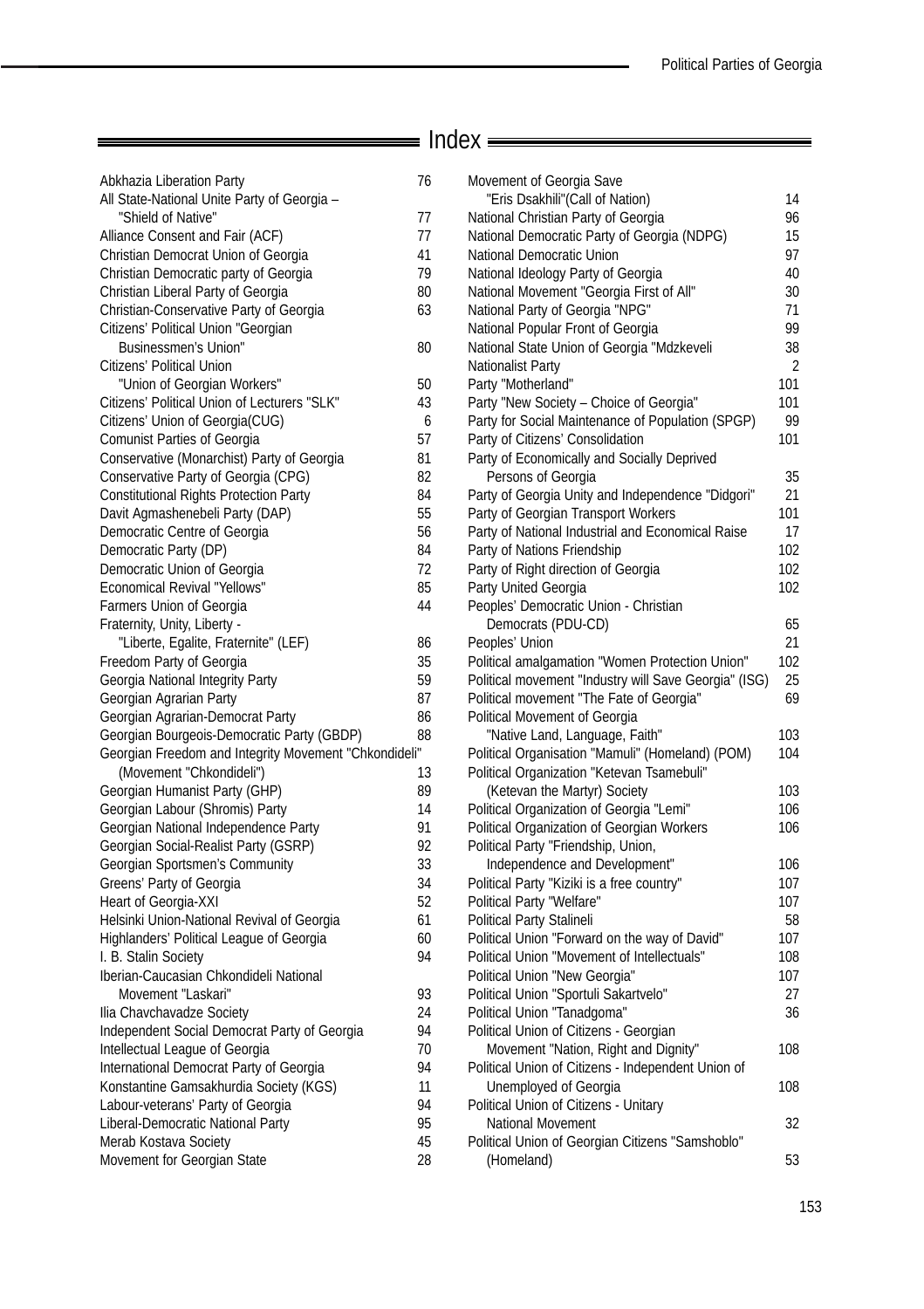=

 $\overline{\phantom{a}}$ 

# Index

| Abkhazia Liberation Party<br>All State-National Unite Party of Georgia - | 76 |
|--------------------------------------------------------------------------|----|
| "Shield of Native"                                                       | 77 |
| Alliance Consent and Fair (ACF)                                          | 77 |
| Christian Democrat Union of Georgia                                      | 41 |
| Christian Democratic party of Georgia                                    | 79 |
| Christian Liberal Party of Georgia                                       | 80 |
| Christian-Conservative Party of Georgia                                  | 63 |
| Citizens' Political Union "Georgian                                      |    |
| Businessmen's Union"                                                     | 80 |
| Citizens' Political Union                                                |    |
| "Union of Georgian Workers"                                              | 50 |
| Citizens' Political Union of Lecturers "SLK"                             | 43 |
| Citizens' Union of Georgia(CUG)                                          | 6  |
| <b>Comunist Parties of Georgia</b>                                       | 57 |
| Conservative (Monarchist) Party of Georgia                               | 81 |
| Conservative Party of Georgia (CPG)                                      | 82 |
| <b>Constitutional Rights Protection Party</b>                            | 84 |
| Davit Agmashenebeli Party (DAP)                                          | 55 |
| Democratic Centre of Georgia                                             | 56 |
| Democratic Party (DP)                                                    | 84 |
| Democratic Union of Georgia                                              | 72 |
| <b>Economical Revival "Yellows"</b>                                      | 85 |
| Farmers Union of Georgia                                                 | 44 |
| Fraternity, Unity, Liberty -                                             |    |
| "Liberte, Egalite, Fraternite" (LEF)                                     | 86 |
| Freedom Party of Georgia                                                 | 35 |
| Georgia National Integrity Party                                         | 59 |
| Georgian Agrarian Party                                                  | 87 |
| Georgian Agrarian-Democrat Party                                         | 86 |
| Georgian Bourgeois-Democratic Party (GBDP)                               | 88 |
| Georgian Freedom and Integrity Movement "Chkondideli"                    |    |
| (Movement "Chkondideli")                                                 | 13 |
| Georgian Humanist Party (GHP)                                            | 89 |
| Georgian Labour (Shromis) Party                                          | 14 |
| Georgian National Independence Party                                     | 91 |
| Georgian Social-Realist Party (GSRP)                                     | 92 |
| Georgian Sportsmen's Community                                           | 33 |
| Greens' Party of Georgia                                                 | 34 |
| Heart of Georgia-XXI                                                     | 52 |
| Helsinki Union-National Revival of Georgia                               | 61 |
| Highlanders' Political League of Georgia                                 | 60 |
| I. B. Stalin Society                                                     | 94 |
| Iberian-Caucasian Chkondideli National                                   |    |
| Movement "Laskari"                                                       | 93 |
| Ilia Chavchavadze Society                                                | 24 |
| Independent Social Democrat Party of Georgia                             | 94 |
| Intellectual League of Georgia                                           | 70 |
| International Democrat Party of Georgia                                  | 94 |
| Konstantine Gamsakhurdia Society (KGS)                                   | 11 |
| Labour-veterans' Party of Georgia                                        | 94 |
| Liberal-Democratic National Party                                        | 95 |
| Merab Kostava Society                                                    | 45 |
| Movement for Georgian State                                              | 28 |
|                                                                          |    |

| Movement of Georgia Save                                                                 |           |
|------------------------------------------------------------------------------------------|-----------|
| "Eris Dsakhili" (Call of Nation)                                                         | 14        |
| National Christian Party of Georgia                                                      | 96        |
| National Democratic Party of Georgia (NDPG)                                              | 15        |
| National Democratic Union                                                                | 97        |
| National Ideology Party of Georgia                                                       | 40        |
| National Movement "Georgia First of All"                                                 | 30        |
| National Party of Georgia "NPG"                                                          | 71        |
| National Popular Front of Georgia                                                        | 99        |
| National State Union of Georgia "Mdzkeveli                                               | 38        |
| Nationalist Party                                                                        | 2         |
| Party "Motherland"                                                                       | 101       |
| Party "New Society - Choice of Georgia"                                                  | 101       |
| Party for Social Maintenance of Population (SPGP)                                        | 99        |
| Party of Citizens' Consolidation                                                         | 101       |
| Party of Economically and Socially Deprived                                              |           |
| Persons of Georgia                                                                       | 35        |
| Party of Georgia Unity and Independence "Didgori"                                        | 21        |
| Party of Georgian Transport Workers<br>Party of National Industrial and Economical Raise | 101<br>17 |
| Party of Nations Friendship                                                              | 102       |
| Party of Right direction of Georgia                                                      | 102       |
| Party United Georgia                                                                     | 102       |
| Peoples' Democratic Union - Christian                                                    |           |
| Democrats (PDU-CD)                                                                       | 65        |
| Peoples' Union                                                                           | 21        |
| Political amalgamation "Women Protection Union"                                          | 102       |
| Political movement "Industry will Save Georgia" (ISG)                                    | 25        |
| Political movement "The Fate of Georgia"                                                 | 69        |
| Political Movement of Georgia                                                            |           |
| "Native Land, Language, Faith"                                                           | 103       |
| Political Organisation "Mamuli" (Homeland) (POM)                                         | 104       |
| Political Organization "Ketevan Tsamebuli"                                               |           |
| (Ketevan the Martyr) Society                                                             | 103       |
| Political Organization of Georgia "Lemi"                                                 | 106       |
| Political Organization of Georgian Workers                                               | 106       |
| Political Party "Friendship, Union,                                                      |           |
| Independence and Development"                                                            | 106       |
| Political Party "Kiziki is a free country"                                               | 107       |
| Political Party "Welfare"                                                                | 107       |
| Political Party Stalineli<br>Political Union "Forward on the way of David"               | 58<br>107 |
| Political Union "Movement of Intellectuals"                                              | 108       |
| Political Union "New Georgia"                                                            | 107       |
| Political Union "Sportuli Sakartvelo"                                                    | 27        |
| Political Union "Tanadgoma"                                                              | 36        |
| Political Union of Citizens - Georgian                                                   |           |
| Movement "Nation, Right and Dignity"                                                     | 108       |
| Political Union of Citizens - Independent Union of                                       |           |
| Unemployed of Georgia                                                                    | 108       |
| Political Union of Citizens - Unitary                                                    |           |
| National Movement                                                                        | 32        |
| Political Union of Georgian Citizens "Samshoblo"                                         |           |
| (Homeland)                                                                               | 53        |